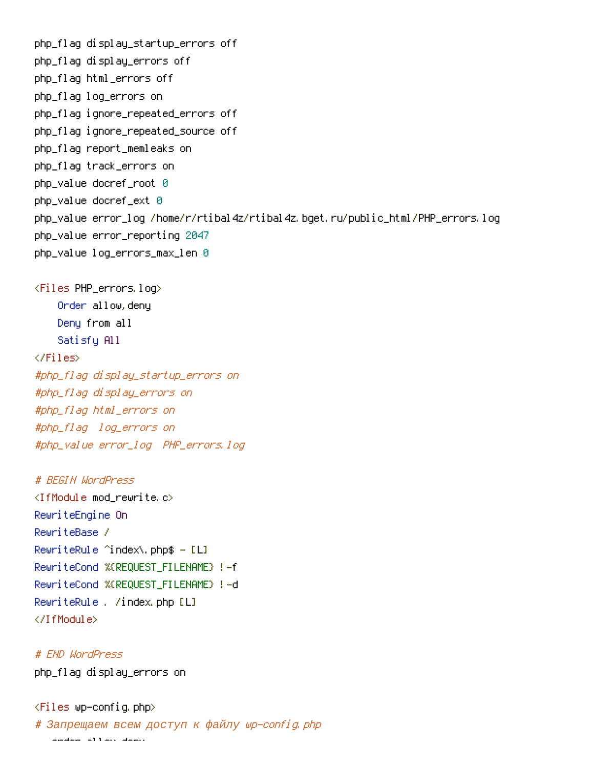```
php_flaq display_startup_errors off
php_flaq display_errors off
php_flaq html_errors off
php_flag log_errors on
php_flaq iqnore_repeated_errors off
php_flag ignore_repeated_source off
php_flaq report_memleaks on
php_flaq track_errors on
php_value_docref_root_0
php_value docref_ext 0
php_value error_log /home/r/rtibal4z/rtibal4z.bget.ru/public_html/PHP_errors.log
php_value error_reporting 2047
php_value log_errors_max_len 0
<Files PHP_errors.log>
    Order allow.denu
    Deny from all
    Satisfy All
\langle/Files>
#php_flag_display_startup_errors_on
#php_flag_display_errors_on
#php_flag html_errors on
#php_flag log_errors on
#php_value error_log PHP_errors.log
# REGIN WordPress
<IfModule mod rewrite.c>
RewriteEngine On
ReuriteBase /
RewriteRule ^index\.php$ - [L]
RewriteCond %(REQUEST FILENAME) !- f
RewriteCond %(REQUEST FILENAME) !- d
RewriteRule, /index.php [L]
</IfModule>
# END WordPress
php_flag display_errors on
```
 $\langle$ Files wp–config.php $\rangle$ # Запрещаем всем доступ к файлу wp-config.php and don't all the down.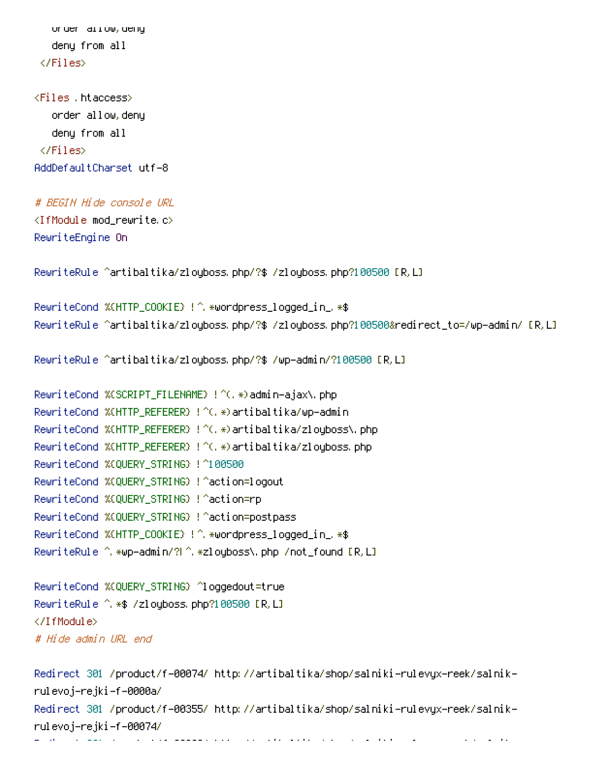order allow, deny deny from all  $\langle$ /Files $\rangle$ 

```
\langle \textsf{Files}\>, htaccess\rangleorder allow.denu
    deny from all
  \langle/Files\rangleAddDefaultCharset utf-8
```
## # BEGIN Hide console URL

 $\triangleleft$ IfModule mod\_rewrite,c $>$ RewriteEngine On

```
RewriteRule ^artibaltika/zloyboss.php/?$ /zloyboss.php?100500 [R,L]
```

```
RewriteCond %(HTTP_COOKIE) !^ *wordpress_logged_in_ *$
RewriteRule ^artibaltika/zloyboss.php/?$ /zloyboss.php?100500&redirect_to=/wp-admin/ [R,L]
```

```
RewriteRule ^artibaltika/zloyboss php/?$ /wp-admin/?100500 [R,L]
```

```
RewriteCond %(SCRIPT_FILENAME) !^(,*)admin—ajax\.php
RewriteCond %(HTTP_REFERER) !^(,*)artibaltika/wp−admin
RewriteCond %(HTTP_REFERER) !^(,*)artibaltika/zloyboss\.php
RewriteCond %(HTTP_REFERER) !^(,*)artibaltika/zloyboss.php
RewriteCond %(QUERY_STRING) !^100500
RewriteCond %(QUERY_STRING) !^action=logout
RewriteCond %(QUERY_STRING) !^action=rp
RewriteCond %(QUERY_STRING) !^action=postpass
RewriteCond %(HTTP_COOKIE) !^ *wordpress_logged_in_ *$
RewriteRule ^ *wp–admin/?L^ *zloyboss\ php /not_found [R,L]
```

```
RewriteCond %(QUERY_STRING) ^loggedout=true
RewriteRule ^ *$ /zloyboss php?100500 [R,L]
</IfModule>
# Hide admin URL end
```

```
-Redirect 301 /product/f-00074/ http://artibaltika/shop/salniki-rulevyx-reek/salnik
rulevoj-rejki-f-0000a/
-Redirect 301 /product/f-00355/ http://artibaltika/shop/salniki-rulevyx-reek/salnik
rulevoj–rejki–f–00074/
-
     pc and the contract of the complex state of the contract of the contract of the contract of the contract of the<br>Second
                                                                      \sim 10^{-10} m ^{-1}11
                                                                                   on the control of the control of
                                                                                                             0
```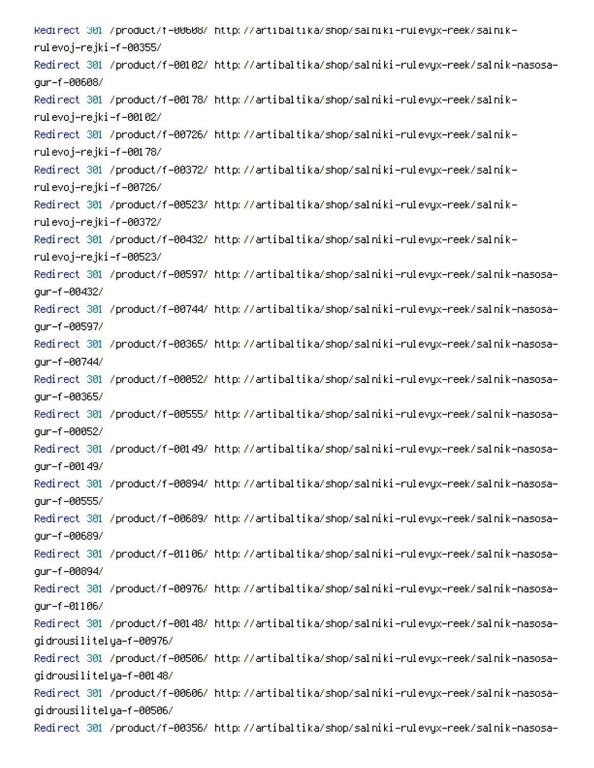Redirect 301 /product/f=00608/ http://artibaltika/shop/salniki=rulevyx=reek/salnik= rulevoj–rejki–f–00355/ Redirect 301 /product/f-00102/ http://artibaltika/shop/salniki-rulevyx-reek/salnik-nasosaqur-f-00608/ -Redirect 301 /product/f-00178/ http://artibaltika/shop/salniki-rulevyx-reek/salnik rulevoj–rejki–f–00102/ -Redirect 301 /product/f-00726/ http://artibaltika/shop/salniki-rulevyx-reek/salnik rulevoj–rejki–f–00178/ -Redirect 301 /product/f-00372/ http://artibaltika/shop/salniki-rulevyx-reek/salnik rulevoj–rejki–f–00726/ -Redirect 301 /product/f-00523/ http://artibaltika/shop/salniki-rulevyx-reek/salnik rulevoj–rejki–f–00372/ -Redirect 301 /product/f-00432/ http://artibaltika/shop/salniki-rulevyx-reek/salnik rulevoj–rejki–f–00523/ Redirect 301 /product/f-00597/ http://artibaltika/shop/salniki-rulevyx-reek/salnik-nasosagur-f-00432/ Redirect 301 /product/f-00744/ http://artibaltika/shop/salniki-rulevyx-reek/salnik-nasosaqur-f-00597/ Redirect 301 /product/f-00365/ http://artibaltika/shop/salniki-rulevyx-reek/salnik-nasosaqur-f-00744/ Redirect 301 /product/f-00052/ http://artibaltika/shop/salniki-rulevyx-reek/salnik-nasosaqur-f-00365/ Redirect 301 /product/f-00555/ http://artibaltika/shop/salniki-rulevyx-reek/salnik-nasosagur-f-00052/ Redirect 301 /product/f-00149/ http://artibaltika/shop/salniki-rulevyx-reek/salnik-nasosaqur-f-00149/ Redirect 301 /product/f-00894/ http://artibaltika/shop/salniki-rulevyx-reek/salnik-nasosaqur-f-00555/ Redirect 301 /product/f-00689/ http://artibaltika/shop/salniki-rulevyx-reek/salnik-nasosaqur-f-00689/ Redirect 301 /product/f-01106/ http://artibaltika/shop/salniki-rulevyx-reek/salnik-nasosagur-f-00894/ Redirect 301 /product/f-00976/ http://artibaltika/shop/salniki-rulevyx-reek/salnik-nasosaqur-f-01106/ Redirect 301 /product/f-00148/ http://artibaltika/shop/salniki-rulevyx-reek/salnik-nasosagidrousilitelya-f-00976/ Redirect 301 /product/f-00506/ http://artibaltika/shop/salniki-rulevyx-reek/salnik-nasosagidrousilitelya-f-00148/ Redirect 301 /product/f-00606/ http://artibaltika/shop/salniki-rulevyx-reek/salnik-nasosagidrousilitelya-f-00506/ Redirect 301 /product/f-00356/ http://artibaltika/shop/salniki-rulevyx-reek/salnik-nasosa-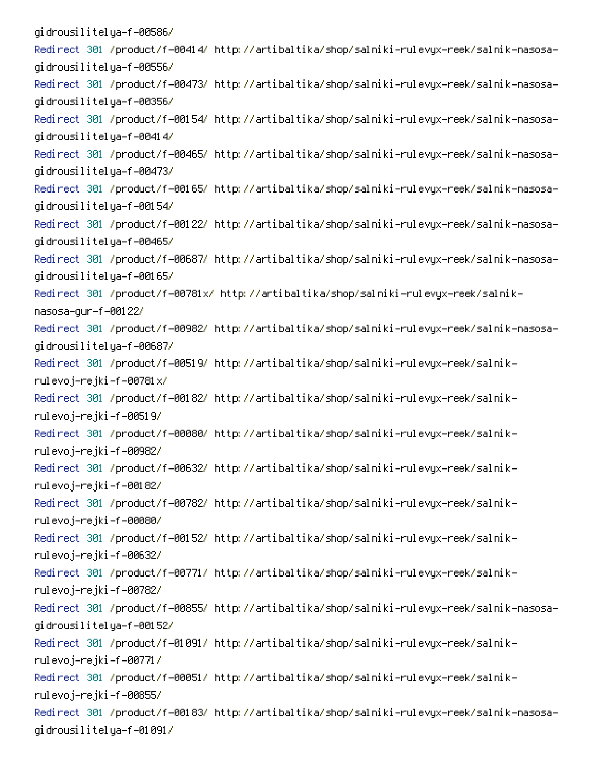gidrousilitelya-f-00586/ Redirect 301 /product/f-00414/ http://artibaltika/shop/salniki-rulevyx-reek/salnik-nasosagidrousilitelya-f-00556/ Redirect 301 /product/f-00473/ http://artibaltika/shop/salniki-rulevyx-reek/salnik-nasosagidrousilitelya-f-00356/ Redirect 301 /product/f-00154/ http://artibaltika/shop/salniki-rulevyx-reek/salnik-nasosagidrousilitelya–f–00414/ Redirect 301 /product/f-00465/ http://artibaltika/shop/salniki-rulevyx-reek/salnik-nasosagidrousilitelya–f–00473/ Redirect 301 /product/f-00165/ http://artibaltika/shop/salniki-rulevyx-reek/salnik-nasosagidrousilitelya-f-00154/ Redirect 301 /product/f-00122/ http://artibaltika/shop/salniki-rulevyx-reek/salnik-nasosagidrousilitelya-f-00465/ Redirect 301 /product/f-00687/ http://artibaltika/shop/salniki-rulevyx-reek/salnik-nasosagidrousilitelya-f-00165/ -Redirect 301 /product/f-00781x/ http://artibaltika/shop/salniki-rulevyx-reek/salnik nasosa-gur-f-00122/ Redirect 301 /product/f-00982/ http://artibaltika/shop/salniki-rulevyx-reek/salnik-nasosagidrousilitelya-f-00687/ -Redirect 301 /product/f-00519/ http://artibaltika/shop/salniki-rulevyx-reek/salnik rulevoj–rejki–f–00781 $\times$ / -Redirect 301 /product/f-00182/ http://artibaltika/shop/salniki-rulevyx-reek/salnik rulevoj–rejki–f–00519/ -Redirect 301 /product/f-00080/ http://artibaltika/shop/salniki-rulevyx-reek/salnik rulevoj–rejki–f–00982/ Redirect 301 /product/f-00632/ http://artibaltika/shop/salniki-rulevyx-reek/salnikrulevoj–rejki–f–00182/ -Redirect 301 /product/f-00782/ http://artibaltika/shop/salniki-rulevyx-reek/salnik rulevoj–rejki–f–00080/ -Redirect 301 /product/f-00152/ http://artibaltika/shop/salniki-rulevyx-reek/salnik rulevoj–rejki–f–00632/ -Redirect 301 /product/f-00771/ http://artibaltika/shop/salniki-rulevyx-reek/salnik rulevoj–rejki–f–00782/ Redirect 301 /product/f-00855/ http://artibaltika/shop/salniki-rulevyx-reek/salnik-nasosagidrousilitelya-f-00152/ -Redirect 301 /product/f-01091/ http://artibaltika/shop/salniki-rulevyx-reek/salnik rulevoj–rejki–f–00771/ -Redirect 301 /product/f-00051/ http://artibaltika/shop/salniki-rulevyx-reek/salnik rulevoj–rejki–f–00855/ Redirect 301 /product/f-00183/ http://artibaltika/shop/salniki-rulevyx-reek/salnik-nasosagidrousilitelya–f–01091/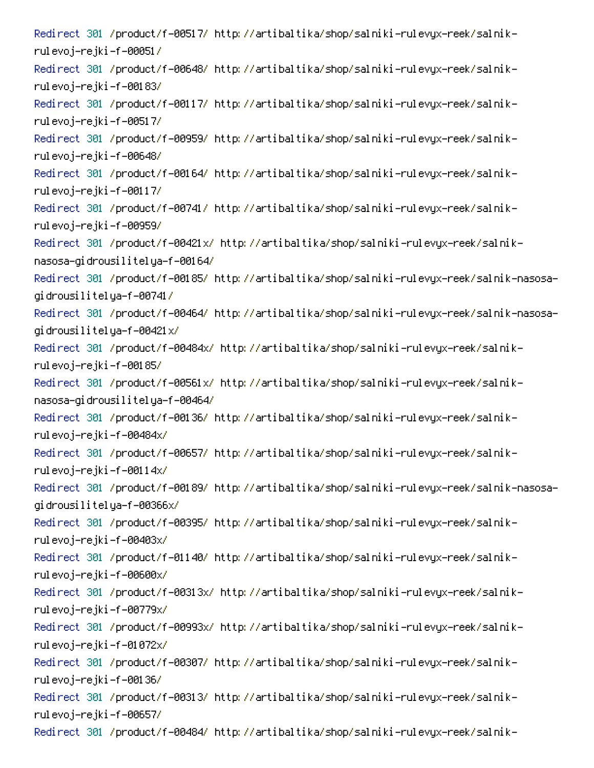-Redirect 301 /product/f-00517/ http://artibaltika/shop/salniki-rulevyx-reek/salnik rulevoj–rejki–f–00051/ -Redirect 301 /product/f-00648/ http://artibaltika/shop/salniki-rulevyx-reek/salnik rulevoj–rejki–f–00183/ -Redirect 301 /product/f-00117/ http://artibaltika/shop/salniki-rulevyx-reek/salnik rulevoj–rejki–f–00517/ -Redirect 301 /product/f-00959/ http://artibaltika/shop/salniki-rulevyx-reek/salnik rulevoj–rejki–f–00648/ -Redirect 301 /product/f-00164/ http://artibaltika/shop/salniki-rulevyx-reek/salnik rulevoj–rejki–f–00117/ -Redirect 301 /product/f-00741/ http://artibaltika/shop/salniki-rulevyx-reek/salnik rulevoj–rejki–f–00959/ -Redirect 301 /product/f-00421x/ http://artibaltika/shop/salniki-rulevyx-reek/salnik nasosa-gidrousilitelya-f-00164/ Redirect 301 /product/f-00185/ http://artibaltika/shop/salniki-rulevyx-reek/salnik-nasosagidrousilitelya–f–00741/ Redirect 301 /product/f-00464/ http://artibaltika/shop/salniki-rulevyx-reek/salnik-nasosagidrousilitelya-f-00421x/ -Redirect 301 /product/f-00484x/ http://artibaltika/shop/salniki-rulevyx-reek/salnik rulevoj–rejki–f–00185/ -Redirect 301 /product/f-00561x/ http://artibaltika/shop/salniki-rulevyx-reek/salnik nasosa-gidrousilitelya-f-00464/ -Redirect 301 /product/f-00136/ http://artibaltika/shop/salniki-rulevyx-reek/salnik rulevoj–rejki–f–00484x/ -Redirect 301 /product/f-00657/ http://artibaltika/shop/salniki-rulevyx-reek/salnik rulevoj–rejki–f–00114x/ Redirect 301 /product/f-00189/ http://artibaltika/shop/salniki-rulevyx-reek/salnik-nasosagidrousilitelya-f-00366x/ -Redirect 301 /product/f-00395/ http://artibaltika/shop/salniki-rulevyx-reek/salnik rulevoj–rejki–f–00403x/ -Redirect 301 /product/f-01140/ http://artibaltika/shop/salniki-rulevyx-reek/salnik rulevoj–rejki–f–00600x/ -Redirect 301 /product/f-00313x/ http://artibaltika/shop/salniki-rulevyx-reek/salnik rulevoj–rejki–f–00779x/ -Redirect 301 /product/f-00993x/ http://artibaltika/shop/salniki-rulevyx-reek/salnik rulevoj–rejki–f–01072x/ -Redirect 301 /product/f-00307/ http://artibaltika/shop/salniki-rulevyx-reek/salnik rulevoj–rejki–f–00136/ -Redirect 301 /product/f-00313/ http://artibaltika/shop/salniki-rulevyx-reek/salnik rulevoj–rejki–f–00657/ -Redirect 301 /product/f-00484/ http://artibaltika/shop/salniki-rulevyx-reek/salnik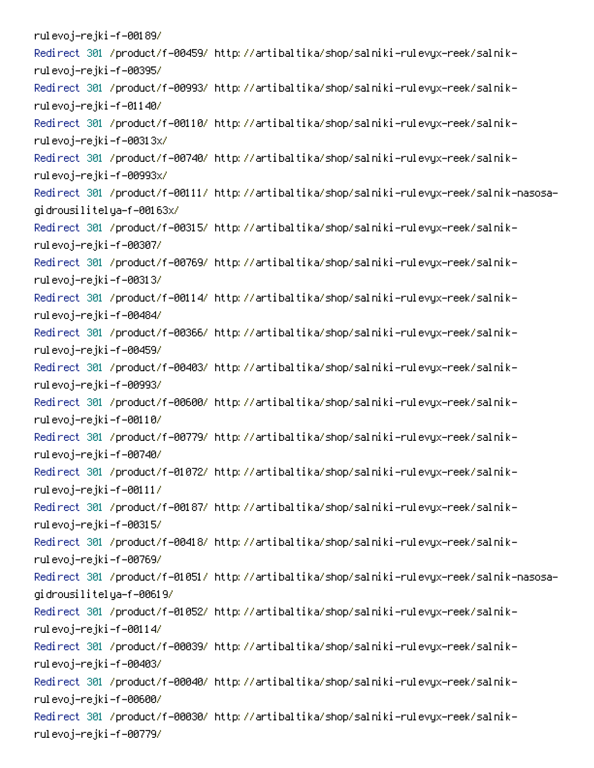rulevoj–rejki–f–00189/ -Redirect 301 /product/f-00459/ http://artibaltika/shop/salniki-rulevyx-reek/salnik rulevoj–rejki–f–00395/ -Redirect 301 /product/f-00993/ http://artibaltika/shop/salniki-rulevyx-reek/salnik rulevoj–rejki–f–01140/ -Redirect 301 /product/f-00110/ http://artibaltika/shop/salniki-rulevyx-reek/salnik rulevoj–rejki–f–00313x/ -Redirect 301 /product/f-00740/ http://artibaltika/shop/salniki-rulevyx-reek/salnik rulevoj–rejki–f–00993x/ Redirect 301 /product/f-00111/ http://artibaltika/shop/salniki-rulevyx-reek/salnik-nasosagidrousilitelya-f-00163x/ -Redirect 301 /product/f-00315/ http://artibaltika/shop/salniki-rulevyx-reek/salnik rulevoj–rejki–f–00307/ -Redirect 301 /product/f-00769/ http://artibaltika/shop/salniki-rulevyx-reek/salnik rulevoj–rejki–f–00313/ -Redirect 301 /product/f-00114/ http://artibaltika/shop/salniki-rulevyx-reek/salnik rulevoj–rejki–f–00484/ -Redirect 301 /product/f-00366/ http://artibaltika/shop/salniki-rulevyx-reek/salnik rulevoj–rejki–f–00459/ -Redirect 301 /product/f-00403/ http://artibaltika/shop/salniki-rulevyx-reek/salnik rulevoj–rejki–f–00993/ -Redirect 301 /product/f-00600/ http://artibaltika/shop/salniki-rulevyx-reek/salnik rulevoj–rejki–f–00110/ -Redirect 301 /product/f-00779/ http://artibaltika/shop/salniki-rulevyx-reek/salnik rulevoj–rejki–f–00740/ -Redirect 301 /product/f-01072/ http://artibaltika/shop/salniki-rulevyx-reek/salnik rulevoj–rejki–f–00111/ -Redirect 301 /product/f-00187/ http://artibaltika/shop/salniki-rulevyx-reek/salnik rulevoj–rejki–f–00315/ -Redirect 301 /product/f-00418/ http://artibaltika/shop/salniki-rulevyx-reek/salnik rulevoj–rejki–f–00769/ Redirect 301 /product/f-01051/ http://artibaltika/shop/salniki-rulevyx-reek/salnik-nasosagidrousilitelya-f-00619/ -Redirect 301 /product/f-01052/ http://artibaltika/shop/salniki-rulevyx-reek/salnik rulevoj–rejki–f–00114/ -Redirect 301 /product/f-00039/ http://artibaltika/shop/salniki-rulevyx-reek/salnik rulevoj–rejki–f–00403/ -Redirect 301 /product/f-00040/ http://artibaltika/shop/salniki-rulevyx-reek/salnik rulevoj–rejki–f–00600/ -Redirect 301 /product/f-00030/ http://artibaltika/shop/salniki-rulevyx-reek/salnik rulevoj–rejki–f–00779/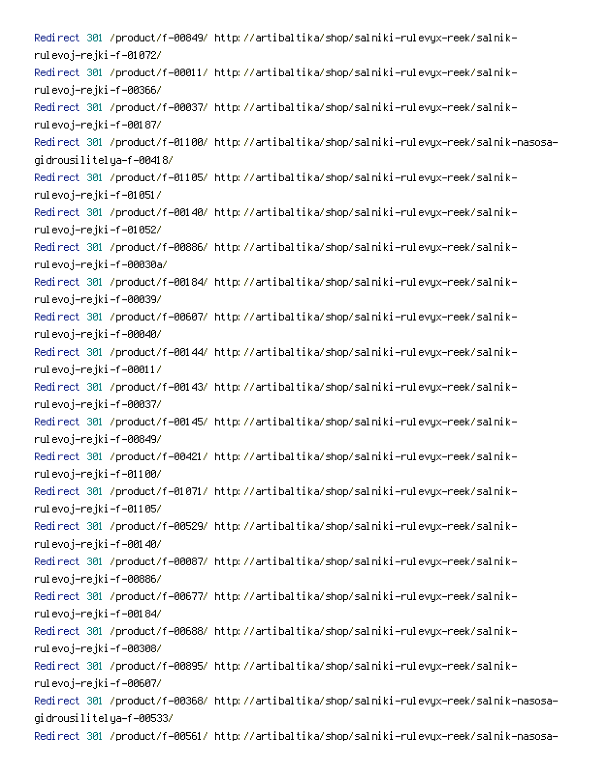-Redirect 301 /product/f-00849/ http://artibaltika/shop/salniki-rulevyx-reek/salnik rulevoj–rejki–f–01072/ -Redirect 301 /product/f-00011/ http://artibaltika/shop/salniki-rulevyx-reek/salnik rulevoj–rejki–f–00366/ -Redirect 301 /product/f-00037/ http://artibaltika/shop/salniki-rulevyx-reek/salnik rulevoj–rejki–f–00187/ Redirect 301 /product/f-01100/ http://artibaltika/shop/salniki-rulevyx-reek/salnik-nasosagidrousilitelya-f-00418/ -Redirect 301 /product/f-01105/ http://artibaltika/shop/salniki-rulevyx-reek/salnik rulevoj–rejki–f–01051/ -Redirect 301 /product/f-00140/ http://artibaltika/shop/salniki-rulevyx-reek/salnik rulevoj–rejki–f–01052/ -Redirect 301 /product/f-00886/ http://artibaltika/shop/salniki-rulevyx-reek/salnik rulevoj-rejki-f-00030a/ -Redirect 301 /product/f-00184/ http://artibaltika/shop/salniki-rulevyx-reek/salnik rulevoj–rejki–f–00039/ -Redirect 301 /product/f-00607/ http://artibaltika/shop/salniki-rulevyx-reek/salnik rulevoj–rejki–f–00040/ -Redirect 301 /product/f-00144/ http://artibaltika/shop/salniki-rulevyx-reek/salnik rulevoj–rejki–f–00011/ -Redirect 301 /product/f-00143/ http://artibaltika/shop/salniki-rulevyx-reek/salnik rulevoj–rejki–f–00037/ -Redirect 301 /product/f-00145/ http://artibaltika/shop/salniki-rulevyx-reek/salnik rulevoj–rejki–f–00849/ -Redirect 301 /product/f-00421/ http://artibaltika/shop/salniki-rulevyx-reek/salnik rulevoj–rejki–f–01100/ -Redirect 301 /product/f-01071/ http://artibaltika/shop/salniki-rulevyx-reek/salnik rulevoj–rejki–f–01105/ -Redirect 301 /product/f-00529/ http://artibaltika/shop/salniki-rulevyx-reek/salnik rulevoj–rejki–f–00140/ -Redirect 301 /product/f-00087/ http://artibaltika/shop/salniki-rulevyx-reek/salnik rulevoj–rejki–f–00886/ -Redirect 301 /product/f-00677/ http://artibaltika/shop/salniki-rulevyx-reek/salnik rulevoj–rejki–f–00184/ -Redirect 301 /product/f-00688/ http://artibaltika/shop/salniki-rulevyx-reek/salnik rulevoj–rejki–f–00308/ -Redirect 301 /product/f-00895/ http://artibaltika/shop/salniki-rulevyx-reek/salnik rulevoj–rejki–f–00607/ Redirect 301 /product/f-00368/ http://artibaltika/shop/salniki-rulevyx-reek/salnik-nasosagidrousilitelya-f-00533/ Redirect 301 /product/f-00561/ http://artibaltika/shop/salniki-rulevyx-reek/salnik-nasosa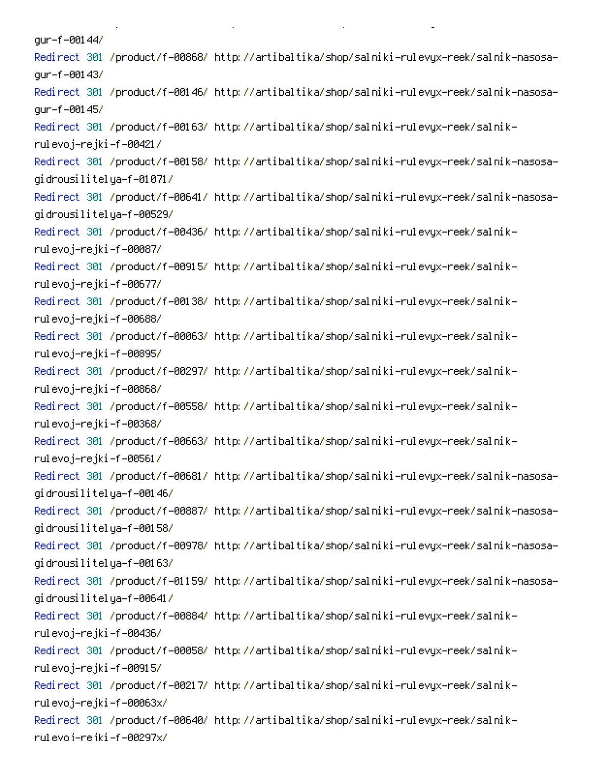aur-f-00144/ Redirect 301 /product/f-00868/ http://artibaltika/shop/salniki-rulevyx-reek/salnik-nasosaaur-f-00143/ Redirect 301 /product/f-00146/ http://artibaltika/shop/salniki-rulevyx-reek/salnik-nasosaqur-f-00145/ -Redirect 301 /product/f-00163/ http://artibaltika/shop/salniki-rulevyx-reek/salnik rulevoj–rejki–f–00421/ Redirect 301 /product/f-00158/ http://artibaltika/shop/salniki-rulevyx-reek/salnik-nasosagidrousilitelya–f–01071/ Redirect 301 /product/f-00641/ http://artibaltika/shop/salniki-rulevyx-reek/salnik-nasosagidrousilitelya-f-00529/ -Redirect 301 /product/f-00436/ http://artibaltika/shop/salniki-rulevyx-reek/salnik rulevoj–rejki–f–00087/ -Redirect 301 /product/f-00915/ http://artibaltika/shop/salniki-rulevyx-reek/salnik rulevoj–rejki–f–00677/ -Redirect 301 /product/f-00138/ http://artibaltika/shop/salniki-rulevyx-reek/salnik rulevoj–rejki–f–00688/ -Redirect 301 /product/f-00063/ http://artibaltika/shop/salniki-rulevyx-reek/salnik rulevoj–rejki–f–00895/ -Redirect 301 /product/f-00297/ http://artibaltika/shop/salniki-rulevyx-reek/salnik rulevoj–rejki–f–00868/ -Redirect 301 /product/f-00558/ http://artibaltika/shop/salniki-rulevyx-reek/salnik rulevoj–rejki–f–00368/ -Redirect 301 /product/f-00663/ http://artibaltika/shop/salniki-rulevyx-reek/salnik rulevoj–rejki–f–00561/ Redirect 301 /product/f-00681/ http://artibaltika/shop/salniki-rulevyx-reek/salnik-nasosagidrousilitelya–f–00146/ Redirect 301 /product/f-00887/ http://artibaltika/shop/salniki-rulevyx-reek/salnik-nasosagidrousilitelya-f-00158/ Redirect 301 /product/f-00978/ http://artibaltika/shop/salniki-rulevyx-reek/salnik-nasosagidrousilitelya–f–00163/ Redirect 301 /product/f-01159/ http://artibaltika/shop/salniki-rulevyx-reek/salnik-nasosagidrousilitelya–f–00641/ -Redirect 301 /product/f-00884/ http://artibaltika/shop/salniki-rulevyx-reek/salnik rulevoj–rejki–f–00436/ -Redirect 301 /product/f-00058/ http://artibaltika/shop/salniki-rulevyx-reek/salnik rulevoj–rejki–f–00915/ -Redirect 301 /product/f-00217/ http://artibaltika/shop/salniki-rulevyx-reek/salnik rulevoj–rejki–f–00063x/ -Redirect 301 /product/f-00640/ http://artibaltika/shop/salniki-rulevyx-reek/salnik rul evo i-re iki -f -00297x/

PC *Company of the Company of the Company* 

**Contract Contract** 

 $\mathbf{L}^{\text{max}}$ 

on the state of the state of the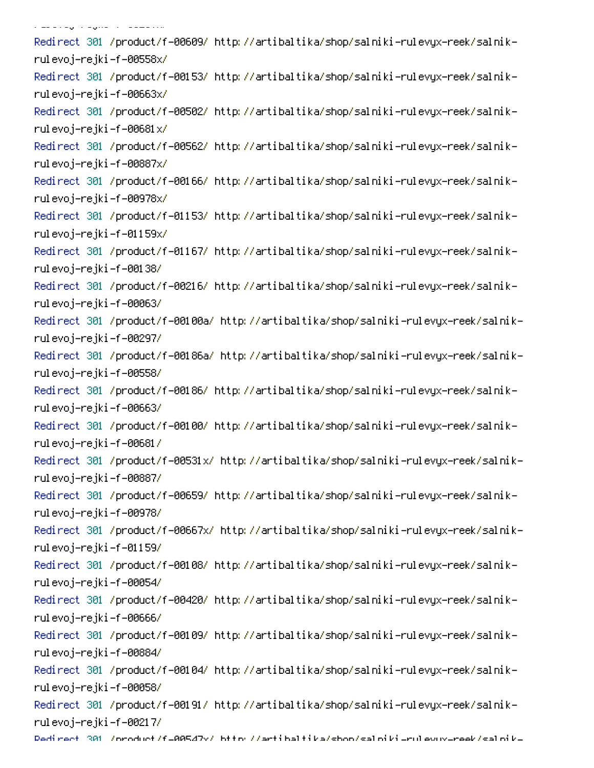, and the property of the second -Redirect 301 /product/f-00609/ http://artibaltika/shop/salniki-rulevyx-reek/salnik rulevoj–rejki–f–00558x/ -Redirect 301 /product/f-00153/ http://artibaltika/shop/salniki-rulevyx-reek/salnik rulevoj–rejki–f–00663x/ -Redirect 301 /product/f-00502/ http://artibaltika/shop/salniki-rulevyx-reek/salnik rulevoj–rejki–f–00681x/ -Redirect 301 /product/f-00562/ http://artibaltika/shop/salniki-rulevyx-reek/salnik rulevoj–rejki–f–00887x/ -Redirect 301 /product/f-00166/ http://artibaltika/shop/salniki-rulevyx-reek/salnik rulevoj–rejki–f–00978x/ -Redirect 301 /product/f-01153/ http://artibaltika/shop/salniki-rulevyx-reek/salnik rulevoj–rejki–f–01159x/ -Redirect 301 /product/f-01167/ http://artibaltika/shop/salniki-rulevyx-reek/salnik rulevoj–rejki–f–00138/ -Redirect 301 /product/f-00216/ http://artibaltika/shop/salniki-rulevyx-reek/salnik rulevoj–rejki–f–00063/ -Redirect 301 /product/f-00100a/ http://artibaltika/shop/salniki-rulevyx-reek/salnik rulevoj–rejki–f–00297/ -Redirect 301 /product/f-00186a/ http://artibaltika/shop/salniki-rulevyx-reek/salnik rulevoj–rejki–f–00558/ -Redirect 301 /product/f-00186/ http://artibaltika/shop/salniki-rulevyx-reek/salnik rulevoj–rejki–f–00663/ -Redirect 301 /product/f-00100/ http://artibaltika/shop/salniki-rulevyx-reek/salnik rulevoj–rejki–f–00681/ -Redirect 301 /product/f-00531x/ http://artibaltika/shop/salniki-rulevyx-reek/salnik rulevoj–rejki–f–00887/ -Redirect 301 /product/f-00659/ http://artibaltika/shop/salniki-rulevyx-reek/salnik rulevoj–rejki–f–00978/ Redirect 301 /product/f-00667x/ http://artibaltika/shop/salniki-rulevyx-reek/salnikrulevoj–rejki–f–01159/ -Redirect 301 /product/f-00108/ http://artibaltika/shop/salniki-rulevyx-reek/salnik rulevoj–rejki–f–00054/ -Redirect 301 /product/f-00420/ http://artibaltika/shop/salniki-rulevyx-reek/salnik rulevoj–rejki–f–00666/ -Redirect 301 /product/f-00109/ http://artibaltika/shop/salniki-rulevyx-reek/salnik rulevoj–rejki–f–00884/ -Redirect 301 /product/f-00104/ http://artibaltika/shop/salniki-rulevyx-reek/salnik rulevoj–rejki–f–00058/ -Redirect 301 /product/f-00191/ http://artibaltika/shop/salniki-rulevyx-reek/salnik rulevoj–rejki–f–00217/

Dedirect 301 /oroduct/f=00547v/ bttp://artibaltika/shoo/saloiki=rulevuv=reek/saloik=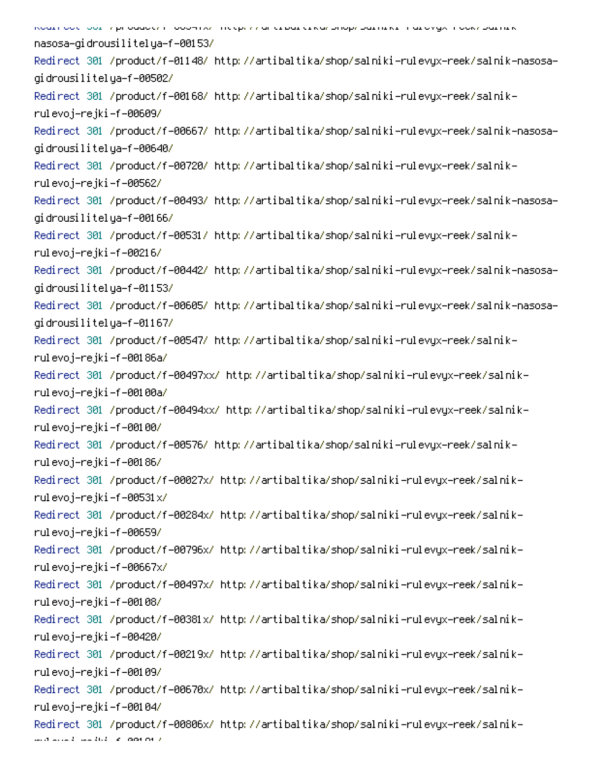-<br>אסטנו סטנו (סטנו / productri = סטטאורגר וונגנף, ו אם ננוסם ננושה טוטף (סטנונוגנה טנס אַקארן ססג) (סטנונוג nasosa-gidrousilitelya-f-00153/ Redirect 301 /product/f-01148/ http://artibaltika/shop/salniki-rulevyx-reek/salnik-nasosagidrousilitelya-f-00502/ -Redirect 301 /product/f-00168/ http://artibaltika/shop/salniki-rulevyx-reek/salnik rulevoj–rejki–f–00609/ Redirect 301 /product/f-00667/ http://artibaltika/shop/salniki-rulevyx-reek/salnik-nasosagidrousilitelya–f–00640/ -Redirect 301 /product/f-00720/ http://artibaltika/shop/salniki-rulevyx-reek/salnik rulevoj–rejki–f–00562/ Redirect 301 /product/f-00493/ http://artibaltika/shop/salniki-rulevyx-reek/salnik-nasosagidrousilitelya-f-00166/ -Redirect 301 /product/f-00531/ http://artibaltika/shop/salniki-rulevyx-reek/salnik rulevoj–rejki–f–00216/ Redirect 301 /product/f-00442/ http://artibaltika/shop/salniki-rulevyx-reek/salnik-nasosagidrousilitelya–f–01153/ Redirect 301 /product/f-00605/ http://artibaltika/shop/salniki-rulevyx-reek/salnik-nasosagidrousilitelya–f–01167/ -Redirect 301 /product/f-00547/ http://artibaltika/shop/salniki-rulevyx-reek/salnik rulevoj-rejki-f-00186a/ -Redirect 301 /product/f-00497xx/ http://artibaltika/shop/salniki-rulevyx-reek/salnik rulevoj-rejki-f-00100a/ -Redirect 301 /product/f-00494xx/ http://artibaltika/shop/salniki-rulevyx-reek/salnik rulevoj–rejki–f–00100/ -Redirect 301 /product/f-00576/ http://artibaltika/shop/salniki-rulevyx-reek/salnik rulevoj–rejki–f–00186/ -Redirect 301 /product/f-00027x/ http://artibaltika/shop/salniki-rulevyx-reek/salnik rulevoj–rejki–f–00531x/ -Redirect 301 /product/f-00284x/ http://artibaltika/shop/salniki-rulevyx-reek/salnik rulevoj–rejki–f–00659/ -Redirect 301 /product/f-00796x/ http://artibaltika/shop/salniki-rulevyx-reek/salnik rulevoj–rejki–f–00667x/ -Redirect 301 /product/f-00497x/ http://artibaltika/shop/salniki-rulevyx-reek/salnik rulevoj–rejki–f–00108/ -Redirect 301 /product/f-00381x/ http://artibaltika/shop/salniki-rulevyx-reek/salnik rulevoj–rejki–f–00420/ -Redirect 301 /product/f-00219x/ http://artibaltika/shop/salniki-rulevyx-reek/salnik rulevoj–rejki–f–00109/ -Redirect 301 /product/f-00670x/ http://artibaltika/shop/salniki-rulevyx-reek/salnik rulevoj–rejki–f–00104/ -Redirect 301 /product/f-00806x/ http://artibaltika/shop/salniki-rulevyx-reek/salnik

motive and marked of a position of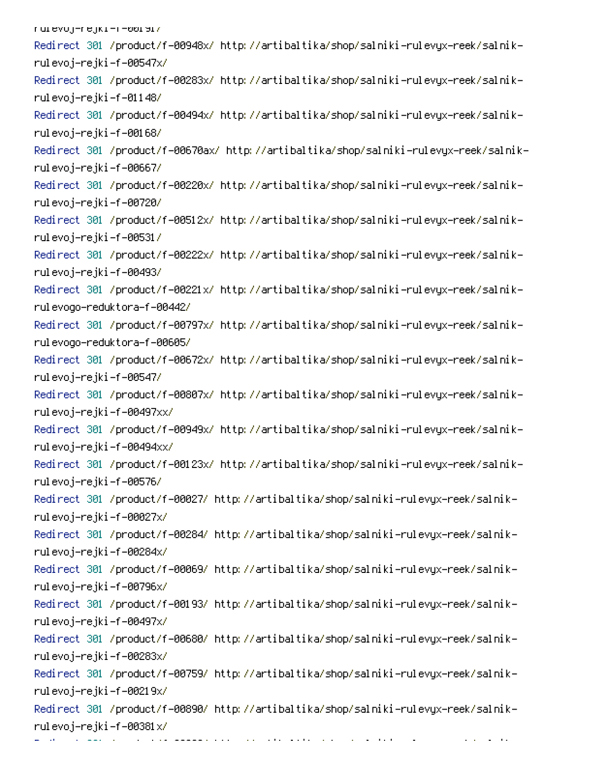/rurevoj-rejki-r-שטופו -Redirect 301 /product/f-00948x/ http://artibaltika/shop/salniki-rulevyx-reek/salnik rulevoj–rejki–f–00547x/ -Redirect 301 /product/f-00283x/ http://artibaltika/shop/salniki-rulevyx-reek/salnik rulevoj–rejki–f–01148/ -Redirect 301 /product/f-00494x/ http://artibaltika/shop/salniki-rulevyx-reek/salnik rulevoj–rejki–f–00168/ -Redirect 301 /product/f-00670ax/ http://artibaltika/shop/salniki-rulevyx-reek/salnik rulevoj–rejki–f–00667/ -Redirect 301 /product/f-00220x/ http://artibaltika/shop/salniki-rulevyx-reek/salnik rulevoj–rejki–f–00720/ -Redirect 301 /product/f-00512x/ http://artibaltika/shop/salniki-rulevyx-reek/salnik rulevoj–rejki–f–00531/ -Redirect 301 /product/f-00222x/ http://artibaltika/shop/salniki-rulevyx-reek/salnik rulevoj–rejki–f–00493/ -Redirect 301 /product/f-00221x/ http://artibaltika/shop/salniki-rulevyx-reek/salnik rul evogo-reduktora-f-00442/ -Redirect 301 /product/f-00797x/ http://artibaltika/shop/salniki-rulevyx-reek/salnik rulevodo-reduktora-f-00605/ -Redirect 301 /product/f-00672x/ http://artibaltika/shop/salniki-rulevyx-reek/salnik rulevoj–rejki–f–00547/ -Redirect 301 /product/f-00807x/ http://artibaltika/shop/salniki-rulevyx-reek/salnik rulevoj–rejki–f–00497xx/ -Redirect 301 /product/f-00949x/ http://artibaltika/shop/salniki-rulevyx-reek/salnik rulevoj–rejki–f–00494xx/ -Redirect 301 /product/f-00123x/ http://artibaltika/shop/salniki-rulevyx-reek/salnik rulevoj–rejki–f–00576/ -Redirect 301 /product/f-00027/ http://artibaltika/shop/salniki-rulevyx-reek/salnik rulevoj–rejki–f–00027x/ -Redirect 301 /product/f-00284/ http://artibaltika/shop/salniki-rulevyx-reek/salnik rulevoj–rejki–f–00284x/ -Redirect 301 /product/f-00069/ http://artibaltika/shop/salniki-rulevyx-reek/salnik rulevoj–rejki–f–00796x/ -Redirect 301 /product/f-00193/ http://artibaltika/shop/salniki-rulevyx-reek/salnik rulevoj–rejki–f–00497x/ -Redirect 301 /product/f-00680/ http://artibaltika/shop/salniki-rulevyx-reek/salnik rulevoj–rejki–f–00283x/ -Redirect 301 /product/f-00759/ http://artibaltika/shop/salniki-rulevyx-reek/salnik rulevoj–rejki–f–00219x/ -Redirect 301 /product/f-00890/ http://artibaltika/shop/salniki-rulevyx-reek/salnik rulevoj–rejki–f–00381 $\times$ / PC 
0SA-0.000 million

er i den større en delen i den forskeller.<br>Se

and a first

0

-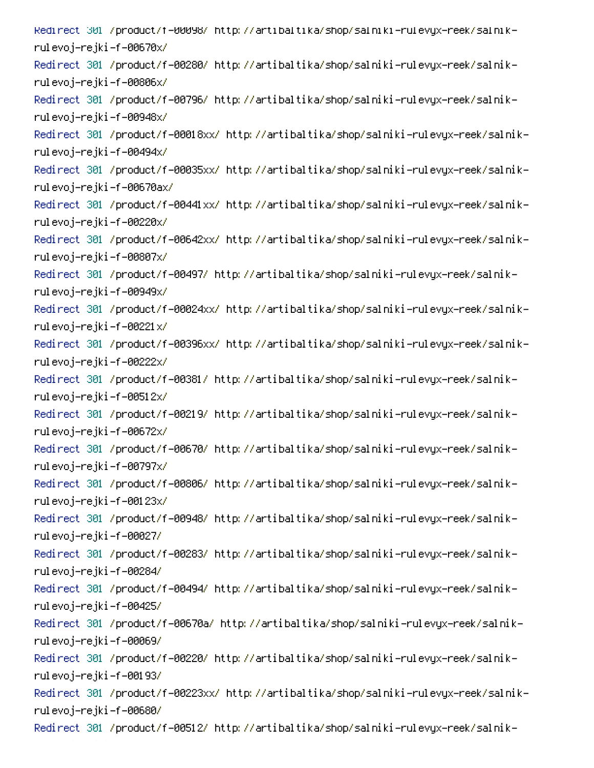Redirect 301 /product/f=00098/ http://artibaltika/shop/salniki=rulevyx=reek/salnik= rulevoj–rejki–f–00670x/ -Redirect 301 /product/f-00280/ http://artibaltika/shop/salniki-rulevyx-reek/salnik rulevoj–rejki–f–00806x/ -Redirect 301 /product/f-00796/ http://artibaltika/shop/salniki-rulevyx-reek/salnik rulevoj–rejki–f–00948x/ -Redirect 301 /product/f-00018xx/ http://artibaltika/shop/salniki-rulevyx-reek/salnik rulevoj–rejki–f–00494x/ Redirect 301 /product/f-00035xx/ http://artibaltika/shop/salniki-rulevyx-reek/salnikrulevoj-rejki-f-00670ax/ -Redirect 301 /product/f-00441xx/ http://artibaltika/shop/salniki-rulevyx-reek/salnik rulevoj–rejki–f–00220x/ Redirect 301 /product/f-00642xx/ http://artibaltika/shop/salniki-rulevyx-reek/salnikrulevoj–rejki–f–00807x/ -Redirect 301 /product/f-00497/ http://artibaltika/shop/salniki-rulevyx-reek/salnik rulevoj–rejki–f–00949x/ Redirect 301 /product/f-00024xx/ http://artibaltika/shop/salniki-rulevyx-reek/salnikrulevoj–rejki–f–00221x/ Redirect 301 /product/f-00396xx/ http://artibaltika/shop/salniki-rulevyx-reek/salnikrulevoj–rejki–f–00222x/ -Redirect 301 /product/f-00381/ http://artibaltika/shop/salniki-rulevyx-reek/salnik rulevoj–rejki–f–00512x/ -Redirect 301 /product/f-00219/ http://artibaltika/shop/salniki-rulevyx-reek/salnik rulevoj–rejki–f–00672x/ -Redirect 301 /product/f-00670/ http://artibaltika/shop/salniki-rulevyx-reek/salnik rulevoj–rejki–f–00797x/ -Redirect 301 /product/f-00806/ http://artibaltika/shop/salniki-rulevyx-reek/salnik rulevoj–rejki–f–00123x/ -Redirect 301 /product/f-00948/ http://artibaltika/shop/salniki-rulevyx-reek/salnik rulevoj–rejki–f–00027/ -Redirect 301 /product/f-00283/ http://artibaltika/shop/salniki-rulevyx-reek/salnik rulevoj–rejki–f–00284/ -Redirect 301 /product/f-00494/ http://artibaltika/shop/salniki-rulevyx-reek/salnik rulevoj–rejki–f–00425/ -Redirect 301 /product/f-00670a/ http://artibaltika/shop/salniki-rulevyx-reek/salnik rulevoj–rejki–f–00069/ -Redirect 301 /product/f-00220/ http://artibaltika/shop/salniki-rulevyx-reek/salnik rulevoj–rejki–f–00193/ -Redirect 301 /product/f-00223xx/ http://artibaltika/shop/salniki-rulevyx-reek/salnik rulevoj–rejki–f–00680/ -Redirect 301 /product/f-00512/ http://artibaltika/shop/salniki-rulevyx-reek/salnik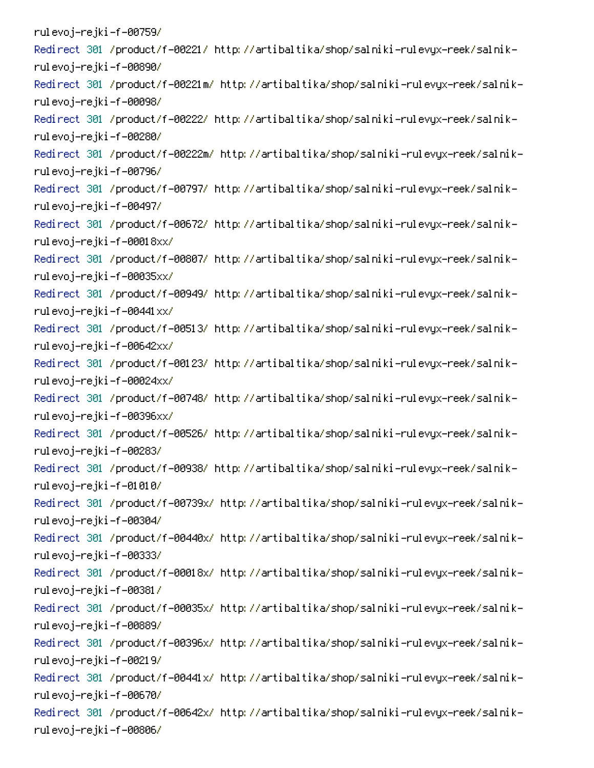rulevoj–rejki–f–00759/ -Redirect 301 /product/f-00221/ http://artibaltika/shop/salniki-rulevyx-reek/salnik rulevoj–rejki–f–00890/ -Redirect 301 /product/f-00221m/ http://artibaltika/shop/salniki-rulevyx-reek/salnik rulevoj–rejki–f–00098/ -Redirect 301 /product/f-00222/ http://artibaltika/shop/salniki-rulevyx-reek/salnik rulevoj–rejki–f–00280/ -Redirect 301 /product/f-00222m/ http://artibaltika/shop/salniki-rulevyx-reek/salnik rulevoj–rejki–f–00796/ -Redirect 301 /product/f-00797/ http://artibaltika/shop/salniki-rulevyx-reek/salnik rulevoj–rejki–f–00497/ -Redirect 301 /product/f-00672/ http://artibaltika/shop/salniki-rulevyx-reek/salnik rulevoj–rejki–f–00018xx/ -Redirect 301 /product/f-00807/ http://artibaltika/shop/salniki-rulevyx-reek/salnik rulevoj–rejki–f–00035xx/ -Redirect 301 /product/f-00949/ http://artibaltika/shop/salniki-rulevyx-reek/salnik rulevoj–rejki–f–00441xx/ -Redirect 301 /product/f-00513/ http://artibaltika/shop/salniki-rulevyx-reek/salnik rulevoj–rejki–f–00642xx/ -Redirect 301 /product/f-00123/ http://artibaltika/shop/salniki-rulevyx-reek/salnik rulevoj–rejki–f–00024xx/ -Redirect 301 /product/f-00748/ http://artibaltika/shop/salniki-rulevyx-reek/salnik rulevoj–rejki–f–00396xx/ -Redirect 301 /product/f-00526/ http://artibaltika/shop/salniki-rulevyx-reek/salnik rulevoj–rejki–f–00283/ -Redirect 301 /product/f-00938/ http://artibaltika/shop/salniki-rulevyx-reek/salnik rulevoj–rejki–f–01010/ -Redirect 301 /product/f-00739x/ http://artibaltika/shop/salniki-rulevyx-reek/salnik rulevoj–rejki–f–00304/ -Redirect 301 /product/f-00440x/ http://artibaltika/shop/salniki-rulevyx-reek/salnik rulevoj–rejki–f–00333/ -Redirect 301 /product/f-00018x/ http://artibaltika/shop/salniki-rulevyx-reek/salnik rulevoj–rejki–f–00381/ -Redirect 301 /product/f-00035x/ http://artibaltika/shop/salniki-rulevyx-reek/salnik rulevoj–rejki–f–00889/ -Redirect 301 /product/f-00396x/ http://artibaltika/shop/salniki-rulevyx-reek/salnik rulevoj–rejki–f–00219/ -Redirect 301 /product/f-00441x/ http://artibaltika/shop/salniki-rulevyx-reek/salnik rulevoj–rejki–f–00670/ -Redirect 301 /product/f-00642x/ http://artibaltika/shop/salniki-rulevyx-reek/salnik rulevoj–rejki–f–00806/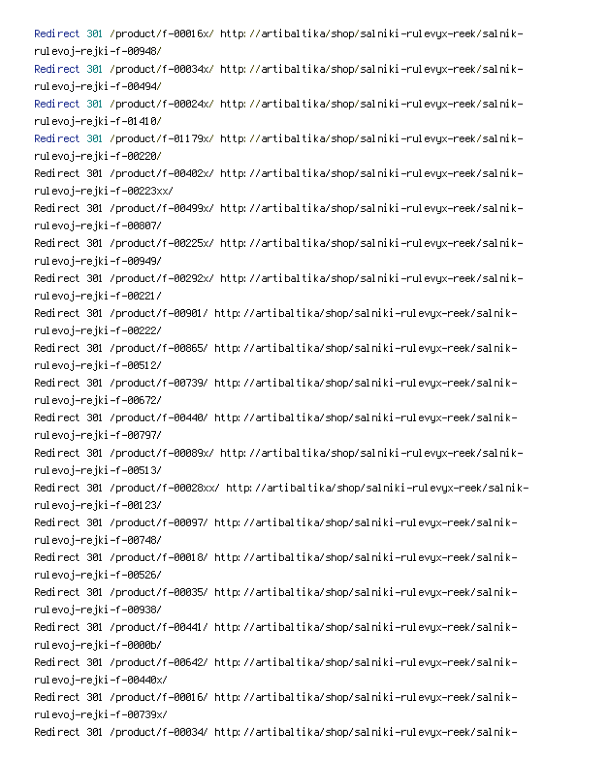-Redirect 301 /product/f-00016x/ http://artibaltika/shop/salniki-rulevyx-reek/salnik rulevoj–rejki–f–00948/ -Redirect 301 /product/f-00034x/ http://artibaltika/shop/salniki-rulevyx-reek/salnik rulevoj–rejki–f–00494/ -Redirect 301 /product/f-00024x/ http://artibaltika/shop/salniki-rulevyx-reek/salnik rulevoj–rejki–f–01410/ -Redirect 301 /product/f-01179x/ http://artibaltika/shop/salniki-rulevyx-reek/salnik rulevoj–rejki–f–00220/ -Redirect 301 /product/f-00402x/ http://artibaltika/shop/salniki-rulevyx-reek/salnik rulevoj–rejki–f–00223xx/ -Redirect 301 /product/f-00499x/ http://artibaltika/shop/salniki-rulevyx-reek/salnik rulevoj–rejki–f–00807/ -Redirect 301 /product/f-00225x/ http://artibaltika/shop/salniki-rulevyx-reek/salnik rulevoj–rejki–f–00949/ -Redirect 301 /product/f-00292x/ http://artibaltika/shop/salniki-rulevyx-reek/salnik rulevoj–rejki–f–00221/ -Redirect 301 /product/f-00901/ http://artibaltika/shop/salniki-rulevyx-reek/salnik rulevoj–rejki–f–00222/ -Redirect 301 /product/f-00865/ http://artibaltika/shop/salniki-rulevyx-reek/salnik rulevoj–rejki–f–00512/ -Redirect 301 /product/f-00739/ http://artibaltika/shop/salniki-rulevyx-reek/salnik rulevoj–rejki–f–00672/ -Redirect 301 /product/f-00440/ http://artibaltika/shop/salniki-rulevyx-reek/salnik rulevoj–rejki–f–00797/ -Redirect 301 /product/f-00089x/ http://artibaltika/shop/salniki-rulevyx-reek/salnik rulevoj–rejki–f–00513/ -Redirect 301 /product/f-00028xx/ http://artibaltika/shop/salniki-rulevyx-reek/salnik rulevoj–rejki–f–00123/ -Redirect 301 /product/f-00097/ http://artibaltika/shop/salniki-rulevyx-reek/salnik rulevoj–rejki–f–00748/ -Redirect 301 /product/f-00018/ http://artibaltika/shop/salniki-rulevyx-reek/salnik rulevoj–rejki–f–00526/ -Redirect 301 /product/f-00035/ http://artibaltika/shop/salniki-rulevyx-reek/salnik rulevoj–rejki–f–00938/ -Redirect 301 /product/f-00441/ http://artibaltika/shop/salniki-rulevyx-reek/salnik rulevoj–rejki–f–0000b/ -Redirect 301 /product/f-00642/ http://artibaltika/shop/salniki-rulevyx-reek/salnik rulevoj–rejki–f–00440x/ -Redirect 301 /product/f-00016/ http://artibaltika/shop/salniki-rulevyx-reek/salnik rulevoj–rejki–f–00739x/ -Redirect 301 /product/f-00034/ http://artibaltika/shop/salniki-rulevyx-reek/salnik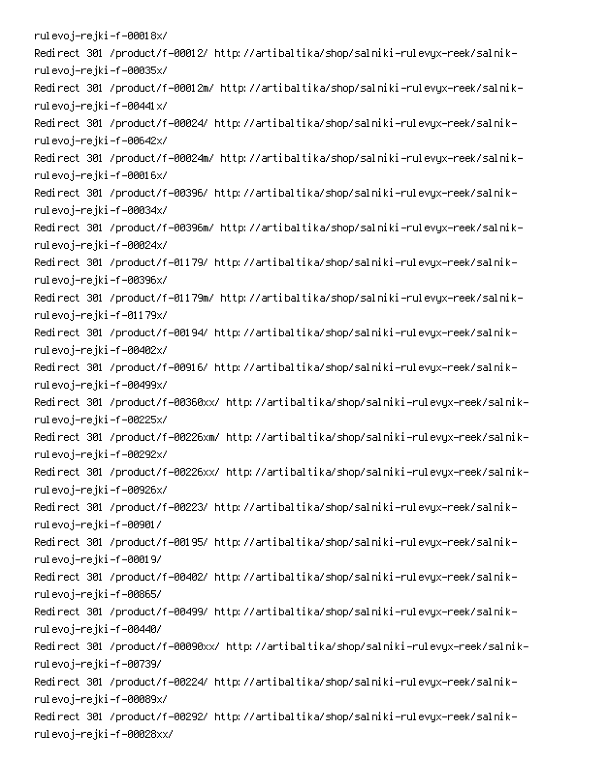rulevoj–rejki–f–00018x/ -Redirect 301 /product/f-00012/ http://artibaltika/shop/salniki-rulevyx-reek/salnik rulevoj–rejki–f–00035x/ -Redirect 301 /product/f-00012m/ http://artibaltika/shop/salniki-rulevyx-reek/salnik rulevoj–rejki–f–00441x/ -Redirect 301 /product/f-00024/ http://artibaltika/shop/salniki-rulevyx-reek/salnik rulevoj–rejki–f–00642x/ -Redirect 301 /product/f-00024m/ http://artibaltika/shop/salniki-rulevyx-reek/salnik rulevoj–rejki–f–00016x/ -Redirect 301 /product/f-00396/ http://artibaltika/shop/salniki-rulevyx-reek/salnik rulevoj–rejki–f–00034x/ -Redirect 301 /product/f-00396m/ http://artibaltika/shop/salniki-rulevyx-reek/salnik rulevoj–rejki–f–00024x/ -Redirect 301 /product/f-01179/ http://artibaltika/shop/salniki-rulevyx-reek/salnik rulevoj–rejki–f–00396x/ -Redirect 301 /product/f-01179m/ http://artibaltika/shop/salniki-rulevyx-reek/salnik rulevoj–rejki–f–01179x/ -Redirect 301 /product/f-00194/ http://artibaltika/shop/salniki-rulevyx-reek/salnik rulevoj–rejki–f–00402x/ -Redirect 301 /product/f-00916/ http://artibaltika/shop/salniki-rulevyx-reek/salnik rulevoj–rejki–f–00499x/ -Redirect 301 /product/f-00360xx/ http://artibaltika/shop/salniki-rulevyx-reek/salnik rulevoj–rejki–f–00225x/ -Redirect 301 /product/f-00226xm/ http://artibaltika/shop/salniki-rulevyx-reek/salnik rulevoj–rejki–f–00292x/ -Redirect 301 /product/f-00226xx/ http://artibaltika/shop/salniki-rulevyx-reek/salnik rulevoj–rejki–f–00926x/ -Redirect 301 /product/f-00223/ http://artibaltika/shop/salniki-rulevyx-reek/salnik rulevoj–rejki–f–00901/ -Redirect 301 /product/f-00195/ http://artibaltika/shop/salniki-rulevyx-reek/salnik rulevoj–rejki–f–00019/ -Redirect 301 /product/f-00402/ http://artibaltika/shop/salniki-rulevyx-reek/salnik rulevoj–rejki–f–00865/ -Redirect 301 /product/f-00499/ http://artibaltika/shop/salniki-rulevyx-reek/salnik rulevoj–rejki–f–00440/ -Redirect 301 /product/f-00090xx/ http://artibaltika/shop/salniki-rulevyx-reek/salnik rulevoj–rejki–f–00739/ -Redirect 301 /product/f-00224/ http://artibaltika/shop/salniki-rulevyx-reek/salnik rulevoj–rejki–f–00089x/ -Redirect 301 /product/f-00292/ http://artibaltika/shop/salniki-rulevyx-reek/salnik rulevoj–rejki–f–00028xx/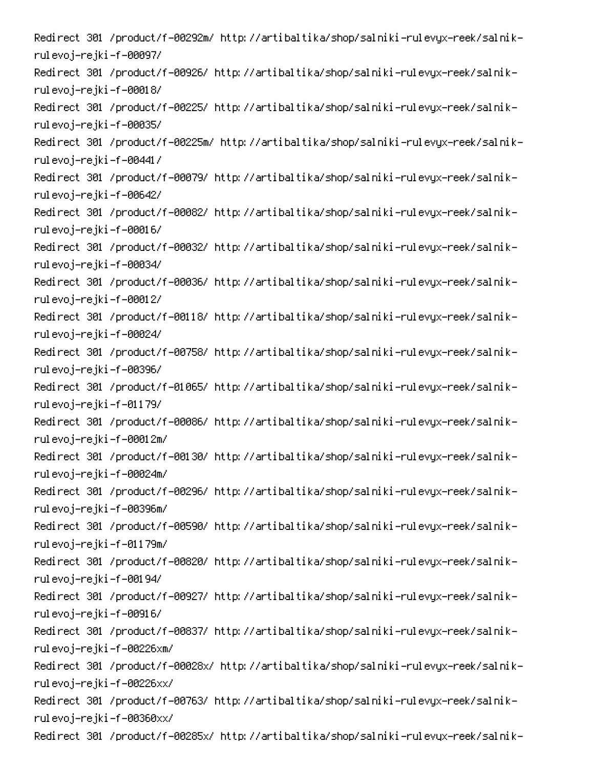-Redirect 301 /product/f-00292m/ http://artibaltika/shop/salniki-rulevyx-reek/salnik rulevoj–rejki–f–00097/ -Redirect 301 /product/f-00926/ http://artibaltika/shop/salniki-rulevyx-reek/salnik rulevoj–rejki–f–00018/ -Redirect 301 /product/f-00225/ http://artibaltika/shop/salniki-rulevyx-reek/salnik rulevoj–rejki–f–00035/ -Redirect 301 /product/f-00225m/ http://artibaltika/shop/salniki-rulevyx-reek/salnik rulevoj–rejki–f–00441/ -Redirect 301 /product/f-00079/ http://artibaltika/shop/salniki-rulevyx-reek/salnik rulevoj–rejki–f–00642/ -Redirect 301 /product/f-00082/ http://artibaltika/shop/salniki-rulevyx-reek/salnik rulevoj–rejki–f–00016/ -Redirect 301 /product/f-00032/ http://artibaltika/shop/salniki-rulevyx-reek/salnik rulevoj–rejki–f–00034/ -Redirect 301 /product/f-00036/ http://artibaltika/shop/salniki-rulevyx-reek/salnik rulevoj–rejki–f–00012/ -Redirect 301 /product/f-00118/ http://artibaltika/shop/salniki-rulevyx-reek/salnik rulevoj–rejki–f–00024/ -Redirect 301 /product/f-00758/ http://artibaltika/shop/salniki-rulevyx-reek/salnik rulevoj–rejki–f–00396/ -Redirect 301 /product/f-01065/ http://artibaltika/shop/salniki-rulevyx-reek/salnik rulevoj–rejki–f–01179/ -Redirect 301 /product/f-00086/ http://artibaltika/shop/salniki-rulevyx-reek/salnik rulevoj–rejki–f–00012m/ -Redirect 301 /product/f-00130/ http://artibaltika/shop/salniki-rulevyx-reek/salnik rulevoj–rejki–f–00024m/ -Redirect 301 /product/f-00296/ http://artibaltika/shop/salniki-rulevyx-reek/salnik rulevoj–rejki–f–00396m/ -Redirect 301 /product/f-00590/ http://artibaltika/shop/salniki-rulevyx-reek/salnik rulevoj–rejki–f–01179m/ -Redirect 301 /product/f-00820/ http://artibaltika/shop/salniki-rulevyx-reek/salnik rulevoj–rejki–f–00194/ -Redirect 301 /product/f-00927/ http://artibaltika/shop/salniki-rulevyx-reek/salnik rulevoj–rejki–f–00916/ -Redirect 301 /product/f-00837/ http://artibaltika/shop/salniki-rulevyx-reek/salnik rulevoj–rejki–f–00226xm/ -Redirect 301 /product/f-00028x/ http://artibaltika/shop/salniki-rulevyx-reek/salnik rulevoj–rejki–f–00226xx/ -Redirect 301 /product/f-00763/ http://artibaltika/shop/salniki-rulevyx-reek/salnik rulevoj–rejki–f–00360xx/ -Redirect 301 /product/f-00285x/ http://artibaltika/shop/salniki-rulevyx-reek/salnik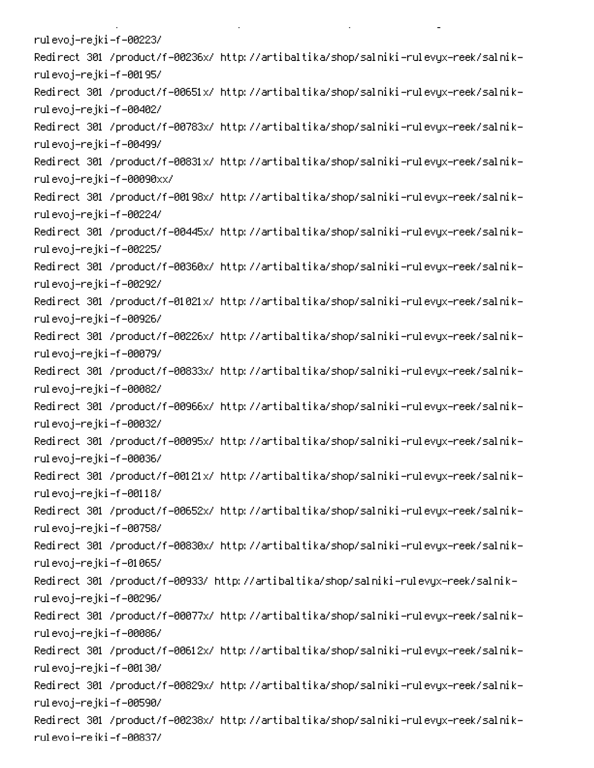rulevoj–rejki–f–00223/ -Redirect 301 /product/f-00236x/ http://artibaltika/shop/salniki-rulevyx-reek/salnik rulevoj–rejki–f–00195/ -Redirect 301 /product/f-00651x/ http://artibaltika/shop/salniki-rulevyx-reek/salnik rulevoj–rejki–f–00402/ -Redirect 301 /product/f-00783x/ http://artibaltika/shop/salniki-rulevyx-reek/salnik rulevoj–rejki–f–00499/ -Redirect 301 /product/f-00831x/ http://artibaltika/shop/salniki-rulevyx-reek/salnik rulevoj–rejki–f–00090xx/ -Redirect 301 /product/f-00198x/ http://artibaltika/shop/salniki-rulevyx-reek/salnik rulevoj–rejki–f–00224/ -Redirect 301 /product/f-00445x/ http://artibaltika/shop/salniki-rulevyx-reek/salnik rulevoj–rejki–f–00225/ -Redirect 301 /product/f-00360x/ http://artibaltika/shop/salniki-rulevyx-reek/salnik rulevoj–rejki–f–00292/ -Redirect 301 /product/f-01021x/ http://artibaltika/shop/salniki-rulevyx-reek/salnik rulevoj–rejki–f–00926/ -Redirect 301 /product/f-00226x/ http://artibaltika/shop/salniki-rulevyx-reek/salnik rulevoj–rejki–f–00079/ -Redirect 301 /product/f-00833x/ http://artibaltika/shop/salniki-rulevyx-reek/salnik rulevoj–rejki–f–00082/ -Redirect 301 /product/f-00966x/ http://artibaltika/shop/salniki-rulevyx-reek/salnik rulevoj–rejki–f–00032/ -Redirect 301 /product/f-00095x/ http://artibaltika/shop/salniki-rulevyx-reek/salnik rulevoj–rejki–f–00036/ -Redirect 301 /product/f-00121x/ http://artibaltika/shop/salniki-rulevyx-reek/salnik rulevoj–rejki–f–00118/ -Redirect 301 /product/f-00652x/ http://artibaltika/shop/salniki-rulevyx-reek/salnik rulevoj–rejki–f–00758/ -Redirect 301 /product/f-00830x/ http://artibaltika/shop/salniki-rulevyx-reek/salnik rulevoj–rejki–f–01065/ -Redirect 301 /product/f-00933/ http://artibaltika/shop/salniki-rulevyx-reek/salnik rulevoj–rejki–f–00296/ -Redirect 301 /product/f-00077x/ http://artibaltika/shop/salniki-rulevyx-reek/salnik rulevoj–rejki–f–00086/ -Redirect 301 /product/f-00612x/ http://artibaltika/shop/salniki-rulevyx-reek/salnik rulevoj–rejki–f–00130/ -Redirect 301 /product/f-00829x/ http://artibaltika/shop/salniki-rulevyx-reek/salnik rulevoj–rejki–f–00590/ -Redirect 301 /product/f-00238x/ http://artibaltika/shop/salniki-rulevyx-reek/salnik rul evo i-re iki -f -00837/

**Contract Contract** 

 $\mathbf{L}^{\text{max}}$ 

on the state of the state of the

PC 
0 AD-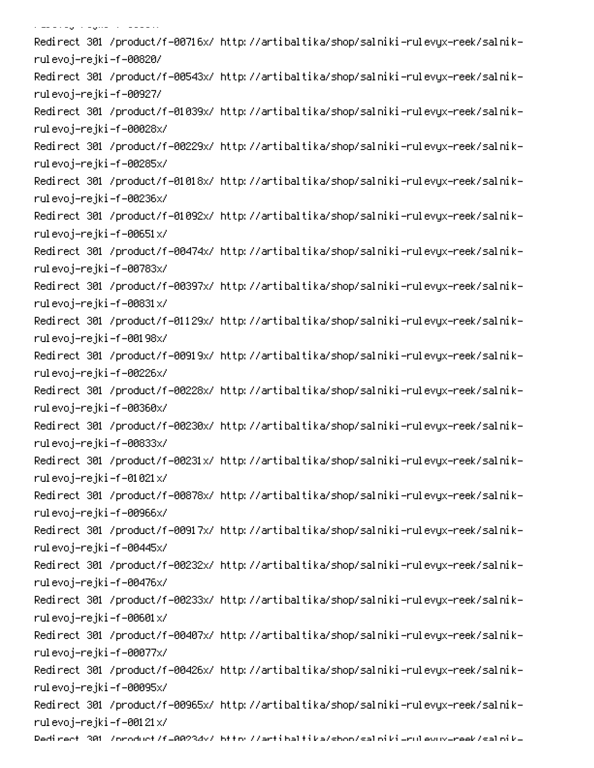, and a good of the series of -Redirect 301 /product/f-00716x/ http://artibaltika/shop/salniki-rulevyx-reek/salnik rulevoj–rejki–f–00820/ -Redirect 301 /product/f-00543x/ http://artibaltika/shop/salniki-rulevyx-reek/salnik rulevoj–rejki–f–00927/ -Redirect 301 /product/f-01039x/ http://artibaltika/shop/salniki-rulevyx-reek/salnik rulevoj–rejki–f–00028x/ -Redirect 301 /product/f-00229x/ http://artibaltika/shop/salniki-rulevyx-reek/salnik rulevoj–rejki–f–00285x/ -Redirect 301 /product/f-01018x/ http://artibaltika/shop/salniki-rulevyx-reek/salnik rulevoj–rejki–f–00236x/ -Redirect 301 /product/f-01092x/ http://artibaltika/shop/salniki-rulevyx-reek/salnik rulevoj–rejki–f–00651x/ -Redirect 301 /product/f-00474x/ http://artibaltika/shop/salniki-rulevyx-reek/salnik rulevoj–rejki–f–00783x/ -Redirect 301 /product/f-00397x/ http://artibaltika/shop/salniki-rulevyx-reek/salnik rulevoj–rejki–f–00831x/ -Redirect 301 /product/f-01129x/ http://artibaltika/shop/salniki-rulevyx-reek/salnik rulevoj–rejki–f–00198x/ -Redirect 301 /product/f-00919x/ http://artibaltika/shop/salniki-rulevyx-reek/salnik rulevoj–rejki–f–00226x/ -Redirect 301 /product/f-00228x/ http://artibaltika/shop/salniki-rulevyx-reek/salnik rulevoj–rejki–f–00360x/ -Redirect 301 /product/f-00230x/ http://artibaltika/shop/salniki-rulevyx-reek/salnik rulevoj–rejki–f–00833x/ -Redirect 301 /product/f-00231x/ http://artibaltika/shop/salniki-rulevyx-reek/salnik rulevoj–rejki–f–01021x/ -Redirect 301 /product/f-00878x/ http://artibaltika/shop/salniki-rulevyx-reek/salnik rulevoj–rejki–f–00966x/ -Redirect 301 /product/f-00917x/ http://artibaltika/shop/salniki-rulevyx-reek/salnik rulevoj–rejki–f–00445x/ -Redirect 301 /product/f-00232x/ http://artibaltika/shop/salniki-rulevyx-reek/salnik rulevoj–rejki–f–00476x/ -Redirect 301 /product/f-00233x/ http://artibaltika/shop/salniki-rulevyx-reek/salnik rulevoj–rejki–f–00601x/ -Redirect 301 /product/f-00407x/ http://artibaltika/shop/salniki-rulevyx-reek/salnik rulevoj–rejki–f–00077x/ -Redirect 301 /product/f-00426x/ http://artibaltika/shop/salniki-rulevyx-reek/salnik rulevoj–rejki–f–00095x/ -Redirect 301 /product/f-00965x/ http://artibaltika/shop/salniki-rulevyx-reek/salnik rulevoj–rejki–f–00121x/ Dedirect 301 /oroduct/f=00234v/ bttp://artibaltika/shoo/saloiki=rulevuv=reek/saloik=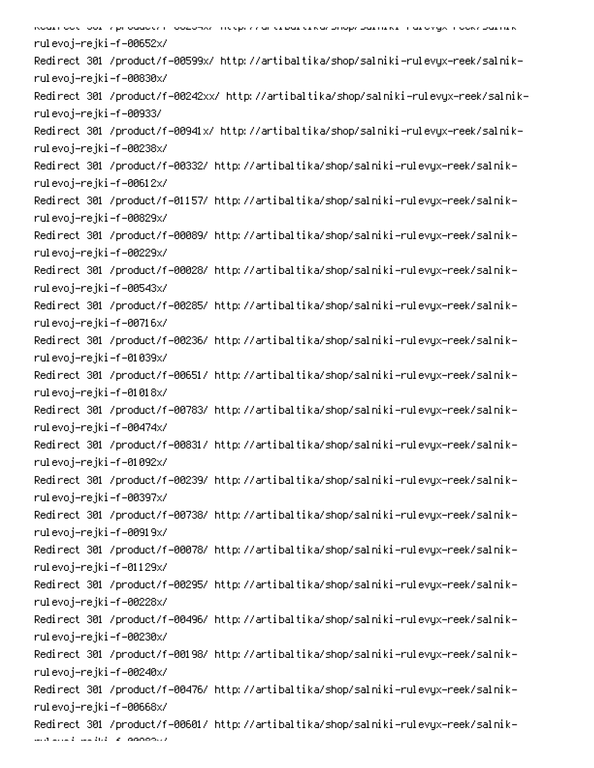6 PC 
0 P-Q - 00 0 rulevoj–rejki–f–00652x/ -Redirect 301 /product/f-00599x/ http://artibaltika/shop/salniki-rulevyx-reek/salnik rulevoj–rejki–f–00830x/ -Redirect 301 /product/f-00242xx/ http://artibaltika/shop/salniki-rulevyx-reek/salnik rulevoj–rejki–f–00933/ -Redirect 301 /product/f-00941x/ http://artibaltika/shop/salniki-rulevyx-reek/salnik rulevoj–rejki–f–00238x/ -Redirect 301 /product/f-00332/ http://artibaltika/shop/salniki-rulevyx-reek/salnik rulevoj–rejki–f–00612x/ -Redirect 301 /product/f-01157/ http://artibaltika/shop/salniki-rulevyx-reek/salnik rulevoj–rejki–f–00829x/ -Redirect 301 /product/f-00089/ http://artibaltika/shop/salniki-rulevyx-reek/salnik rulevoj–rejki–f–00229x/ -Redirect 301 /product/f-00028/ http://artibaltika/shop/salniki-rulevyx-reek/salnik rulevoj–rejki–f–00543x/ -Redirect 301 /product/f-00285/ http://artibaltika/shop/salniki-rulevyx-reek/salnik rulevoj–rejki–f–00716x/ -Redirect 301 /product/f-00236/ http://artibaltika/shop/salniki-rulevyx-reek/salnik rulevoj–rejki–f–01039x/ -Redirect 301 /product/f-00651/ http://artibaltika/shop/salniki-rulevyx-reek/salnik rulevoj–rejki–f–01018x/ -Redirect 301 /product/f-00783/ http://artibaltika/shop/salniki-rulevyx-reek/salnik rulevoj–rejki–f–00474x/ -Redirect 301 /product/f-00831/ http://artibaltika/shop/salniki-rulevyx-reek/salnik rulevoj–rejki–f–01092x/ -Redirect 301 /product/f-00239/ http://artibaltika/shop/salniki-rulevyx-reek/salnik rulevoj–rejki–f–00397x/ -Redirect 301 /product/f-00738/ http://artibaltika/shop/salniki-rulevyx-reek/salnik rulevoj–rejki–f–00919x/ -Redirect 301 /product/f-00078/ http://artibaltika/shop/salniki-rulevyx-reek/salnik rulevoj–rejki–f–01129x/ -Redirect 301 /product/f-00295/ http://artibaltika/shop/salniki-rulevyx-reek/salnik rulevoj–rejki–f–00228x/ -Redirect 301 /product/f-00496/ http://artibaltika/shop/salniki-rulevyx-reek/salnik rulevoj–rejki–f–00230x/ -Redirect 301 /product/f-00198/ http://artibaltika/shop/salniki-rulevyx-reek/salnik rulevoj–rejki–f–00240x/ -Redirect 301 /product/f-00476/ http://artibaltika/shop/salniki-rulevyx-reek/salnik rulevoj–rejki–f–00668x/ -Redirect 301 /product/f-00601/ http://artibaltika/shop/salniki-rulevyx-reek/salnik

mula de la concert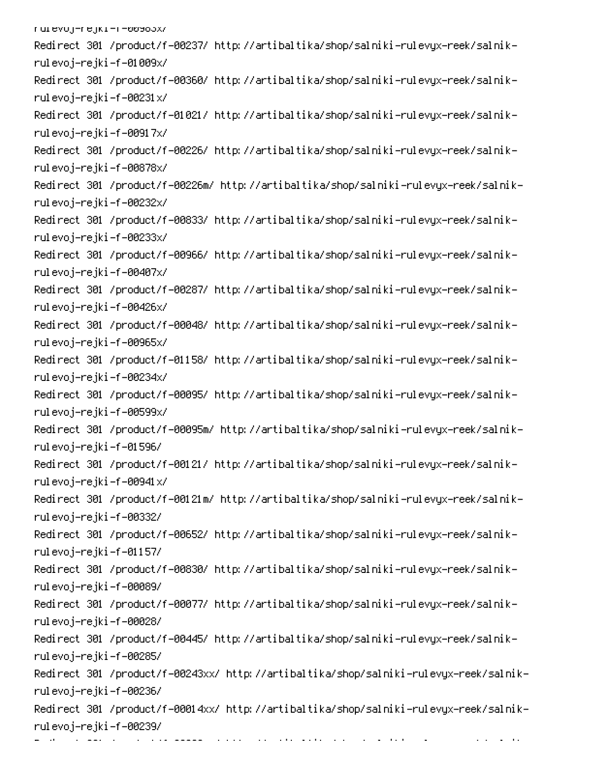rurevoj-rejki-m-00983X/ -Redirect 301 /product/f-00237/ http://artibaltika/shop/salniki-rulevyx-reek/salnik rulevoj–rejki–f–01009x/ -Redirect 301 /product/f-00360/ http://artibaltika/shop/salniki-rulevyx-reek/salnik rulevoj–rejki–f–00231x/ -Redirect 301 /product/f-01021/ http://artibaltika/shop/salniki-rulevyx-reek/salnik rulevoj–rejki–f–00917x/ -Redirect 301 /product/f-00226/ http://artibaltika/shop/salniki-rulevyx-reek/salnik rulevoj–rejki–f–00878x/ -Redirect 301 /product/f-00226m/ http://artibaltika/shop/salniki-rulevyx-reek/salnik rulevoj–rejki–f–00232x/ -Redirect 301 /product/f-00833/ http://artibaltika/shop/salniki-rulevyx-reek/salnik rulevoj–rejki–f–00233x/ -Redirect 301 /product/f-00966/ http://artibaltika/shop/salniki-rulevyx-reek/salnik rulevoj–rejki–f–00407x/ -Redirect 301 /product/f-00287/ http://artibaltika/shop/salniki-rulevyx-reek/salnik rulevoj–rejki–f–00426x/ -Redirect 301 /product/f-00048/ http://artibaltika/shop/salniki-rulevyx-reek/salnik rulevoj–rejki–f–00965x/ -Redirect 301 /product/f-01158/ http://artibaltika/shop/salniki-rulevyx-reek/salnik rulevoj–rejki–f–00234x/ -Redirect 301 /product/f-00095/ http://artibaltika/shop/salniki-rulevyx-reek/salnik rulevoj–rejki–f–00599x/ -Redirect 301 /product/f-00095m/ http://artibaltika/shop/salniki-rulevyx-reek/salnik rulevoj–rejki–f–01596/ -Redirect 301 /product/f-00121/ http://artibaltika/shop/salniki-rulevyx-reek/salnik rulevoj–rejki–f–00941x/ -Redirect 301 /product/f-00121m/ http://artibaltika/shop/salniki-rulevyx-reek/salnik rulevoj–rejki–f–00332/ -Redirect 301 /product/f-00652/ http://artibaltika/shop/salniki-rulevyx-reek/salnik rulevoj–rejki–f–01157/ -Redirect 301 /product/f-00830/ http://artibaltika/shop/salniki-rulevyx-reek/salnik rulevoj–rejki–f–00089/ -Redirect 301 /product/f-00077/ http://artibaltika/shop/salniki-rulevyx-reek/salnik rulevoj–rejki–f–00028/ -Redirect 301 /product/f-00445/ http://artibaltika/shop/salniki-rulevyx-reek/salnik rulevoj–rejki–f–00285/ -Redirect 301 /product/f-00243xx/ http://artibaltika/shop/salniki-rulevyx-reek/salnik rulevoj–rejki–f–00236/ -Redirect 301 /product/f-00014xx/ http://artibaltika/shop/salniki-rulevyx-reek/salnik rulevoj–rejki–f–00239/

er i den større en den større en delen.<br>S

 $\mathcal{L}_{\mathcal{A}}$  , and  $\mathcal{L}_{\mathcal{A}}$  , and  $\mathcal{L}_{\mathcal{A}}$ 

on the company of the company

0

6 

PC PC PC PC PC PC PC POWER (PC)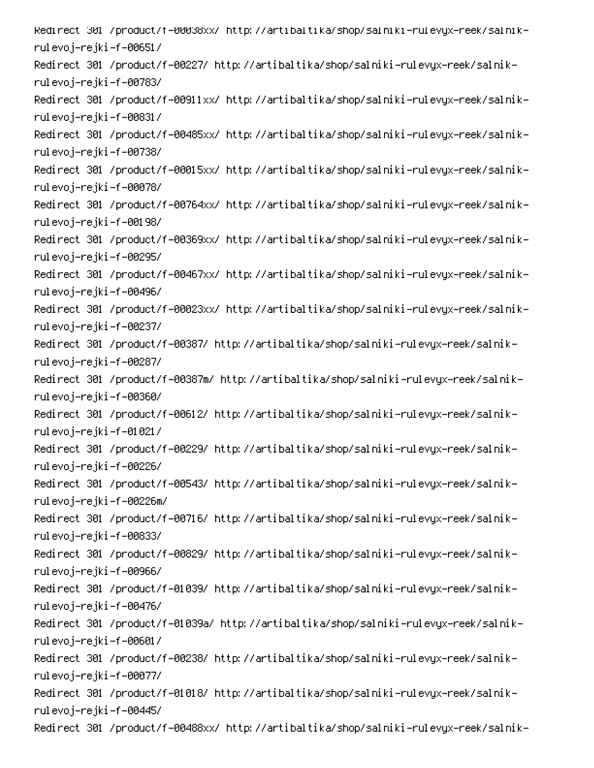Redirect 301 /product/f=00038xx/ http://artibaltika/shop/salniki=rulevyx=reek/salnik= rulevoj–rejki–f–00651/ -Redirect 301 /product/f-00227/ http://artibaltika/shop/salniki-rulevyx-reek/salnik rulevoj–rejki–f–00783/ -Redirect 301 /product/f-00911xx/ http://artibaltika/shop/salniki-rulevyx-reek/salnik rulevoj–rejki–f–00831/ -Redirect 301 /product/f-00485xx/ http://artibaltika/shop/salniki-rulevyx-reek/salnik rulevoj–rejki–f–00738/ -Redirect 301 /product/f-00015xx/ http://artibaltika/shop/salniki-rulevyx-reek/salnik rulevoj–rejki–f–00078/ -Redirect 301 /product/f-00764xx/ http://artibaltika/shop/salniki-rulevyx-reek/salnik rulevoj–rejki–f–00198/ -Redirect 301 /product/f-00369xx/ http://artibaltika/shop/salniki-rulevyx-reek/salnik rulevoj–rejki–f–00295/ -Redirect 301 /product/f-00467xx/ http://artibaltika/shop/salniki-rulevyx-reek/salnik rulevoj–rejki–f–00496/ -Redirect 301 /product/f-00023xx/ http://artibaltika/shop/salniki-rulevyx-reek/salnik rulevoj–rejki–f–00237/ -Redirect 301 /product/f-00387/ http://artibaltika/shop/salniki-rulevyx-reek/salnik rulevoj–rejki–f–00287/ -Redirect 301 /product/f-00387m/ http://artibaltika/shop/salniki-rulevyx-reek/salnik rulevoj–rejki–f–00360/ -Redirect 301 /product/f-00612/ http://artibaltika/shop/salniki-rulevyx-reek/salnik rulevoj–rejki–f–01021/ -Redirect 301 /product/f-00229/ http://artibaltika/shop/salniki-rulevyx-reek/salnik rulevoj–rejki–f–00226/ -Redirect 301 /product/f-00543/ http://artibaltika/shop/salniki-rulevyx-reek/salnik rulevoj–rejki–f–00226m/ -Redirect 301 /product/f-00716/ http://artibaltika/shop/salniki-rulevyx-reek/salnik rulevoj–rejki–f–00833/ -Redirect 301 /product/f-00829/ http://artibaltika/shop/salniki-rulevyx-reek/salnik rulevoj–rejki–f–00966/ -Redirect 301 /product/f-01039/ http://artibaltika/shop/salniki-rulevyx-reek/salnik rulevoj–rejki–f–00476/ -Redirect 301 /product/f-01039a/ http://artibaltika/shop/salniki-rulevyx-reek/salnik rulevoj–rejki–f–00601/ -Redirect 301 /product/f-00238/ http://artibaltika/shop/salniki-rulevyx-reek/salnik rulevoj–rejki–f–00077/ -Redirect 301 /product/f-01018/ http://artibaltika/shop/salniki-rulevyx-reek/salnik rulevoj–rejki–f–00445/ -Redirect 301 /product/f-00488xx/ http://artibaltika/shop/salniki-rulevyx-reek/salnik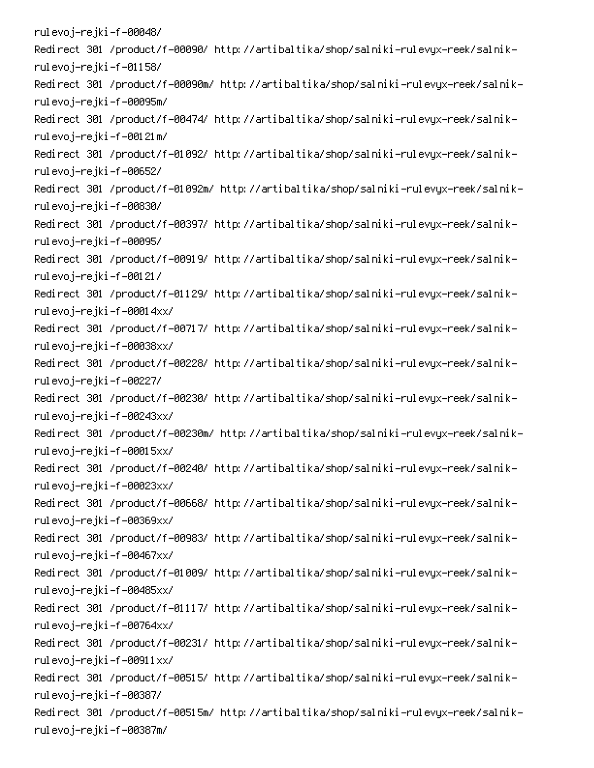rulevoj–rejki–f–00048/ -Redirect 301 /product/f-00090/ http://artibaltika/shop/salniki-rulevyx-reek/salnik rulevoj–rejki–f–01158/ -Redirect 301 /product/f-00090m/ http://artibaltika/shop/salniki-rulevyx-reek/salnik rulevoj–rejki–f–00095m/ -Redirect 301 /product/f-00474/ http://artibaltika/shop/salniki-rulevyx-reek/salnik rulevoj–rejki–f–00121m/ -Redirect 301 /product/f-01092/ http://artibaltika/shop/salniki-rulevyx-reek/salnik rulevoj–rejki–f–00652/ -Redirect 301 /product/f-01092m/ http://artibaltika/shop/salniki-rulevyx-reek/salnik rulevoj–rejki–f–00830/ -Redirect 301 /product/f-00397/ http://artibaltika/shop/salniki-rulevyx-reek/salnik rulevoj–rejki–f–00095/ -Redirect 301 /product/f-00919/ http://artibaltika/shop/salniki-rulevyx-reek/salnik rulevoj–rejki–f–00121/ -Redirect 301 /product/f-01129/ http://artibaltika/shop/salniki-rulevyx-reek/salnik rulevoj–rejki–f–00014xx/ -Redirect 301 /product/f-00717/ http://artibaltika/shop/salniki-rulevyx-reek/salnik rulevoj–rejki–f–00038xx/ -Redirect 301 /product/f-00228/ http://artibaltika/shop/salniki-rulevyx-reek/salnik rulevoj–rejki–f–00227/ -Redirect 301 /product/f-00230/ http://artibaltika/shop/salniki-rulevyx-reek/salnik rulevoj–rejki–f–00243xx/ -Redirect 301 /product/f-00230m/ http://artibaltika/shop/salniki-rulevyx-reek/salnik rulevoj–rejki–f–00015xx/ -Redirect 301 /product/f-00240/ http://artibaltika/shop/salniki-rulevyx-reek/salnik rulevoj–rejki–f–00023xx/ -Redirect 301 /product/f-00668/ http://artibaltika/shop/salniki-rulevyx-reek/salnik rulevoj–rejki–f–00369xx/ -Redirect 301 /product/f-00983/ http://artibaltika/shop/salniki-rulevyx-reek/salnik rulevoj–rejki–f–00467xx/ -Redirect 301 /product/f-01009/ http://artibaltika/shop/salniki-rulevyx-reek/salnik rulevoj–rejki–f–00485xx/ -Redirect 301 /product/f-01117/ http://artibaltika/shop/salniki-rulevyx-reek/salnik rulevoj–rejki–f–00764xx/ -Redirect 301 /product/f-00231/ http://artibaltika/shop/salniki-rulevyx-reek/salnik rulevoj–rejki–f–00911xx/ -Redirect 301 /product/f-00515/ http://artibaltika/shop/salniki-rulevyx-reek/salnik rulevoj–rejki–f–00387/ -Redirect 301 /product/f-00515m/ http://artibaltika/shop/salniki-rulevyx-reek/salnik rulevoj–rejki–f–00387m/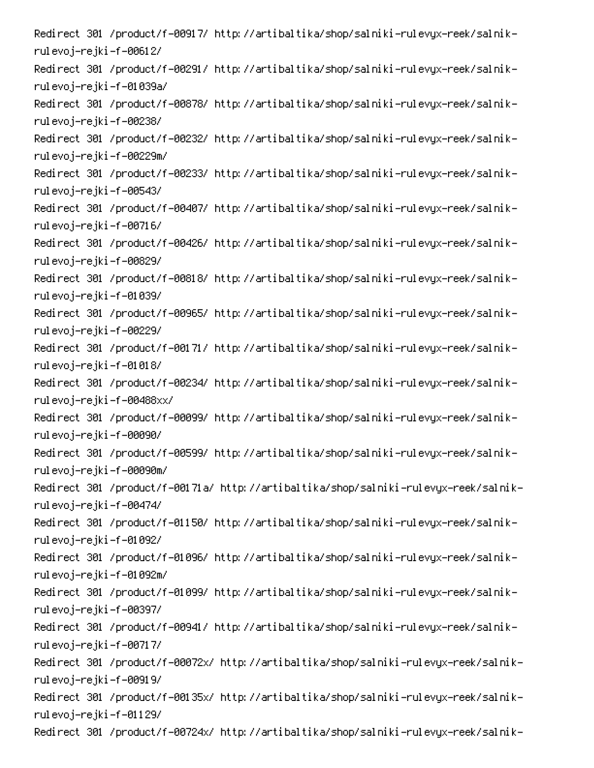-Redirect 301 /product/f-00917/ http://artibaltika/shop/salniki-rulevyx-reek/salnik rulevoj–rejki–f–00612/ -Redirect 301 /product/f-00291/ http://artibaltika/shop/salniki-rulevyx-reek/salnik rulevoj-rejki-f-01039a/ -Redirect 301 /product/f-00878/ http://artibaltika/shop/salniki-rulevyx-reek/salnik rulevoj–rejki–f–00238/ -Redirect 301 /product/f-00232/ http://artibaltika/shop/salniki-rulevyx-reek/salnik rulevoj–rejki–f–00229m/ -Redirect 301 /product/f-00233/ http://artibaltika/shop/salniki-rulevyx-reek/salnik rulevoj–rejki–f–00543/ -Redirect 301 /product/f-00407/ http://artibaltika/shop/salniki-rulevyx-reek/salnik rulevoj–rejki–f–00716/ -Redirect 301 /product/f-00426/ http://artibaltika/shop/salniki-rulevyx-reek/salnik rulevoj–rejki–f–00829/ -Redirect 301 /product/f-00818/ http://artibaltika/shop/salniki-rulevyx-reek/salnik rulevoj–rejki–f–01039/ -Redirect 301 /product/f-00965/ http://artibaltika/shop/salniki-rulevyx-reek/salnik rulevoj–rejki–f–00229/ -Redirect 301 /product/f-00171/ http://artibaltika/shop/salniki-rulevyx-reek/salnik rulevoj–rejki–f–01018/ -Redirect 301 /product/f-00234/ http://artibaltika/shop/salniki-rulevyx-reek/salnik rulevoj–rejki–f–00488xx/ -Redirect 301 /product/f-00099/ http://artibaltika/shop/salniki-rulevyx-reek/salnik rulevoj–rejki–f–00090/ -Redirect 301 /product/f-00599/ http://artibaltika/shop/salniki-rulevyx-reek/salnik rulevoj–rejki–f–00090m/ -Redirect 301 /product/f-00171a/ http://artibaltika/shop/salniki-rulevyx-reek/salnik rulevoj–rejki–f–00474/ -Redirect 301 /product/f-01150/ http://artibaltika/shop/salniki-rulevyx-reek/salnik rulevoj–rejki–f–01092/ -Redirect 301 /product/f-01096/ http://artibaltika/shop/salniki-rulevyx-reek/salnik rulevoj–rejki–f–01092m/ -Redirect 301 /product/f-01099/ http://artibaltika/shop/salniki-rulevyx-reek/salnik rulevoj–rejki–f–00397/ -Redirect 301 /product/f-00941/ http://artibaltika/shop/salniki-rulevyx-reek/salnik rulevoj–rejki–f–00717/ -Redirect 301 /product/f-00072x/ http://artibaltika/shop/salniki-rulevyx-reek/salnik rulevoj–rejki–f–00919/ -Redirect 301 /product/f-00135x/ http://artibaltika/shop/salniki-rulevyx-reek/salnik rulevoj–rejki–f–01129/ -Redirect 301 /product/f-00724x/ http://artibaltika/shop/salniki-rulevyx-reek/salnik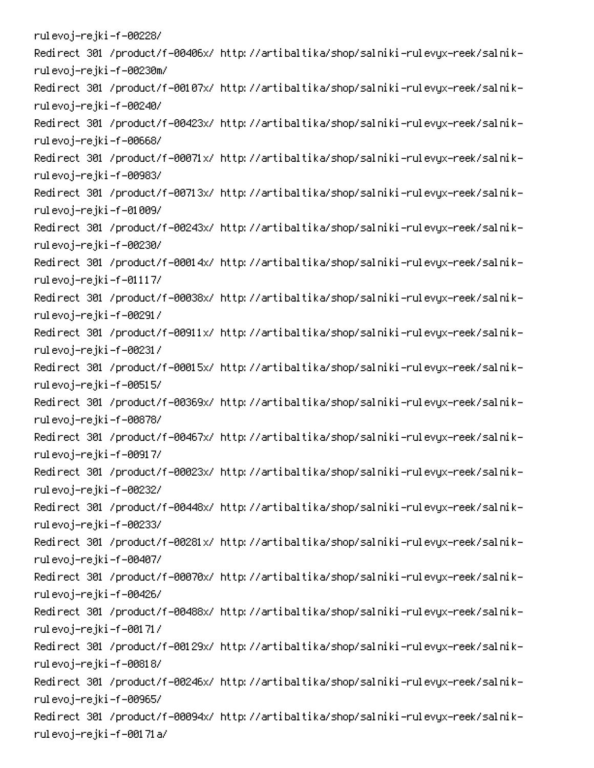rulevoj–rejki–f–00228/ -Redirect 301 /product/f-00406x/ http://artibaltika/shop/salniki-rulevyx-reek/salnik rulevoj–rejki–f–00230m/ -Redirect 301 /product/f-00107x/ http://artibaltika/shop/salniki-rulevyx-reek/salnik rulevoj–rejki–f–00240/ -Redirect 301 /product/f-00423x/ http://artibaltika/shop/salniki-rulevyx-reek/salnik rulevoj–rejki–f–00668/ -Redirect 301 /product/f-00071x/ http://artibaltika/shop/salniki-rulevyx-reek/salnik rulevoj–rejki–f–00983/ -Redirect 301 /product/f-00713x/ http://artibaltika/shop/salniki-rulevyx-reek/salnik rulevoj–rejki–f–01009/ -Redirect 301 /product/f-00243x/ http://artibaltika/shop/salniki-rulevyx-reek/salnik rulevoj–rejki–f–00230/ -Redirect 301 /product/f-00014x/ http://artibaltika/shop/salniki-rulevyx-reek/salnik rulevoj–rejki–f–01117/ -Redirect 301 /product/f-00038x/ http://artibaltika/shop/salniki-rulevyx-reek/salnik rulevoj–rejki–f–00291/ -Redirect 301 /product/f-00911x/ http://artibaltika/shop/salniki-rulevyx-reek/salnik rulevoj–rejki–f–00231/ -Redirect 301 /product/f-00015x/ http://artibaltika/shop/salniki-rulevyx-reek/salnik rulevoj–rejki–f–00515/ -Redirect 301 /product/f-00369x/ http://artibaltika/shop/salniki-rulevyx-reek/salnik rulevoj–rejki–f–00878/ -Redirect 301 /product/f-00467x/ http://artibaltika/shop/salniki-rulevyx-reek/salnik rulevoj–rejki–f–00917/ -Redirect 301 /product/f-00023x/ http://artibaltika/shop/salniki-rulevyx-reek/salnik rulevoj–rejki–f–00232/ -Redirect 301 /product/f-00448x/ http://artibaltika/shop/salniki-rulevyx-reek/salnik rulevoj–rejki–f–00233/ -Redirect 301 /product/f-00281x/ http://artibaltika/shop/salniki-rulevyx-reek/salnik rulevoj–rejki–f–00407/ -Redirect 301 /product/f-00070x/ http://artibaltika/shop/salniki-rulevyx-reek/salnik rulevoj–rejki–f–00426/ -Redirect 301 /product/f-00488x/ http://artibaltika/shop/salniki-rulevyx-reek/salnik rulevoj–rejki–f–00171/ -Redirect 301 /product/f-00129x/ http://artibaltika/shop/salniki-rulevyx-reek/salnik rulevoj–rejki–f–00818/ -Redirect 301 /product/f-00246x/ http://artibaltika/shop/salniki-rulevyx-reek/salnik rulevoj–rejki–f–00965/ -Redirect 301 /product/f-00094x/ http://artibaltika/shop/salniki-rulevyx-reek/salnik rulevoj-rejki-f-00171a/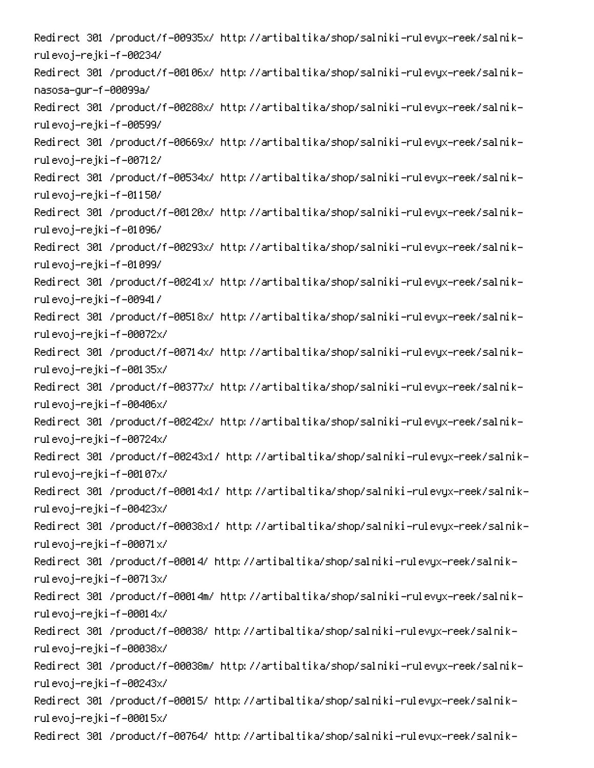-Redirect 301 /product/f-00935x/ http://artibaltika/shop/salniki-rulevyx-reek/salnik rulevoj–rejki–f–00234/ -Redirect 301 /product/f-00106x/ http://artibaltika/shop/salniki-rulevyx-reek/salnik nasosa-gur-f-00099a/ -Redirect 301 /product/f-00288x/ http://artibaltika/shop/salniki-rulevyx-reek/salnik rulevoj–rejki–f–00599/ -Redirect 301 /product/f-00669x/ http://artibaltika/shop/salniki-rulevyx-reek/salnik rulevoj–rejki–f–00712/ -Redirect 301 /product/f-00534x/ http://artibaltika/shop/salniki-rulevyx-reek/salnik rulevoj–rejki–f–01150/ -Redirect 301 /product/f-00120x/ http://artibaltika/shop/salniki-rulevyx-reek/salnik rulevoj–rejki–f–01096/ -Redirect 301 /product/f-00293x/ http://artibaltika/shop/salniki-rulevyx-reek/salnik rulevoj–rejki–f–01099/ -Redirect 301 /product/f-00241x/ http://artibaltika/shop/salniki-rulevyx-reek/salnik rulevoj–rejki–f–00941/ -Redirect 301 /product/f-00518x/ http://artibaltika/shop/salniki-rulevyx-reek/salnik rulevoj–rejki–f–00072x/ -Redirect 301 /product/f-00714x/ http://artibaltika/shop/salniki-rulevyx-reek/salnik rulevoj–rejki–f–00135x/ -Redirect 301 /product/f-00377x/ http://artibaltika/shop/salniki-rulevyx-reek/salnik rulevoj–rejki–f–00406x/ -Redirect 301 /product/f-00242x/ http://artibaltika/shop/salniki-rulevyx-reek/salnik rulevoj–rejki–f–00724x/ -Redirect 301 /product/f-00243x1/ http://artibaltika/shop/salniki-rulevyx-reek/salnik rulevoj–rejki–f–00107x/ -Redirect 301 /product/f-00014x1/ http://artibaltika/shop/salniki-rulevyx-reek/salnik rulevoj–rejki–f–00423x/ -Redirect 301 /product/f-00038x1/ http://artibaltika/shop/salniki-rulevyx-reek/salnik rulevoj–rejki–f–00071x/ -Redirect 301 /product/f-00014/ http://artibaltika/shop/salniki-rulevyx-reek/salnik rulevoj–rejki–f–00713x/ -Redirect 301 /product/f-00014m/ http://artibaltika/shop/salniki-rulevyx-reek/salnik rulevoj–rejki–f–00014x/ -Redirect 301 /product/f-00038/ http://artibaltika/shop/salniki-rulevyx-reek/salnik rulevoj–rejki–f–00038x/ -Redirect 301 /product/f-00038m/ http://artibaltika/shop/salniki-rulevyx-reek/salnik rulevoj–rejki–f–00243x/ -Redirect 301 /product/f-00015/ http://artibaltika/shop/salniki-rulevyx-reek/salnik rulevoj–rejki–f–00015x/ -Redirect 301 /product/f-00764/ http://artibaltika/shop/salniki-rulevyx-reek/salnik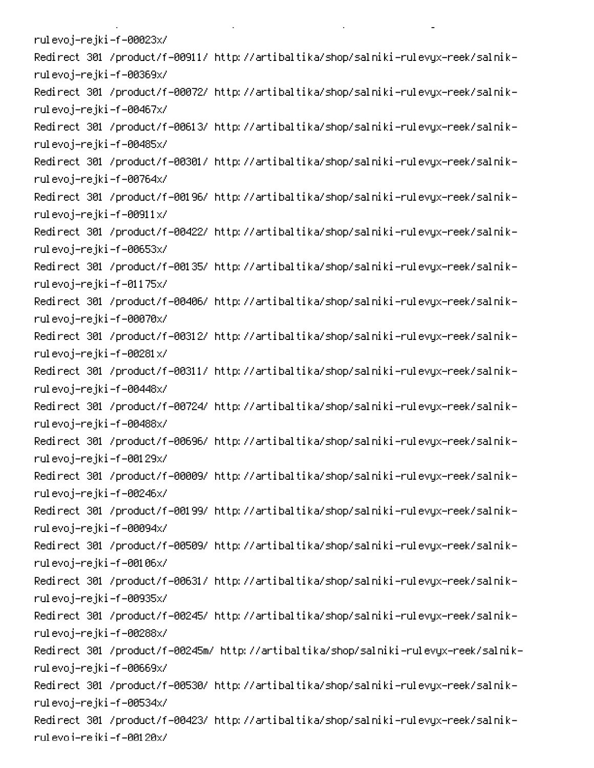rulevoj–rejki–f–00023x/ -Redirect 301 /product/f-00911/ http://artibaltika/shop/salniki-rulevyx-reek/salnik rulevoj–rejki–f–00369x/ -Redirect 301 /product/f-00072/ http://artibaltika/shop/salniki-rulevyx-reek/salnik rulevoj–rejki–f–00467x/ -Redirect 301 /product/f-00613/ http://artibaltika/shop/salniki-rulevyx-reek/salnik rulevoj–rejki–f–00485x/ -Redirect 301 /product/f-00301/ http://artibaltika/shop/salniki-rulevyx-reek/salnik rulevoj–rejki–f–00764x/ -Redirect 301 /product/f-00196/ http://artibaltika/shop/salniki-rulevyx-reek/salnik rulevoj–rejki–f–00911x/ -Redirect 301 /product/f-00422/ http://artibaltika/shop/salniki-rulevyx-reek/salnik rulevoj–rejki–f–00653x/ -Redirect 301 /product/f-00135/ http://artibaltika/shop/salniki-rulevyx-reek/salnik rulevoj–rejki–f–01175x/ -Redirect 301 /product/f-00406/ http://artibaltika/shop/salniki-rulevyx-reek/salnik rulevoj–rejki–f–00070x/ -Redirect 301 /product/f-00312/ http://artibaltika/shop/salniki-rulevyx-reek/salnik rulevoj–rejki–f–00281x/ -Redirect 301 /product/f-00311/ http://artibaltika/shop/salniki-rulevyx-reek/salnik rulevoj–rejki–f–00448x/ -Redirect 301 /product/f-00724/ http://artibaltika/shop/salniki-rulevyx-reek/salnik rulevoj–rejki–f–00488x/ -Redirect 301 /product/f-00696/ http://artibaltika/shop/salniki-rulevyx-reek/salnik rulevoj–rejki–f–00129x/ -Redirect 301 /product/f-00009/ http://artibaltika/shop/salniki-rulevyx-reek/salnik rulevoj–rejki–f–00246x/ -Redirect 301 /product/f-00199/ http://artibaltika/shop/salniki-rulevyx-reek/salnik rulevoj–rejki–f–00094x/ -Redirect 301 /product/f-00509/ http://artibaltika/shop/salniki-rulevyx-reek/salnik rulevoj–rejki–f–00106x/ -Redirect 301 /product/f-00631/ http://artibaltika/shop/salniki-rulevyx-reek/salnik rulevoj–rejki–f–00935x/ -Redirect 301 /product/f-00245/ http://artibaltika/shop/salniki-rulevyx-reek/salnik rulevoj–rejki–f–00288x/ -Redirect 301 /product/f-00245m/ http://artibaltika/shop/salniki-rulevyx-reek/salnik rulevoj–rejki–f–00669x/ -Redirect 301 /product/f-00530/ http://artibaltika/shop/salniki-rulevyx-reek/salnik rulevoj–rejki–f–00534x/ -Redirect 301 /product/f-00423/ http://artibaltika/shop/salniki-rulevyx-reek/salnik rul evo i-re iki -f -001 20x/

**Contract Contract** 

 $\mathbf{L}^{\text{max}}$ 

on the state of the state of the

PC (Research Contractor) (Research Contractor)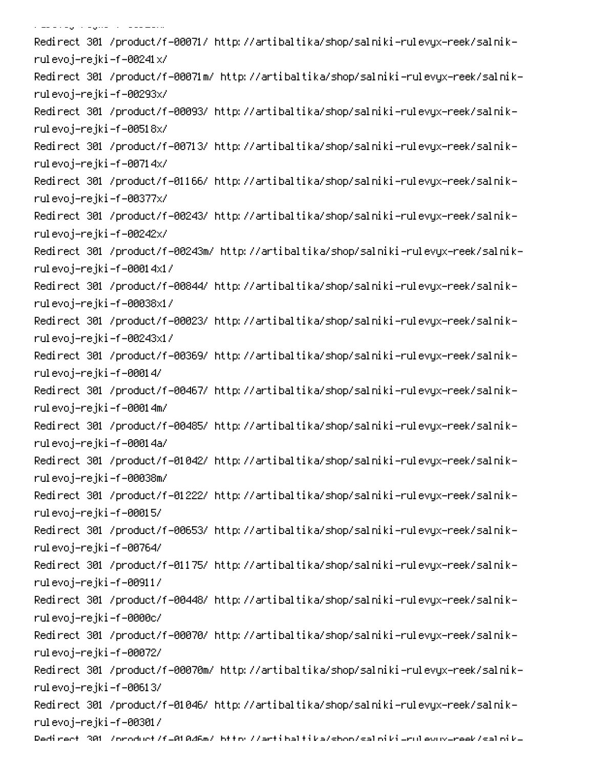, and a good of the second second -Redirect 301 /product/f-00071/ http://artibaltika/shop/salniki-rulevyx-reek/salnik rulevoj–rejki–f–00241x/ -Redirect 301 /product/f-00071m/ http://artibaltika/shop/salniki-rulevyx-reek/salnik rulevoj–rejki–f–00293x/ -Redirect 301 /product/f-00093/ http://artibaltika/shop/salniki-rulevyx-reek/salnik rulevoj–rejki–f–00518x/ -Redirect 301 /product/f-00713/ http://artibaltika/shop/salniki-rulevyx-reek/salnik rulevoj–rejki–f–00714x/ -Redirect 301 /product/f-01166/ http://artibaltika/shop/salniki-rulevyx-reek/salnik rulevoj–rejki–f–00377x/ -Redirect 301 /product/f-00243/ http://artibaltika/shop/salniki-rulevyx-reek/salnik rulevoj–rejki–f–00242x/ -Redirect 301 /product/f-00243m/ http://artibaltika/shop/salniki-rulevyx-reek/salnik rulevoj–rejki–f–00014x1/ -Redirect 301 /product/f-00844/ http://artibaltika/shop/salniki-rulevyx-reek/salnik rulevoj–rejki–f–00038x1/ -Redirect 301 /product/f-00023/ http://artibaltika/shop/salniki-rulevyx-reek/salnik rulevoj–rejki–f–00243x1/ -Redirect 301 /product/f-00369/ http://artibaltika/shop/salniki-rulevyx-reek/salnik rulevoj–rejki–f–00014/ -Redirect 301 /product/f-00467/ http://artibaltika/shop/salniki-rulevyx-reek/salnik rulevoj–rejki–f–00014m/ -Redirect 301 /product/f-00485/ http://artibaltika/shop/salniki-rulevyx-reek/salnik rulevoj-rejki-f-00014a/ -Redirect 301 /product/f-01042/ http://artibaltika/shop/salniki-rulevyx-reek/salnik rulevoj–rejki–f–00038m/ -Redirect 301 /product/f-01222/ http://artibaltika/shop/salniki-rulevyx-reek/salnik rulevoj–rejki–f–00015/ -Redirect 301 /product/f-00653/ http://artibaltika/shop/salniki-rulevyx-reek/salnik rulevoj–rejki–f–00764/ -Redirect 301 /product/f-01175/ http://artibaltika/shop/salniki-rulevyx-reek/salnik rulevoj–rejki–f–00911/ -Redirect 301 /product/f-00448/ http://artibaltika/shop/salniki-rulevyx-reek/salnik rulevoj–rejki–f–0000c/ -Redirect 301 /product/f-00070/ http://artibaltika/shop/salniki-rulevyx-reek/salnik rulevoj–rejki–f–00072/ -Redirect 301 /product/f-00070m/ http://artibaltika/shop/salniki-rulevyx-reek/salnik rulevoj–rejki–f–00613/ -Redirect 301 /product/f-01046/ http://artibaltika/shop/salniki-rulevyx-reek/salnik rulevoj–rejki–f–00301/ Dedirect 301 /oroduct/f=01046m/ bttp://artibaltika/shoo/saloiki=rulevuv=reek/saloik=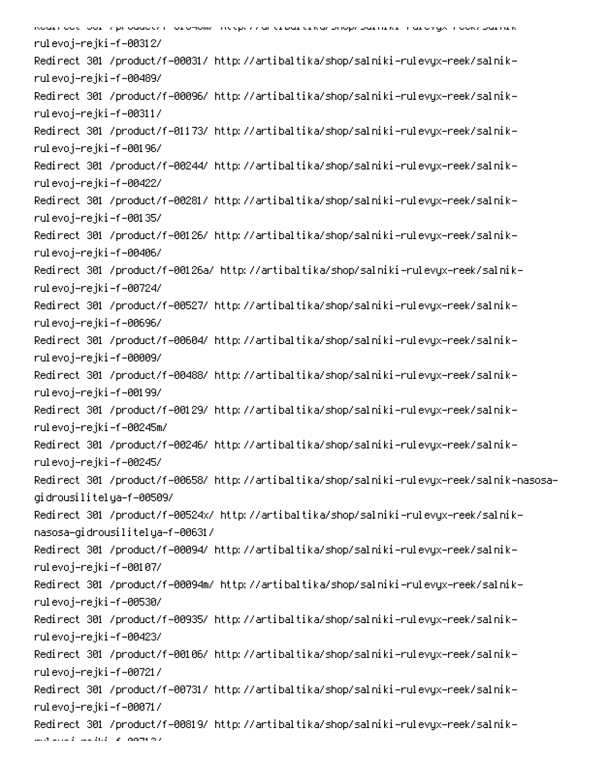האשת הסטון סטני און הסטטיבא ודיסו טייטווגי ווכלוי לא סוירו החסד בראש האוסורי איז היה מדפאלא. בסטר המס און אודי rulevoj–rejki–f–00312/ -Redirect 301 /product/f-00031/ http://artibaltika/shop/salniki-rulevyx-reek/salnik rulevoj–rejki–f–00489/ -Redirect 301 /product/f-00096/ http://artibaltika/shop/salniki-rulevyx-reek/salnik rulevoj–rejki–f–00311/ -Redirect 301 /product/f-01173/ http://artibaltika/shop/salniki-rulevyx-reek/salnik rulevoj–rejki–f–00196/ -Redirect 301 /product/f-00244/ http://artibaltika/shop/salniki-rulevyx-reek/salnik rulevoj–rejki–f–00422/ -Redirect 301 /product/f-00281/ http://artibaltika/shop/salniki-rulevyx-reek/salnik rulevoj–rejki–f–00135/ -Redirect 301 /product/f-00126/ http://artibaltika/shop/salniki-rulevyx-reek/salnik rulevoj–rejki–f–00406/ -Redirect 301 /product/f-00126a/ http://artibaltika/shop/salniki-rulevyx-reek/salnik rulevoj–rejki–f–00724/ -Redirect 301 /product/f-00527/ http://artibaltika/shop/salniki-rulevyx-reek/salnik rulevoj–rejki–f–00696/ -Redirect 301 /product/f-00604/ http://artibaltika/shop/salniki-rulevyx-reek/salnik rulevoj–rejki–f–00009/ -Redirect 301 /product/f-00488/ http://artibaltika/shop/salniki-rulevyx-reek/salnik rulevoj–rejki–f–00199/ -Redirect 301 /product/f-00129/ http://artibaltika/shop/salniki-rulevyx-reek/salnik rulevoj–rejki–f–00245m/ -Redirect 301 /product/f-00246/ http://artibaltika/shop/salniki-rulevyx-reek/salnik rulevoj–rejki–f–00245/ Redirect 301 /product/f-00658/ http://artibaltika/shop/salniki-rulevyx-reek/salnik-nasosagidrousilitelya-f-00509/ -Redirect 301 /product/f-00524x/ http://artibaltika/shop/salniki-rulevyx-reek/salnik nasosa-gidrousilitelya-f-00631/ -Redirect 301 /product/f-00094/ http://artibaltika/shop/salniki-rulevyx-reek/salnik rulevoj–rejki–f–00107/ -Redirect 301 /product/f-00094m/ http://artibaltika/shop/salniki-rulevyx-reek/salnik rulevoj–rejki–f–00530/ -Redirect 301 /product/f-00935/ http://artibaltika/shop/salniki-rulevyx-reek/salnik rulevoj–rejki–f–00423/ -Redirect 301 /product/f-00106/ http://artibaltika/shop/salniki-rulevyx-reek/salnik rulevoj–rejki–f–00721/ -Redirect 301 /product/f-00731/ http://artibaltika/shop/salniki-rulevyx-reek/salnik rulevoj–rejki–f–00071/ -Redirect 301 /product/f-00819/ http://artibaltika/shop/salniki-rulevyx-reek/salnik

MOMO S - SUS - A DOTHOL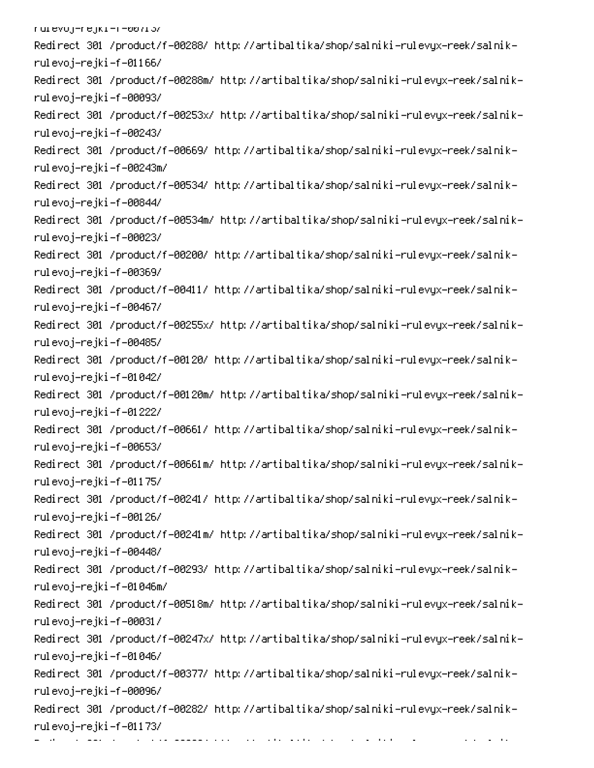| /culevoj=rejki=r=שטו <i>ו</i> נ                                                      |
|--------------------------------------------------------------------------------------|
| Redirect 301 /product/f-00288/ http://artibaltika/shop/salniki-rulevyx-reek/salnik-  |
| rulevoj–rejki–f–01166/                                                               |
| Redirect 301 /product/f-00288m/ http://artibaltika/shop/salniki-rulevyx-reek/salnik- |
| rulevoj–rejki–f–00093/                                                               |
| Redirect 301 /product/f-00253x/ http://artibaltika/shop/salniki-rulevyx-reek/salnik- |
| rulevoj–rejki–f–00243/                                                               |
| Redirect 301 /product/f-00669/ http://artibaltika/shop/salniki-rulevyx-reek/salnik-  |
| rulevoj–rejki–f–00243m/                                                              |
| Redirect 301 /product/f-00534/ http://artibaltika/shop/salniki-rulevyx-reek/salnik-  |
| rulevoj–rejki–f–00844/                                                               |
| Redirect 301 /product/f-00534m/ http://artibaltika/shop/salniki-rulevyx-reek/salnik- |
| rulevoj-rejki-f-00023/                                                               |
| Redirect 301 /product/f-00200/ http://artibaltika/shop/salniki-rulevyx-reek/salnik-  |
| rulevoj-rejki-f-00369/                                                               |
| Redirect 301 /product/f-00411/ http://artibaltika/shop/salniki-rulevyx-reek/salnik-  |
| rulevoj–rejki–f–00467/                                                               |
| Redirect 301 /product/f-00255x/ http://artibaltika/shop/salniki-rulevyx-reek/salnik- |
| rulevoj–rejki–f–00485/                                                               |
| Redirect 301 /product/f-00120/ http://artibaltika/shop/salniki-rulevyx-reek/salnik-  |
| rulevoj–rejki–f–01042/                                                               |
| Redirect 301 /product/f-00120m/ http://artibaltika/shop/salniki-rulevyx-reek/salnik- |
| rulevoj-rejki-f-01222/                                                               |
| Redirect 301 /product/f-00661/ http://artibaltika/shop/salniki-rulevyx-reek/salnik-  |
| rulevoj–rejki–f–00653/                                                               |
| Redirect 301 /product/f-00661m/ http://artibaltika/shop/salniki-rulevyx-reek/salnik- |
| rulevoj-rejki-f-01175/                                                               |
| Redirect 301 /product/f-00241/ http://artibaltika/shop/salniki-rulevyx-reek/salnik-  |
| rulevoj-rejki-f-00126/                                                               |
| Redirect 301 /product/f-00241m/ http://artibaltika/shop/salniki-rulevyx-reek/salnik- |
| rulevoj–rejki–f–00448/                                                               |
| Redirect 301 /product/f-00293/ http://artibaltika/shop/salniki-rulevyx-reek/salnik-  |
| rulevoj–rejki–f–01046m/                                                              |
| Redirect 301 /product/f-00518m/ http://artibaltika/shop/salniki-rulevyx-reek/salnik- |
| rulevoj–rejki–f–00031/                                                               |
| Redirect 301 /product/f-00247x/ http://artibaltika/shop/salniki-rulevyx-reek/salnik- |
| rulevoj–rejki–f–01046/                                                               |
| Redirect 301 /product/f-00377/ http://artibaltika/shop/salniki-rulevyx-reek/salnik-  |
| rulevoj-rejki-f-00096/                                                               |
| Redirect 301 /product/f-00282/ http://artibaltika/shop/salniki-rulevyx-reek/salnik-  |
| rulevoj–rejki–f–01173/                                                               |
| contract and contract of the state<br><u> 2008 - Francis III (m. 1918)</u>           |

 $\mathcal{L}_{\mathcal{A}}$  , and  $\mathcal{L}_{\mathcal{A}}$  , and  $\mathcal{L}_{\mathcal{A}}$ 

00 Percent Control of the Control of the Control of the Control of the Control of the Control of the Control o<br>000 Percent Control of the Control of the Control of the Control of the Control of the Control of the Control o

PC and the contract of the complex product of the contract of the contract of the contract of the contract of the<br>Second contract of the contract of the contract of the contract of the contract of the contract of the contr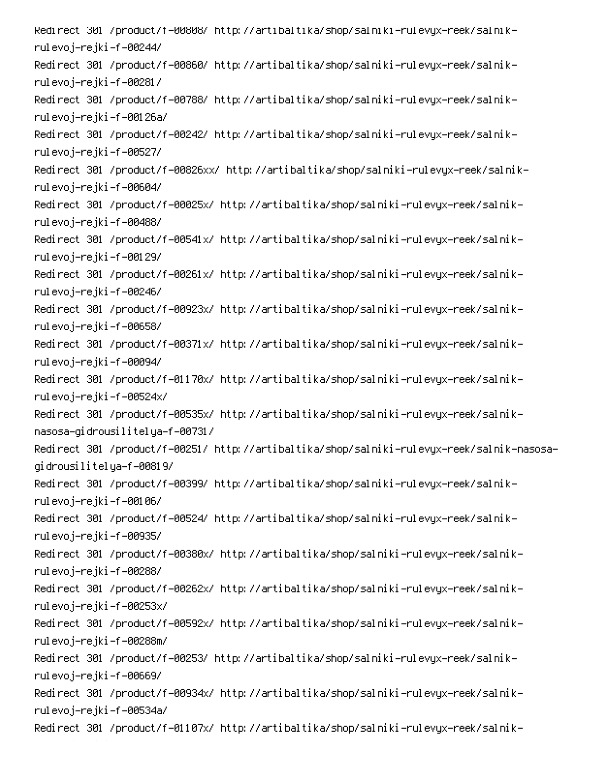-Redirect 301 /product/f-00808/ http://artibaltika/shop/salniki-rulevyx-reek/salnik rulevoj–rejki–f–00244/ -Redirect 301 /product/f-00860/ http://artibaltika/shop/salniki-rulevyx-reek/salnik rulevoj–rejki–f–00281/ -Redirect 301 /product/f-00788/ http://artibaltika/shop/salniki-rulevyx-reek/salnik rulevoj-rejki-f-00126a/ -Redirect 301 /product/f-00242/ http://artibaltika/shop/salniki-rulevyx-reek/salnik rulevoj–rejki–f–00527/ -Redirect 301 /product/f-00826xx/ http://artibaltika/shop/salniki-rulevyx-reek/salnik rulevoj–rejki–f–00604/ -Redirect 301 /product/f-00025x/ http://artibaltika/shop/salniki-rulevyx-reek/salnik rulevoj–rejki–f–00488/ -Redirect 301 /product/f-00541x/ http://artibaltika/shop/salniki-rulevyx-reek/salnik rulevoj–rejki–f–00129/ -Redirect 301 /product/f-00261x/ http://artibaltika/shop/salniki-rulevyx-reek/salnik rulevoj–rejki–f–00246/ -Redirect 301 /product/f-00923x/ http://artibaltika/shop/salniki-rulevyx-reek/salnik rulevoj–rejki–f–00658/ -Redirect 301 /product/f-00371x/ http://artibaltika/shop/salniki-rulevyx-reek/salnik rulevoj–rejki–f–00094/ -Redirect 301 /product/f-01170x/ http://artibaltika/shop/salniki-rulevyx-reek/salnik rulevoj–rejki–f–00524x/ -Redirect 301 /product/f-00535x/ http://artibaltika/shop/salniki-rulevyx-reek/salnik nasosa-gidrousilitelya-f-00731/ Redirect 301 /product/f-00251/ http://artibaltika/shop/salniki-rulevyx-reek/salnik-nasosagidrousilitelya-f-00819/ -Redirect 301 /product/f-00399/ http://artibaltika/shop/salniki-rulevyx-reek/salnik rulevoj–rejki–f–00106/ -Redirect 301 /product/f-00524/ http://artibaltika/shop/salniki-rulevyx-reek/salnik rulevoj–rejki–f–00935/ -Redirect 301 /product/f-00380x/ http://artibaltika/shop/salniki-rulevyx-reek/salnik rulevoj–rejki–f–00288/ -Redirect 301 /product/f-00262x/ http://artibaltika/shop/salniki-rulevyx-reek/salnik rulevoj–rejki–f–00253x/ -Redirect 301 /product/f-00592x/ http://artibaltika/shop/salniki-rulevyx-reek/salnik rulevoj–rejki–f–00288m/ -Redirect 301 /product/f-00253/ http://artibaltika/shop/salniki-rulevyx-reek/salnik rulevoj–rejki–f–00669/ -Redirect 301 /product/f-00934x/ http://artibaltika/shop/salniki-rulevyx-reek/salnik rulevoj-rejki-f-00534a/ -Redirect 301 /product/f-01107x/ http://artibaltika/shop/salniki-rulevyx-reek/salnik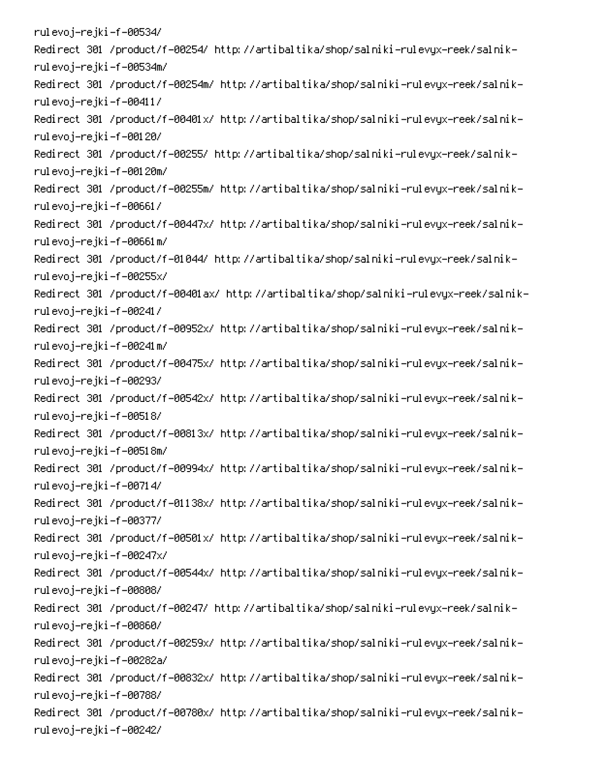rulevoj–rejki–f–00534/ -Redirect 301 /product/f-00254/ http://artibaltika/shop/salniki-rulevyx-reek/salnik rulevoj–rejki–f–00534m/ -Redirect 301 /product/f-00254m/ http://artibaltika/shop/salniki-rulevyx-reek/salnik rulevoj–rejki–f–00411/ -Redirect 301 /product/f-00401x/ http://artibaltika/shop/salniki-rulevyx-reek/salnik rulevoj–rejki–f–00120/ -Redirect 301 /product/f-00255/ http://artibaltika/shop/salniki-rulevyx-reek/salnik rulevoj–rejki–f–00120m/ -Redirect 301 /product/f-00255m/ http://artibaltika/shop/salniki-rulevyx-reek/salnik rulevoj–rejki–f–00661/ -Redirect 301 /product/f-00447x/ http://artibaltika/shop/salniki-rulevyx-reek/salnik rulevoj–rejki–f–00661m/ -Redirect 301 /product/f-01044/ http://artibaltika/shop/salniki-rulevyx-reek/salnik rulevoj–rejki–f–00255x/ -Redirect 301 /product/f-00401ax/ http://artibaltika/shop/salniki-rulevyx-reek/salnik rulevoj–rejki–f–00241/ -Redirect 301 /product/f-00952x/ http://artibaltika/shop/salniki-rulevyx-reek/salnik rulevoj–rejki–f–00241m/ -Redirect 301 /product/f-00475x/ http://artibaltika/shop/salniki-rulevyx-reek/salnik rulevoj–rejki–f–00293/ -Redirect 301 /product/f-00542x/ http://artibaltika/shop/salniki-rulevyx-reek/salnik rulevoj–rejki–f–00518/ -Redirect 301 /product/f-00813x/ http://artibaltika/shop/salniki-rulevyx-reek/salnik rulevoj–rejki–f–00518m/ -Redirect 301 /product/f-00994x/ http://artibaltika/shop/salniki-rulevyx-reek/salnik rulevoj–rejki–f–00714/ -Redirect 301 /product/f-01138x/ http://artibaltika/shop/salniki-rulevyx-reek/salnik rulevoj–rejki–f–00377/ -Redirect 301 /product/f-00501x/ http://artibaltika/shop/salniki-rulevyx-reek/salnik rulevoj–rejki–f–00247x/ -Redirect 301 /product/f-00544x/ http://artibaltika/shop/salniki-rulevyx-reek/salnik rulevoj–rejki–f–00808/ -Redirect 301 /product/f-00247/ http://artibaltika/shop/salniki-rulevyx-reek/salnik rulevoj–rejki–f–00860/ -Redirect 301 /product/f-00259x/ http://artibaltika/shop/salniki-rulevyx-reek/salnik rulevoj-rejki-f-00282a/ -Redirect 301 /product/f-00832x/ http://artibaltika/shop/salniki-rulevyx-reek/salnik rulevoj–rejki–f–00788/ -Redirect 301 /product/f-00780x/ http://artibaltika/shop/salniki-rulevyx-reek/salnik rulevoj–rejki–f–00242/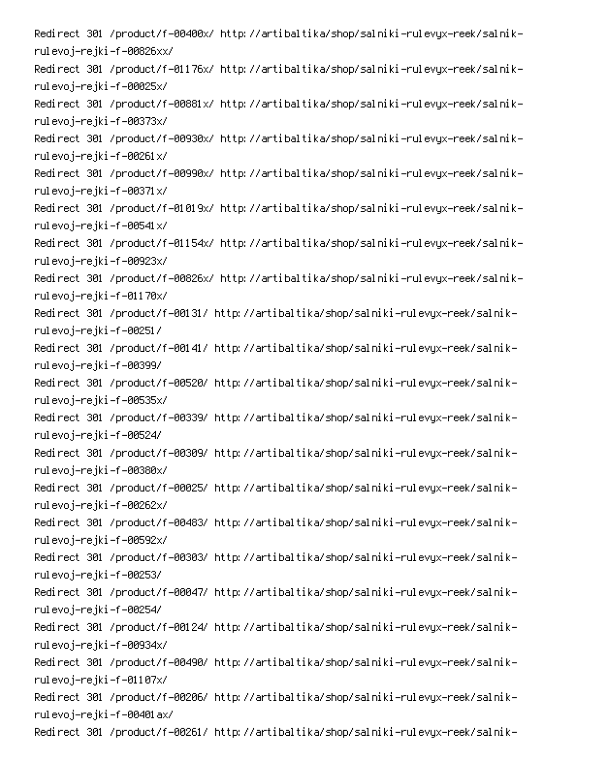-Redirect 301 /product/f-00400x/ http://artibaltika/shop/salniki-rulevyx-reek/salnik rulevoj–rejki–f–00826xx/ -Redirect 301 /product/f-01176x/ http://artibaltika/shop/salniki-rulevyx-reek/salnik rulevoj–rejki–f–00025x/ -Redirect 301 /product/f-00881x/ http://artibaltika/shop/salniki-rulevyx-reek/salnik rulevoj–rejki–f–00373x/ -Redirect 301 /product/f-00930x/ http://artibaltika/shop/salniki-rulevyx-reek/salnik rulevoj–rejki–f–00261x/ -Redirect 301 /product/f-00990x/ http://artibaltika/shop/salniki-rulevyx-reek/salnik rulevoj–rejki–f–00371x/ -Redirect 301 /product/f-01019x/ http://artibaltika/shop/salniki-rulevyx-reek/salnik rulevoj–rejki–f–00541x/ -Redirect 301 /product/f-01154x/ http://artibaltika/shop/salniki-rulevyx-reek/salnik rulevoj–rejki–f–00923x/ -Redirect 301 /product/f-00826x/ http://artibaltika/shop/salniki-rulevyx-reek/salnik rulevoj–rejki–f–01170x/ -Redirect 301 /product/f-00131/ http://artibaltika/shop/salniki-rulevyx-reek/salnik rulevoj–rejki–f–00251/ -Redirect 301 /product/f-00141/ http://artibaltika/shop/salniki-rulevyx-reek/salnik rulevoj–rejki–f–00399/ -Redirect 301 /product/f-00520/ http://artibaltika/shop/salniki-rulevyx-reek/salnik rulevoj–rejki–f–00535x/ -Redirect 301 /product/f-00339/ http://artibaltika/shop/salniki-rulevyx-reek/salnik rulevoj–rejki–f–00524/ -Redirect 301 /product/f-00309/ http://artibaltika/shop/salniki-rulevyx-reek/salnik rulevoj–rejki–f–00380x/ -Redirect 301 /product/f-00025/ http://artibaltika/shop/salniki-rulevyx-reek/salnik rulevoj–rejki–f–00262x/ -Redirect 301 /product/f-00483/ http://artibaltika/shop/salniki-rulevyx-reek/salnik rulevoj–rejki–f–00592x/ -Redirect 301 /product/f-00303/ http://artibaltika/shop/salniki-rulevyx-reek/salnik rulevoj–rejki–f–00253/ -Redirect 301 /product/f-00047/ http://artibaltika/shop/salniki-rulevyx-reek/salnik rulevoj–rejki–f–00254/ -Redirect 301 /product/f-00124/ http://artibaltika/shop/salniki-rulevyx-reek/salnik rulevoj–rejki–f–00934x/ -Redirect 301 /product/f-00490/ http://artibaltika/shop/salniki-rulevyx-reek/salnik rulevoj–rejki–f–01107x/ -Redirect 301 /product/f-00206/ http://artibaltika/shop/salniki-rulevyx-reek/salnik rulevoj-rejki-f-00401ax/ -Redirect 301 /product/f-00261/ http://artibaltika/shop/salniki-rulevyx-reek/salnik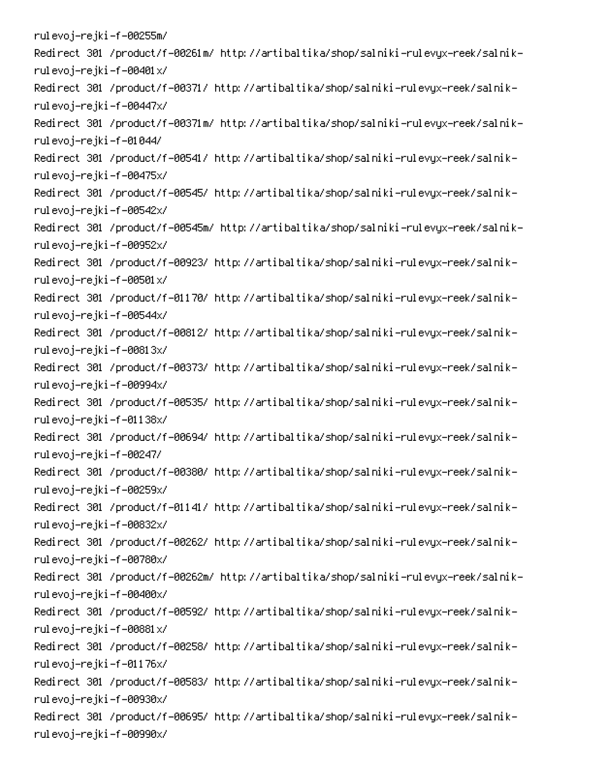rulevoj–rejki–f–00255m/ -Redirect 301 /product/f-00261m/ http://artibaltika/shop/salniki-rulevyx-reek/salnik rulevoj–rejki–f–00401x/ -Redirect 301 /product/f-00371/ http://artibaltika/shop/salniki-rulevyx-reek/salnik rulevoj–rejki–f–00447x/ -Redirect 301 /product/f-00371m/ http://artibaltika/shop/salniki-rulevyx-reek/salnik rulevoj–rejki–f–01044/ -Redirect 301 /product/f-00541/ http://artibaltika/shop/salniki-rulevyx-reek/salnik rulevoj–rejki–f–00475x/ -Redirect 301 /product/f-00545/ http://artibaltika/shop/salniki-rulevyx-reek/salnik rulevoj–rejki–f–00542x/ -Redirect 301 /product/f-00545m/ http://artibaltika/shop/salniki-rulevyx-reek/salnik rulevoj–rejki–f–00952x/ -Redirect 301 /product/f-00923/ http://artibaltika/shop/salniki-rulevyx-reek/salnik rulevoj–rejki–f–00501x/ -Redirect 301 /product/f-01170/ http://artibaltika/shop/salniki-rulevyx-reek/salnik rulevoj–rejki–f–00544x/ -Redirect 301 /product/f-00812/ http://artibaltika/shop/salniki-rulevyx-reek/salnik rulevoj–rejki–f–00813x/ -Redirect 301 /product/f-00373/ http://artibaltika/shop/salniki-rulevyx-reek/salnik rulevoj–rejki–f–00994x/ -Redirect 301 /product/f-00535/ http://artibaltika/shop/salniki-rulevyx-reek/salnik rulevoj–rejki–f–01138x/ -Redirect 301 /product/f-00694/ http://artibaltika/shop/salniki-rulevyx-reek/salnik rulevoj–rejki–f–00247/ -Redirect 301 /product/f-00380/ http://artibaltika/shop/salniki-rulevyx-reek/salnik rulevoj–rejki–f–00259x/ -Redirect 301 /product/f-01141/ http://artibaltika/shop/salniki-rulevyx-reek/salnik rulevoj–rejki–f–00832x/ -Redirect 301 /product/f-00262/ http://artibaltika/shop/salniki-rulevyx-reek/salnik rulevoj–rejki–f–00780x/ -Redirect 301 /product/f-00262m/ http://artibaltika/shop/salniki-rulevyx-reek/salnik rulevoj–rejki–f–00400x/ -Redirect 301 /product/f-00592/ http://artibaltika/shop/salniki-rulevyx-reek/salnik rulevoj–rejki–f–00881x/ -Redirect 301 /product/f-00258/ http://artibaltika/shop/salniki-rulevyx-reek/salnik rulevoj–rejki–f–01176x/ -Redirect 301 /product/f-00583/ http://artibaltika/shop/salniki-rulevyx-reek/salnik rulevoj–rejki–f–00930x/ -Redirect 301 /product/f-00695/ http://artibaltika/shop/salniki-rulevyx-reek/salnik rulevoj–rejki–f–00990x/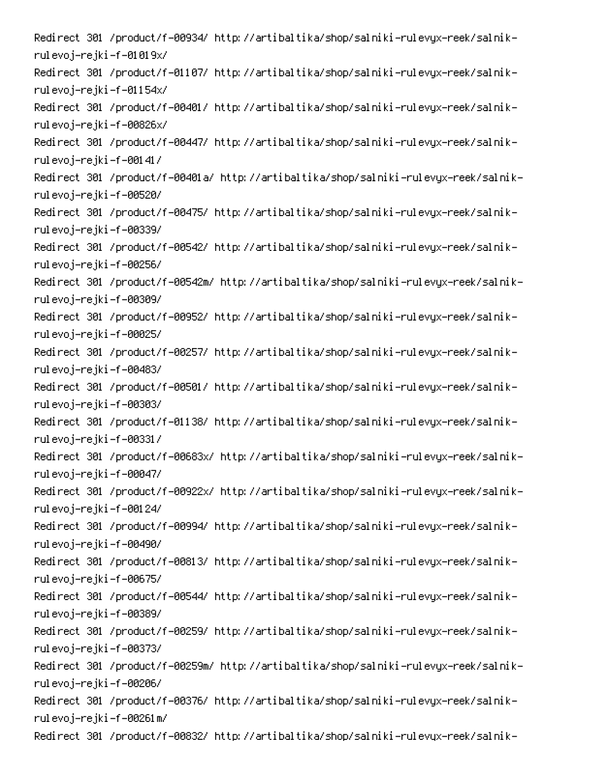-Redirect 301 /product/f-00934/ http://artibaltika/shop/salniki-rulevyx-reek/salnik rulevoj–rejki–f–01019x/ -Redirect 301 /product/f-01107/ http://artibaltika/shop/salniki-rulevyx-reek/salnik rulevoj–rejki–f–01154x/ -Redirect 301 /product/f-00401/ http://artibaltika/shop/salniki-rulevyx-reek/salnik rulevoj–rejki–f–00826x/ -Redirect 301 /product/f-00447/ http://artibaltika/shop/salniki-rulevyx-reek/salnik rulevoj–rejki–f–00141/ -Redirect 301 /product/f-00401a/ http://artibaltika/shop/salniki-rulevyx-reek/salnik rulevoj–rejki–f–00520/ -Redirect 301 /product/f-00475/ http://artibaltika/shop/salniki-rulevyx-reek/salnik rulevoj–rejki–f–00339/ -Redirect 301 /product/f-00542/ http://artibaltika/shop/salniki-rulevyx-reek/salnik rulevoj–rejki–f–00256/ -Redirect 301 /product/f-00542m/ http://artibaltika/shop/salniki-rulevyx-reek/salnik rulevoj–rejki–f–00309/ -Redirect 301 /product/f-00952/ http://artibaltika/shop/salniki-rulevyx-reek/salnik rulevoj–rejki–f–00025/ -Redirect 301 /product/f-00257/ http://artibaltika/shop/salniki-rulevyx-reek/salnik rulevoj–rejki–f–00483/ -Redirect 301 /product/f-00501/ http://artibaltika/shop/salniki-rulevyx-reek/salnik rulevoj–rejki–f–00303/ -Redirect 301 /product/f-01138/ http://artibaltika/shop/salniki-rulevyx-reek/salnik rulevoj–rejki–f–00331/ -Redirect 301 /product/f-00683x/ http://artibaltika/shop/salniki-rulevyx-reek/salnik rulevoj–rejki–f–00047/ -Redirect 301 /product/f-00922x/ http://artibaltika/shop/salniki-rulevyx-reek/salnik rulevoj–rejki–f–00124/ -Redirect 301 /product/f-00994/ http://artibaltika/shop/salniki-rulevyx-reek/salnik rulevoj–rejki–f–00490/ -Redirect 301 /product/f-00813/ http://artibaltika/shop/salniki-rulevyx-reek/salnik rulevoj–rejki–f–00675/ -Redirect 301 /product/f-00544/ http://artibaltika/shop/salniki-rulevyx-reek/salnik rulevoj–rejki–f–00389/ -Redirect 301 /product/f-00259/ http://artibaltika/shop/salniki-rulevyx-reek/salnik rulevoj–rejki–f–00373/ -Redirect 301 /product/f-00259m/ http://artibaltika/shop/salniki-rulevyx-reek/salnik rulevoj–rejki–f–00206/ -Redirect 301 /product/f-00376/ http://artibaltika/shop/salniki-rulevyx-reek/salnik rulevoj–rejki–f–00261m/ -Redirect 301 /product/f-00832/ http://artibaltika/shop/salniki-rulevyx-reek/salnik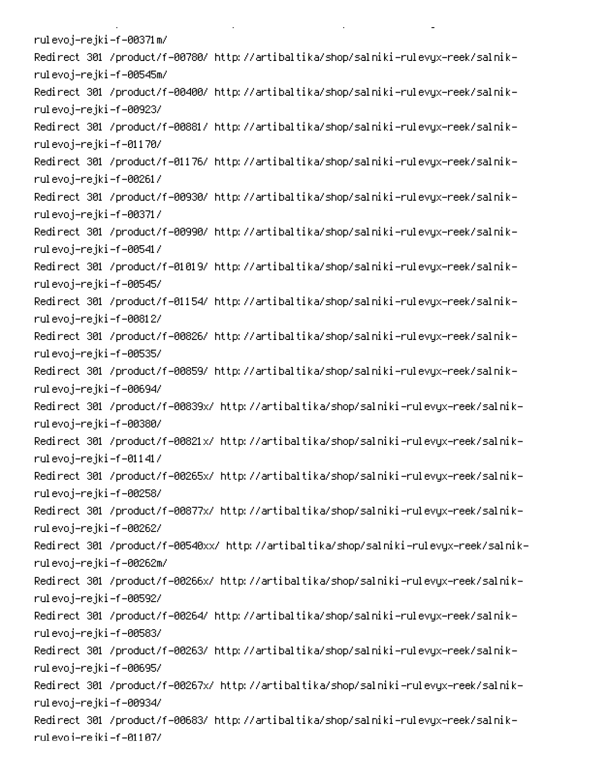rulevoj–rejki–f–00371m/ -Redirect 301 /product/f-00780/ http://artibaltika/shop/salniki-rulevyx-reek/salnik rulevoj–rejki–f–00545m/ -Redirect 301 /product/f-00400/ http://artibaltika/shop/salniki-rulevyx-reek/salnik rulevoj–rejki–f–00923/ -Redirect 301 /product/f-00881/ http://artibaltika/shop/salniki-rulevyx-reek/salnik rulevoj–rejki–f–01170/ -Redirect 301 /product/f-01176/ http://artibaltika/shop/salniki-rulevyx-reek/salnik rulevoj–rejki–f–00261/ -Redirect 301 /product/f-00930/ http://artibaltika/shop/salniki-rulevyx-reek/salnik rulevoj–rejki–f–00371/ -Redirect 301 /product/f-00990/ http://artibaltika/shop/salniki-rulevyx-reek/salnik rulevoj–rejki–f–00541/ -Redirect 301 /product/f-01019/ http://artibaltika/shop/salniki-rulevyx-reek/salnik rulevoj–rejki–f–00545/ -Redirect 301 /product/f-01154/ http://artibaltika/shop/salniki-rulevyx-reek/salnik rulevoj–rejki–f–00812/ -Redirect 301 /product/f-00826/ http://artibaltika/shop/salniki-rulevyx-reek/salnik rulevoj–rejki–f–00535/ -Redirect 301 /product/f-00859/ http://artibaltika/shop/salniki-rulevyx-reek/salnik rulevoj–rejki–f–00694/ -Redirect 301 /product/f-00839x/ http://artibaltika/shop/salniki-rulevyx-reek/salnik rulevoj–rejki–f–00380/ -Redirect 301 /product/f-00821x/ http://artibaltika/shop/salniki-rulevyx-reek/salnik rulevoj–rejki–f–01141/ -Redirect 301 /product/f-00265x/ http://artibaltika/shop/salniki-rulevyx-reek/salnik rulevoj–rejki–f–00258/ -Redirect 301 /product/f-00877x/ http://artibaltika/shop/salniki-rulevyx-reek/salnik rulevoj–rejki–f–00262/ -Redirect 301 /product/f-00540xx/ http://artibaltika/shop/salniki-rulevyx-reek/salnik rulevoj–rejki–f–00262m/ -Redirect 301 /product/f-00266x/ http://artibaltika/shop/salniki-rulevyx-reek/salnik rulevoj–rejki–f–00592/ -Redirect 301 /product/f-00264/ http://artibaltika/shop/salniki-rulevyx-reek/salnik rulevoj–rejki–f–00583/ -Redirect 301 /product/f-00263/ http://artibaltika/shop/salniki-rulevyx-reek/salnik rulevoj–rejki–f–00695/ -Redirect 301 /product/f-00267x/ http://artibaltika/shop/salniki-rulevyx-reek/salnik rulevoj–rejki–f–00934/ -Redirect 301 /product/f-00683/ http://artibaltika/shop/salniki-rulevyx-reek/salnik rul evo i-re iki -f -01107/

**Contract Contract** 

 $\mathbf{L}^{\text{max}}$ 

on the state of the state of the

PC 
0AP -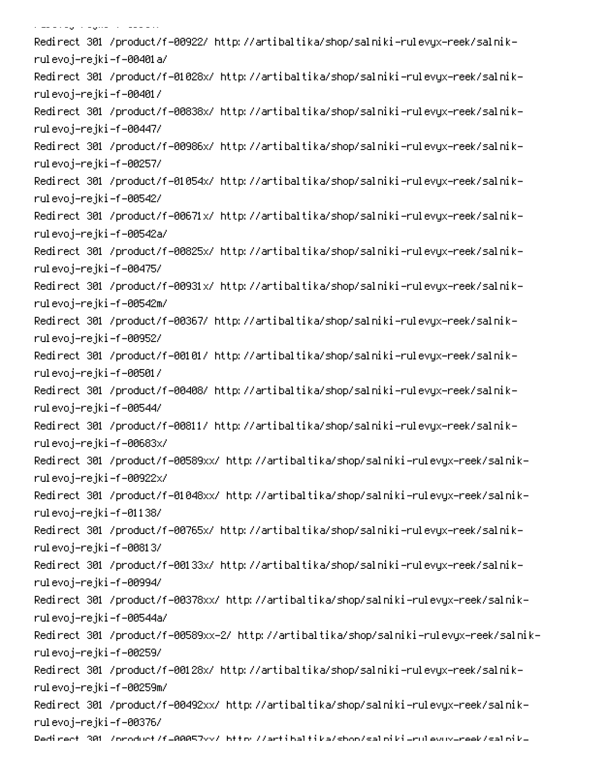.<br>مناسب المدرسات المتحدث المستخدمات -Redirect 301 /product/f-00922/ http://artibaltika/shop/salniki-rulevyx-reek/salnik rulevoj-rejki-f-00401 a/ -Redirect 301 /product/f-01028x/ http://artibaltika/shop/salniki-rulevyx-reek/salnik rulevoj–rejki–f–00401/ -Redirect 301 /product/f-00838x/ http://artibaltika/shop/salniki-rulevyx-reek/salnik rulevoj–rejki–f–00447/ -Redirect 301 /product/f-00986x/ http://artibaltika/shop/salniki-rulevyx-reek/salnik rulevoj–rejki–f–00257/ -Redirect 301 /product/f-01054x/ http://artibaltika/shop/salniki-rulevyx-reek/salnik rulevoj–rejki–f–00542/ -Redirect 301 /product/f-00671x/ http://artibaltika/shop/salniki-rulevyx-reek/salnik rulevoj-rejki-f-00542a/ -Redirect 301 /product/f-00825x/ http://artibaltika/shop/salniki-rulevyx-reek/salnik rulevoj–rejki–f–00475/ -Redirect 301 /product/f-00931x/ http://artibaltika/shop/salniki-rulevyx-reek/salnik rulevoj–rejki–f–00542m/ -Redirect 301 /product/f-00367/ http://artibaltika/shop/salniki-rulevyx-reek/salnik rulevoj–rejki–f–00952/ -Redirect 301 /product/f-00101/ http://artibaltika/shop/salniki-rulevyx-reek/salnik rulevoj–rejki–f–00501/ -Redirect 301 /product/f-00408/ http://artibaltika/shop/salniki-rulevyx-reek/salnik rulevoj–rejki–f–00544/ -Redirect 301 /product/f-00811/ http://artibaltika/shop/salniki-rulevyx-reek/salnik rulevoj–rejki–f–00683x/ -Redirect 301 /product/f-00589xx/ http://artibaltika/shop/salniki-rulevyx-reek/salnik rulevoj–rejki–f–00922x/ -Redirect 301 /product/f-01048xx/ http://artibaltika/shop/salniki-rulevyx-reek/salnik rulevoj–rejki–f–01138/ -Redirect 301 /product/f-00765x/ http://artibaltika/shop/salniki-rulevyx-reek/salnik rulevoj–rejki–f–00813/ -Redirect 301 /product/f-00133x/ http://artibaltika/shop/salniki-rulevyx-reek/salnik rulevoj–rejki–f–00994/ -Redirect 301 /product/f-00378xx/ http://artibaltika/shop/salniki-rulevyx-reek/salnik rulevoj-rejki-f-00544a/ -Redirect 301 /product/f-00589xx-2/ http://artibaltika/shop/salniki-rulevyx-reek/salnik rulevoj–rejki–f–00259/ -Redirect 301 /product/f-00128x/ http://artibaltika/shop/salniki-rulevyx-reek/salnik rulevoj–rejki–f–00259m/ -Redirect 301 /product/f-00492xx/ http://artibaltika/shop/salniki-rulevyx-reek/salnik rulevoj–rejki–f–00376/ Dedirect 301 /oroduct/f=00057vv/ bttp://artibaltika/shon/saloiki-rulevuv-reek/saloik-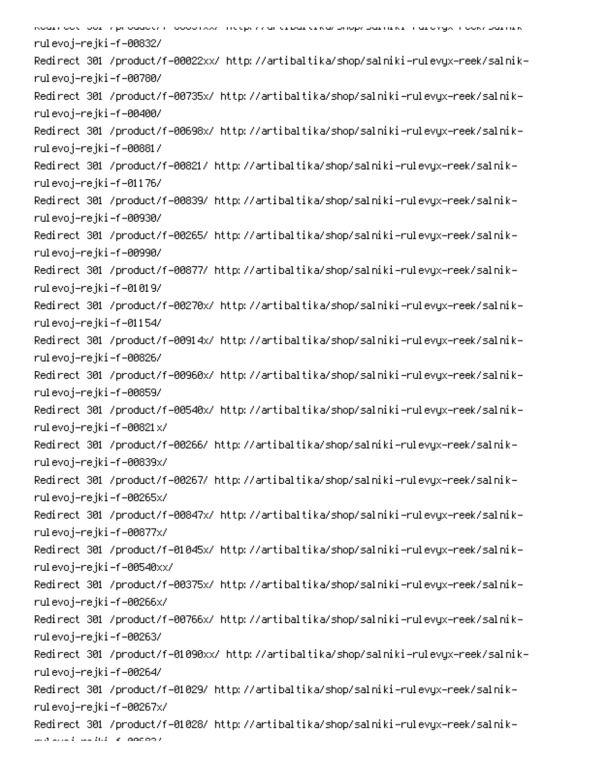6 PC 
0D!-Q - 00 0 rulevoj–rejki–f–00832/ -Redirect 301 /product/f-00022xx/ http://artibaltika/shop/salniki-rulevyx-reek/salnik rulevoj–rejki–f–00780/ -Redirect 301 /product/f-00735x/ http://artibaltika/shop/salniki-rulevyx-reek/salnik rulevoj–rejki–f–00400/ -Redirect 301 /product/f-00698x/ http://artibaltika/shop/salniki-rulevyx-reek/salnik rulevoj–rejki–f–00881/ -Redirect 301 /product/f-00821/ http://artibaltika/shop/salniki-rulevyx-reek/salnik rulevoj–rejki–f–01176/ -Redirect 301 /product/f-00839/ http://artibaltika/shop/salniki-rulevyx-reek/salnik rulevoj–rejki–f–00930/ -Redirect 301 /product/f-00265/ http://artibaltika/shop/salniki-rulevyx-reek/salnik rulevoj–rejki–f–00990/ -Redirect 301 /product/f-00877/ http://artibaltika/shop/salniki-rulevyx-reek/salnik rulevoj–rejki–f–01019/ -Redirect 301 /product/f-00270x/ http://artibaltika/shop/salniki-rulevyx-reek/salnik rulevoj–rejki–f–01154/ -Redirect 301 /product/f-00914x/ http://artibaltika/shop/salniki-rulevyx-reek/salnik rulevoj–rejki–f–00826/ -Redirect 301 /product/f-00960x/ http://artibaltika/shop/salniki-rulevyx-reek/salnik rulevoj–rejki–f–00859/ -Redirect 301 /product/f-00540x/ http://artibaltika/shop/salniki-rulevyx-reek/salnik rulevoj–rejki–f–00821x/ -Redirect 301 /product/f-00266/ http://artibaltika/shop/salniki-rulevyx-reek/salnik rulevoj–rejki–f–00839x/ -Redirect 301 /product/f-00267/ http://artibaltika/shop/salniki-rulevyx-reek/salnik rulevoj–rejki–f–00265x/ -Redirect 301 /product/f-00847x/ http://artibaltika/shop/salniki-rulevyx-reek/salnik rulevoj–rejki–f–00877x/ -Redirect 301 /product/f-01045x/ http://artibaltika/shop/salniki-rulevyx-reek/salnik rulevoj–rejki–f–00540xx/ -Redirect 301 /product/f-00375x/ http://artibaltika/shop/salniki-rulevyx-reek/salnik rulevoj–rejki–f–00266x/ -Redirect 301 /product/f-00766x/ http://artibaltika/shop/salniki-rulevyx-reek/salnik rulevoj–rejki–f–00263/ -Redirect 301 /product/f-01090xx/ http://artibaltika/shop/salniki-rulevyx-reek/salnik rulevoj–rejki–f–00264/ -Redirect 301 /product/f-01029/ http://artibaltika/shop/salniki-rulevyx-reek/salnik rulevoj–rejki–f–00267x/ -Redirect 301 /product/f-01028/ http://artibaltika/shop/salniki-rulevyx-reek/salnik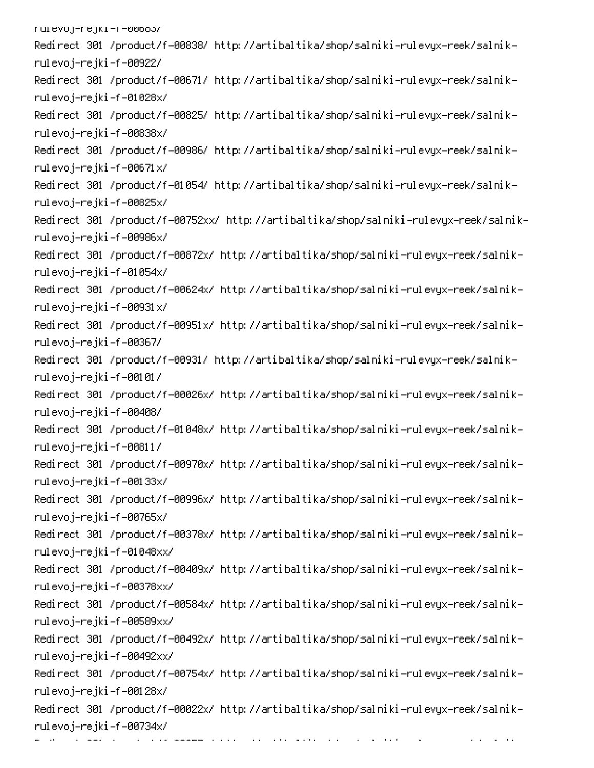ruievoj–rejki–r–oooos/ -Redirect 301 /product/f-00838/ http://artibaltika/shop/salniki-rulevyx-reek/salnik rulevoj–rejki–f–00922/ -Redirect 301 /product/f-00671/ http://artibaltika/shop/salniki-rulevyx-reek/salnik rulevoj–rejki–f–01028x/ -Redirect 301 /product/f-00825/ http://artibaltika/shop/salniki-rulevyx-reek/salnik rulevoj–rejki–f–00838x/ -Redirect 301 /product/f-00986/ http://artibaltika/shop/salniki-rulevyx-reek/salnik rulevoj–rejki–f–00671x/ -Redirect 301 /product/f-01054/ http://artibaltika/shop/salniki-rulevyx-reek/salnik rulevoj–rejki–f–00825x/ -Redirect 301 /product/f-00752xx/ http://artibaltika/shop/salniki-rulevyx-reek/salnik rulevoj–rejki–f–00986x/ -Redirect 301 /product/f-00872x/ http://artibaltika/shop/salniki-rulevyx-reek/salnik rulevoj–rejki–f–01054x/ -Redirect 301 /product/f-00624x/ http://artibaltika/shop/salniki-rulevyx-reek/salnik rulevoj–rejki–f–00931x/ -Redirect 301 /product/f-00951x/ http://artibaltika/shop/salniki-rulevyx-reek/salnik rulevoj–rejki–f–00367/ -Redirect 301 /product/f-00931/ http://artibaltika/shop/salniki-rulevyx-reek/salnik rulevoj–rejki–f–00101/ -Redirect 301 /product/f-00026x/ http://artibaltika/shop/salniki-rulevyx-reek/salnik rulevoj–rejki–f–00408/ -Redirect 301 /product/f-01048x/ http://artibaltika/shop/salniki-rulevyx-reek/salnik rulevoj–rejki–f–00811/ -Redirect 301 /product/f-00970x/ http://artibaltika/shop/salniki-rulevyx-reek/salnik rulevoj–rejki–f–00133x/ -Redirect 301 /product/f-00996x/ http://artibaltika/shop/salniki-rulevyx-reek/salnik rulevoj–rejki–f–00765x/ -Redirect 301 /product/f-00378x/ http://artibaltika/shop/salniki-rulevyx-reek/salnik rulevoj–rejki–f–01048xx/ -Redirect 301 /product/f-00409x/ http://artibaltika/shop/salniki-rulevyx-reek/salnik rulevoj–rejki–f–00378xx/ -Redirect 301 /product/f-00584x/ http://artibaltika/shop/salniki-rulevyx-reek/salnik rulevoj–rejki–f–00589xx/ -Redirect 301 /product/f-00492x/ http://artibaltika/shop/salniki-rulevyx-reek/salnik rulevoj–rejki–f–00492xx/ -Redirect 301 /product/f-00754x/ http://artibaltika/shop/salniki-rulevyx-reek/salnik rulevoj–rejki–f–00128x/ -Redirect 301 /product/f-00022x/ http://artibaltika/shop/salniki-rulevyx-reek/salnik rulevoj–rejki–f–00734x/ rak <del>alama</del> barri d

e e constante de la companya de la companya de la companya de la companya de la companya de la companya de la<br>La companya de la companya de la companya de la companya de la companya de la companya de la companya de la co

 $\mathcal{L}_{\mathcal{A}}$  , and  $\mathcal{L}_{\mathcal{A}}$  , and  $\mathcal{L}_{\mathcal{A}}$ 

on the control of the control of

0

6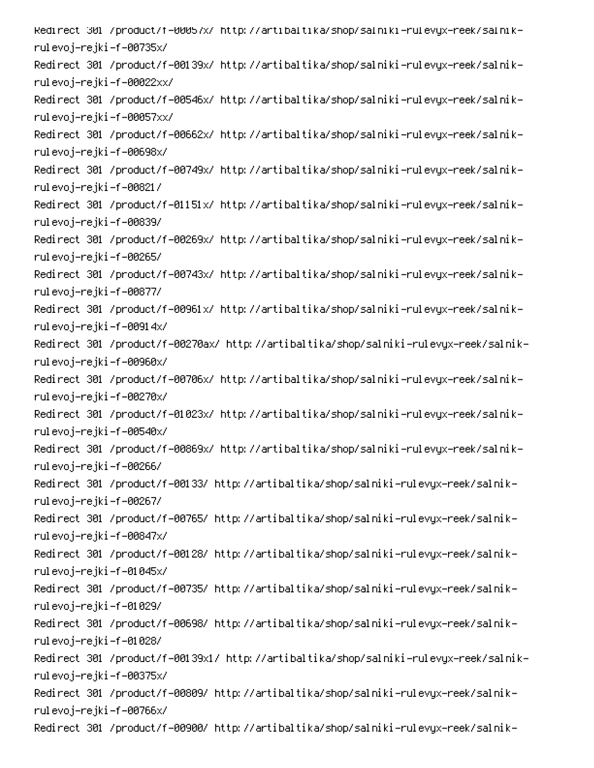-Redirect 301 /product/f=00057x/ http://artibaltika/shop/salniki=rulevyx=reek/salnik rulevoj–rejki–f–00735x/ -Redirect 301 /product/f-00139x/ http://artibaltika/shop/salniki-rulevyx-reek/salnik rulevoj–rejki–f–00022xx/ -Redirect 301 /product/f-00546x/ http://artibaltika/shop/salniki-rulevyx-reek/salnik rulevoj–rejki–f–00057xx/ -Redirect 301 /product/f-00662x/ http://artibaltika/shop/salniki-rulevyx-reek/salnik rulevoj–rejki–f–00698x/ -Redirect 301 /product/f-00749x/ http://artibaltika/shop/salniki-rulevyx-reek/salnik rulevoj–rejki–f–00821/ -Redirect 301 /product/f-01151x/ http://artibaltika/shop/salniki-rulevyx-reek/salnik rulevoj–rejki–f–00839/ -Redirect 301 /product/f-00269x/ http://artibaltika/shop/salniki-rulevyx-reek/salnik rulevoj–rejki–f–00265/ -Redirect 301 /product/f-00743x/ http://artibaltika/shop/salniki-rulevyx-reek/salnik rulevoj–rejki–f–00877/ -Redirect 301 /product/f-00961x/ http://artibaltika/shop/salniki-rulevyx-reek/salnik rulevoj–rejki–f–00914x/ -Redirect 301 /product/f-00270ax/ http://artibaltika/shop/salniki-rulevyx-reek/salnik rulevoj–rejki–f–00960x/ -Redirect 301 /product/f-00706x/ http://artibaltika/shop/salniki-rulevyx-reek/salnik rulevoj–rejki–f–00270x/ -Redirect 301 /product/f-01023x/ http://artibaltika/shop/salniki-rulevyx-reek/salnik rulevoj–rejki–f–00540x/ -Redirect 301 /product/f-00869x/ http://artibaltika/shop/salniki-rulevyx-reek/salnik rulevoj–rejki–f–00266/ -Redirect 301 /product/f-00133/ http://artibaltika/shop/salniki-rulevyx-reek/salnik rulevoj–rejki–f–00267/ -Redirect 301 /product/f-00765/ http://artibaltika/shop/salniki-rulevyx-reek/salnik rulevoj–rejki–f–00847x/ -Redirect 301 /product/f-00128/ http://artibaltika/shop/salniki-rulevyx-reek/salnik rulevoj–rejki–f–01045x/ -Redirect 301 /product/f-00735/ http://artibaltika/shop/salniki-rulevyx-reek/salnik rulevoj–rejki–f–01029/ -Redirect 301 /product/f-00698/ http://artibaltika/shop/salniki-rulevyx-reek/salnik rulevoj–rejki–f–01028/ -Redirect 301 /product/f-00139x1/ http://artibaltika/shop/salniki-rulevyx-reek/salnik rulevoj–rejki–f–00375x/ -Redirect 301 /product/f-00809/ http://artibaltika/shop/salniki-rulevyx-reek/salnik rulevoj–rejki–f–00766x/ -Redirect 301 /product/f-00900/ http://artibaltika/shop/salniki-rulevyx-reek/salnik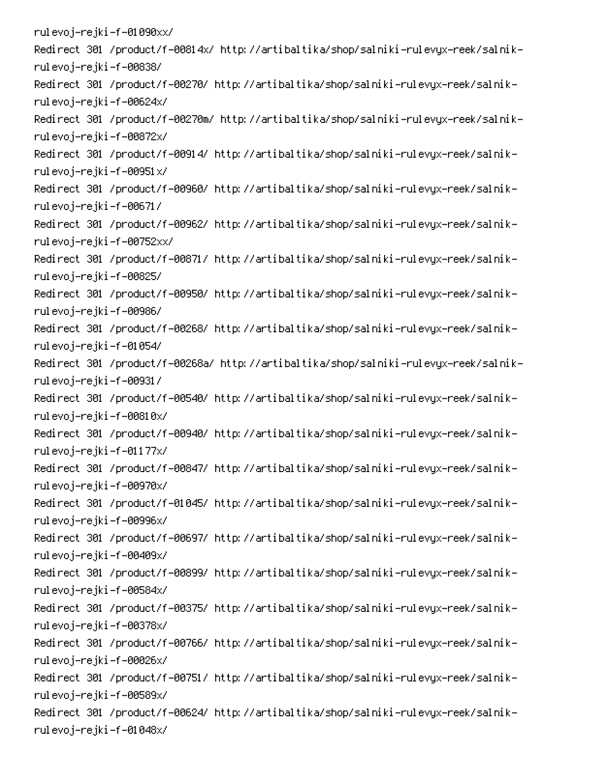rulevoj–rejki–f–01090xx/ -Redirect 301 /product/f-00814x/ http://artibaltika/shop/salniki-rulevyx-reek/salnik rulevoj–rejki–f–00838/ -Redirect 301 /product/f-00270/ http://artibaltika/shop/salniki-rulevyx-reek/salnik rulevoj–rejki–f–00624x/ -Redirect 301 /product/f-00270m/ http://artibaltika/shop/salniki-rulevyx-reek/salnik rulevoj–rejki–f–00872x/ -Redirect 301 /product/f-00914/ http://artibaltika/shop/salniki-rulevyx-reek/salnik rulevoj–rejki–f–00951x/ -Redirect 301 /product/f-00960/ http://artibaltika/shop/salniki-rulevyx-reek/salnik rulevoj–rejki–f–00671/ -Redirect 301 /product/f-00962/ http://artibaltika/shop/salniki-rulevyx-reek/salnik rulevoj–rejki–f–00752xx/ -Redirect 301 /product/f-00871/ http://artibaltika/shop/salniki-rulevyx-reek/salnik rulevoj–rejki–f–00825/ -Redirect 301 /product/f-00950/ http://artibaltika/shop/salniki-rulevyx-reek/salnik rulevoj–rejki–f–00986/ -Redirect 301 /product/f-00268/ http://artibaltika/shop/salniki-rulevyx-reek/salnik rulevoj–rejki–f–01054/ -Redirect 301 /product/f-00268a/ http://artibaltika/shop/salniki-rulevyx-reek/salnik rulevoj–rejki–f–00931/ -Redirect 301 /product/f-00540/ http://artibaltika/shop/salniki-rulevyx-reek/salnik rulevoj–rejki–f–00810x/ -Redirect 301 /product/f-00940/ http://artibaltika/shop/salniki-rulevyx-reek/salnik rulevoj–rejki–f–01177x/ -Redirect 301 /product/f-00847/ http://artibaltika/shop/salniki-rulevyx-reek/salnik rulevoj–rejki–f–00970x/ -Redirect 301 /product/f-01045/ http://artibaltika/shop/salniki-rulevyx-reek/salnik rulevoj–rejki–f–00996x/ -Redirect 301 /product/f-00697/ http://artibaltika/shop/salniki-rulevyx-reek/salnik rulevoj–rejki–f–00409x/ -Redirect 301 /product/f-00899/ http://artibaltika/shop/salniki-rulevyx-reek/salnik rulevoj–rejki–f–00584x/ -Redirect 301 /product/f-00375/ http://artibaltika/shop/salniki-rulevyx-reek/salnik rulevoj–rejki–f–00378x/ -Redirect 301 /product/f-00766/ http://artibaltika/shop/salniki-rulevyx-reek/salnik rulevoj–rejki–f–00026x/ -Redirect 301 /product/f-00751/ http://artibaltika/shop/salniki-rulevyx-reek/salnik rulevoj–rejki–f–00589x/ -Redirect 301 /product/f-00624/ http://artibaltika/shop/salniki-rulevyx-reek/salnik rulevoj–rejki–f–01048x/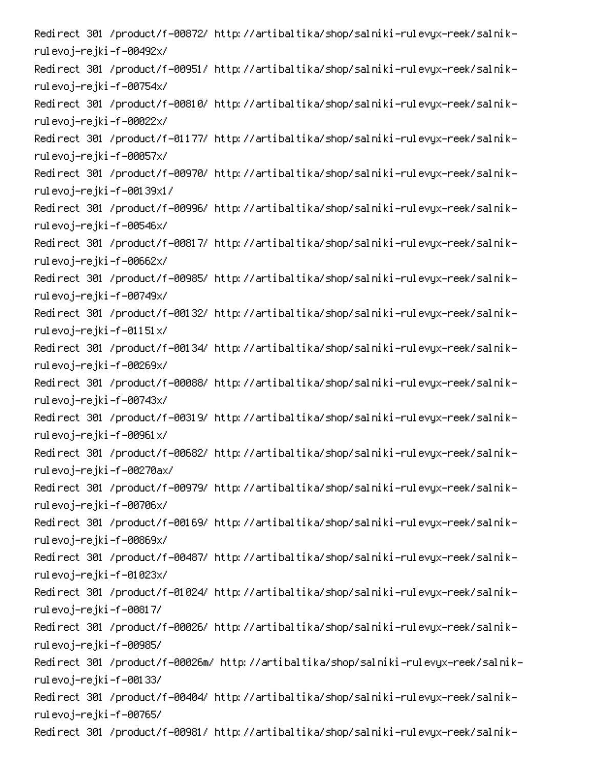-Redirect 301 /product/f-00872/ http://artibaltika/shop/salniki-rulevyx-reek/salnik rulevoj–rejki–f–00492x/ -Redirect 301 /product/f-00951/ http://artibaltika/shop/salniki-rulevyx-reek/salnik rulevoj–rejki–f–00754x/ -Redirect 301 /product/f-00810/ http://artibaltika/shop/salniki-rulevyx-reek/salnik rulevoj–rejki–f–00022x/ -Redirect 301 /product/f-01177/ http://artibaltika/shop/salniki-rulevyx-reek/salnik rulevoj–rejki–f–00057x/ -Redirect 301 /product/f-00970/ http://artibaltika/shop/salniki-rulevyx-reek/salnik rulevoj–rejki–f–00139x1/ -Redirect 301 /product/f-00996/ http://artibaltika/shop/salniki-rulevyx-reek/salnik rulevoj–rejki–f–00546x/ -Redirect 301 /product/f-00817/ http://artibaltika/shop/salniki-rulevyx-reek/salnik rulevoj–rejki–f–00662x/ -Redirect 301 /product/f-00985/ http://artibaltika/shop/salniki-rulevyx-reek/salnik rulevoj–rejki–f–00749x/ -Redirect 301 /product/f-00132/ http://artibaltika/shop/salniki-rulevyx-reek/salnik rulevoj–rejki–f–01151x/ -Redirect 301 /product/f-00134/ http://artibaltika/shop/salniki-rulevyx-reek/salnik rulevoj–rejki–f–00269x/ -Redirect 301 /product/f-00088/ http://artibaltika/shop/salniki-rulevyx-reek/salnik rulevoj–rejki–f–00743x/ -Redirect 301 /product/f-00319/ http://artibaltika/shop/salniki-rulevyx-reek/salnik rulevoj–rejki–f–00961x/ -Redirect 301 /product/f-00682/ http://artibaltika/shop/salniki-rulevyx-reek/salnik rulevoj-rejki-f-00270ax/ -Redirect 301 /product/f-00979/ http://artibaltika/shop/salniki-rulevyx-reek/salnik rulevoj–rejki–f–00706x/ -Redirect 301 /product/f-00169/ http://artibaltika/shop/salniki-rulevyx-reek/salnik rulevoj–rejki–f–00869x/ -Redirect 301 /product/f-00487/ http://artibaltika/shop/salniki-rulevyx-reek/salnik rulevoj–rejki–f–01023x/ -Redirect 301 /product/f-01024/ http://artibaltika/shop/salniki-rulevyx-reek/salnik rulevoj–rejki–f–00817/ -Redirect 301 /product/f-00026/ http://artibaltika/shop/salniki-rulevyx-reek/salnik rulevoj–rejki–f–00985/ -Redirect 301 /product/f-00026m/ http://artibaltika/shop/salniki-rulevyx-reek/salnik rulevoj–rejki–f–00133/ -Redirect 301 /product/f-00404/ http://artibaltika/shop/salniki-rulevyx-reek/salnik rulevoj–rejki–f–00765/ -Redirect 301 /product/f-00981/ http://artibaltika/shop/salniki-rulevyx-reek/salnik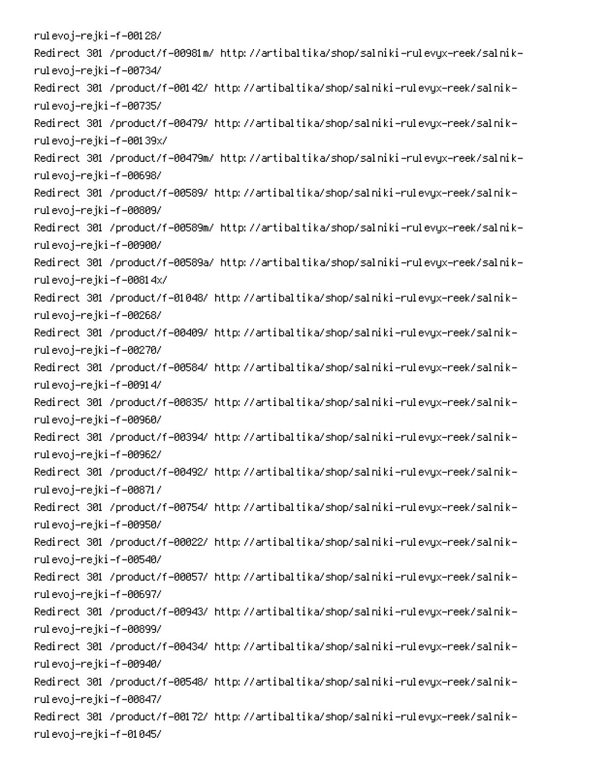rulevoj–rejki–f–00128/ -Redirect 301 /product/f-00981m/ http://artibaltika/shop/salniki-rulevyx-reek/salnik rulevoj–rejki–f–00734/ -Redirect 301 /product/f-00142/ http://artibaltika/shop/salniki-rulevyx-reek/salnik rulevoj–rejki–f–00735/ -Redirect 301 /product/f-00479/ http://artibaltika/shop/salniki-rulevyx-reek/salnik rulevoj–rejki–f–00139x/ -Redirect 301 /product/f-00479m/ http://artibaltika/shop/salniki-rulevyx-reek/salnik rulevoj–rejki–f–00698/ -Redirect 301 /product/f-00589/ http://artibaltika/shop/salniki-rulevyx-reek/salnik rulevoj–rejki–f–00809/ -Redirect 301 /product/f-00589m/ http://artibaltika/shop/salniki-rulevyx-reek/salnik rulevoj–rejki–f–00900/ -Redirect 301 /product/f-00589a/ http://artibaltika/shop/salniki-rulevyx-reek/salnik rulevoj–rejki–f–00814x/ -Redirect 301 /product/f-01048/ http://artibaltika/shop/salniki-rulevyx-reek/salnik rulevoj–rejki–f–00268/ -Redirect 301 /product/f-00409/ http://artibaltika/shop/salniki-rulevyx-reek/salnik rulevoj–rejki–f–00270/ -Redirect 301 /product/f-00584/ http://artibaltika/shop/salniki-rulevyx-reek/salnik rulevoj–rejki–f–00914/ -Redirect 301 /product/f-00835/ http://artibaltika/shop/salniki-rulevyx-reek/salnik rulevoj–rejki–f–00960/ -Redirect 301 /product/f-00394/ http://artibaltika/shop/salniki-rulevyx-reek/salnik rulevoj–rejki–f–00962/ -Redirect 301 /product/f-00492/ http://artibaltika/shop/salniki-rulevyx-reek/salnik rulevoj–rejki–f–00871/ -Redirect 301 /product/f-00754/ http://artibaltika/shop/salniki-rulevyx-reek/salnik rulevoj–rejki–f–00950/ -Redirect 301 /product/f-00022/ http://artibaltika/shop/salniki-rulevyx-reek/salnik rulevoj–rejki–f–00540/ -Redirect 301 /product/f-00057/ http://artibaltika/shop/salniki-rulevyx-reek/salnik rulevoj–rejki–f–00697/ -Redirect 301 /product/f-00943/ http://artibaltika/shop/salniki-rulevyx-reek/salnik rulevoj–rejki–f–00899/ -Redirect 301 /product/f-00434/ http://artibaltika/shop/salniki-rulevyx-reek/salnik rulevoj–rejki–f–00940/ -Redirect 301 /product/f-00548/ http://artibaltika/shop/salniki-rulevyx-reek/salnik rulevoj–rejki–f–00847/ -Redirect 301 /product/f-00172/ http://artibaltika/shop/salniki-rulevyx-reek/salnik rulevoj–rejki–f–01045/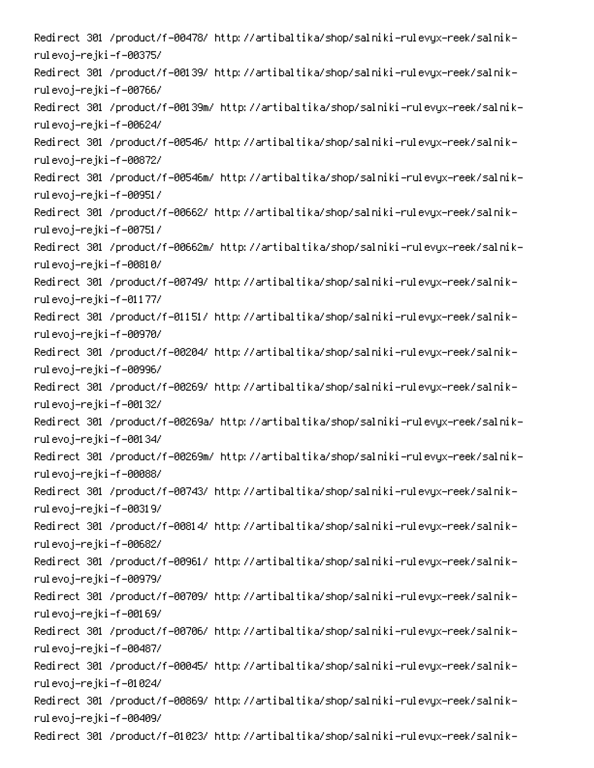-Redirect 301 /product/f-00478/ http://artibaltika/shop/salniki-rulevyx-reek/salnik rulevoj–rejki–f–00375/ -Redirect 301 /product/f-00139/ http://artibaltika/shop/salniki-rulevyx-reek/salnik rulevoj–rejki–f–00766/ -Redirect 301 /product/f-00139m/ http://artibaltika/shop/salniki-rulevyx-reek/salnik rulevoj–rejki–f–00624/ -Redirect 301 /product/f-00546/ http://artibaltika/shop/salniki-rulevyx-reek/salnik rulevoj–rejki–f–00872/ -Redirect 301 /product/f-00546m/ http://artibaltika/shop/salniki-rulevyx-reek/salnik rulevoj–rejki–f–00951/ -Redirect 301 /product/f-00662/ http://artibaltika/shop/salniki-rulevyx-reek/salnik rulevoj–rejki–f–00751/ -Redirect 301 /product/f-00662m/ http://artibaltika/shop/salniki-rulevyx-reek/salnik rulevoj–rejki–f–00810/ -Redirect 301 /product/f-00749/ http://artibaltika/shop/salniki-rulevyx-reek/salnik rulevoj–rejki–f–01177/ -Redirect 301 /product/f-01151/ http://artibaltika/shop/salniki-rulevyx-reek/salnik rulevoj–rejki–f–00970/ -Redirect 301 /product/f-00204/ http://artibaltika/shop/salniki-rulevyx-reek/salnik rulevoj–rejki–f–00996/ -Redirect 301 /product/f-00269/ http://artibaltika/shop/salniki-rulevyx-reek/salnik rulevoj–rejki–f–00132/ -Redirect 301 /product/f-00269a/ http://artibaltika/shop/salniki-rulevyx-reek/salnik rulevoj–rejki–f–00134/ -Redirect 301 /product/f-00269m/ http://artibaltika/shop/salniki-rulevyx-reek/salnik rulevoj–rejki–f–00088/ -Redirect 301 /product/f-00743/ http://artibaltika/shop/salniki-rulevyx-reek/salnik rulevoj–rejki–f–00319/ -Redirect 301 /product/f-00814/ http://artibaltika/shop/salniki-rulevyx-reek/salnik rulevoj–rejki–f–00682/ -Redirect 301 /product/f-00961/ http://artibaltika/shop/salniki-rulevyx-reek/salnik rulevoj–rejki–f–00979/ -Redirect 301 /product/f-00709/ http://artibaltika/shop/salniki-rulevyx-reek/salnik rulevoj–rejki–f–00169/ -Redirect 301 /product/f-00706/ http://artibaltika/shop/salniki-rulevyx-reek/salnik rulevoj–rejki–f–00487/ -Redirect 301 /product/f-00045/ http://artibaltika/shop/salniki-rulevyx-reek/salnik rulevoj–rejki–f–01024/ -Redirect 301 /product/f-00869/ http://artibaltika/shop/salniki-rulevyx-reek/salnik rulevoj–rejki–f–00409/ -Redirect 301 /product/f-01023/ http://artibaltika/shop/salniki-rulevyx-reek/salnik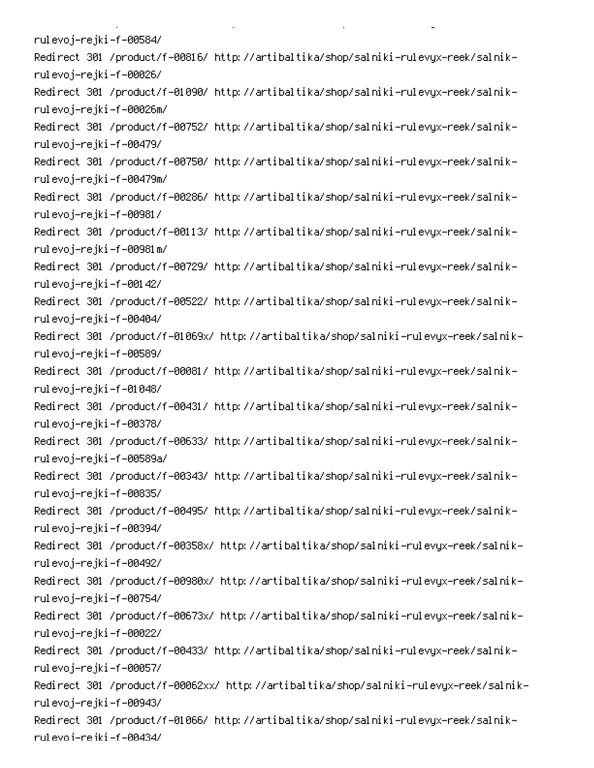rulevoj–rejki–f–00584/ -Redirect 301 /product/f-00816/ http://artibaltika/shop/salniki-rulevyx-reek/salnik rulevoj–rejki–f–00026/ -Redirect 301 /product/f-01090/ http://artibaltika/shop/salniki-rulevyx-reek/salnik rulevoj–rejki–f–00026m/ -Redirect 301 /product/f-00752/ http://artibaltika/shop/salniki-rulevyx-reek/salnik rulevoj–rejki–f–00479/ -Redirect 301 /product/f-00750/ http://artibaltika/shop/salniki-rulevyx-reek/salnik rulevoj–rejki–f–00479m/ -Redirect 301 /product/f-00286/ http://artibaltika/shop/salniki-rulevyx-reek/salnik rulevoj–rejki–f–00981/ -Redirect 301 /product/f-00113/ http://artibaltika/shop/salniki-rulevyx-reek/salnik rulevoj–rejki–f–00981m/ -Redirect 301 /product/f-00729/ http://artibaltika/shop/salniki-rulevyx-reek/salnik rulevoj–rejki–f–00142/ -Redirect 301 /product/f-00522/ http://artibaltika/shop/salniki-rulevyx-reek/salnik rulevoj–rejki–f–00404/ -Redirect 301 /product/f-01069x/ http://artibaltika/shop/salniki-rulevyx-reek/salnik rulevoj–rejki–f–00589/ -Redirect 301 /product/f-00081/ http://artibaltika/shop/salniki-rulevyx-reek/salnik rulevoj–rejki–f–01048/ -Redirect 301 /product/f-00431/ http://artibaltika/shop/salniki-rulevyx-reek/salnik rulevoj–rejki–f–00378/ -Redirect 301 /product/f-00633/ http://artibaltika/shop/salniki-rulevyx-reek/salnik rulevoj-rejki-f-00589a/ -Redirect 301 /product/f-00343/ http://artibaltika/shop/salniki-rulevyx-reek/salnik rulevoj–rejki–f–00835/ -Redirect 301 /product/f-00495/ http://artibaltika/shop/salniki-rulevyx-reek/salnik rulevoj–rejki–f–00394/ -Redirect 301 /product/f-00358x/ http://artibaltika/shop/salniki-rulevyx-reek/salnik rulevoj–rejki–f–00492/ -Redirect 301 /product/f-00980x/ http://artibaltika/shop/salniki-rulevyx-reek/salnik rulevoj–rejki–f–00754/ -Redirect 301 /product/f-00673x/ http://artibaltika/shop/salniki-rulevyx-reek/salnik rulevoj–rejki–f–00022/ -Redirect 301 /product/f-00433/ http://artibaltika/shop/salniki-rulevyx-reek/salnik rulevoj–rejki–f–00057/ -Redirect 301 /product/f-00062xx/ http://artibaltika/shop/salniki-rulevyx-reek/salnik rulevoj–rejki–f–00943/ -Redirect 301 /product/f-01066/ http://artibaltika/shop/salniki-rulevyx-reek/salnik rul evo i-re iki -f -00434/

**Contract Contract** 

 $\mathbf{L}^{\text{max}}$ 

on the state of the state of the

PC PC PC PC PC PC PC PC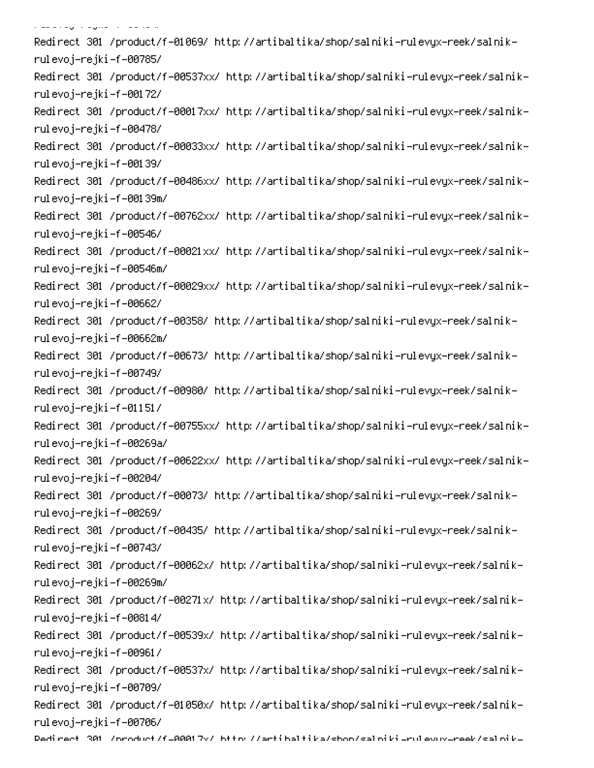.<br>الماضا صفار الأسمان في الماض الماضي الم -Redirect 301 /product/f-01069/ http://artibaltika/shop/salniki-rulevyx-reek/salnik rulevoj–rejki–f–00785/ -Redirect 301 /product/f-00537xx/ http://artibaltika/shop/salniki-rulevyx-reek/salnik rulevoj–rejki–f–00172/ -Redirect 301 /product/f-00017xx/ http://artibaltika/shop/salniki-rulevyx-reek/salnik rulevoj–rejki–f–00478/ -Redirect 301 /product/f-00033xx/ http://artibaltika/shop/salniki-rulevyx-reek/salnik rulevoj–rejki–f–00139/ -Redirect 301 /product/f-00486xx/ http://artibaltika/shop/salniki-rulevyx-reek/salnik rulevoj–rejki–f–00139m/ -Redirect 301 /product/f-00762xx/ http://artibaltika/shop/salniki-rulevyx-reek/salnik rulevoj–rejki–f–00546/ -Redirect 301 /product/f-00021xx/ http://artibaltika/shop/salniki-rulevyx-reek/salnik rulevoj–rejki–f–00546m/ -Redirect 301 /product/f-00029xx/ http://artibaltika/shop/salniki-rulevyx-reek/salnik rulevoj–rejki–f–00662/ -Redirect 301 /product/f-00358/ http://artibaltika/shop/salniki-rulevyx-reek/salnik rulevoj–rejki–f–00662m/ -Redirect 301 /product/f-00673/ http://artibaltika/shop/salniki-rulevyx-reek/salnik rulevoj–rejki–f–00749/ -Redirect 301 /product/f-00980/ http://artibaltika/shop/salniki-rulevyx-reek/salnik rulevoj–rejki–f–01151/ -Redirect 301 /product/f-00755xx/ http://artibaltika/shop/salniki-rulevyx-reek/salnik rulevoj-rejki-f-00269a/ -Redirect 301 /product/f-00622xx/ http://artibaltika/shop/salniki-rulevyx-reek/salnik rulevoj–rejki–f–00204/ -Redirect 301 /product/f-00073/ http://artibaltika/shop/salniki-rulevyx-reek/salnik rulevoj–rejki–f–00269/ -Redirect 301 /product/f-00435/ http://artibaltika/shop/salniki-rulevyx-reek/salnik rulevoj–rejki–f–00743/ -Redirect 301 /product/f-00062x/ http://artibaltika/shop/salniki-rulevyx-reek/salnik rulevoj–rejki–f–00269m/ -Redirect 301 /product/f-00271x/ http://artibaltika/shop/salniki-rulevyx-reek/salnik rulevoj–rejki–f–00814/ -Redirect 301 /product/f-00539x/ http://artibaltika/shop/salniki-rulevyx-reek/salnik rulevoj–rejki–f–00961/ -Redirect 301 /product/f-00537x/ http://artibaltika/shop/salniki-rulevyx-reek/salnik rulevoj–rejki–f–00709/ -Redirect 301 /product/f-01050x/ http://artibaltika/shop/salniki-rulevyx-reek/salnik rulevoj–rejki–f–00706/ Dedirect 301 /oroduct/f=00017v/ bttp://artibaltika/shoo/salpiki=rulevuv=reek/salpik=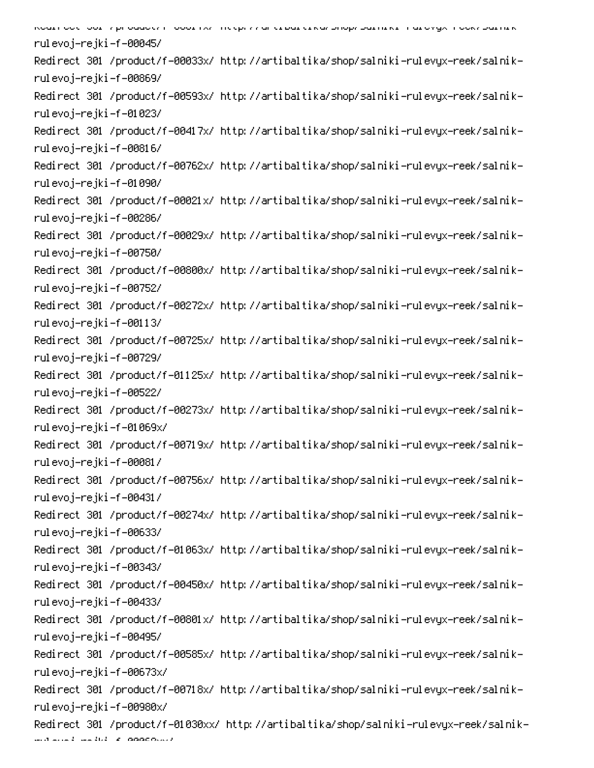6 PC 
0C!-Q - 00 0 rulevoj–rejki–f–00045/ -Redirect 301 /product/f-00033x/ http://artibaltika/shop/salniki-rulevyx-reek/salnik rulevoj–rejki–f–00869/ -Redirect 301 /product/f-00593x/ http://artibaltika/shop/salniki-rulevyx-reek/salnik rulevoj–rejki–f–01023/ -Redirect 301 /product/f-00417x/ http://artibaltika/shop/salniki-rulevyx-reek/salnik rulevoj–rejki–f–00816/ -Redirect 301 /product/f-00762x/ http://artibaltika/shop/salniki-rulevyx-reek/salnik rulevoj–rejki–f–01090/ -Redirect 301 /product/f-00021x/ http://artibaltika/shop/salniki-rulevyx-reek/salnik rulevoj–rejki–f–00286/ -Redirect 301 /product/f-00029x/ http://artibaltika/shop/salniki-rulevyx-reek/salnik rulevoj–rejki–f–00750/ -Redirect 301 /product/f-00800x/ http://artibaltika/shop/salniki-rulevyx-reek/salnik rulevoj–rejki–f–00752/ -Redirect 301 /product/f-00272x/ http://artibaltika/shop/salniki-rulevyx-reek/salnik rulevoj–rejki–f–00113/ -Redirect 301 /product/f-00725x/ http://artibaltika/shop/salniki-rulevyx-reek/salnik rulevoj–rejki–f–00729/ -Redirect 301 /product/f-01125x/ http://artibaltika/shop/salniki-rulevyx-reek/salnik rulevoj–rejki–f–00522/ -Redirect 301 /product/f-00273x/ http://artibaltika/shop/salniki-rulevyx-reek/salnik rulevoj–rejki–f–01069x/ -Redirect 301 /product/f-00719x/ http://artibaltika/shop/salniki-rulevyx-reek/salnik rulevoj–rejki–f–00081/ -Redirect 301 /product/f-00756x/ http://artibaltika/shop/salniki-rulevyx-reek/salnik rulevoj–rejki–f–00431/ -Redirect 301 /product/f-00274x/ http://artibaltika/shop/salniki-rulevyx-reek/salnik rulevoj–rejki–f–00633/ -Redirect 301 /product/f-01063x/ http://artibaltika/shop/salniki-rulevyx-reek/salnik rulevoj–rejki–f–00343/ -Redirect 301 /product/f-00450x/ http://artibaltika/shop/salniki-rulevyx-reek/salnik rulevoj–rejki–f–00433/ -Redirect 301 /product/f-00801x/ http://artibaltika/shop/salniki-rulevyx-reek/salnik rulevoj–rejki–f–00495/ -Redirect 301 /product/f-00585x/ http://artibaltika/shop/salniki-rulevyx-reek/salnik rulevoj–rejki–f–00673x/ -Redirect 301 /product/f-00718x/ http://artibaltika/shop/salniki-rulevyx-reek/salnik rulevoj–rejki–f–00980x/ -Redirect 301 /product/f-01030xx/ http://artibaltika/shop/salniki-rulevyx-reek/salnik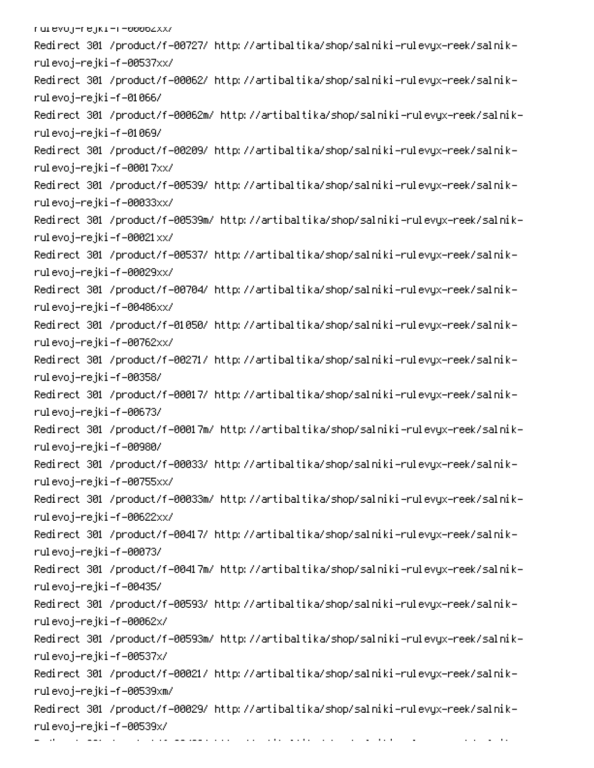| ruievoj-rejki-r-popozxx/                                                             |
|--------------------------------------------------------------------------------------|
| Redirect 301 /product/f-00727/ http://artibaltika/shop/salniki-rulevyx-reek/salnik-  |
| rulevoj-rejki-f-00537xx/                                                             |
| Redirect 301 /product/f-00062/ http://artibaltika/shop/salniki-rulevyx-reek/salnik-  |
| rulevoj–rejki–f–01066/                                                               |
| Redirect 301 /product/f-00062m/ http://artibaltika/shop/salniki-rulevyx-reek/salnik- |
| rulevoj–rejki–f–01069/                                                               |
| Redirect 301 /product/f-00209/ http://artibaltika/shop/salniki-rulevyx-reek/salnik-  |
| rulevoj–rejki –f–00017xx/                                                            |
| Redirect 301 /product/f-00539/ http://artibaltika/shop/salniki-rulevyx-reek/salnik-  |
| rulevoj–rejki –f–00033xx/                                                            |
| Redirect 301 /product/f-00539m/ http://artibaltika/shop/salniki-rulevyx-reek/salnik- |
| rulevoj–rejki –f–00021xx/                                                            |
| Redirect 301 /product/f-00537/ http://artibaltika/shop/salniki-rulevyx-reek/salnik-  |
| rulevoj–rejki –f–00029xx/                                                            |
| Redirect 301 /product/f-00704/ http://artibaltika/shop/salniki-rulevyx-reek/salnik-  |
| rulevoj–rejki–f–00486xx/                                                             |
| Redirect 301 /product/f-01050/ http://artibaltika/shop/salniki-rulevyx-reek/salnik-  |
| rulevoj-rejki-f-00762xx/                                                             |
| Redirect 301 /product/f-00271/ http://artibaltika/shop/salniki-rulevyx-reek/salnik-  |
| rulevoj–rejki –f–00358/                                                              |
| Redirect 301 /product/f-00017/ http://artibaltika/shop/salniki-rulevyx-reek/salnik-  |
| rulevoj–rejki–f–00673/                                                               |
| Redirect 301 /product/f-00017m/ http://artibaltika/shop/salniki-rulevyx-reek/salnik- |
| rulevoj–rejki–f–00980/                                                               |
| Redirect 301 /product/f-00033/ http://artibaltika/shop/salniki-rulevyx-reek/salnik-  |
| rulevoj-rejki-f-00755xx/                                                             |
| Redirect 301 /product/f-00033m/ http://artibaltika/shop/salniki-rulevyx-reek/salnik- |
| rulevoj-rejki-f-00622xx/                                                             |
| Redirect 301 /product/f-00417/ http://artibaltika/shop/salniki-rulevyx-reek/salnik-  |
| rulevoj-rejki-f-00073/                                                               |
| Redirect 301 /product/f-00417m/ http://artibaltika/shop/salniki-rulevyx-reek/salnik- |
| rulevoj–rejki–f–00435/                                                               |
| Redirect 301 /product/f-00593/ http://artibaltika/shop/salniki-rulevyx-reek/salnik-  |
| rulevoj–rejki –f–00062x/                                                             |
| Redirect 301 /product/f-00593m/ http://artibaltika/shop/salniki-rulevyx-reek/salnik- |
| rulevoj-rejki-f-00537x/                                                              |
| Redirect 301 /product/f-00021/ http://artibaltika/shop/salniki-rulevyx-reek/salnik-  |
| rulevoj-rejki-f-00539xm/                                                             |
| Redirect 301 /product/f-00029/ http://artibaltika/shop/salniki-rulevyx-reek/salnik-  |
| rulevoj-rejki-f-00539x/                                                              |
| والمستقرق والمستحدث والمتعارفة والمتعارض والمتعارف والمتعلق والمتعارض                |

de la companya de la companya de la companya de la companya de la companya de la companya de la companya de la<br>Entre la companya

00 0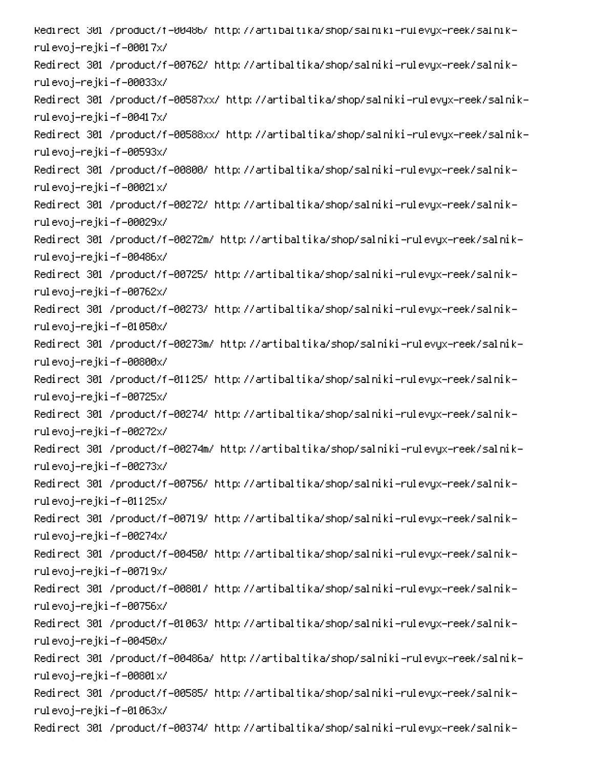-Redirect 301 /product/f-00486/ http://artibaltika/shop/salniki-rulevyx-reek/salnik rulevoj–rejki–f–00017x/ -Redirect 301 /product/f-00762/ http://artibaltika/shop/salniki-rulevyx-reek/salnik rulevoj–rejki–f–00033x/ -Redirect 301 /product/f-00587xx/ http://artibaltika/shop/salniki-rulevyx-reek/salnik rulevoj–rejki–f–00417x/ -Redirect 301 /product/f-00588xx/ http://artibaltika/shop/salniki-rulevyx-reek/salnik rulevoj–rejki–f–00593x/ -Redirect 301 /product/f-00800/ http://artibaltika/shop/salniki-rulevyx-reek/salnik rulevoj–rejki–f–00021x/ -Redirect 301 /product/f-00272/ http://artibaltika/shop/salniki-rulevyx-reek/salnik rulevoj–rejki–f–00029x/ -Redirect 301 /product/f-00272m/ http://artibaltika/shop/salniki-rulevyx-reek/salnik rulevoj–rejki–f–00486x/ -Redirect 301 /product/f-00725/ http://artibaltika/shop/salniki-rulevyx-reek/salnik rulevoj–rejki–f–00762x/ -Redirect 301 /product/f-00273/ http://artibaltika/shop/salniki-rulevyx-reek/salnik rulevoj–rejki–f–01050x/ -Redirect 301 /product/f-00273m/ http://artibaltika/shop/salniki-rulevyx-reek/salnik rulevoj–rejki–f–00800x/ -Redirect 301 /product/f-01125/ http://artibaltika/shop/salniki-rulevyx-reek/salnik rulevoj–rejki–f–00725x/ -Redirect 301 /product/f-00274/ http://artibaltika/shop/salniki-rulevyx-reek/salnik rulevoj–rejki–f–00272x/ -Redirect 301 /product/f-00274m/ http://artibaltika/shop/salniki-rulevyx-reek/salnik rulevoj–rejki–f–00273x/ -Redirect 301 /product/f-00756/ http://artibaltika/shop/salniki-rulevyx-reek/salnik rulevoj–rejki–f–01125x/ -Redirect 301 /product/f-00719/ http://artibaltika/shop/salniki-rulevyx-reek/salnik rulevoj–rejki–f–00274x/ -Redirect 301 /product/f-00450/ http://artibaltika/shop/salniki-rulevyx-reek/salnik rulevoj–rejki–f–00719x/ -Redirect 301 /product/f-00801/ http://artibaltika/shop/salniki-rulevyx-reek/salnik rulevoj–rejki–f–00756x/ -Redirect 301 /product/f-01063/ http://artibaltika/shop/salniki-rulevyx-reek/salnik rulevoj–rejki–f–00450x/ -Redirect 301 /product/f-00486a/ http://artibaltika/shop/salniki-rulevyx-reek/salnik rulevoj–rejki–f–00801x/ -Redirect 301 /product/f-00585/ http://artibaltika/shop/salniki-rulevyx-reek/salnik rulevoj–rejki–f–01063x/ -Redirect 301 /product/f-00374/ http://artibaltika/shop/salniki-rulevyx-reek/salnik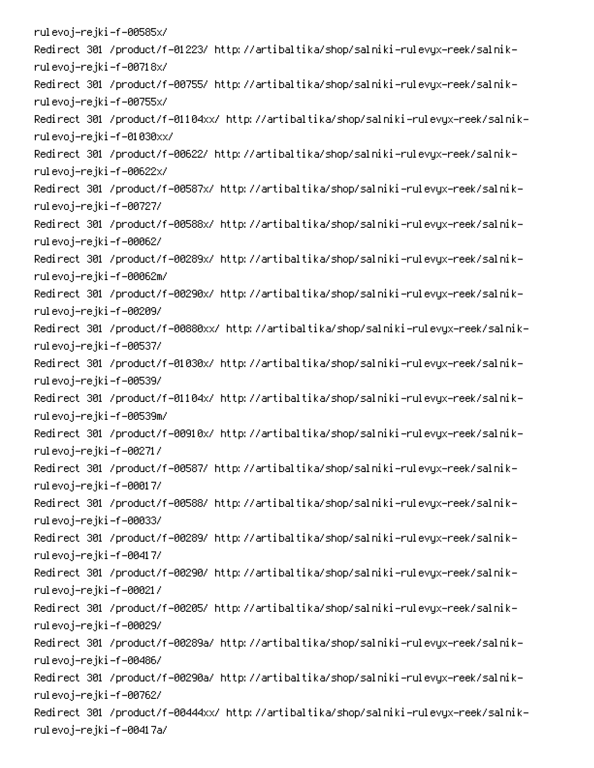rulevoj–rejki–f–00585x/ -Redirect 301 /product/f-01223/ http://artibaltika/shop/salniki-rulevyx-reek/salnik rulevoj–rejki–f–00718x/ -Redirect 301 /product/f-00755/ http://artibaltika/shop/salniki-rulevyx-reek/salnik rulevoj–rejki–f–00755x/ -Redirect 301 /product/f-01104xx/ http://artibaltika/shop/salniki-rulevyx-reek/salnik rulevoj–rejki–f–01030xx/ -Redirect 301 /product/f-00622/ http://artibaltika/shop/salniki-rulevyx-reek/salnik rulevoj–rejki–f–00622x/ -Redirect 301 /product/f-00587x/ http://artibaltika/shop/salniki-rulevyx-reek/salnik rulevoj–rejki–f–00727/ -Redirect 301 /product/f-00588x/ http://artibaltika/shop/salniki-rulevyx-reek/salnik rulevoj–rejki–f–00062/ -Redirect 301 /product/f-00289x/ http://artibaltika/shop/salniki-rulevyx-reek/salnik rulevoj–rejki–f–00062m/ -Redirect 301 /product/f-00290x/ http://artibaltika/shop/salniki-rulevyx-reek/salnik rulevoj–rejki–f–00209/ -Redirect 301 /product/f-00880xx/ http://artibaltika/shop/salniki-rulevyx-reek/salnik rulevoj–rejki–f–00537/ -Redirect 301 /product/f-01030x/ http://artibaltika/shop/salniki-rulevyx-reek/salnik rulevoj–rejki–f–00539/ -Redirect 301 /product/f-01104x/ http://artibaltika/shop/salniki-rulevyx-reek/salnik rulevoj–rejki–f–00539m/ -Redirect 301 /product/f-00910x/ http://artibaltika/shop/salniki-rulevyx-reek/salnik rulevoj–rejki–f–00271/ -Redirect 301 /product/f-00587/ http://artibaltika/shop/salniki-rulevyx-reek/salnik rulevoj–rejki–f–00017/ -Redirect 301 /product/f-00588/ http://artibaltika/shop/salniki-rulevyx-reek/salnik rulevoj–rejki–f–00033/ -Redirect 301 /product/f-00289/ http://artibaltika/shop/salniki-rulevyx-reek/salnik rulevoj–rejki–f–00417/ -Redirect 301 /product/f-00290/ http://artibaltika/shop/salniki-rulevyx-reek/salnik rulevoj–rejki–f–00021/ -Redirect 301 /product/f-00205/ http://artibaltika/shop/salniki-rulevyx-reek/salnik rulevoj–rejki–f–00029/ -Redirect 301 /product/f-00289a/ http://artibaltika/shop/salniki-rulevyx-reek/salnik rulevoj–rejki–f–00486/ -Redirect 301 /product/f-00290a/ http://artibaltika/shop/salniki-rulevyx-reek/salnik rulevoj–rejki–f–00762/ Redirect 301 /product/f-00444xx/ http://artibaltika/shop/salniki-rulevyx-reek/salnikrulevoj-rejki-f-00417a/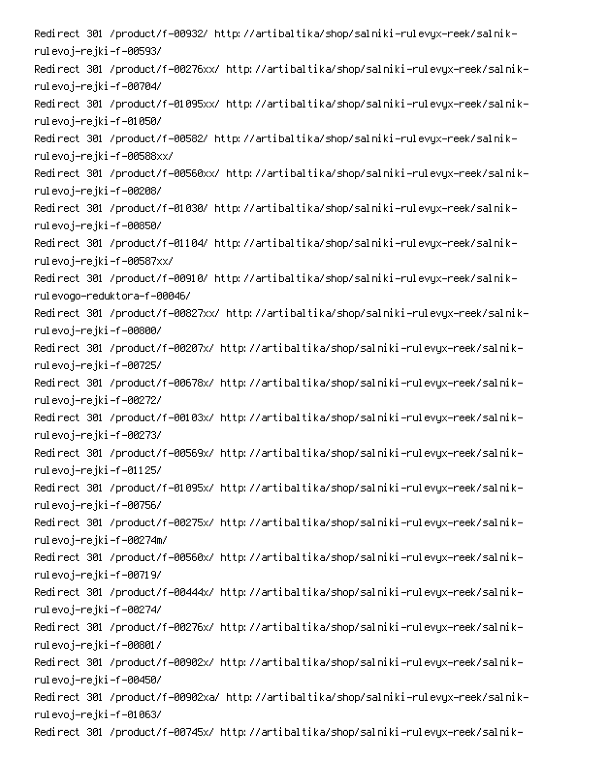-Redirect 301 /product/f-00932/ http://artibaltika/shop/salniki-rulevyx-reek/salnik rulevoj–rejki–f–00593/ -Redirect 301 /product/f-00276xx/ http://artibaltika/shop/salniki-rulevyx-reek/salnik rulevoj–rejki–f–00704/ -Redirect 301 /product/f-01095xx/ http://artibaltika/shop/salniki-rulevyx-reek/salnik rulevoj–rejki–f–01050/ -Redirect 301 /product/f-00582/ http://artibaltika/shop/salniki-rulevyx-reek/salnik rulevoj–rejki–f–00588xx/ -Redirect 301 /product/f-00560xx/ http://artibaltika/shop/salniki-rulevyx-reek/salnik rulevoj–rejki–f–00208/ -Redirect 301 /product/f-01030/ http://artibaltika/shop/salniki-rulevyx-reek/salnik rulevoj–rejki–f–00850/ -Redirect 301 /product/f-01104/ http://artibaltika/shop/salniki-rulevyx-reek/salnik rulevoj–rejki–f–00587xx/ -Redirect 301 /product/f-00910/ http://artibaltika/shop/salniki-rulevyx-reek/salnik rulevogo-reduktora-f-00046/ -Redirect 301 /product/f-00827xx/ http://artibaltika/shop/salniki-rulevyx-reek/salnik rulevoj–rejki–f–00800/ -Redirect 301 /product/f-00207x/ http://artibaltika/shop/salniki-rulevyx-reek/salnik rulevoj–rejki–f–00725/ -Redirect 301 /product/f-00678x/ http://artibaltika/shop/salniki-rulevyx-reek/salnik rulevoj–rejki–f–00272/ -Redirect 301 /product/f-00103x/ http://artibaltika/shop/salniki-rulevyx-reek/salnik rulevoj–rejki–f–00273/ -Redirect 301 /product/f-00569x/ http://artibaltika/shop/salniki-rulevyx-reek/salnik rulevoj–rejki–f–01125/ -Redirect 301 /product/f-01095x/ http://artibaltika/shop/salniki-rulevyx-reek/salnik rulevoj–rejki–f–00756/ -Redirect 301 /product/f-00275x/ http://artibaltika/shop/salniki-rulevyx-reek/salnik rulevoj–rejki–f–00274m/ -Redirect 301 /product/f-00560x/ http://artibaltika/shop/salniki-rulevyx-reek/salnik rulevoj–rejki–f–00719/ -Redirect 301 /product/f-00444x/ http://artibaltika/shop/salniki-rulevyx-reek/salnik rulevoj–rejki–f–00274/ -Redirect 301 /product/f-00276x/ http://artibaltika/shop/salniki-rulevyx-reek/salnik rulevoj–rejki–f–00801/ -Redirect 301 /product/f-00902x/ http://artibaltika/shop/salniki-rulevyx-reek/salnik rulevoj–rejki–f–00450/ -Redirect 301 /product/f-00902xa/ http://artibaltika/shop/salniki-rulevyx-reek/salnik rulevoj–rejki–f–01063/ -Redirect 301 /product/f-00745x/ http://artibaltika/shop/salniki-rulevyx-reek/salnik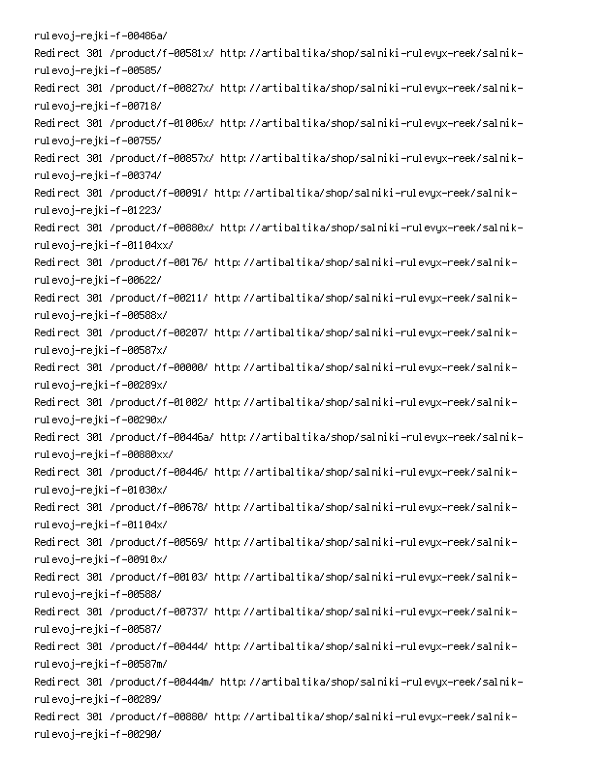rulevoj-rejki-f-00486a/ -Redirect 301 /product/f-00581x/ http://artibaltika/shop/salniki-rulevyx-reek/salnik rulevoj–rejki–f–00585/ -Redirect 301 /product/f-00827x/ http://artibaltika/shop/salniki-rulevyx-reek/salnik rulevoj–rejki–f–00718/ -Redirect 301 /product/f-01006x/ http://artibaltika/shop/salniki-rulevyx-reek/salnik rulevoj–rejki–f–00755/ -Redirect 301 /product/f-00857x/ http://artibaltika/shop/salniki-rulevyx-reek/salnik rulevoj–rejki–f–00374/ -Redirect 301 /product/f-00091/ http://artibaltika/shop/salniki-rulevyx-reek/salnik rulevoj–rejki –f–01223/ -Redirect 301 /product/f-00880x/ http://artibaltika/shop/salniki-rulevyx-reek/salnik rulevoj–rejki–f–01104xx/ -Redirect 301 /product/f-00176/ http://artibaltika/shop/salniki-rulevyx-reek/salnik rulevoj–rejki–f–00622/ -Redirect 301 /product/f-00211/ http://artibaltika/shop/salniki-rulevyx-reek/salnik rulevoj–rejki–f–00588x/ -Redirect 301 /product/f-00207/ http://artibaltika/shop/salniki-rulevyx-reek/salnik rulevoj–rejki–f–00587x/ -Redirect 301 /product/f-00000/ http://artibaltika/shop/salniki-rulevyx-reek/salnik rulevoj–rejki–f–00289x/ -Redirect 301 /product/f-01002/ http://artibaltika/shop/salniki-rulevyx-reek/salnik rulevoj–rejki–f–00290x/ -Redirect 301 /product/f-00446a/ http://artibaltika/shop/salniki-rulevyx-reek/salnik rulevoj–rejki–f–00880xx/ -Redirect 301 /product/f-00446/ http://artibaltika/shop/salniki-rulevyx-reek/salnik rulevoj–rejki–f–01030x/ -Redirect 301 /product/f-00678/ http://artibaltika/shop/salniki-rulevyx-reek/salnik rulevoj–rejki–f–01104x/ -Redirect 301 /product/f-00569/ http://artibaltika/shop/salniki-rulevyx-reek/salnik rulevoj–rejki–f–00910x/ -Redirect 301 /product/f-00103/ http://artibaltika/shop/salniki-rulevyx-reek/salnik rulevoj–rejki–f–00588/ -Redirect 301 /product/f-00737/ http://artibaltika/shop/salniki-rulevyx-reek/salnik rulevoj–rejki–f–00587/ -Redirect 301 /product/f-00444/ http://artibaltika/shop/salniki-rulevyx-reek/salnik rulevoj–rejki–f–00587m/ -Redirect 301 /product/f-00444m/ http://artibaltika/shop/salniki-rulevyx-reek/salnik rulevoj–rejki–f–00289/ -Redirect 301 /product/f-00880/ http://artibaltika/shop/salniki-rulevyx-reek/salnik rulevoj–rejki–f–00290/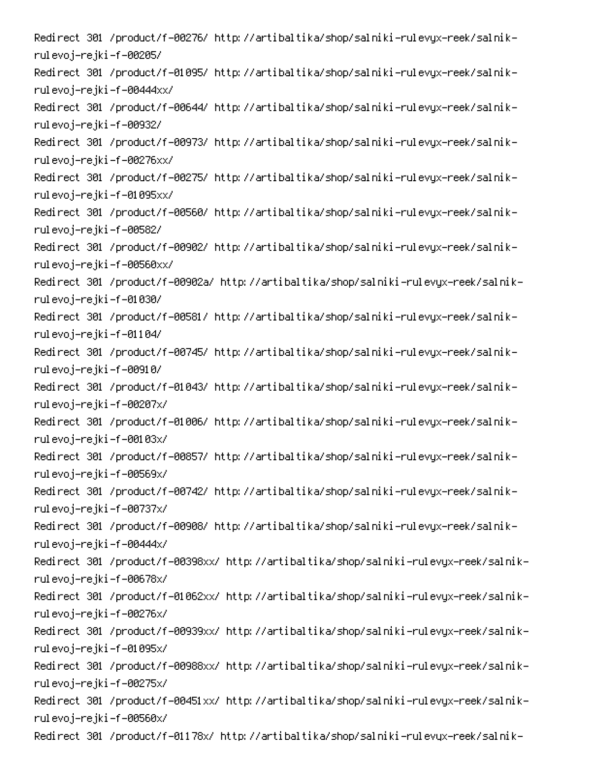-Redirect 301 /product/f-00276/ http://artibaltika/shop/salniki-rulevyx-reek/salnik rulevoj–rejki–f–00205/ -Redirect 301 /product/f-01095/ http://artibaltika/shop/salniki-rulevyx-reek/salnik rulevoj–rejki–f–00444xx/ -Redirect 301 /product/f-00644/ http://artibaltika/shop/salniki-rulevyx-reek/salnik rulevoj–rejki–f–00932/ -Redirect 301 /product/f-00973/ http://artibaltika/shop/salniki-rulevyx-reek/salnik rulevoj–rejki–f–00276xx/ -Redirect 301 /product/f-00275/ http://artibaltika/shop/salniki-rulevyx-reek/salnik rulevoj–rejki–f–01095xx/ -Redirect 301 /product/f-00560/ http://artibaltika/shop/salniki-rulevyx-reek/salnik rulevoj–rejki–f–00582/ -Redirect 301 /product/f-00902/ http://artibaltika/shop/salniki-rulevyx-reek/salnik rulevoj–rejki–f–00560xx/ -Redirect 301 /product/f-00902a/ http://artibaltika/shop/salniki-rulevyx-reek/salnik rulevoj–rejki–f–01030/ -Redirect 301 /product/f-00581/ http://artibaltika/shop/salniki-rulevyx-reek/salnik rulevoj–rejki–f–01104/ -Redirect 301 /product/f-00745/ http://artibaltika/shop/salniki-rulevyx-reek/salnik rulevoj–rejki–f–00910/ -Redirect 301 /product/f-01043/ http://artibaltika/shop/salniki-rulevyx-reek/salnik rulevoj–rejki–f–00207x/ -Redirect 301 /product/f-01006/ http://artibaltika/shop/salniki-rulevyx-reek/salnik rulevoj–rejki–f–00103x/ -Redirect 301 /product/f-00857/ http://artibaltika/shop/salniki-rulevyx-reek/salnik rulevoj–rejki–f–00569x/ -Redirect 301 /product/f-00742/ http://artibaltika/shop/salniki-rulevyx-reek/salnik rulevoj–rejki–f–00737x/ -Redirect 301 /product/f-00908/ http://artibaltika/shop/salniki-rulevyx-reek/salnik rulevoj–rejki–f–00444x/ Redirect 301 /product/f-00398xx/ http://artibaltika/shop/salniki-rulevyx-reek/salnikrulevoj–rejki–f–00678x/ -Redirect 301 /product/f-01062xx/ http://artibaltika/shop/salniki-rulevyx-reek/salnik rulevoj–rejki–f–00276x/ -Redirect 301 /product/f-00939xx/ http://artibaltika/shop/salniki-rulevyx-reek/salnik rulevoj–rejki–f–01095x/ -Redirect 301 /product/f-00988xx/ http://artibaltika/shop/salniki-rulevyx-reek/salnik rulevoj–rejki–f–00275x/ -Redirect 301 /product/f-00451xx/ http://artibaltika/shop/salniki-rulevyx-reek/salnik rulevoj–rejki–f–00560x/ -Redirect 301 /product/f-01178x/ http://artibaltika/shop/salniki-rulevyx-reek/salnik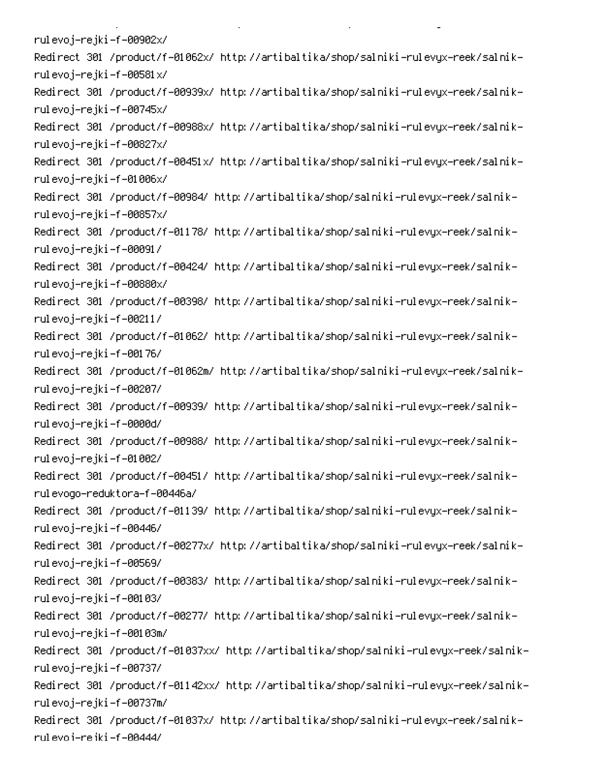rulevoj–rejki–f–00902x/ -Redirect 301 /product/f-01062x/ http://artibaltika/shop/salniki-rulevyx-reek/salnik rulevoj–rejki–f–00581x/ -Redirect 301 /product/f-00939x/ http://artibaltika/shop/salniki-rulevyx-reek/salnik rulevoj–rejki–f–00745x/ -Redirect 301 /product/f-00988x/ http://artibaltika/shop/salniki-rulevyx-reek/salnik rulevoj–rejki–f–00827x/ -Redirect 301 /product/f-00451x/ http://artibaltika/shop/salniki-rulevyx-reek/salnik rulevoj–rejki–f–01006x/ -Redirect 301 /product/f-00984/ http://artibaltika/shop/salniki-rulevyx-reek/salnik rulevoj–rejki–f–00857x/ -Redirect 301 /product/f-01178/ http://artibaltika/shop/salniki-rulevyx-reek/salnik rulevoj–rejki–f–00091/ -Redirect 301 /product/f-00424/ http://artibaltika/shop/salniki-rulevyx-reek/salnik rulevoj–rejki–f–00880x/ -Redirect 301 /product/f-00398/ http://artibaltika/shop/salniki-rulevyx-reek/salnik rulevoj–rejki–f–00211/ -Redirect 301 /product/f-01062/ http://artibaltika/shop/salniki-rulevyx-reek/salnik rulevoj–rejki–f–00176/ -Redirect 301 /product/f-01062m/ http://artibaltika/shop/salniki-rulevyx-reek/salnik rulevoj–rejki–f–00207/ -Redirect 301 /product/f-00939/ http://artibaltika/shop/salniki-rulevyx-reek/salnik rulevoj–rejki–f–0000d/ -Redirect 301 /product/f-00988/ http://artibaltika/shop/salniki-rulevyx-reek/salnik rulevoj–rejki–f–01002/ -Redirect 301 /product/f-00451/ http://artibaltika/shop/salniki-rulevyx-reek/salnik rulevogo-reduktora-f-00446a/ -Redirect 301 /product/f-01139/ http://artibaltika/shop/salniki-rulevyx-reek/salnik rulevoj–rejki–f–00446/ -Redirect 301 /product/f-00277x/ http://artibaltika/shop/salniki-rulevyx-reek/salnik rulevoj–rejki–f–00569/ -Redirect 301 /product/f-00383/ http://artibaltika/shop/salniki-rulevyx-reek/salnik rulevoj–rejki–f–00103/ -Redirect 301 /product/f-00277/ http://artibaltika/shop/salniki-rulevyx-reek/salnik rulevoj–rejki–f–00103m/ -Redirect 301 /product/f-01037xx/ http://artibaltika/shop/salniki-rulevyx-reek/salnik rulevoj–rejki–f–00737/ -Redirect 301 /product/f-01142xx/ http://artibaltika/shop/salniki-rulevyx-reek/salnik rulevoj–rejki–f–00737m/ -Redirect 301 /product/f-01037x/ http://artibaltika/shop/salniki-rulevyx-reek/salnik rul evo i-re iki -f -00444/

**Contract Contract** 

 $\mathbf{L}^{\text{max}}$ 

on the state of the state of the

PC And the property of the property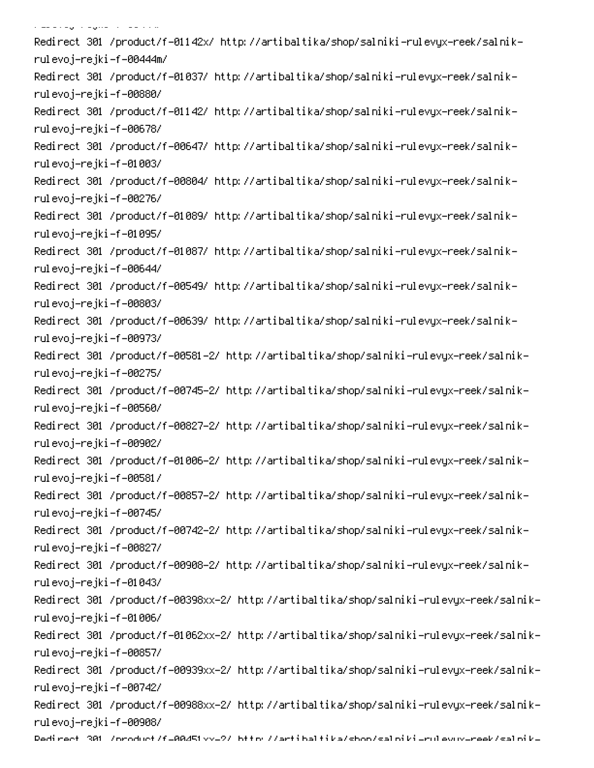الماد والواريخ المرابط والمتواطنة -Redirect 301 /product/f-01142x/ http://artibaltika/shop/salniki-rulevyx-reek/salnik rulevoj–rejki–f–00444m/ -Redirect 301 /product/f-01037/ http://artibaltika/shop/salniki-rulevyx-reek/salnik rulevoj–rejki–f–00880/ -Redirect 301 /product/f-01142/ http://artibaltika/shop/salniki-rulevyx-reek/salnik rulevoj–rejki–f–00678/ -Redirect 301 /product/f-00647/ http://artibaltika/shop/salniki-rulevyx-reek/salnik rulevoj–rejki–f–01003/ -Redirect 301 /product/f-00804/ http://artibaltika/shop/salniki-rulevyx-reek/salnik rulevoj–rejki–f–00276/ -Redirect 301 /product/f-01089/ http://artibaltika/shop/salniki-rulevyx-reek/salnik rulevoj–rejki–f–01095/ -Redirect 301 /product/f-01087/ http://artibaltika/shop/salniki-rulevyx-reek/salnik rulevoj–rejki–f–00644/ -Redirect 301 /product/f-00549/ http://artibaltika/shop/salniki-rulevyx-reek/salnik rulevoj–rejki–f–00803/ -Redirect 301 /product/f-00639/ http://artibaltika/shop/salniki-rulevyx-reek/salnik rulevoj–rejki–f–00973/ -Redirect 301 /product/f-00581-2/ http://artibaltika/shop/salniki-rulevyx-reek/salnik rulevoj–rejki–f–00275/ -Redirect 301 /product/f-00745-2/ http://artibaltika/shop/salniki-rulevyx-reek/salnik rulevoj–rejki–f–00560/ -Redirect 301 /product/f-00827-2/ http://artibaltika/shop/salniki-rulevyx-reek/salnik rulevoj–rejki–f–00902/ -Redirect 301 /product/f-01006-2/ http://artibaltika/shop/salniki-rulevyx-reek/salnik rulevoj–rejki–f–00581/ Redirect 301 /product/f-00857-2/ http://artibaltika/shop/salniki-rulevyx-reek/salnikrulevoj–rejki–f–00745/ -Redirect 301 /product/f-00742-2/ http://artibaltika/shop/salniki-rulevyx-reek/salnik rulevoj–rejki–f–00827/ -Redirect 301 /product/f-00908-2/ http://artibaltika/shop/salniki-rulevyx-reek/salnik rulevoj–rejki–f–01043/ -Redirect 301 /product/f-00398xx-2/ http://artibaltika/shop/salniki-rulevyx-reek/salnik rulevoj–rejki–f–01006/ -Redirect 301 /product/f-01062xx-2/ http://artibaltika/shop/salniki-rulevyx-reek/salnik rulevoj–rejki–f–00857/ -Redirect 301 /product/f-00939xx-2/ http://artibaltika/shop/salniki-rulevyx-reek/salnik rulevoj–rejki–f–00742/ -Redirect 301 /product/f-00988xx-2/ http://artibaltika/shop/salniki-rulevyx-reek/salnik rulevoj–rejki–f–00908/ Dedirect 301 /oroduct/f=00451xx=2/ bttp://artibaltika/shoo/saloiki=rulevux=reek/saloik=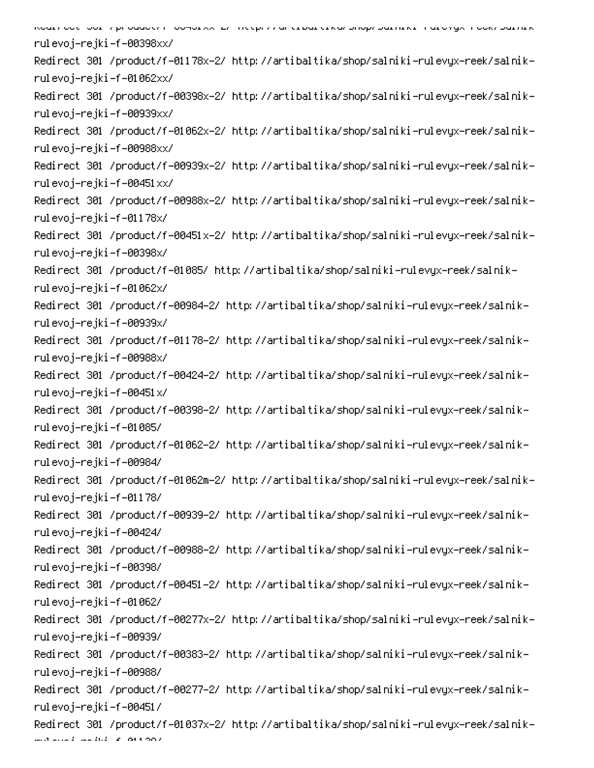אסטנו סטני טטני קור טטטטנקי דיסטאטנאגרבקי ווגינף. קקיסו גנוטסנינוגמקטוטןקקסנוונוגנידו טנסאקאדו ססגקטמנונוגר rulevoj–rejki–f–00398xx/ -Redirect 301 /product/f-01178x-2/ http://artibaltika/shop/salniki-rulevyx-reek/salnik rulevoj–rejki–f–01062xx/ -Redirect 301 /product/f-00398x-2/ http://artibaltika/shop/salniki-rulevyx-reek/salnik rulevoj–rejki–f–00939xx/ -Redirect 301 /product/f-01062x-2/ http://artibaltika/shop/salniki-rulevyx-reek/salnik rulevoj–rejki–f–00988xx/ -Redirect 301 /product/f-00939x-2/ http://artibaltika/shop/salniki-rulevyx-reek/salnik rulevoj–rejki–f–00451xx/ -Redirect 301 /product/f-00988x-2/ http://artibaltika/shop/salniki-rulevyx-reek/salnik rulevoj–rejki–f–01178x/ -Redirect 301 /product/f-00451x-2/ http://artibaltika/shop/salniki-rulevyx-reek/salnik rulevoj–rejki–f–00398x/ -Redirect 301 /product/f-01085/ http://artibaltika/shop/salniki-rulevyx-reek/salnik rulevoj–rejki–f–01062x/ Redirect 301 /product/f-00984-2/ http://artibaltika/shop/salniki-rulevyx-reek/salnikrulevoj–rejki–f–00939x/ -Redirect 301 /product/f-01178-2/ http://artibaltika/shop/salniki-rulevyx-reek/salnik rulevoj–rejki–f–00988x/ -Redirect 301 /product/f-00424-2/ http://artibaltika/shop/salniki-rulevyx-reek/salnik rulevoj–rejki–f–00451x/ Redirect 301 /product/f-00398-2/ http://artibaltika/shop/salniki-rulevyx-reek/salnikrulevoj–rejki–f–01085/ Redirect 301 /product/f-01062-2/ http://artibaltika/shop/salniki-rulevyx-reek/salnikrulevoj–rejki–f–00984/ -Redirect 301 /product/f-01062m-2/ http://artibaltika/shop/salniki-rulevyx-reek/salnik rulevoj–rejki–f–01178/ Redirect 301 /product/f-00939-2/ http://artibaltika/shop/salniki-rulevyx-reek/salnikrulevoj–rejki–f–00424/ Redirect 301 /product/f-00988-2/ http://artibaltika/shop/salniki-rulevyx-reek/salnikrulevoj–rejki–f–00398/ -Redirect 301 /product/f-00451-2/ http://artibaltika/shop/salniki-rulevyx-reek/salnik rulevoj–rejki–f–01062/ -Redirect 301 /product/f-00277x-2/ http://artibaltika/shop/salniki-rulevyx-reek/salnik rulevoj–rejki–f–00939/ Redirect 301 /product/f-00383-2/ http://artibaltika/shop/salniki-rulevyx-reek/salnikrulevoj–rejki–f–00988/ Redirect 301 /product/f-00277-2/ http://artibaltika/shop/salniki-rulevyx-reek/salnikrulevoj–rejki–f–00451/ -Redirect 301 /product/f-01037x-2/ http://artibaltika/shop/salniki-rulevyx-reek/salnik multiple and disk of parameters.<br>Note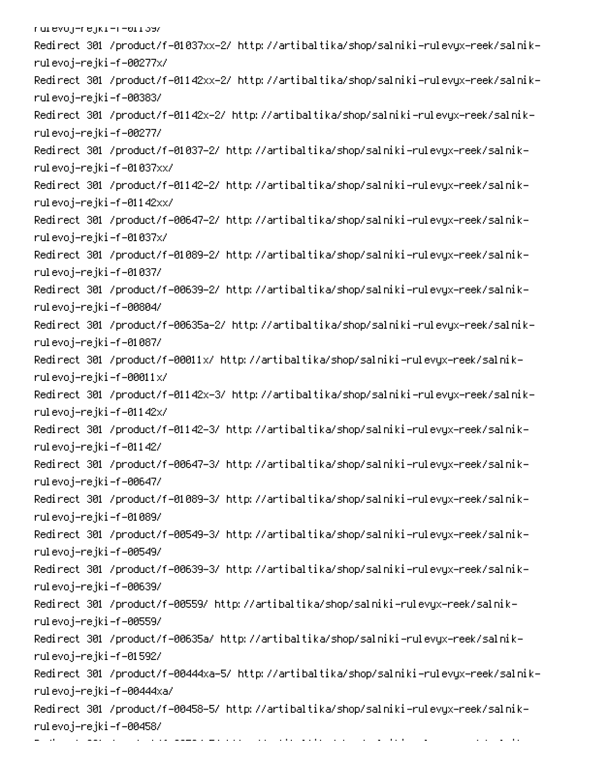rurevoj-rejki-m-011397 -Redirect 301 /product/f-01037xx-2/ http://artibaltika/shop/salniki-rulevyx-reek/salnik rulevoj–rejki–f–00277x/ -Redirect 301 /product/f-01142xx-2/ http://artibaltika/shop/salniki-rulevyx-reek/salnik rulevoj–rejki–f–00383/ -Redirect 301 /product/f-01142x-2/ http://artibaltika/shop/salniki-rulevyx-reek/salnik rulevoj–rejki–f–00277/ Redirect 301 /product/f-01037-2/ http://artibaltika/shop/salniki-rulevyx-reek/salnikrulevoj–rejki–f–01037xx/ -Redirect 301 /product/f-01142-2/ http://artibaltika/shop/salniki-rulevyx-reek/salnik rulevoj–rejki–f–01142xx/ Redirect 301 /product/f-00647-2/ http://artibaltika/shop/salniki-rulevyx-reek/salnikrulevoj–rejki–f–01037x/ Redirect 301 /product/f-01089-2/ http://artibaltika/shop/salniki-rulevyx-reek/salnikrulevoj–rejki–f–01037/ Redirect 301 /product/f-00639-2/ http://artibaltika/shop/salniki-rulevyx-reek/salnikrulevoj–rejki–f–00804/ -Redirect 301 /product/f-00635a-2/ http://artibaltika/shop/salniki-rulevyx-reek/salnik rulevoj–rejki–f–01087/ -Redirect 301 /product/f-00011x/ http://artibaltika/shop/salniki-rulevyx-reek/salnik rulevoj–rejki–f–00011 $\times$ / -Redirect 301 /product/f-01142x-3/ http://artibaltika/shop/salniki-rulevyx-reek/salnik rulevoj–rejki–f–01142x/ -Redirect 301 /product/f-01142-3/ http://artibaltika/shop/salniki-rulevyx-reek/salnik rulevoj–rejki–f–01142/ Redirect 301 /product/f-00647-3/ http://artibaltika/shop/salniki-rulevyx-reek/salnikrulevoj–rejki–f–00647/ Redirect 301 /product/f-01089-3/ http://artibaltika/shop/salniki-rulevyx-reek/salnikrulevoj–rejki–f–01089/ Redirect 301 /product/f-00549-3/ http://artibaltika/shop/salniki-rulevyx-reek/salnikrulevoj–rejki–f–00549/ Redirect 301 /product/f-00639-3/ http://artibaltika/shop/salniki-rulevyx-reek/salnikrulevoj–rejki–f–00639/ -Redirect 301 /product/f-00559/ http://artibaltika/shop/salniki-rulevyx-reek/salnik rulevoj–rejki–f–00559/ -Redirect 301 /product/f-00635a/ http://artibaltika/shop/salniki-rulevyx-reek/salnik rulevoj–rejki–f–01592/ -Redirect 301 /product/f-00444xa-5/ http://artibaltika/shop/salniki-rulevyx-reek/salnik rulevoj-rejki-f-00444xa/ Redirect 301 /product/f-00458-5/ http://artibaltika/shop/salniki-rulevyx-reek/salnikrulevoj–rejki–f–00458/ PC 
0DS0D-0.000 minutes

e e constante de la companya de la companya de la companya de la companya de la companya de la companya de la<br>La companya de la companya de la companya de la companya de la companya de la companya de la companya de la co

 $\mathcal{L}_{\mathcal{A}}$  , and  $\mathcal{L}_{\mathcal{A}}$  , and  $\mathcal{L}_{\mathcal{A}}$ 

0

6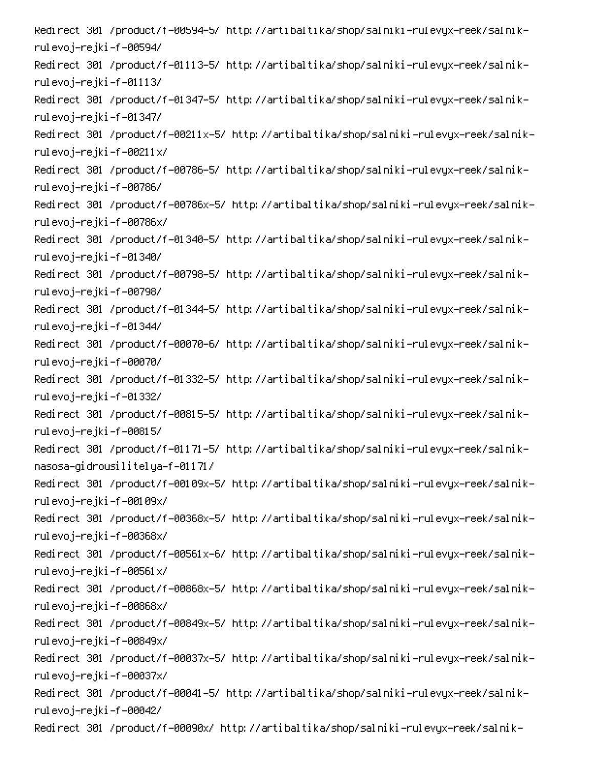Redirect 301 /product/f=00594-5/ http://artibaltika/shop/salniki-rulevyx-reek/salnikrulevoj–rejki–f–00594/ -Redirect 301 /product/f-01113-5/ http://artibaltika/shop/salniki-rulevyx-reek/salnik rulevoj–rejki–f–01113/ -Redirect 301 /product/f-01347-5/ http://artibaltika/shop/salniki-rulevyx-reek/salnik rulevoj–rejki–f–01347/ -Redirect 301 /product/f-00211x-5/ http://artibaltika/shop/salniki-rulevyx-reek/salnik rulevoj–rejki–f–00211x/ -Redirect 301 /product/f-00786-5/ http://artibaltika/shop/salniki-rulevyx-reek/salnik rulevoj–rejki–f–00786/ -Redirect 301 /product/f-00786x-5/ http://artibaltika/shop/salniki-rulevyx-reek/salnik rulevoj–rejki–f–00786x/ -Redirect 301 /product/f-01340-5/ http://artibaltika/shop/salniki-rulevyx-reek/salnik rulevoj–rejki–f–01340/ -Redirect 301 /product/f-00798-5/ http://artibaltika/shop/salniki-rulevyx-reek/salnik rulevoj–rejki–f–00798/ -Redirect 301 /product/f-01344-5/ http://artibaltika/shop/salniki-rulevyx-reek/salnik rulevoj–rejki–f–01344/ -Redirect 301 /product/f-00070-6/ http://artibaltika/shop/salniki-rulevyx-reek/salnik rulevoj–rejki–f–00070/ -Redirect 301 /product/f-01332-5/ http://artibaltika/shop/salniki-rulevyx-reek/salnik rulevoj–rejki–f–01332/ -Redirect 301 /product/f-00815-5/ http://artibaltika/shop/salniki-rulevyx-reek/salnik rulevoj–rejki–f–00815/ -Redirect 301 /product/f-01171-5/ http://artibaltika/shop/salniki-rulevyx-reek/salnik nasosa-gidrousilitelya-f-01171/ -Redirect 301 /product/f-00109x-5/ http://artibaltika/shop/salniki-rulevyx-reek/salnik rulevoj–rejki–f–00109x/ -Redirect 301 /product/f-00368x-5/ http://artibaltika/shop/salniki-rulevyx-reek/salnik rulevoj–rejki–f–00368x/ -Redirect 301 /product/f-00561x-6/ http://artibaltika/shop/salniki-rulevyx-reek/salnik rulevoj–rejki–f–00561x/ -Redirect 301 /product/f-00868x-5/ http://artibaltika/shop/salniki-rulevyx-reek/salnik rulevoj–rejki–f–00868x/ -Redirect 301 /product/f-00849x-5/ http://artibaltika/shop/salniki-rulevyx-reek/salnik rulevoj–rejki–f–00849x/ -Redirect 301 /product/f-00037x-5/ http://artibaltika/shop/salniki-rulevyx-reek/salnik rulevoj–rejki–f–00037x/ -Redirect 301 /product/f-00041-5/ http://artibaltika/shop/salniki-rulevyx-reek/salnik rulevoj–rejki–f–00042/ -Redirect 301 /product/f-00090x/ http://artibaltika/shop/salniki-rulevyx-reek/salnik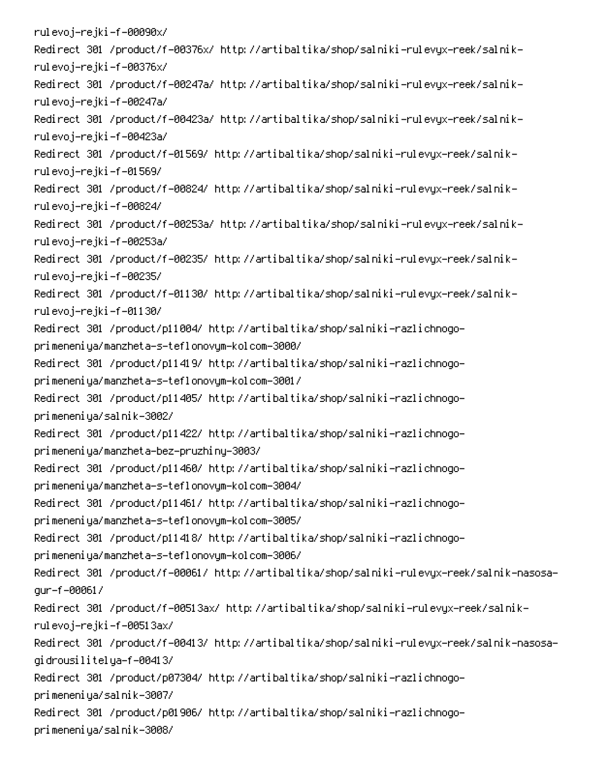rulevoj–rejki–f–00090x/ -Redirect 301 /product/f-00376x/ http://artibaltika/shop/salniki-rulevyx-reek/salnik rulevoj–rejki–f–00376x/ -Redirect 301 /product/f-00247a/ http://artibaltika/shop/salniki-rulevyx-reek/salnik rulevoj-rejki-f-00247a/ -Redirect 301 /product/f-00423a/ http://artibaltika/shop/salniki-rulevyx-reek/salnik rulevoj-rejki-f-00423a/ -Redirect 301 /product/f-01569/ http://artibaltika/shop/salniki-rulevyx-reek/salnik rulevoj–rejki–f–01569/ -Redirect 301 /product/f-00824/ http://artibaltika/shop/salniki-rulevyx-reek/salnik rulevoj–rejki–f–00824/ -Redirect 301 /product/f-00253a/ http://artibaltika/shop/salniki-rulevyx-reek/salnik rulevoj-rejki-f-00253a/ -Redirect 301 /product/f-00235/ http://artibaltika/shop/salniki-rulevyx-reek/salnik rulevoj–rejki–f–00235/ -Redirect 301 /product/f-01130/ http://artibaltika/shop/salniki-rulevyx-reek/salnik rulevoj–rejki–f–01130/ Redirect 301 /product/p11004/ http://artibaltika/shop/salniki-razlichnogoprimeneniya/manzheta-s-teflonovym-kolcom-3000/ Redirect 301 /product/p11419/ http://artibaltika/shop/salniki-razlichnogoprimeneniya/manzheta-s-teflonovym-kolcom-3001/ Redirect 301 /product/p11405/ http://artibaltika/shop/salniki-razlichnogoprimeneniya/salnik-3002/ Redirect 301 /product/p11422/ http://artibaltika/shop/salniki-razlichnogoprimeneniya/manzheta-bez-pruzhiny-3003/ Redirect 301 /product/p11460/ http://artibaltika/shop/salniki-razlichnogoprimeneniya/manzheta-s-teflonovym-kolcom-3004/ Redirect 301 /product/p11461/ http://artibaltika/shop/salniki-razlichnogoprimeneniya/manzheta-s-teflonovym-kolcom-3005/ Redirect 301 /product/p11418/ http://artibaltika/shop/salniki-razlichnogoprimeneniya/manzheta-s-teflonovym-kolcom-3006/ Redirect 301 /product/f-00061/ http://artibaltika/shop/salniki-rulevyx-reek/salnik-nasosaqur-f-00061/ -Redirect 301 /product/f-00513ax/ http://artibaltika/shop/salniki-rulevyx-reek/salnik rulevoj-rejki –f –00513ax/ Redirect 301 /product/f-00413/ http://artibaltika/shop/salniki-rulevyx-reek/salnik-nasosagidrousilitelya–f–00413/ Redirect 301 /product/p07304/ http://artibaltika/shop/salniki-razlichnogoprimeneniya/salnik-3007/ Redirect 301 /product/p01906/ http://artibaltika/shop/salniki-razlichnogoprimeneniya/salnik-3008/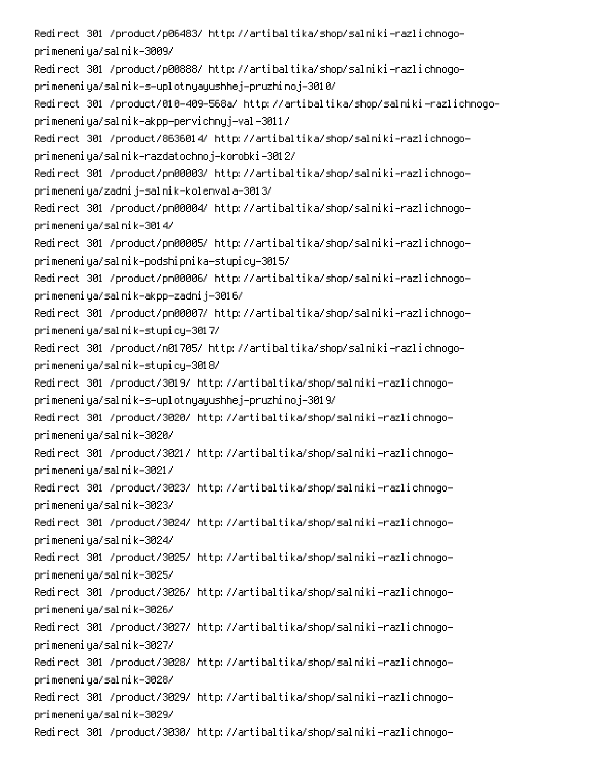Redirect 301 /product/p06483/ http://artibaltika/shop/salniki-razlichnogoprimeneniya/salnik-3009/

Redirect 301 /product/p00888/ http://artibaltika/shop/salniki-razlichnogoprimeneniya/salnik-s-uplotnyayushhej-pruzhinoj-3010/

Redirect 301 /product/010-409-568a/ http://artibaltika/shop/salniki-razlichnogoprimeneniya/salnik-akpp-pervichnyj-val-3011/

Redirect 301 /product/8636014/ http://artibaltika/shop/salniki-razlichnogoprimeneniya/salnik-razdatochnoj-korobki-3012/

Redirect 301 /product/pn00003/ http://artibaltika/shop/salniki-razlichnogoprimeneniya/zadnij-salnik-kolenvala-3013/

Redirect 301 /product/pn00004/ http://artibaltika/shop/salniki-razlichnogoprimeneniya/salnik-3014/

Redirect 301 /product/pn00005/ http://artibaltika/shop/salniki-razlichnogoprimeneniya/salnik-podshipnika-stupicy-3015/

Redirect 301 /product/pn00006/ http://artibaltika/shop/salniki-razlichnogoprimeneniya/salnik-akpp-zadnij-3016/

Redirect 301 /product/pn00007/ http://artibaltika/shop/salniki-razlichnogoprimeneniya/salnik-stupicy-3017/

Redirect 301 /product/n01705/ http://artibaltika/shop/salniki-razlichnogoprimeneniya/salnik-stupicy-3018/

Redirect 301 /product/3019/ http://artibaltika/shop/salniki-razlichnogoprimeneniya/salnik-s-uplotnyayushhej-pruzhinoj-3019/

Redirect 301 /product/3020/ http://artibaltika/shop/salniki-razlichnogoprimeneniya/salnik-3020/

Redirect 301 /product/3021/ http://artibaltika/shop/salniki-razlichnogoprimeneniya/salnik-3021/

Redirect 301 /product/3023/ http://artibaltika/shop/salniki-razlichnogoprimeneniya/salnik-3023/

Redirect 301 /product/3024/ http://artibaltika/shop/salniki-razlichnogoprimeneniya/salnik-3024/

Redirect 301 /product/3025/ http://artibaltika/shop/salniki-razlichnogoprimeneniya/salnik-3025/

Redirect 301 /product/3026/ http://artibaltika/shop/salniki-razlichnogoprimeneniya/salnik-3026/

Redirect 301 /product/3027/ http://artibaltika/shop/salniki-razlichnogoprimeneniya/salnik-3027/

Redirect 301 /product/3028/ http://artibaltika/shop/salniki-razlichnogoprimeneniya/salnik-3028/

Redirect 301 /product/3029/ http://artibaltika/shop/salniki-razlichnogoprimeneniya/salnik-3029/

Redirect 301 /product/3030/ http://artibaltika/shop/salniki-razlichnogo-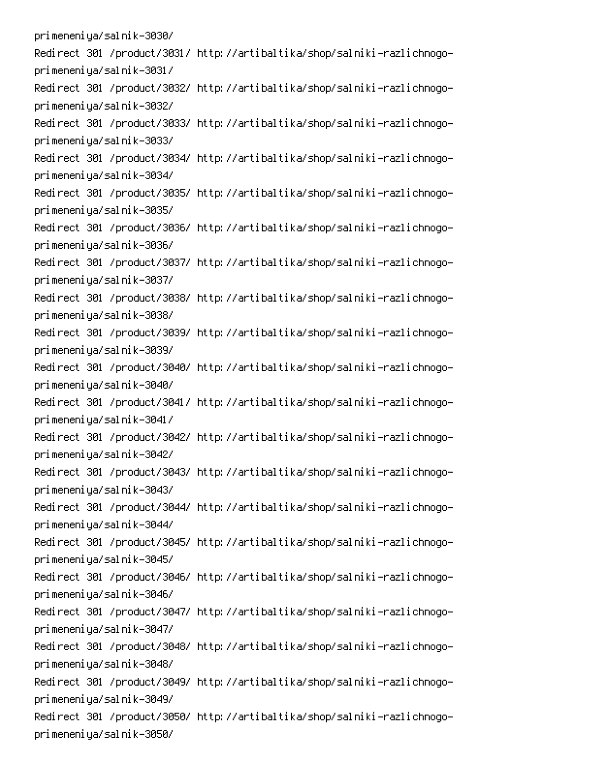primeneniya/salnik-3030/ Redirect 301 /product/3031/ http://artibaltika/shop/salniki-razlichnogoprimeneniya/salnik-3031/ Redirect 301 /product/3032/ http://artibaltika/shop/salniki-razlichnogoprimeneniya/salnik-3032/ Redirect 301 /product/3033/ http://artibaltika/shop/salniki-razlichnogoprimeneniya/salnik-3033/ Redirect 301 /product/3034/ http://artibaltika/shop/salniki-razlichnogoprimeneniya/salnik-3034/ Redirect 301 /product/3035/ http://artibaltika/shop/salniki-razlichnogoprimeneniya/salnik-3035/ Redirect 301 /product/3036/ http://artibaltika/shop/salniki-razlichnogoprimeneniya/salnik-3036/ Redirect 301 /product/3037/ http://artibaltika/shop/salniki-razlichnogoprimeneniya/salnik-3037/ Redirect 301 /product/3038/ http://artibaltika/shop/salniki-razlichnogoprimeneniya/salnik-3038/ Redirect 301 /product/3039/ http://artibaltika/shop/salniki-razlichnogoprimeneniya/salnik-3039/ Redirect 301 /product/3040/ http://artibaltika/shop/salniki-razlichnogoprimeneniya/salnik-3040/ Redirect 301 /product/3041/ http://artibaltika/shop/salniki-razlichnogoprimeneniya/salnik-3041/ Redirect 301 /product/3042/ http://artibaltika/shop/salniki-razlichnogoprimeneniya/salnik-3042/ Redirect 301 /product/3043/ http://artibaltika/shop/salniki-razlichnogoprimeneniya/salnik-3043/ Redirect 301 /product/3044/ http://artibaltika/shop/salniki-razlichnogoprimeneniya/salnik-3044/ Redirect 301 /product/3045/ http://artibaltika/shop/salniki-razlichnogoprimeneniya/salnik-3045/ Redirect 301 /product/3046/ http://artibaltika/shop/salniki-razlichnogoprimeneniya/salnik-3046/ Redirect 301 /product/3047/ http://artibaltika/shop/salniki-razlichnogoprimeneniya/salnik-3047/ Redirect 301 /product/3048/ http://artibaltika/shop/salniki-razlichnogoprimeneniya/salnik-3048/ Redirect 301 /product/3049/ http://artibaltika/shop/salniki-razlichnogoprimeneniya/salnik-3049/ Redirect 301 /product/3050/ http://artibaltika/shop/salniki-razlichnogoprimeneniya/salnik-3050/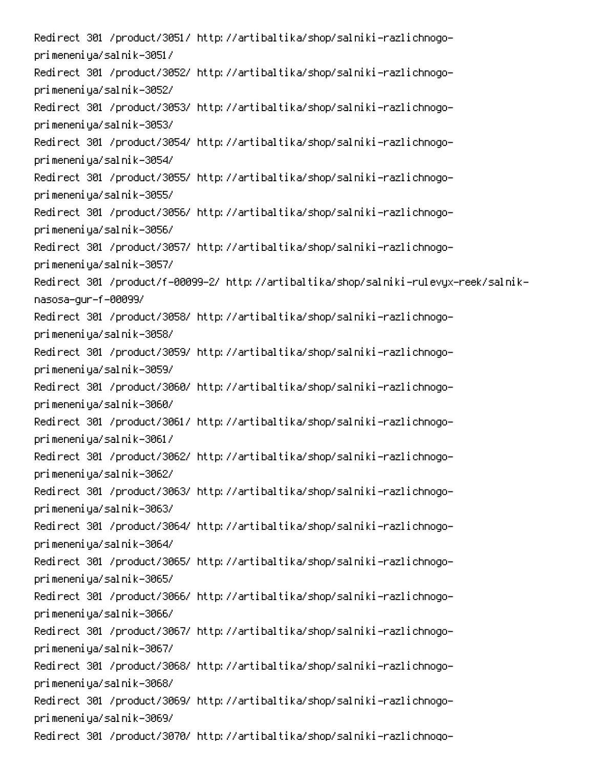Redirect 301 /product/3051/ http://artibaltika/shop/salniki-razlichnogoprimeneniya/salnik-3051/ Redirect 301 /product/3052/ http://artibaltika/shop/salniki-razlichnogoprimeneniya/salnik-3052/ Redirect 301 /product/3053/ http://artibaltika/shop/salniki-razlichnogoprimeneniya/salnik-3053/ Redirect 301 /product/3054/ http://artibaltika/shop/salniki-razlichnogoprimeneniya/salnik-3054/ Redirect 301 /product/3055/ http://artibaltika/shop/salniki-razlichnogoprimeneniya/salnik-3055/ Redirect 301 /product/3056/ http://artibaltika/shop/salniki-razlichnogoprimeneniya/salnik-3056/ Redirect 301 /product/3057/ http://artibaltika/shop/salniki-razlichnogoprimeneniya/salnik-3057/ Redirect 301 /product/f-00099-2/ http://artibaltika/shop/salniki-rulevyx-reek/salniknasosa-gur-f-00099/ Redirect 301 /product/3058/ http://artibaltika/shop/salniki-razlichnogoprimeneniya/salnik-3058/ Redirect 301 /product/3059/ http://artibaltika/shop/salniki-razlichnogoprimeneniya/salnik-3059/ Redirect 301 /product/3060/ http://artibaltika/shop/salniki-razlichnogoprimeneniya/salnik-3060/ Redirect 301 /product/3061/ http://artibaltika/shop/salniki-razlichnogoprimeneniya/salnik-3061/ Redirect 301 /product/3062/ http://artibaltika/shop/salniki-razlichnogoprimeneniya/salnik-3062/ Redirect 301 /product/3063/ http://artibaltika/shop/salniki-razlichnogoprimeneniya/salnik-3063/ Redirect 301 /product/3064/ http://artibaltika/shop/salniki-razlichnogoprimeneniya/salnik-3064/ Redirect 301 /product/3065/ http://artibaltika/shop/salniki-razlichnogoprimeneniya/salnik-3065/ Redirect 301 /product/3066/ http://artibaltika/shop/salniki-razlichnogoprimeneniya/salnik-3066/ Redirect 301 /product/3067/ http://artibaltika/shop/salniki-razlichnogoprimeneniya/salnik-3067/ Redirect 301 /product/3068/ http://artibaltika/shop/salniki-razlichnogoprimeneniya/salnik-3068/ Redirect 301 /product/3069/ http://artibaltika/shop/salniki-razlichnogoprimeneniya/salnik-3069/ Redirect 301 /product/3070/ http://artibaltika/shop/salniki-razlichnogo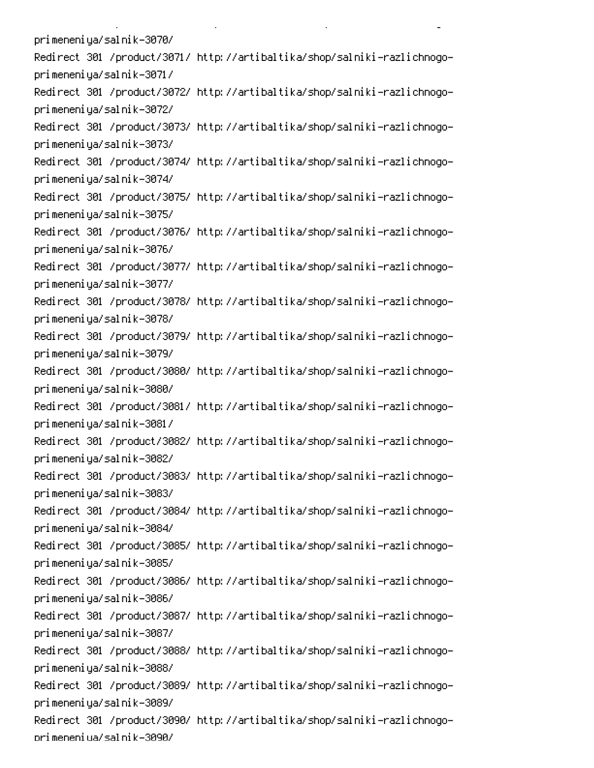primeneniya/salnik-3070/ Redirect 301 /product/3071/ http://artibaltika/shop/salniki-razlichnogoprimeneniya/salnik-3071/ Redirect 301 /product/3072/ http://artibaltika/shop/salniki-razlichnogoprimeneniya/salnik-3072/ Redirect 301 /product/3073/ http://artibaltika/shop/salniki-razlichnogoprimeneniya/salnik-3073/ Redirect 301 /product/3074/ http://artibaltika/shop/salniki-razlichnogoprimeneniya/salnik-3074/ Redirect 301 /product/3075/ http://artibaltika/shop/salniki-razlichnogoprimeneniya/salnik-3075/ Redirect 301 /product/3076/ http://artibaltika/shop/salniki-razlichnogoprimeneniya/salnik-3076/ Redirect 301 /product/3077/ http://artibaltika/shop/salniki-razlichnogoprimeneniya/salnik-3077/ Redirect 301 /product/3078/ http://artibaltika/shop/salniki-razlichnogoprimeneniya/salnik-3078/ Redirect 301 /product/3079/ http://artibaltika/shop/salniki-razlichnogoprimeneniya/salnik-3079/ Redirect 301 /product/3080/ http://artibaltika/shop/salniki-razlichnogoprimeneniya/salnik-3080/ Redirect 301 /product/3081/ http://artibaltika/shop/salniki-razlichnogoprimeneniya/salnik-3081/ Redirect 301 /product/3082/ http://artibaltika/shop/salniki-razlichnogoprimeneniya/salnik-3082/ Redirect 301 /product/3083/ http://artibaltika/shop/salniki-razlichnogoprimeneniya/salnik-3083/ Redirect 301 /product/3084/ http://artibaltika/shop/salniki-razlichnogoprimeneniya/salnik-3084/ Redirect 301 /product/3085/ http://artibaltika/shop/salniki-razlichnogoprimeneniya/salnik-3085/ Redirect 301 /product/3086/ http://artibaltika/shop/salniki-razlichnogoprimeneniya/salnik-3086/ Redirect 301 /product/3087/ http://artibaltika/shop/salniki-razlichnogoprimeneniya/salnik-3087/ Redirect 301 /product/3088/ http://artibaltika/shop/salniki-razlichnogoprimeneniya/salnik-3088/ Redirect 301 /product/3089/ http://artibaltika/shop/salniki-razlichnogoprimeneniya/salnik-3089/ Redirect 301 /product/3090/ http://artibaltika/shop/salniki-razlichnogoorimeneniua/salnik-3090/

**Contract Contract** 

 $\mathbf{L}^{\text{max}}$ 

 $\mathbb{R}^{\mathbb{Z}^2}$ 

PC And the second contract of the second contract of the second contract of the second contract of the second contract of the second contract of the second contract of the second contract of the second contract of the seco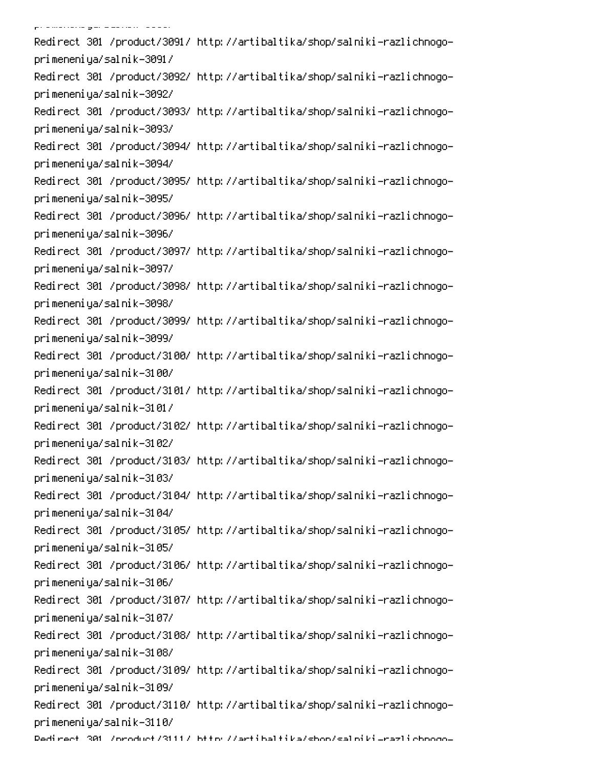.<br>Pramariana gara alam nomina alam n Redirect 301 /product/3091/ http://artibaltika/shop/salniki-razlichnogoprimeneniya/salnik-3091/ Redirect 301 /product/3092/ http://artibaltika/shop/salniki-razlichnogoprimeneniya/salnik-3092/ Redirect 301 /product/3093/ http://artibaltika/shop/salniki-razlichnogoprimeneniya/salnik-3093/ Redirect 301 /product/3094/ http://artibaltika/shop/salniki-razlichnogoprimeneniya/salnik-3094/ Redirect 301 /product/3095/ http://artibaltika/shop/salniki-razlichnogoprimeneniya/salnik-3095/ Redirect 301 /product/3096/ http://artibaltika/shop/salniki-razlichnogoprimeneniya/salnik-3096/ Redirect 301 /product/3097/ http://artibaltika/shop/salniki-razlichnogoprimeneniya/salnik-3097/ Redirect 301 /product/3098/ http://artibaltika/shop/salniki-razlichnogoprimeneniya/salnik-3098/ Redirect 301 /product/3099/ http://artibaltika/shop/salniki-razlichnogoprimeneniya/salnik-3099/ Redirect 301 /product/3100/ http://artibaltika/shop/salniki-razlichnogoprimeneniya/salnik-3100/ Redirect 301 /product/3101/ http://artibaltika/shop/salniki-razlichnogoprimeneniya/salnik-3101/ Redirect 301 /product/3102/ http://artibaltika/shop/salniki-razlichnogoprimeneniya/salnik-3102/ Redirect 301 /product/3103/ http://artibaltika/shop/salniki-razlichnogoprimeneniya/salnik-3103/ Redirect 301 /product/3104/ http://artibaltika/shop/salniki-razlichnogoprimeneniya/salnik-3104/ Redirect 301 /product/3105/ http://artibaltika/shop/salniki-razlichnogoprimeneniya/salnik-3105/ Redirect 301 /product/3106/ http://artibaltika/shop/salniki-razlichnogoprimeneniya/salnik-3106/ Redirect 301 /product/3107/ http://artibaltika/shop/salniki-razlichnogoprimeneniya/salnik-3107/ Redirect 301 /product/3108/ http://artibaltika/shop/salniki-razlichnogoprimeneniya/salnik-3108/ Redirect 301 /product/3109/ http://artibaltika/shop/salniki-razlichnogoprimeneniya/salnik-3109/ Redirect 301 /product/3110/ http://artibaltika/shop/salniki-razlichnogoprimeneniya/salnik-3110/ Dedirect 301 /oroduct/3111/ bttp://artibaltika/shon/salpiki\_razlichooqo<mark>-</mark>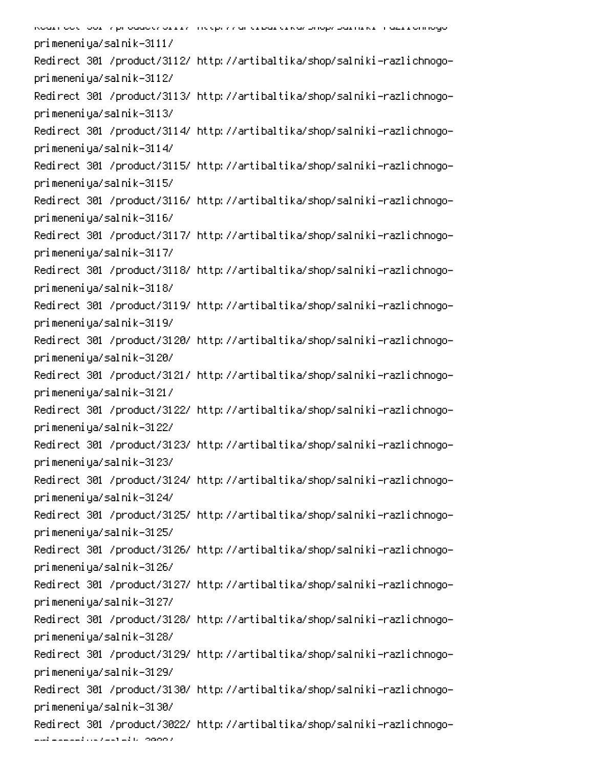| Koari oo tii Jori 7 proaactiv urriinii meepiivi ar erbarerkanonophoariirkiimiazi romogo- |
|------------------------------------------------------------------------------------------|
| primeneniya/salnik-3111/                                                                 |
| Redirect 301 /product/3112/ http://artibaltika/shop/salniki-razlichnogo-                 |
| primeneniya/salnik-3112/                                                                 |
| Redirect 301 /product/3113/ http://artibaltika/shop/salniki-razlichnogo-                 |
| primeneniya/salnik-3113/                                                                 |
| Redirect 301 /product/3114/ http://artibaltika/shop/salniki-razlichnogo-                 |
| primeneniya/salnik-3114/                                                                 |
| Redirect 301 /product/3115/ http://artibaltika/shop/salniki-razlichnogo-                 |
| primeneniya/salnik-3115/                                                                 |
| Redirect 301 /product/3116/ http://artibaltika/shop/salniki-razlichnogo-                 |
| primeneniya/salnik-3116/                                                                 |
| Redirect 301 /product/3117/ http://artibaltika/shop/salniki-razlichnogo-                 |
| primeneniya/salnik-3117/                                                                 |
| Redirect 301 /product/3118/ http://artibaltika/shop/salniki-razlichnogo-                 |
| primeneniya/salnik-3118/                                                                 |
| Redirect 301 /product/3119/ http://artibaltika/shop/salniki-razlichnogo-                 |
| primeneniya/salnik-3119/                                                                 |
| Redirect 301 /product/3120/ http://artibaltika/shop/salniki-razlichnogo-                 |
| primeneniya/salnik-3120/                                                                 |
| Redirect 301 /product/3121/ http://artibaltika/shop/salniki-razlichnogo-                 |
| primeneniya/salnik-3121/                                                                 |
| Redirect 301 /product/3122/ http://artibaltika/shop/salniki-razlichnogo-                 |
| primeneniya/salnik-3122/                                                                 |
| Redirect 301 /product/3123/ http://artibaltika/shop/salniki-razlichnogo-                 |
| primeneniya/salnik-3123/                                                                 |
| Redirect 301 /product/3124/ http://artibaltika/shop/salniki-razlichnogo-                 |
| primeneniya/salnik-3124/                                                                 |
| Redirect 301 /product/3125/ http://artibaltika/shop/salniki-razlichnogo-                 |
| primeneniya/salnik-3125/                                                                 |
| Redirect 301 /product/3126/ http://artibaltika/shop/salniki-razlichnogo-                 |
| primeneniya/salnik-3126/                                                                 |
| Redirect 301 /product/3127/ http://artibaltika/shop/salniki-razlichnogo-                 |
| primeneniya/salnik-3127/                                                                 |
| Redirect 301 /product/3128/ http://artibaltika/shop/salniki-razlichnogo-                 |
| primeneniya/salnik-3128/                                                                 |
| Redirect 301 /product/3129/ http://artibaltika/shop/salniki-razlichnogo-                 |
| primeneniya/salnik-3129/                                                                 |
| Redirect 301 /product/3130/ http://artibaltika/shop/salniki-razlichnogo-                 |
| primeneniya/salnik-3130/                                                                 |
| Redirect 301 /product/3022/ http://artibaltika/shop/salniki-razlichnogo-                 |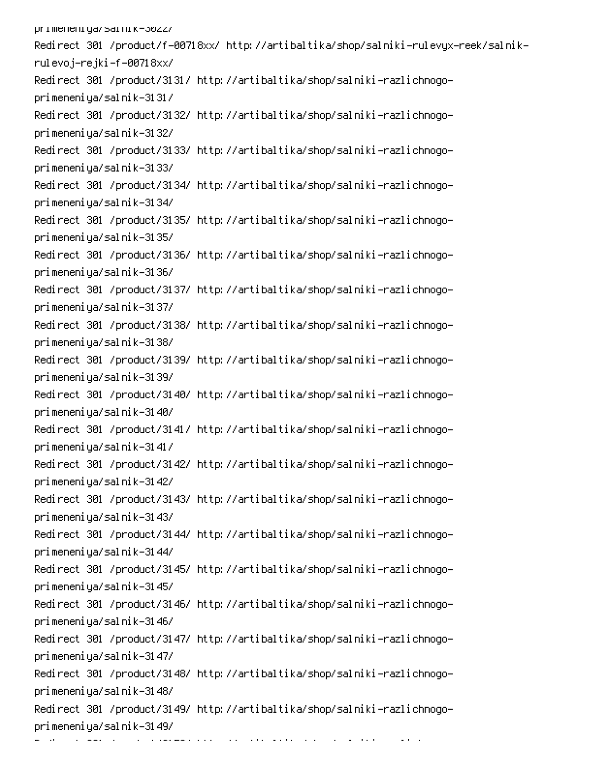primeneniya/sarnik-3022/ -Redirect 301 /product/f-00718xx/ http://artibaltika/shop/salniki-rulevyx-reek/salnik rulevoj–rejki–f–00718xx/ Redirect 301 /product/3131/ http://artibaltika/shop/salniki-razlichnogoprimeneniya/salnik-3131/ Redirect 301 /product/3132/ http://artibaltika/shop/salniki-razlichnogoprimeneniya/salnik-3132/ Redirect 301 /product/3133/ http://artibaltika/shop/salniki-razlichnogoprimeneniya/salnik-3133/ Redirect 301 /product/3134/ http://artibaltika/shop/salniki-razlichnogoprimeneniya/salnik-3134/ Redirect 301 /product/3135/ http://artibaltika/shop/salniki-razlichnogoprimeneniya/salnik-3135/ Redirect 301 /product/3136/ http://artibaltika/shop/salniki-razlichnogoprimeneniya/salnik-3136/ Redirect 301 /product/3137/ http://artibaltika/shop/salniki-razlichnogoprimeneniya/salnik-3137/ Redirect 301 /product/3138/ http://artibaltika/shop/salniki-razlichnogoprimeneniya/salnik-3138/ Redirect 301 /product/3139/ http://artibaltika/shop/salniki-razlichnogoprimeneniya/salnik-3139/ Redirect 301 /product/3140/ http://artibaltika/shop/salniki-razlichnogoprimeneniya/salnik-3140/ Redirect 301 /product/3141/ http://artibaltika/shop/salniki-razlichnogoprimeneniya/salnik-3141/ Redirect 301 /product/3142/ http://artibaltika/shop/salniki-razlichnogoprimeneniya/salnik-3142/ Redirect 301 /product/3143/ http://artibaltika/shop/salniki-razlichnogoprimeneniya/salnik-3143/ Redirect 301 /product/3144/ http://artibaltika/shop/salniki-razlichnogoprimeneniya/salnik-3144/ Redirect 301 /product/3145/ http://artibaltika/shop/salniki-razlichnogoprimeneniya/salnik-3145/ Redirect 301 /product/3146/ http://artibaltika/shop/salniki-razlichnogoprimeneniya/salnik-3146/ Redirect 301 /product/3147/ http://artibaltika/shop/salniki-razlichnogoprimeneniya/salnik-3147/ Redirect 301 /product/3148/ http://artibaltika/shop/salniki-razlichnogoprimeneniya/salnik-3148/ Redirect 301 /product/3149/ http://artibaltika/shop/salniki-razlichnogoprimeneniya/salnik-3149/ 6 pc and the companion of the companion of the companion of the companion of the companion of the companion of the<br>PCD- $\mathcal{L}_{\mathcal{A}}$  , and  $\mathcal{L}_{\mathcal{A}}$  , and  $\mathcal{L}_{\mathcal{A}}$ 0 -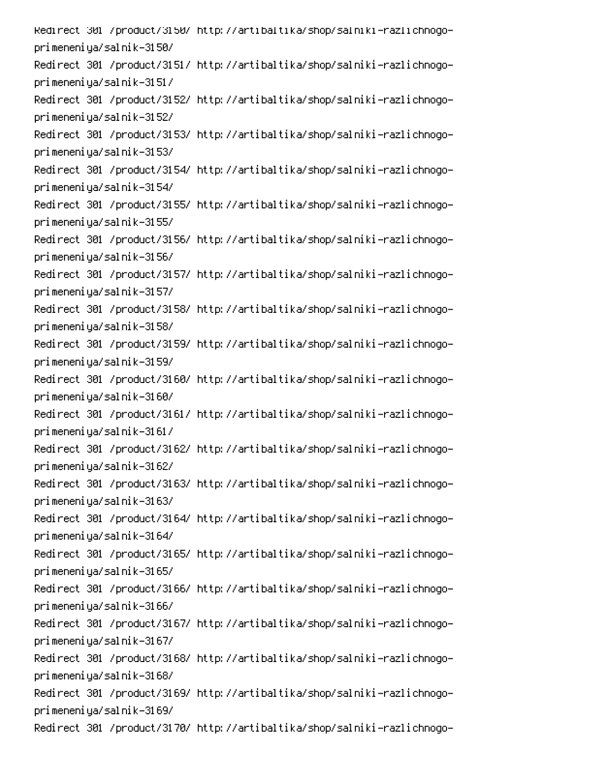Redirect\_301\_/product/3150/\_http://artibaltika/shop/salniki-razlichnogoprimeneniya/salnik-3150/ Redirect 301 /product/3151/ http://artibaltika/shop/salniki-razlichnogoprimeneniya/salnik-3151/ Redirect 301 /product/3152/ http://artibaltika/shop/salniki-razlichnogoprimeneniya/salnik-3152/ Redirect 301 /product/3153/ http://artibaltika/shop/salniki-razlichnogoprimeneniya/salnik-3153/ Redirect 301 /product/3154/ http://artibaltika/shop/salniki-razlichnogoprimeneniya/salnik-3154/ Redirect 301 /product/3155/ http://artibaltika/shop/salniki-razlichnogoprimeneniya/salnik-3155/ Redirect 301 /product/3156/ http://artibaltika/shop/salniki-razlichnogoprimeneniya/salnik-3156/ Redirect 301 /product/3157/ http://artibaltika/shop/salniki-razlichnogoprimeneniya/salnik-3157/ Redirect 301 /product/3158/ http://artibaltika/shop/salniki-razlichnogoprimeneniya/salnik-3158/ Redirect 301 /product/3159/ http://artibaltika/shop/salniki-razlichnogoprimeneniya/salnik-3159/ Redirect 301 /product/3160/ http://artibaltika/shop/salniki-razlichnogoprimeneniya/salnik-3160/ Redirect 301 /product/3161/ http://artibaltika/shop/salniki-razlichnogoprimeneniya/salnik-3161/ Redirect 301 /product/3162/ http://artibaltika/shop/salniki-razlichnogoprimeneniya/salnik-3162/ Redirect 301 /product/3163/ http://artibaltika/shop/salniki-razlichnogoprimeneniya/salnik-3163/ Redirect 301 /product/3164/ http://artibaltika/shop/salniki-razlichnogoprimeneniya/salnik-3164/ Redirect 301 /product/3165/ http://artibaltika/shop/salniki-razlichnogoprimeneniya/salnik-3165/ Redirect 301 /product/3166/ http://artibaltika/shop/salniki-razlichnogoprimeneniya/salnik-3166/ Redirect 301 /product/3167/ http://artibaltika/shop/salniki-razlichnogoprimeneniya/salnik-3167/ Redirect 301 /product/3168/ http://artibaltika/shop/salniki-razlichnogoprimeneniya/salnik-3168/ Redirect 301 /product/3169/ http://artibaltika/shop/salniki-razlichnogoprimeneniya/salnik-3169/ Redirect 301 /product/3170/ http://artibaltika/shop/salniki-razlichnogo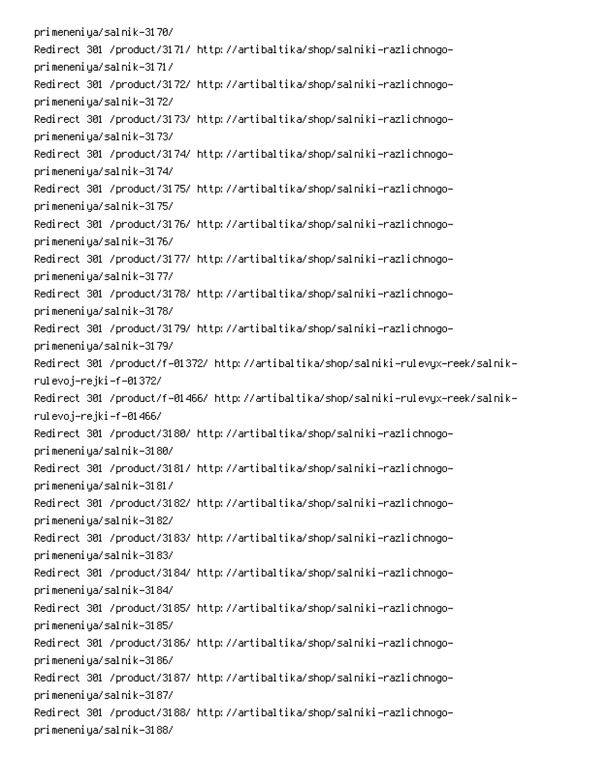primeneniya/salnik-3170/ Redirect 301 /product/3171/ http://artibaltika/shop/salniki-razlichnogoprimeneniya/salnik-3171/ Redirect 301 /product/3172/ http://artibaltika/shop/salniki-razlichnogoprimeneniya/salnik-3172/ Redirect 301 /product/3173/ http://artibaltika/shop/salniki-razlichnogoprimeneniya/salnik-3173/ Redirect 301 /product/3174/ http://artibaltika/shop/salniki-razlichnogoprimeneniya/salnik-3174/ Redirect 301 /product/3175/ http://artibaltika/shop/salniki-razlichnogoprimeneniya/salnik-3175/ Redirect 301 /product/3176/ http://artibaltika/shop/salniki-razlichnogoprimeneniya/salnik-3176/ Redirect 301 /product/3177/ http://artibaltika/shop/salniki-razlichnogoprimeneniya/salnik-3177/ Redirect 301 /product/3178/ http://artibaltika/shop/salniki-razlichnogoprimeneniya/salnik-3178/ Redirect 301 /product/3179/ http://artibaltika/shop/salniki-razlichnogoprimeneniya/salnik-3179/ -Redirect 301 /product/f-01372/ http://artibaltika/shop/salniki-rulevyx-reek/salnik rulevoj–rejki–f–01372/ -Redirect 301 /product/f-01466/ http://artibaltika/shop/salniki-rulevyx-reek/salnik rulevoj–rejki–f–01466/ Redirect 301 /product/3180/ http://artibaltika/shop/salniki-razlichnogoprimeneniya/salnik-3180/ Redirect 301 /product/3181/ http://artibaltika/shop/salniki-razlichnogoprimeneniya/salnik-3181/ Redirect 301 /product/3182/ http://artibaltika/shop/salniki-razlichnogoprimeneniya/salnik-3182/ Redirect 301 /product/3183/ http://artibaltika/shop/salniki-razlichnogoprimeneniya/salnik-3183/ Redirect 301 /product/3184/ http://artibaltika/shop/salniki-razlichnogoprimeneniya/salnik-3184/ Redirect 301 /product/3185/ http://artibaltika/shop/salniki-razlichnogoprimeneniya/salnik-3185/ Redirect 301 /product/3186/ http://artibaltika/shop/salniki-razlichnogoprimeneniya/salnik-3186/ Redirect 301 /product/3187/ http://artibaltika/shop/salniki-razlichnogoprimeneniya/salnik-3187/ Redirect 301 /product/3188/ http://artibaltika/shop/salniki-razlichnogoprimeneniya/salnik-3188/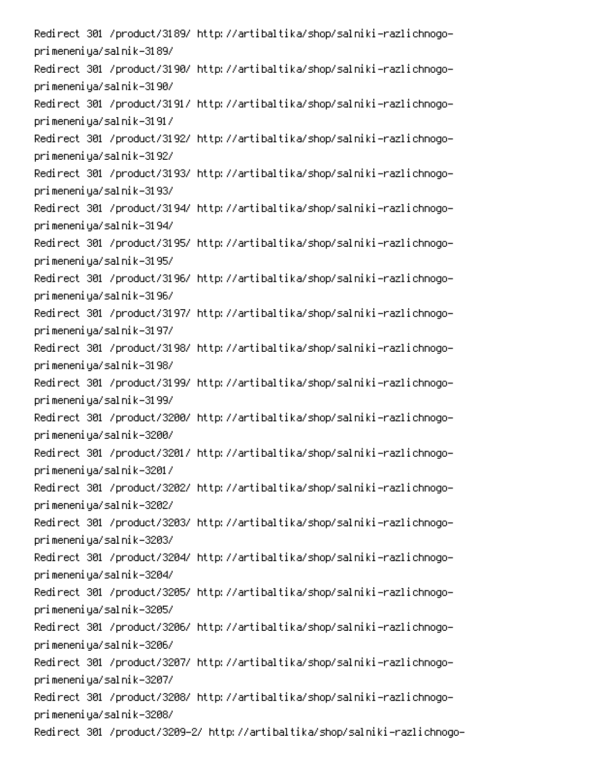Redirect 301 /product/3189/ http://artibaltika/shop/salniki-razlichnogoprimeneniya/salnik-3189/ Redirect 301 /product/3190/ http://artibaltika/shop/salniki-razlichnogoprimeneniya/salnik-3190/ Redirect 301 /product/3191/ http://artibaltika/shop/salniki-razlichnogoprimeneniya/salnik-3191/ Redirect 301 /product/3192/ http://artibaltika/shop/salniki-razlichnogoprimeneniya/salnik-3192/ Redirect 301 /product/3193/ http://artibaltika/shop/salniki-razlichnogoprimeneniya/salnik-3193/ Redirect 301 /product/3194/ http://artibaltika/shop/salniki-razlichnogoprimeneniya/salnik-3194/ Redirect 301 /product/3195/ http://artibaltika/shop/salniki-razlichnogoprimeneniya/salnik-3195/ Redirect 301 /product/3196/ http://artibaltika/shop/salniki-razlichnogoprimeneniya/salnik-3196/ Redirect 301 /product/3197/ http://artibaltika/shop/salniki-razlichnogoprimeneniya/salnik-3197/ Redirect 301 /product/3198/ http://artibaltika/shop/salniki-razlichnogoprimeneniya/salnik-3198/ Redirect 301 /product/3199/ http://artibaltika/shop/salniki-razlichnogoprimeneniya/salnik-3199/ Redirect 301 /product/3200/ http://artibaltika/shop/salniki-razlichnogoprimeneniya/salnik-3200/ Redirect 301 /product/3201/ http://artibaltika/shop/salniki-razlichnogoprimeneniya/salnik-3201/ Redirect 301 /product/3202/ http://artibaltika/shop/salniki-razlichnogoprimeneniya/salnik-3202/ Redirect 301 /product/3203/ http://artibaltika/shop/salniki-razlichnogoprimeneniya/salnik-3203/ Redirect 301 /product/3204/ http://artibaltika/shop/salniki-razlichnogoprimeneniya/salnik-3204/ Redirect 301 /product/3205/ http://artibaltika/shop/salniki-razlichnogoprimeneniya/salnik-3205/ Redirect 301 /product/3206/ http://artibaltika/shop/salniki-razlichnogoprimeneniya/salnik-3206/ Redirect 301 /product/3207/ http://artibaltika/shop/salniki-razlichnogoprimeneniya/salnik-3207/ Redirect 301 /product/3208/ http://artibaltika/shop/salniki-razlichnogoprimeneniya/salnik-3208/ Redirect 301 /product/3209–2/ http://artibaltika/shop/salniki-razlichnogo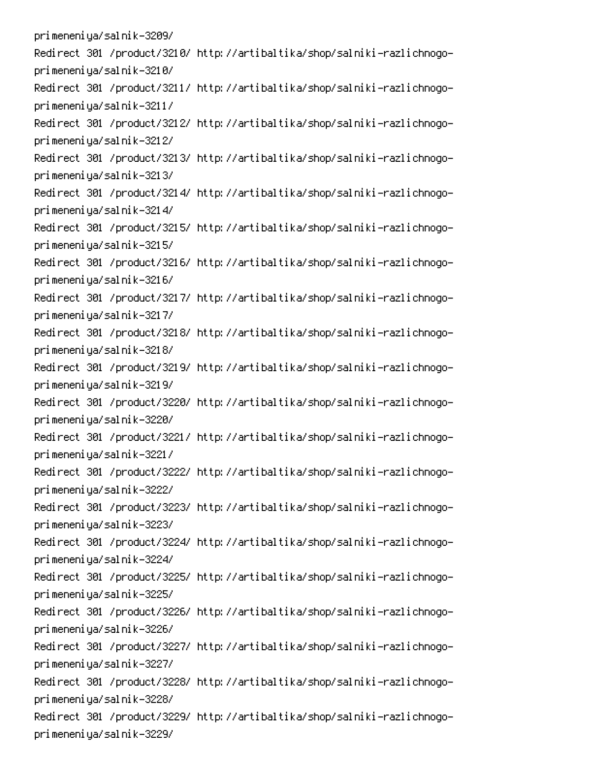primeneniya/salnik-3209/ Redirect 301 /product/3210/ http://artibaltika/shop/salniki-razlichnogoprimeneniya/salnik-3210/ Redirect 301 /product/3211/ http://artibaltika/shop/salniki-razlichnogoprimeneniya/salnik-3211/ Redirect 301 /product/3212/ http://artibaltika/shop/salniki-razlichnogoprimeneniya/salnik-3212/ Redirect 301 /product/3213/ http://artibaltika/shop/salniki-razlichnogoprimeneniya/salnik-3213/ Redirect 301 /product/3214/ http://artibaltika/shop/salniki-razlichnogoprimeneniya/salnik-3214/ Redirect 301 /product/3215/ http://artibaltika/shop/salniki-razlichnogoprimeneniya/salnik-3215/ Redirect 301 /product/3216/ http://artibaltika/shop/salniki-razlichnogoprimeneniya/salnik-3216/ Redirect 301 /product/3217/ http://artibaltika/shop/salniki-razlichnogoprimeneniya/salnik-3217/ Redirect 301 /product/3218/ http://artibaltika/shop/salniki-razlichnogoprimeneniya/salnik-3218/ Redirect 301 /product/3219/ http://artibaltika/shop/salniki-razlichnogoprimeneniya/salnik-3219/ Redirect 301 /product/3220/ http://artibaltika/shop/salniki-razlichnogoprimeneniya/salnik-3220/ Redirect 301 /product/3221/ http://artibaltika/shop/salniki-razlichnogoprimeneniya/salnik-3221/ Redirect 301 /product/3222/ http://artibaltika/shop/salniki-razlichnogoprimeneniya/salnik-3222/ Redirect 301 /product/3223/ http://artibaltika/shop/salniki-razlichnogoprimeneniya/salnik-3223/ Redirect 301 /product/3224/ http://artibaltika/shop/salniki-razlichnogoprimeneniya/salnik-3224/ Redirect 301 /product/3225/ http://artibaltika/shop/salniki-razlichnogoprimeneniya/salnik-3225/ Redirect 301 /product/3226/ http://artibaltika/shop/salniki-razlichnogoprimeneniya/salnik-3226/ Redirect 301 /product/3227/ http://artibaltika/shop/salniki-razlichnogoprimeneniya/salnik-3227/ Redirect 301 /product/3228/ http://artibaltika/shop/salniki-razlichnogoprimeneniya/salnik-3228/ Redirect 301 /product/3229/ http://artibaltika/shop/salniki-razlichnogoprimeneniya/salnik-3229/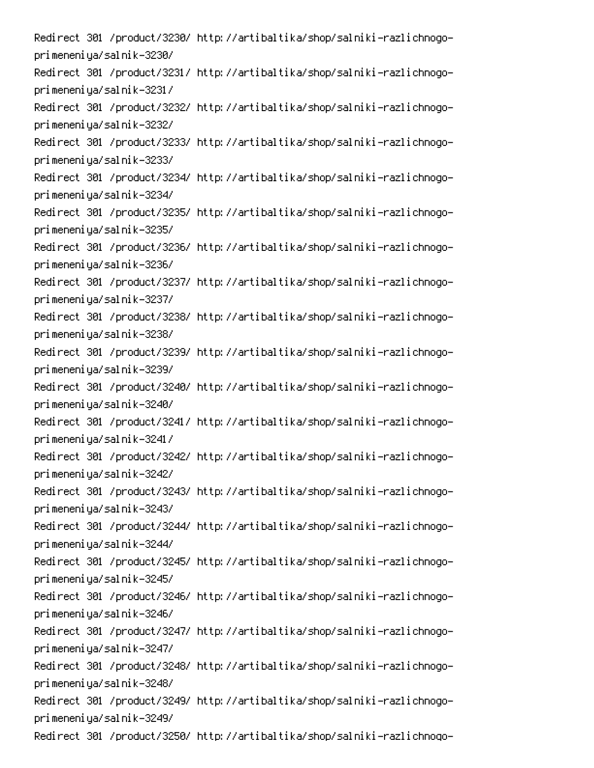Redirect 301 /product/3230/ http://artibaltika/shop/salniki-razlichnogoprimeneniya/salnik-3230/ Redirect 301 /product/3231/ http://artibaltika/shop/salniki-razlichnogoprimeneniya/salnik-3231/ Redirect 301 /product/3232/ http://artibaltika/shop/salniki-razlichnogoprimeneniya/salnik-3232/ Redirect 301 /product/3233/ http://artibaltika/shop/salniki-razlichnogoprimeneniya/salnik-3233/ Redirect 301 /product/3234/ http://artibaltika/shop/salniki-razlichnogoprimeneniya/salnik-3234/ Redirect 301 /product/3235/ http://artibaltika/shop/salniki-razlichnogoprimeneniya/salnik-3235/ Redirect 301 /product/3236/ http://artibaltika/shop/salniki-razlichnogoprimeneniya/salnik-3236/ Redirect 301 /product/3237/ http://artibaltika/shop/salniki-razlichnogoprimeneniya/salnik-3237/ Redirect 301 /product/3238/ http://artibaltika/shop/salniki-razlichnogoprimeneniya/salnik-3238/ Redirect 301 /product/3239/ http://artibaltika/shop/salniki-razlichnogoprimeneniya/salnik-3239/ Redirect 301 /product/3240/ http://artibaltika/shop/salniki-razlichnogoprimeneniya/salnik-3240/ Redirect 301 /product/3241/ http://artibaltika/shop/salniki-razlichnogoprimeneniya/salnik-3241/ Redirect 301 /product/3242/ http://artibaltika/shop/salniki-razlichnogoprimeneniya/salnik-3242/ Redirect 301 /product/3243/ http://artibaltika/shop/salniki-razlichnogoprimeneniya/salnik-3243/ Redirect 301 /product/3244/ http://artibaltika/shop/salniki-razlichnogoprimeneniya/salnik-3244/ Redirect 301 /product/3245/ http://artibaltika/shop/salniki-razlichnogoprimeneniya/salnik-3245/ Redirect 301 /product/3246/ http://artibaltika/shop/salniki-razlichnogoprimeneniya/salnik-3246/ Redirect 301 /product/3247/ http://artibaltika/shop/salniki-razlichnogoprimeneniya/salnik-3247/ Redirect 301 /product/3248/ http://artibaltika/shop/salniki-razlichnogoprimeneniya/salnik-3248/ Redirect 301 /product/3249/ http://artibaltika/shop/salniki-razlichnogoprimeneniya/salnik-3249/ Redirect 301 /product/3250/ http://artibaltika/shop/salniki-razlichnogo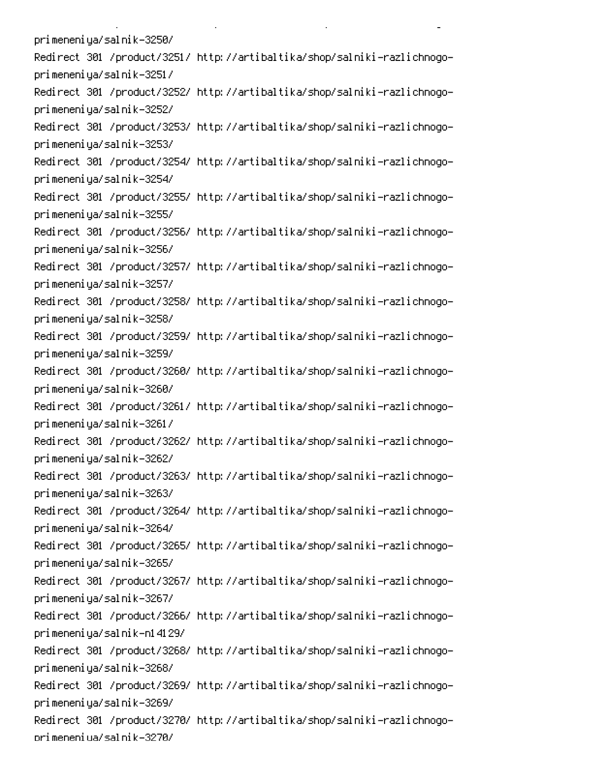primeneniya/salnik-3250/ Redirect 301 /product/3251/ http://artibaltika/shop/salniki-razlichnogoprimeneniya/salnik-3251/ Redirect 301 /product/3252/ http://artibaltika/shop/salniki-razlichnogoprimeneniya/salnik-3252/ Redirect 301 /product/3253/ http://artibaltika/shop/salniki-razlichnogoprimeneniya/salnik-3253/ Redirect 301 /product/3254/ http://artibaltika/shop/salniki-razlichnogoprimeneniya/salnik-3254/ Redirect 301 /product/3255/ http://artibaltika/shop/salniki-razlichnogoprimeneniya/salnik-3255/ Redirect 301 /product/3256/ http://artibaltika/shop/salniki-razlichnogoprimeneniya/salnik-3256/ Redirect 301 /product/3257/ http://artibaltika/shop/salniki-razlichnogoprimeneniya/salnik-3257/ Redirect 301 /product/3258/ http://artibaltika/shop/salniki-razlichnogoprimeneniya/salnik-3258/ Redirect 301 /product/3259/ http://artibaltika/shop/salniki-razlichnogoprimeneniya/salnik-3259/ Redirect 301 /product/3260/ http://artibaltika/shop/salniki-razlichnogoprimeneniya/salnik-3260/ Redirect 301 /product/3261/ http://artibaltika/shop/salniki-razlichnogoprimeneniya/salnik-3261/ Redirect 301 /product/3262/ http://artibaltika/shop/salniki-razlichnogoprimeneniya/salnik-3262/ Redirect 301 /product/3263/ http://artibaltika/shop/salniki-razlichnogoprimeneniya/salnik-3263/ Redirect 301 /product/3264/ http://artibaltika/shop/salniki-razlichnogoprimeneniya/salnik-3264/ Redirect 301 /product/3265/ http://artibaltika/shop/salniki-razlichnogoprimeneniya/salnik-3265/ Redirect 301 /product/3267/ http://artibaltika/shop/salniki-razlichnogoprimeneniya/salnik-3267/ Redirect 301 /product/3266/ http://artibaltika/shop/salniki-razlichnogoprimeneniya/salnik-n14129/ Redirect 301 /product/3268/ http://artibaltika/shop/salniki-razlichnogoprimeneniya/salnik-3268/ Redirect 301 /product/3269/ http://artibaltika/shop/salniki-razlichnogoprimeneniya/salnik-3269/ Redirect 301 /product/3270/ http://artibaltika/shop/salniki-razlichnogoorimeneniua/salnik-3270/

**Contract Contract** 

 $\mathbf{L}^{\text{max}}$ 

 $\mathbb{R}^{\mathbb{Z}^2}$ 

PC 
P D-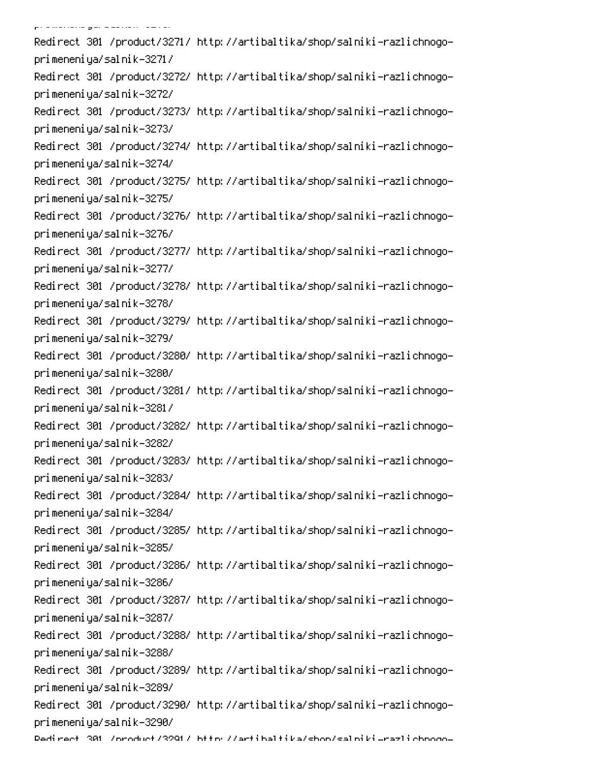0P ! Redirect 301 /product/3271/ http://artibaltika/shop/salniki-razlichnogoprimeneniya/salnik-3271/ Redirect 301 /product/3272/ http://artibaltika/shop/salniki-razlichnogoprimeneniya/salnik-3272/ Redirect 301 /product/3273/ http://artibaltika/shop/salniki-razlichnogoprimeneniya/salnik-3273/ Redirect 301 /product/3274/ http://artibaltika/shop/salniki-razlichnogoprimeneniya/salnik-3274/ Redirect 301 /product/3275/ http://artibaltika/shop/salniki-razlichnogoprimeneniya/salnik-3275/ Redirect 301 /product/3276/ http://artibaltika/shop/salniki-razlichnogoprimeneniya/salnik-3276/ Redirect 301 /product/3277/ http://artibaltika/shop/salniki-razlichnogoprimeneniya/salnik-3277/ Redirect 301 /product/3278/ http://artibaltika/shop/salniki-razlichnogoprimeneniya/salnik-3278/ Redirect 301 /product/3279/ http://artibaltika/shop/salniki-razlichnogoprimeneniya/salnik-3279/ Redirect 301 /product/3280/ http://artibaltika/shop/salniki-razlichnogoprimeneniya/salnik-3280/ Redirect 301 /product/3281/ http://artibaltika/shop/salniki-razlichnogoprimeneniya/salnik-3281/ Redirect 301 /product/3282/ http://artibaltika/shop/salniki-razlichnogoprimeneniya/salnik-3282/ Redirect 301 /product/3283/ http://artibaltika/shop/salniki-razlichnogoprimeneniya/salnik-3283/ Redirect 301 /product/3284/ http://artibaltika/shop/salniki-razlichnogoprimeneniya/salnik-3284/ Redirect 301 /product/3285/ http://artibaltika/shop/salniki-razlichnogoprimeneniya/salnik-3285/ Redirect 301 /product/3286/ http://artibaltika/shop/salniki-razlichnogoprimeneniya/salnik-3286/ Redirect 301 /product/3287/ http://artibaltika/shop/salniki-razlichnogoprimeneniya/salnik-3287/ Redirect 301 /product/3288/ http://artibaltika/shop/salniki-razlichnogoprimeneniya/salnik-3288/ Redirect 301 /product/3289/ http://artibaltika/shop/salniki-razlichnogoprimeneniya/salnik-3289/ Redirect 301 /product/3290/ http://artibaltika/shop/salniki-razlichnogoprimeneniya/salnik-3290/ Dedirect 301 /oroduct/3291/ bttp://artibaltika/shon/salpiki\_razlichooqo-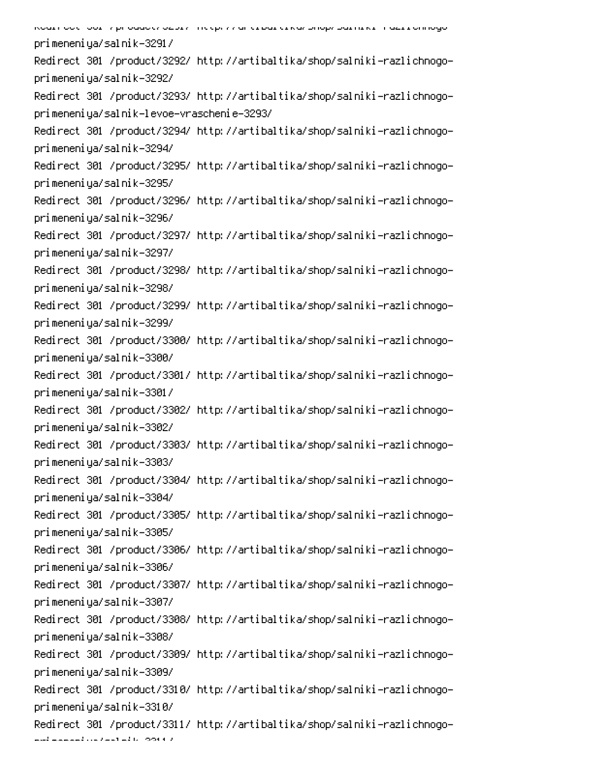לפחור פרי הסת ללו המחורה מקצוע ונוצאי עם הוא מוכן את המחור ויוסד בין סלו המוכח המחורה בין את המחורה מסו primeneniya/salnik-3291/ Redirect 301 /product/3292/ http://artibaltika/shop/salniki-razlichnogoprimeneniya/salnik-3292/ Redirect 301 /product/3293/ http://artibaltika/shop/salniki-razlichnogoprimeneniya/salnik-levoe-vraschenie-3293/ Redirect 301 /product/3294/ http://artibaltika/shop/salniki-razlichnogoprimeneniya/salnik-3294/ Redirect 301 /product/3295/ http://artibaltika/shop/salniki-razlichnogoprimeneniya/salnik-3295/ Redirect 301 /product/3296/ http://artibaltika/shop/salniki-razlichnogoprimeneniya/salnik-3296/ Redirect 301 /product/3297/ http://artibaltika/shop/salniki-razlichnogoprimeneniya/salnik-3297/ Redirect 301 /product/3298/ http://artibaltika/shop/salniki-razlichnogoprimeneniya/salnik-3298/ Redirect 301 /product/3299/ http://artibaltika/shop/salniki-razlichnogoprimeneniya/salnik-3299/ Redirect 301 /product/3300/ http://artibaltika/shop/salniki-razlichnogoprimeneniya/salnik-3300/ Redirect 301 /product/3301/ http://artibaltika/shop/salniki-razlichnogoprimeneniya/salnik-3301/ Redirect 301 /product/3302/ http://artibaltika/shop/salniki-razlichnogoprimeneniya/salnik-3302/ Redirect 301 /product/3303/ http://artibaltika/shop/salniki-razlichnogoprimeneniya/salnik-3303/ Redirect 301 /product/3304/ http://artibaltika/shop/salniki-razlichnogoprimeneniya/salnik-3304/ Redirect 301 /product/3305/ http://artibaltika/shop/salniki-razlichnogoprimeneniya/salnik-3305/ Redirect 301 /product/3306/ http://artibaltika/shop/salniki-razlichnogoprimeneniya/salnik-3306/ Redirect 301 /product/3307/ http://artibaltika/shop/salniki-razlichnogoprimeneniya/salnik-3307/ Redirect 301 /product/3308/ http://artibaltika/shop/salniki-razlichnogoprimeneniya/salnik-3308/ Redirect 301 /product/3309/ http://artibaltika/shop/salniki-razlichnogoprimeneniya/salnik-3309/ Redirect 301 /product/3310/ http://artibaltika/shop/salniki-razlichnogoprimeneniya/salnik-3310/ Redirect 301 /product/3311/ http://artibaltika/shop/salniki-razlichnogo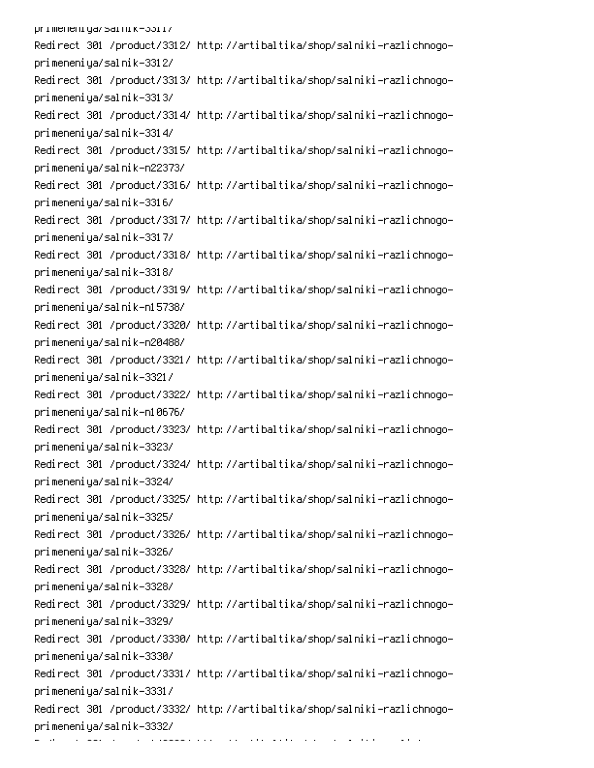primeneniya/sarnik-33ri/ Redirect 301 /product/3312/ http://artibaltika/shop/salniki-razlichnogoprimeneniya/salnik-3312/ Redirect 301 /product/3313/ http://artibaltika/shop/salniki-razlichnogoprimeneniya/salnik-3313/ Redirect 301 /product/3314/ http://artibaltika/shop/salniki-razlichnogoprimeneniya/salnik-3314/ Redirect 301 /product/3315/ http://artibaltika/shop/salniki-razlichnogoprimeneniya/salnik-n22373/ Redirect 301 /product/3316/ http://artibaltika/shop/salniki-razlichnogoprimeneniya/salnik-3316/ Redirect 301 /product/3317/ http://artibaltika/shop/salniki-razlichnogoprimeneniya/salnik-3317/ Redirect 301 /product/3318/ http://artibaltika/shop/salniki-razlichnogoprimeneniya/salnik-3318/ Redirect 301 /product/3319/ http://artibaltika/shop/salniki-razlichnogoprimeneniya/salnik-n15738/ Redirect 301 /product/3320/ http://artibaltika/shop/salniki-razlichnogoprimeneniya/salnik-n20488/ Redirect 301 /product/3321/ http://artibaltika/shop/salniki-razlichnogoprimeneniya/salnik-3321/ Redirect 301 /product/3322/ http://artibaltika/shop/salniki-razlichnogoprimeneniya/salnik-n10676/ Redirect 301 /product/3323/ http://artibaltika/shop/salniki-razlichnogoprimeneniya/salnik-3323/ Redirect 301 /product/3324/ http://artibaltika/shop/salniki-razlichnogoprimeneniya/salnik-3324/ Redirect 301 /product/3325/ http://artibaltika/shop/salniki-razlichnogoprimeneniya/salnik-3325/ Redirect 301 /product/3326/ http://artibaltika/shop/salniki-razlichnogoprimeneniya/salnik-3326/ Redirect 301 /product/3328/ http://artibaltika/shop/salniki-razlichnogoprimeneniya/salnik-3328/ Redirect 301 /product/3329/ http://artibaltika/shop/salniki-razlichnogoprimeneniya/salnik-3329/ Redirect 301 /product/3330/ http://artibaltika/shop/salniki-razlichnogoprimeneniya/salnik-3330/ Redirect 301 /product/3331/ http://artibaltika/shop/salniki-razlichnogoprimeneniya/salnik-3331/ Redirect 301 /product/3332/ http://artibaltika/shop/salniki-razlichnogoprimeneniya/salnik-3332/ 6 per la commune de la commune de la commune de la commune de la commune de la commune de la commune de la commun<br>Per la commune de la commune de la commune de la commune de la commune de la commune de la commune de la commu  $\sim 10^{-10}$  and  $\sim 10^{-10}$ 0 -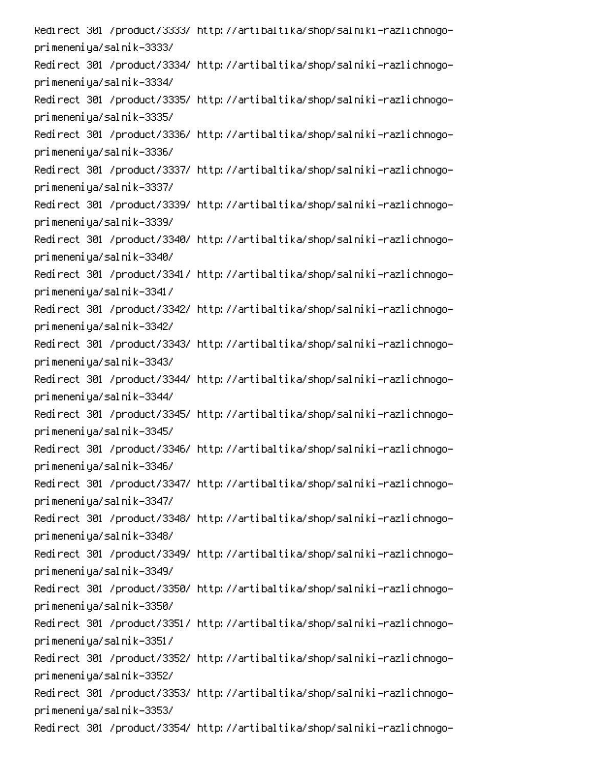Redirect\_301\_/product/3333/\_http://artibaltika/shop/salniki-razlichnogoprimeneniya/salnik-3333/ Redirect 301 /product/3334/ http://artibaltika/shop/salniki-razlichnogoprimeneniya/salnik-3334/ Redirect 301 /product/3335/ http://artibaltika/shop/salniki-razlichnogoprimeneniya/salnik-3335/ Redirect 301 /product/3336/ http://artibaltika/shop/salniki-razlichnogoprimeneniya/salnik-3336/ Redirect 301 /product/3337/ http://artibaltika/shop/salniki-razlichnogoprimeneniya/salnik-3337/ Redirect 301 /product/3339/ http://artibaltika/shop/salniki-razlichnogoprimeneniya/salnik-3339/ Redirect 301 /product/3340/ http://artibaltika/shop/salniki-razlichnogoprimeneniya/salnik-3340/ Redirect 301 /product/3341/ http://artibaltika/shop/salniki-razlichnogoprimeneniya/salnik-3341/ Redirect 301 /product/3342/ http://artibaltika/shop/salniki-razlichnogoprimeneniya/salnik-3342/ Redirect 301 /product/3343/ http://artibaltika/shop/salniki-razlichnogoprimeneniya/salnik-3343/ Redirect 301 /product/3344/ http://artibaltika/shop/salniki-razlichnogoprimeneniya/salnik-3344/ Redirect 301 /product/3345/ http://artibaltika/shop/salniki-razlichnogoprimeneniya/salnik-3345/ Redirect 301 /product/3346/ http://artibaltika/shop/salniki-razlichnogoprimeneniya/salnik-3346/ Redirect 301 /product/3347/ http://artibaltika/shop/salniki-razlichnogoprimeneniya/salnik-3347/ Redirect 301 /product/3348/ http://artibaltika/shop/salniki-razlichnogoprimeneniya/salnik-3348/ Redirect 301 /product/3349/ http://artibaltika/shop/salniki-razlichnogoprimeneniya/salnik-3349/ Redirect 301 /product/3350/ http://artibaltika/shop/salniki-razlichnogoprimeneniya/salnik-3350/ Redirect 301 /product/3351/ http://artibaltika/shop/salniki-razlichnogoprimeneniya/salnik-3351/ Redirect 301 /product/3352/ http://artibaltika/shop/salniki-razlichnogoprimeneniya/salnik-3352/ Redirect 301 /product/3353/ http://artibaltika/shop/salniki-razlichnogoprimeneniya/salnik-3353/ Redirect 301 /product/3354/ http://artibaltika/shop/salniki-razlichnogo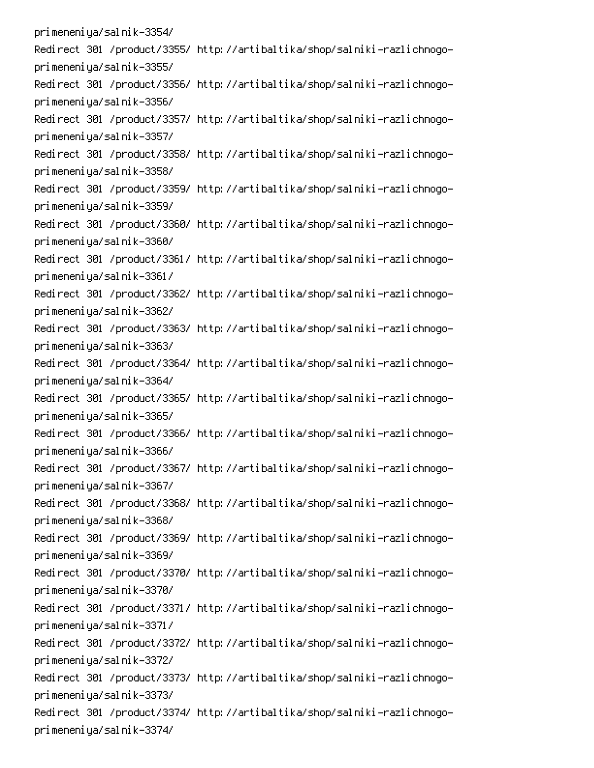primeneniya/salnik-3354/ Redirect 301 /product/3355/ http://artibaltika/shop/salniki-razlichnogoprimeneniya/salnik-3355/ Redirect 301 /product/3356/ http://artibaltika/shop/salniki-razlichnogoprimeneniya/salnik-3356/ Redirect 301 /product/3357/ http://artibaltika/shop/salniki-razlichnogoprimeneniya/salnik-3357/ Redirect 301 /product/3358/ http://artibaltika/shop/salniki-razlichnogoprimeneniya/salnik-3358/ Redirect 301 /product/3359/ http://artibaltika/shop/salniki-razlichnogoprimeneniya/salnik-3359/ Redirect 301 /product/3360/ http://artibaltika/shop/salniki-razlichnogoprimeneniya/salnik-3360/ Redirect 301 /product/3361/ http://artibaltika/shop/salniki-razlichnogoprimeneniya/salnik-3361/ Redirect 301 /product/3362/ http://artibaltika/shop/salniki-razlichnogoprimeneniya/salnik-3362/ Redirect 301 /product/3363/ http://artibaltika/shop/salniki-razlichnogoprimeneniya/salnik-3363/ Redirect 301 /product/3364/ http://artibaltika/shop/salniki-razlichnogoprimeneniya/salnik-3364/ Redirect 301 /product/3365/ http://artibaltika/shop/salniki-razlichnogoprimeneniya/salnik-3365/ Redirect 301 /product/3366/ http://artibaltika/shop/salniki-razlichnogoprimeneniya/salnik-3366/ Redirect 301 /product/3367/ http://artibaltika/shop/salniki-razlichnogoprimeneniya/salnik-3367/ Redirect 301 /product/3368/ http://artibaltika/shop/salniki-razlichnogoprimeneniya/salnik-3368/ Redirect 301 /product/3369/ http://artibaltika/shop/salniki-razlichnogoprimeneniya/salnik-3369/ Redirect 301 /product/3370/ http://artibaltika/shop/salniki-razlichnogoprimeneniya/salnik-3370/ Redirect 301 /product/3371/ http://artibaltika/shop/salniki-razlichnogoprimeneniya/salnik-3371/ Redirect 301 /product/3372/ http://artibaltika/shop/salniki-razlichnogoprimeneniya/salnik-3372/ Redirect 301 /product/3373/ http://artibaltika/shop/salniki-razlichnogoprimeneniya/salnik-3373/ Redirect 301 /product/3374/ http://artibaltika/shop/salniki-razlichnogoprimeneniya/salnik-3374/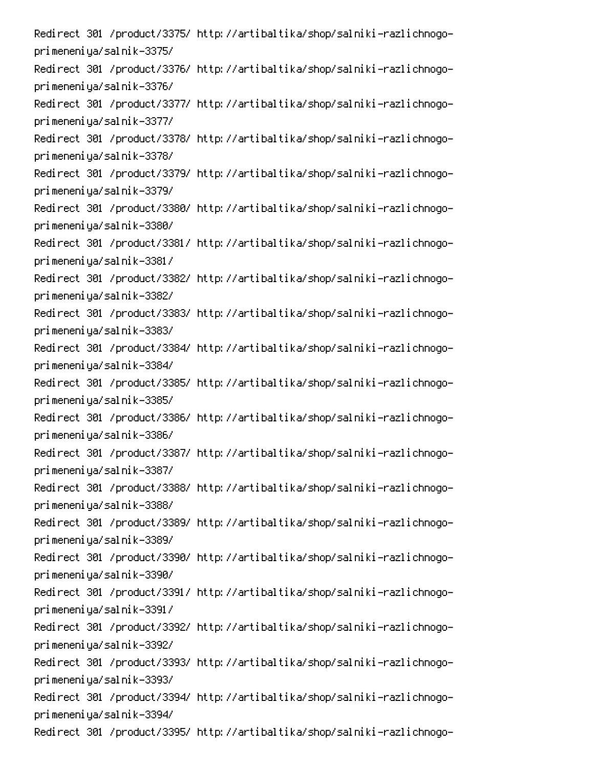Redirect 301 /product/3375/ http://artibaltika/shop/salniki-razlichnogoprimeneniya/salnik-3375/ Redirect 301 /product/3376/ http://artibaltika/shop/salniki-razlichnogoprimeneniya/salnik-3376/ Redirect 301 /product/3377/ http://artibaltika/shop/salniki-razlichnogoprimeneniya/salnik-3377/ Redirect 301 /product/3378/ http://artibaltika/shop/salniki-razlichnogoprimeneniya/salnik-3378/ Redirect 301 /product/3379/ http://artibaltika/shop/salniki-razlichnogoprimeneniya/salnik-3379/ Redirect 301 /product/3380/ http://artibaltika/shop/salniki-razlichnogoprimeneniya/salnik-3380/ Redirect 301 /product/3381/ http://artibaltika/shop/salniki-razlichnogoprimeneniya/salnik-3381/ Redirect 301 /product/3382/ http://artibaltika/shop/salniki-razlichnogoprimeneniya/salnik-3382/ Redirect 301 /product/3383/ http://artibaltika/shop/salniki-razlichnogoprimeneniya/salnik-3383/ Redirect 301 /product/3384/ http://artibaltika/shop/salniki-razlichnogoprimeneniya/salnik-3384/ Redirect 301 /product/3385/ http://artibaltika/shop/salniki-razlichnogoprimeneniya/salnik-3385/ Redirect 301 /product/3386/ http://artibaltika/shop/salniki-razlichnogoprimeneniya/salnik-3386/ Redirect 301 /product/3387/ http://artibaltika/shop/salniki-razlichnogoprimeneniya/salnik-3387/ Redirect 301 /product/3388/ http://artibaltika/shop/salniki-razlichnogoprimeneniya/salnik-3388/ Redirect 301 /product/3389/ http://artibaltika/shop/salniki-razlichnogoprimeneniya/salnik-3389/ Redirect 301 /product/3390/ http://artibaltika/shop/salniki-razlichnogoprimeneniya/salnik-3390/ Redirect 301 /product/3391/ http://artibaltika/shop/salniki-razlichnogoprimeneniya/salnik-3391/ Redirect 301 /product/3392/ http://artibaltika/shop/salniki-razlichnogoprimeneniya/salnik-3392/ Redirect 301 /product/3393/ http://artibaltika/shop/salniki-razlichnogoprimeneniya/salnik-3393/ Redirect 301 /product/3394/ http://artibaltika/shop/salniki-razlichnogoprimeneniya/salnik-3394/ Redirect 301 /product/3395/ http://artibaltika/shop/salniki-razlichnogo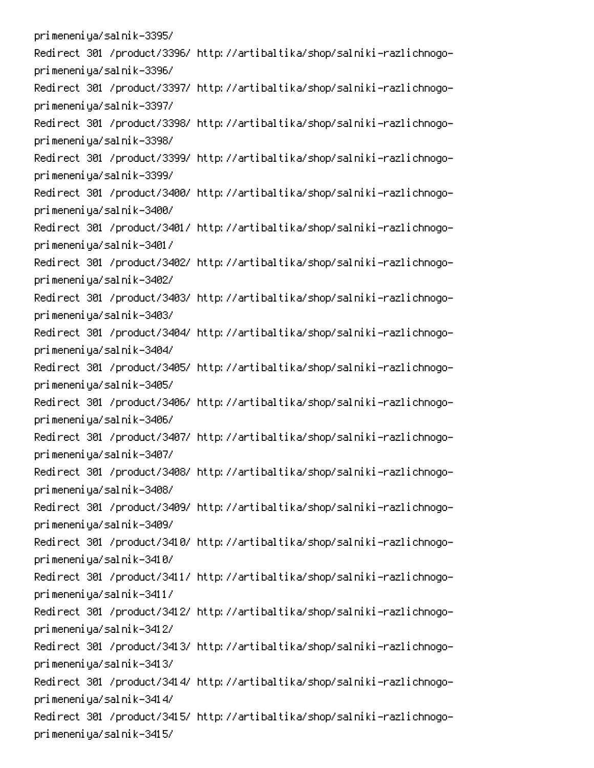primeneniya/salnik-3395/ Redirect 301 /product/3396/ http://artibaltika/shop/salniki-razlichnogoprimeneniya/salnik-3396/ Redirect 301 /product/3397/ http://artibaltika/shop/salniki-razlichnogoprimeneniya/salnik-3397/ Redirect 301 /product/3398/ http://artibaltika/shop/salniki-razlichnogoprimeneniya/salnik-3398/ Redirect 301 /product/3399/ http://artibaltika/shop/salniki-razlichnogoprimeneniya/salnik-3399/ Redirect 301 /product/3400/ http://artibaltika/shop/salniki-razlichnogoprimeneniya/salnik-3400/ Redirect 301 /product/3401/ http://artibaltika/shop/salniki-razlichnogoprimeneniya/salnik-3401/ Redirect 301 /product/3402/ http://artibaltika/shop/salniki-razlichnogoprimeneniya/salnik-3402/ Redirect 301 /product/3403/ http://artibaltika/shop/salniki-razlichnogoprimeneniya/salnik-3403/ Redirect 301 /product/3404/ http://artibaltika/shop/salniki-razlichnogoprimeneniya/salnik-3404/ Redirect 301 /product/3405/ http://artibaltika/shop/salniki-razlichnogoprimeneniya/salnik-3405/ Redirect 301 /product/3406/ http://artibaltika/shop/salniki-razlichnogoprimeneniya/salnik-3406/ Redirect 301 /product/3407/ http://artibaltika/shop/salniki-razlichnogoprimeneniya/salnik-3407/ Redirect 301 /product/3408/ http://artibaltika/shop/salniki-razlichnogoprimeneniya/salnik-3408/ Redirect 301 /product/3409/ http://artibaltika/shop/salniki-razlichnogoprimeneniya/salnik-3409/ Redirect 301 /product/3410/ http://artibaltika/shop/salniki-razlichnogoprimeneniya/salnik-3410/ Redirect 301 /product/3411/ http://artibaltika/shop/salniki-razlichnogoprimeneniya/salnik-3411/ Redirect 301 /product/3412/ http://artibaltika/shop/salniki-razlichnogoprimeneniya/salnik-3412/ Redirect 301 /product/3413/ http://artibaltika/shop/salniki-razlichnogoprimeneniya/salnik-3413/ Redirect 301 /product/3414/ http://artibaltika/shop/salniki-razlichnogoprimeneniya/salnik-3414/ Redirect 301 /product/3415/ http://artibaltika/shop/salniki-razlichnogoprimeneniya/salnik-3415/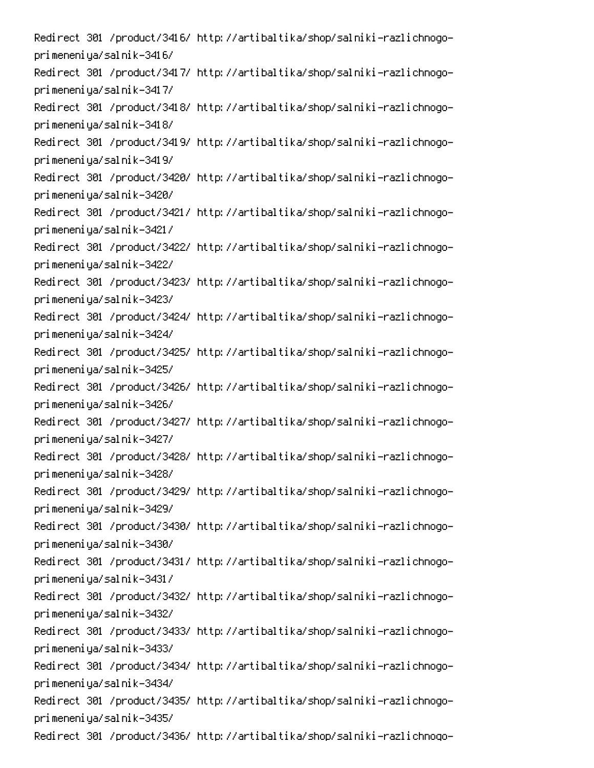Redirect 301 /product/3416/ http://artibaltika/shop/salniki-razlichnogoprimeneniya/salnik-3416/ Redirect 301 /product/3417/ http://artibaltika/shop/salniki-razlichnogoprimeneniya/salnik-3417/ Redirect 301 /product/3418/ http://artibaltika/shop/salniki-razlichnogoprimeneniya/salnik-3418/ Redirect 301 /product/3419/ http://artibaltika/shop/salniki-razlichnogoprimeneniya/salnik-3419/ Redirect 301 /product/3420/ http://artibaltika/shop/salniki-razlichnogoprimeneniya/salnik-3420/ Redirect 301 /product/3421/ http://artibaltika/shop/salniki-razlichnogoprimeneniya/salnik-3421/ Redirect 301 /product/3422/ http://artibaltika/shop/salniki-razlichnogoprimeneniya/salnik-3422/ Redirect 301 /product/3423/ http://artibaltika/shop/salniki-razlichnogoprimeneniya/salnik-3423/ Redirect 301 /product/3424/ http://artibaltika/shop/salniki-razlichnogoprimeneniya/salnik-3424/ Redirect 301 /product/3425/ http://artibaltika/shop/salniki-razlichnogoprimeneniya/salnik-3425/ Redirect 301 /product/3426/ http://artibaltika/shop/salniki-razlichnogoprimeneniya/salnik-3426/ Redirect 301 /product/3427/ http://artibaltika/shop/salniki-razlichnogoprimeneniya/salnik-3427/ Redirect 301 /product/3428/ http://artibaltika/shop/salniki-razlichnogoprimeneniya/salnik-3428/ Redirect 301 /product/3429/ http://artibaltika/shop/salniki-razlichnogoprimeneniya/salnik-3429/ Redirect 301 /product/3430/ http://artibaltika/shop/salniki-razlichnogoprimeneniya/salnik-3430/ Redirect 301 /product/3431/ http://artibaltika/shop/salniki-razlichnogoprimeneniya/salnik-3431/ Redirect 301 /product/3432/ http://artibaltika/shop/salniki-razlichnogoprimeneniya/salnik-3432/ Redirect 301 /product/3433/ http://artibaltika/shop/salniki-razlichnogoprimeneniya/salnik-3433/ Redirect 301 /product/3434/ http://artibaltika/shop/salniki-razlichnogoprimeneniya/salnik-3434/ Redirect 301 /product/3435/ http://artibaltika/shop/salniki-razlichnogoprimeneniya/salnik-3435/ Redirect 301 /product/3436/ http://artibaltika/shop/salniki-razlichnogo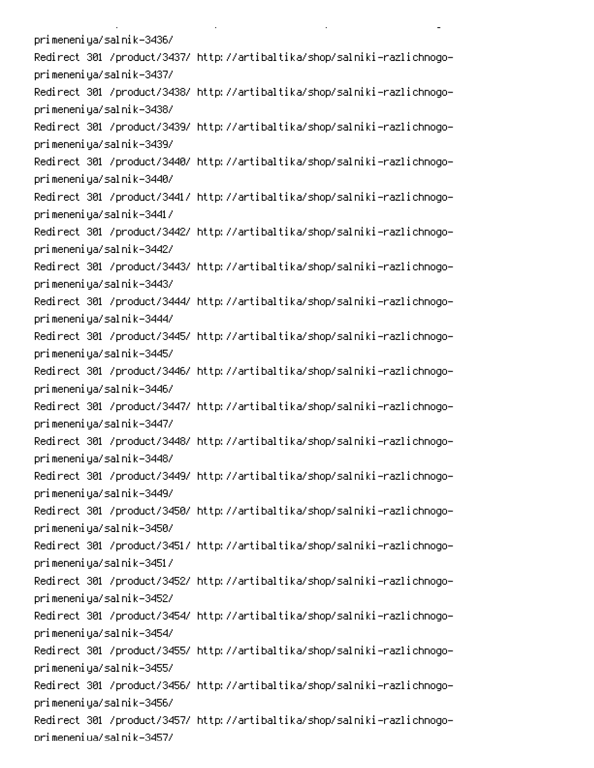primeneniya/salnik-3436/ Redirect 301 /product/3437/ http://artibaltika/shop/salniki-razlichnogoprimeneniya/salnik-3437/ Redirect 301 /product/3438/ http://artibaltika/shop/salniki-razlichnogoprimeneniya/salnik-3438/ Redirect 301 /product/3439/ http://artibaltika/shop/salniki-razlichnogoprimeneniya/salnik-3439/ Redirect 301 /product/3440/ http://artibaltika/shop/salniki-razlichnogoprimeneniya/salnik-3440/ Redirect 301 /product/3441/ http://artibaltika/shop/salniki-razlichnogoprimeneniya/salnik-3441/ Redirect 301 /product/3442/ http://artibaltika/shop/salniki-razlichnogoprimeneniya/salnik-3442/ Redirect 301 /product/3443/ http://artibaltika/shop/salniki-razlichnogoprimeneniya/salnik-3443/ Redirect 301 /product/3444/ http://artibaltika/shop/salniki-razlichnogoprimeneniya/salnik-3444/ Redirect 301 /product/3445/ http://artibaltika/shop/salniki-razlichnogoprimeneniya/salnik-3445/ Redirect 301 /product/3446/ http://artibaltika/shop/salniki-razlichnogoprimeneniya/salnik-3446/ Redirect 301 /product/3447/ http://artibaltika/shop/salniki-razlichnogoprimeneniya/salnik-3447/ Redirect 301 /product/3448/ http://artibaltika/shop/salniki-razlichnogoprimeneniya/salnik-3448/ Redirect 301 /product/3449/ http://artibaltika/shop/salniki-razlichnogoprimeneniya/salnik-3449/ Redirect 301 /product/3450/ http://artibaltika/shop/salniki-razlichnogoprimeneniya/salnik-3450/ Redirect 301 /product/3451/ http://artibaltika/shop/salniki-razlichnogoprimeneniya/salnik-3451/ Redirect 301 /product/3452/ http://artibaltika/shop/salniki-razlichnogoprimeneniya/salnik-3452/ Redirect 301 /product/3454/ http://artibaltika/shop/salniki-razlichnogoprimeneniya/salnik-3454/ Redirect 301 /product/3455/ http://artibaltika/shop/salniki-razlichnogoprimeneniya/salnik-3455/ Redirect 301 /product/3456/ http://artibaltika/shop/salniki-razlichnogoprimeneniya/salnik-3456/ Redirect 301 /product/3457/ http://artibaltika/shop/salniki-razlichnogoorimeneniua/salnik-3457/

**Contract Contract** 

 $\mathbf{L}^{\text{max}}$ 

 $\mathbb{R}^{\mathbb{Z}^2}$ 

PC PC PC PC PC PC PC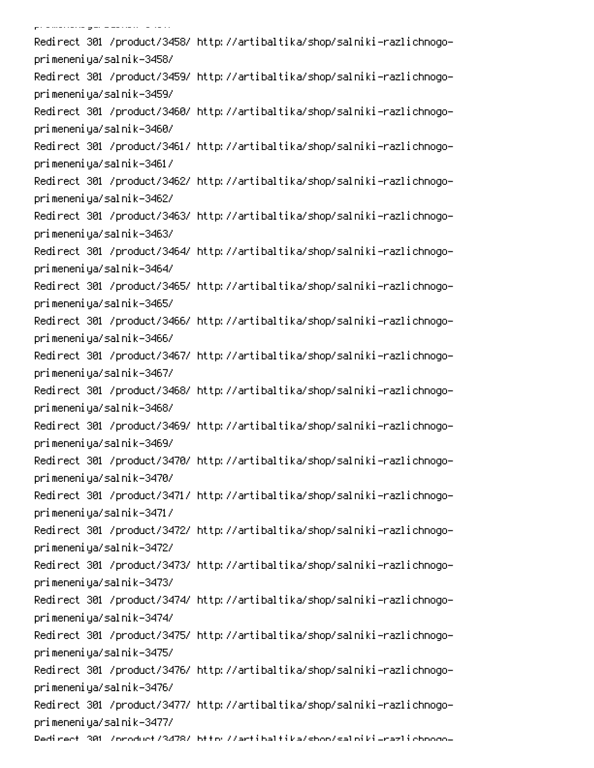.<br>Pramarana gara alikuwa ta 1977 Redirect 301 /product/3458/ http://artibaltika/shop/salniki-razlichnogoprimeneniya/salnik-3458/ Redirect 301 /product/3459/ http://artibaltika/shop/salniki-razlichnogoprimeneniya/salnik-3459/ Redirect 301 /product/3460/ http://artibaltika/shop/salniki-razlichnogoprimeneniya/salnik-3460/ Redirect 301 /product/3461/ http://artibaltika/shop/salniki-razlichnogoprimeneniya/salnik-3461/ Redirect 301 /product/3462/ http://artibaltika/shop/salniki-razlichnogoprimeneniya/salnik-3462/ Redirect 301 /product/3463/ http://artibaltika/shop/salniki-razlichnogoprimeneniya/salnik-3463/ Redirect 301 /product/3464/ http://artibaltika/shop/salniki-razlichnogoprimeneniya/salnik-3464/ Redirect 301 /product/3465/ http://artibaltika/shop/salniki-razlichnogoprimeneniya/salnik-3465/ Redirect 301 /product/3466/ http://artibaltika/shop/salniki-razlichnogoprimeneniya/salnik-3466/ Redirect 301 /product/3467/ http://artibaltika/shop/salniki-razlichnogoprimeneniya/salnik-3467/ Redirect 301 /product/3468/ http://artibaltika/shop/salniki-razlichnogoprimeneniya/salnik-3468/ Redirect 301 /product/3469/ http://artibaltika/shop/salniki-razlichnogoprimeneniya/salnik-3469/ Redirect 301 /product/3470/ http://artibaltika/shop/salniki-razlichnogoprimeneniya/salnik-3470/ Redirect 301 /product/3471/ http://artibaltika/shop/salniki-razlichnogoprimeneniya/salnik-3471/ Redirect 301 /product/3472/ http://artibaltika/shop/salniki-razlichnogoprimeneniya/salnik-3472/ Redirect 301 /product/3473/ http://artibaltika/shop/salniki-razlichnogoprimeneniya/salnik-3473/ Redirect 301 /product/3474/ http://artibaltika/shop/salniki-razlichnogoprimeneniya/salnik-3474/ Redirect 301 /product/3475/ http://artibaltika/shop/salniki-razlichnogoprimeneniya/salnik-3475/ Redirect 301 /product/3476/ http://artibaltika/shop/salniki-razlichnogoprimeneniya/salnik-3476/ Redirect 301 /product/3477/ http://artibaltika/shop/salniki-razlichnogoprimeneniya/salnik-3477/ Dedirect 301 /oroduct/3478/ bttp://artibaltika/shon/salpiki\_razlichooqo-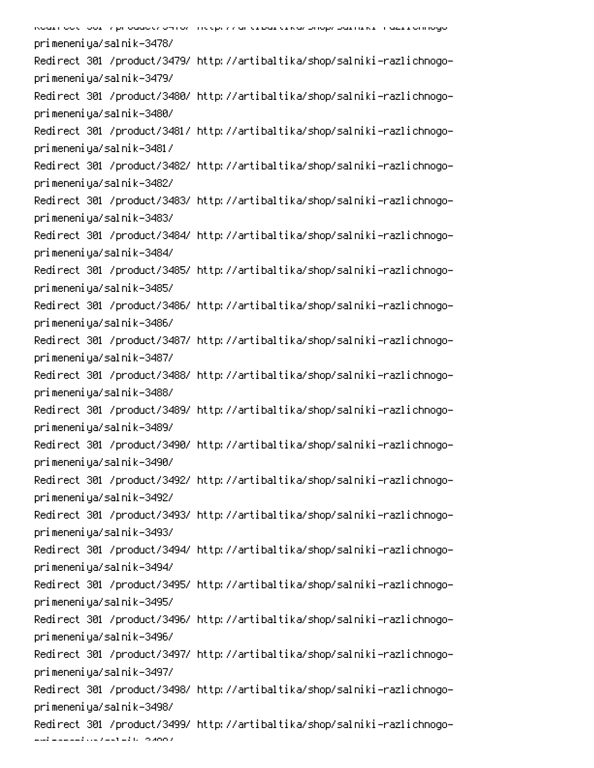| model out you will also a server in the contraction of the product of the company |
|-----------------------------------------------------------------------------------|
| primeneniya/salnik-3478/                                                          |
| Redirect 301 /product/3479/ http://artibaltika/shop/salniki-razlichnogo-          |
| primeneniya/salnik-3479/                                                          |
| Redirect 301 /product/3480/ http://artibaltika/shop/salniki-razlichnogo-          |
| primeneniya/salnik-3480/                                                          |
| Redirect 301 /product/3481/ http://artibaltika/shop/salniki-razlichnogo-          |
| primeneniya/salnik-3481/                                                          |
| Redirect 301 /product/3482/ http://artibaltika/shop/salniki-razlichnogo-          |
| primeneniya/salnik-3482/                                                          |
| Redirect 301 /product/3483/ http://artibaltika/shop/salniki-razlichnogo-          |
| primeneniya/salnik-3483/                                                          |
| Redirect 301 /product/3484/ http://artibaltika/shop/salniki-razlichnogo-          |
| primeneniya/salnik-3484/                                                          |
| Redirect 301 /product/3485/ http://artibaltika/shop/salniki-razlichnogo-          |
| primeneniya/salnik-3485/                                                          |
| Redirect 301 /product/3486/ http://artibaltika/shop/salniki-razlichnogo-          |
| primeneniya/salnik-3486/                                                          |
| Redirect 301 /product/3487/ http://artibaltika/shop/salniki-razlichnogo-          |
| primeneniya/salnik-3487/                                                          |
| Redirect 301 /product/3488/ http://artibaltika/shop/salniki-razlichnogo-          |
| primeneniya/salnik-3488/                                                          |
| Redirect 301 /product/3489/ http://artibaltika/shop/salniki-razlichnogo-          |
| primeneniya/salnik-3489/                                                          |
| Redirect 301 /product/3490/ http://artibaltika/shop/salniki-razlichnogo-          |
| primeneniya/salnik-3490/                                                          |
| Redirect 301 /product/3492/ http://artibaltika/shop/salniki-razlichnogo-          |
| primeneniya/salnik-3492/                                                          |
| Redirect 301 /product/3493/ http://artibaltika/shop/salniki-razlichnogo-          |
| primeneniya/salnik-3493/                                                          |
| Redirect 301 /product/3494/ http://artibaltika/shop/salniki-razlichnogo-          |
| primeneniya/salnik-3494/                                                          |
| Redirect 301 /product/3495/ http://artibaltika/shop/salniki-razlichnogo-          |
| primeneniya/salnik-3495/                                                          |
| Redirect 301 /product/3496/ http://artibaltika/shop/salniki-razlichnogo-          |
| primeneniya/salnik-3496/                                                          |
| Redirect 301 /product/3497/ http://artibaltika/shop/salniki-razlichnogo-          |
| primeneniya/salnik-3497/                                                          |
| Redirect 301 /product/3498/ http://artibaltika/shop/salniki-razlichnogo-          |
| primeneniya/salnik-3498/                                                          |
| Redirect 301 /product/3499/ http://artibaltika/shop/salniki-razlichnogo-          |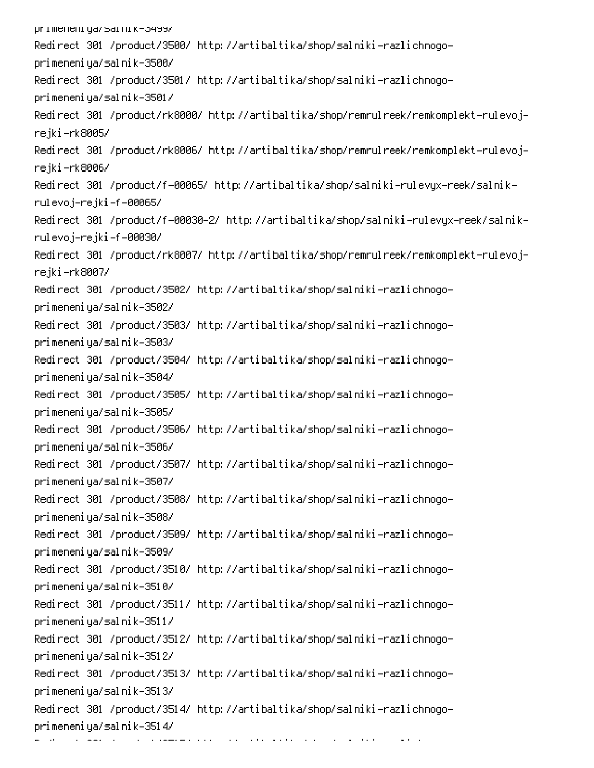primeneniya/sarnik-3499/ Redirect 301 /product/3500/ http://artibaltika/shop/salniki-razlichnogoprimeneniya/salnik-3500/ Redirect 301 /product/3501/ http://artibaltika/shop/salniki-razlichnogoprimeneniya/salnik-3501/ Redirect 301 /product/rk8000/ http://artibaltika/shop/remrulreek/remkomplekt-rulevojrejki–rk8005/ Redirect 301 /product/rk8006/ http://artibaltika/shop/remrulreek/remkomplekt-rulevojrejki–rk8006/ -Redirect 301 /product/f-00065/ http://artibaltika/shop/salniki-rulevyx-reek/salnik rulevoj–rejki–f–00065/ -Redirect 301 /product/f-00030-2/ http://artibaltika/shop/salniki-rulevyx-reek/salnik rulevoj–rejki–f–00030/ Redirect 301 /product/rk8007/ http://artibaltika/shop/remrulreek/remkomplekt-rulevojrejki–rk8007/ Redirect 301 /product/3502/ http://artibaltika/shop/salniki-razlichnogoprimeneniya/salnik-3502/ Redirect 301 /product/3503/ http://artibaltika/shop/salniki-razlichnogoprimeneniya/salnik-3503/ Redirect 301 /product/3504/ http://artibaltika/shop/salniki-razlichnogoprimeneniya/salnik-3504/ Redirect 301 /product/3505/ http://artibaltika/shop/salniki-razlichnogoprimeneniya/salnik-3505/ Redirect 301 /product/3506/ http://artibaltika/shop/salniki-razlichnogoprimeneniya/salnik-3506/ Redirect 301 /product/3507/ http://artibaltika/shop/salniki-razlichnogoprimeneniya/salnik-3507/ Redirect 301 /product/3508/ http://artibaltika/shop/salniki-razlichnogoprimeneniya/salnik-3508/ Redirect 301 /product/3509/ http://artibaltika/shop/salniki-razlichnogoprimeneniya/salnik-3509/ Redirect 301 /product/3510/ http://artibaltika/shop/salniki-razlichnogoprimeneniya/salnik-3510/ Redirect 301 /product/3511/ http://artibaltika/shop/salniki-razlichnogoprimeneniya/salnik-3511/ Redirect 301 /product/3512/ http://artibaltika/shop/salniki-razlichnogoprimeneniya/salnik-3512/ Redirect 301 /product/3513/ http://artibaltika/shop/salniki-razlichnogoprimeneniya/salnik-3513/ Redirect 301 /product/3514/ http://artibaltika/shop/salniki-razlichnogoprimeneniya/salnik-3514/ 6 pc and the companion of the companion of the companion of the companion of the companion of the companion of the<br>Posterior companion  $\sim 10^{-10}$  and  $\sim 10^{-10}$ 0 -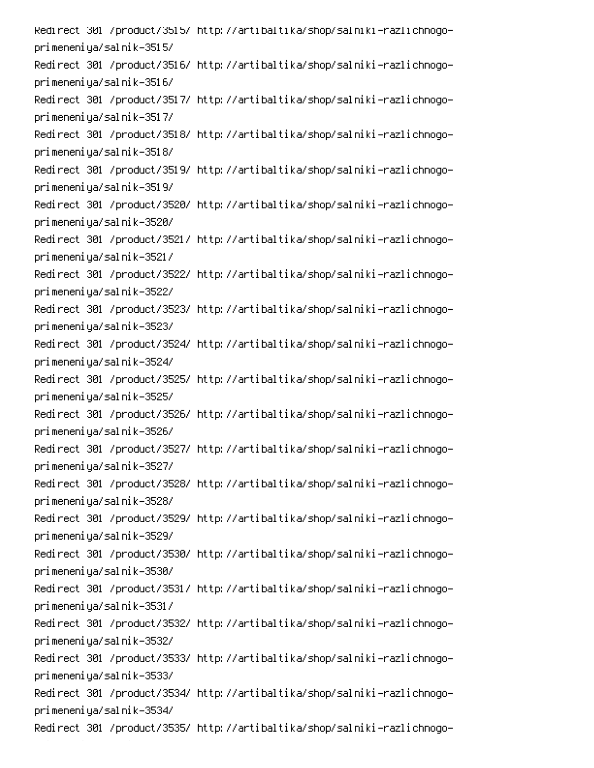Redirect 301 /product/3515/ http://artibaltika/shop/salniki-razlichnogoprimeneniya/salnik-3515/ Redirect 301 /product/3516/ http://artibaltika/shop/salniki-razlichnogoprimeneniya/salnik-3516/ Redirect 301 /product/3517/ http://artibaltika/shop/salniki-razlichnogoprimeneniya/salnik-3517/ Redirect 301 /product/3518/ http://artibaltika/shop/salniki-razlichnogoprimeneniya/salnik-3518/ Redirect 301 /product/3519/ http://artibaltika/shop/salniki-razlichnogoprimeneniya/salnik-3519/ Redirect 301 /product/3520/ http://artibaltika/shop/salniki-razlichnogoprimeneniya/salnik-3520/ Redirect 301 /product/3521/ http://artibaltika/shop/salniki-razlichnogoprimeneniya/salnik-3521/ Redirect 301 /product/3522/ http://artibaltika/shop/salniki-razlichnogoprimeneniya/salnik-3522/ Redirect 301 /product/3523/ http://artibaltika/shop/salniki-razlichnogoprimeneniya/salnik-3523/ Redirect 301 /product/3524/ http://artibaltika/shop/salniki-razlichnogoprimeneniya/salnik-3524/ Redirect 301 /product/3525/ http://artibaltika/shop/salniki-razlichnogoprimeneniya/salnik-3525/ Redirect 301 /product/3526/ http://artibaltika/shop/salniki-razlichnogoprimeneniya/salnik-3526/ Redirect 301 /product/3527/ http://artibaltika/shop/salniki-razlichnogoprimeneniya/salnik-3527/ Redirect 301 /product/3528/ http://artibaltika/shop/salniki-razlichnogoprimeneniya/salnik-3528/ Redirect 301 /product/3529/ http://artibaltika/shop/salniki-razlichnogoprimeneniya/salnik-3529/ Redirect 301 /product/3530/ http://artibaltika/shop/salniki-razlichnogoprimeneniya/salnik-3530/ Redirect 301 /product/3531/ http://artibaltika/shop/salniki-razlichnogoprimeneniya/salnik-3531/ Redirect 301 /product/3532/ http://artibaltika/shop/salniki-razlichnogoprimeneniya/salnik-3532/ Redirect 301 /product/3533/ http://artibaltika/shop/salniki-razlichnogoprimeneniya/salnik-3533/ Redirect 301 /product/3534/ http://artibaltika/shop/salniki-razlichnogoprimeneniya/salnik-3534/ Redirect 301 /product/3535/ http://artibaltika/shop/salniki-razlichnogo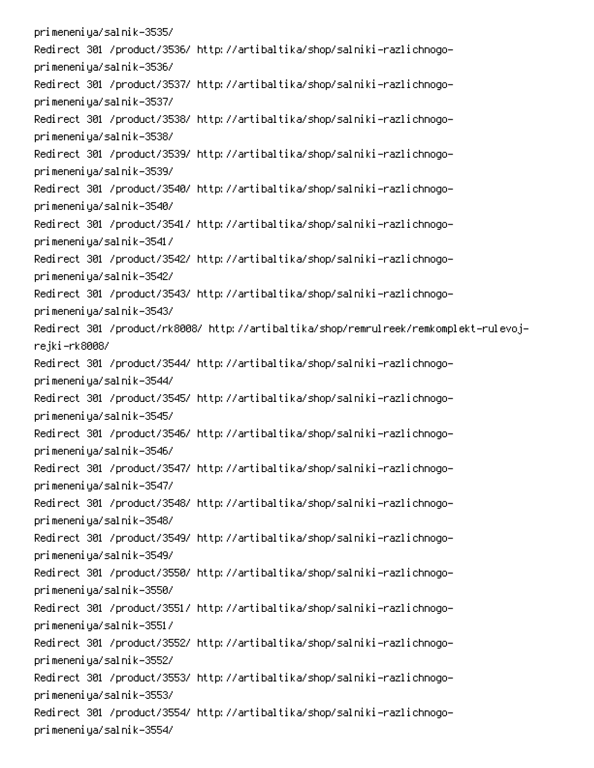primeneniya/salnik-3535/ Redirect 301 /product/3536/ http://artibaltika/shop/salniki-razlichnogoprimeneniya/salnik-3536/ Redirect 301 /product/3537/ http://artibaltika/shop/salniki-razlichnogoprimeneniya/salnik-3537/ Redirect 301 /product/3538/ http://artibaltika/shop/salniki-razlichnogoprimeneniya/salnik-3538/ Redirect 301 /product/3539/ http://artibaltika/shop/salniki-razlichnogoprimeneniya/salnik-3539/ Redirect 301 /product/3540/ http://artibaltika/shop/salniki-razlichnogoprimeneniya/salnik-3540/ Redirect 301 /product/3541/ http://artibaltika/shop/salniki-razlichnogoprimeneniya/salnik-3541/ Redirect 301 /product/3542/ http://artibaltika/shop/salniki-razlichnogoprimeneniya/salnik-3542/ Redirect 301 /product/3543/ http://artibaltika/shop/salniki-razlichnogoprimeneniya/salnik-3543/ Redirect 301 /product/rk8008/ http://artibaltika/shop/remrulreek/remkomplekt-rulevojrejki–rk8008/ Redirect 301 /product/3544/ http://artibaltika/shop/salniki-razlichnogoprimeneniya/salnik-3544/ Redirect 301 /product/3545/ http://artibaltika/shop/salniki-razlichnogoprimeneniya/salnik-3545/ Redirect 301 /product/3546/ http://artibaltika/shop/salniki-razlichnogoprimeneniya/salnik-3546/ Redirect 301 /product/3547/ http://artibaltika/shop/salniki-razlichnogoprimeneniya/salnik-3547/ Redirect 301 /product/3548/ http://artibaltika/shop/salniki-razlichnogoprimeneniya/salnik-3548/ Redirect 301 /product/3549/ http://artibaltika/shop/salniki-razlichnogoprimeneniya/salnik-3549/ Redirect 301 /product/3550/ http://artibaltika/shop/salniki-razlichnogoprimeneniya/salnik-3550/ Redirect 301 /product/3551/ http://artibaltika/shop/salniki-razlichnogoprimeneniya/salnik-3551/ Redirect 301 /product/3552/ http://artibaltika/shop/salniki-razlichnogoprimeneniya/salnik-3552/ Redirect 301 /product/3553/ http://artibaltika/shop/salniki-razlichnogoprimeneniya/salnik-3553/ Redirect 301 /product/3554/ http://artibaltika/shop/salniki-razlichnogoprimeneniya/salnik-3554/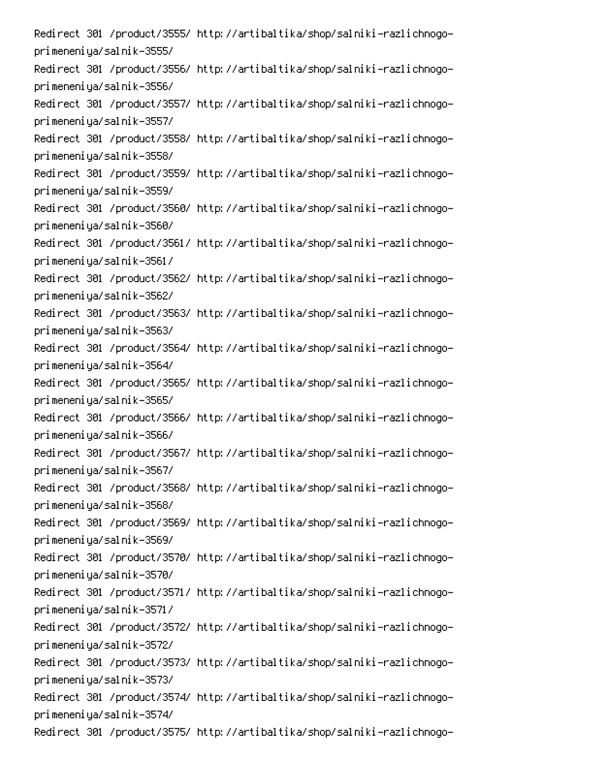Redirect 301 /product/3555/ http://artibaltika/shop/salniki-razlichnogoprimeneniya/salnik-3555/ Redirect 301 /product/3556/ http://artibaltika/shop/salniki-razlichnogoprimeneniya/salnik-3556/ Redirect 301 /product/3557/ http://artibaltika/shop/salniki-razlichnogoprimeneniya/salnik-3557/ Redirect 301 /product/3558/ http://artibaltika/shop/salniki-razlichnogoprimeneniya/salnik-3558/ Redirect 301 /product/3559/ http://artibaltika/shop/salniki-razlichnogoprimeneniya/salnik-3559/ Redirect 301 /product/3560/ http://artibaltika/shop/salniki-razlichnogoprimeneniya/salnik-3560/ Redirect 301 /product/3561/ http://artibaltika/shop/salniki-razlichnogoprimeneniya/salnik-3561/ Redirect 301 /product/3562/ http://artibaltika/shop/salniki-razlichnogoprimeneniya/salnik-3562/ Redirect 301 /product/3563/ http://artibaltika/shop/salniki-razlichnogoprimeneniya/salnik-3563/ Redirect 301 /product/3564/ http://artibaltika/shop/salniki-razlichnogoprimeneniya/salnik-3564/ Redirect 301 /product/3565/ http://artibaltika/shop/salniki-razlichnogoprimeneniya/salnik-3565/ Redirect 301 /product/3566/ http://artibaltika/shop/salniki-razlichnogoprimeneniya/salnik-3566/ Redirect 301 /product/3567/ http://artibaltika/shop/salniki-razlichnogoprimeneniya/salnik-3567/ Redirect 301 /product/3568/ http://artibaltika/shop/salniki-razlichnogoprimeneniya/salnik-3568/ Redirect 301 /product/3569/ http://artibaltika/shop/salniki-razlichnogoprimeneniya/salnik-3569/ Redirect 301 /product/3570/ http://artibaltika/shop/salniki-razlichnogoprimeneniya/salnik-3570/ Redirect 301 /product/3571/ http://artibaltika/shop/salniki-razlichnogoprimeneniya/salnik-3571/ Redirect 301 /product/3572/ http://artibaltika/shop/salniki-razlichnogoprimeneniya/salnik-3572/ Redirect 301 /product/3573/ http://artibaltika/shop/salniki-razlichnogoprimeneniya/salnik-3573/ Redirect 301 /product/3574/ http://artibaltika/shop/salniki-razlichnogoprimeneniya/salnik-3574/ Redirect 301 /product/3575/ http://artibaltika/shop/salniki-razlichnogo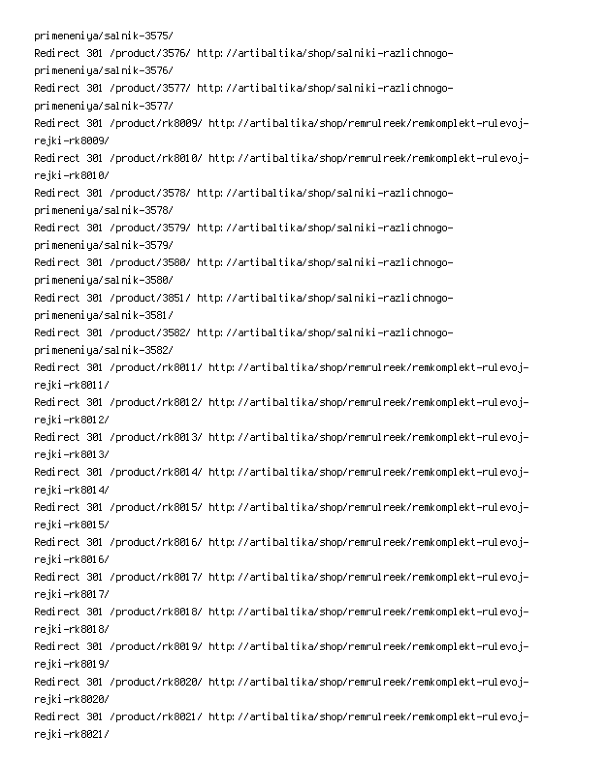primeneniya/salnik-3575/ Redirect 301 /product/3576/ http://artibaltika/shop/salniki-razlichnogoprimeneniya/salnik-3576/ Redirect 301 /product/3577/ http://artibaltika/shop/salniki-razlichnogoprimeneniya/salnik-3577/ Redirect 301 /product/rk8009/ http://artibaltika/shop/remrulreek/remkomplekt-rulevojrejki–rk8009/ Redirect 301 /product/rk8010/ http://artibaltika/shop/remrulreek/remkomplekt-rulevojrejki–rk8010/ Redirect 301 /product/3578/ http://artibaltika/shop/salniki-razlichnogoprimeneniya/salnik-3578/ Redirect 301 /product/3579/ http://artibaltika/shop/salniki-razlichnogoprimeneniya/salnik-3579/ Redirect 301 /product/3580/ http://artibaltika/shop/salniki-razlichnogoprimeneniya/salnik-3580/ Redirect 301 /product/3851/ http://artibaltika/shop/salniki-razlichnogoprimeneniya/salnik-3581/ Redirect 301 /product/3582/ http://artibaltika/shop/salniki-razlichnogoprimeneniya/salnik-3582/ Redirect 301 /product/rk8011/ http://artibaltika/shop/remrulreek/remkomplekt-rulevojrejki-rk8011/ Redirect 301 /product/rk8012/ http://artibaltika/shop/remrulreek/remkomplekt-rulevojrejki–rk8012/ Redirect 301 /product/rk8013/ http://artibaltika/shop/remrulreek/remkomplekt-rulevojrejki–rk8013/ Redirect 301 /product/rk8014/ http://artibaltika/shop/remrulreek/remkomplekt-rulevojrejki–rk8014/ Redirect 301 /product/rk8015/ http://artibaltika/shop/remrulreek/remkomplekt-rulevojrejki-rk8015/ Redirect 301 /product/rk8016/ http://artibaltika/shop/remrulreek/remkomplekt-rulevojrejki–rk8016/ Redirect 301 /product/rk8017/ http://artibaltika/shop/remrulreek/remkomplekt-rulevojrejki-rk8017/ Redirect 301 /product/rk8018/ http://artibaltika/shop/remrulreek/remkomplekt-rulevojrejki–rk8018/ Redirect 301 /product/rk8019/ http://artibaltika/shop/remrulreek/remkomplekt-rulevojrejki–rk8019/ Redirect 301 /product/rk8020/ http://artibaltika/shop/remrulreek/remkomplekt-rulevojrejki–rk8020/ Redirect 301 /product/rk8021/ http://artibaltika/shop/remrulreek/remkomplekt-rulevojrejki-rk8021/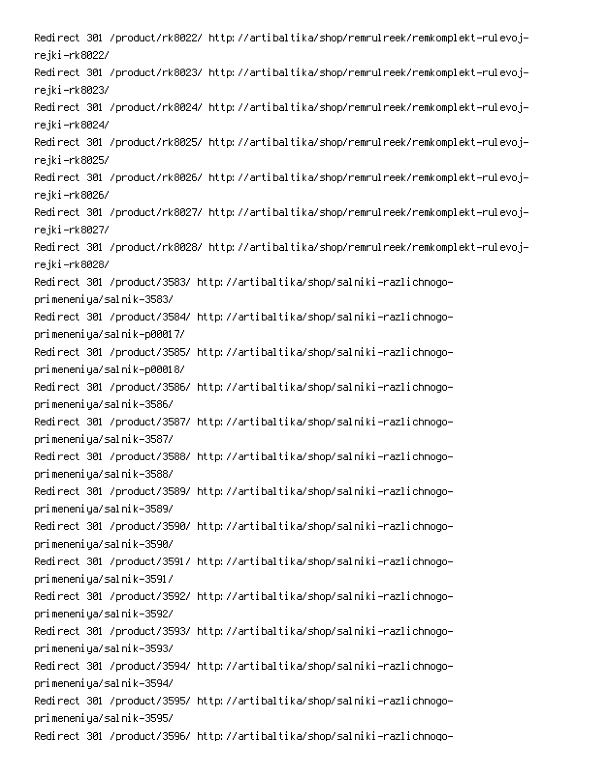Redirect 301 /product/rk8022/ http://artibaltika/shop/remrulreek/remkomplekt-rulevojrejki–rk8022/ Redirect 301 /product/rk8023/ http://artibaltika/shop/remrulreek/remkomplekt-rulevojrejki–rk8023/ Redirect 301 /product/rk8024/ http://artibaltika/shop/remrulreek/remkomplekt-rulevojrejki–rk8024/ Redirect 301 /product/rk8025/ http://artibaltika/shop/remrulreek/remkomplekt-rulevojrejki–rk8025/ Redirect 301 /product/rk8026/ http://artibaltika/shop/remrulreek/remkomplekt-rulevojrejki–rk8026/ Redirect 301 /product/rk8027/ http://artibaltika/shop/remrulreek/remkomplekt-rulevojrejki–rk8027/ Redirect 301 /product/rk8028/ http://artibaltika/shop/remrulreek/remkomplekt-rulevojrejki–rk8028/ Redirect 301 /product/3583/ http://artibaltika/shop/salniki-razlichnogoprimeneniya/salnik-3583/ Redirect 301 /product/3584/ http://artibaltika/shop/salniki-razlichnogoprimeneniya/salnik-p00017/ Redirect 301 /product/3585/ http://artibaltika/shop/salniki-razlichnogoprimeneniya/salnik-p00018/ Redirect 301 /product/3586/ http://artibaltika/shop/salniki-razlichnogoprimeneniya/salnik-3586/ Redirect 301 /product/3587/ http://artibaltika/shop/salniki-razlichnogoprimeneniya/salnik-3587/ Redirect 301 /product/3588/ http://artibaltika/shop/salniki-razlichnogoprimeneniya/salnik-3588/ Redirect 301 /product/3589/ http://artibaltika/shop/salniki-razlichnogoprimeneniya/salnik-3589/ Redirect 301 /product/3590/ http://artibaltika/shop/salniki-razlichnogoprimeneniya/salnik-3590/ Redirect 301 /product/3591/ http://artibaltika/shop/salniki-razlichnogoprimeneniya/salnik-3591/ Redirect 301 /product/3592/ http://artibaltika/shop/salniki-razlichnogoprimeneniya/salnik-3592/ Redirect 301 /product/3593/ http://artibaltika/shop/salniki-razlichnogoprimeneniya/salnik-3593/ Redirect 301 /product/3594/ http://artibaltika/shop/salniki-razlichnogoprimeneniya/salnik-3594/ Redirect 301 /product/3595/ http://artibaltika/shop/salniki-razlichnogoprimeneniya/salnik-3595/ Redirect 301 /product/3596/ http://artibaltika/shop/salniki-razlichnogo-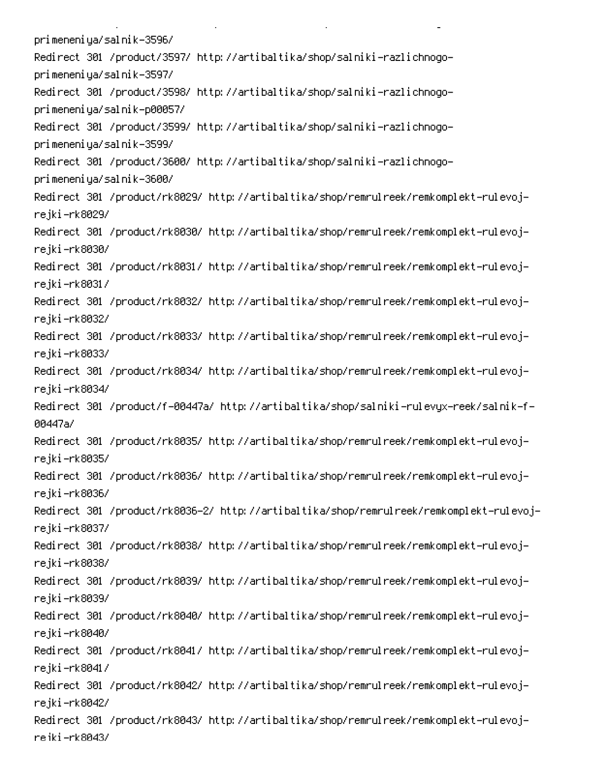primeneniya/salnik-3596/ Redirect 301 /product/3597/ http://artibaltika/shop/salniki-razlichnogoprimeneniya/salnik-3597/ Redirect 301 /product/3598/ http://artibaltika/shop/salniki-razlichnogoprimeneniya/salnik-p00057/ Redirect 301 /product/3599/ http://artibaltika/shop/salniki-razlichnogoprimeneniya/salnik-3599/ Redirect 301 /product/3600/ http://artibaltika/shop/salniki-razlichnogoprimeneniya/salnik-3600/ Redirect 301 /product/rk8029/ http://artibaltika/shop/remrulreek/remkomplekt-rulevojrejki–rk8029/ Redirect 301 /product/rk8030/ http://artibaltika/shop/remrulreek/remkomplekt-rulevojrejki–rk8030/ Redirect 301 /product/rk8031/ http://artibaltika/shop/remrulreek/remkomplekt-rulevojrejki–rk8031/ Redirect 301 /product/rk8032/ http://artibaltika/shop/remrulreek/remkomplekt-rulevojrejki–rk8032/ Redirect 301 /product/rk8033/ http://artibaltika/shop/remrulreek/remkomplekt-rulevojrejki–rk8033/ Redirect 301 /product/rk8034/ http://artibaltika/shop/remrulreek/remkomplekt-rulevojrejki–rk8034/ Redirect 301 /product/f-00447a/ http://artibaltika/shop/salniki-rulevyx-reek/salnik-f-00447a/ Redirect 301 /product/rk8035/ http://artibaltika/shop/remrulreek/remkomplekt-rulevojrejki–rk8035/ Redirect 301 /product/rk8036/ http://artibaltika/shop/remrulreek/remkomplekt-rulevojrejki–rk8036/ Redirect 301 /product/rk8036–2/ http://artibaltika/shop/remrulreek/remkomplekt-rulevojrejki–rk8037/ Redirect 301 /product/rk8038/ http://artibaltika/shop/remrulreek/remkomplekt-rulevojrejki–rk8038/ Redirect 301 /product/rk8039/ http://artibaltika/shop/remrulreek/remkomplekt-rulevojrejki–rk8039/ Redirect 301 /product/rk8040/ http://artibaltika/shop/remrulreek/remkomplekt-rulevojrejki–rk8040/ Redirect 301 /product/rk8041/ http://artibaltika/shop/remrulreek/remkomplekt-rulevojrejki–rk8041/ Redirect 301 /product/rk8042/ http://artibaltika/shop/remrulreek/remkomplekt-rulevojrejki–rk8042/ Redirect 301 /product/rk8043/ http://artibaltika/shop/remrulreek/remkomplekt-rulevojreiki-rk8043/

PC PC PC PC PC PC PC

**Contract Contract** 

 $\mathbf{L}^{\text{max}}$ 

 $\mathbb{R}^{\mathbb{Z}^2}$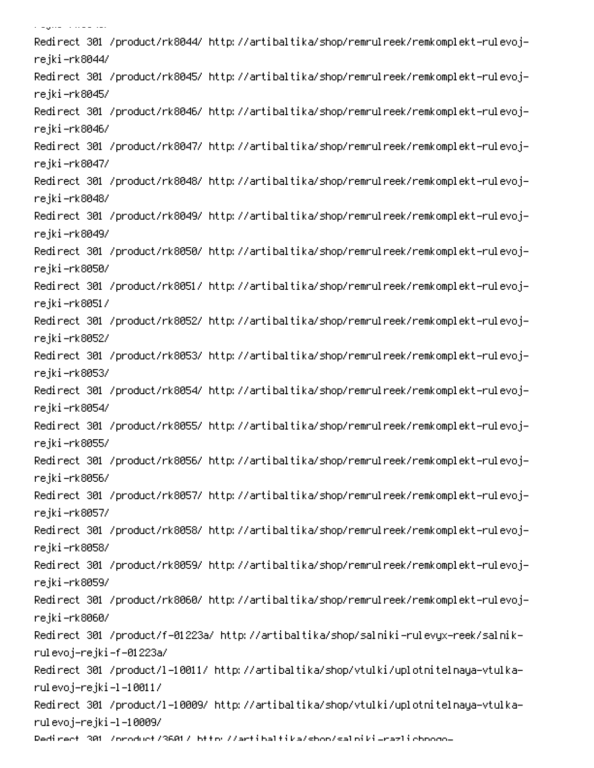Redirect 301 /product/rk8044/ http://artibaltika/shop/remrulreek/remkomplekt-rulevojrejki–rk8044/ Redirect 301 /product/rk8045/ http://artibaltika/shop/remrulreek/remkomplekt-rulevojrejki–rk8045/ Redirect 301 /product/rk8046/ http://artibaltika/shop/remrulreek/remkomplekt-rulevojrejki–rk8046/ Redirect 301 /product/rk8047/ http://artibaltika/shop/remrulreek/remkomplekt-rulevojrejki-rk8047/ Redirect 301 /product/rk8048/ http://artibaltika/shop/remrulreek/remkomplekt-rulevojrejki–rk8048/ Redirect 301 /product/rk8049/ http://artibaltika/shop/remrulreek/remkomplekt-rulevojrejki–rk8049/ Redirect 301 /product/rk8050/ http://artibaltika/shop/remrulreek/remkomplekt-rulevojrejki–rk8050/ Redirect 301 /product/rk8051/ http://artibaltika/shop/remrulreek/remkomplekt-rulevojrejki-rk8051/ Redirect 301 /product/rk8052/ http://artibaltika/shop/remrulreek/remkomplekt-rulevojrejki-rk8052/ Redirect 301 /product/rk8053/ http://artibaltika/shop/remrulreek/remkomplekt-rulevojrejki-rk8053/ Redirect 301 /product/rk8054/ http://artibaltika/shop/remrulreek/remkomplekt-rulevojrejki-rk8054/ Redirect 301 /product/rk8055/ http://artibaltika/shop/remrulreek/remkomplekt-rulevojrejki-rk8055/ Redirect 301 /product/rk8056/ http://artibaltika/shop/remrulreek/remkomplekt-rulevojrejki-rk8056/ Redirect 301 /product/rk8057/ http://artibaltika/shop/remrulreek/remkomplekt-rulevojrejki-rk8057/ Redirect 301 /product/rk8058/ http://artibaltika/shop/remrulreek/remkomplekt-rulevojrejki-rk8058/ Redirect 301 /product/rk8059/ http://artibaltika/shop/remrulreek/remkomplekt-rulevojrejki–rk8059/ Redirect 301 /product/rk8060/ http://artibaltika/shop/remrulreek/remkomplekt-rulevojrejki–rk8060/ -Redirect 301 /product/f-01223a/ http://artibaltika/shop/salniki-rulevyx-reek/salnik rulevoj-rejki-f-01223a/ -Redirect 301 /product/l-10011/ http://artibaltika/shop/vtulki/uplotnitelnaya-vtulka rulevoj–rejki–l–10011/ Redirect 301 /product/l-10009/ http://artibaltika/shop/vtulki/uplotnitelnaya-vtulkarulevoj–rejki–l–10009/

.<br>Manazarta Manazarta

Dedirect 301 /oroduct/3601/ bttp://artibaltika/shon/salpiki\_razlichooqo-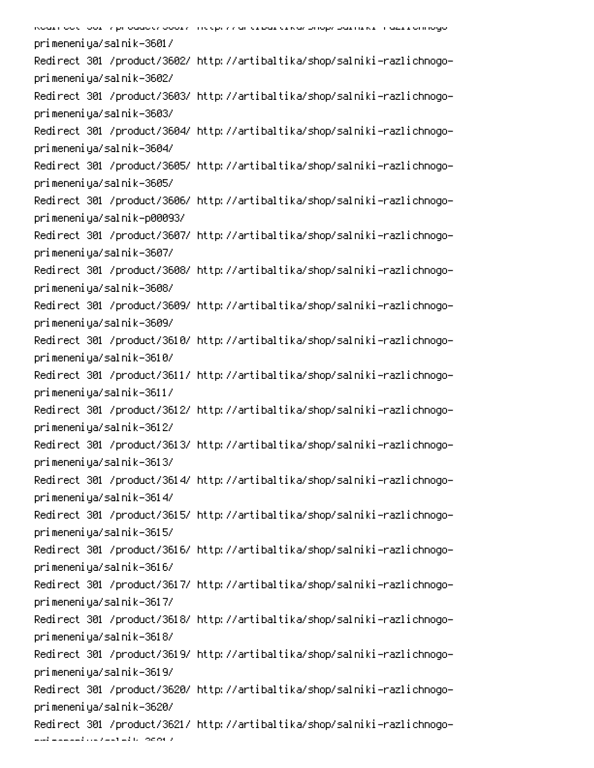| Koari oo tii oor iy prioqaace ooory incepty ah erbarerkay bilopy barriikii maarronnogo- |
|-----------------------------------------------------------------------------------------|
| primeneniya/salnik-3601/                                                                |
| Redirect 301 /product/3602/ http://artibaltika/shop/salniki-razlichnogo-                |
| primeneniya/salnik-3602/                                                                |
| Redirect 301 /product/3603/ http://artibaltika/shop/salniki-razlichnogo-                |
| primeneniya/salnik-3603/                                                                |
| Redirect 301 /product/3604/ http://artibaltika/shop/salniki-razlichnogo-                |
| primeneniya/salnik-3604/                                                                |
| Redirect 301 /product/3605/ http://artibaltika/shop/salniki-razlichnogo-                |
| primeneniya/salnik-3605/                                                                |
| Redirect 301 /product/3606/ http://artibaltika/shop/salniki-razlichnogo-                |
| primeneniya/salnik-p00093/                                                              |
| Redirect 301 /product/3607/ http://artibaltika/shop/salniki-razlichnogo-                |
| primeneniya/salnik-3607/                                                                |
| Redirect 301 /product/3608/ http://artibaltika/shop/salniki-razlichnogo-                |
| primeneniya/salnik-3608/                                                                |
| Redirect 301 /product/3609/ http://artibaltika/shop/salniki-razlichnogo-                |
| primeneniya/salnik-3609/                                                                |
| Redirect 301 /product/3610/ http://artibaltika/shop/salniki-razlichnogo-                |
| primeneniya/salnik-3610/                                                                |
| Redirect 301 /product/3611/ http://artibaltika/shop/salniki-razlichnogo-                |
| primeneniya/salnik-3611/                                                                |
| Redirect 301 /product/3612/ http://artibaltika/shop/salniki-razlichnogo-                |
| primeneniya/salnik-3612/                                                                |
| Redirect 301 /product/3613/ http://artibaltika/shop/salniki-razlichnogo-                |
| primeneniya/salnik-3613/                                                                |
| Redirect 301 /product/3614/ http://artibaltika/shop/salniki-razlichnogo-                |
| primeneniya/salnik-3614/                                                                |
| Redirect 301 /product/3615/ http://artibaltika/shop/salniki-razlichnogo-                |
| primeneniya/salnik-3615/                                                                |
| Redirect 301 /product/3616/ http://artibaltika/shop/salniki-razlichnogo-                |
| primeneniya/salnik-3616/                                                                |
| Redirect 301 /product/3617/ http://artibaltika/shop/salniki-razlichnogo-                |
| primeneniya/salnik-3617/                                                                |
| Redirect 301 /product/3618/ http://artibaltika/shop/salniki-razlichnogo-                |
| primeneniya/salnik-3618/                                                                |
| Redirect 301 /product/3619/ http://artibaltika/shop/salniki-razlichnogo-                |
| primeneniya/salnik-3619/                                                                |
| Redirect 301 /product/3620/ http://artibaltika/shop/salniki-razlichnogo-                |
| primeneniya/salnik-3620/                                                                |
| Redirect 301 /product/3621/ http://artibaltika/shop/salniki-razlichnogo-                |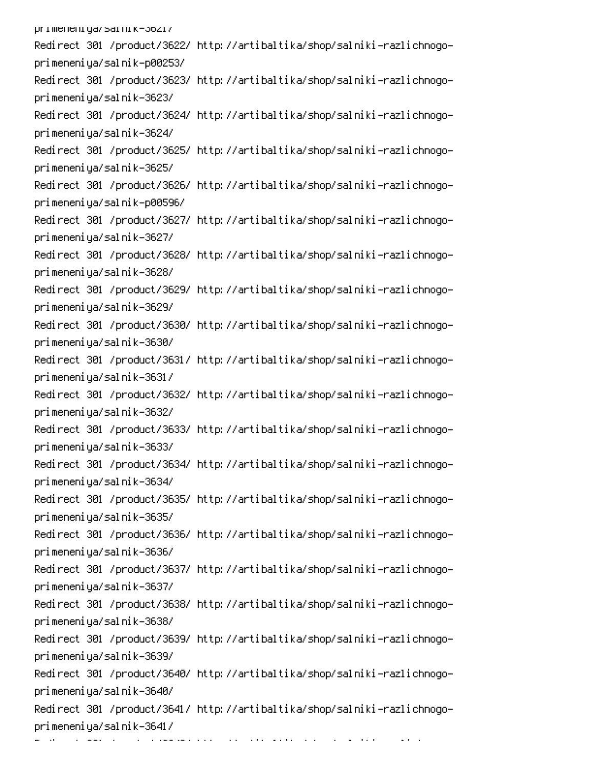primeneniya/sarnik-36217 Redirect 301 /product/3622/ http://artibaltika/shop/salniki-razlichnogoprimeneniya/salnik-p00253/ Redirect 301 /product/3623/ http://artibaltika/shop/salniki-razlichnogoprimeneniya/salnik-3623/ Redirect 301 /product/3624/ http://artibaltika/shop/salniki-razlichnogoprimeneniya/salnik-3624/ Redirect 301 /product/3625/ http://artibaltika/shop/salniki-razlichnogoprimeneniya/salnik-3625/ Redirect 301 /product/3626/ http://artibaltika/shop/salniki-razlichnogoprimeneniya/salnik-p00596/ Redirect 301 /product/3627/ http://artibaltika/shop/salniki-razlichnogoprimeneniya/salnik-3627/ Redirect 301 /product/3628/ http://artibaltika/shop/salniki-razlichnogoprimeneniya/salnik-3628/ Redirect 301 /product/3629/ http://artibaltika/shop/salniki-razlichnogoprimeneniya/salnik-3629/ Redirect 301 /product/3630/ http://artibaltika/shop/salniki-razlichnogoprimeneniya/salnik-3630/ Redirect 301 /product/3631/ http://artibaltika/shop/salniki-razlichnogoprimeneniya/salnik-3631/ Redirect 301 /product/3632/ http://artibaltika/shop/salniki-razlichnogoprimeneniya/salnik-3632/ Redirect 301 /product/3633/ http://artibaltika/shop/salniki-razlichnogoprimeneniya/salnik-3633/ Redirect 301 /product/3634/ http://artibaltika/shop/salniki-razlichnogoprimeneniya/salnik-3634/ Redirect 301 /product/3635/ http://artibaltika/shop/salniki-razlichnogoprimeneniya/salnik-3635/ Redirect 301 /product/3636/ http://artibaltika/shop/salniki-razlichnogoprimeneniya/salnik-3636/ Redirect 301 /product/3637/ http://artibaltika/shop/salniki-razlichnogoprimeneniya/salnik-3637/ Redirect 301 /product/3638/ http://artibaltika/shop/salniki-razlichnogoprimeneniya/salnik-3638/ Redirect 301 /product/3639/ http://artibaltika/shop/salniki-razlichnogoprimeneniya/salnik-3639/ Redirect 301 /product/3640/ http://artibaltika/shop/salniki-razlichnogoprimeneniya/salnik-3640/ Redirect 301 /product/3641/ http://artibaltika/shop/salniki-razlichnogoprimeneniya/salnik-3641/

pc and the second contract of the second contract of the second contract of the second contract of the second contract of the second contract of the second contract of the second contract of the second contract of the seco

 $\sim 10^{-10}$  and  $\sim 10^{-10}$ 

0

-

6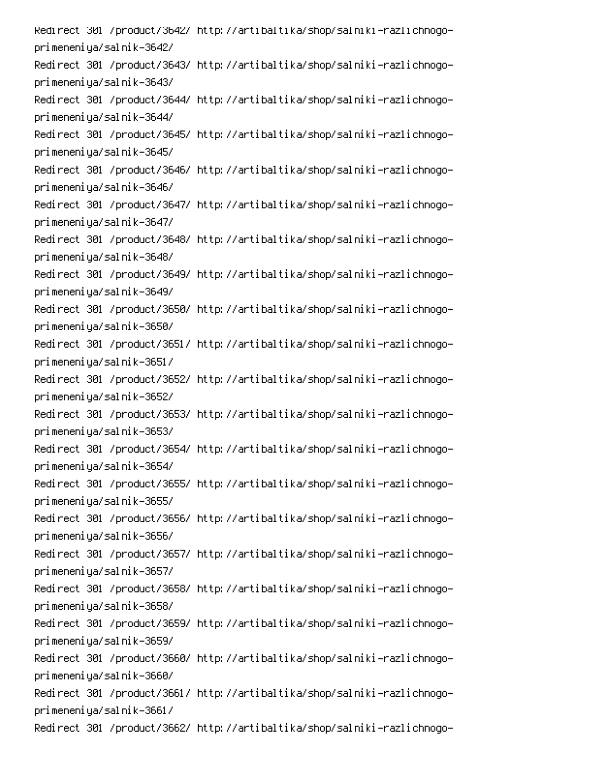Redirect 301 /product/3542/ http://artibaltika/shop/salniki-razlichnogoprimeneniya/salnik-3642/ Redirect 301 /product/3643/ http://artibaltika/shop/salniki-razlichnogoprimeneniya/salnik-3643/ Redirect 301 /product/3644/ http://artibaltika/shop/salniki-razlichnogoprimeneniya/salnik-3644/ Redirect 301 /product/3645/ http://artibaltika/shop/salniki-razlichnogoprimeneniya/salnik-3645/ Redirect 301 /product/3646/ http://artibaltika/shop/salniki-razlichnogoprimeneniya/salnik-3646/ Redirect 301 /product/3647/ http://artibaltika/shop/salniki-razlichnogoprimeneniya/salnik-3647/ Redirect 301 /product/3648/ http://artibaltika/shop/salniki-razlichnogoprimeneniya/salnik-3648/ Redirect 301 /product/3649/ http://artibaltika/shop/salniki-razlichnogoprimeneniya/salnik-3649/ Redirect 301 /product/3650/ http://artibaltika/shop/salniki-razlichnogoprimeneniya/salnik-3650/ Redirect 301 /product/3651/ http://artibaltika/shop/salniki-razlichnogoprimeneniya/salnik-3651/ Redirect 301 /product/3652/ http://artibaltika/shop/salniki-razlichnogoprimeneniya/salnik-3652/ Redirect 301 /product/3653/ http://artibaltika/shop/salniki-razlichnogoprimeneniya/salnik-3653/ Redirect 301 /product/3654/ http://artibaltika/shop/salniki-razlichnogoprimeneniya/salnik-3654/ Redirect 301 /product/3655/ http://artibaltika/shop/salniki-razlichnogoprimeneniya/salnik-3655/ Redirect 301 /product/3656/ http://artibaltika/shop/salniki-razlichnogoprimeneniya/salnik-3656/ Redirect 301 /product/3657/ http://artibaltika/shop/salniki-razlichnogoprimeneniya/salnik-3657/ Redirect 301 /product/3658/ http://artibaltika/shop/salniki-razlichnogoprimeneniya/salnik-3658/ Redirect 301 /product/3659/ http://artibaltika/shop/salniki-razlichnogoprimeneniya/salnik-3659/ Redirect 301 /product/3660/ http://artibaltika/shop/salniki-razlichnogoprimeneniya/salnik-3660/ Redirect 301 /product/3661/ http://artibaltika/shop/salniki-razlichnogoprimeneniya/salnik-3661/ Redirect 301 /product/3662/ http://artibaltika/shop/salniki-razlichnogo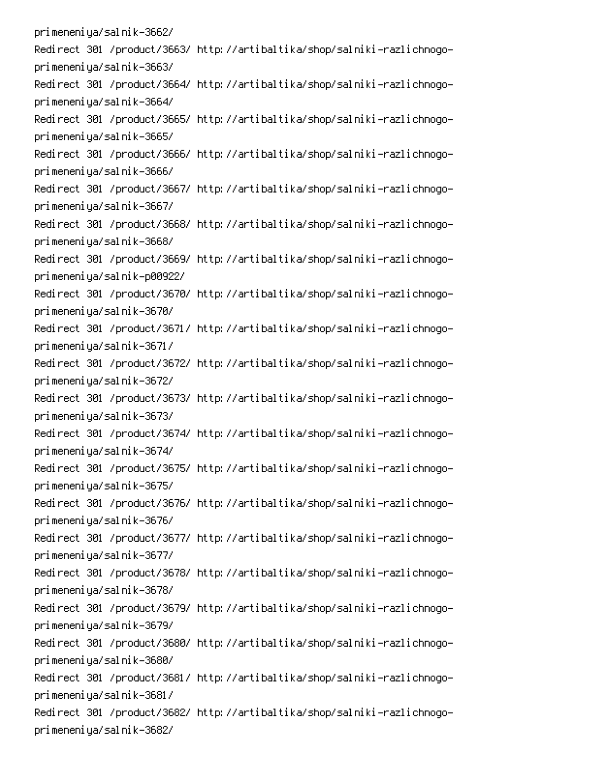primeneniya/salnik-3662/ Redirect 301 /product/3663/ http://artibaltika/shop/salniki-razlichnogoprimeneniya/salnik-3663/ Redirect 301 /product/3664/ http://artibaltika/shop/salniki-razlichnogoprimeneniya/salnik-3664/ Redirect 301 /product/3665/ http://artibaltika/shop/salniki-razlichnogoprimeneniya/salnik-3665/ Redirect 301 /product/3666/ http://artibaltika/shop/salniki-razlichnogoprimeneniya/salnik-3666/ Redirect 301 /product/3667/ http://artibaltika/shop/salniki-razlichnogoprimeneniya/salnik-3667/ Redirect 301 /product/3668/ http://artibaltika/shop/salniki-razlichnogoprimeneniya/salnik-3668/ Redirect 301 /product/3669/ http://artibaltika/shop/salniki-razlichnogoprimeneniya/salnik-p00922/ Redirect 301 /product/3670/ http://artibaltika/shop/salniki-razlichnogoprimeneniya/salnik-3670/ Redirect 301 /product/3671/ http://artibaltika/shop/salniki-razlichnogoprimeneniya/salnik-3671/ Redirect 301 /product/3672/ http://artibaltika/shop/salniki-razlichnogoprimeneniya/salnik-3672/ Redirect 301 /product/3673/ http://artibaltika/shop/salniki-razlichnogoprimeneniya/salnik-3673/ Redirect 301 /product/3674/ http://artibaltika/shop/salniki-razlichnogoprimeneniya/salnik-3674/ Redirect 301 /product/3675/ http://artibaltika/shop/salniki-razlichnogoprimeneniya/salnik-3675/ Redirect 301 /product/3676/ http://artibaltika/shop/salniki-razlichnogoprimeneniya/salnik-3676/ Redirect 301 /product/3677/ http://artibaltika/shop/salniki-razlichnogoprimeneniya/salnik-3677/ Redirect 301 /product/3678/ http://artibaltika/shop/salniki-razlichnogoprimeneniya/salnik-3678/ Redirect 301 /product/3679/ http://artibaltika/shop/salniki-razlichnogoprimeneniya/salnik-3679/ Redirect 301 /product/3680/ http://artibaltika/shop/salniki-razlichnogoprimeneniya/salnik-3680/ Redirect 301 /product/3681/ http://artibaltika/shop/salniki-razlichnogoprimeneniya/salnik-3681/ Redirect 301 /product/3682/ http://artibaltika/shop/salniki-razlichnogoprimeneniya/salnik-3682/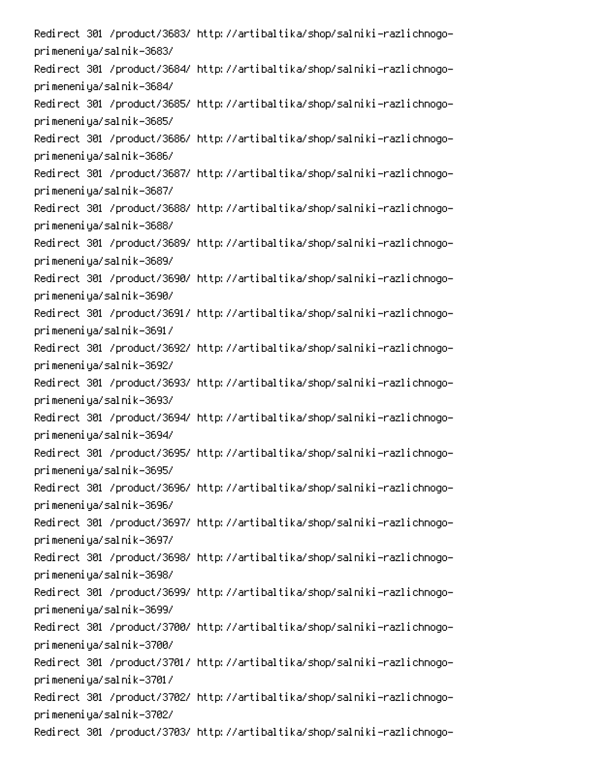Redirect 301 /product/3683/ http://artibaltika/shop/salniki-razlichnogoprimeneniya/salnik-3683/ Redirect 301 /product/3684/ http://artibaltika/shop/salniki-razlichnogoprimeneniya/salnik-3684/ Redirect 301 /product/3685/ http://artibaltika/shop/salniki-razlichnogoprimeneniya/salnik-3685/ Redirect 301 /product/3686/ http://artibaltika/shop/salniki-razlichnogoprimeneniya/salnik-3686/ Redirect 301 /product/3687/ http://artibaltika/shop/salniki-razlichnogoprimeneniya/salnik-3687/ Redirect 301 /product/3688/ http://artibaltika/shop/salniki-razlichnogoprimeneniya/salnik-3688/ Redirect 301 /product/3689/ http://artibaltika/shop/salniki-razlichnogoprimeneniya/salnik-3689/ Redirect 301 /product/3690/ http://artibaltika/shop/salniki-razlichnogoprimeneniya/salnik-3690/ Redirect 301 /product/3691/ http://artibaltika/shop/salniki-razlichnogoprimeneniya/salnik-3691/ Redirect 301 /product/3692/ http://artibaltika/shop/salniki-razlichnogoprimeneniya/salnik-3692/ Redirect 301 /product/3693/ http://artibaltika/shop/salniki-razlichnogoprimeneniya/salnik-3693/ Redirect 301 /product/3694/ http://artibaltika/shop/salniki-razlichnogoprimeneniya/salnik-3694/ Redirect 301 /product/3695/ http://artibaltika/shop/salniki-razlichnogoprimeneniya/salnik-3695/ Redirect 301 /product/3696/ http://artibaltika/shop/salniki-razlichnogoprimeneniya/salnik-3696/ Redirect 301 /product/3697/ http://artibaltika/shop/salniki-razlichnogoprimeneniya/salnik-3697/ Redirect 301 /product/3698/ http://artibaltika/shop/salniki-razlichnogoprimeneniya/salnik-3698/ Redirect 301 /product/3699/ http://artibaltika/shop/salniki-razlichnogoprimeneniya/salnik-3699/ Redirect 301 /product/3700/ http://artibaltika/shop/salniki-razlichnogoprimeneniya/salnik-3700/ Redirect 301 /product/3701/ http://artibaltika/shop/salniki-razlichnogoprimeneniya/salnik-3701/ Redirect 301 /product/3702/ http://artibaltika/shop/salniki-razlichnogoprimeneniya/salnik-3702/ Redirect 301 /product/3703/ http://artibaltika/shop/salniki-razlichnogo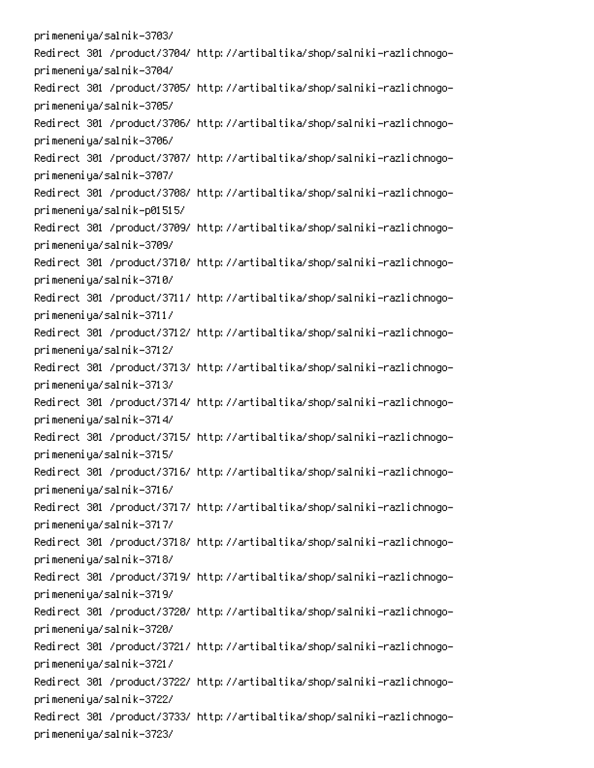primeneniya/salnik-3703/ Redirect 301 /product/3704/ http://artibaltika/shop/salniki-razlichnogoprimeneniya/salnik-3704/ Redirect 301 /product/3705/ http://artibaltika/shop/salniki-razlichnogoprimeneniya/salnik-3705/ Redirect 301 /product/3706/ http://artibaltika/shop/salniki-razlichnogoprimeneniya/salnik-3706/ Redirect 301 /product/3707/ http://artibaltika/shop/salniki-razlichnogoprimeneniya/salnik-3707/ Redirect 301 /product/3708/ http://artibaltika/shop/salniki-razlichnogoprimeneniya/salnik-p01515/ Redirect 301 /product/3709/ http://artibaltika/shop/salniki-razlichnogoprimeneniya/salnik-3709/ Redirect 301 /product/3710/ http://artibaltika/shop/salniki-razlichnogoprimeneniya/salnik-3710/ Redirect 301 /product/3711/ http://artibaltika/shop/salniki-razlichnogoprimeneniya/salnik-3711/ Redirect 301 /product/3712/ http://artibaltika/shop/salniki-razlichnogoprimeneniya/salnik-3712/ Redirect 301 /product/3713/ http://artibaltika/shop/salniki-razlichnogoprimeneniya/salnik-3713/ Redirect 301 /product/3714/ http://artibaltika/shop/salniki-razlichnogoprimeneniya/salnik-3714/ Redirect 301 /product/3715/ http://artibaltika/shop/salniki-razlichnogoprimeneniya/salnik-3715/ Redirect 301 /product/3716/ http://artibaltika/shop/salniki-razlichnogoprimeneniya/salnik-3716/ Redirect 301 /product/3717/ http://artibaltika/shop/salniki-razlichnogoprimeneniya/salnik-3717/ Redirect 301 /product/3718/ http://artibaltika/shop/salniki-razlichnogoprimeneniya/salnik-3718/ Redirect 301 /product/3719/ http://artibaltika/shop/salniki-razlichnogoprimeneniya/salnik-3719/ Redirect 301 /product/3720/ http://artibaltika/shop/salniki-razlichnogoprimeneniya/salnik-3720/ Redirect 301 /product/3721/ http://artibaltika/shop/salniki-razlichnogoprimeneniya/salnik-3721/ Redirect 301 /product/3722/ http://artibaltika/shop/salniki-razlichnogoprimeneniya/salnik-3722/ Redirect 301 /product/3733/ http://artibaltika/shop/salniki-razlichnogoprimeneniya/salnik-3723/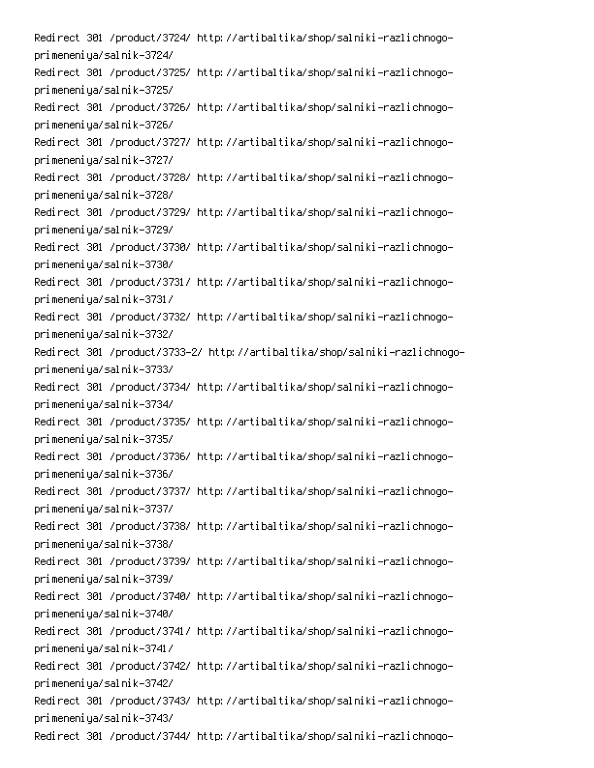Redirect 301 /product/3724/ http://artibaltika/shop/salniki-razlichnogoprimeneniya/salnik-3724/ Redirect 301 /product/3725/ http://artibaltika/shop/salniki-razlichnogoprimeneniya/salnik-3725/ Redirect 301 /product/3726/ http://artibaltika/shop/salniki-razlichnogoprimeneniya/salnik-3726/ Redirect 301 /product/3727/ http://artibaltika/shop/salniki-razlichnogoprimeneniya/salnik-3727/ Redirect 301 /product/3728/ http://artibaltika/shop/salniki-razlichnogoprimeneniya/salnik-3728/ Redirect 301 /product/3729/ http://artibaltika/shop/salniki-razlichnogoprimeneniya/salnik-3729/ Redirect 301 /product/3730/ http://artibaltika/shop/salniki-razlichnogoprimeneniya/salnik-3730/ Redirect 301 /product/3731/ http://artibaltika/shop/salniki-razlichnogoprimeneniya/salnik-3731/ Redirect 301 /product/3732/ http://artibaltika/shop/salniki-razlichnogoprimeneniya/salnik-3732/ Redirect 301 /product/3733–2/ http://artibaltika/shop/salniki-razlichnogoprimeneniya/salnik-3733/ Redirect 301 /product/3734/ http://artibaltika/shop/salniki-razlichnogoprimeneniya/salnik-3734/ Redirect 301 /product/3735/ http://artibaltika/shop/salniki-razlichnogoprimeneniya/salnik-3735/ Redirect 301 /product/3736/ http://artibaltika/shop/salniki-razlichnogoprimeneniya/salnik-3736/ Redirect 301 /product/3737/ http://artibaltika/shop/salniki-razlichnogoprimeneniya/salnik-3737/ Redirect 301 /product/3738/ http://artibaltika/shop/salniki-razlichnogoprimeneniya/salnik-3738/ Redirect 301 /product/3739/ http://artibaltika/shop/salniki-razlichnogoprimeneniya/salnik-3739/ Redirect 301 /product/3740/ http://artibaltika/shop/salniki-razlichnogoprimeneniya/salnik-3740/ Redirect 301 /product/3741/ http://artibaltika/shop/salniki-razlichnogoprimeneniya/salnik-3741/ Redirect 301 /product/3742/ http://artibaltika/shop/salniki-razlichnogoprimeneniya/salnik-3742/ Redirect 301 /product/3743/ http://artibaltika/shop/salniki-razlichnogoprimeneniya/salnik-3743/ Redirect 301 /product/3744/ http://artibaltika/shop/salniki-razlichnogo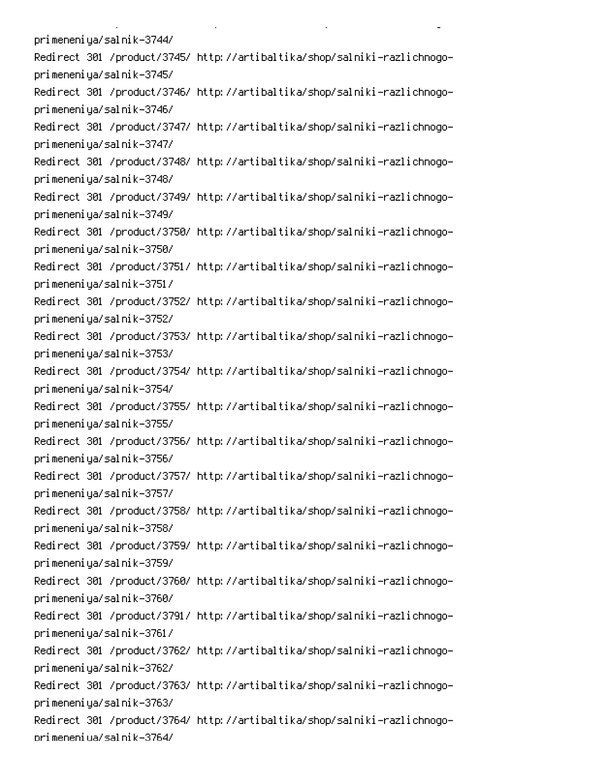primeneniya/salnik-3744/ Redirect 301 /product/3745/ http://artibaltika/shop/salniki-razlichnogoprimeneniya/salnik-3745/ Redirect 301 /product/3746/ http://artibaltika/shop/salniki-razlichnogoprimeneniya/salnik-3746/ Redirect 301 /product/3747/ http://artibaltika/shop/salniki-razlichnogoprimeneniya/salnik-3747/ Redirect 301 /product/3748/ http://artibaltika/shop/salniki-razlichnogoprimeneniya/salnik-3748/ Redirect 301 /product/3749/ http://artibaltika/shop/salniki-razlichnogoprimeneniya/salnik-3749/ Redirect 301 /product/3750/ http://artibaltika/shop/salniki-razlichnogoprimeneniya/salnik-3750/ Redirect 301 /product/3751/ http://artibaltika/shop/salniki-razlichnogoprimeneniya/salnik-3751/ Redirect 301 /product/3752/ http://artibaltika/shop/salniki-razlichnogoprimeneniya/salnik-3752/ Redirect 301 /product/3753/ http://artibaltika/shop/salniki-razlichnogoprimeneniya/salnik-3753/ Redirect 301 /product/3754/ http://artibaltika/shop/salniki-razlichnogoprimeneniya/salnik-3754/ Redirect 301 /product/3755/ http://artibaltika/shop/salniki-razlichnogoprimeneniya/salnik-3755/ Redirect 301 /product/3756/ http://artibaltika/shop/salniki-razlichnogoprimeneniya/salnik-3756/ Redirect 301 /product/3757/ http://artibaltika/shop/salniki-razlichnogoprimeneniya/salnik-3757/ Redirect 301 /product/3758/ http://artibaltika/shop/salniki-razlichnogoprimeneniya/salnik-3758/ Redirect 301 /product/3759/ http://artibaltika/shop/salniki-razlichnogoprimeneniya/salnik-3759/ Redirect 301 /product/3760/ http://artibaltika/shop/salniki-razlichnogoprimeneniya/salnik-3760/ Redirect 301 /product/3791/ http://artibaltika/shop/salniki-razlichnogoprimeneniya/salnik-3761/ Redirect 301 /product/3762/ http://artibaltika/shop/salniki-razlichnogoprimeneniya/salnik-3762/ Redirect 301 /product/3763/ http://artibaltika/shop/salniki-razlichnogoprimeneniya/salnik-3763/ Redirect 301 /product/3764/ http://artibaltika/shop/salniki-razlichnogoorimeneniua/salnik-3764/

**Contract Contract** 

 $\mathbf{L}^{\text{max}}$ 

 $\mathbb{R}^{\mathbb{Z}^2}$ 

PC And the second contract of the second contract of the second contract of the second contract of the second contract of the second contract of the second contract of the second contract of the second contract of the seco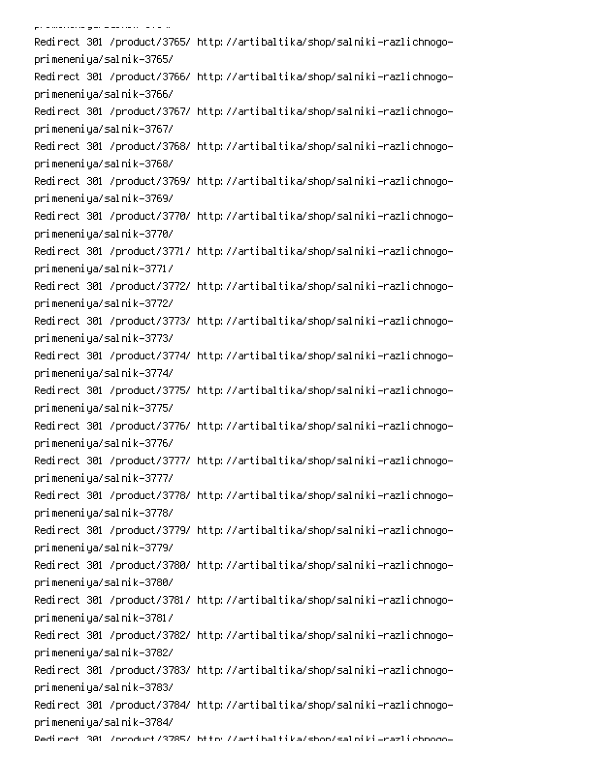.<br>Pramarana gara alikuwa tana m Redirect 301 /product/3765/ http://artibaltika/shop/salniki-razlichnogoprimeneniya/salnik-3765/ Redirect 301 /product/3766/ http://artibaltika/shop/salniki-razlichnogoprimeneniya/salnik-3766/ Redirect 301 /product/3767/ http://artibaltika/shop/salniki-razlichnogoprimeneniya/salnik-3767/ Redirect 301 /product/3768/ http://artibaltika/shop/salniki-razlichnogoprimeneniya/salnik-3768/ Redirect 301 /product/3769/ http://artibaltika/shop/salniki-razlichnogoprimeneniya/salnik-3769/ Redirect 301 /product/3770/ http://artibaltika/shop/salniki-razlichnogoprimeneniya/salnik-3770/ Redirect 301 /product/3771/ http://artibaltika/shop/salniki-razlichnogoprimeneniya/salnik-3771/ Redirect 301 /product/3772/ http://artibaltika/shop/salniki-razlichnogoprimeneniya/salnik-3772/ Redirect 301 /product/3773/ http://artibaltika/shop/salniki-razlichnogoprimeneniya/salnik-3773/ Redirect 301 /product/3774/ http://artibaltika/shop/salniki-razlichnogoprimeneniya/salnik-3774/ Redirect 301 /product/3775/ http://artibaltika/shop/salniki-razlichnogoprimeneniya/salnik-3775/ Redirect 301 /product/3776/ http://artibaltika/shop/salniki-razlichnogoprimeneniya/salnik-3776/ Redirect 301 /product/3777/ http://artibaltika/shop/salniki-razlichnogoprimeneniya/salnik-3777/ Redirect 301 /product/3778/ http://artibaltika/shop/salniki-razlichnogoprimeneniya/salnik-3778/ Redirect 301 /product/3779/ http://artibaltika/shop/salniki-razlichnogoprimeneniya/salnik-3779/ Redirect 301 /product/3780/ http://artibaltika/shop/salniki-razlichnogoprimeneniya/salnik-3780/ Redirect 301 /product/3781/ http://artibaltika/shop/salniki-razlichnogoprimeneniya/salnik-3781/ Redirect 301 /product/3782/ http://artibaltika/shop/salniki-razlichnogoprimeneniya/salnik-3782/ Redirect 301 /product/3783/ http://artibaltika/shop/salniki-razlichnogoprimeneniya/salnik-3783/ Redirect 301 /product/3784/ http://artibaltika/shop/salniki-razlichnogoprimeneniya/salnik-3784/ Dedirect 301 /oroduct/3785/ bttp://artibaltika/shon/salpiki\_razlichooqo<mark>-</mark>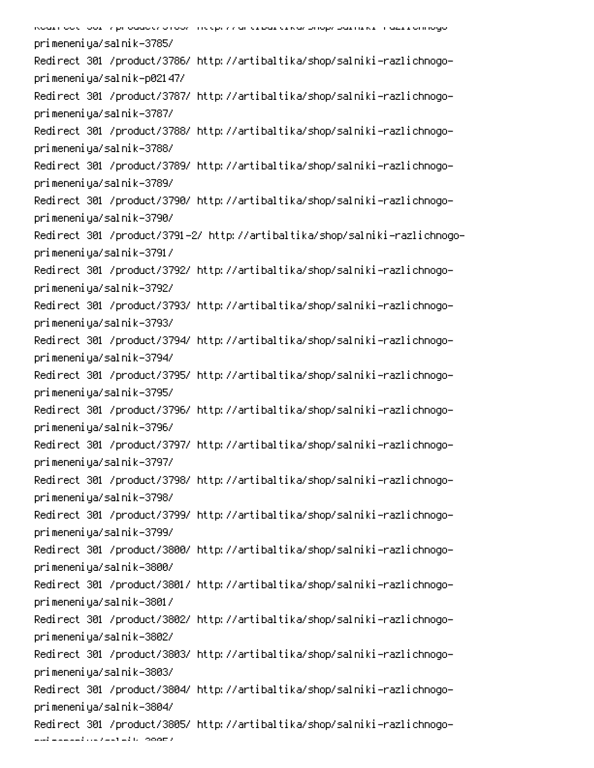| primeneniya/salnik-3785/                                                   |
|----------------------------------------------------------------------------|
| Redirect 301 /product/3786/ http://artibaltika/shop/salniki-razlichnogo-   |
| primeneniya/salnik-p02147/                                                 |
| Redirect 301 /product/3787/ http://artibaltika/shop/salniki-razlichnogo-   |
| primeneniya/salnik-3787/                                                   |
| Redirect 301 /product/3788/ http://artibaltika/shop/salniki-razlichnogo-   |
| primeneniya/salnik-3788/                                                   |
| Redirect 301 /product/3789/ http://artibaltika/shop/salniki-razlichnogo-   |
| primeneniya/salnik-3789/                                                   |
| Redirect 301 /product/3790/ http://artibaltika/shop/salniki-razlichnogo-   |
| primeneniya/salnik-3790/                                                   |
| Redirect 301 /product/3791-2/ http://artibaltika/shop/salniki-razlichnogo- |
| primeneniya/salnik-3791/                                                   |
| Redirect 301 /product/3792/ http://artibaltika/shop/salniki-razlichnogo-   |
| primeneniya/salnik-3792/                                                   |
| Redirect 301 /product/3793/ http://artibaltika/shop/salniki-razlichnogo-   |
| primeneniya/salnik-3793/                                                   |
| Redirect 301 /product/3794/ http://artibaltika/shop/salniki-razlichnogo-   |
| primeneniya/salnik-3794/                                                   |
| Redirect 301 /product/3795/ http://artibaltika/shop/salniki-razlichnogo-   |
| primeneniya/salnik-3795/                                                   |
| Redirect 301 /product/3796/ http://artibaltika/shop/salniki-razlichnogo-   |
| primeneniya/salnik-3796/                                                   |
| Redirect 301 /product/3797/ http://artibaltika/shop/salniki-razlichnogo-   |
| primeneniya/salnik-3797/                                                   |
| Redirect 301 /product/3798/ http://artibaltika/shop/salniki-razlichnogo-   |
| primeneniya/salnik-3798/                                                   |
| Redirect 301 /product/3799/ http://artibaltika/shop/salniki-razlichnogo-   |
| primeneniya/salnik-3799/                                                   |
| Redirect 301 /product/3800/ http://artibaltika/shop/salniki-razlichnogo-   |
| primeneniya/salnik-3800/                                                   |
| Redirect 301 /product/3801/ http://artibaltika/shop/salniki-razlichnogo-   |
| primeneniya/salnik-3801/                                                   |
| Redirect 301 /product/3802/ http://artibaltika/shop/salniki-razlichnogo-   |
| primeneniya/salnik-3802/                                                   |
| Redirect 301 /product/3803/ http://artibaltika/shop/salniki-razlichnogo-   |
| primeneniya/salnik-3803/                                                   |
| Redirect 301 /product/3804/ http://artibaltika/shop/salniki-razlichnogo-   |
| primeneniya/salnik-3804/                                                   |
| Redirect 301 /product/3805/ http://artibaltika/shop/salniki-razlichnogo-   |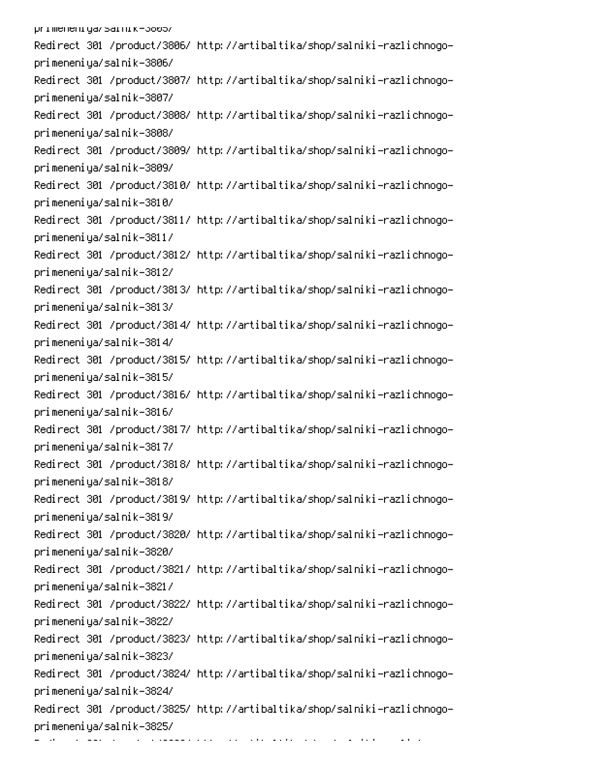primeneniya/sarnik-3605/ Redirect 301 /product/3806/ http://artibaltika/shop/salniki-razlichnogoprimeneniya/salnik-3806/ Redirect 301 /product/3807/ http://artibaltika/shop/salniki-razlichnogoprimeneniya/salnik-3807/ Redirect 301 /product/3808/ http://artibaltika/shop/salniki-razlichnogoprimeneniya/salnik-3808/ Redirect 301 /product/3809/ http://artibaltika/shop/salniki-razlichnogoprimeneniya/salnik-3809/ Redirect 301 /product/3810/ http://artibaltika/shop/salniki-razlichnogoprimeneniya/salnik-3810/ Redirect 301 /product/3811/ http://artibaltika/shop/salniki-razlichnogoprimeneniya/salnik-3811/ Redirect 301 /product/3812/ http://artibaltika/shop/salniki-razlichnogoprimeneniya/salnik-3812/ Redirect 301 /product/3813/ http://artibaltika/shop/salniki-razlichnogoprimeneniya/salnik-3813/ Redirect 301 /product/3814/ http://artibaltika/shop/salniki-razlichnogoprimeneniya/salnik-3814/ Redirect 301 /product/3815/ http://artibaltika/shop/salniki-razlichnogoprimeneniya/salnik-3815/ Redirect 301 /product/3816/ http://artibaltika/shop/salniki-razlichnogoprimeneniya/salnik-3816/ Redirect 301 /product/3817/ http://artibaltika/shop/salniki-razlichnogoprimeneniya/salnik-3817/ Redirect 301 /product/3818/ http://artibaltika/shop/salniki-razlichnogoprimeneniya/salnik-3818/ Redirect 301 /product/3819/ http://artibaltika/shop/salniki-razlichnogoprimeneniya/salnik-3819/ Redirect 301 /product/3820/ http://artibaltika/shop/salniki-razlichnogoprimeneniya/salnik-3820/ Redirect 301 /product/3821/ http://artibaltika/shop/salniki-razlichnogoprimeneniya/salnik-3821/ Redirect 301 /product/3822/ http://artibaltika/shop/salniki-razlichnogoprimeneniya/salnik-3822/ Redirect 301 /product/3823/ http://artibaltika/shop/salniki-razlichnogoprimeneniya/salnik-3823/ Redirect 301 /product/3824/ http://artibaltika/shop/salniki-razlichnogoprimeneniya/salnik-3824/ Redirect 301 /product/3825/ http://artibaltika/shop/salniki-razlichnogoprimeneniya/salnik-3825/

position and provide the companion of the contract of the companion of the contract of the companion of the contract of the companion of the contract of the companion of the contract of the companion of the contract of the

 $\sim 10^{-10}$  and  $\sim 10^{-10}$ 

0

-

6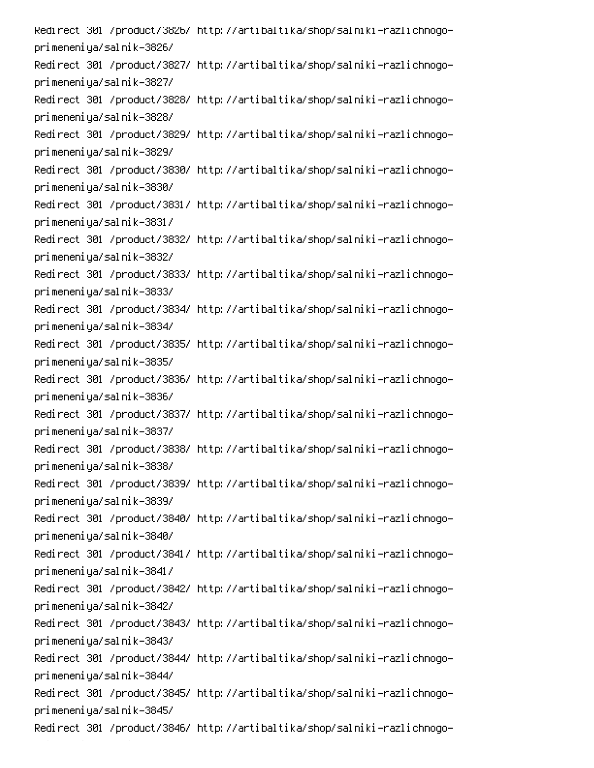Redirect 301 /product/3826/ http://artibaltika/shop/salniki-razlichnogoprimeneniya/salnik-3826/ Redirect 301 /product/3827/ http://artibaltika/shop/salniki-razlichnogoprimeneniya/salnik-3827/ Redirect 301 /product/3828/ http://artibaltika/shop/salniki-razlichnogoprimeneniya/salnik-3828/ Redirect 301 /product/3829/ http://artibaltika/shop/salniki-razlichnogoprimeneniya/salnik-3829/ Redirect 301 /product/3830/ http://artibaltika/shop/salniki-razlichnogoprimeneniya/salnik-3830/ Redirect 301 /product/3831/ http://artibaltika/shop/salniki-razlichnogoprimeneniya/salnik-3831/ Redirect 301 /product/3832/ http://artibaltika/shop/salniki-razlichnogoprimeneniya/salnik-3832/ Redirect 301 /product/3833/ http://artibaltika/shop/salniki-razlichnogoprimeneniya/salnik-3833/ Redirect 301 /product/3834/ http://artibaltika/shop/salniki-razlichnogoprimeneniya/salnik-3834/ Redirect 301 /product/3835/ http://artibaltika/shop/salniki-razlichnogoprimeneniya/salnik-3835/ Redirect 301 /product/3836/ http://artibaltika/shop/salniki-razlichnogoprimeneniya/salnik-3836/ Redirect 301 /product/3837/ http://artibaltika/shop/salniki-razlichnogoprimeneniya/salnik-3837/ Redirect 301 /product/3838/ http://artibaltika/shop/salniki-razlichnogoprimeneniya/salnik-3838/ Redirect 301 /product/3839/ http://artibaltika/shop/salniki-razlichnogoprimeneniya/salnik-3839/ Redirect 301 /product/3840/ http://artibaltika/shop/salniki-razlichnogoprimeneniya/salnik-3840/ Redirect 301 /product/3841/ http://artibaltika/shop/salniki-razlichnogoprimeneniya/salnik-3841/ Redirect 301 /product/3842/ http://artibaltika/shop/salniki-razlichnogoprimeneniya/salnik-3842/ Redirect 301 /product/3843/ http://artibaltika/shop/salniki-razlichnogoprimeneniya/salnik-3843/ Redirect 301 /product/3844/ http://artibaltika/shop/salniki-razlichnogoprimeneniya/salnik-3844/ Redirect 301 /product/3845/ http://artibaltika/shop/salniki-razlichnogoprimeneniya/salnik-3845/ Redirect 301 /product/3846/ http://artibaltika/shop/salniki-razlichnogo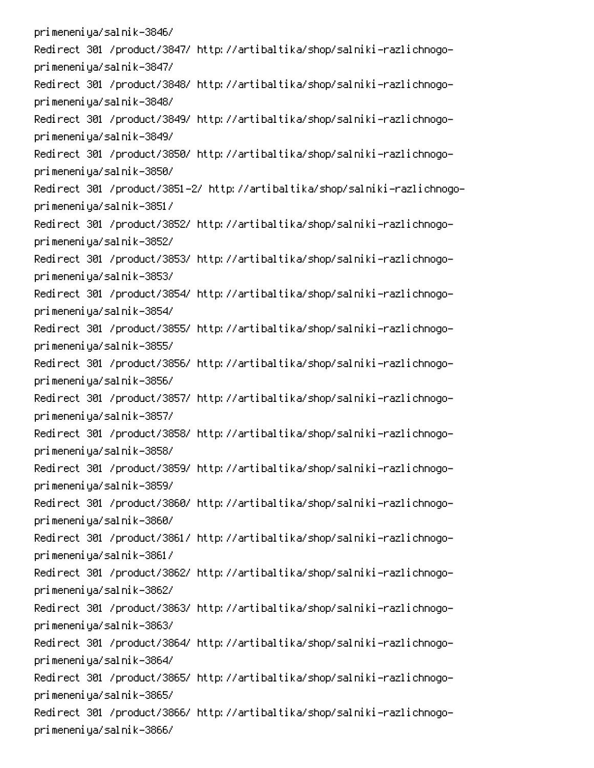primeneniya/salnik-3846/ Redirect 301 /product/3847/ http://artibaltika/shop/salniki-razlichnogoprimeneniya/salnik-3847/ Redirect 301 /product/3848/ http://artibaltika/shop/salniki-razlichnogoprimeneniya/salnik-3848/ Redirect 301 /product/3849/ http://artibaltika/shop/salniki-razlichnogoprimeneniya/salnik-3849/ Redirect 301 /product/3850/ http://artibaltika/shop/salniki-razlichnogoprimeneniya/salnik-3850/ Redirect 301 /product/3851-2/ http://artibaltika/shop/salniki-razlichnogoprimeneniya/salnik-3851/ Redirect 301 /product/3852/ http://artibaltika/shop/salniki-razlichnogoprimeneniya/salnik-3852/ Redirect 301 /product/3853/ http://artibaltika/shop/salniki-razlichnogoprimeneniya/salnik-3853/ Redirect 301 /product/3854/ http://artibaltika/shop/salniki-razlichnogoprimeneniya/salnik-3854/ Redirect 301 /product/3855/ http://artibaltika/shop/salniki-razlichnogoprimeneniya/salnik-3855/ Redirect 301 /product/3856/ http://artibaltika/shop/salniki-razlichnogoprimeneniya/salnik-3856/ Redirect 301 /product/3857/ http://artibaltika/shop/salniki-razlichnogoprimeneniya/salnik-3857/ Redirect 301 /product/3858/ http://artibaltika/shop/salniki-razlichnogoprimeneniya/salnik-3858/ Redirect 301 /product/3859/ http://artibaltika/shop/salniki-razlichnogoprimeneniya/salnik-3859/ Redirect 301 /product/3860/ http://artibaltika/shop/salniki-razlichnogoprimeneniya/salnik-3860/ Redirect 301 /product/3861/ http://artibaltika/shop/salniki-razlichnogoprimeneniya/salnik-3861/ Redirect 301 /product/3862/ http://artibaltika/shop/salniki-razlichnogoprimeneniya/salnik-3862/ Redirect 301 /product/3863/ http://artibaltika/shop/salniki-razlichnogoprimeneniya/salnik-3863/ Redirect 301 /product/3864/ http://artibaltika/shop/salniki-razlichnogoprimeneniya/salnik-3864/ Redirect 301 /product/3865/ http://artibaltika/shop/salniki-razlichnogoprimeneniya/salnik-3865/ Redirect 301 /product/3866/ http://artibaltika/shop/salniki-razlichnogoprimeneniya/salnik-3866/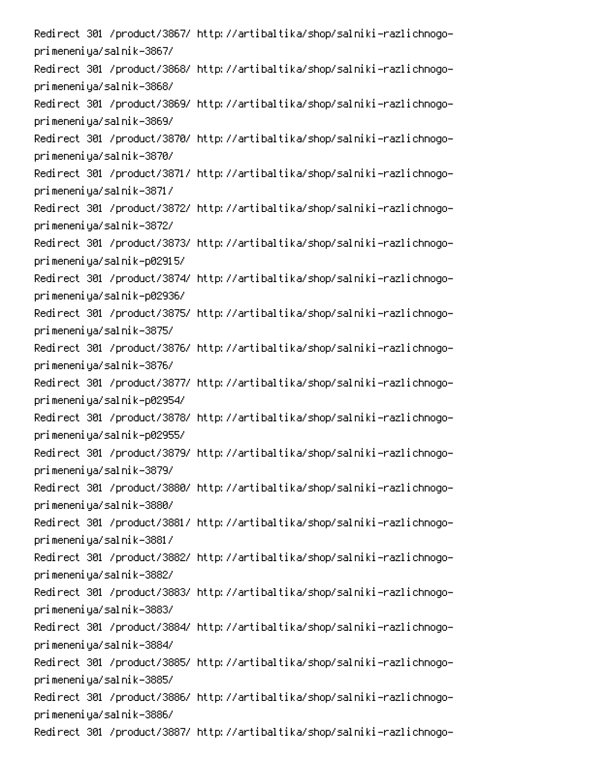Redirect 301 /product/3867/ http://artibaltika/shop/salniki-razlichnogoprimeneniya/salnik-3867/ Redirect 301 /product/3868/ http://artibaltika/shop/salniki-razlichnogoprimeneniya/salnik-3868/ Redirect 301 /product/3869/ http://artibaltika/shop/salniki-razlichnogoprimeneniya/salnik-3869/ Redirect 301 /product/3870/ http://artibaltika/shop/salniki-razlichnogoprimeneniya/salnik-3870/ Redirect 301 /product/3871/ http://artibaltika/shop/salniki-razlichnogoprimeneniya/salnik-3871/ Redirect 301 /product/3872/ http://artibaltika/shop/salniki-razlichnogoprimeneniya/salnik-3872/ Redirect 301 /product/3873/ http://artibaltika/shop/salniki-razlichnogoprimeneniya/salnik-p02915/ Redirect 301 /product/3874/ http://artibaltika/shop/salniki-razlichnogoprimeneniya/salnik-p02936/ Redirect 301 /product/3875/ http://artibaltika/shop/salniki-razlichnogoprimeneniya/salnik-3875/ Redirect 301 /product/3876/ http://artibaltika/shop/salniki-razlichnogoprimeneniya/salnik-3876/ Redirect 301 /product/3877/ http://artibaltika/shop/salniki-razlichnogoprimeneniya/salnik-p02954/ Redirect 301 /product/3878/ http://artibaltika/shop/salniki-razlichnogoprimeneniya/salnik-p02955/ Redirect 301 /product/3879/ http://artibaltika/shop/salniki-razlichnogoprimeneniya/salnik-3879/ Redirect 301 /product/3880/ http://artibaltika/shop/salniki-razlichnogoprimeneniya/salnik-3880/ Redirect 301 /product/3881/ http://artibaltika/shop/salniki-razlichnogoprimeneniya/salnik-3881/ Redirect 301 /product/3882/ http://artibaltika/shop/salniki-razlichnogoprimeneniya/salnik-3882/ Redirect 301 /product/3883/ http://artibaltika/shop/salniki-razlichnogoprimeneniya/salnik-3883/ Redirect 301 /product/3884/ http://artibaltika/shop/salniki-razlichnogoprimeneniya/salnik-3884/ Redirect 301 /product/3885/ http://artibaltika/shop/salniki-razlichnogoprimeneniya/salnik-3885/ Redirect 301 /product/3886/ http://artibaltika/shop/salniki-razlichnogoprimeneniya/salnik-3886/ Redirect 301 /product/3887/ http://artibaltika/shop/salniki-razlichnogo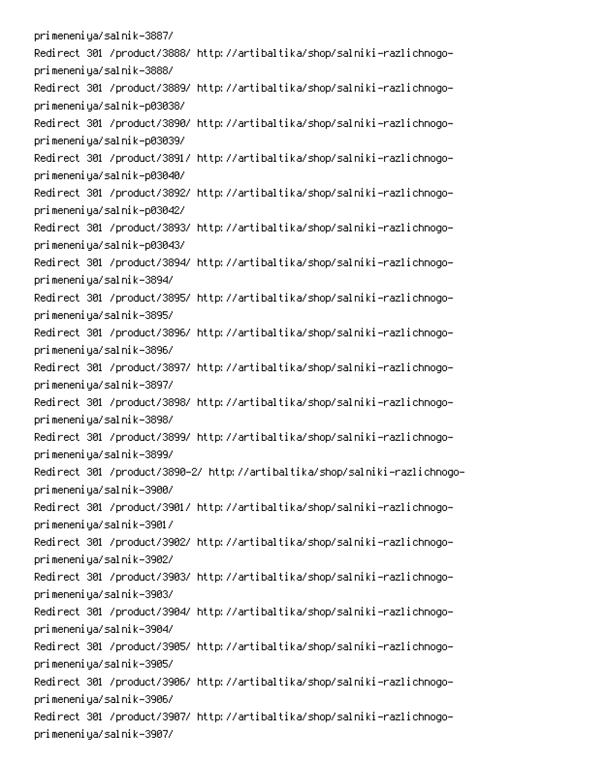primeneniya/salnik-3887/ Redirect 301 /product/3888/ http://artibaltika/shop/salniki-razlichnogoprimeneniya/salnik-3888/ Redirect 301 /product/3889/ http://artibaltika/shop/salniki-razlichnogoprimeneniya/salnik-p03038/ Redirect 301 /product/3890/ http://artibaltika/shop/salniki-razlichnogoprimeneniya/salnik-p03039/ Redirect 301 /product/3891/ http://artibaltika/shop/salniki-razlichnogoprimeneniya/salnik-p03040/ Redirect 301 /product/3892/ http://artibaltika/shop/salniki-razlichnogoprimeneniya/salnik-p03042/ Redirect 301 /product/3893/ http://artibaltika/shop/salniki-razlichnogoprimeneniya/salnik-p03043/ Redirect 301 /product/3894/ http://artibaltika/shop/salniki-razlichnogoprimeneniya/salnik-3894/ Redirect 301 /product/3895/ http://artibaltika/shop/salniki-razlichnogoprimeneniya/salnik-3895/ Redirect 301 /product/3896/ http://artibaltika/shop/salniki-razlichnogoprimeneniya/salnik-3896/ Redirect 301 /product/3897/ http://artibaltika/shop/salniki-razlichnogoprimeneniya/salnik-3897/ Redirect 301 /product/3898/ http://artibaltika/shop/salniki-razlichnogoprimeneniya/salnik-3898/ Redirect 301 /product/3899/ http://artibaltika/shop/salniki-razlichnogoprimeneniya/salnik-3899/ Redirect 301 /product/3890-2/ http://artibaltika/shop/salniki-razlichnogoprimeneniya/salnik-3900/ Redirect 301 /product/3901/ http://artibaltika/shop/salniki-razlichnogoprimeneniya/salnik-3901/ Redirect 301 /product/3902/ http://artibaltika/shop/salniki-razlichnogoprimeneniya/salnik-3902/ Redirect 301 /product/3903/ http://artibaltika/shop/salniki-razlichnogoprimeneniya/salnik-3903/ Redirect 301 /product/3904/ http://artibaltika/shop/salniki-razlichnogoprimeneniya/salnik-3904/ Redirect 301 /product/3905/ http://artibaltika/shop/salniki-razlichnogoprimeneniya/salnik-3905/ Redirect 301 /product/3906/ http://artibaltika/shop/salniki-razlichnogoprimeneniya/salnik-3906/ Redirect 301 /product/3907/ http://artibaltika/shop/salniki-razlichnogoprimeneniya/salnik-3907/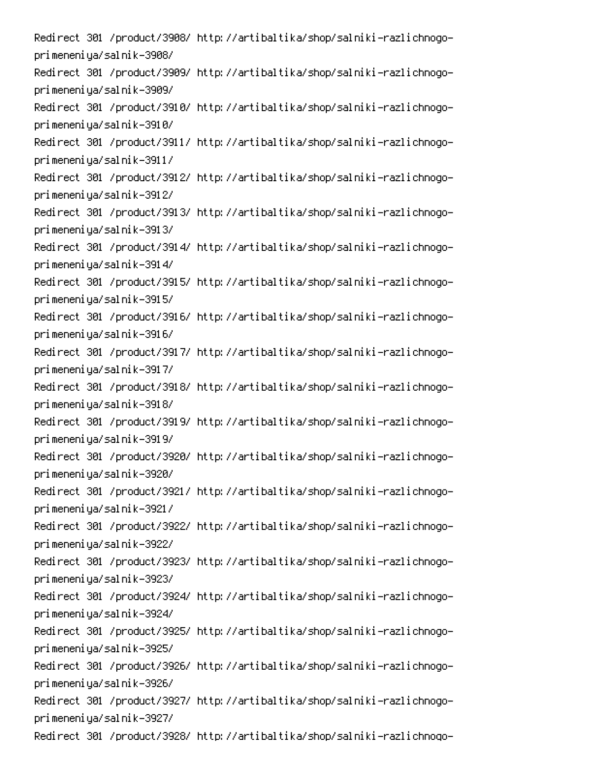Redirect 301 /product/3908/ http://artibaltika/shop/salniki-razlichnogoprimeneniya/salnik-3908/ Redirect 301 /product/3909/ http://artibaltika/shop/salniki-razlichnogoprimeneniya/salnik-3909/ Redirect 301 /product/3910/ http://artibaltika/shop/salniki-razlichnogoprimeneniya/salnik-3910/ Redirect 301 /product/3911/ http://artibaltika/shop/salniki-razlichnogoprimeneniya/salnik-3911/ Redirect 301 /product/3912/ http://artibaltika/shop/salniki-razlichnogoprimeneniya/salnik-3912/ Redirect 301 /product/3913/ http://artibaltika/shop/salniki-razlichnogoprimeneniya/salnik-3913/ Redirect 301 /product/3914/ http://artibaltika/shop/salniki-razlichnogoprimeneniya/salnik-3914/ Redirect 301 /product/3915/ http://artibaltika/shop/salniki-razlichnogoprimeneniya/salnik-3915/ Redirect 301 /product/3916/ http://artibaltika/shop/salniki-razlichnogoprimeneniya/salnik-3916/ Redirect 301 /product/3917/ http://artibaltika/shop/salniki-razlichnogoprimeneniya/salnik-3917/ Redirect 301 /product/3918/ http://artibaltika/shop/salniki-razlichnogoprimeneniya/salnik-3918/ Redirect 301 /product/3919/ http://artibaltika/shop/salniki-razlichnogoprimeneniya/salnik-3919/ Redirect 301 /product/3920/ http://artibaltika/shop/salniki-razlichnogoprimeneniya/salnik-3920/ Redirect 301 /product/3921/ http://artibaltika/shop/salniki-razlichnogoprimeneniya/salnik-3921/ Redirect 301 /product/3922/ http://artibaltika/shop/salniki-razlichnogoprimeneniya/salnik-3922/ Redirect 301 /product/3923/ http://artibaltika/shop/salniki-razlichnogoprimeneniya/salnik-3923/ Redirect 301 /product/3924/ http://artibaltika/shop/salniki-razlichnogoprimeneniya/salnik-3924/ Redirect 301 /product/3925/ http://artibaltika/shop/salniki-razlichnogoprimeneniya/salnik-3925/ Redirect 301 /product/3926/ http://artibaltika/shop/salniki-razlichnogoprimeneniya/salnik-3926/ Redirect 301 /product/3927/ http://artibaltika/shop/salniki-razlichnogoprimeneniya/salnik-3927/ Redirect 301 /product/3928/ http://artibaltika/shop/salniki-razlichnogo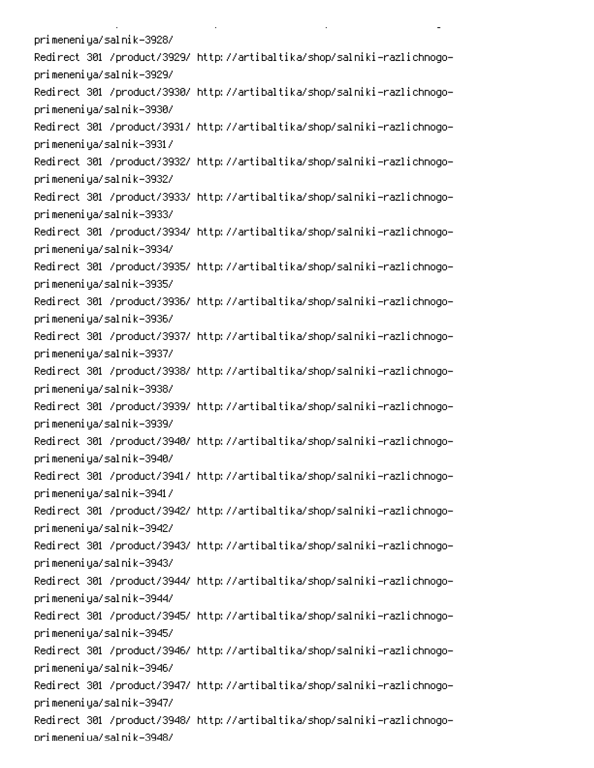primeneniya/salnik-3928/ Redirect 301 /product/3929/ http://artibaltika/shop/salniki-razlichnogoprimeneniya/salnik-3929/ Redirect 301 /product/3930/ http://artibaltika/shop/salniki-razlichnogoprimeneniya/salnik-3930/ Redirect 301 /product/3931/ http://artibaltika/shop/salniki-razlichnogoprimeneniya/salnik-3931/ Redirect 301 /product/3932/ http://artibaltika/shop/salniki-razlichnogoprimeneniya/salnik-3932/ Redirect 301 /product/3933/ http://artibaltika/shop/salniki-razlichnogoprimeneniya/salnik-3933/ Redirect 301 /product/3934/ http://artibaltika/shop/salniki-razlichnogoprimeneniya/salnik-3934/ Redirect 301 /product/3935/ http://artibaltika/shop/salniki-razlichnogoprimeneniya/salnik-3935/ Redirect 301 /product/3936/ http://artibaltika/shop/salniki-razlichnogoprimeneniya/salnik-3936/ Redirect 301 /product/3937/ http://artibaltika/shop/salniki-razlichnogoprimeneniya/salnik-3937/ Redirect 301 /product/3938/ http://artibaltika/shop/salniki-razlichnogoprimeneniya/salnik-3938/ Redirect 301 /product/3939/ http://artibaltika/shop/salniki-razlichnogoprimeneniya/salnik-3939/ Redirect 301 /product/3940/ http://artibaltika/shop/salniki-razlichnogoprimeneniya/salnik-3940/ Redirect 301 /product/3941/ http://artibaltika/shop/salniki-razlichnogoprimeneniya/salnik-3941/ Redirect 301 /product/3942/ http://artibaltika/shop/salniki-razlichnogoprimeneniya/salnik-3942/ Redirect 301 /product/3943/ http://artibaltika/shop/salniki-razlichnogoprimeneniya/salnik-3943/ Redirect 301 /product/3944/ http://artibaltika/shop/salniki-razlichnogoprimeneniya/salnik-3944/ Redirect 301 /product/3945/ http://artibaltika/shop/salniki-razlichnogoprimeneniya/salnik-3945/ Redirect 301 /product/3946/ http://artibaltika/shop/salniki-razlichnogoprimeneniya/salnik-3946/ Redirect 301 /product/3947/ http://artibaltika/shop/salniki-razlichnogoprimeneniya/salnik-3947/ Redirect 301 /product/3948/ http://artibaltika/shop/salniki-razlichnogoorimeneniua/salnik-3948/

**Contract Contract** 

 $\mathbf{L}^{\text{max}}$ 

 $\mathbb{R}^{\mathbb{Z}^2}$ 

PC A-10 A-10 A-10 A-10 A-10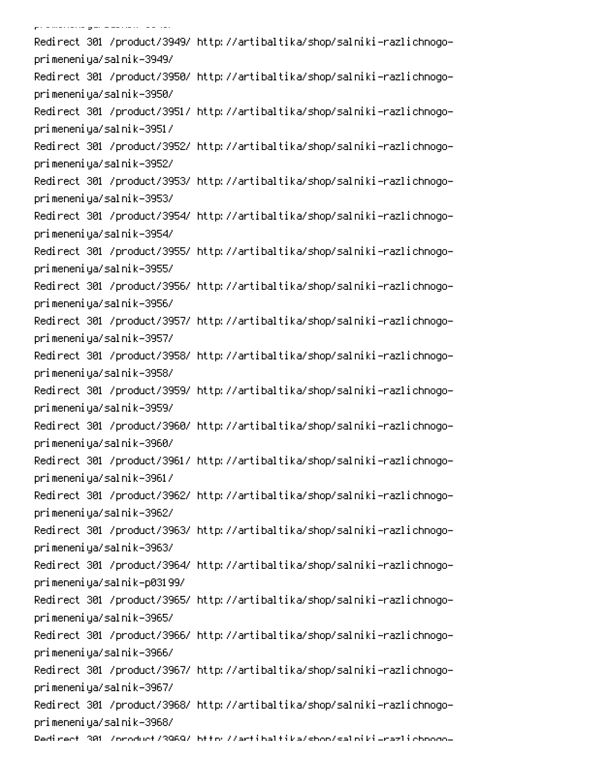po a marracia gan a aa ciaro (a a ciaro Redirect 301 /product/3949/ http://artibaltika/shop/salniki-razlichnogoprimeneniya/salnik-3949/ Redirect 301 /product/3950/ http://artibaltika/shop/salniki-razlichnogoprimeneniya/salnik-3950/ Redirect 301 /product/3951/ http://artibaltika/shop/salniki-razlichnogoprimeneniya/salnik-3951/ Redirect 301 /product/3952/ http://artibaltika/shop/salniki-razlichnogoprimeneniya/salnik-3952/ Redirect 301 /product/3953/ http://artibaltika/shop/salniki-razlichnogoprimeneniya/salnik-3953/ Redirect 301 /product/3954/ http://artibaltika/shop/salniki-razlichnogoprimeneniya/salnik-3954/ Redirect 301 /product/3955/ http://artibaltika/shop/salniki-razlichnogoprimeneniya/salnik-3955/ Redirect 301 /product/3956/ http://artibaltika/shop/salniki-razlichnogoprimeneniya/salnik-3956/ Redirect 301 /product/3957/ http://artibaltika/shop/salniki-razlichnogoprimeneniya/salnik-3957/ Redirect 301 /product/3958/ http://artibaltika/shop/salniki-razlichnogoprimeneniya/salnik-3958/ Redirect 301 /product/3959/ http://artibaltika/shop/salniki-razlichnogoprimeneniya/salnik-3959/ Redirect 301 /product/3960/ http://artibaltika/shop/salniki-razlichnogoprimeneniya/salnik-3960/ Redirect 301 /product/3961/ http://artibaltika/shop/salniki-razlichnogoprimeneniya/salnik-3961/ Redirect 301 /product/3962/ http://artibaltika/shop/salniki-razlichnogoprimeneniya/salnik-3962/ Redirect 301 /product/3963/ http://artibaltika/shop/salniki-razlichnogoprimeneniya/salnik-3963/ Redirect 301 /product/3964/ http://artibaltika/shop/salniki-razlichnogoprimeneniya/salnik-p03199/ Redirect 301 /product/3965/ http://artibaltika/shop/salniki-razlichnogoprimeneniya/salnik-3965/ Redirect 301 /product/3966/ http://artibaltika/shop/salniki-razlichnogoprimeneniya/salnik-3966/ Redirect 301 /product/3967/ http://artibaltika/shop/salniki-razlichnogoprimeneniya/salnik-3967/ Redirect 301 /product/3968/ http://artibaltika/shop/salniki-razlichnogoprimeneniya/salnik-3968/ Dedirect 301 /oroduct/3969/ bttp://artibaltika/shon/salpiki\_razlichooqo-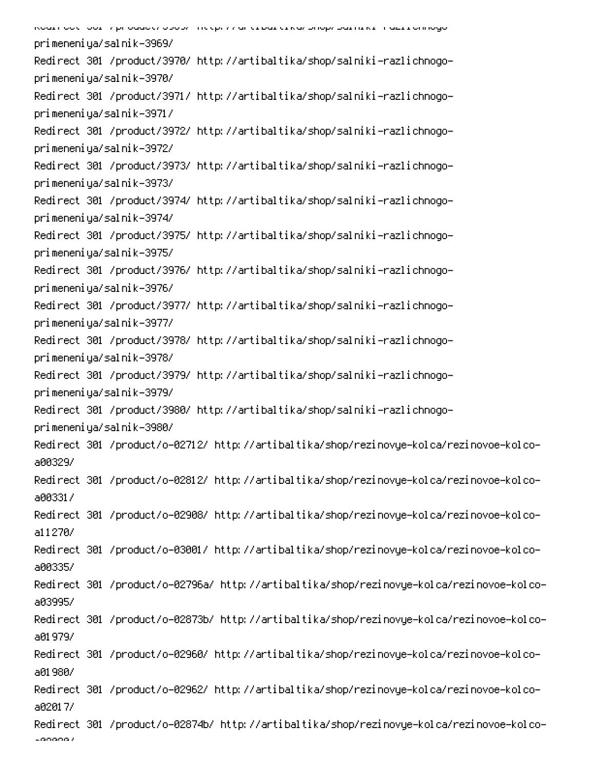| Koart oo til oor in prioaacte opophitic op the antiquational proprioarring in azi romogo- |
|-------------------------------------------------------------------------------------------|
| primeneniya/salnik-3969/                                                                  |
| Redirect 301 /product/3970/ http://artibaltika/shop/salniki-razlichnogo-                  |
| primeneniya/salnik-3970/                                                                  |
| Redirect 301 /product/3971/ http://artibaltika/shop/salniki-razlichnogo-                  |
| primeneniya/salnik-3971/                                                                  |
| Redirect 301 /product/3972/ http://artibaltika/shop/salniki-razlichnogo-                  |
| primeneniya/salnik-3972/                                                                  |
| Redirect 301 /product/3973/ http://artibaltika/shop/salniki-razlichnogo-                  |
| primeneniya/salnik-3973/                                                                  |
| Redirect 301 /product/3974/ http://artibaltika/shop/salniki-razlichnogo-                  |
| primeneniya/salnik-3974/                                                                  |
| Redirect 301 /product/3975/ http://artibaltika/shop/salniki-razlichnogo-                  |
| primeneniya/salnik-3975/                                                                  |
| Redirect 301 /product/3976/ http://artibaltika/shop/salniki-razlichnogo-                  |
| primeneniya/salnik-3976/                                                                  |
| Redirect 301 /product/3977/ http://artibaltika/shop/salniki-razlichnogo-                  |
| primeneniya/salnik-3977/                                                                  |
| Redirect 301 /product/3978/ http://artibaltika/shop/salniki-razlichnogo-                  |
| primeneniya/salnik-3978/                                                                  |
| Redirect 301 /product/3979/ http://artibaltika/shop/salniki-razlichnogo-                  |
| primeneniya/salnik-3979/                                                                  |
| Redirect 301 /product/3980/ http://artibaltika/shop/salniki-razlichnogo-                  |
| primeneniya/salnik-3980/                                                                  |
| Redirect 301 /product/o-02712/ http://artibaltika/shop/rezinovye-kolca/rezinovoe-kolco-   |
| a00329/                                                                                   |
| Redirect 301 /product/o-02812/ http://artibaltika/shop/rezinovye-kolca/rezinovoe-kolco-   |
| a00331/                                                                                   |
| Redirect 301 /product/o-02908/ http://artibaltika/shop/rezinovye-kolca/rezinovoe-kolco-   |
| a11270/                                                                                   |
| Redirect 301 /product/o-03001/ http://artibaltika/shop/rezinovye-kolca/rezinovoe-kolco-   |
| a00335/                                                                                   |
| Redirect 301 /product/o-02796a/ http://artibaltika/shop/rezinovye-kolca/rezinovoe-kolco-  |
| a03995/                                                                                   |
| Redirect 301 /product/o-02873b/ http://artibaltika/shop/rezinovye-kolca/rezinovoe-kolco-  |
| a01979/                                                                                   |
| Redirect 301 /product/o-02960/ http://artibaltika/shop/rezinovye-kolca/rezinovoe-kolco-   |
| a01980/                                                                                   |
| Redirect 301 /product/o-02962/ http://artibaltika/shop/rezinovye-kolca/rezinovoe-kolco-   |
| a02017/                                                                                   |
| Redirect 301 /product/o-02874b/ http://artibaltika/shop/rezinovye-kolca/rezinovoe-kolco-  |
| $-000002$                                                                                 |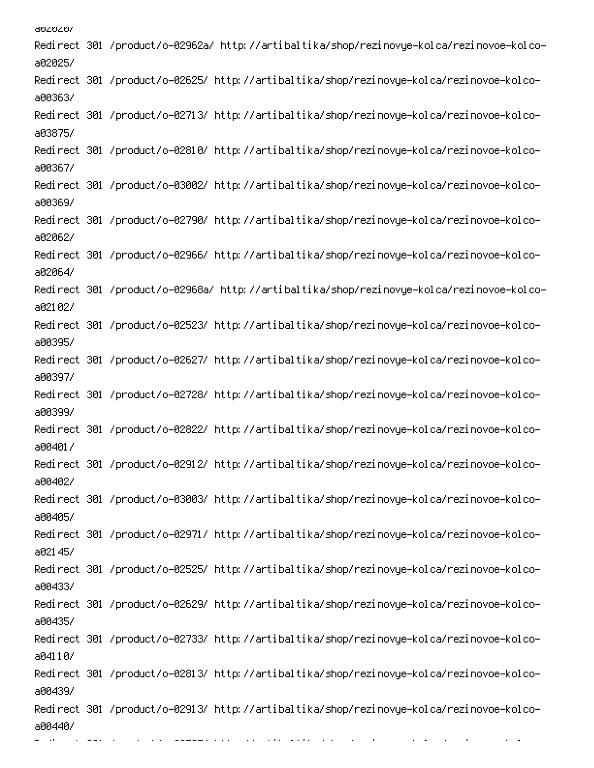aozozo/ Redirect 301 /product/o-02962a/ http://artibaltika/shop/rezinovye-kolca/rezinovoe-kolcoa02025/ Redirect 301 /product/o-02625/ http://artibaltika/shop/rezinovye-kolca/rezinovoe-kolcoa00363/ -Redirect 301 /product/o-02713/ http://artibaltika/shop/rezinovye-kolca/rezinovoe-kolco a03875/ -Redirect 301 /product/o-02810/ http://artibaltika/shop/rezinovye-kolca/rezinovoe-kolco a00367/ -Redirect 301 /product/o-03002/ http://artibaltika/shop/rezinovye-kolca/rezinovoe-kolco a00369/ -Redirect 301 /product/o-02790/ http://artibaltika/shop/rezinovye-kolca/rezinovoe-kolco a02062/ Redirect 301 /product/o-02966/ http://artibaltika/shop/rezinovye-kolca/rezinovoe-kolcoa02064/ Redirect 301 /product/o-02968a/ http://artibaltika/shop/rezinovye-kolca/rezinovoe-kolcoa02102/ Redirect 301 /product/o-02523/ http://artibaltika/shop/rezinovye-kolca/rezinovoe-kolcoa00395/ Redirect 301 /product/o-02627/ http://artibaltika/shop/rezinovye-kolca/rezinovoe-kolcoa00397/ -Redirect 301 /product/o-02728/ http://artibaltika/shop/rezinovye-kolca/rezinovoe-kolco a00399/ -Redirect 301 /product/o-02822/ http://artibaltika/shop/rezinovye-kolca/rezinovoe-kolco a00401/ -Redirect 301 /product/o-02912/ http://artibaltika/shop/rezinovye-kolca/rezinovoe-kolco a00402/ -Redirect 301 /product/o-03003/ http://artibaltika/shop/rezinovye-kolca/rezinovoe-kolco a00405/ -Redirect 301 /product/o-02971/ http://artibaltika/shop/rezinovye-kolca/rezinovoe-kolco a02145/ -Redirect 301 /product/o-02525/ http://artibaltika/shop/rezinovye-kolca/rezinovoe-kolco a00433/ Redirect 301 /product/o-02629/ http://artibaltika/shop/rezinovye-kolca/rezinovoe-kolcoa00435/ Redirect 301 /product/o-02733/ http://artibaltika/shop/rezinovye-kolca/rezinovoe-kolcoa04110/ -Redirect 301 /product/o-02813/ http://artibaltika/shop/rezinovye-kolca/rezinovoe-kolco a00439/ -Redirect 301 /product/o-02913/ http://artibaltika/shop/rezinovye-kolca/rezinovoe-kolco a00440/

Q

-

and a sta

0

000 minutes

6 

PC 
0 D !-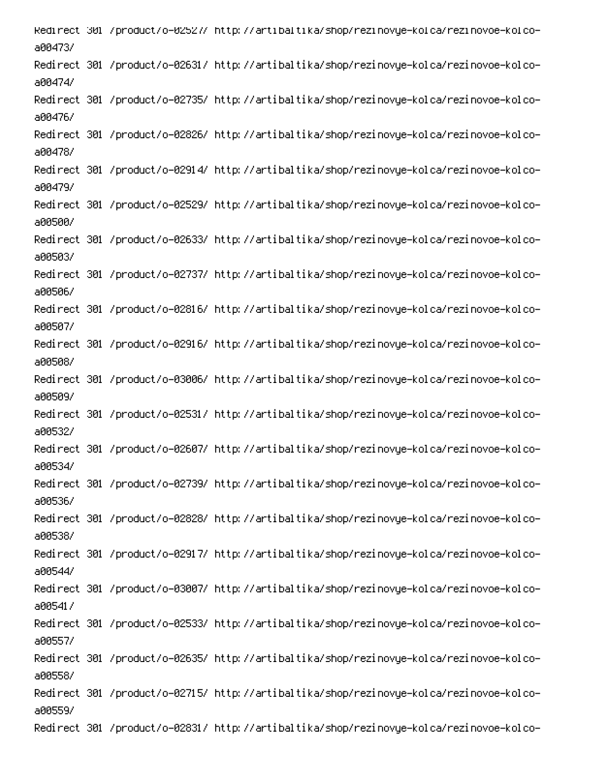Redirect 301 /product/o-02527/ http://artibaltika/shop/rezinovye-kolca/rezinovoe-kolcoa00473/ -Redirect 301 /product/o-02631/ http://artibaltika/shop/rezinovye-kolca/rezinovoe-kolco a00474/ -Redirect 301 /product/o-02735/ http://artibaltika/shop/rezinovye-kolca/rezinovoe-kolco a00476/ -Redirect 301 /product/o-02826/ http://artibaltika/shop/rezinovye-kolca/rezinovoe-kolco a00478/ -Redirect 301 /product/o-02914/ http://artibaltika/shop/rezinovye-kolca/rezinovoe-kolco a00479/ -Redirect 301 /product/o-02529/ http://artibaltika/shop/rezinovye-kolca/rezinovoe-kolco a00500/ -Redirect 301 /product/o-02633/ http://artibaltika/shop/rezinovye-kolca/rezinovoe-kolco a00503/ -Redirect 301 /product/o-02737/ http://artibaltika/shop/rezinovye-kolca/rezinovoe-kolco a00506/ -Redirect 301 /product/o-02816/ http://artibaltika/shop/rezinovye-kolca/rezinovoe-kolco a00507/ -Redirect 301 /product/o-02916/ http://artibaltika/shop/rezinovye-kolca/rezinovoe-kolco a00508/ -Redirect 301 /product/o-03006/ http://artibaltika/shop/rezinovye-kolca/rezinovoe-kolco a00509/ -Redirect 301 /product/o-02531/ http://artibaltika/shop/rezinovye-kolca/rezinovoe-kolco a00532/ -Redirect 301 /product/o-02607/ http://artibaltika/shop/rezinovye-kolca/rezinovoe-kolco a00534/ -Redirect 301 /product/o-02739/ http://artibaltika/shop/rezinovye-kolca/rezinovoe-kolco a00536/ -Redirect 301 /product/o-02828/ http://artibaltika/shop/rezinovye-kolca/rezinovoe-kolco a00538/ -Redirect 301 /product/o-02917/ http://artibaltika/shop/rezinovye-kolca/rezinovoe-kolco a00544/ -Redirect 301 /product/o-03007/ http://artibaltika/shop/rezinovye-kolca/rezinovoe-kolco a00541/ -Redirect 301 /product/o-02533/ http://artibaltika/shop/rezinovye-kolca/rezinovoe-kolco a00557/ -Redirect 301 /product/o-02635/ http://artibaltika/shop/rezinovye-kolca/rezinovoe-kolco a00558/ -Redirect 301 /product/o-02715/ http://artibaltika/shop/rezinovye-kolca/rezinovoe-kolco a00559/ -Redirect 301 /product/o-02831/ http://artibaltika/shop/rezinovye-kolca/rezinovoe-kolco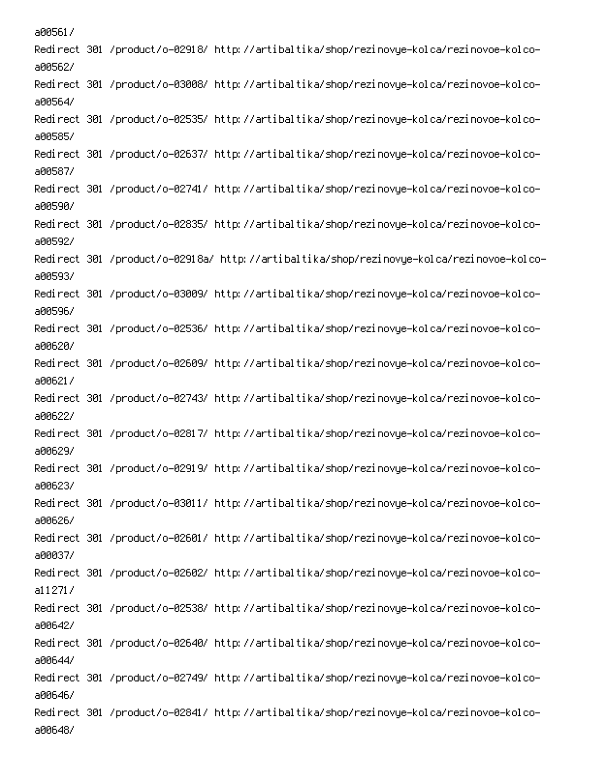a00561/ -Redirect 301 /product/o-02918/ http://artibaltika/shop/rezinovye-kolca/rezinovoe-kolco a005627 -Redirect 301 /product/o-03008/ http://artibaltika/shop/rezinovye-kolca/rezinovoe-kolco a00564/ Redirect 301 /product/o-02535/ http://artibaltika/shop/rezinovye-kolca/rezinovoe-kolcoa00585/ -Redirect 301 /product/o-02637/ http://artibaltika/shop/rezinovye-kolca/rezinovoe-kolco a00587/ -Redirect 301 /product/o-02741/ http://artibaltika/shop/rezinovye-kolca/rezinovoe-kolco a00590/ Redirect 301 /product/o-02835/ http://artibaltika/shop/rezinovye-kolca/rezinovoe-kolcoa005927 Redirect 301 /product/o-02918a/ http://artibaltika/shop/rezinovye-kolca/rezinovoe-kolcoa00593/ -Redirect 301 /product/o-03009/ http://artibaltika/shop/rezinovye-kolca/rezinovoe-kolco a00596/ Redirect 301 /product/o-02536/ http://artibaltika/shop/rezinovye-kolca/rezinovoe-kolcoa006207 -Redirect 301 /product/o-02609/ http://artibaltika/shop/rezinovye-kolca/rezinovoe-kolco a006217 -Redirect 301 /product/o-02743/ http://artibaltika/shop/rezinovye-kolca/rezinovoe-kolco a00622/ -Redirect 301 /product/o-02817/ http://artibaltika/shop/rezinovye-kolca/rezinovoe-kolco a006297 -Redirect 301 /product/o-02919/ http://artibaltika/shop/rezinovye-kolca/rezinovoe-kolco a00623/ -Redirect 301 /product/o-03011/ http://artibaltika/shop/rezinovye-kolca/rezinovoe-kolco a006267 -Redirect 301 /product/o-02601/ http://artibaltika/shop/rezinovye-kolca/rezinovoe-kolco a00037/ -Redirect 301 /product/o-02602/ http://artibaltika/shop/rezinovye-kolca/rezinovoe-kolco  $a112717$ -Redirect 301 /product/o-02538/ http://artibaltika/shop/rezinovye-kolca/rezinovoe-kolco a006427 -Redirect 301 /product/o-02640/ http://artibaltika/shop/rezinovye-kolca/rezinovoe-kolco a00644/ -Redirect 301 /product/o-02749/ http://artibaltika/shop/rezinovye-kolca/rezinovoe-kolco a006467 -Redirect 301 /product/o-02841/ http://artibaltika/shop/rezinovye-kolca/rezinovoe-kolco a00648/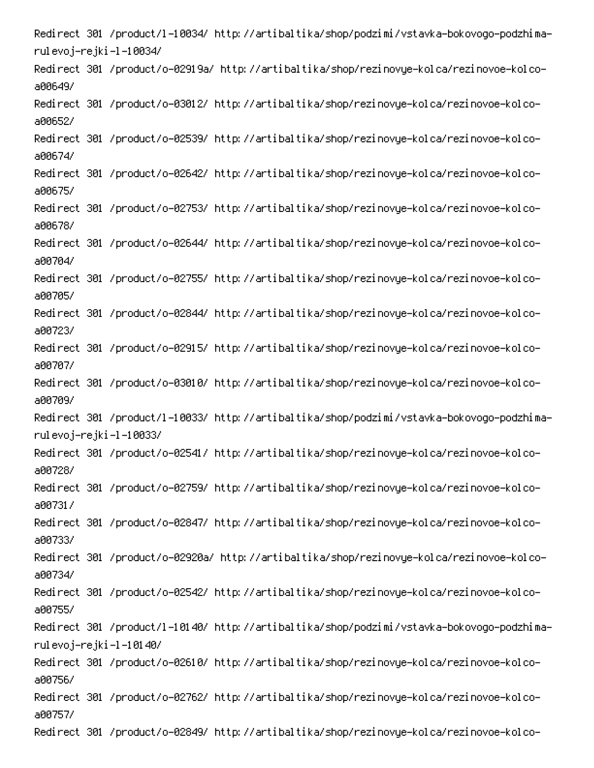Redirect 301 /product/l-10034/ http://artibaltika/shop/podzimi/vstavka-bokovogo-podzhimarulevoj–rejki–l–10034/ -Redirect 301 /product/o-02919a/ http://artibaltika/shop/rezinovye-kolca/rezinovoe-kolco a00649/ -Redirect 301 /product/o-03012/ http://artibaltika/shop/rezinovye-kolca/rezinovoe-kolco a00652/ -Redirect 301 /product/o-02539/ http://artibaltika/shop/rezinovye-kolca/rezinovoe-kolco a00674/ -Redirect 301 /product/o-02642/ http://artibaltika/shop/rezinovye-kolca/rezinovoe-kolco a00675/ -Redirect 301 /product/o-02753/ http://artibaltika/shop/rezinovye-kolca/rezinovoe-kolco a00678/ -Redirect 301 /product/o-02644/ http://artibaltika/shop/rezinovye-kolca/rezinovoe-kolco a00704/ -Redirect 301 /product/o-02755/ http://artibaltika/shop/rezinovye-kolca/rezinovoe-kolco a00705/ -Redirect 301 /product/o-02844/ http://artibaltika/shop/rezinovye-kolca/rezinovoe-kolco a00723/ -Redirect 301 /product/o-02915/ http://artibaltika/shop/rezinovye-kolca/rezinovoe-kolco a00707/ -Redirect 301 /product/o-03010/ http://artibaltika/shop/rezinovye-kolca/rezinovoe-kolco a00709/ -Redirect 301 /product/l-10033/ http://artibaltika/shop/podzimi/vstavka-bokovogo-podzhima rulevoj–rejki –l –10033/ -Redirect 301 /product/o-02541/ http://artibaltika/shop/rezinovye-kolca/rezinovoe-kolco a00728/ -Redirect 301 /product/o-02759/ http://artibaltika/shop/rezinovye-kolca/rezinovoe-kolco a00731/ -Redirect 301 /product/o-02847/ http://artibaltika/shop/rezinovye-kolca/rezinovoe-kolco a00733/ -Redirect 301 /product/o-02920a/ http://artibaltika/shop/rezinovye-kolca/rezinovoe-kolco a00734/ -Redirect 301 /product/o-02542/ http://artibaltika/shop/rezinovye-kolca/rezinovoe-kolco a00755/ Redirect 301 /product/l-10140/ http://artibaltika/shop/podzimi/vstavka-bokovogo-podzhimarulevoj–rejki–l–10140/ -Redirect 301 /product/o-02610/ http://artibaltika/shop/rezinovye-kolca/rezinovoe-kolco a00756/ Redirect 301 /product/o-02762/ http://artibaltika/shop/rezinovye-kolca/rezinovoe-kolcoa00757/ -Redirect 301 /product/o-02849/ http://artibaltika/shop/rezinovye-kolca/rezinovoe-kolco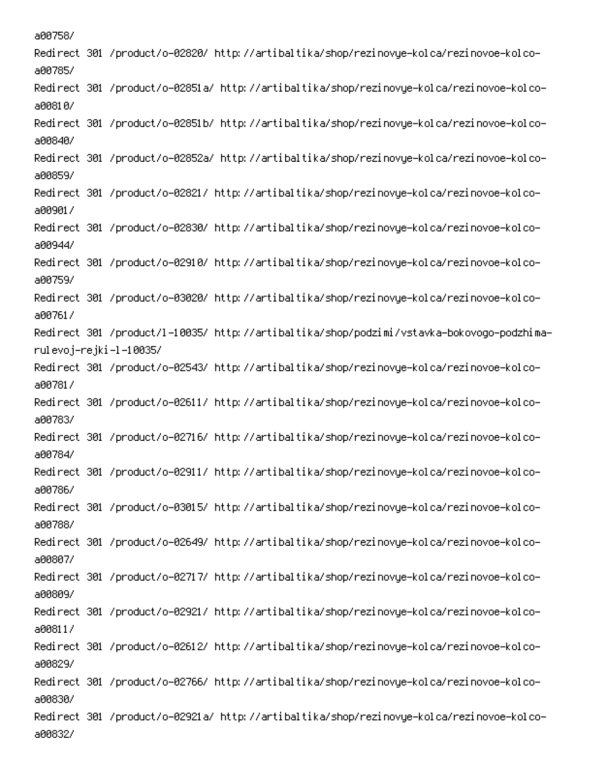a00758/ -Redirect 301 /product/o-02820/ http://artibaltika/shop/rezinovye-kolca/rezinovoe-kolco a00785/ -Redirect 301 /product/o-02851a/ http://artibaltika/shop/rezinovye-kolca/rezinovoe-kolco a00810/ -Redirect 301 /product/o-02851b/ http://artibaltika/shop/rezinovye-kolca/rezinovoe-kolco a00840/ -Redirect 301 /product/o-02852a/ http://artibaltika/shop/rezinovye-kolca/rezinovoe-kolco a00859/ -Redirect 301 /product/o-02821/ http://artibaltika/shop/rezinovye-kolca/rezinovoe-kolco a00901/ -Redirect 301 /product/o-02830/ http://artibaltika/shop/rezinovye-kolca/rezinovoe-kolco a00944/ -Redirect 301 /product/o-02910/ http://artibaltika/shop/rezinovye-kolca/rezinovoe-kolco a00759/ -Redirect 301 /product/o-03020/ http://artibaltika/shop/rezinovye-kolca/rezinovoe-kolco a00761/ -Redirect 301 /product/l-10035/ http://artibaltika/shop/podzimi/vstavka-bokovogo-podzhima rulevoj–rejki –l –10035/ -Redirect 301 /product/o-02543/ http://artibaltika/shop/rezinovye-kolca/rezinovoe-kolco a00781/ -Redirect 301 /product/o-02611/ http://artibaltika/shop/rezinovye-kolca/rezinovoe-kolco a00783/ -Redirect 301 /product/o-02716/ http://artibaltika/shop/rezinovye-kolca/rezinovoe-kolco a00784/ -Redirect 301 /product/o-02911/ http://artibaltika/shop/rezinovye-kolca/rezinovoe-kolco a00786/ -Redirect 301 /product/o-03015/ http://artibaltika/shop/rezinovye-kolca/rezinovoe-kolco a00788/ -Redirect 301 /product/o-02649/ http://artibaltika/shop/rezinovye-kolca/rezinovoe-kolco a00807/ -Redirect 301 /product/o-02717/ http://artibaltika/shop/rezinovye-kolca/rezinovoe-kolco ABBRAY -Redirect 301 /product/o-02921/ http://artibaltika/shop/rezinovye-kolca/rezinovoe-kolco a00811/ -Redirect 301 /product/o-02612/ http://artibaltika/shop/rezinovye-kolca/rezinovoe-kolco a00829/ -Redirect 301 /product/o-02766/ http://artibaltika/shop/rezinovye-kolca/rezinovoe-kolco a00830/ -Redirect 301 /product/o-02921a/ http://artibaltika/shop/rezinovye-kolca/rezinovoe-kolco a00832/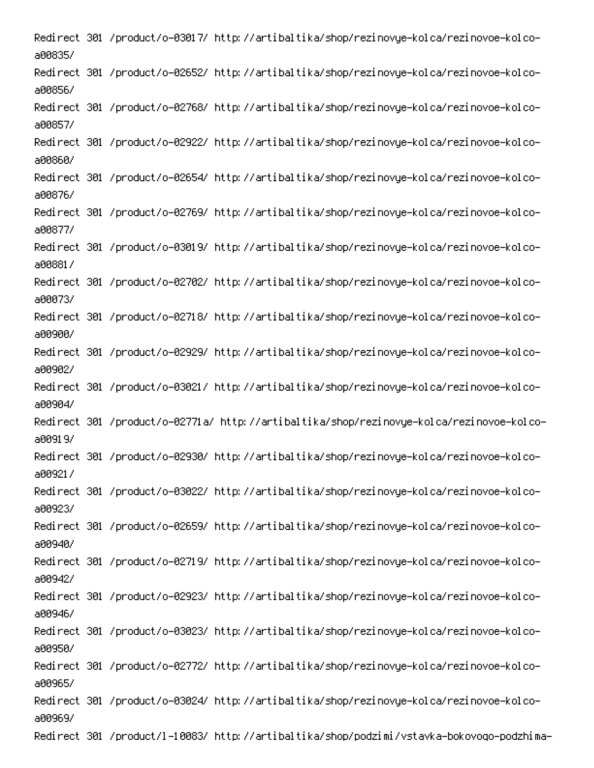-Redirect 301 /product/o-03017/ http://artibaltika/shop/rezinovye-kolca/rezinovoe-kolco a00835/ Redirect 301 /product/o-02652/ http://artibaltika/shop/rezinovye-kolca/rezinovoe-kolco-A00856/ -Redirect 301 /product/o-02768/ http://artibaltika/shop/rezinovye-kolca/rezinovoe-kolco A00857/ -Redirect 301 /product/o-02922/ http://artibaltika/shop/rezinovye-kolca/rezinovoe-kolco ARRAGAZ -Redirect 301 /product/o-02654/ http://artibaltika/shop/rezinovye-kolca/rezinovoe-kolco A008767 -Redirect 301 /product/o-02769/ http://artibaltika/shop/rezinovye-kolca/rezinovoe-kolco a00877/ -Redirect 301 /product/o-03019/ http://artibaltika/shop/rezinovye-kolca/rezinovoe-kolco AAA8817 -Redirect 301 /product/o-02702/ http://artibaltika/shop/rezinovye-kolca/rezinovoe-kolco a00073/ -Redirect 301 /product/o-02718/ http://artibaltika/shop/rezinovye-kolca/rezinovoe-kolco APP9PR/ -Redirect 301 /product/o-02929/ http://artibaltika/shop/rezinovye-kolca/rezinovoe-kolco a009027 -Redirect 301 /product/o-03021/ http://artibaltika/shop/rezinovye-kolca/rezinovoe-kolco ann9n4/ Redirect 301 /product/o-02771a/ http://artibaltika/shop/rezinovye-kolca/rezinovoe-kolcoa0091.97 -Redirect 301 /product/o-02930/ http://artibaltika/shop/rezinovye-kolca/rezinovoe-kolco a009217 -Redirect 301 /product/o-03022/ http://artibaltika/shop/rezinovye-kolca/rezinovoe-kolco a00923/ -Redirect 301 /product/o-02659/ http://artibaltika/shop/rezinovye-kolca/rezinovoe-kolco a00940/ -Redirect 301 /product/o-02719/ http://artibaltika/shop/rezinovye-kolca/rezinovoe-kolco a009427 Redirect 301 /product/o-02923/ http://artibaltika/shop/rezinovye-kolca/rezinovoe-kolcoa00946/ -Redirect 301 /product/o-03023/ http://artibaltika/shop/rezinovye-kolca/rezinovoe-kolco a00950/ -Redirect 301 /product/o-02772/ http://artibaltika/shop/rezinovye-kolca/rezinovoe-kolco a00965/ -Redirect 301 /product/o-03024/ http://artibaltika/shop/rezinovye-kolca/rezinovoe-kolco a00969/ -Redirect 301 /product/l-10083/ http://artibaltika/shop/podzimi/vstavka-bokovogo-podzhima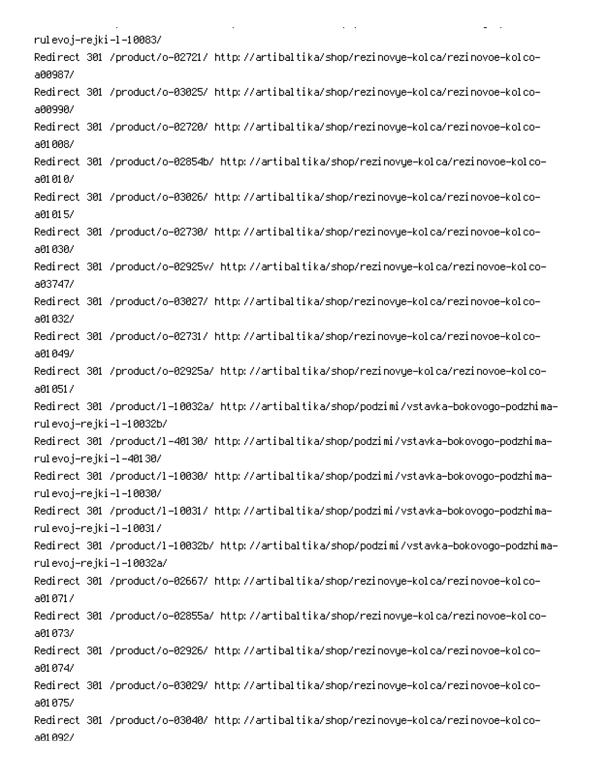rulevoj–rejki–l–10083/ -Redirect 301 /product/o-02721/ http://artibaltika/shop/rezinovye-kolca/rezinovoe-kolco a00987/ -Redirect 301 /product/o-03025/ http://artibaltika/shop/rezinovye-kolca/rezinovoe-kolco a00990/ -Redirect 301 /product/o-02720/ http://artibaltika/shop/rezinovye-kolca/rezinovoe-kolco a01008/ -Redirect 301 /product/o-02854b/ http://artibaltika/shop/rezinovye-kolca/rezinovoe-kolco a01010/ -Redirect 301 /product/o-03026/ http://artibaltika/shop/rezinovye-kolca/rezinovoe-kolco a01015/ -Redirect 301 /product/o-02730/ http://artibaltika/shop/rezinovye-kolca/rezinovoe-kolco a01030/ Redirect 301 /product/o-02925v/ http://artibaltika/shop/rezinovye-kolca/rezinovoe-kolcoa03747/ -Redirect 301 /product/o-03027/ http://artibaltika/shop/rezinovye-kolca/rezinovoe-kolco a01032/ -Redirect 301 /product/o-02731/ http://artibaltika/shop/rezinovye-kolca/rezinovoe-kolco a01049/ Redirect 301 /product/o-02925a/ http://artibaltika/shop/rezinovye-kolca/rezinovoe-kolcoa01051/ Redirect 301 /product/l-10032a/ http://artibaltika/shop/podzimi/vstavka-bokovogo-podzhimarulevoj–rejki–l–10032b/ Redirect 301 /product/l-40130/ http://artibaltika/shop/podzimi/vstavka-bokovogo-podzhimarulevoj–rejki –1 –40130/ Redirect 301 /product/l-10030/ http://artibaltika/shop/podzimi/vstavka-bokovogo-podzhimarulevoj–rejki–l–10030/ -Redirect 301 /product/l-10031/ http://artibaltika/shop/podzimi/vstavka-bokovogo-podzhima rulevoj–rejki–l–10031/ Redirect 301 /product/l-10032b/ http://artibaltika/shop/podzimi/vstavka-bokovogo-podzhimarulevoj-rejki –l –10032a/ -Redirect 301 /product/o-02667/ http://artibaltika/shop/rezinovye-kolca/rezinovoe-kolco a01071/ -Redirect 301 /product/o-02855a/ http://artibaltika/shop/rezinovye-kolca/rezinovoe-kolco a01073/ -Redirect 301 /product/o-02926/ http://artibaltika/shop/rezinovye-kolca/rezinovoe-kolco a01074/ -Redirect 301 /product/o-03029/ http://artibaltika/shop/rezinovye-kolca/rezinovoe-kolco a01075/ Redirect 301 /product/o-03040/ http://artibaltika/shop/rezinovye-kolca/rezinovoe-kolcoa01092/

PC And the second contract of the second contract of the second contract of the second contract of the second contract of the second contract of the second contract of the second contract of the second contract of the seco

**Contract Contract** 

 $\mathbf{L}$  and  $\mathbf{L}$ 

00 and 000 and 000 and 000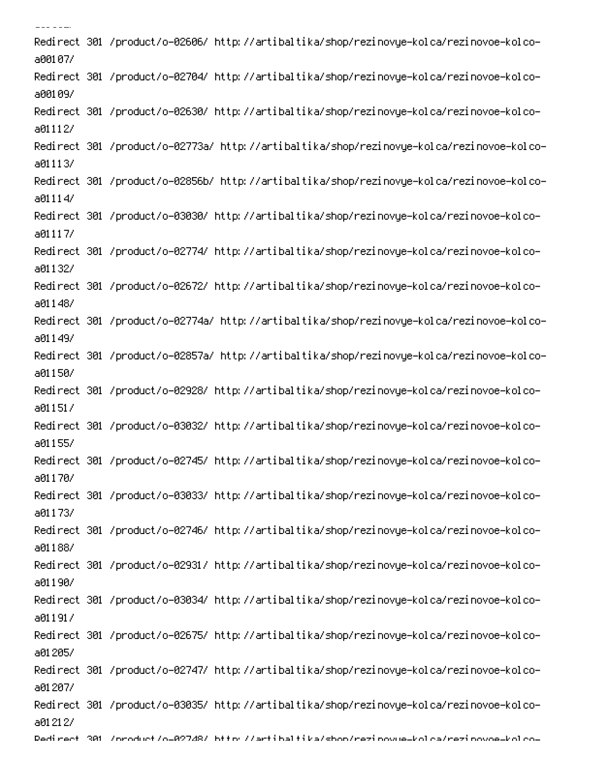-Redirect 301 /product/o-02606/ http://artibaltika/shop/rezinovye-kolca/rezinovoe-kolco a00107/ -Redirect 301 /product/o-02704/ http://artibaltika/shop/rezinovye-kolca/rezinovoe-kolco a00109/ -Redirect 301 /product/o-02630/ http://artibaltika/shop/rezinovye-kolca/rezinovoe-kolco a01112/ -Redirect 301 /product/o-02773a/ http://artibaltika/shop/rezinovye-kolca/rezinovoe-kolco a01113/ -Redirect 301 /product/o-02856b/ http://artibaltika/shop/rezinovye-kolca/rezinovoe-kolco  $a01114/$ -Redirect 301 /product/o-03030/ http://artibaltika/shop/rezinovye-kolca/rezinovoe-kolco  $a01117/$ -Redirect 301 /product/o-02774/ http://artibaltika/shop/rezinovye-kolca/rezinovoe-kolco a01132/ -Redirect 301 /product/o-02672/ http://artibaltika/shop/rezinovye-kolca/rezinovoe-kolco a01148/ -Redirect 301 /product/o-02774a/ http://artibaltika/shop/rezinovye-kolca/rezinovoe-kolco a01149/ -Redirect 301 /product/o-02857a/ http://artibaltika/shop/rezinovye-kolca/rezinovoe-kolco a01150/ -Redirect 301 /product/o-02928/ http://artibaltika/shop/rezinovye-kolca/rezinovoe-kolco a01151/ -Redirect 301 /product/o-03032/ http://artibaltika/shop/rezinovye-kolca/rezinovoe-kolco a01155/ -Redirect 301 /product/o-02745/ http://artibaltika/shop/rezinovye-kolca/rezinovoe-kolco a01170/ -Redirect 301 /product/o-03033/ http://artibaltika/shop/rezinovye-kolca/rezinovoe-kolco a01173/ -Redirect 301 /product/o-02746/ http://artibaltika/shop/rezinovye-kolca/rezinovoe-kolco a01188/ -Redirect 301 /product/o-02931/ http://artibaltika/shop/rezinovye-kolca/rezinovoe-kolco a01190/ -Redirect 301 /product/o-03034/ http://artibaltika/shop/rezinovye-kolca/rezinovoe-kolco a01191/ -Redirect 301 /product/o-02675/ http://artibaltika/shop/rezinovye-kolca/rezinovoe-kolco a01 2057 -Redirect 301 /product/o-02747/ http://artibaltika/shop/rezinovye-kolca/rezinovoe-kolco a01207/ -Redirect 301 /product/o-03035/ http://artibaltika/shop/rezinovye-kolca/rezinovoe-kolco a01 21 27 Dedirect 301 /oroduct/o-02748/ bttp://artibaltika/sbon/rezioovue-kolca/rezioovoe-kolco-

 $- - - - - -$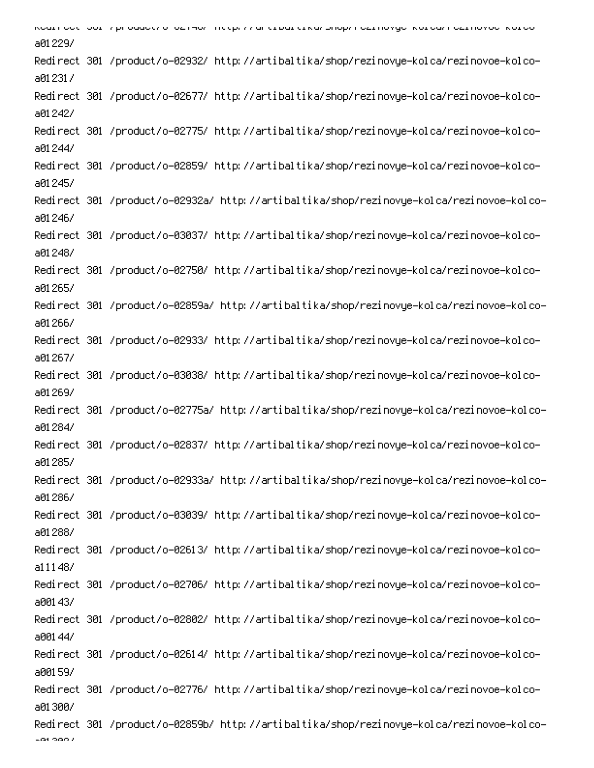אסטנו סטנ וטטנ וואף טטטטנו טדטבואטו ווגלף. זו סרננטסנגנאסו טוטטורוסבנווט ועסדוסטירסו וסבנווט וטסדאטנגטד a01229/ Redirect 301 /product/o-02932/ http://artibaltika/shop/rezinovye-kolca/rezinovoe-kolcoa012317 -Redirect 301 /product/o-02677/ http://artibaltika/shop/rezinovye-kolca/rezinovoe-kolco a012427 Redirect 301 /product/o-02775/ http://artibaltika/shop/rezinovye-kolca/rezinovoe-kolcoa01244/ -Redirect 301 /product/o-02859/ http://artibaltika/shop/rezinovye-kolca/rezinovoe-kolco a012457 Redirect 301 /product/o-02932a/ http://artibaltika/shop/rezinovye-kolca/rezinovoe-kolcoa012467 -Redirect 301 /product/o-03037/ http://artibaltika/shop/rezinovye-kolca/rezinovoe-kolco a01248/ -Redirect 301 /product/o-02750/ http://artibaltika/shop/rezinovye-kolca/rezinovoe-kolco a01265/ -Redirect 301 /product/o-02859a/ http://artibaltika/shop/rezinovye-kolca/rezinovoe-kolco a012667 Redirect 301 /product/o-02933/ http://artibaltika/shop/rezinovye-kolca/rezinovoe-kolcoa01267/ -Redirect 301 /product/o-03038/ http://artibaltika/shop/rezinovye-kolca/rezinovoe-kolco a01269/ Redirect 301 /product/o-02775a/ http://artibaltika/shop/rezinovye-kolca/rezinovoe-kolcoa01284/ -Redirect 301 /product/o-02837/ http://artibaltika/shop/rezinovye-kolca/rezinovoe-kolco a01285/ Redirect 301 /product/o-02933a/ http://artibaltika/shop/rezinovye-kolca/rezinovoe-kolcoa012867 -Redirect 301 /product/o-03039/ http://artibaltika/shop/rezinovye-kolca/rezinovoe-kolco a01288/ -Redirect 301 /product/o-02613/ http://artibaltika/shop/rezinovye-kolca/rezinovoe-kolco a111487 -Redirect 301 /product/o-02706/ http://artibaltika/shop/rezinovye-kolca/rezinovoe-kolco a001437 -Redirect 301 /product/o-02802/ http://artibaltika/shop/rezinovye-kolca/rezinovoe-kolco a001447 -Redirect 301 /product/o-02614/ http://artibaltika/shop/rezinovye-kolca/rezinovoe-kolco a001597 -Redirect 301 /product/o-02776/ http://artibaltika/shop/rezinovye-kolca/rezinovoe-kolco a01.3007 Redirect 301 /product/o-02859b/ http://artibaltika/shop/rezinovye-kolca/rezinovoe-kolco-LOL OGO <sup>2</sup>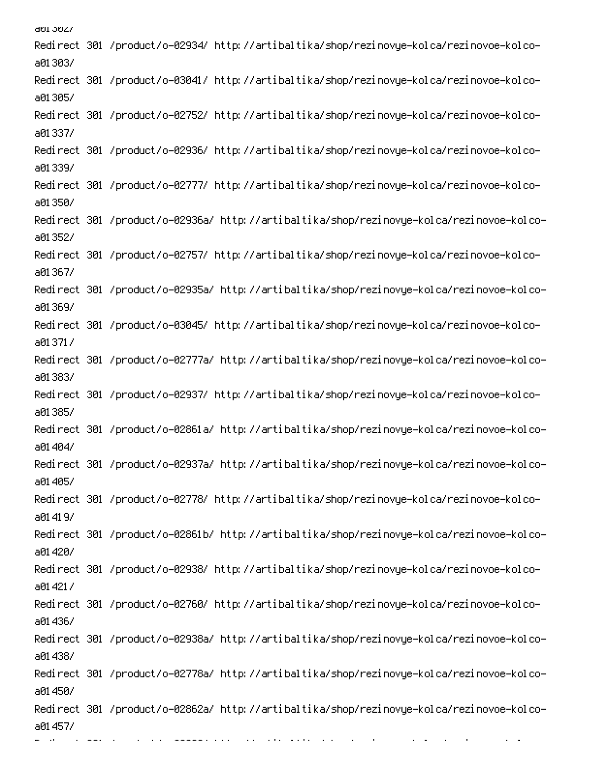abi 5627 -Redirect 301 /product/o-02934/ http://artibaltika/shop/rezinovye-kolca/rezinovoe-kolco a01303/ -Redirect 301 /product/o-03041/ http://artibaltika/shop/rezinovye-kolca/rezinovoe-kolco a01305/ -Redirect 301 /product/o-02752/ http://artibaltika/shop/rezinovye-kolca/rezinovoe-kolco a01337/ Redirect 301 /product/o-02936/ http://artibaltika/shop/rezinovye-kolca/rezinovoe-kolcoa01339/ -Redirect 301 /product/o-02777/ http://artibaltika/shop/rezinovye-kolca/rezinovoe-kolco a01350/ -Redirect 301 /product/o-02936a/ http://artibaltika/shop/rezinovye-kolca/rezinovoe-kolco a01352/ -Redirect 301 /product/o-02757/ http://artibaltika/shop/rezinovye-kolca/rezinovoe-kolco a01367/ Redirect 301 /product/o-02935a/ http://artibaltika/shop/rezinovye-kolca/rezinovoe-kolcoa01369/ -Redirect 301 /product/o-03045/ http://artibaltika/shop/rezinovye-kolca/rezinovoe-kolco a013717 -Redirect 301 /product/o-02777a/ http://artibaltika/shop/rezinovye-kolca/rezinovoe-kolco a01383/ -Redirect 301 /product/o-02937/ http://artibaltika/shop/rezinovye-kolca/rezinovoe-kolco a01385/ Redirect 301 /product/o-02861a/ http://artibaltika/shop/rezinovye-kolca/rezinovoe-kolcoa01404/ Redirect 301 /product/o-02937a/ http://artibaltika/shop/rezinovye-kolca/rezinovoe-kolcoa01405/ -Redirect 301 /product/o-02778/ http://artibaltika/shop/rezinovye-kolca/rezinovoe-kolco a01419/ Redirect 301 /product/o-02861b/ http://artibaltika/shop/rezinovye-kolca/rezinovoe-kolcoa01420/ Redirect 301 /product/o-02938/ http://artibaltika/shop/rezinovye-kolca/rezinovoe-kolcoa01421/ -Redirect 301 /product/o-02760/ http://artibaltika/shop/rezinovye-kolca/rezinovoe-kolco a01436/ Redirect 301 /product/o-02938a/ http://artibaltika/shop/rezinovye-kolca/rezinovoe-kolcoa01438/ -Redirect 301 /product/o-02778a/ http://artibaltika/shop/rezinovye-kolca/rezinovoe-kolco a01 450/ Redirect 301 /product/o-02862a/ http://artibaltika/shop/rezinovye-kolca/rezinovoe-kolcoa01457/

Q

-

and a sta

0

000 minutes

6 

PC Read of the PC Processes of<br>Constant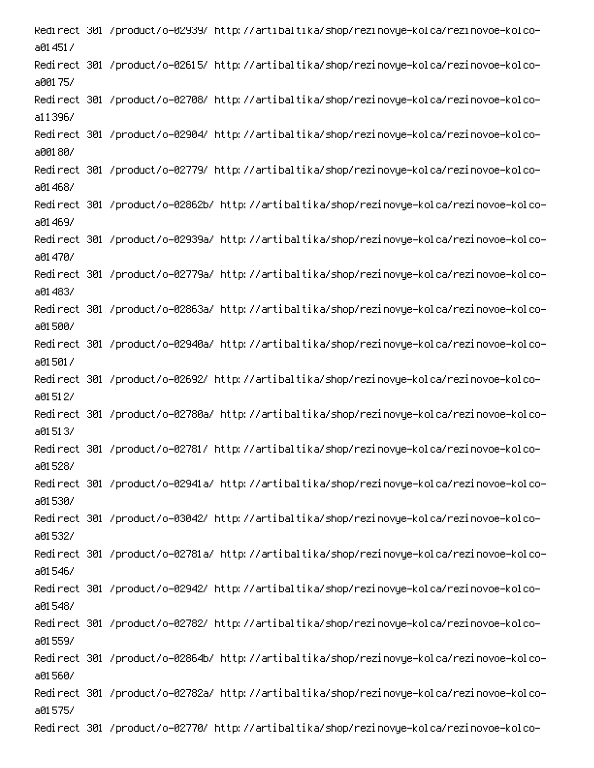Redirect 301 /product/o-02939/ http://artibaltika/shop/rezinovye-kolca/rezinovoe-kolcoa014517 -Redirect 301 /product/o-02615/ http://artibaltika/shop/rezinovye-kolca/rezinovoe-kolco a00175/ -Redirect 301 /product/o-02708/ http://artibaltika/shop/rezinovye-kolca/rezinovoe-kolco a11396/ -Redirect 301 /product/o-02904/ http://artibaltika/shop/rezinovye-kolca/rezinovoe-kolco a00180/ -Redirect 301 /product/o-02779/ http://artibaltika/shop/rezinovye-kolca/rezinovoe-kolco a01468/ -Redirect 301 /product/o-02862b/ http://artibaltika/shop/rezinovye-kolca/rezinovoe-kolco a01 4697 -Redirect 301 /product/o-02939a/ http://artibaltika/shop/rezinovye-kolca/rezinovoe-kolco a01470/ -Redirect 301 /product/o-02779a/ http://artibaltika/shop/rezinovye-kolca/rezinovoe-kolco a01 4837 -Redirect 301 /product/o-02863a/ http://artibaltika/shop/rezinovye-kolca/rezinovoe-kolco a01500/ -Redirect 301 /product/o-02940a/ http://artibaltika/shop/rezinovye-kolca/rezinovoe-kolco a01501/ -Redirect 301 /product/o-02692/ http://artibaltika/shop/rezinovye-kolca/rezinovoe-kolco a01512/ -Redirect 301 /product/o-02780a/ http://artibaltika/shop/rezinovye-kolca/rezinovoe-kolco a01513/ -Redirect 301 /product/o-02781/ http://artibaltika/shop/rezinovye-kolca/rezinovoe-kolco a01528/ -Redirect 301 /product/o-02941a/ http://artibaltika/shop/rezinovye-kolca/rezinovoe-kolco a01530/ -Redirect 301 /product/o-03042/ http://artibaltika/shop/rezinovye-kolca/rezinovoe-kolco a01532/ -Redirect 301 /product/o-02781a/ http://artibaltika/shop/rezinovye-kolca/rezinovoe-kolco a01546/ -Redirect 301 /product/o-02942/ http://artibaltika/shop/rezinovye-kolca/rezinovoe-kolco a01548/ -Redirect 301 /product/o-02782/ http://artibaltika/shop/rezinovye-kolca/rezinovoe-kolco a01559/ -Redirect 301 /product/o-02864b/ http://artibaltika/shop/rezinovye-kolca/rezinovoe-kolco a01560/ -Redirect 301 /product/o-02782a/ http://artibaltika/shop/rezinovye-kolca/rezinovoe-kolco a01575/ -Redirect 301 /product/o-02770/ http://artibaltika/shop/rezinovye-kolca/rezinovoe-kolco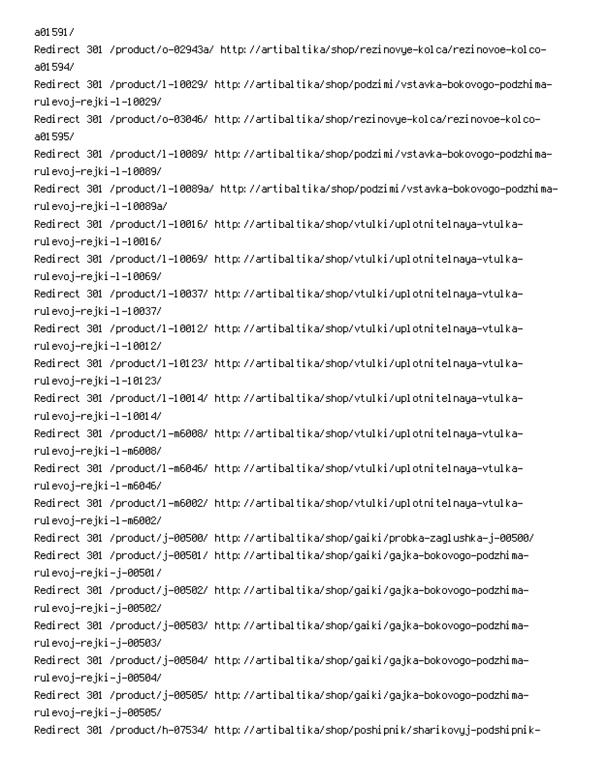a015917 -Redirect 301 /product/o-02943a/ http://artibaltika/shop/rezinovye-kolca/rezinovoe-kolco a01594/ -Redirect 301 /product/l-10029/ http://artibaltika/shop/podzimi/vstavka-bokovogo-podzhima rulevoj–rejki–l–10029/ -Redirect 301 /product/o-03046/ http://artibaltika/shop/rezinovye-kolca/rezinovoe-kolco a01595/ -Redirect 301 /product/l-10089/ http://artibaltika/shop/podzimi/vstavka-bokovogo-podzhima rulevoj–rejki–l–10089/ Redirect 301 /product/l-10089a/ http://artibaltika/shop/podzimi/vstavka-bokovogo-podzhimarulevoj-rejki –l –10089a/ Redirect 301 /product/l-10016/ http://artibaltika/shop/vtulki/uplotnitelnaya-vtulkarulevoj–rejki–l–10016/ Redirect 301 /product/l-10069/ http://artibaltika/shop/vtulki/uplotnitelnaya-vtulkarulevoj–rejki–l–10069/ Redirect 301 /product/l-10037/ http://artibaltika/shop/vtulki/uplotnitelnaya-vtulkarulevoj–rejki –l –10037/ Redirect 301 /product/l-10012/ http://artibaltika/shop/vtulki/uplotnitelnaya-vtulkarulevoj–rejki–l–10012/ Redirect 301 /product/l-10123/ http://artibaltika/shop/vtulki/uplotnitelnaya-vtulkarulevoj–rejki –l –10123/ Redirect 301 /product/l-10014/ http://artibaltika/shop/vtulki/uplotnitelnaya-vtulkarulevoj–rejki–l–10014/ Redirect 301 /product/l-m6008/ http://artibaltika/shop/vtulki/uplotnitelnaya-vtulkarulevoj–rejki–l–m6008/ Redirect 301 /product/l-m6046/ http://artibaltika/shop/vtulki/uplotnitelnaya-vtulkarulevoj–rejki–l–m6046/ Redirect 301 /product/l-m6002/ http://artibaltika/shop/vtulki/uplotnitelnaya-vtulkarulevoj–rejki–l–m6002/ /Redirect 301 /product/j-00500/ http://artibaltika/shop/gaiki/probka-zaglushka-j-00500 Redirect 301 /product/j-00501/ http://artibaltika/shop/gaiki/gajka-bokovogo-podzhimarulevoj–rejki–j–00501/ Redirect 301 /product/j-00502/ http://artibaltika/shop/gaiki/gajka-bokovogo-podzhimarulevoj–rejki–j–00502/ Redirect 301 /product/j-00503/ http://artibaltika/shop/gaiki/gajka-bokovogo-podzhimarulevoj–rejki–j–00503/ Redirect 301 /product/j-00504/ http://artibaltika/shop/gaiki/gajka-bokovogo-podzhimarulevoj–rejki–j–00504/ Redirect 301 /product/j-00505/ http://artibaltika/shop/gaiki/gajka-bokovogo-podzhimarulevoj–rejki–j–00505/ -Redirect 301 /product/h-07534/ http://artibaltika/shop/poshipnik/sharikovyj-podshipnik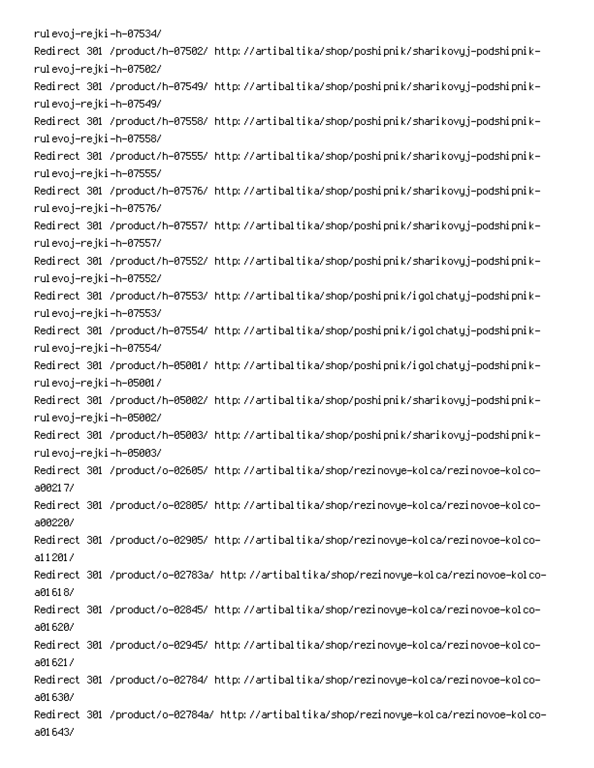rulevoj–rejki–h–07534/ -Redirect 301 /product/h-07502/ http://artibaltika/shop/poshipnik/sharikovyj-podshipnik rulevoj–rejki–h–07502/ -Redirect 301 /product/h-07549/ http://artibaltika/shop/poshipnik/sharikovyj-podshipnik rulevoj–rejki–h–07549/ -Redirect 301 /product/h-07558/ http://artibaltika/shop/poshipnik/sharikovyj-podshipnik rulevoj–rejki–h–07558/ -Redirect 301 /product/h-07555/ http://artibaltika/shop/poshipnik/sharikovyj-podshipnik rulevoj–rejki–h–07555/ -Redirect 301 /product/h-07576/ http://artibaltika/shop/poshipnik/sharikovyj-podshipnik rulevoj–rejki–h–07576/ -Redirect 301 /product/h-07557/ http://artibaltika/shop/poshipnik/sharikovyj-podshipnik rulevoj–rejki–h–07557/ -Redirect 301 /product/h-07552/ http://artibaltika/shop/poshipnik/sharikovyj-podshipnik rulevoj–rejki–h–07552/ -Redirect 301 /product/h-07553/ http://artibaltika/shop/poshipnik/igolchatyj-podshipnik rulevoj–rejki–h–07553/ -Redirect 301 /product/h-07554/ http://artibaltika/shop/poshipnik/igolchatyj-podshipnik rulevoj–rejki–h–07554/ -Redirect 301 /product/h-05001/ http://artibaltika/shop/poshipnik/igolchatyj-podshipnik rulevoj–rejki–h–05001/ -Redirect 301 /product/h-05002/ http://artibaltika/shop/poshipnik/sharikovyj-podshipnik rulevoj–rejki–h–05002/ -Redirect 301 /product/h-05003/ http://artibaltika/shop/poshipnik/sharikovyj-podshipnik rulevoj–rejki–h–05003/ -Redirect 301 /product/o-02605/ http://artibaltika/shop/rezinovye-kolca/rezinovoe-kolco a00217/ -Redirect 301 /product/o-02805/ http://artibaltika/shop/rezinovye-kolca/rezinovoe-kolco a00220/ -Redirect 301 /product/o-02905/ http://artibaltika/shop/rezinovye-kolca/rezinovoe-kolco  $a11201/$ Redirect 301 /product/o-02783a/ http://artibaltika/shop/rezinovye-kolca/rezinovoe-kolcoa01618/ -Redirect 301 /product/o-02845/ http://artibaltika/shop/rezinovye-kolca/rezinovoe-kolco a01620/ -Redirect 301 /product/o-02945/ http://artibaltika/shop/rezinovye-kolca/rezinovoe-kolco a01621/ -Redirect 301 /product/o-02784/ http://artibaltika/shop/rezinovye-kolca/rezinovoe-kolco a01630/ -Redirect 301 /product/o-02784a/ http://artibaltika/shop/rezinovye-kolca/rezinovoe-kolco a01643/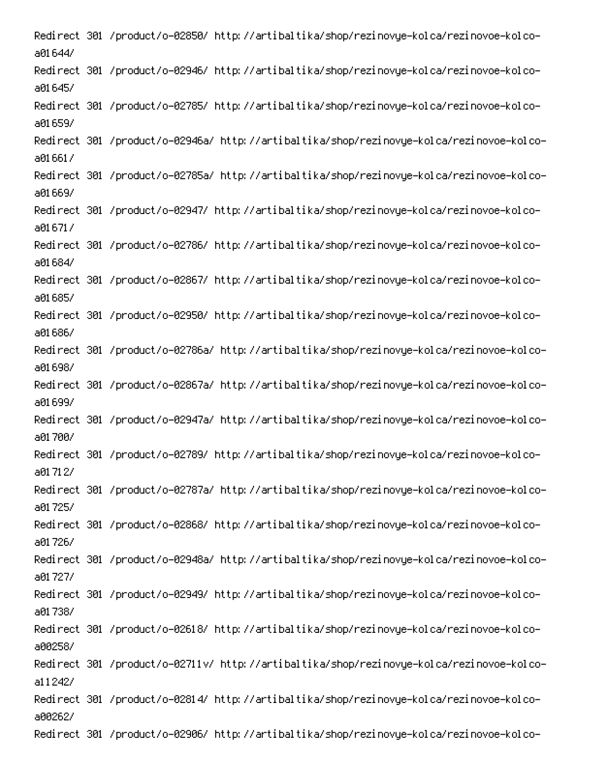-Redirect 301 /product/o-02850/ http://artibaltika/shop/rezinovye-kolca/rezinovoe-kolco a01644/ -Redirect 301 /product/o-02946/ http://artibaltika/shop/rezinovye-kolca/rezinovoe-kolco a01645/ -Redirect 301 /product/o-02785/ http://artibaltika/shop/rezinovye-kolca/rezinovoe-kolco a01659/ -Redirect 301 /product/o-02946a/ http://artibaltika/shop/rezinovye-kolca/rezinovoe-kolco a016617 -Redirect 301 /product/o-02785a/ http://artibaltika/shop/rezinovye-kolca/rezinovoe-kolco a01669/ -Redirect 301 /product/o-02947/ http://artibaltika/shop/rezinovye-kolca/rezinovoe-kolco a016717 -Redirect 301 /product/o-02786/ http://artibaltika/shop/rezinovye-kolca/rezinovoe-kolco a01684/ -Redirect 301 /product/o-02867/ http://artibaltika/shop/rezinovye-kolca/rezinovoe-kolco a01685/ -Redirect 301 /product/o-02950/ http://artibaltika/shop/rezinovye-kolca/rezinovoe-kolco a016867 -Redirect 301 /product/o-02786a/ http://artibaltika/shop/rezinovye-kolca/rezinovoe-kolco a01698/ -Redirect 301 /product/o-02867a/ http://artibaltika/shop/rezinovye-kolca/rezinovoe-kolco a01699/ -Redirect 301 /product/o-02947a/ http://artibaltika/shop/rezinovye-kolca/rezinovoe-kolco a01700/ -Redirect 301 /product/o-02789/ http://artibaltika/shop/rezinovye-kolca/rezinovoe-kolco a01 71 27 -Redirect 301 /product/o-02787a/ http://artibaltika/shop/rezinovye-kolca/rezinovoe-kolco a01725/ -Redirect 301 /product/o-02868/ http://artibaltika/shop/rezinovye-kolca/rezinovoe-kolco a01726/ -Redirect 301 /product/o-02948a/ http://artibaltika/shop/rezinovye-kolca/rezinovoe-kolco a01727/ -Redirect 301 /product/o-02949/ http://artibaltika/shop/rezinovye-kolca/rezinovoe-kolco a017387 -Redirect 301 /product/o-02618/ http://artibaltika/shop/rezinovye-kolca/rezinovoe-kolco a00258/ -Redirect 301 /product/o-02711v/ http://artibaltika/shop/rezinovye-kolca/rezinovoe-kolco a11242/ -Redirect 301 /product/o-02814/ http://artibaltika/shop/rezinovye-kolca/rezinovoe-kolco a00262/ -Redirect 301 /product/o-02906/ http://artibaltika/shop/rezinovye-kolca/rezinovoe-kolco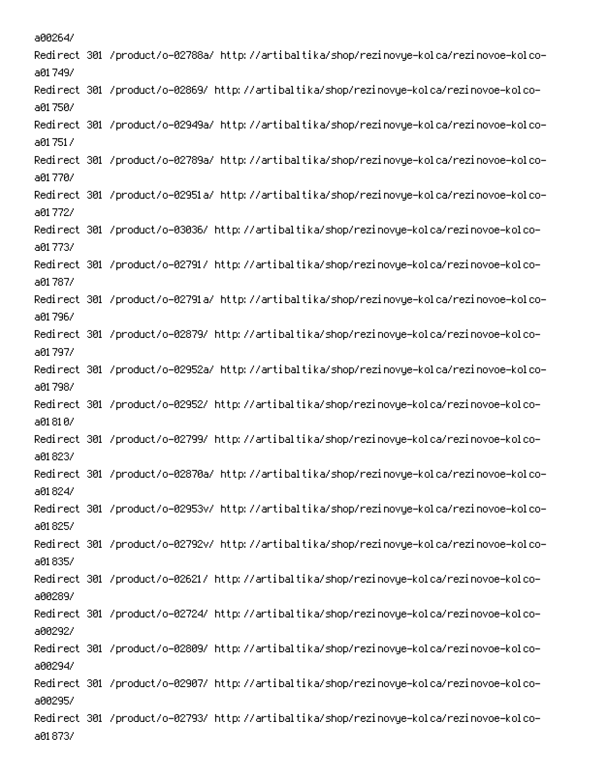a00264/ Redirect 301 /product/o-02788a/ http://artibaltika/shop/rezinovye-kolca/rezinovoe-kolcoa017497 -Redirect 301 /product/o-02869/ http://artibaltika/shop/rezinovye-kolca/rezinovoe-kolco a01750/ -Redirect 301 /product/o-02949a/ http://artibaltika/shop/rezinovye-kolca/rezinovoe-kolco a017517 -Redirect 301 /product/o-02789a/ http://artibaltika/shop/rezinovye-kolca/rezinovoe-kolco a01.7707 Redirect 301 /product/o-02951a/ http://artibaltika/shop/rezinovye-kolca/rezinovoe-kolcoa01772/ -Redirect 301 /product/o-03036/ http://artibaltika/shop/rezinovye-kolca/rezinovoe-kolco a01.7737 -Redirect 301 /product/o-02791/ http://artibaltika/shop/rezinovye-kolca/rezinovoe-kolco a01.787/ -Redirect 301 /product/o-02791a/ http://artibaltika/shop/rezinovye-kolca/rezinovoe-kolco a01.796/ -Redirect 301 /product/o-02879/ http://artibaltika/shop/rezinovye-kolca/rezinovoe-kolco a01.797/ Redirect 301 /product/o-02952a/ http://artibaltika/shop/rezinovye-kolca/rezinovoe-kolcoa01.798/ Redirect 301 /product/o-02952/ http://artibaltika/shop/rezinovye-kolca/rezinovoe-kolcoa01810/ -Redirect 301 /product/o-02799/ http://artibaltika/shop/rezinovye-kolca/rezinovoe-kolco a018237 -Redirect 301 /product/o-02870a/ http://artibaltika/shop/rezinovye-kolca/rezinovoe-kolco a01824/ Redirect 301 /product/o-02953v/ http://artibaltika/shop/rezinovye-kolca/rezinovoe-kolcoa01825/ -Redirect 301 /product/o-02792v/ http://artibaltika/shop/rezinovye-kolca/rezinovoe-kolco a01835/ Redirect 301 /product/o-02621/ http://artibaltika/shop/rezinovye-kolca/rezinovoe-kolcoa00289/ -Redirect 301 /product/o-02724/ http://artibaltika/shop/rezinovye-kolca/rezinovoe-kolco a002927 -Redirect 301 /product/o-02809/ http://artibaltika/shop/rezinovye-kolca/rezinovoe-kolco a00294/ -Redirect 301 /product/o-02907/ http://artibaltika/shop/rezinovye-kolca/rezinovoe-kolco a00295/ Redirect 301 /product/o-02793/ http://artibaltika/shop/rezinovye-kolca/rezinovoe-kolcoa01873/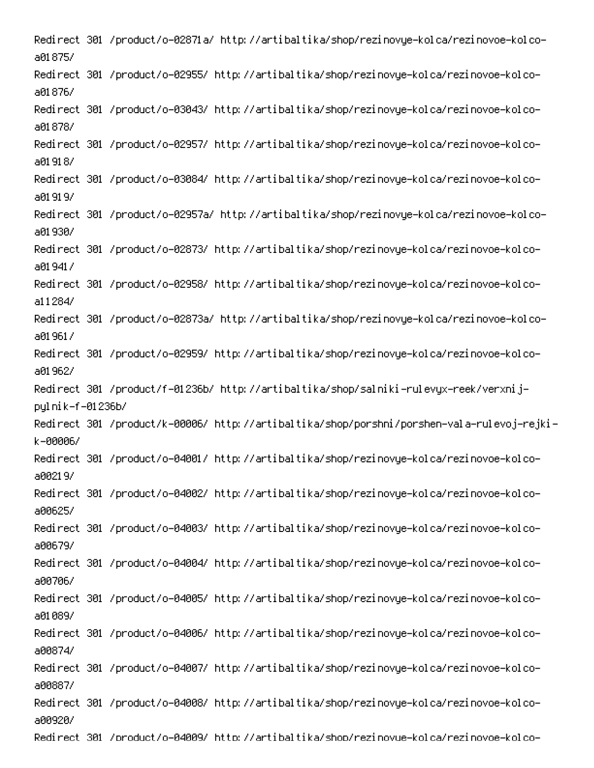Redirect 301 /product/o-02871a/ http://artibaltika/shop/rezinovye-kolca/rezinovoe-kolcoa01875/ Redirect 301 /product/o-02955/ http://artibaltika/shop/rezinovye-kolca/rezinovoe-kolcoa01876/ -Redirect 301 /product/o-03043/ http://artibaltika/shop/rezinovye-kolca/rezinovoe-kolco a01878/ -Redirect 301 /product/o-02957/ http://artibaltika/shop/rezinovye-kolca/rezinovoe-kolco a01918/ -Redirect 301 /product/o-03084/ http://artibaltika/shop/rezinovye-kolca/rezinovoe-kolco a01919/ Redirect 301 /product/o-02957a/ http://artibaltika/shop/rezinovye-kolca/rezinovoe-kolcoa01930/ -Redirect 301 /product/o-02873/ http://artibaltika/shop/rezinovye-kolca/rezinovoe-kolco a019417 Redirect 301 /product/o-02958/ http://artibaltika/shop/rezinovye-kolca/rezinovoe-kolco $a11284/$ Redirect 301 /product/o-02873a/ http://artibaltika/shop/rezinovye-kolca/rezinovoe-kolcoa01961/ -Redirect 301 /product/o-02959/ http://artibaltika/shop/rezinovye-kolca/rezinovoe-kolco a01962/ Redirect 301 /product/f-01236b/ http://artibaltika/shop/salniki-rulevyx-reek/verxnijpyl ni k-f-01 236b/ -Redirect 301 /product/k-00006/ http://artibaltika/shop/porshni/porshen-vala-rulevoj-rejki k-00006/ -Redirect 301 /product/o-04001/ http://artibaltika/shop/rezinovye-kolca/rezinovoe-kolco a00219/ Redirect 301 /product/o-04002/ http://artibaltika/shop/rezinovye-kolca/rezinovoe-kolcoa00625/ Redirect 301 /product/o-04003/ http://artibaltika/shop/rezinovye-kolca/rezinovoe-kolcoa00679/ Redirect 301 /product/o-04004/ http://artibaltika/shop/rezinovye-kolca/rezinovoe-kolcoa00706/ Redirect 301 /product/o-04005/ http://artibaltika/shop/rezinovye-kolca/rezinovoe-kolcoa01089/ Redirect 301 /product/o-04006/ http://artibaltika/shop/rezinovye-kolca/rezinovoe-kolcoa00874/ -Redirect 301 /product/o-04007/ http://artibaltika/shop/rezinovye-kolca/rezinovoe-kolco a00887/ Redirect 301 /product/o-04008/ http://artibaltika/shop/rezinovye-kolca/rezinovoe-kolcoa00920/ -Redirect 301 /product/o-04009/ http://artibaltika/shop/rezinovue-kolca/rezinovoe-kolco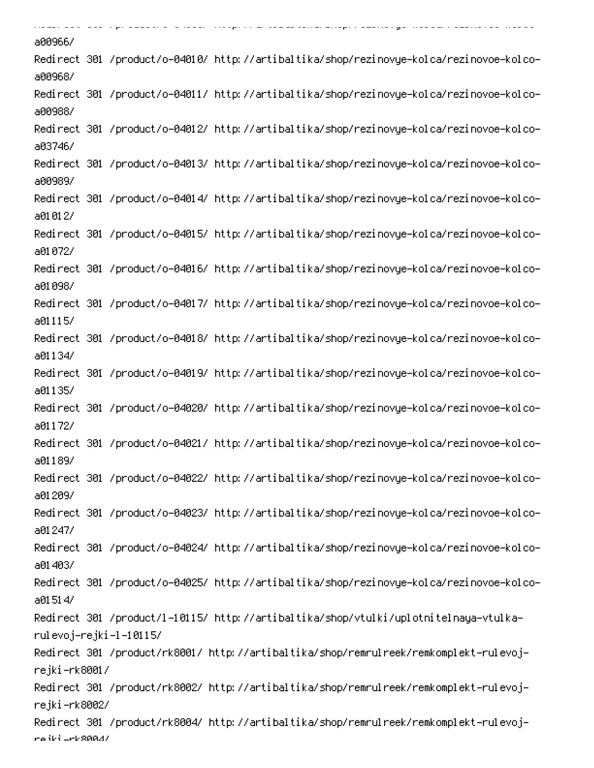. . . . . . .<br>2008 - Andre Japon Amerika Alemander (de special de anti-second accept cannonisty a continue de la constanti . . . . . . . . . . . . a00966/ -Redirect 301 /product/o-04010/ http://artibaltika/shop/rezinovye-kolca/rezinovoe-kolco a00968/ -Redirect 301 /product/o-04011/ http://artibaltika/shop/rezinovye-kolca/rezinovoe-kolco a00988/ -Redirect 301 /product/o-04012/ http://artibaltika/shop/rezinovye-kolca/rezinovoe-kolco a03746/ -Redirect 301 /product/o-04013/ http://artibaltika/shop/rezinovye-kolca/rezinovoe-kolco a00989/ -Redirect 301 /product/o-04014/ http://artibaltika/shop/rezinovye-kolca/rezinovoe-kolco a01012/ -Redirect 301 /product/o-04015/ http://artibaltika/shop/rezinovye-kolca/rezinovoe-kolco a01072/ -Redirect 301 /product/o-04016/ http://artibaltika/shop/rezinovye-kolca/rezinovoe-kolco a01098/ -Redirect 301 /product/o-04017/ http://artibaltika/shop/rezinovye-kolca/rezinovoe-kolco a01115/ -Redirect 301 /product/o-04018/ http://artibaltika/shop/rezinovye-kolca/rezinovoe-kolco a01134/ -Redirect 301 /product/o-04019/ http://artibaltika/shop/rezinovye-kolca/rezinovoe-kolco a01135/ -Redirect 301 /product/o-04020/ http://artibaltika/shop/rezinovye-kolca/rezinovoe-kolco a01172/ -Redirect 301 /product/o-04021/ http://artibaltika/shop/rezinovye-kolca/rezinovoe-kolco a01189/ -Redirect 301 /product/o-04022/ http://artibaltika/shop/rezinovye-kolca/rezinovoe-kolco a01209/ -Redirect 301 /product/o-04023/ http://artibaltika/shop/rezinovye-kolca/rezinovoe-kolco a01247/ -Redirect 301 /product/o-04024/ http://artibaltika/shop/rezinovye-kolca/rezinovoe-kolco a01403/ -Redirect 301 /product/o-04025/ http://artibaltika/shop/rezinovye-kolca/rezinovoe-kolco a01514/ -Redirect 301 /product/l-10115/ http://artibaltika/shop/vtulki/uplotnitelnaya-vtulka rulevoj–rejki–l–10115/ Redirect 301 /product/rk8001/ http://artibaltika/shop/remrulreek/remkomplekt-rulevojrejki–rk8001/ Redirect 301 /product/rk8002/ http://artibaltika/shop/remrulreek/remkomplekt-rulevojrejki–rk8002/ Redirect 301 /product/rk8004/ http://artibaltika/shop/remrulreek/remkomplekt-rulevojrejki -rk8004/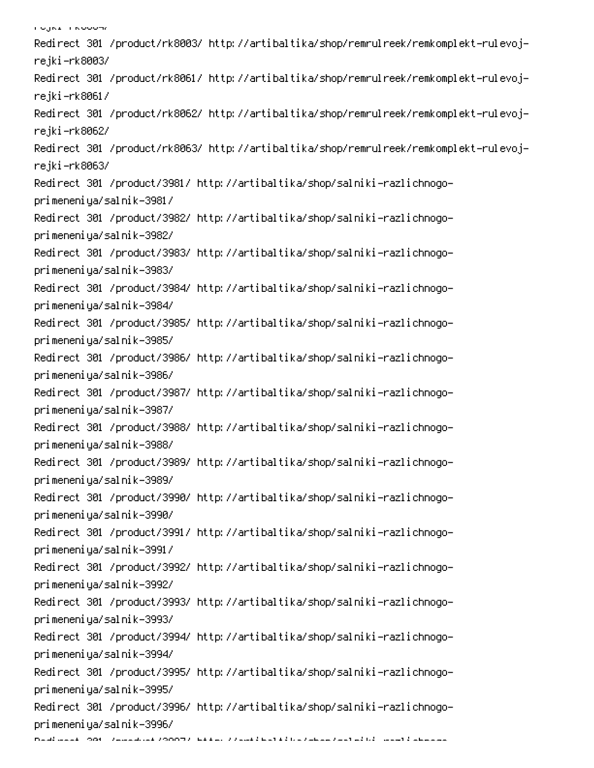י סטאנידו <mark>א</mark>יסטאן Redirect 301 /product/rk8003/ http://artibaltika/shop/remrulreek/remkomplekt-rulevojrejki–rk8003/ Redirect 301 /product/rk8061/ http://artibaltika/shop/remrulreek/remkomplekt-rulevojrejki–rk8061/ Redirect 301 /product/rk8062/ http://artibaltika/shop/remrulreek/remkomplekt-rulevojrejki–rk8062/ Redirect 301 /product/rk8063/ http://artibaltika/shop/remrulreek/remkomplekt-rulevojrejki–rk8063/ Redirect 301 /product/3981/ http://artibaltika/shop/salniki-razlichnogoprimeneniya/salnik-3981/ Redirect 301 /product/3982/ http://artibaltika/shop/salniki-razlichnogoprimeneniya/salnik-3982/ Redirect 301 /product/3983/ http://artibaltika/shop/salniki-razlichnogoprimeneniya/salnik-3983/ Redirect 301 /product/3984/ http://artibaltika/shop/salniki-razlichnogoprimeneniya/salnik-3984/ Redirect 301 /product/3985/ http://artibaltika/shop/salniki-razlichnogoprimeneniya/salnik-3985/ Redirect 301 /product/3986/ http://artibaltika/shop/salniki-razlichnogoprimeneniya/salnik-3986/ Redirect 301 /product/3987/ http://artibaltika/shop/salniki-razlichnogoprimeneniya/salnik-3987/ Redirect 301 /product/3988/ http://artibaltika/shop/salniki-razlichnogoprimeneniya/salnik-3988/ Redirect 301 /product/3989/ http://artibaltika/shop/salniki-razlichnogoprimeneniya/salnik-3989/ Redirect 301 /product/3990/ http://artibaltika/shop/salniki-razlichnogoprimeneniya/salnik-3990/ Redirect 301 /product/3991/ http://artibaltika/shop/salniki-razlichnogoprimeneniya/salnik-3991/ Redirect 301 /product/3992/ http://artibaltika/shop/salniki-razlichnogoprimeneniya/salnik-3992/ Redirect 301 /product/3993/ http://artibaltika/shop/salniki-razlichnogoprimeneniya/salnik-3993/ Redirect 301 /product/3994/ http://artibaltika/shop/salniki-razlichnogoprimeneniya/salnik-3994/ Redirect 301 /product/3995/ http://artibaltika/shop/salniki-razlichnogoprimeneniya/salnik-3995/ Redirect 301 /product/3996/ http://artibaltika/shop/salniki-razlichnogoprimeneniya/salnik-3996/ 6 PC 
PSS!-Q - 0 -0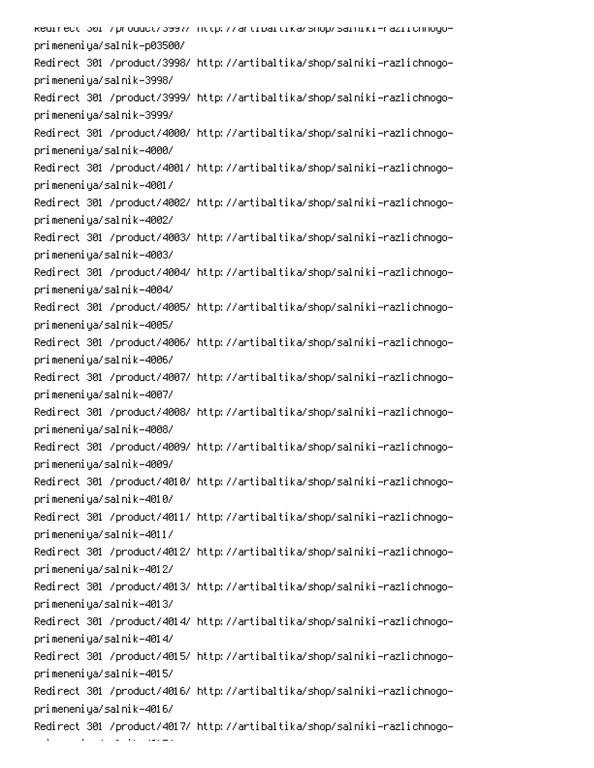kedirect 301 /product/3997/ http://artibaltika/shop/salniki-raziichnogoprimeneniya/salnik-p03500/ Redirect 301 /product/3998/ http://artibaltika/shop/salniki-razlichnogoprimeneniya/salnik-3998/ Redirect 301 /product/3999/ http://artibaltika/shop/salniki-razlichnogoprimeneniya/salnik-3999/ Redirect 301 /product/4000/ http://artibaltika/shop/salniki-razlichnogoprimeneniya/salnik-4000/ Redirect 301 /product/4001/ http://artibaltika/shop/salniki-razlichnogoprimeneniya/salnik-4001/ Redirect 301 /product/4002/ http://artibaltika/shop/salniki-razlichnogoprimeneniya/salnik-4002/ Redirect 301 /product/4003/ http://artibaltika/shop/salniki-razlichnogoprimeneniya/salnik-4003/ Redirect 301 /product/4004/ http://artibaltika/shop/salniki-razlichnogoprimeneniya/salnik-4004/ Redirect 301 /product/4005/ http://artibaltika/shop/salniki-razlichnogoprimeneniya/salnik-4005/ Redirect 301 /product/4006/ http://artibaltika/shop/salniki-razlichnogoprimeneniya/salnik-4006/ Redirect 301 /product/4007/ http://artibaltika/shop/salniki-razlichnogoprimeneniya/salnik-4007/ Redirect 301 /product/4008/ http://artibaltika/shop/salniki-razlichnogoprimeneniya/salnik-4008/ Redirect 301 /product/4009/ http://artibaltika/shop/salniki-razlichnogoprimeneniya/salnik-4009/ Redirect 301 /product/4010/ http://artibaltika/shop/salniki-razlichnogoprimeneniya/salnik-4010/ Redirect 301 /product/4011/ http://artibaltika/shop/salniki-razlichnogoprimeneniya/salnik-4011/ Redirect 301 /product/4012/ http://artibaltika/shop/salniki-razlichnogoprimeneniya/salnik-4012/ Redirect 301 /product/4013/ http://artibaltika/shop/salniki-razlichnogoprimeneniya/salnik-4013/ Redirect 301 /product/4014/ http://artibaltika/shop/salniki-razlichnogoprimeneniya/salnik-4014/ Redirect 301 /product/4015/ http://artibaltika/shop/salniki-razlichnogoprimeneniya/salnik-4015/ Redirect 301 /product/4016/ http://artibaltika/shop/salniki-razlichnogoprimeneniya/salnik-4016/ Redirect 301 /product/4017/ http://artibaltika/shop/salniki-razlichnogo-

- 1 an an T  $\mathcal{L}(\mathcal{L})$  and  $\mathcal{L}(\mathcal{L})$ 0C Presidentis<br>1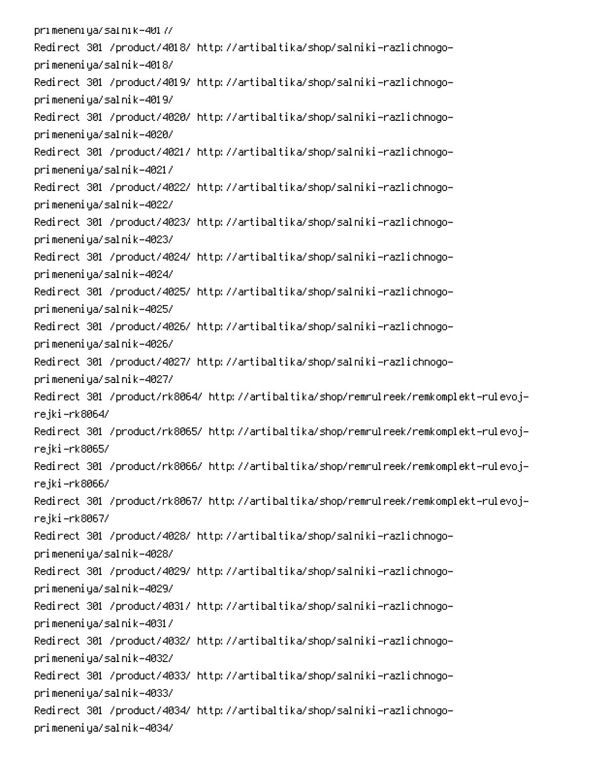pri meneni ya/sal ni k-401 7/ Redirect 301 /product/4018/ http://artibaltika/shop/salniki-razlichnogoprimeneniya/salnik-4018/ Redirect 301 /product/4019/ http://artibaltika/shop/salniki-razlichnogoprimeneniya/salnik-4019/ Redirect 301 /product/4020/ http://artibaltika/shop/salniki-razlichnogoprimeneniya/salnik-4020/ Redirect 301 /product/4021/ http://artibaltika/shop/salniki-razlichnogoprimeneniya/salnik-4021/ Redirect 301 /product/4022/ http://artibaltika/shop/salniki-razlichnogoprimeneniya/salnik-4022/ Redirect 301 /product/4023/ http://artibaltika/shop/salniki-razlichnogoprimeneniya/salnik-4023/ Redirect 301 /product/4024/ http://artibaltika/shop/salniki-razlichnogoprimeneniya/salnik-4024/ Redirect 301 /product/4025/ http://artibaltika/shop/salniki-razlichnogoprimeneniya/salnik-4025/ Redirect 301 /product/4026/ http://artibaltika/shop/salniki-razlichnogoprimeneniya/salnik-4026/ Redirect 301 /product/4027/ http://artibaltika/shop/salniki-razlichnogoprimeneniya/salnik-4027/ Redirect 301 /product/rk8064/ http://artibaltika/shop/remrulreek/remkomplekt-rulevojrejki–rk8064/ Redirect 301 /product/rk8065/ http://artibaltika/shop/remrulreek/remkomplekt-rulevojrejki-rk8065/ Redirect 301 /product/rk8066/ http://artibaltika/shop/remrulreek/remkomplekt-rulevojrejki–rk8066/ Redirect 301 /product/rk8067/ http://artibaltika/shop/remrulreek/remkomplekt-rulevojrejki-rk8067/ Redirect 301 /product/4028/ http://artibaltika/shop/salniki-razlichnogoprimeneniya/salnik-4028/ Redirect 301 /product/4029/ http://artibaltika/shop/salniki-razlichnogoprimeneniya/salnik-4029/ Redirect 301 /product/4031/ http://artibaltika/shop/salniki-razlichnogoprimeneniya/salnik-4031/ Redirect 301 /product/4032/ http://artibaltika/shop/salniki-razlichnogoprimeneniya/salnik-4032/ Redirect 301 /product/4033/ http://artibaltika/shop/salniki-razlichnogoprimeneniya/salnik-4033/ Redirect 301 /product/4034/ http://artibaltika/shop/salniki-razlichnogoprimeneniya/salnik-4034/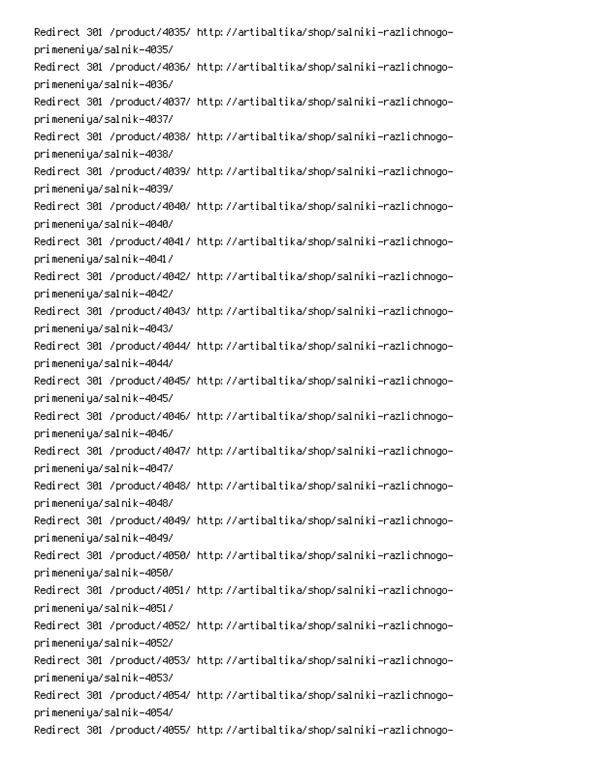Redirect 301 /product/4035/ http://artibaltika/shop/salniki-razlichnogoprimeneniya/salnik-4035/ Redirect 301 /product/4036/ http://artibaltika/shop/salniki-razlichnogoprimeneniya/salnik-4036/ Redirect 301 /product/4037/ http://artibaltika/shop/salniki-razlichnogoprimeneniya/salnik-4037/ Redirect 301 /product/4038/ http://artibaltika/shop/salniki-razlichnogoprimeneniya/salnik-4038/ Redirect 301 /product/4039/ http://artibaltika/shop/salniki-razlichnogoprimeneniya/salnik-4039/ Redirect 301 /product/4040/ http://artibaltika/shop/salniki-razlichnogoprimeneniya/salnik-4040/ Redirect 301 /product/4041/ http://artibaltika/shop/salniki-razlichnogoprimeneniya/salnik-4041/ Redirect 301 /product/4042/ http://artibaltika/shop/salniki-razlichnogoprimeneniya/salnik-4042/ Redirect 301 /product/4043/ http://artibaltika/shop/salniki-razlichnogoprimeneniya/salnik-4043/ Redirect 301 /product/4044/ http://artibaltika/shop/salniki-razlichnogoprimeneniya/salnik-4044/ Redirect 301 /product/4045/ http://artibaltika/shop/salniki-razlichnogoprimeneniya/salnik-4045/ Redirect 301 /product/4046/ http://artibaltika/shop/salniki-razlichnogoprimeneniya/salnik-4046/ Redirect 301 /product/4047/ http://artibaltika/shop/salniki-razlichnogoprimeneniya/salnik-4047/ Redirect 301 /product/4048/ http://artibaltika/shop/salniki-razlichnogoprimeneniya/salnik-4048/ Redirect 301 /product/4049/ http://artibaltika/shop/salniki-razlichnogoprimeneniya/salnik-4049/ Redirect 301 /product/4050/ http://artibaltika/shop/salniki-razlichnogoprimeneniya/salnik-4050/ Redirect 301 /product/4051/ http://artibaltika/shop/salniki-razlichnogoprimeneniya/salnik-4051/ Redirect 301 /product/4052/ http://artibaltika/shop/salniki-razlichnogoprimeneniya/salnik-4052/ Redirect 301 /product/4053/ http://artibaltika/shop/salniki-razlichnogoprimeneniya/salnik-4053/ Redirect 301 /product/4054/ http://artibaltika/shop/salniki-razlichnogoprimeneniya/salnik-4054/ Redirect 301 /product/4055/ http://artibaltika/shop/salniki-razlichnogo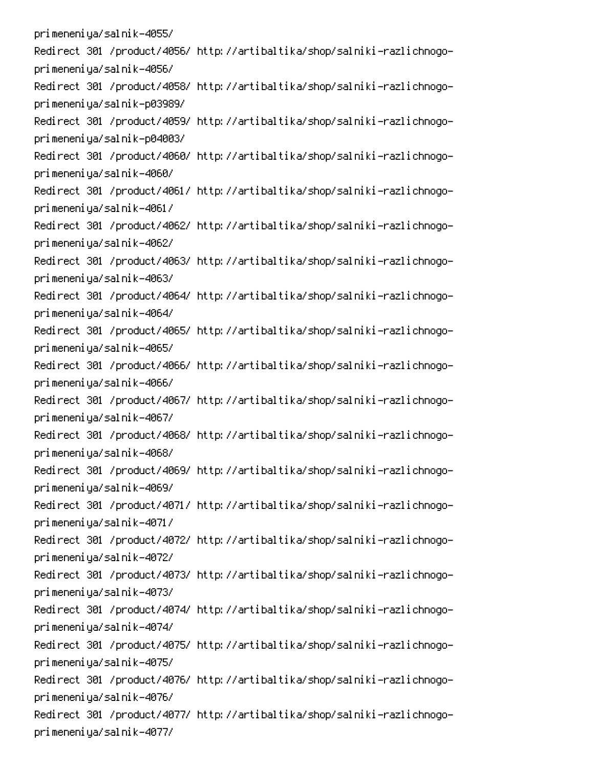primeneniya/salnik-4055/ Redirect 301 /product/4056/ http://artibaltika/shop/salniki-razlichnogoprimeneniya/salnik-4056/ Redirect 301 /product/4058/ http://artibaltika/shop/salniki-razlichnogoprimeneniya/salnik-p03989/ Redirect 301 /product/4059/ http://artibaltika/shop/salniki-razlichnogoprimeneniya/salnik-p04003/ Redirect 301 /product/4060/ http://artibaltika/shop/salniki-razlichnogoprimeneniya/salnik-4060/ Redirect 301 /product/4061/ http://artibaltika/shop/salniki-razlichnogoprimeneniya/salnik-4061/ Redirect 301 /product/4062/ http://artibaltika/shop/salniki-razlichnogoprimeneniya/salnik-4062/ Redirect 301 /product/4063/ http://artibaltika/shop/salniki-razlichnogoprimeneniya/salnik-4063/ Redirect 301 /product/4064/ http://artibaltika/shop/salniki-razlichnogoprimeneniya/salnik-4064/ Redirect 301 /product/4065/ http://artibaltika/shop/salniki-razlichnogoprimeneniya/salnik-4065/ Redirect 301 /product/4066/ http://artibaltika/shop/salniki-razlichnogoprimeneniya/salnik-4066/ Redirect 301 /product/4067/ http://artibaltika/shop/salniki-razlichnogoprimeneniya/salnik-4067/ Redirect 301 /product/4068/ http://artibaltika/shop/salniki-razlichnogoprimeneniya/salnik-4068/ Redirect 301 /product/4069/ http://artibaltika/shop/salniki-razlichnogoprimeneniya/salnik-4069/ Redirect 301 /product/4071/ http://artibaltika/shop/salniki-razlichnogoprimeneniya/salnik-4071/ Redirect 301 /product/4072/ http://artibaltika/shop/salniki-razlichnogoprimeneniya/salnik-4072/ Redirect 301 /product/4073/ http://artibaltika/shop/salniki-razlichnogoprimeneniya/salnik-4073/ Redirect 301 /product/4074/ http://artibaltika/shop/salniki-razlichnogoprimeneniya/salnik-4074/ Redirect 301 /product/4075/ http://artibaltika/shop/salniki-razlichnogoprimeneniya/salnik-4075/ Redirect 301 /product/4076/ http://artibaltika/shop/salniki-razlichnogoprimeneniya/salnik-4076/ Redirect 301 /product/4077/ http://artibaltika/shop/salniki-razlichnogoprimeneniya/salnik-4077/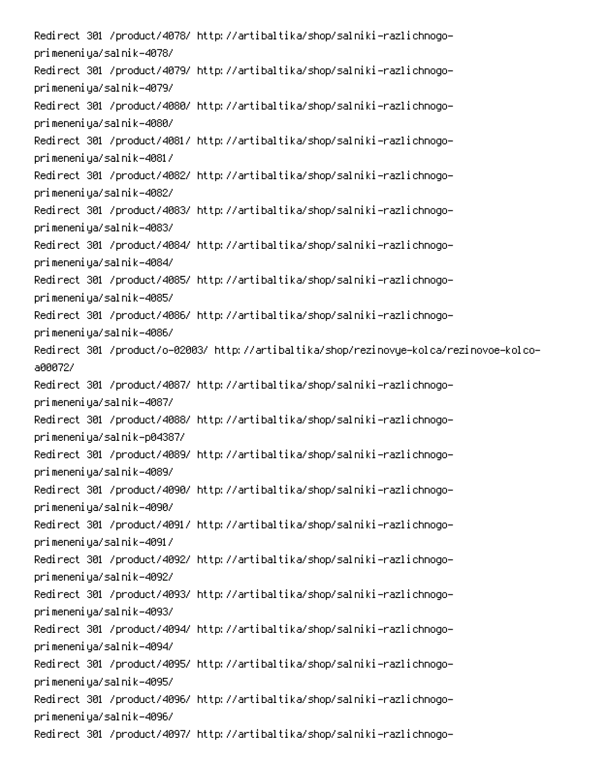Redirect 301 /product/4078/ http://artibaltika/shop/salniki-razlichnogoprimeneniya/salnik-4078/ Redirect 301 /product/4079/ http://artibaltika/shop/salniki-razlichnogoprimeneniya/salnik-4079/ Redirect 301 /product/4080/ http://artibaltika/shop/salniki-razlichnogoprimeneniya/salnik-4080/ Redirect 301 /product/4081/ http://artibaltika/shop/salniki-razlichnogoprimeneniya/salnik-4081/ Redirect 301 /product/4082/ http://artibaltika/shop/salniki-razlichnogoprimeneniya/salnik-4082/ Redirect 301 /product/4083/ http://artibaltika/shop/salniki-razlichnogoprimeneniya/salnik-4083/ Redirect 301 /product/4084/ http://artibaltika/shop/salniki-razlichnogoprimeneniya/salnik-4084/ Redirect 301 /product/4085/ http://artibaltika/shop/salniki-razlichnogoprimeneniya/salnik-4085/ Redirect 301 /product/4086/ http://artibaltika/shop/salniki-razlichnogoprimeneniya/salnik-4086/ -Redirect 301 /product/o-02003/ http://artibaltika/shop/rezinovye-kolca/rezinovoe-kolco a00072/ Redirect 301 /product/4087/ http://artibaltika/shop/salniki-razlichnogoprimeneniya/salnik-4087/ Redirect 301 /product/4088/ http://artibaltika/shop/salniki-razlichnogoprimeneniya/salnik-p04387/ Redirect 301 /product/4089/ http://artibaltika/shop/salniki-razlichnogoprimeneniya/salnik-4089/ Redirect 301 /product/4090/ http://artibaltika/shop/salniki-razlichnogoprimeneniya/salnik-4090/ Redirect 301 /product/4091/ http://artibaltika/shop/salniki-razlichnogoprimeneniya/salnik-4091/ Redirect 301 /product/4092/ http://artibaltika/shop/salniki-razlichnogoprimeneniya/salnik-4092/ Redirect 301 /product/4093/ http://artibaltika/shop/salniki-razlichnogoprimeneniya/salnik-4093/ Redirect 301 /product/4094/ http://artibaltika/shop/salniki-razlichnogoprimeneniya/salnik-4094/ Redirect 301 /product/4095/ http://artibaltika/shop/salniki-razlichnogoprimeneniya/salnik-4095/ Redirect 301 /product/4096/ http://artibaltika/shop/salniki-razlichnogoprimeneniya/salnik-4096/ Redirect 301 /product/4097/ http://artibaltika/shop/salniki-razlichnogo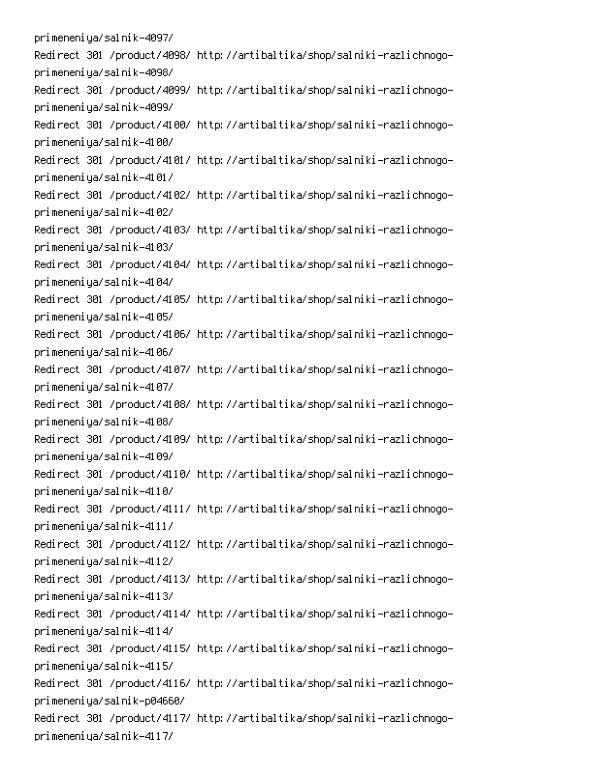primeneniya/salnik-4097/ Redirect 301 /product/4098/ http://artibaltika/shop/salniki-razlichnogoprimeneniya/salnik-4098/ Redirect 301 /product/4099/ http://artibaltika/shop/salniki-razlichnogoprimeneniya/salnik-4099/ Redirect 301 /product/4100/ http://artibaltika/shop/salniki-razlichnogoprimeneniya/salnik-4100/ Redirect 301 /product/4101/ http://artibaltika/shop/salniki-razlichnogoprimeneniya/salnik-4101/ Redirect 301 /product/4102/ http://artibaltika/shop/salniki-razlichnogoprimeneniya/salnik-4102/ Redirect 301 /product/4103/ http://artibaltika/shop/salniki-razlichnogoprimeneniya/salnik-4103/ Redirect 301 /product/4104/ http://artibaltika/shop/salniki-razlichnogoprimeneniya/salnik-4104/ Redirect 301 /product/4105/ http://artibaltika/shop/salniki-razlichnogoprimeneniya/salnik-4105/ Redirect 301 /product/4106/ http://artibaltika/shop/salniki-razlichnogoprimeneniya/salnik-4106/ Redirect 301 /product/4107/ http://artibaltika/shop/salniki-razlichnogoprimeneniya/salnik-4107/ Redirect 301 /product/4108/ http://artibaltika/shop/salniki-razlichnogoprimeneniya/salnik-4108/ Redirect 301 /product/4109/ http://artibaltika/shop/salniki-razlichnogoprimeneniya/salnik-4109/ Redirect 301 /product/4110/ http://artibaltika/shop/salniki-razlichnogoprimeneniya/salnik-4110/ Redirect 301 /product/4111/ http://artibaltika/shop/salniki-razlichnogoprimeneniya/salnik-4111/ Redirect 301 /product/4112/ http://artibaltika/shop/salniki-razlichnogoprimeneniya/salnik-4112/ Redirect 301 /product/4113/ http://artibaltika/shop/salniki-razlichnogoprimeneniya/salnik-4113/ Redirect 301 /product/4114/ http://artibaltika/shop/salniki-razlichnogoprimeneniya/salnik-4114/ Redirect 301 /product/4115/ http://artibaltika/shop/salniki-razlichnogoprimeneniya/salnik-4115/ Redirect 301 /product/4116/ http://artibaltika/shop/salniki-razlichnogoprimeneniya/salnik-p04660/ Redirect 301 /product/4117/ http://artibaltika/shop/salniki-razlichnogoprimeneniya/salnik-4117/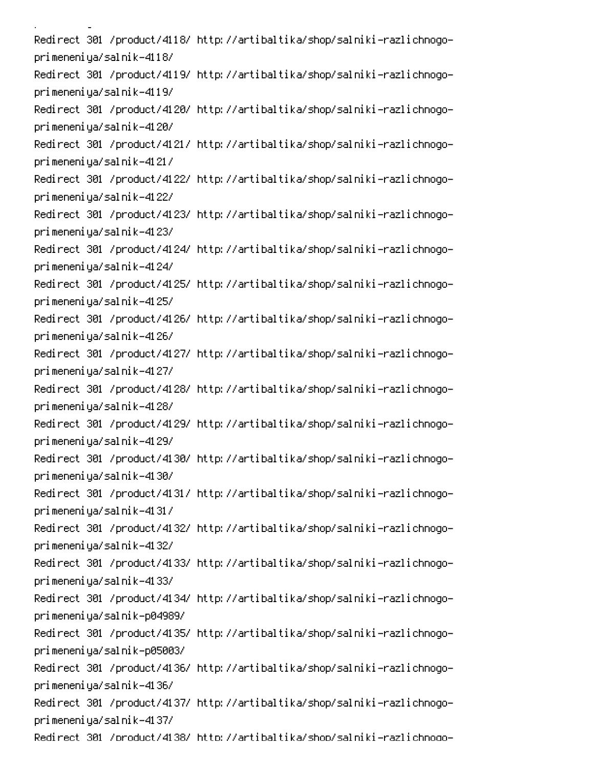i<br>Linda <u>a</u> sa sala Redirect 301 /product/4118/ http://artibaltika/shop/salniki-razlichnogoprimeneniya/salnik-4118/ Redirect 301 /product/4119/ http://artibaltika/shop/salniki-razlichnogoprimeneniya/salnik-4119/ Redirect 301 /product/4120/ http://artibaltika/shop/salniki-razlichnogoprimeneniya/salnik-4120/ Redirect 301 /product/4121/ http://artibaltika/shop/salniki-razlichnogoprimeneniya/salnik-4121/ Redirect 301 /product/4122/ http://artibaltika/shop/salniki-razlichnogoprimeneniya/salnik-4122/ Redirect 301 /product/4123/ http://artibaltika/shop/salniki-razlichnogoprimeneniya/salnik-4123/ Redirect 301 /product/4124/ http://artibaltika/shop/salniki-razlichnogoprimeneniya/salnik-4124/ Redirect 301 /product/4125/ http://artibaltika/shop/salniki-razlichnogoprimeneniya/salnik-4125/ Redirect 301 /product/4126/ http://artibaltika/shop/salniki-razlichnogoprimeneniya/salnik-4126/ Redirect 301 /product/4127/ http://artibaltika/shop/salniki-razlichnogoprimeneniya/salnik-4127/ Redirect 301 /product/4128/ http://artibaltika/shop/salniki-razlichnogoprimeneniya/salnik-4128/ Redirect 301 /product/4129/ http://artibaltika/shop/salniki-razlichnogoprimeneniya/salnik-4129/ Redirect 301 /product/4130/ http://artibaltika/shop/salniki-razlichnogoprimeneniya/salnik-4130/ Redirect 301 /product/4131/ http://artibaltika/shop/salniki-razlichnogoprimeneniya/salnik-4131/ Redirect 301 /product/4132/ http://artibaltika/shop/salniki-razlichnogoprimeneniya/salnik-4132/ Redirect 301 /product/4133/ http://artibaltika/shop/salniki-razlichnogoprimeneniya/salnik-4133/ Redirect 301 /product/4134/ http://artibaltika/shop/salniki-razlichnogoprimeneniya/salnik-p04989/ Redirect 301 /product/4135/ http://artibaltika/shop/salniki-razlichnogoprimeneniya/salnik-p05003/ Redirect 301 /product/4136/ http://artibaltika/shop/salniki-razlichnogoprimeneniya/salnik-4136/ Redirect 301 /product/4137/ http://artibaltika/shop/salniki-razlichnogoprimeneniya/salnik-4137/ Redirect 301 /product/4138/ http://artibaltika/shop/salniki-razlichnoqo-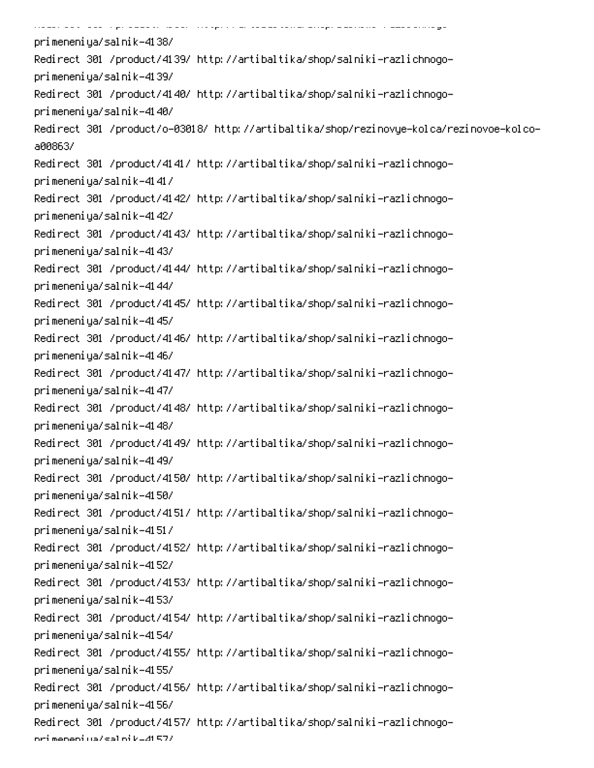.<br>Se an ord and the common common complete an order of -.<br>......... ...  $\ddot{\phantom{0}}$  . Then  $\ddot{\phantom{0}}$ -0 primeneniya/salnik-4138/ Redirect 301 /product/4139/ http://artibaltika/shop/salniki-razlichnogoprimeneniya/salnik-4139/ Redirect 301 /product/4140/ http://artibaltika/shop/salniki-razlichnogoprimeneniya/salnik-4140/ -Redirect 301 /product/o-03018/ http://artibaltika/shop/rezinovye-kolca/rezinovoe-kolco a00863/ Redirect 301 /product/4141/ http://artibaltika/shop/salniki-razlichnogoprimeneniya/salnik-4141/ Redirect 301 /product/4142/ http://artibaltika/shop/salniki-razlichnogoprimeneniya/salnik-4142/ Redirect 301 /product/4143/ http://artibaltika/shop/salniki-razlichnogoprimeneniya/salnik-4143/ Redirect 301 /product/4144/ http://artibaltika/shop/salniki-razlichnogoprimeneniya/salnik-4144/ Redirect 301 /product/4145/ http://artibaltika/shop/salniki-razlichnogoprimeneniya/salnik-4145/ Redirect 301 /product/4146/ http://artibaltika/shop/salniki-razlichnogoprimeneniya/salnik-4146/ Redirect 301 /product/4147/ http://artibaltika/shop/salniki-razlichnogoprimeneniya/salnik-4147/ Redirect 301 /product/4148/ http://artibaltika/shop/salniki-razlichnogoprimeneniya/salnik-4148/ Redirect 301 /product/4149/ http://artibaltika/shop/salniki-razlichnogoprimeneniya/salnik-4149/ Redirect 301 /product/4150/ http://artibaltika/shop/salniki-razlichnogoprimeneniya/salnik-4150/ Redirect 301 /product/4151/ http://artibaltika/shop/salniki-razlichnogoprimeneniya/salnik-4151/ Redirect 301 /product/4152/ http://artibaltika/shop/salniki-razlichnogoprimeneniya/salnik-4152/ Redirect 301 /product/4153/ http://artibaltika/shop/salniki-razlichnogoprimeneniya/salnik-4153/ Redirect 301 /product/4154/ http://artibaltika/shop/salniki-razlichnogoprimeneniya/salnik-4154/ Redirect 301 /product/4155/ http://artibaltika/shop/salniki-razlichnogoprimeneniya/salnik-4155/ Redirect 301 /product/4156/ http://artibaltika/shop/salniki-razlichnogoprimeneniya/salnik-4156/ Redirect 301 /product/4157/ http://artibaltika/shop/salniki-razlichnogoori meneni wa/sal ni ku41 57/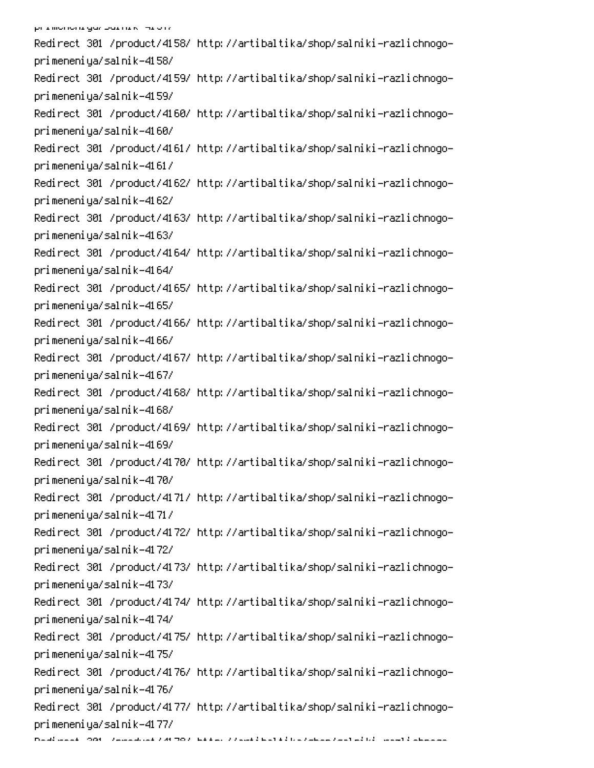Redirect 301 /product/4158/ http://artibaltika/shop/salniki-razlichnogoprimeneniya/salnik-4158/ Redirect 301 /product/4159/ http://artibaltika/shop/salniki-razlichnogoprimeneniya/salnik-4159/ Redirect 301 /product/4160/ http://artibaltika/shop/salniki-razlichnogoprimeneniya/salnik-4160/ Redirect 301 /product/4161/ http://artibaltika/shop/salniki-razlichnogoprimeneniya/salnik-4161/ Redirect 301 /product/4162/ http://artibaltika/shop/salniki-razlichnogoprimeneniya/salnik-4162/ Redirect 301 /product/4163/ http://artibaltika/shop/salniki-razlichnogoprimeneniya/salnik-4163/ Redirect 301 /product/4164/ http://artibaltika/shop/salniki-razlichnogoprimeneniya/salnik-4164/ Redirect 301 /product/4165/ http://artibaltika/shop/salniki-razlichnogoprimeneniya/salnik-4165/ Redirect 301 /product/4166/ http://artibaltika/shop/salniki-razlichnogoprimeneniya/salnik-4166/ Redirect 301 /product/4167/ http://artibaltika/shop/salniki-razlichnogoprimeneniya/salnik-4167/ Redirect 301 /product/4168/ http://artibaltika/shop/salniki-razlichnogoprimeneniya/salnik-4168/ Redirect 301 /product/4169/ http://artibaltika/shop/salniki-razlichnogoprimeneniya/salnik-4169/ Redirect 301 /product/4170/ http://artibaltika/shop/salniki-razlichnogoprimeneniya/salnik-4170/ Redirect 301 /product/4171/ http://artibaltika/shop/salniki-razlichnogoprimeneniya/salnik-4171/ Redirect 301 /product/4172/ http://artibaltika/shop/salniki-razlichnogoprimeneniya/salnik-4172/ Redirect 301 /product/4173/ http://artibaltika/shop/salniki-razlichnogoprimeneniya/salnik-4173/ Redirect 301 /product/4174/ http://artibaltika/shop/salniki-razlichnogoprimeneniya/salnik-4174/ Redirect 301 /product/4175/ http://artibaltika/shop/salniki-razlichnogoprimeneniya/salnik-4175/ Redirect 301 /product/4176/ http://artibaltika/shop/salniki-razlichnogoprimeneniya/salnik-4176/ Redirect 301 /product/4177/ http://artibaltika/shop/salniki-razlichnogoprimeneniya/salnik-4177/

0 and considered to the construction of the construction of the construction of the construction of the construction of the construction of the construction of the construction of the construction of the construction of th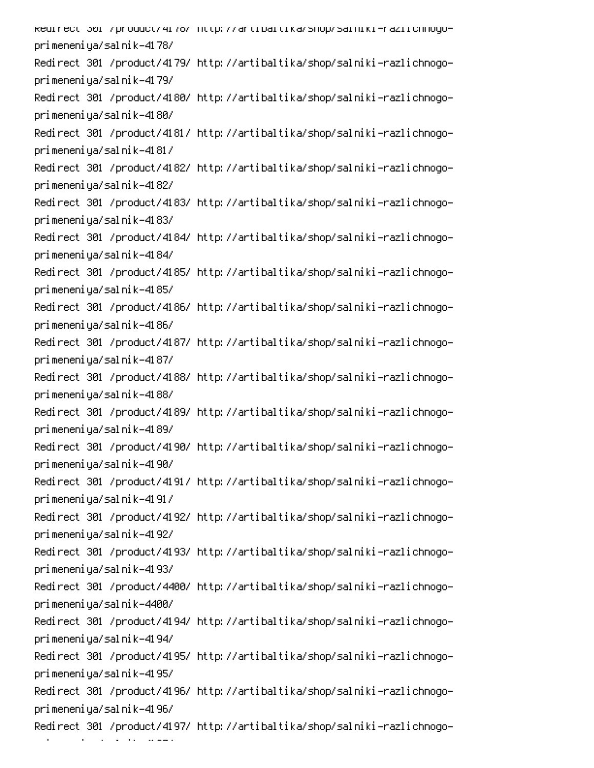kedirect 301 /product/41/6/ http://artibaltika/shop/salniki-raziichnogoprimeneniya/salnik-4178/ Redirect 301 /product/4179/ http://artibaltika/shop/salniki-razlichnogoprimeneniya/salnik-4179/ Redirect 301 /product/4180/ http://artibaltika/shop/salniki-razlichnogoprimeneniya/salnik-4180/ Redirect 301 /product/4181/ http://artibaltika/shop/salniki-razlichnogoprimeneniya/salnik-4181/ Redirect 301 /product/4182/ http://artibaltika/shop/salniki-razlichnogoprimeneniya/salnik-4182/ Redirect 301 /product/4183/ http://artibaltika/shop/salniki-razlichnogoprimeneniya/salnik-4183/ Redirect 301 /product/4184/ http://artibaltika/shop/salniki-razlichnogoprimeneniya/salnik-4184/ Redirect 301 /product/4185/ http://artibaltika/shop/salniki-razlichnogoprimeneniya/salnik-4185/ Redirect 301 /product/4186/ http://artibaltika/shop/salniki-razlichnogoprimeneniya/salnik-4186/ Redirect 301 /product/4187/ http://artibaltika/shop/salniki-razlichnogoprimeneniya/salnik-4187/ Redirect 301 /product/4188/ http://artibaltika/shop/salniki-razlichnogoprimeneniya/salnik-4188/ Redirect 301 /product/4189/ http://artibaltika/shop/salniki-razlichnogoprimeneniya/salnik-4189/ Redirect 301 /product/4190/ http://artibaltika/shop/salniki-razlichnogoprimeneniya/salnik-4190/ Redirect 301 /product/4191/ http://artibaltika/shop/salniki-razlichnogoprimeneniya/salnik-4191/ Redirect 301 /product/4192/ http://artibaltika/shop/salniki-razlichnogoprimeneniya/salnik-4192/ Redirect 301 /product/4193/ http://artibaltika/shop/salniki-razlichnogoprimeneniya/salnik-4193/ Redirect 301 /product/4400/ http://artibaltika/shop/salniki-razlichnogoprimeneniya/salnik-4400/ Redirect 301 /product/4194/ http://artibaltika/shop/salniki-razlichnogoprimeneniya/salnik-4194/ Redirect 301 /product/4195/ http://artibaltika/shop/salniki-razlichnogoprimeneniya/salnik-4195/ Redirect 301 /product/4196/ http://artibaltika/shop/salniki-razlichnogoprimeneniya/salnik-4196/ Redirect 301 /product/4197/ http://artibaltika/shop/salniki-razlichnogo-

- 1 an an T  $\mathcal{L}(\mathcal{L})$  and  $\mathcal{L}(\mathcal{L})$ 0CS!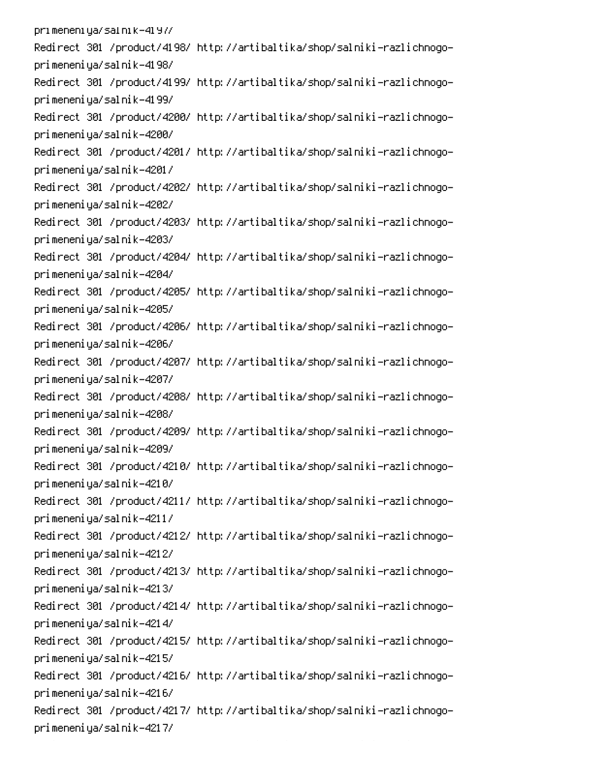pri meneni ya/sal ni k-41 97/ Redirect 301 /product/4198/ http://artibaltika/shop/salniki-razlichnogoprimeneniya/salnik-4198/ Redirect 301 /product/4199/ http://artibaltika/shop/salniki-razlichnogoprimeneniya/salnik-4199/ Redirect 301 /product/4200/ http://artibaltika/shop/salniki-razlichnogoprimeneniya/salnik-4200/ Redirect 301 /product/4201/ http://artibaltika/shop/salniki-razlichnogoprimeneniya/salnik-4201/ Redirect 301 /product/4202/ http://artibaltika/shop/salniki-razlichnogoprimeneniya/salnik-4202/ Redirect 301 /product/4203/ http://artibaltika/shop/salniki-razlichnogoprimeneniya/salnik-4203/ Redirect 301 /product/4204/ http://artibaltika/shop/salniki-razlichnogoprimeneniya/salnik-4204/ Redirect 301 /product/4205/ http://artibaltika/shop/salniki-razlichnogoprimeneniya/salnik-4205/ Redirect 301 /product/4206/ http://artibaltika/shop/salniki-razlichnogoprimeneniya/salnik-4206/ Redirect 301 /product/4207/ http://artibaltika/shop/salniki-razlichnogoprimeneniya/salnik-4207/ Redirect 301 /product/4208/ http://artibaltika/shop/salniki-razlichnogoprimeneniya/salnik-4208/ Redirect 301 /product/4209/ http://artibaltika/shop/salniki-razlichnogoprimeneniya/salnik-4209/ Redirect 301 /product/4210/ http://artibaltika/shop/salniki-razlichnogoprimeneniya/salnik-4210/ Redirect 301 /product/4211/ http://artibaltika/shop/salniki-razlichnogoprimeneniya/salnik-4211/ Redirect 301 /product/4212/ http://artibaltika/shop/salniki-razlichnogoprimeneniya/salnik-4212/ Redirect 301 /product/4213/ http://artibaltika/shop/salniki-razlichnogoprimeneniya/salnik-4213/ Redirect 301 /product/4214/ http://artibaltika/shop/salniki-razlichnogoprimeneniya/salnik-4214/ Redirect 301 /product/4215/ http://artibaltika/shop/salniki-razlichnogoprimeneniya/salnik-4215/ Redirect 301 /product/4216/ http://artibaltika/shop/salniki-razlichnogoprimeneniya/salnik-4216/ Redirect 301 /product/4217/ http://artibaltika/shop/salniki-razlichnogoprimeneniya/salnik-4217/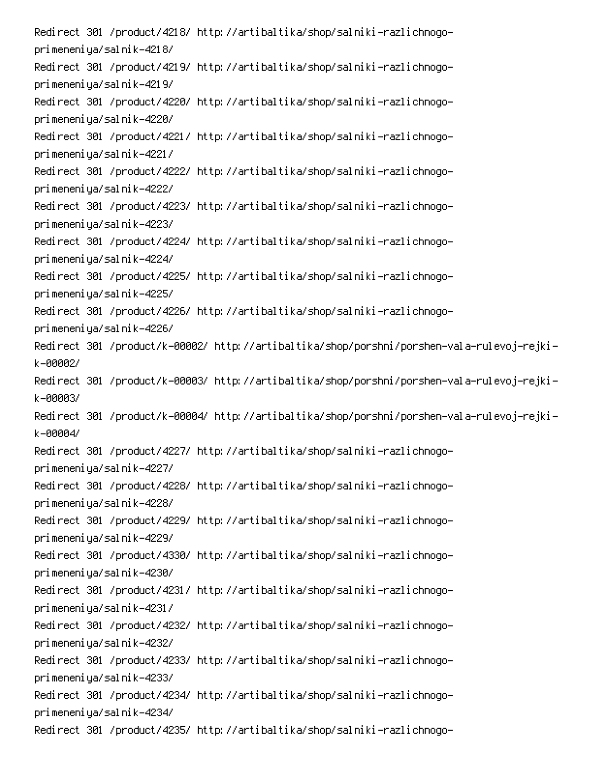Redirect 301 /product/4218/ http://artibaltika/shop/salniki-razlichnogoprimeneniya/salnik-4218/ Redirect 301 /product/4219/ http://artibaltika/shop/salniki-razlichnogoprimeneniya/salnik-4219/ Redirect 301 /product/4220/ http://artibaltika/shop/salniki-razlichnogoprimeneniya/salnik-4220/ Redirect 301 /product/4221/ http://artibaltika/shop/salniki-razlichnogoprimeneniya/salnik-4221/ Redirect 301 /product/4222/ http://artibaltika/shop/salniki-razlichnogoprimeneniya/salnik-4222/ Redirect 301 /product/4223/ http://artibaltika/shop/salniki-razlichnogoprimeneniya/salnik-4223/ Redirect 301 /product/4224/ http://artibaltika/shop/salniki-razlichnogoprimeneniya/salnik-4224/ Redirect 301 /product/4225/ http://artibaltika/shop/salniki-razlichnogoprimeneniya/salnik-4225/ Redirect 301 /product/4226/ http://artibaltika/shop/salniki-razlichnogoprimeneniya/salnik-4226/ -Redirect 301 /product/k-00002/ http://artibaltika/shop/porshni/porshen-vala-rulevoj-rejki  $k - 999921$ -Redirect 301 /product/k-00003/ http://artibaltika/shop/porshni/porshen-vala-rulevoj-rejki k-00003/ Redirect 301 /product/k-00004/ http://artibaltika/shop/porshni/porshen-vala-rulevoj-rejki $k - 99994$ Redirect 301 /product/4227/ http://artibaltika/shop/salniki-razlichnogoprimeneniya/salnik-4227/ Redirect 301 /product/4228/ http://artibaltika/shop/salniki-razlichnogoprimeneniya/salnik-4228/ Redirect 301 /product/4229/ http://artibaltika/shop/salniki-razlichnogoprimeneniya/salnik-4229/ Redirect 301 /product/4330/ http://artibaltika/shop/salniki-razlichnogoprimeneniya/salnik-4230/ Redirect 301 /product/4231/ http://artibaltika/shop/salniki-razlichnogoprimeneniya/salnik-4231/ Redirect 301 /product/4232/ http://artibaltika/shop/salniki-razlichnogoprimeneniya/salnik-4232/ Redirect 301 /product/4233/ http://artibaltika/shop/salniki-razlichnogoprimeneniya/salnik-4233/ Redirect 301 /product/4234/ http://artibaltika/shop/salniki-razlichnogoprimeneniya/salnik-4234/ Redirect 301 /product/4235/ http://artibaltika/shop/salniki-razlichnogo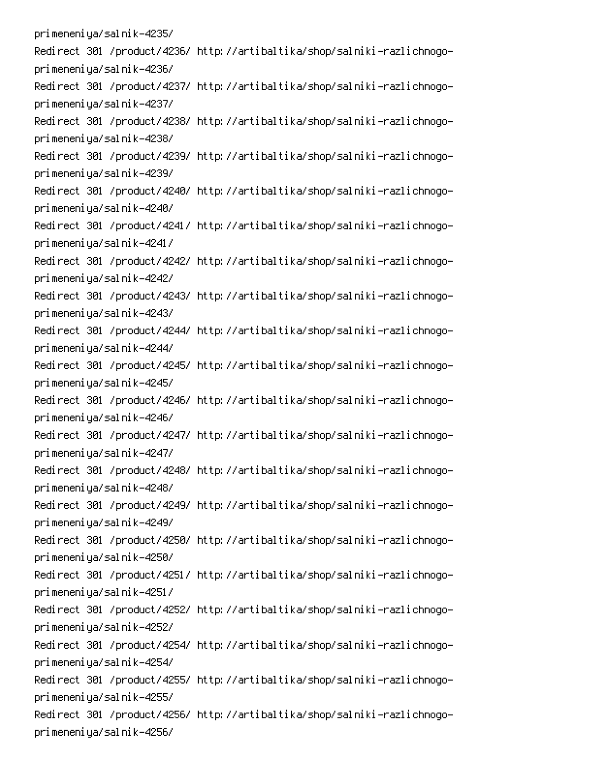primeneniya/salnik-4235/ Redirect 301 /product/4236/ http://artibaltika/shop/salniki-razlichnogoprimeneniya/salnik-4236/ Redirect 301 /product/4237/ http://artibaltika/shop/salniki-razlichnogoprimeneniya/salnik-4237/ Redirect 301 /product/4238/ http://artibaltika/shop/salniki-razlichnogoprimeneniya/salnik-4238/ Redirect 301 /product/4239/ http://artibaltika/shop/salniki-razlichnogoprimeneniya/salnik-4239/ Redirect 301 /product/4240/ http://artibaltika/shop/salniki-razlichnogoprimeneniya/salnik-4240/ Redirect 301 /product/4241/ http://artibaltika/shop/salniki-razlichnogoprimeneniya/salnik-4241/ Redirect 301 /product/4242/ http://artibaltika/shop/salniki-razlichnogoprimeneniya/salnik-4242/ Redirect 301 /product/4243/ http://artibaltika/shop/salniki-razlichnogoprimeneniya/salnik-4243/ Redirect 301 /product/4244/ http://artibaltika/shop/salniki-razlichnogoprimeneniya/salnik-4244/ Redirect 301 /product/4245/ http://artibaltika/shop/salniki-razlichnogoprimeneniya/salnik-4245/ Redirect 301 /product/4246/ http://artibaltika/shop/salniki-razlichnogoprimeneniya/salnik-4246/ Redirect 301 /product/4247/ http://artibaltika/shop/salniki-razlichnogoprimeneniya/salnik-4247/ Redirect 301 /product/4248/ http://artibaltika/shop/salniki-razlichnogoprimeneniya/salnik-4248/ Redirect 301 /product/4249/ http://artibaltika/shop/salniki-razlichnogoprimeneniya/salnik-4249/ Redirect 301 /product/4250/ http://artibaltika/shop/salniki-razlichnogoprimeneniya/salnik-4250/ Redirect 301 /product/4251/ http://artibaltika/shop/salniki-razlichnogoprimeneniya/salnik-4251/ Redirect 301 /product/4252/ http://artibaltika/shop/salniki-razlichnogoprimeneniya/salnik-4252/ Redirect 301 /product/4254/ http://artibaltika/shop/salniki-razlichnogoprimeneniya/salnik-4254/ Redirect 301 /product/4255/ http://artibaltika/shop/salniki-razlichnogoprimeneniya/salnik-4255/ Redirect 301 /product/4256/ http://artibaltika/shop/salniki-razlichnogoprimeneniya/salnik-4256/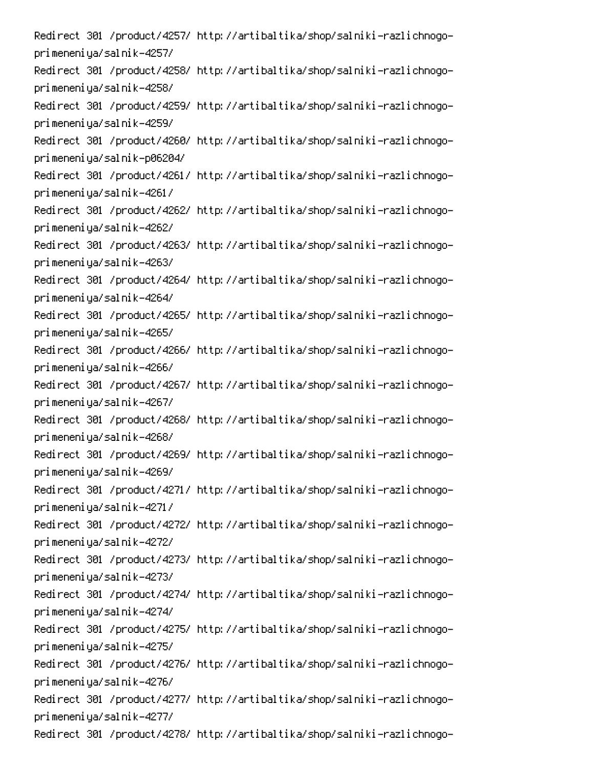Redirect 301 /product/4257/ http://artibaltika/shop/salniki-razlichnogoprimeneniya/salnik-4257/ Redirect 301 /product/4258/ http://artibaltika/shop/salniki-razlichnogoprimeneniya/salnik-4258/ Redirect 301 /product/4259/ http://artibaltika/shop/salniki-razlichnogoprimeneniya/salnik-4259/ Redirect 301 /product/4260/ http://artibaltika/shop/salniki-razlichnogoprimeneniya/salnik-p06204/ Redirect 301 /product/4261/ http://artibaltika/shop/salniki-razlichnogoprimeneniya/salnik-4261/ Redirect 301 /product/4262/ http://artibaltika/shop/salniki-razlichnogoprimeneniya/salnik-4262/ Redirect 301 /product/4263/ http://artibaltika/shop/salniki-razlichnogoprimeneniya/salnik-4263/ Redirect 301 /product/4264/ http://artibaltika/shop/salniki-razlichnogoprimeneniya/salnik-4264/ Redirect 301 /product/4265/ http://artibaltika/shop/salniki-razlichnogoprimeneniya/salnik-4265/ Redirect 301 /product/4266/ http://artibaltika/shop/salniki-razlichnogoprimeneniya/salnik-4266/ Redirect 301 /product/4267/ http://artibaltika/shop/salniki-razlichnogoprimeneniya/salnik-4267/ Redirect 301 /product/4268/ http://artibaltika/shop/salniki-razlichnogoprimeneniya/salnik-4268/ Redirect 301 /product/4269/ http://artibaltika/shop/salniki-razlichnogoprimeneniya/salnik-4269/ Redirect 301 /product/4271/ http://artibaltika/shop/salniki-razlichnogoprimeneniya/salnik-4271/ Redirect 301 /product/4272/ http://artibaltika/shop/salniki-razlichnogoprimeneniya/salnik-4272/ Redirect 301 /product/4273/ http://artibaltika/shop/salniki-razlichnogoprimeneniya/salnik-4273/ Redirect 301 /product/4274/ http://artibaltika/shop/salniki-razlichnogoprimeneniya/salnik-4274/ Redirect 301 /product/4275/ http://artibaltika/shop/salniki-razlichnogoprimeneniya/salnik-4275/ Redirect 301 /product/4276/ http://artibaltika/shop/salniki-razlichnogoprimeneniya/salnik-4276/ Redirect 301 /product/4277/ http://artibaltika/shop/salniki-razlichnogoprimeneniya/salnik-4277/ Redirect 301 /product/4278/ http://artibaltika/shop/salniki-razlichnogo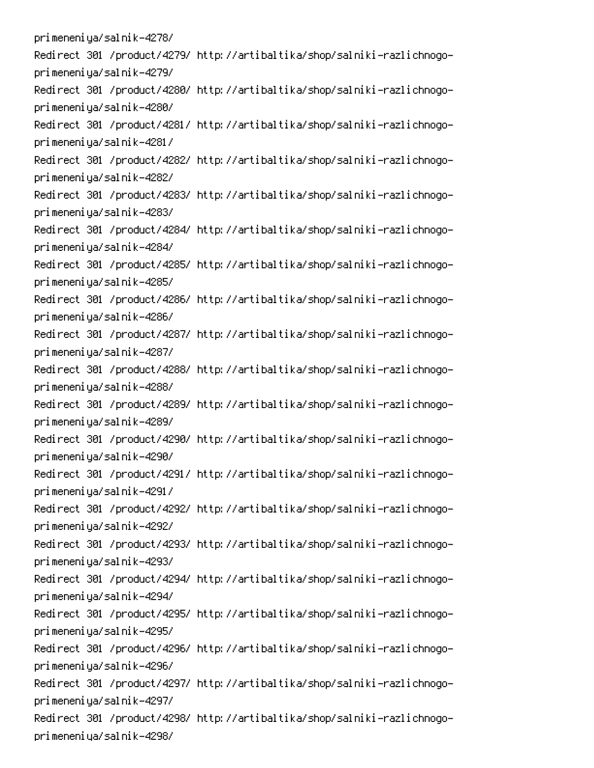primeneniya/salnik-4278/ Redirect 301 /product/4279/ http://artibaltika/shop/salniki-razlichnogoprimeneniya/salnik-4279/ Redirect 301 /product/4280/ http://artibaltika/shop/salniki-razlichnogoprimeneniya/salnik-4280/ Redirect 301 /product/4281/ http://artibaltika/shop/salniki-razlichnogoprimeneniya/salnik-4281/ Redirect 301 /product/4282/ http://artibaltika/shop/salniki-razlichnogoprimeneniya/salnik-4282/ Redirect 301 /product/4283/ http://artibaltika/shop/salniki-razlichnogoprimeneniya/salnik-4283/ Redirect 301 /product/4284/ http://artibaltika/shop/salniki-razlichnogoprimeneniya/salnik-4284/ Redirect 301 /product/4285/ http://artibaltika/shop/salniki-razlichnogoprimeneniya/salnik-4285/ Redirect 301 /product/4286/ http://artibaltika/shop/salniki-razlichnogoprimeneniya/salnik-4286/ Redirect 301 /product/4287/ http://artibaltika/shop/salniki-razlichnogoprimeneniya/salnik-4287/ Redirect 301 /product/4288/ http://artibaltika/shop/salniki-razlichnogoprimeneniya/salnik-4288/ Redirect 301 /product/4289/ http://artibaltika/shop/salniki-razlichnogoprimeneniya/salnik-4289/ Redirect 301 /product/4290/ http://artibaltika/shop/salniki-razlichnogoprimeneniya/salnik-4290/ Redirect 301 /product/4291/ http://artibaltika/shop/salniki-razlichnogoprimeneniya/salnik-4291/ Redirect 301 /product/4292/ http://artibaltika/shop/salniki-razlichnogoprimeneniya/salnik-4292/ Redirect 301 /product/4293/ http://artibaltika/shop/salniki-razlichnogoprimeneniya/salnik-4293/ Redirect 301 /product/4294/ http://artibaltika/shop/salniki-razlichnogoprimeneniya/salnik-4294/ Redirect 301 /product/4295/ http://artibaltika/shop/salniki-razlichnogoprimeneniya/salnik-4295/ Redirect 301 /product/4296/ http://artibaltika/shop/salniki-razlichnogoprimeneniya/salnik-4296/ Redirect 301 /product/4297/ http://artibaltika/shop/salniki-razlichnogoprimeneniya/salnik-4297/ Redirect 301 /product/4298/ http://artibaltika/shop/salniki-razlichnogoprimeneniya/salnik-4298/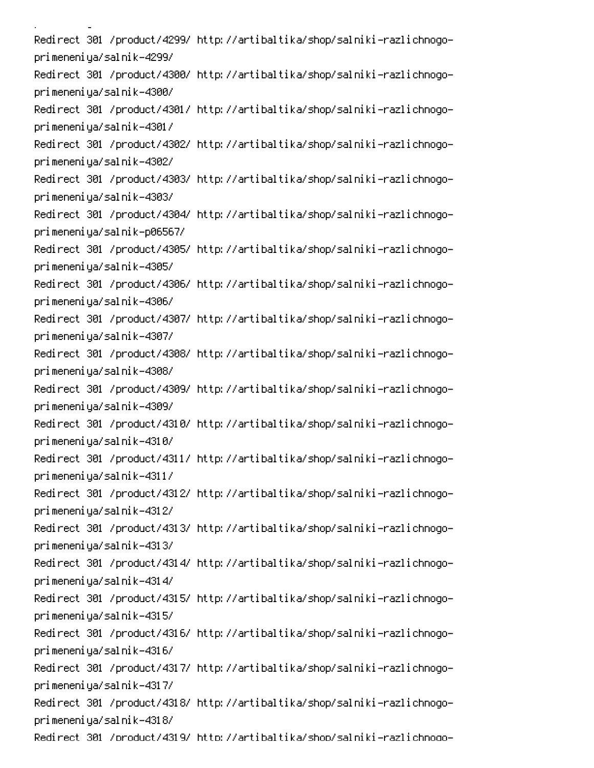i<br>Linda <u>a</u> sa sala Redirect 301 /product/4299/ http://artibaltika/shop/salniki-razlichnogoprimeneniya/salnik-4299/ Redirect 301 /product/4300/ http://artibaltika/shop/salniki-razlichnogoprimeneniya/salnik-4300/ Redirect 301 /product/4301/ http://artibaltika/shop/salniki-razlichnogoprimeneniya/salnik-4301/ Redirect 301 /product/4302/ http://artibaltika/shop/salniki-razlichnogoprimeneniya/salnik-4302/ Redirect 301 /product/4303/ http://artibaltika/shop/salniki-razlichnogoprimeneniya/salnik-4303/ Redirect 301 /product/4304/ http://artibaltika/shop/salniki-razlichnogoprimeneniya/salnik-p06567/ Redirect 301 /product/4305/ http://artibaltika/shop/salniki-razlichnogoprimeneniya/salnik-4305/ Redirect 301 /product/4306/ http://artibaltika/shop/salniki-razlichnogoprimeneniya/salnik-4306/ Redirect 301 /product/4307/ http://artibaltika/shop/salniki-razlichnogoprimeneniya/salnik-4307/ Redirect 301 /product/4308/ http://artibaltika/shop/salniki-razlichnogoprimeneniya/salnik-4308/ Redirect 301 /product/4309/ http://artibaltika/shop/salniki-razlichnogoprimeneniya/salnik-4309/ Redirect 301 /product/4310/ http://artibaltika/shop/salniki-razlichnogoprimeneniya/salnik-4310/ Redirect 301 /product/4311/ http://artibaltika/shop/salniki-razlichnogoprimeneniya/salnik-4311/ Redirect 301 /product/4312/ http://artibaltika/shop/salniki-razlichnogoprimeneniya/salnik-4312/ Redirect 301 /product/4313/ http://artibaltika/shop/salniki-razlichnogoprimeneniya/salnik-4313/ Redirect 301 /product/4314/ http://artibaltika/shop/salniki-razlichnogoprimeneniya/salnik-4314/ Redirect 301 /product/4315/ http://artibaltika/shop/salniki-razlichnogoprimeneniya/salnik-4315/ Redirect 301 /product/4316/ http://artibaltika/shop/salniki-razlichnogoprimeneniya/salnik-4316/ Redirect 301 /product/4317/ http://artibaltika/shop/salniki-razlichnogoprimeneniya/salnik-4317/ Redirect 301 /product/4318/ http://artibaltika/shop/salniki-razlichnogoprimeneniya/salnik-4318/ Redirect 301 /product/4319/ http://artibaltika/shop/salniki-razlichnoqo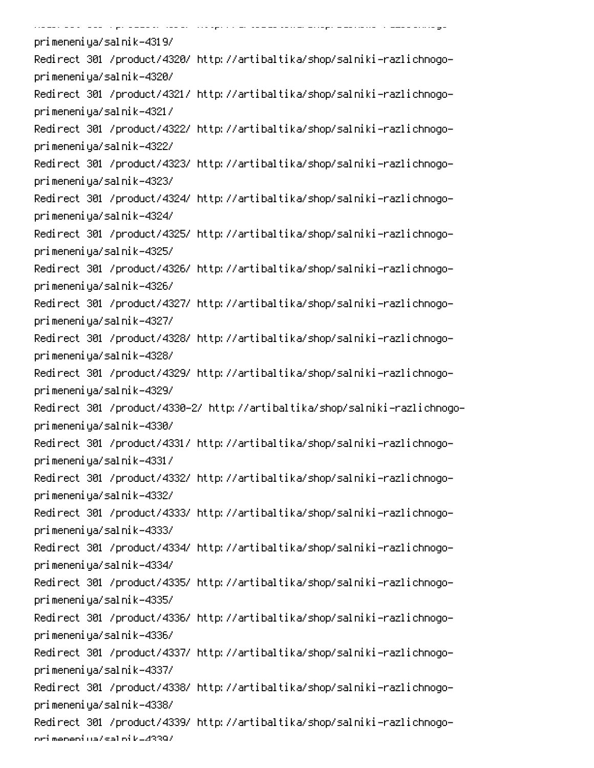.<br>PCS-2000 PCS-2000 PCS-2000 PCS-2000 PCS-2000 PCS-2000 PCS-2000 -.<br>......... ...  $\ddot{\phantom{0}}$  . Then  $\ddot{\phantom{0}}$ -0 primeneniya/salnik-4319/ Redirect 301 /product/4320/ http://artibaltika/shop/salniki-razlichnogoprimeneniya/salnik-4320/ Redirect 301 /product/4321/ http://artibaltika/shop/salniki-razlichnogoprimeneniya/salnik-4321/ Redirect 301 /product/4322/ http://artibaltika/shop/salniki-razlichnogoprimeneniya/salnik-4322/ Redirect 301 /product/4323/ http://artibaltika/shop/salniki-razlichnogoprimeneniya/salnik-4323/ Redirect 301 /product/4324/ http://artibaltika/shop/salniki-razlichnogoprimeneniya/salnik-4324/ Redirect 301 /product/4325/ http://artibaltika/shop/salniki-razlichnogoprimeneniya/salnik-4325/ Redirect 301 /product/4326/ http://artibaltika/shop/salniki-razlichnogoprimeneniya/salnik-4326/ Redirect 301 /product/4327/ http://artibaltika/shop/salniki-razlichnogoprimeneniya/salnik-4327/ Redirect 301 /product/4328/ http://artibaltika/shop/salniki-razlichnogoprimeneniya/salnik-4328/ Redirect 301 /product/4329/ http://artibaltika/shop/salniki-razlichnogoprimeneniya/salnik-4329/ Redirect 301 /product/4330-2/ http://artibaltika/shop/salniki-razlichnogoprimeneniya/salnik-4330/ Redirect 301 /product/4331/ http://artibaltika/shop/salniki-razlichnogoprimeneniya/salnik-4331/ Redirect 301 /product/4332/ http://artibaltika/shop/salniki-razlichnogoprimeneniya/salnik-4332/ Redirect 301 /product/4333/ http://artibaltika/shop/salniki-razlichnogoprimeneniya/salnik-4333/ Redirect 301 /product/4334/ http://artibaltika/shop/salniki-razlichnogoprimeneniya/salnik-4334/ Redirect 301 /product/4335/ http://artibaltika/shop/salniki-razlichnogoprimeneniya/salnik-4335/ Redirect 301 /product/4336/ http://artibaltika/shop/salniki-razlichnogoprimeneniya/salnik-4336/ Redirect 301 /product/4337/ http://artibaltika/shop/salniki-razlichnogoprimeneniya/salnik-4337/ Redirect 301 /product/4338/ http://artibaltika/shop/salniki-razlichnogoprimeneniya/salnik-4338/ Redirect 301 /product/4339/ http://artibaltika/shop/salniki-razlichnogoori meneni ya/sal ni k-4339/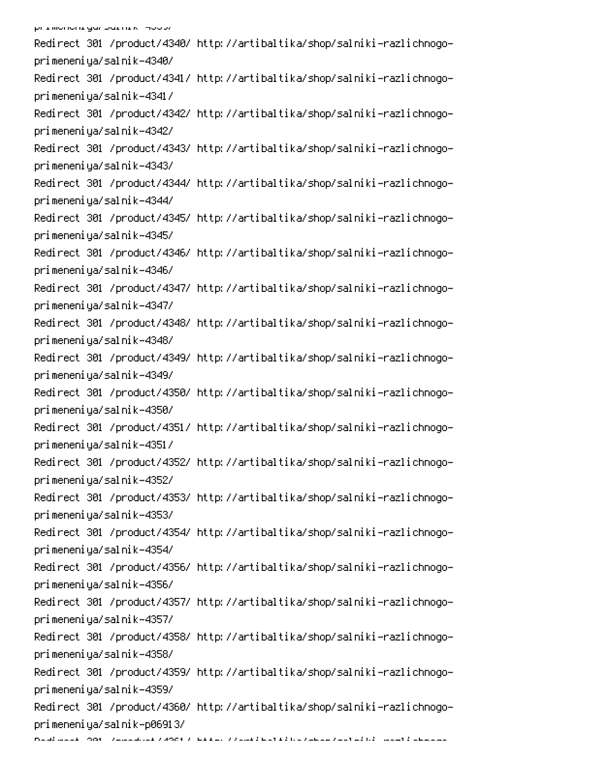Redirect 301 /product/4340/ http://artibaltika/shop/salniki-razlichnogoprimeneniya/salnik-4340/ Redirect 301 /product/4341/ http://artibaltika/shop/salniki-razlichnogoprimeneniya/salnik-4341/ Redirect 301 /product/4342/ http://artibaltika/shop/salniki-razlichnogoprimeneniya/salnik-4342/ Redirect 301 /product/4343/ http://artibaltika/shop/salniki-razlichnogoprimeneniya/salnik-4343/ Redirect 301 /product/4344/ http://artibaltika/shop/salniki-razlichnogoprimeneniya/salnik-4344/ Redirect 301 /product/4345/ http://artibaltika/shop/salniki-razlichnogoprimeneniya/salnik-4345/ Redirect 301 /product/4346/ http://artibaltika/shop/salniki-razlichnogoprimeneniya/salnik-4346/ Redirect 301 /product/4347/ http://artibaltika/shop/salniki-razlichnogoprimeneniya/salnik-4347/ Redirect 301 /product/4348/ http://artibaltika/shop/salniki-razlichnogoprimeneniya/salnik-4348/ Redirect 301 /product/4349/ http://artibaltika/shop/salniki-razlichnogoprimeneniya/salnik-4349/ Redirect 301 /product/4350/ http://artibaltika/shop/salniki-razlichnogoprimeneniya/salnik-4350/ Redirect 301 /product/4351/ http://artibaltika/shop/salniki-razlichnogoprimeneniya/salnik-4351/ Redirect 301 /product/4352/ http://artibaltika/shop/salniki-razlichnogoprimeneniya/salnik-4352/ Redirect 301 /product/4353/ http://artibaltika/shop/salniki-razlichnogoprimeneniya/salnik-4353/ Redirect 301 /product/4354/ http://artibaltika/shop/salniki-razlichnogoprimeneniya/salnik-4354/ Redirect 301 /product/4356/ http://artibaltika/shop/salniki-razlichnogoprimeneniya/salnik-4356/ Redirect 301 /product/4357/ http://artibaltika/shop/salniki-razlichnogoprimeneniya/salnik-4357/ Redirect 301 /product/4358/ http://artibaltika/shop/salniki-razlichnogoprimeneniya/salnik-4358/ Redirect 301 /product/4359/ http://artibaltika/shop/salniki-razlichnogoprimeneniya/salnik-4359/ Redirect 301 /product/4360/ http://artibaltika/shop/salniki-razlichnogoprimeneniya/salnik-p06913/ Daudi aansk (2006 - Zamandriak Zuloch Zulkken, Zulank is kolonischen Zantial (d. 1984)<br>1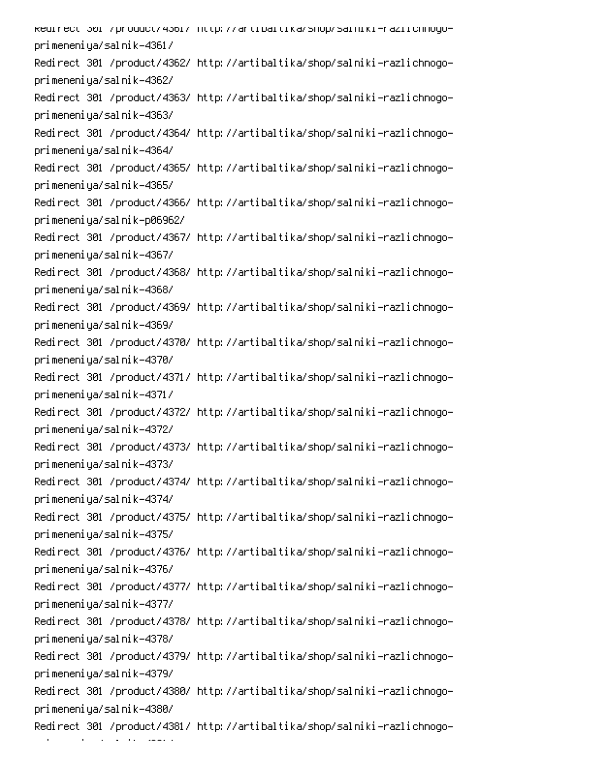kedirect 301 /product/4361/ http://artibaltika/shop/salniki-raziichnogoprimeneniya/salnik-4361/ Redirect 301 /product/4362/ http://artibaltika/shop/salniki-razlichnogoprimeneniya/salnik-4362/ Redirect 301 /product/4363/ http://artibaltika/shop/salniki-razlichnogoprimeneniya/salnik-4363/ Redirect 301 /product/4364/ http://artibaltika/shop/salniki-razlichnogoprimeneniya/salnik-4364/ Redirect 301 /product/4365/ http://artibaltika/shop/salniki-razlichnogoprimeneniya/salnik-4365/ Redirect 301 /product/4366/ http://artibaltika/shop/salniki-razlichnogoprimeneniya/salnik-p06962/ Redirect 301 /product/4367/ http://artibaltika/shop/salniki-razlichnogoprimeneniya/salnik-4367/ Redirect 301 /product/4368/ http://artibaltika/shop/salniki-razlichnogoprimeneniya/salnik-4368/ Redirect 301 /product/4369/ http://artibaltika/shop/salniki-razlichnogoprimeneniya/salnik-4369/ Redirect 301 /product/4370/ http://artibaltika/shop/salniki-razlichnogoprimeneniya/salnik-4370/ Redirect 301 /product/4371/ http://artibaltika/shop/salniki-razlichnogoprimeneniya/salnik-4371/ Redirect 301 /product/4372/ http://artibaltika/shop/salniki-razlichnogoprimeneniya/salnik-4372/ Redirect 301 /product/4373/ http://artibaltika/shop/salniki-razlichnogoprimeneniya/salnik-4373/ Redirect 301 /product/4374/ http://artibaltika/shop/salniki-razlichnogoprimeneniya/salnik-4374/ Redirect 301 /product/4375/ http://artibaltika/shop/salniki-razlichnogoprimeneniya/salnik-4375/ Redirect 301 /product/4376/ http://artibaltika/shop/salniki-razlichnogoprimeneniya/salnik-4376/ Redirect 301 /product/4377/ http://artibaltika/shop/salniki-razlichnogoprimeneniya/salnik-4377/ Redirect 301 /product/4378/ http://artibaltika/shop/salniki-razlichnogoprimeneniya/salnik-4378/ Redirect 301 /product/4379/ http://artibaltika/shop/salniki-razlichnogoprimeneniya/salnik-4379/ Redirect 301 /product/4380/ http://artibaltika/shop/salniki-razlichnogoprimeneniya/salnik-4380/ Redirect 301 /product/4381/ http://artibaltika/shop/salniki-razlichnogo-

- 1 an an T  $\mathcal{L}(\mathcal{L})$  and  $\mathcal{L}(\mathcal{L})$ 0PAC 1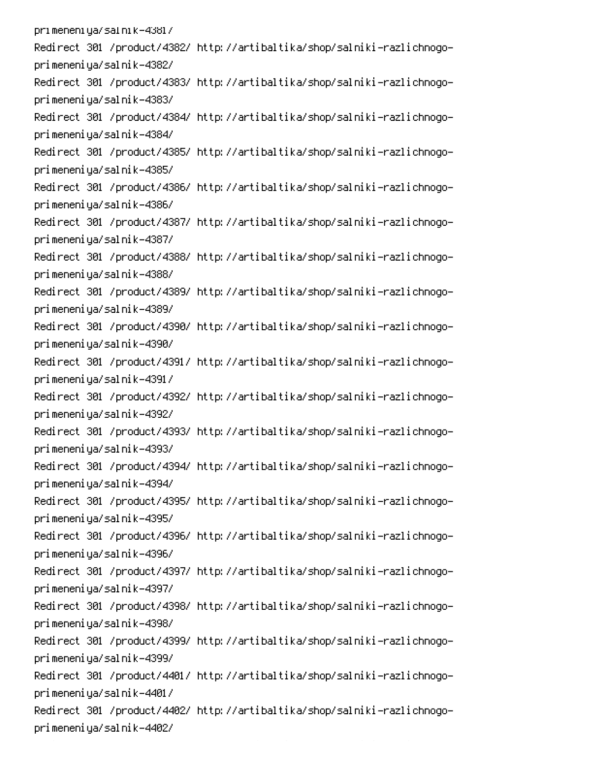pri meneni ya/sal ni k-4381/ Redirect 301 /product/4382/ http://artibaltika/shop/salniki-razlichnogoprimeneniya/salnik-4382/ Redirect 301 /product/4383/ http://artibaltika/shop/salniki-razlichnogoprimeneniya/salnik-4383/ Redirect 301 /product/4384/ http://artibaltika/shop/salniki-razlichnogoprimeneniya/salnik-4384/ Redirect 301 /product/4385/ http://artibaltika/shop/salniki-razlichnogoprimeneniya/salnik-4385/ Redirect 301 /product/4386/ http://artibaltika/shop/salniki-razlichnogoprimeneniya/salnik-4386/ Redirect 301 /product/4387/ http://artibaltika/shop/salniki-razlichnogoprimeneniya/salnik-4387/ Redirect 301 /product/4388/ http://artibaltika/shop/salniki-razlichnogoprimeneniya/salnik-4388/ Redirect 301 /product/4389/ http://artibaltika/shop/salniki-razlichnogoprimeneniya/salnik-4389/ Redirect 301 /product/4390/ http://artibaltika/shop/salniki-razlichnogoprimeneniya/salnik-4390/ Redirect 301 /product/4391/ http://artibaltika/shop/salniki-razlichnogoprimeneniya/salnik-4391/ Redirect 301 /product/4392/ http://artibaltika/shop/salniki-razlichnogoprimeneniya/salnik-4392/ Redirect 301 /product/4393/ http://artibaltika/shop/salniki-razlichnogoprimeneniya/salnik-4393/ Redirect 301 /product/4394/ http://artibaltika/shop/salniki-razlichnogoprimeneniya/salnik-4394/ Redirect 301 /product/4395/ http://artibaltika/shop/salniki-razlichnogoprimeneniya/salnik-4395/ Redirect 301 /product/4396/ http://artibaltika/shop/salniki-razlichnogoprimeneniya/salnik-4396/ Redirect 301 /product/4397/ http://artibaltika/shop/salniki-razlichnogoprimeneniya/salnik-4397/ Redirect 301 /product/4398/ http://artibaltika/shop/salniki-razlichnogoprimeneniya/salnik-4398/ Redirect 301 /product/4399/ http://artibaltika/shop/salniki-razlichnogoprimeneniya/salnik-4399/ Redirect 301 /product/4401/ http://artibaltika/shop/salniki-razlichnogoprimeneniya/salnik-4401/ Redirect 301 /product/4402/ http://artibaltika/shop/salniki-razlichnogoprimeneniya/salnik-4402/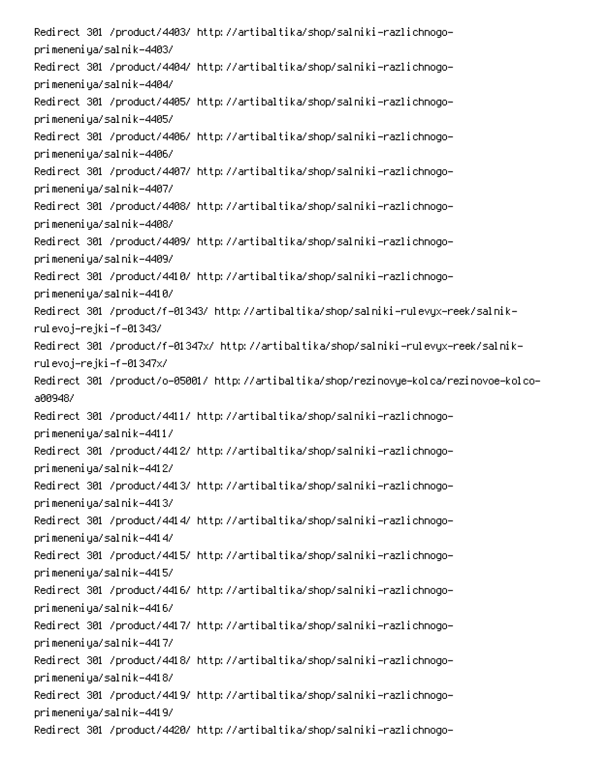Redirect 301 /product/4403/ http://artibaltika/shop/salniki-razlichnogoprimeneniya/salnik-4403/ Redirect 301 /product/4404/ http://artibaltika/shop/salniki-razlichnogoprimeneniya/salnik-4404/ Redirect 301 /product/4405/ http://artibaltika/shop/salniki-razlichnogoprimeneniya/salnik-4405/ Redirect 301 /product/4406/ http://artibaltika/shop/salniki-razlichnogoprimeneniya/salnik-4406/ Redirect 301 /product/4407/ http://artibaltika/shop/salniki-razlichnogoprimeneniya/salnik-4407/ Redirect 301 /product/4408/ http://artibaltika/shop/salniki-razlichnogoprimeneniya/salnik-4408/ Redirect 301 /product/4409/ http://artibaltika/shop/salniki-razlichnogoprimeneniya/salnik-4409/ Redirect 301 /product/4410/ http://artibaltika/shop/salniki-razlichnogoprimeneniya/salnik-4410/ -Redirect 301 /product/f-01343/ http://artibaltika/shop/salniki-rulevyx-reek/salnik rulevoj–rejki–f–01343/ -Redirect 301 /product/f-01347x/ http://artibaltika/shop/salniki-rulevyx-reek/salnik rulevoj–rejki –f–01347x/ -Redirect 301 /product/o-05001/ http://artibaltika/shop/rezinovye-kolca/rezinovoe-kolco a009487 Redirect 301 /product/4411/ http://artibaltika/shop/salniki-razlichnogoprimeneniya/salnik-4411/ Redirect 301 /product/4412/ http://artibaltika/shop/salniki-razlichnogoprimeneniya/salnik-4412/ Redirect 301 /product/4413/ http://artibaltika/shop/salniki-razlichnogoprimeneniya/salnik-4413/ Redirect 301 /product/4414/ http://artibaltika/shop/salniki-razlichnogoprimeneniya/salnik-4414/ Redirect 301 /product/4415/ http://artibaltika/shop/salniki-razlichnogoprimeneniya/salnik-4415/ Redirect 301 /product/4416/ http://artibaltika/shop/salniki-razlichnogoprimeneniya/salnik-4416/ Redirect 301 /product/4417/ http://artibaltika/shop/salniki-razlichnogoprimeneniya/salnik-4417/ Redirect 301 /product/4418/ http://artibaltika/shop/salniki-razlichnogoprimeneniya/salnik-4418/ Redirect 301 /product/4419/ http://artibaltika/shop/salniki-razlichnogoprimeneniya/salnik-4419/ Redirect 301 /product/4420/ http://artibaltika/shop/salniki-razlichnogo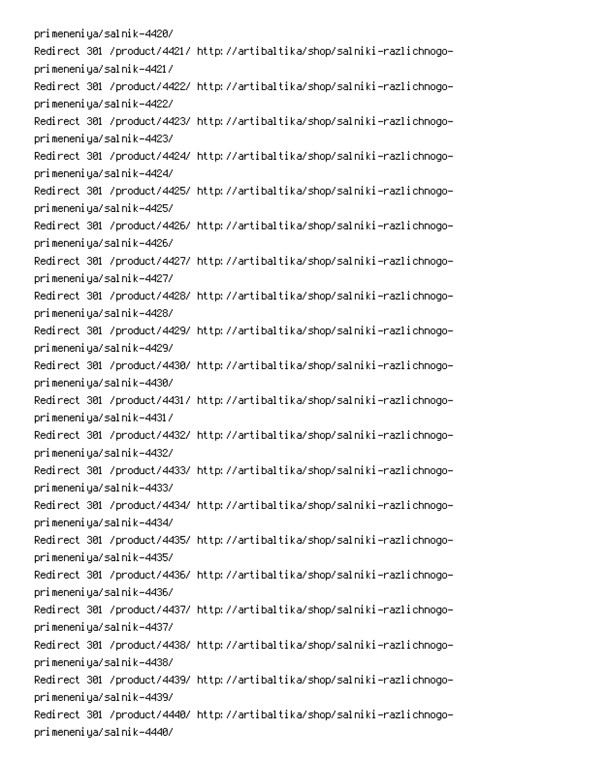primeneniya/salnik-4420/ Redirect 301 /product/4421/ http://artibaltika/shop/salniki-razlichnogoprimeneniya/salnik-4421/ Redirect 301 /product/4422/ http://artibaltika/shop/salniki-razlichnogoprimeneniya/salnik-4422/ Redirect 301 /product/4423/ http://artibaltika/shop/salniki-razlichnogoprimeneniya/salnik-4423/ Redirect 301 /product/4424/ http://artibaltika/shop/salniki-razlichnogoprimeneniya/salnik-4424/ Redirect 301 /product/4425/ http://artibaltika/shop/salniki-razlichnogoprimeneniya/salnik-4425/ Redirect 301 /product/4426/ http://artibaltika/shop/salniki-razlichnogoprimeneniya/salnik-4426/ Redirect 301 /product/4427/ http://artibaltika/shop/salniki-razlichnogoprimeneniya/salnik-4427/ Redirect 301 /product/4428/ http://artibaltika/shop/salniki-razlichnogoprimeneniya/salnik-4428/ Redirect 301 /product/4429/ http://artibaltika/shop/salniki-razlichnogoprimeneniya/salnik-4429/ Redirect 301 /product/4430/ http://artibaltika/shop/salniki-razlichnogoprimeneniya/salnik-4430/ Redirect 301 /product/4431/ http://artibaltika/shop/salniki-razlichnogoprimeneniya/salnik-4431/ Redirect 301 /product/4432/ http://artibaltika/shop/salniki-razlichnogoprimeneniya/salnik-4432/ Redirect 301 /product/4433/ http://artibaltika/shop/salniki-razlichnogoprimeneniya/salnik-4433/ Redirect 301 /product/4434/ http://artibaltika/shop/salniki-razlichnogoprimeneniya/salnik-4434/ Redirect 301 /product/4435/ http://artibaltika/shop/salniki-razlichnogoprimeneniya/salnik-4435/ Redirect 301 /product/4436/ http://artibaltika/shop/salniki-razlichnogoprimeneniya/salnik-4436/ Redirect 301 /product/4437/ http://artibaltika/shop/salniki-razlichnogoprimeneniya/salnik-4437/ Redirect 301 /product/4438/ http://artibaltika/shop/salniki-razlichnogoprimeneniya/salnik-4438/ Redirect 301 /product/4439/ http://artibaltika/shop/salniki-razlichnogoprimeneniya/salnik-4439/ Redirect 301 /product/4440/ http://artibaltika/shop/salniki-razlichnogoprimeneniya/salnik-4440/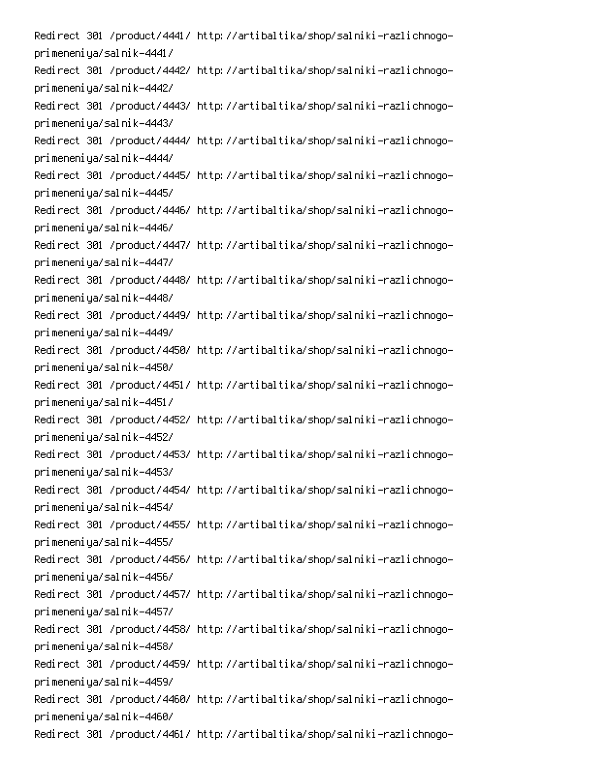Redirect 301 /product/4441/ http://artibaltika/shop/salniki-razlichnogoprimeneniya/salnik-4441/ Redirect 301 /product/4442/ http://artibaltika/shop/salniki-razlichnogoprimeneniya/salnik-4442/ Redirect 301 /product/4443/ http://artibaltika/shop/salniki-razlichnogoprimeneniya/salnik-4443/ Redirect 301 /product/4444/ http://artibaltika/shop/salniki-razlichnogoprimeneniya/salnik-4444/ Redirect 301 /product/4445/ http://artibaltika/shop/salniki-razlichnogoprimeneniya/salnik-4445/ Redirect 301 /product/4446/ http://artibaltika/shop/salniki-razlichnogoprimeneniya/salnik-4446/ Redirect 301 /product/4447/ http://artibaltika/shop/salniki-razlichnogoprimeneniya/salnik-4447/ Redirect 301 /product/4448/ http://artibaltika/shop/salniki-razlichnogoprimeneniya/salnik-4448/ Redirect 301 /product/4449/ http://artibaltika/shop/salniki-razlichnogoprimeneniya/salnik-4449/ Redirect 301 /product/4450/ http://artibaltika/shop/salniki-razlichnogoprimeneniya/salnik-4450/ Redirect 301 /product/4451/ http://artibaltika/shop/salniki-razlichnogoprimeneniya/salnik-4451/ Redirect 301 /product/4452/ http://artibaltika/shop/salniki-razlichnogoprimeneniya/salnik-4452/ Redirect 301 /product/4453/ http://artibaltika/shop/salniki-razlichnogoprimeneniya/salnik-4453/ Redirect 301 /product/4454/ http://artibaltika/shop/salniki-razlichnogoprimeneniya/salnik-4454/ Redirect 301 /product/4455/ http://artibaltika/shop/salniki-razlichnogoprimeneniya/salnik-4455/ Redirect 301 /product/4456/ http://artibaltika/shop/salniki-razlichnogoprimeneniya/salnik-4456/ Redirect 301 /product/4457/ http://artibaltika/shop/salniki-razlichnogoprimeneniya/salnik-4457/ Redirect 301 /product/4458/ http://artibaltika/shop/salniki-razlichnogoprimeneniya/salnik-4458/ Redirect 301 /product/4459/ http://artibaltika/shop/salniki-razlichnogoprimeneniya/salnik-4459/ Redirect 301 /product/4460/ http://artibaltika/shop/salniki-razlichnogoprimeneniya/salnik-4460/ Redirect 301 /product/4461/ http://artibaltika/shop/salniki-razlichnogo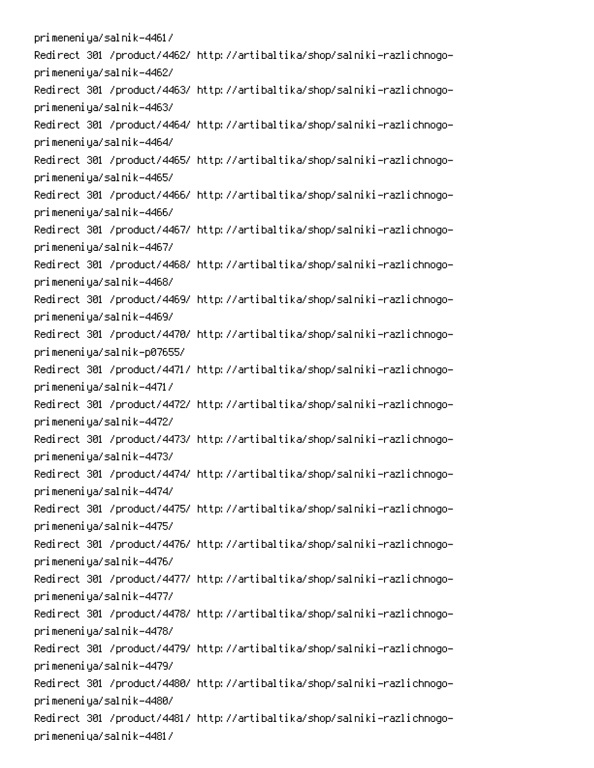primeneniya/salnik-4461/ Redirect 301 /product/4462/ http://artibaltika/shop/salniki-razlichnogoprimeneniya/salnik-4462/ Redirect 301 /product/4463/ http://artibaltika/shop/salniki-razlichnogoprimeneniya/salnik-4463/ Redirect 301 /product/4464/ http://artibaltika/shop/salniki-razlichnogoprimeneniya/salnik-4464/ Redirect 301 /product/4465/ http://artibaltika/shop/salniki-razlichnogoprimeneniya/salnik-4465/ Redirect 301 /product/4466/ http://artibaltika/shop/salniki-razlichnogoprimeneniya/salnik-4466/ Redirect 301 /product/4467/ http://artibaltika/shop/salniki-razlichnogoprimeneniya/salnik-4467/ Redirect 301 /product/4468/ http://artibaltika/shop/salniki-razlichnogoprimeneniya/salnik-4468/ Redirect 301 /product/4469/ http://artibaltika/shop/salniki-razlichnogoprimeneniya/salnik-4469/ Redirect 301 /product/4470/ http://artibaltika/shop/salniki-razlichnogoprimeneniya/salnik-p07655/ Redirect 301 /product/4471/ http://artibaltika/shop/salniki-razlichnogoprimeneniya/salnik-4471/ Redirect 301 /product/4472/ http://artibaltika/shop/salniki-razlichnogoprimeneniya/salnik-4472/ Redirect 301 /product/4473/ http://artibaltika/shop/salniki-razlichnogoprimeneniya/salnik-4473/ Redirect 301 /product/4474/ http://artibaltika/shop/salniki-razlichnogoprimeneniya/salnik-4474/ Redirect 301 /product/4475/ http://artibaltika/shop/salniki-razlichnogoprimeneniya/salnik-4475/ Redirect 301 /product/4476/ http://artibaltika/shop/salniki-razlichnogoprimeneniya/salnik-4476/ Redirect 301 /product/4477/ http://artibaltika/shop/salniki-razlichnogoprimeneniya/salnik-4477/ Redirect 301 /product/4478/ http://artibaltika/shop/salniki-razlichnogoprimeneniya/salnik-4478/ Redirect 301 /product/4479/ http://artibaltika/shop/salniki-razlichnogoprimeneniya/salnik-4479/ Redirect 301 /product/4480/ http://artibaltika/shop/salniki-razlichnogoprimeneniya/salnik-4480/ Redirect 301 /product/4481/ http://artibaltika/shop/salniki-razlichnogoprimeneniya/salnik-4481/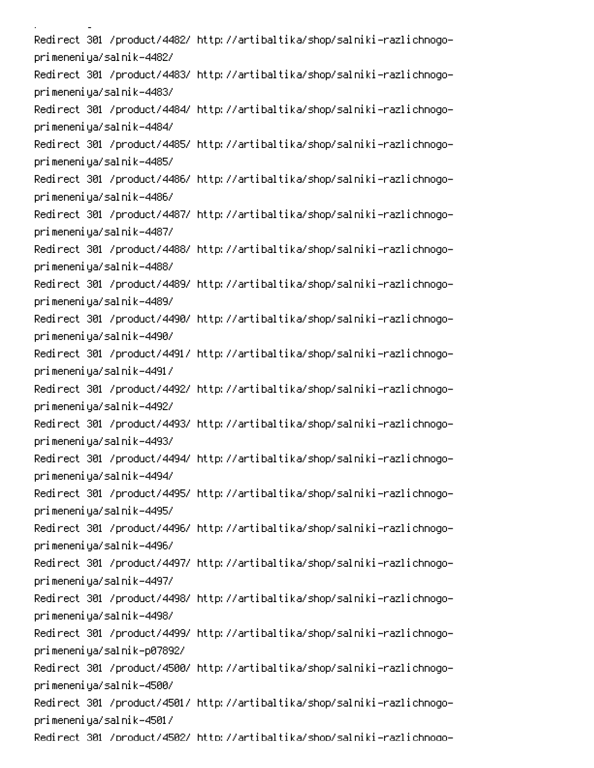i<br>Linda <u>a</u> sa sala Redirect 301 /product/4482/ http://artibaltika/shop/salniki-razlichnogoprimeneniya/salnik-4482/ Redirect 301 /product/4483/ http://artibaltika/shop/salniki-razlichnogoprimeneniya/salnik-4483/ Redirect 301 /product/4484/ http://artibaltika/shop/salniki-razlichnogoprimeneniya/salnik-4484/ Redirect 301 /product/4485/ http://artibaltika/shop/salniki-razlichnogoprimeneniya/salnik-4485/ Redirect 301 /product/4486/ http://artibaltika/shop/salniki-razlichnogoprimeneniya/salnik-4486/ Redirect 301 /product/4487/ http://artibaltika/shop/salniki-razlichnogoprimeneniya/salnik-4487/ Redirect 301 /product/4488/ http://artibaltika/shop/salniki-razlichnogoprimeneniya/salnik-4488/ Redirect 301 /product/4489/ http://artibaltika/shop/salniki-razlichnogoprimeneniya/salnik-4489/ Redirect 301 /product/4490/ http://artibaltika/shop/salniki-razlichnogoprimeneniya/salnik-4490/ Redirect 301 /product/4491/ http://artibaltika/shop/salniki-razlichnogoprimeneniya/salnik-4491/ Redirect 301 /product/4492/ http://artibaltika/shop/salniki-razlichnogoprimeneniya/salnik-4492/ Redirect 301 /product/4493/ http://artibaltika/shop/salniki-razlichnogoprimeneniya/salnik-4493/ Redirect 301 /product/4494/ http://artibaltika/shop/salniki-razlichnogoprimeneniya/salnik-4494/ Redirect 301 /product/4495/ http://artibaltika/shop/salniki-razlichnogoprimeneniya/salnik-4495/ Redirect 301 /product/4496/ http://artibaltika/shop/salniki-razlichnogoprimeneniya/salnik-4496/ Redirect 301 /product/4497/ http://artibaltika/shop/salniki-razlichnogoprimeneniya/salnik-4497/ Redirect 301 /product/4498/ http://artibaltika/shop/salniki-razlichnogoprimeneniya/salnik-4498/ Redirect 301 /product/4499/ http://artibaltika/shop/salniki-razlichnogoprimeneniya/salnik-p07892/ Redirect 301 /product/4500/ http://artibaltika/shop/salniki-razlichnogoprimeneniya/salnik-4500/ Redirect 301 /product/4501/ http://artibaltika/shop/salniki-razlichnogoprimeneniya/salnik-4501/ Redirect 301 /product/4502/ http://artibaltika/shop/salniki-razlichnoqo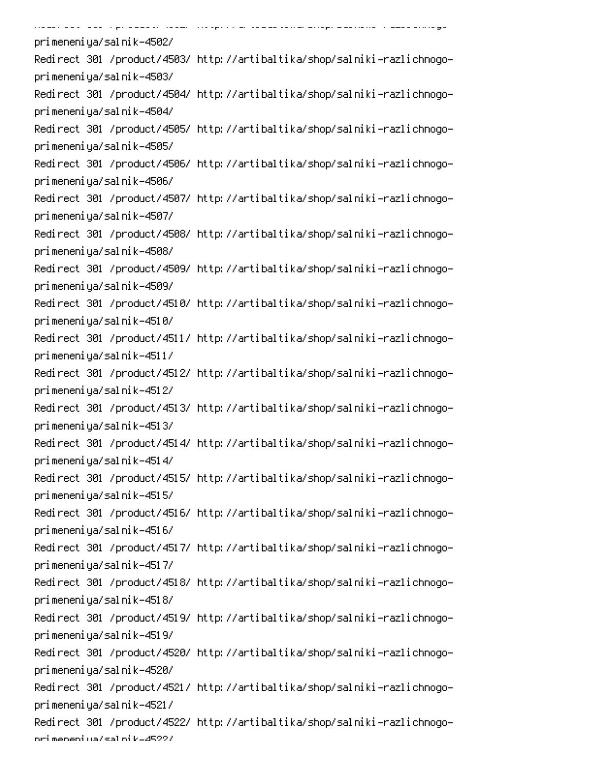.<br>Desember 2000 von de production de sur-legation de la section de -.<br>......... ...  $\ddot{\phantom{0}}$  . Then  $\ddot{\phantom{0}}$ -0 primeneniya/salnik-4502/ Redirect 301 /product/4503/ http://artibaltika/shop/salniki-razlichnogoprimeneniya/salnik-4503/ Redirect 301 /product/4504/ http://artibaltika/shop/salniki-razlichnogoprimeneniya/salnik-4504/ Redirect 301 /product/4505/ http://artibaltika/shop/salniki-razlichnogoprimeneniya/salnik-4505/ Redirect 301 /product/4506/ http://artibaltika/shop/salniki-razlichnogoprimeneniya/salnik-4506/ Redirect 301 /product/4507/ http://artibaltika/shop/salniki-razlichnogoprimeneniya/salnik-4507/ Redirect 301 /product/4508/ http://artibaltika/shop/salniki-razlichnogoprimeneniya/salnik-4508/ Redirect 301 /product/4509/ http://artibaltika/shop/salniki-razlichnogoprimeneniya/salnik-4509/ Redirect 301 /product/4510/ http://artibaltika/shop/salniki-razlichnogoprimeneniya/salnik-4510/ Redirect 301 /product/4511/ http://artibaltika/shop/salniki-razlichnogoprimeneniya/salnik-4511/ Redirect 301 /product/4512/ http://artibaltika/shop/salniki-razlichnogoprimeneniya/salnik-4512/ Redirect 301 /product/4513/ http://artibaltika/shop/salniki-razlichnogoprimeneniya/salnik-4513/ Redirect 301 /product/4514/ http://artibaltika/shop/salniki-razlichnogoprimeneniya/salnik-4514/ Redirect 301 /product/4515/ http://artibaltika/shop/salniki-razlichnogoprimeneniya/salnik-4515/ Redirect 301 /product/4516/ http://artibaltika/shop/salniki-razlichnogoprimeneniya/salnik-4516/ Redirect 301 /product/4517/ http://artibaltika/shop/salniki-razlichnogoprimeneniya/salnik-4517/ Redirect 301 /product/4518/ http://artibaltika/shop/salniki-razlichnogoprimeneniya/salnik-4518/ Redirect 301 /product/4519/ http://artibaltika/shop/salniki-razlichnogoprimeneniya/salnik-4519/ Redirect 301 /product/4520/ http://artibaltika/shop/salniki-razlichnogoprimeneniya/salnik-4520/ Redirect 301 /product/4521/ http://artibaltika/shop/salniki-razlichnogoprimeneniya/salnik-4521/ Redirect 301 /product/4522/ http://artibaltika/shop/salniki-razlichnogoori meneni ya/sal ni k-4522/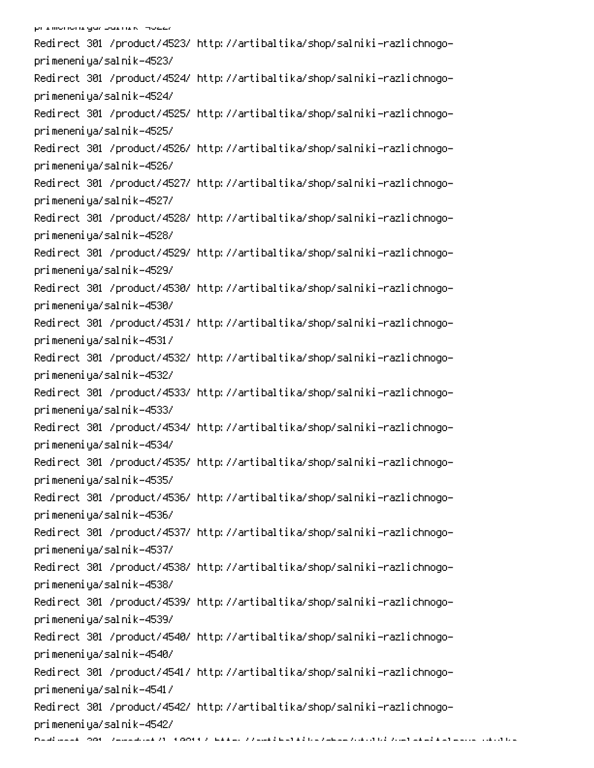Redirect 301 /product/4523/ http://artibaltika/shop/salniki-razlichnogoprimeneniya/salnik-4523/ Redirect 301 /product/4524/ http://artibaltika/shop/salniki-razlichnogoprimeneniya/salnik-4524/ Redirect 301 /product/4525/ http://artibaltika/shop/salniki-razlichnogoprimeneniya/salnik-4525/ Redirect 301 /product/4526/ http://artibaltika/shop/salniki-razlichnogoprimeneniya/salnik-4526/ Redirect 301 /product/4527/ http://artibaltika/shop/salniki-razlichnogoprimeneniya/salnik-4527/ Redirect 301 /product/4528/ http://artibaltika/shop/salniki-razlichnogoprimeneniya/salnik-4528/ Redirect 301 /product/4529/ http://artibaltika/shop/salniki-razlichnogoprimeneniya/salnik-4529/ Redirect 301 /product/4530/ http://artibaltika/shop/salniki-razlichnogoprimeneniya/salnik-4530/ Redirect 301 /product/4531/ http://artibaltika/shop/salniki-razlichnogoprimeneniya/salnik-4531/ Redirect 301 /product/4532/ http://artibaltika/shop/salniki-razlichnogoprimeneniya/salnik-4532/ Redirect 301 /product/4533/ http://artibaltika/shop/salniki-razlichnogoprimeneniya/salnik-4533/ Redirect 301 /product/4534/ http://artibaltika/shop/salniki-razlichnogoprimeneniya/salnik-4534/ Redirect 301 /product/4535/ http://artibaltika/shop/salniki-razlichnogoprimeneniya/salnik-4535/ Redirect 301 /product/4536/ http://artibaltika/shop/salniki-razlichnogoprimeneniya/salnik-4536/ Redirect 301 /product/4537/ http://artibaltika/shop/salniki-razlichnogoprimeneniya/salnik-4537/ Redirect 301 /product/4538/ http://artibaltika/shop/salniki-razlichnogoprimeneniya/salnik-4538/ Redirect 301 /product/4539/ http://artibaltika/shop/salniki-razlichnogoprimeneniya/salnik-4539/ Redirect 301 /product/4540/ http://artibaltika/shop/salniki-razlichnogoprimeneniya/salnik-4540/ Redirect 301 /product/4541/ http://artibaltika/shop/salniki-razlichnogoprimeneniya/salnik-4541/ Redirect 301 /product/4542/ http://artibaltika/shop/salniki-razlichnogoprimeneniya/salnik-4542/ naud aast ook vasaakad (1960) kuulu vuottu tuleetti tuskaasta valitti van tuskaasta valitti tuska valitti sii<br>.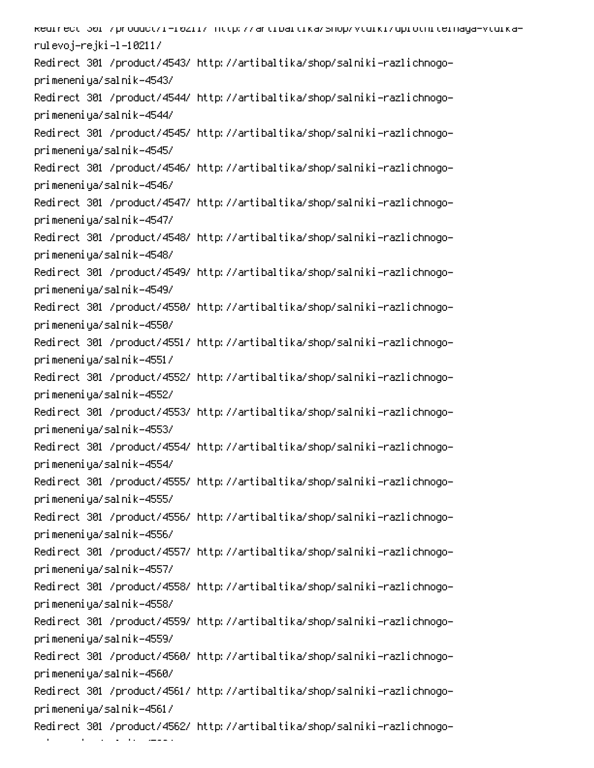kedirect 301 /product/i-i0211/ http://artibaltika/shop/vtuiki/uplotniteinaya-vtuikarulevoj–rejki–l–10211/ Redirect 301 /product/4543/ http://artibaltika/shop/salniki-razlichnogoprimeneniya/salnik-4543/ Redirect 301 /product/4544/ http://artibaltika/shop/salniki-razlichnogoprimeneniya/salnik-4544/ Redirect 301 /product/4545/ http://artibaltika/shop/salniki-razlichnogoprimeneniya/salnik-4545/ Redirect 301 /product/4546/ http://artibaltika/shop/salniki-razlichnogoprimeneniya/salnik-4546/ Redirect 301 /product/4547/ http://artibaltika/shop/salniki-razlichnogoprimeneniya/salnik-4547/ Redirect 301 /product/4548/ http://artibaltika/shop/salniki-razlichnogoprimeneniya/salnik-4548/ Redirect 301 /product/4549/ http://artibaltika/shop/salniki-razlichnogoprimeneniya/salnik-4549/ Redirect 301 /product/4550/ http://artibaltika/shop/salniki-razlichnogoprimeneniya/salnik-4550/ Redirect 301 /product/4551/ http://artibaltika/shop/salniki-razlichnogoprimeneniya/salnik-4551/ Redirect 301 /product/4552/ http://artibaltika/shop/salniki-razlichnogoprimeneniya/salnik-4552/ Redirect 301 /product/4553/ http://artibaltika/shop/salniki-razlichnogoprimeneniya/salnik-4553/ Redirect 301 /product/4554/ http://artibaltika/shop/salniki-razlichnogoprimeneniya/salnik-4554/ Redirect 301 /product/4555/ http://artibaltika/shop/salniki-razlichnogoprimeneniya/salnik-4555/ Redirect 301 /product/4556/ http://artibaltika/shop/salniki-razlichnogoprimeneniya/salnik-4556/ Redirect 301 /product/4557/ http://artibaltika/shop/salniki-razlichnogoprimeneniya/salnik-4557/ Redirect 301 /product/4558/ http://artibaltika/shop/salniki-razlichnogoprimeneniya/salnik-4558/ Redirect 301 /product/4559/ http://artibaltika/shop/salniki-razlichnogoprimeneniya/salnik-4559/ Redirect 301 /product/4560/ http://artibaltika/shop/salniki-razlichnogoprimeneniya/salnik-4560/ Redirect 301 /product/4561/ http://artibaltika/shop/salniki-razlichnogoprimeneniya/salnik-4561/ Redirect 301 /product/4562/ http://artibaltika/shop/salniki-razlichnogo-

- 1

an an T

 $\mathcal{L}(\mathcal{L})$  and  $\mathcal{L}(\mathcal{L})$ 

0. desember<br>1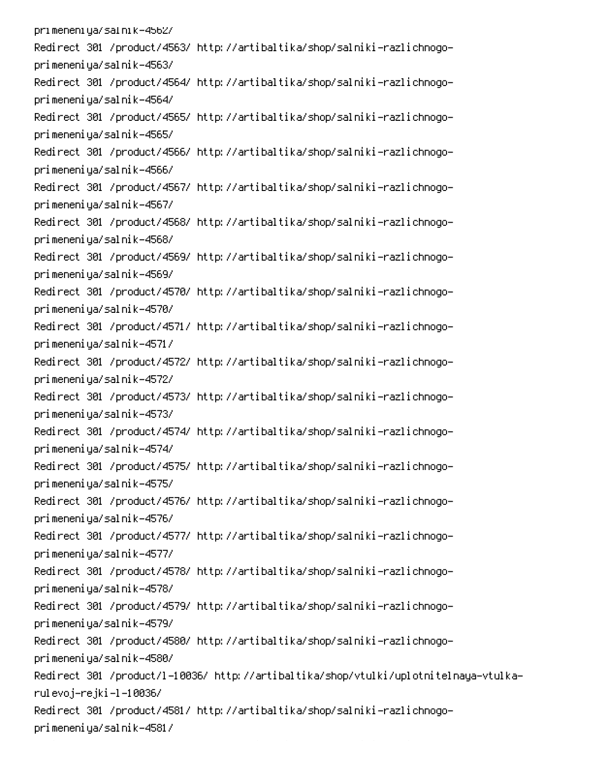pri meneni ya/sal ni k-4562/ Redirect 301 /product/4563/ http://artibaltika/shop/salniki-razlichnogoprimeneniya/salnik-4563/ Redirect 301 /product/4564/ http://artibaltika/shop/salniki-razlichnogoprimeneniya/salnik-4564/ Redirect 301 /product/4565/ http://artibaltika/shop/salniki-razlichnogoprimeneniya/salnik-4565/ Redirect 301 /product/4566/ http://artibaltika/shop/salniki-razlichnogoprimeneniya/salnik-4566/ Redirect 301 /product/4567/ http://artibaltika/shop/salniki-razlichnogoprimeneniya/salnik-4567/ Redirect 301 /product/4568/ http://artibaltika/shop/salniki-razlichnogoprimeneniya/salnik-4568/ Redirect 301 /product/4569/ http://artibaltika/shop/salniki-razlichnogoprimeneniya/salnik-4569/ Redirect 301 /product/4570/ http://artibaltika/shop/salniki-razlichnogoprimeneniya/salnik-4570/ Redirect 301 /product/4571/ http://artibaltika/shop/salniki-razlichnogoprimeneniya/salnik-4571/ Redirect 301 /product/4572/ http://artibaltika/shop/salniki-razlichnogoprimeneniya/salnik-4572/ Redirect 301 /product/4573/ http://artibaltika/shop/salniki-razlichnogoprimeneniya/salnik-4573/ Redirect 301 /product/4574/ http://artibaltika/shop/salniki-razlichnogoprimeneniya/salnik-4574/ Redirect 301 /product/4575/ http://artibaltika/shop/salniki-razlichnogoprimeneniya/salnik-4575/ Redirect 301 /product/4576/ http://artibaltika/shop/salniki-razlichnogoprimeneniya/salnik-4576/ Redirect 301 /product/4577/ http://artibaltika/shop/salniki-razlichnogoprimeneniya/salnik-4577/ Redirect 301 /product/4578/ http://artibaltika/shop/salniki-razlichnogoprimeneniya/salnik-4578/ Redirect 301 /product/4579/ http://artibaltika/shop/salniki-razlichnogoprimeneniya/salnik-4579/ Redirect 301 /product/4580/ http://artibaltika/shop/salniki-razlichnogoprimeneniya/salnik-4580/ -Redirect 301 /product/l-10036/ http://artibaltika/shop/vtulki/uplotnitelnaya-vtulka rulevoj–rejki –l –10036/ Redirect 301 /product/4581/ http://artibaltika/shop/salniki-razlichnogoprimeneniya/salnik-4581/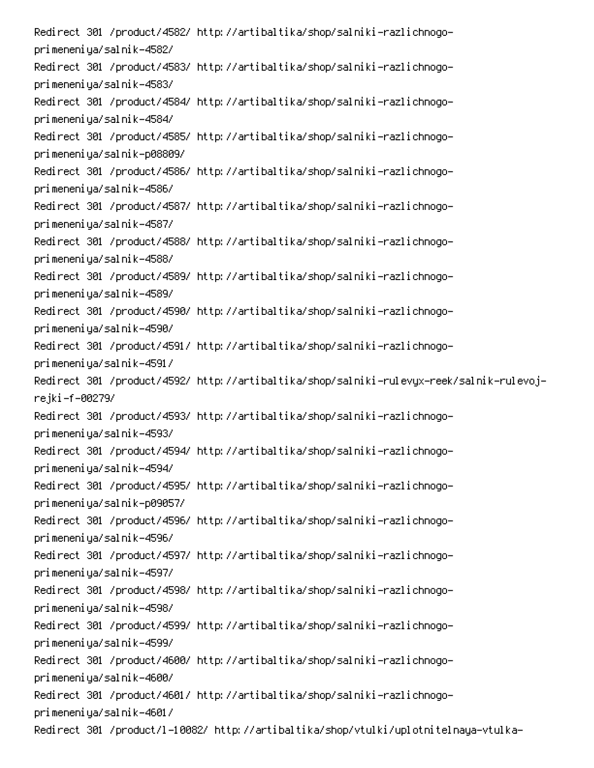Redirect 301 /product/4582/ http://artibaltika/shop/salniki-razlichnogoprimeneniya/salnik-4582/ Redirect 301 /product/4583/ http://artibaltika/shop/salniki-razlichnogoprimeneniya/salnik-4583/ Redirect 301 /product/4584/ http://artibaltika/shop/salniki-razlichnogoprimeneniya/salnik-4584/ Redirect 301 /product/4585/ http://artibaltika/shop/salniki-razlichnogoprimeneniya/salnik-p08809/ Redirect 301 /product/4586/ http://artibaltika/shop/salniki-razlichnogoprimeneniya/salnik-4586/ Redirect 301 /product/4587/ http://artibaltika/shop/salniki-razlichnogoprimeneniya/salnik-4587/ Redirect 301 /product/4588/ http://artibaltika/shop/salniki-razlichnogoprimeneniya/salnik-4588/ Redirect 301 /product/4589/ http://artibaltika/shop/salniki-razlichnogoprimeneniya/salnik-4589/ Redirect 301 /product/4590/ http://artibaltika/shop/salniki-razlichnogoprimeneniya/salnik-4590/ Redirect 301 /product/4591/ http://artibaltika/shop/salniki-razlichnogoprimeneniya/salnik-4591/ Redirect 301 /product/4592/ http://artibaltika/shop/salniki-rulevyx-reek/salnik-rulevojrejki-f-00279/ Redirect 301 /product/4593/ http://artibaltika/shop/salniki-razlichnogoprimeneniya/salnik-4593/ Redirect 301 /product/4594/ http://artibaltika/shop/salniki-razlichnogoprimeneniya/salnik-4594/ Redirect 301 /product/4595/ http://artibaltika/shop/salniki-razlichnogoprimeneniya/salnik-p09057/ Redirect 301 /product/4596/ http://artibaltika/shop/salniki-razlichnogoprimeneniya/salnik-4596/ Redirect 301 /product/4597/ http://artibaltika/shop/salniki-razlichnogoprimeneniya/salnik-4597/ Redirect 301 /product/4598/ http://artibaltika/shop/salniki-razlichnogoprimeneniya/salnik-4598/ Redirect 301 /product/4599/ http://artibaltika/shop/salniki-razlichnogoprimeneniya/salnik-4599/ Redirect 301 /product/4600/ http://artibaltika/shop/salniki-razlichnogoprimeneniya/salnik-4600/ Redirect 301 /product/4601/ http://artibaltika/shop/salniki-razlichnogoprimeneniya/salnik-4601/ Redirect 301 /product/l-10082/ http://artibaltika/shop/vtulki/uplotnitelnaya-vtulka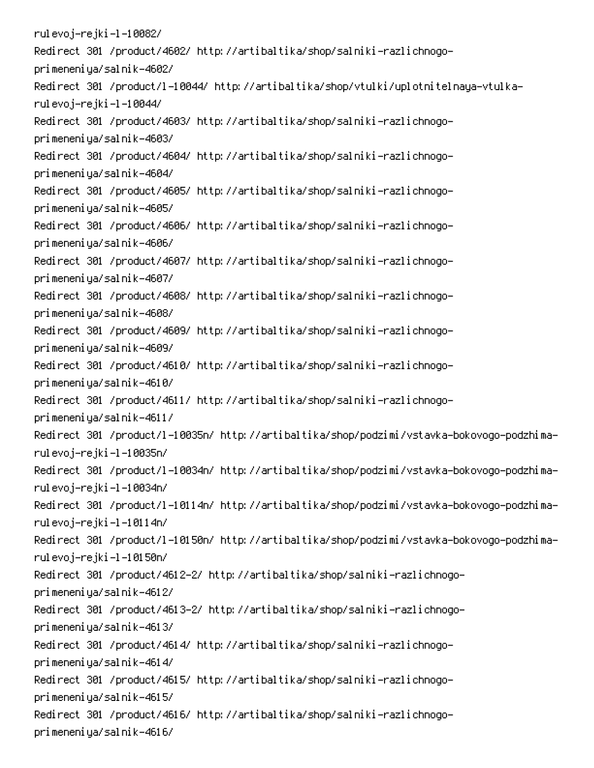rulevoj–rejki–l–10082/ Redirect 301 /product/4602/ http://artibaltika/shop/salniki-razlichnogoprimeneniya/salnik-4602/ Redirect 301 /product/l-10044/ http://artibaltika/shop/vtulki/uplotnitelnaya-vtulkarulevoj–rejki–l–10044/ Redirect 301 /product/4603/ http://artibaltika/shop/salniki-razlichnogoprimeneniya/salnik-4603/ Redirect 301 /product/4604/ http://artibaltika/shop/salniki-razlichnogoprimeneniya/salnik-4604/ Redirect 301 /product/4605/ http://artibaltika/shop/salniki-razlichnogoprimeneniya/salnik-4605/ Redirect 301 /product/4606/ http://artibaltika/shop/salniki-razlichnogoprimeneniya/salnik-4606/ Redirect 301 /product/4607/ http://artibaltika/shop/salniki-razlichnogoprimeneniya/salnik-4607/ Redirect 301 /product/4608/ http://artibaltika/shop/salniki-razlichnogoprimeneniya/salnik-4608/ Redirect 301 /product/4609/ http://artibaltika/shop/salniki-razlichnogoprimeneniya/salnik-4609/ Redirect 301 /product/4610/ http://artibaltika/shop/salniki-razlichnogoprimeneniya/salnik-4610/ Redirect 301 /product/4611/ http://artibaltika/shop/salniki-razlichnogoprimeneniya/salnik-4611/ -Redirect 301 /product/l-10035n/ http://artibaltika/shop/podzimi/vstavka-bokovogo-podzhima rulevoj–rejki–l–10035n/ Redirect 301 /product/l-10034n/ http://artibaltika/shop/podzimi/vstavka-bokovogo-podzhimarulevoj–rejki–l–10034n/ -Redirect 301 /product/l-10114n/ http://artibaltika/shop/podzimi/vstavka-bokovogo-podzhima rulevoj–rejki–l–10114n/ -Redirect 301 /product/l-10150n/ http://artibaltika/shop/podzimi/vstavka-bokovogo-podzhima rulevoj–rejki–l–10150n/ Redirect 301 /product/4612-2/ http://artibaltika/shop/salniki-razlichnogoprimeneniya/salnik-4612/ Redirect 301 /product/4613-2/ http://artibaltika/shop/salniki-razlichnogoprimeneniya/salnik-4613/ Redirect 301 /product/4614/ http://artibaltika/shop/salniki-razlichnogoprimeneniya/salnik-4614/ Redirect 301 /product/4615/ http://artibaltika/shop/salniki-razlichnogoprimeneniya/salnik-4615/ Redirect 301 /product/4616/ http://artibaltika/shop/salniki-razlichnogoprimeneniya/salnik-4616/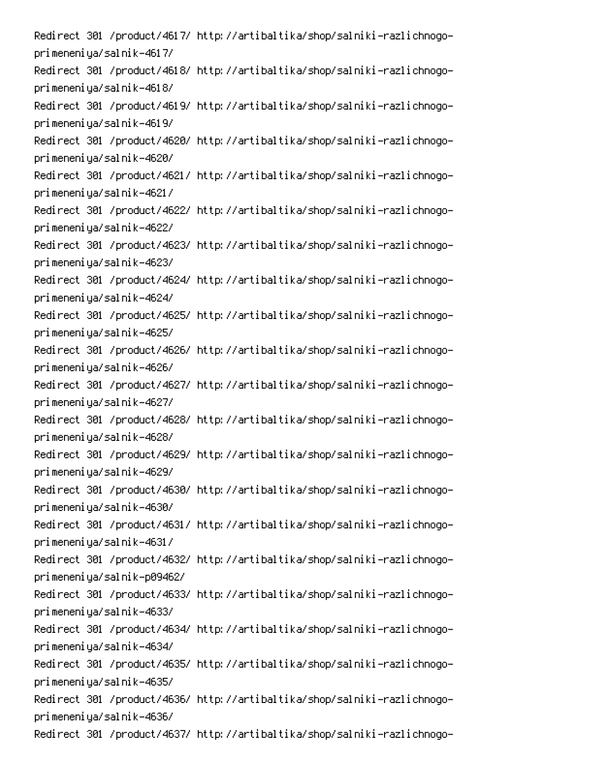Redirect 301 /product/4617/ http://artibaltika/shop/salniki-razlichnogoprimeneniya/salnik-4617/ Redirect 301 /product/4618/ http://artibaltika/shop/salniki-razlichnogoprimeneniya/salnik-4618/ Redirect 301 /product/4619/ http://artibaltika/shop/salniki-razlichnogoprimeneniya/salnik-4619/ Redirect 301 /product/4620/ http://artibaltika/shop/salniki-razlichnogoprimeneniya/salnik-4620/ Redirect 301 /product/4621/ http://artibaltika/shop/salniki-razlichnogoprimeneniya/salnik-4621/ Redirect 301 /product/4622/ http://artibaltika/shop/salniki-razlichnogoprimeneniya/salnik-4622/ Redirect 301 /product/4623/ http://artibaltika/shop/salniki-razlichnogoprimeneniya/salnik-4623/ Redirect 301 /product/4624/ http://artibaltika/shop/salniki-razlichnogoprimeneniya/salnik-4624/ Redirect 301 /product/4625/ http://artibaltika/shop/salniki-razlichnogoprimeneniya/salnik-4625/ Redirect 301 /product/4626/ http://artibaltika/shop/salniki-razlichnogoprimeneniya/salnik-4626/ Redirect 301 /product/4627/ http://artibaltika/shop/salniki-razlichnogoprimeneniya/salnik-4627/ Redirect 301 /product/4628/ http://artibaltika/shop/salniki-razlichnogoprimeneniya/salnik-4628/ Redirect 301 /product/4629/ http://artibaltika/shop/salniki-razlichnogoprimeneniya/salnik-4629/ Redirect 301 /product/4630/ http://artibaltika/shop/salniki-razlichnogoprimeneniya/salnik-4630/ Redirect 301 /product/4631/ http://artibaltika/shop/salniki-razlichnogoprimeneniya/salnik-4631/ Redirect 301 /product/4632/ http://artibaltika/shop/salniki-razlichnogoprimeneniya/salnik-p09462/ Redirect 301 /product/4633/ http://artibaltika/shop/salniki-razlichnogoprimeneniya/salnik-4633/ Redirect 301 /product/4634/ http://artibaltika/shop/salniki-razlichnogoprimeneniya/salnik-4634/ Redirect 301 /product/4635/ http://artibaltika/shop/salniki-razlichnogoprimeneniya/salnik-4635/ Redirect 301 /product/4636/ http://artibaltika/shop/salniki-razlichnogoprimeneniya/salnik-4636/ Redirect 301 /product/4637/ http://artibaltika/shop/salniki-razlichnogo-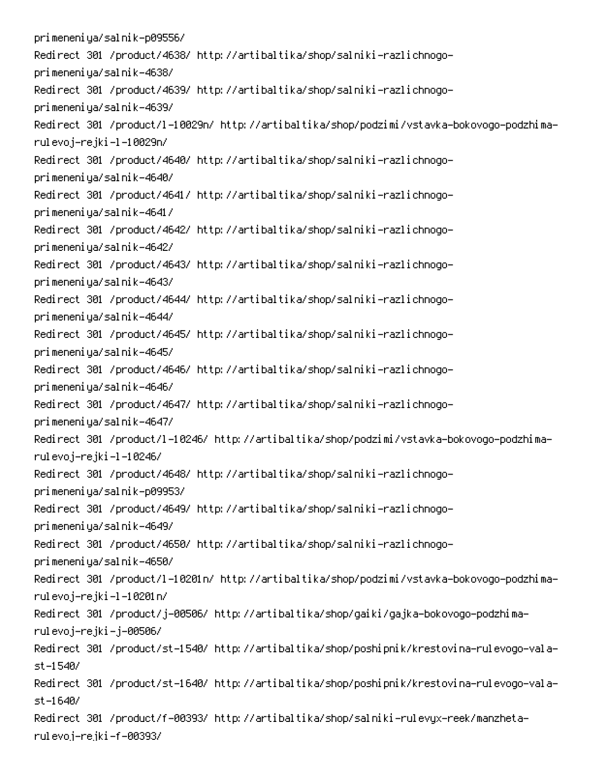primeneniya/salnik-p09556/ Redirect 301 /product/4638/ http://artibaltika/shop/salniki-razlichnogoprimeneniya/salnik-4638/ Redirect 301 /product/4639/ http://artibaltika/shop/salniki-razlichnogoprimeneniya/salnik-4639/ -Redirect 301 /product/l-10029n/ http://artibaltika/shop/podzimi/vstavka-bokovogo-podzhima rulevoj–rejki–l–10029n/ Redirect 301 /product/4640/ http://artibaltika/shop/salniki-razlichnogoprimeneniya/salnik-4640/ Redirect 301 /product/4641/ http://artibaltika/shop/salniki-razlichnogoprimeneniya/salnik-4641/ Redirect 301 /product/4642/ http://artibaltika/shop/salniki-razlichnogoprimeneniya/salnik-4642/ Redirect 301 /product/4643/ http://artibaltika/shop/salniki-razlichnogoprimeneniya/salnik-4643/ Redirect 301 /product/4644/ http://artibaltika/shop/salniki-razlichnogoprimeneniya/salnik-4644/ Redirect 301 /product/4645/ http://artibaltika/shop/salniki-razlichnogoprimeneniya/salnik-4645/ Redirect 301 /product/4646/ http://artibaltika/shop/salniki-razlichnogoprimeneniya/salnik-4646/ Redirect 301 /product/4647/ http://artibaltika/shop/salniki-razlichnogoprimeneniya/salnik-4647/ -Redirect 301 /product/l-10246/ http://artibaltika/shop/podzimi/vstavka-bokovogo-podzhima rulevoj–rejki–l–10246/ Redirect 301 /product/4648/ http://artibaltika/shop/salniki-razlichnogoprimeneniya/salnik-p09953/ Redirect 301 /product/4649/ http://artibaltika/shop/salniki-razlichnogoprimeneniya/salnik-4649/ Redirect 301 /product/4650/ http://artibaltika/shop/salniki-razlichnogoprimeneniya/salnik-4650/ -Redirect 301 /product/l-10201n/ http://artibaltika/shop/podzimi/vstavka-bokovogo-podzhima rulevoj–rejki–l–10201n/ Redirect 301 /product/j-00506/ http://artibaltika/shop/gaiki/gajka-bokovogo-podzhimarulevoj–rejki–j–00506/ Redirect 301 /product/st-1540/ http://artibaltika/shop/poshipnik/krestovina-rulevogo-vala $st - 15407$ Redirect 301 /product/st-1640/ http://artibaltika/shop/poshipnik/krestovina-rulevogo-vala $st - 1640/$ Redirect 301 /product/f-00393/ http://artibaltika/shop/salniki-rulevyx-reek/manzhetarulevoj–rejki–f–00393/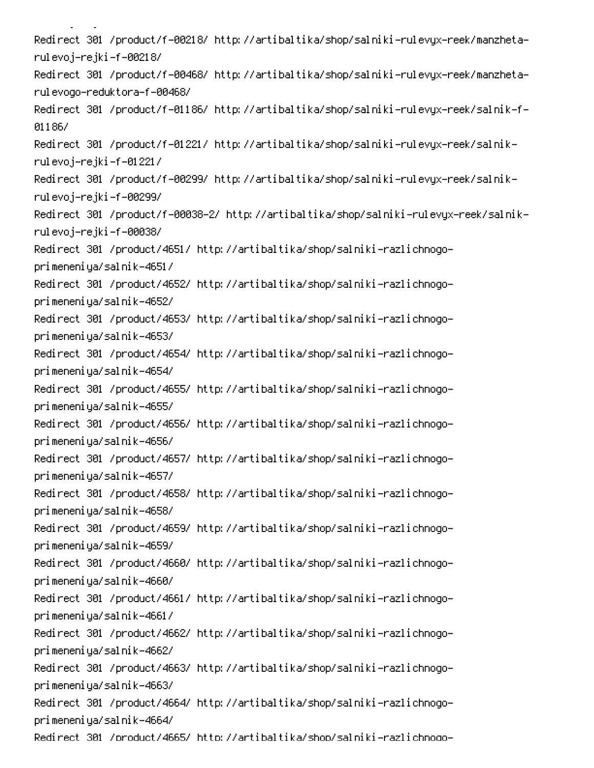Redirect 301 /product/f-00218/ http://artibaltika/shop/salniki-rulevyx-reek/manzhetarulevoj–rejki–f–00218/ Redirect 301 /product/f-00468/ http://artibaltika/shop/salniki-rulevyx-reek/manzhetarulevodo-reduktora-f-00468/ Redirect 301 /product/f-01186/ http://artibaltika/shop/salniki-rulevyx-reek/salnik-f-01186/ -Redirect 301 /product/f-01221/ http://artibaltika/shop/salniki-rulevyx-reek/salnik rulevoj–rejki–f–01221/ -Redirect 301 /product/f-00299/ http://artibaltika/shop/salniki-rulevyx-reek/salnik rulevoj–rejki–f–00299/ Redirect 301 /product/f-00038-2/ http://artibaltika/shop/salniki-rulevyx-reek/salnikrulevoj–rejki–f–00038/ Redirect 301 /product/4651/ http://artibaltika/shop/salniki-razlichnogoprimeneniya/salnik-4651/ Redirect 301 /product/4652/ http://artibaltika/shop/salniki-razlichnogoprimeneniya/salnik-4652/ Redirect 301 /product/4653/ http://artibaltika/shop/salniki-razlichnogoprimeneniya/salnik-4653/ Redirect 301 /product/4654/ http://artibaltika/shop/salniki-razlichnogoprimeneniya/salnik-4654/ Redirect 301 /product/4655/ http://artibaltika/shop/salniki-razlichnogoprimeneniya/salnik-4655/ Redirect 301 /product/4656/ http://artibaltika/shop/salniki-razlichnogoprimeneniya/salnik-4656/ Redirect 301 /product/4657/ http://artibaltika/shop/salniki-razlichnogoprimeneniya/salnik-4657/ Redirect 301 /product/4658/ http://artibaltika/shop/salniki-razlichnogoprimeneniya/salnik-4658/ Redirect 301 /product/4659/ http://artibaltika/shop/salniki-razlichnogoprimeneniya/salnik-4659/ Redirect 301 /product/4660/ http://artibaltika/shop/salniki-razlichnogoprimeneniya/salnik-4660/ Redirect 301 /product/4661/ http://artibaltika/shop/salniki-razlichnogoprimeneniya/salnik-4661/ Redirect 301 /product/4662/ http://artibaltika/shop/salniki-razlichnogoprimeneniya/salnik-4662/ Redirect 301 /product/4663/ http://artibaltika/shop/salniki-razlichnogoprimeneniya/salnik-4663/ Redirect 301 /product/4664/ http://artibaltika/shop/salniki-razlichnogoprimeneniya/salnik-4664/ Redirect 301 /product/4665/ http://artibaltika/shop/salniki-razlichnoqo-

M<sub>0</sub>M<sub>0</sub>M<sub>0</sub>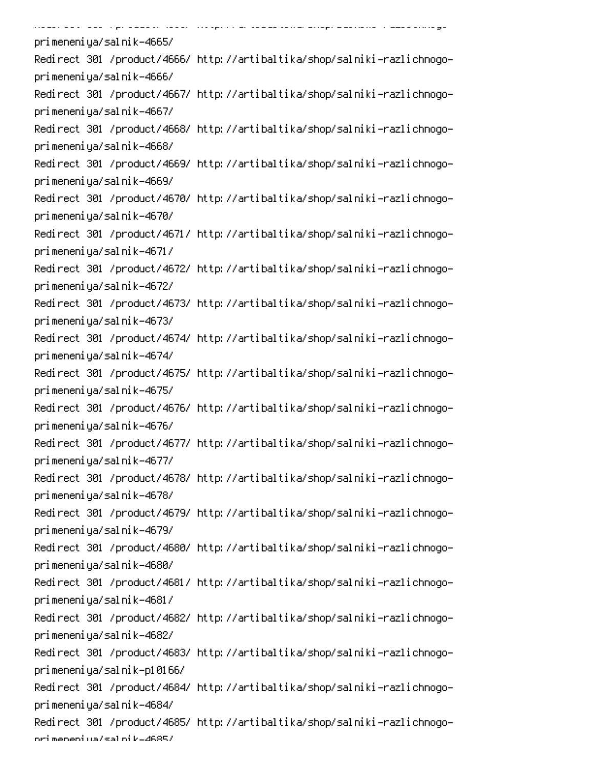| <u> 1980 - 200 - 200 - pisanan Bara, 1989 - 1989 - 1980 - 2080 - 2090 - 2090 - 2001 - 1980 - 1980 - 200</u> |
|-------------------------------------------------------------------------------------------------------------|
| primeneniya/salnik-4665/                                                                                    |
| Redirect 301 /product/4666/ http://artibaltika/shop/salniki-razlichnogo-                                    |
| primeneniya/salnik-4666/                                                                                    |
| Redirect 301 /product/4667/ http://artibaltika/shop/salniki-razlichnogo-                                    |
| primeneniya/salnik-4667/                                                                                    |
| Redirect 301 /product/4668/ http://artibaltika/shop/salniki-razlichnogo-                                    |
| primeneniya/salnik-4668/                                                                                    |
| Redirect 301 /product/4669/ http://artibaltika/shop/salniki-razlichnogo-                                    |
| primeneniya/salnik-4669/                                                                                    |
| Redirect 301 /product/4670/ http://artibaltika/shop/salniki-razlichnogo-                                    |
| primeneniya/salnik-4670/                                                                                    |
| Redirect 301 /product/4671/ http://artibaltika/shop/salniki-razlichnogo-                                    |
| primeneniya/salnik-4671/                                                                                    |
| Redirect 301 /product/4672/ http://artibaltika/shop/salniki-razlichnogo-                                    |
| primeneniya/salnik-4672/                                                                                    |
| Redirect 301 /product/4673/ http://artibaltika/shop/salniki-razlichnogo-                                    |
| primeneniya/salnik-4673/                                                                                    |
| Redirect 301 /product/4674/ http://artibaltika/shop/salniki-razlichnogo-                                    |
| primeneniya/salnik-4674/                                                                                    |
| Redirect 301 /product/4675/ http://artibaltika/shop/salniki-razlichnogo-                                    |
| primeneniya/salnik-4675/                                                                                    |
| Redirect 301 /product/4676/ http://artibaltika/shop/salniki-razlichnogo-                                    |
| primeneniya/salnik-4676/                                                                                    |
| Redirect 301 /product/4677/ http://artibaltika/shop/salniki-razlichnogo-                                    |
| primeneniya/salnik-4677/                                                                                    |
| Redirect 301 /product/4678/ http://artibaltika/shop/salniki-razlichnogo-                                    |
| primeneniya/salnik-4678/                                                                                    |
| Redirect 301 /product/4679/ http://artibaltika/shop/salniki-razlichnogo-                                    |
| primeneniya/salnik-4679/                                                                                    |
| Redirect 301 /product/4680/ http://artibaltika/shop/salniki-razlichnogo-                                    |
| primeneniya/salnik-4680/                                                                                    |
| Redirect 301 /product/4681/ http://artibaltika/shop/salniki-razlichnogo-                                    |
| primeneniya/salnik-4681/                                                                                    |
| Redirect 301 /product/4682/ http://artibaltika/shop/salniki-razlichnogo-                                    |
| primeneniya/salnik-4682/                                                                                    |
| Redirect 301 /product/4683/ http://artibaltika/shop/salniki-razlichnogo-                                    |
| primeneniya/salnik-p10166/                                                                                  |
| Redirect 301 /product/4684/ http://artibaltika/shop/salniki-razlichnogo-                                    |
| primeneniya/salnik-4684/                                                                                    |
| Redirect 301 /product/4685/ http://artibaltika/shop/salniki-razlichnogo-                                    |
| ori meneni ua/sal ni k=4685/                                                                                |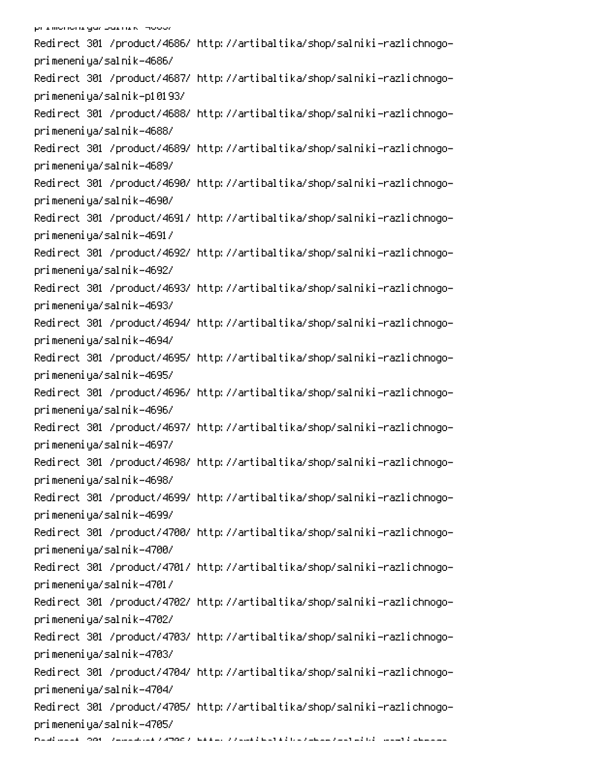Redirect 301 /product/4686/ http://artibaltika/shop/salniki-razlichnogoprimeneniya/salnik-4686/ Redirect 301 /product/4687/ http://artibaltika/shop/salniki-razlichnogoprimeneniya/salnik-p10193/ Redirect 301 /product/4688/ http://artibaltika/shop/salniki-razlichnogoprimeneniya/salnik-4688/ Redirect 301 /product/4689/ http://artibaltika/shop/salniki-razlichnogoprimeneniya/salnik-4689/ Redirect 301 /product/4690/ http://artibaltika/shop/salniki-razlichnogoprimeneniya/salnik-4690/ Redirect 301 /product/4691/ http://artibaltika/shop/salniki-razlichnogoprimeneniya/salnik-4691/ Redirect 301 /product/4692/ http://artibaltika/shop/salniki-razlichnogoprimeneniya/salnik-4692/ Redirect 301 /product/4693/ http://artibaltika/shop/salniki-razlichnogoprimeneniya/salnik-4693/ Redirect 301 /product/4694/ http://artibaltika/shop/salniki-razlichnogoprimeneniya/salnik-4694/ Redirect 301 /product/4695/ http://artibaltika/shop/salniki-razlichnogoprimeneniya/salnik-4695/ Redirect 301 /product/4696/ http://artibaltika/shop/salniki-razlichnogoprimeneniya/salnik-4696/ Redirect 301 /product/4697/ http://artibaltika/shop/salniki-razlichnogoprimeneniya/salnik-4697/ Redirect 301 /product/4698/ http://artibaltika/shop/salniki-razlichnogoprimeneniya/salnik-4698/ Redirect 301 /product/4699/ http://artibaltika/shop/salniki-razlichnogoprimeneniya/salnik-4699/ Redirect 301 /product/4700/ http://artibaltika/shop/salniki-razlichnogoprimeneniya/salnik-4700/ Redirect 301 /product/4701/ http://artibaltika/shop/salniki-razlichnogoprimeneniya/salnik-4701/ Redirect 301 /product/4702/ http://artibaltika/shop/salniki-razlichnogoprimeneniya/salnik-4702/ Redirect 301 /product/4703/ http://artibaltika/shop/salniki-razlichnogoprimeneniya/salnik-4703/ Redirect 301 /product/4704/ http://artibaltika/shop/salniki-razlichnogoprimeneniya/salnik-4704/ Redirect 301 /product/4705/ http://artibaltika/shop/salniki-razlichnogoprimeneniya/salnik-4705/ 6 PC 
!R-Q - 0 -0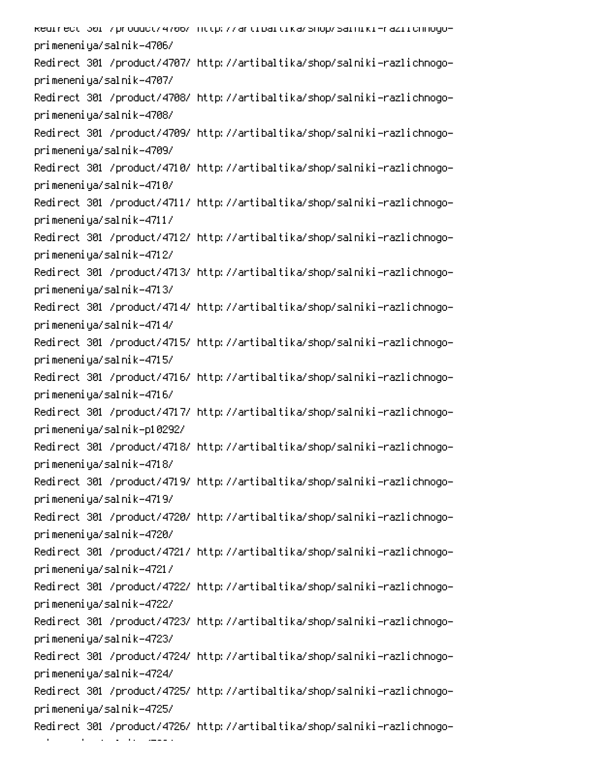kedirect 301 /product/4706/ http://artibaltika/shop/salniki-raziichnogoprimeneniya/salnik-4706/ Redirect 301 /product/4707/ http://artibaltika/shop/salniki-razlichnogoprimeneniya/salnik-4707/ Redirect 301 /product/4708/ http://artibaltika/shop/salniki-razlichnogoprimeneniya/salnik-4708/ Redirect 301 /product/4709/ http://artibaltika/shop/salniki-razlichnogoprimeneniya/salnik-4709/ Redirect 301 /product/4710/ http://artibaltika/shop/salniki-razlichnogoprimeneniya/salnik-4710/ Redirect 301 /product/4711/ http://artibaltika/shop/salniki-razlichnogoprimeneniya/salnik-4711/ Redirect 301 /product/4712/ http://artibaltika/shop/salniki-razlichnogoprimeneniya/salnik-4712/ Redirect 301 /product/4713/ http://artibaltika/shop/salniki-razlichnogoprimeneniya/salnik-4713/ Redirect 301 /product/4714/ http://artibaltika/shop/salniki-razlichnogoprimeneniya/salnik-4714/ Redirect 301 /product/4715/ http://artibaltika/shop/salniki-razlichnogoprimeneniya/salnik-4715/ Redirect 301 /product/4716/ http://artibaltika/shop/salniki-razlichnogoprimeneniya/salnik-4716/ Redirect 301 /product/4717/ http://artibaltika/shop/salniki-razlichnogoprimeneniya/salnik-p10292/ Redirect 301 /product/4718/ http://artibaltika/shop/salniki-razlichnogoprimeneniya/salnik-4718/ Redirect 301 /product/4719/ http://artibaltika/shop/salniki-razlichnogoprimeneniya/salnik-4719/ Redirect 301 /product/4720/ http://artibaltika/shop/salniki-razlichnogoprimeneniya/salnik-4720/ Redirect 301 /product/4721/ http://artibaltika/shop/salniki-razlichnogoprimeneniya/salnik-4721/ Redirect 301 /product/4722/ http://artibaltika/shop/salniki-razlichnogoprimeneniya/salnik-4722/ Redirect 301 /product/4723/ http://artibaltika/shop/salniki-razlichnogoprimeneniya/salnik-4723/ Redirect 301 /product/4724/ http://artibaltika/shop/salniki-razlichnogoprimeneniya/salnik-4724/ Redirect 301 /product/4725/ http://artibaltika/shop/salniki-razlichnogoprimeneniya/salnik-4725/ Redirect 301 /product/4726/ http://artibaltika/shop/salniki-razlichnogo-

- 1 an an T  $\mathcal{L}(\mathcal{L})$  and  $\mathcal{L}(\mathcal{L})$ 0. Prosesta<br>P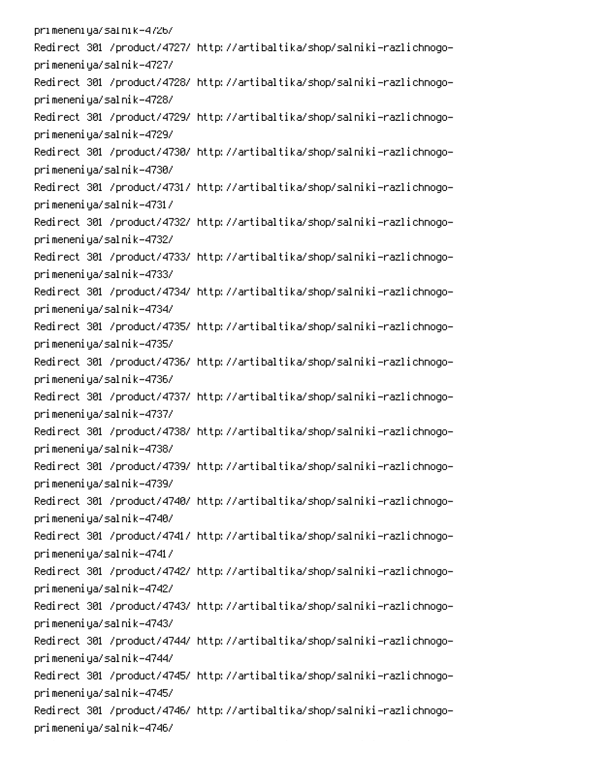pri meneni ya/sal ni k-4726/ Redirect 301 /product/4727/ http://artibaltika/shop/salniki-razlichnogoprimeneniya/salnik-4727/ Redirect 301 /product/4728/ http://artibaltika/shop/salniki-razlichnogoprimeneniya/salnik-4728/ Redirect 301 /product/4729/ http://artibaltika/shop/salniki-razlichnogoprimeneniya/salnik-4729/ Redirect 301 /product/4730/ http://artibaltika/shop/salniki-razlichnogoprimeneniya/salnik-4730/ Redirect 301 /product/4731/ http://artibaltika/shop/salniki-razlichnogoprimeneniya/salnik-4731/ Redirect 301 /product/4732/ http://artibaltika/shop/salniki-razlichnogoprimeneniya/salnik-4732/ Redirect 301 /product/4733/ http://artibaltika/shop/salniki-razlichnogoprimeneniya/salnik-4733/ Redirect 301 /product/4734/ http://artibaltika/shop/salniki-razlichnogoprimeneniya/salnik-4734/ Redirect 301 /product/4735/ http://artibaltika/shop/salniki-razlichnogoprimeneniya/salnik-4735/ Redirect 301 /product/4736/ http://artibaltika/shop/salniki-razlichnogoprimeneniya/salnik-4736/ Redirect 301 /product/4737/ http://artibaltika/shop/salniki-razlichnogoprimeneniya/salnik-4737/ Redirect 301 /product/4738/ http://artibaltika/shop/salniki-razlichnogoprimeneniya/salnik-4738/ Redirect 301 /product/4739/ http://artibaltika/shop/salniki-razlichnogoprimeneniya/salnik-4739/ Redirect 301 /product/4740/ http://artibaltika/shop/salniki-razlichnogoprimeneniya/salnik-4740/ Redirect 301 /product/4741/ http://artibaltika/shop/salniki-razlichnogoprimeneniya/salnik-4741/ Redirect 301 /product/4742/ http://artibaltika/shop/salniki-razlichnogoprimeneniya/salnik-4742/ Redirect 301 /product/4743/ http://artibaltika/shop/salniki-razlichnogoprimeneniya/salnik-4743/ Redirect 301 /product/4744/ http://artibaltika/shop/salniki-razlichnogoprimeneniya/salnik-4744/ Redirect 301 /product/4745/ http://artibaltika/shop/salniki-razlichnogoprimeneniya/salnik-4745/ Redirect 301 /product/4746/ http://artibaltika/shop/salniki-razlichnogoprimeneniya/salnik-4746/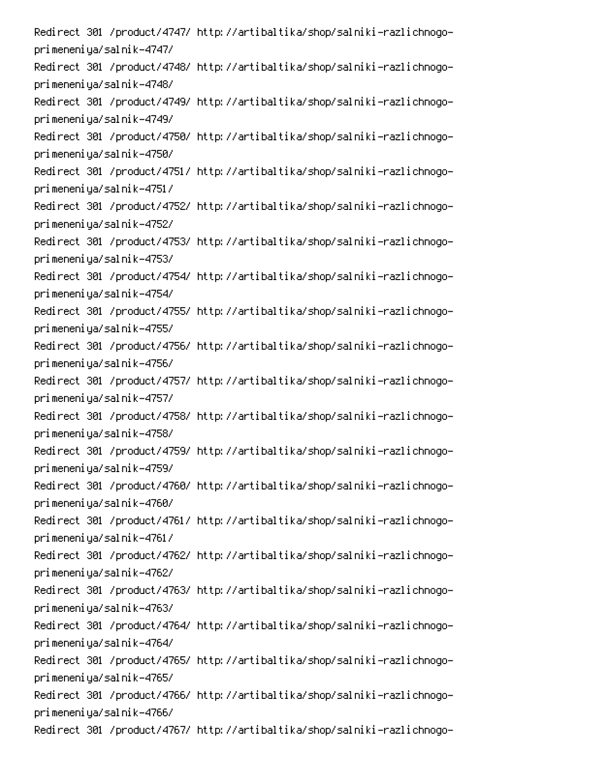Redirect 301 /product/4747/ http://artibaltika/shop/salniki-razlichnogoprimeneniya/salnik-4747/ Redirect 301 /product/4748/ http://artibaltika/shop/salniki-razlichnogoprimeneniya/salnik-4748/ Redirect 301 /product/4749/ http://artibaltika/shop/salniki-razlichnogoprimeneniya/salnik-4749/ Redirect 301 /product/4750/ http://artibaltika/shop/salniki-razlichnogoprimeneniya/salnik-4750/ Redirect 301 /product/4751/ http://artibaltika/shop/salniki-razlichnogoprimeneniya/salnik-4751/ Redirect 301 /product/4752/ http://artibaltika/shop/salniki-razlichnogoprimeneniya/salnik-4752/ Redirect 301 /product/4753/ http://artibaltika/shop/salniki-razlichnogoprimeneniya/salnik-4753/ Redirect 301 /product/4754/ http://artibaltika/shop/salniki-razlichnogoprimeneniya/salnik-4754/ Redirect 301 /product/4755/ http://artibaltika/shop/salniki-razlichnogoprimeneniya/salnik-4755/ Redirect 301 /product/4756/ http://artibaltika/shop/salniki-razlichnogoprimeneniya/salnik-4756/ Redirect 301 /product/4757/ http://artibaltika/shop/salniki-razlichnogoprimeneniya/salnik-4757/ Redirect 301 /product/4758/ http://artibaltika/shop/salniki-razlichnogoprimeneniya/salnik-4758/ Redirect 301 /product/4759/ http://artibaltika/shop/salniki-razlichnogoprimeneniya/salnik-4759/ Redirect 301 /product/4760/ http://artibaltika/shop/salniki-razlichnogoprimeneniya/salnik-4760/ Redirect 301 /product/4761/ http://artibaltika/shop/salniki-razlichnogoprimeneniya/salnik-4761/ Redirect 301 /product/4762/ http://artibaltika/shop/salniki-razlichnogoprimeneniya/salnik-4762/ Redirect 301 /product/4763/ http://artibaltika/shop/salniki-razlichnogoprimeneniya/salnik-4763/ Redirect 301 /product/4764/ http://artibaltika/shop/salniki-razlichnogoprimeneniya/salnik-4764/ Redirect 301 /product/4765/ http://artibaltika/shop/salniki-razlichnogoprimeneniya/salnik-4765/ Redirect 301 /product/4766/ http://artibaltika/shop/salniki-razlichnogoprimeneniya/salnik-4766/ Redirect 301 /product/4767/ http://artibaltika/shop/salniki-razlichnogo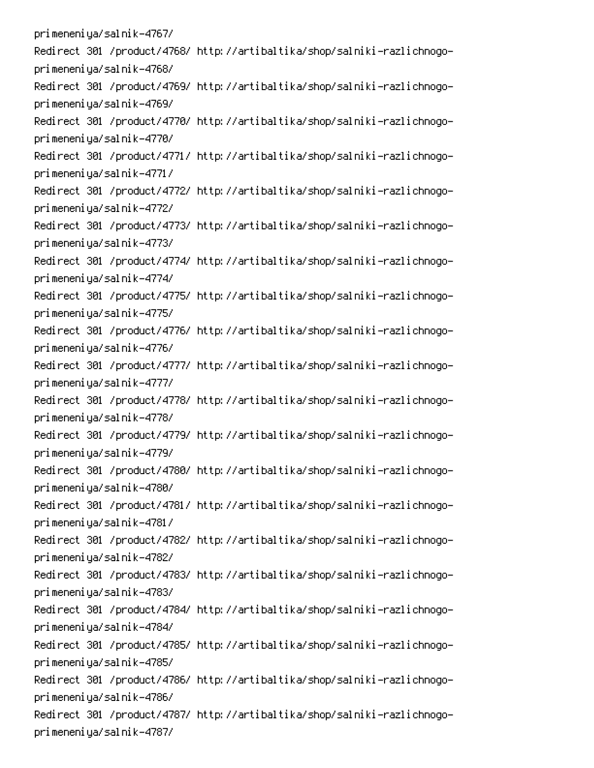primeneniya/salnik-4767/ Redirect 301 /product/4768/ http://artibaltika/shop/salniki-razlichnogoprimeneniya/salnik-4768/ Redirect 301 /product/4769/ http://artibaltika/shop/salniki-razlichnogoprimeneniya/salnik-4769/ Redirect 301 /product/4770/ http://artibaltika/shop/salniki-razlichnogoprimeneniya/salnik-4770/ Redirect 301 /product/4771/ http://artibaltika/shop/salniki-razlichnogoprimeneniya/salnik-4771/ Redirect 301 /product/4772/ http://artibaltika/shop/salniki-razlichnogoprimeneniya/salnik-4772/ Redirect 301 /product/4773/ http://artibaltika/shop/salniki-razlichnogoprimeneniya/salnik-4773/ Redirect 301 /product/4774/ http://artibaltika/shop/salniki-razlichnogoprimeneniya/salnik-4774/ Redirect 301 /product/4775/ http://artibaltika/shop/salniki-razlichnogoprimeneniya/salnik-4775/ Redirect 301 /product/4776/ http://artibaltika/shop/salniki-razlichnogoprimeneniya/salnik-4776/ Redirect 301 /product/4777/ http://artibaltika/shop/salniki-razlichnogoprimeneniya/salnik-4777/ Redirect 301 /product/4778/ http://artibaltika/shop/salniki-razlichnogoprimeneniya/salnik-4778/ Redirect 301 /product/4779/ http://artibaltika/shop/salniki-razlichnogoprimeneniya/salnik-4779/ Redirect 301 /product/4780/ http://artibaltika/shop/salniki-razlichnogoprimeneniya/salnik-4780/ Redirect 301 /product/4781/ http://artibaltika/shop/salniki-razlichnogoprimeneniya/salnik-4781/ Redirect 301 /product/4782/ http://artibaltika/shop/salniki-razlichnogoprimeneniya/salnik-4782/ Redirect 301 /product/4783/ http://artibaltika/shop/salniki-razlichnogoprimeneniya/salnik-4783/ Redirect 301 /product/4784/ http://artibaltika/shop/salniki-razlichnogoprimeneniya/salnik-4784/ Redirect 301 /product/4785/ http://artibaltika/shop/salniki-razlichnogoprimeneniya/salnik-4785/ Redirect 301 /product/4786/ http://artibaltika/shop/salniki-razlichnogoprimeneniya/salnik-4786/ Redirect 301 /product/4787/ http://artibaltika/shop/salniki-razlichnogoprimeneniya/salnik-4787/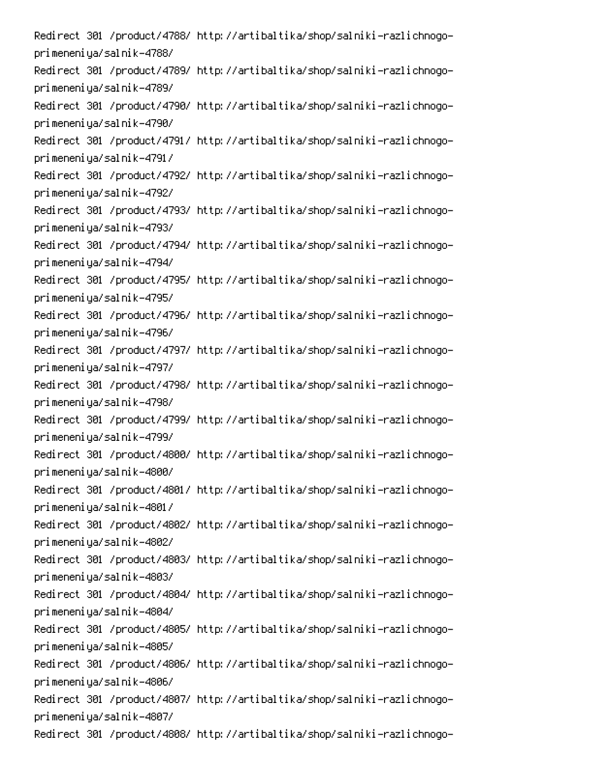Redirect 301 /product/4788/ http://artibaltika/shop/salniki-razlichnogoprimeneniya/salnik-4788/ Redirect 301 /product/4789/ http://artibaltika/shop/salniki-razlichnogoprimeneniya/salnik-4789/ Redirect 301 /product/4790/ http://artibaltika/shop/salniki-razlichnogoprimeneniya/salnik-4790/ Redirect 301 /product/4791/ http://artibaltika/shop/salniki-razlichnogoprimeneniya/salnik-4791/ Redirect 301 /product/4792/ http://artibaltika/shop/salniki-razlichnogoprimeneniya/salnik-4792/ Redirect 301 /product/4793/ http://artibaltika/shop/salniki-razlichnogoprimeneniya/salnik-4793/ Redirect 301 /product/4794/ http://artibaltika/shop/salniki-razlichnogoprimeneniya/salnik-4794/ Redirect 301 /product/4795/ http://artibaltika/shop/salniki-razlichnogoprimeneniya/salnik-4795/ Redirect 301 /product/4796/ http://artibaltika/shop/salniki-razlichnogoprimeneniya/salnik-4796/ Redirect 301 /product/4797/ http://artibaltika/shop/salniki-razlichnogoprimeneniya/salnik-4797/ Redirect 301 /product/4798/ http://artibaltika/shop/salniki-razlichnogoprimeneniya/salnik-4798/ Redirect 301 /product/4799/ http://artibaltika/shop/salniki-razlichnogoprimeneniya/salnik-4799/ Redirect 301 /product/4800/ http://artibaltika/shop/salniki-razlichnogoprimeneniya/salnik-4800/ Redirect 301 /product/4801/ http://artibaltika/shop/salniki-razlichnogoprimeneniya/salnik-4801/ Redirect 301 /product/4802/ http://artibaltika/shop/salniki-razlichnogoprimeneniya/salnik-4802/ Redirect 301 /product/4803/ http://artibaltika/shop/salniki-razlichnogoprimeneniya/salnik-4803/ Redirect 301 /product/4804/ http://artibaltika/shop/salniki-razlichnogoprimeneniya/salnik-4804/ Redirect 301 /product/4805/ http://artibaltika/shop/salniki-razlichnogoprimeneniya/salnik-4805/ Redirect 301 /product/4806/ http://artibaltika/shop/salniki-razlichnogoprimeneniya/salnik-4806/ Redirect 301 /product/4807/ http://artibaltika/shop/salniki-razlichnogoprimeneniya/salnik-4807/ Redirect 301 /product/4808/ http://artibaltika/shop/salniki-razlichnogo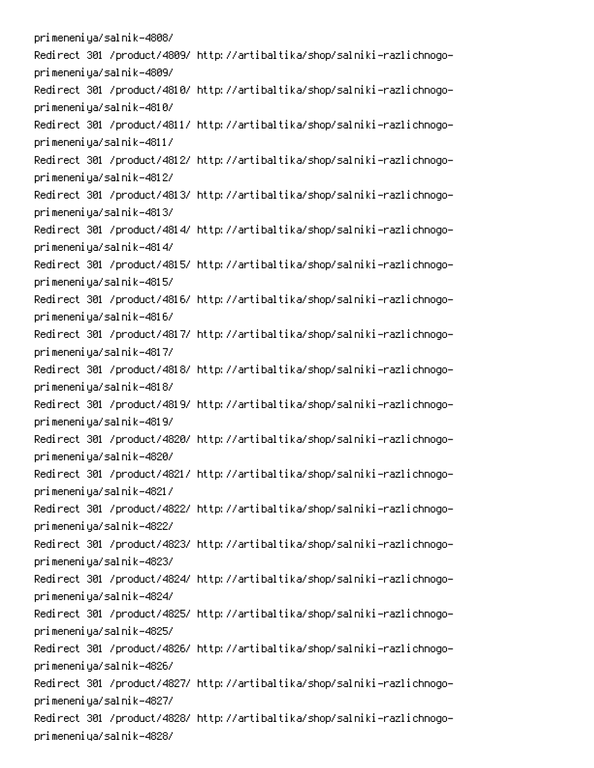primeneniya/salnik-4808/ Redirect 301 /product/4809/ http://artibaltika/shop/salniki-razlichnogoprimeneniya/salnik-4809/ Redirect 301 /product/4810/ http://artibaltika/shop/salniki-razlichnogoprimeneniya/salnik-4810/ Redirect 301 /product/4811/ http://artibaltika/shop/salniki-razlichnogoprimeneniya/salnik-4811/ Redirect 301 /product/4812/ http://artibaltika/shop/salniki-razlichnogoprimeneniya/salnik-4812/ Redirect 301 /product/4813/ http://artibaltika/shop/salniki-razlichnogoprimeneniya/salnik-4813/ Redirect 301 /product/4814/ http://artibaltika/shop/salniki-razlichnogoprimeneniya/salnik-4814/ Redirect 301 /product/4815/ http://artibaltika/shop/salniki-razlichnogoprimeneniya/salnik-4815/ Redirect 301 /product/4816/ http://artibaltika/shop/salniki-razlichnogoprimeneniya/salnik-4816/ Redirect 301 /product/4817/ http://artibaltika/shop/salniki-razlichnogoprimeneniya/salnik-4817/ Redirect 301 /product/4818/ http://artibaltika/shop/salniki-razlichnogoprimeneniya/salnik-4818/ Redirect 301 /product/4819/ http://artibaltika/shop/salniki-razlichnogoprimeneniya/salnik-4819/ Redirect 301 /product/4820/ http://artibaltika/shop/salniki-razlichnogoprimeneniya/salnik-4820/ Redirect 301 /product/4821/ http://artibaltika/shop/salniki-razlichnogoprimeneniya/salnik-4821/ Redirect 301 /product/4822/ http://artibaltika/shop/salniki-razlichnogoprimeneniya/salnik-4822/ Redirect 301 /product/4823/ http://artibaltika/shop/salniki-razlichnogoprimeneniya/salnik-4823/ Redirect 301 /product/4824/ http://artibaltika/shop/salniki-razlichnogoprimeneniya/salnik-4824/ Redirect 301 /product/4825/ http://artibaltika/shop/salniki-razlichnogoprimeneniya/salnik-4825/ Redirect 301 /product/4826/ http://artibaltika/shop/salniki-razlichnogoprimeneniya/salnik-4826/ Redirect 301 /product/4827/ http://artibaltika/shop/salniki-razlichnogoprimeneniya/salnik-4827/ Redirect 301 /product/4828/ http://artibaltika/shop/salniki-razlichnogoprimeneniya/salnik-4828/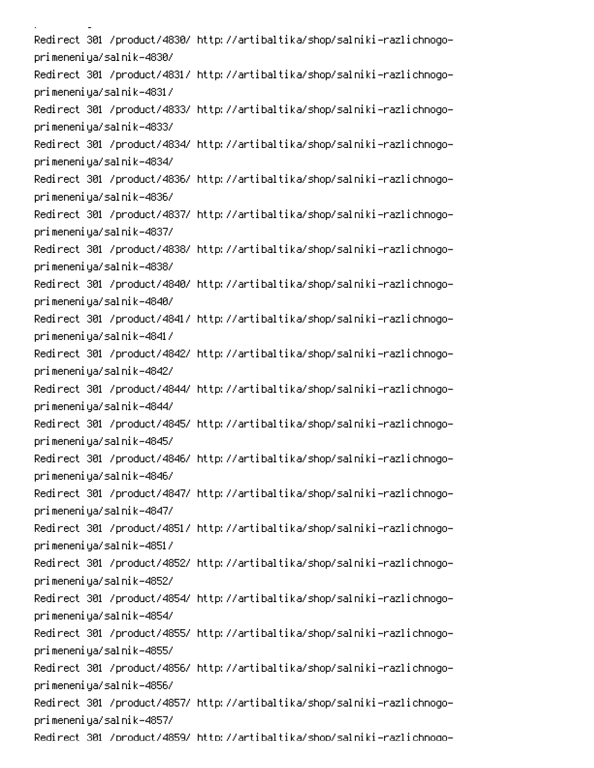i<br>Linda <u>a</u> sa sala Redirect 301 /product/4830/ http://artibaltika/shop/salniki-razlichnogoprimeneniya/salnik-4830/ Redirect 301 /product/4831/ http://artibaltika/shop/salniki-razlichnogoprimeneniya/salnik-4831/ Redirect 301 /product/4833/ http://artibaltika/shop/salniki-razlichnogoprimeneniya/salnik-4833/ Redirect 301 /product/4834/ http://artibaltika/shop/salniki-razlichnogoprimeneniya/salnik-4834/ Redirect 301 /product/4836/ http://artibaltika/shop/salniki-razlichnogoprimeneniya/salnik-4836/ Redirect 301 /product/4837/ http://artibaltika/shop/salniki-razlichnogoprimeneniya/salnik-4837/ Redirect 301 /product/4838/ http://artibaltika/shop/salniki-razlichnogoprimeneniya/salnik-4838/ Redirect 301 /product/4840/ http://artibaltika/shop/salniki-razlichnogoprimeneniya/salnik-4840/ Redirect 301 /product/4841/ http://artibaltika/shop/salniki-razlichnogoprimeneniya/salnik-4841/ Redirect 301 /product/4842/ http://artibaltika/shop/salniki-razlichnogoprimeneniya/salnik-4842/ Redirect 301 /product/4844/ http://artibaltika/shop/salniki-razlichnogoprimeneniya/salnik-4844/ Redirect 301 /product/4845/ http://artibaltika/shop/salniki-razlichnogoprimeneniya/salnik-4845/ Redirect 301 /product/4846/ http://artibaltika/shop/salniki-razlichnogoprimeneniya/salnik-4846/ Redirect 301 /product/4847/ http://artibaltika/shop/salniki-razlichnogoprimeneniya/salnik-4847/ Redirect 301 /product/4851/ http://artibaltika/shop/salniki-razlichnogoprimeneniya/salnik-4851/ Redirect 301 /product/4852/ http://artibaltika/shop/salniki-razlichnogoprimeneniya/salnik-4852/ Redirect 301 /product/4854/ http://artibaltika/shop/salniki-razlichnogoprimeneniya/salnik-4854/ Redirect 301 /product/4855/ http://artibaltika/shop/salniki-razlichnogoprimeneniya/salnik-4855/ Redirect 301 /product/4856/ http://artibaltika/shop/salniki-razlichnogoprimeneniya/salnik-4856/ Redirect 301 /product/4857/ http://artibaltika/shop/salniki-razlichnogoprimeneniya/salnik-4857/ Redirect 301 /product/4859/ http://artibaltika/shop/salniki-razlichnoqo-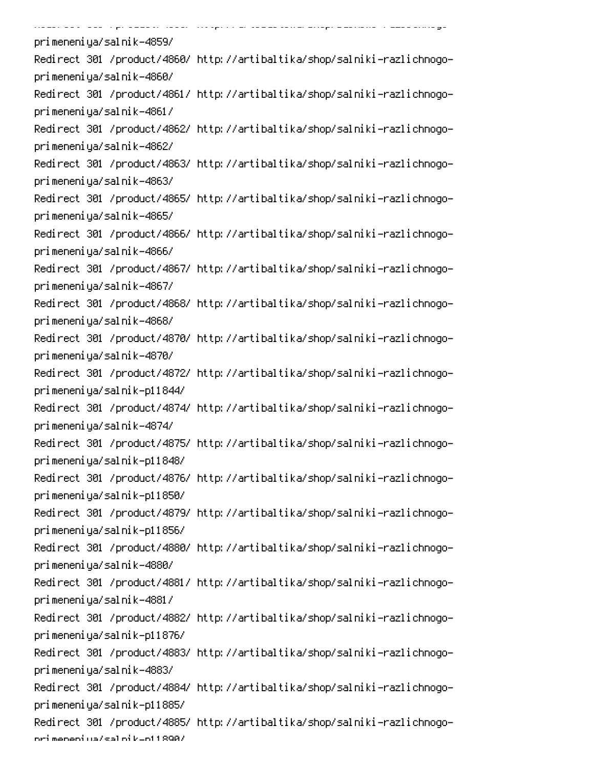| states and the sign about states strongers are contracted belogs buildings in the constant |
|--------------------------------------------------------------------------------------------|
| primeneniya/salnik-4859/                                                                   |
| Redirect 301 /product/4860/ http://artibaltika/shop/salniki-razlichnogo-                   |
| primeneniya/salnik-4860/                                                                   |
| Redirect 301 /product/4861/ http://artibaltika/shop/salniki-razlichnogo-                   |
| primeneniya/salnik-4861/                                                                   |
| Redirect 301 /product/4862/ http://artibaltika/shop/salniki-razlichnogo-                   |
| primeneniya/salnik-4862/                                                                   |
| Redirect 301 /product/4863/ http://artibaltika/shop/salniki-razlichnogo-                   |
| primeneniya/salnik-4863/                                                                   |
| Redirect 301 /product/4865/ http://artibaltika/shop/salniki-razlichnogo-                   |
| primeneniya/salnik-4865/                                                                   |
| Redirect 301 /product/4866/ http://artibaltika/shop/salniki-razlichnogo-                   |
| primeneniya/salnik-4866/                                                                   |
| Redirect 301 /product/4867/ http://artibaltika/shop/salniki-razlichnogo-                   |
| primeneniya/salnik-4867/                                                                   |
| Redirect 301 /product/4868/ http://artibaltika/shop/salniki-razlichnogo-                   |
| primeneniya/salnik-4868/                                                                   |
| Redirect 301 /product/4870/ http://artibaltika/shop/salniki-razlichnogo-                   |
| primeneniya/salnik-4870/                                                                   |
| Redirect 301 /product/4872/ http://artibaltika/shop/salniki-razlichnogo-                   |
| primeneniya/salnik-p11844/                                                                 |
| Redirect 301 /product/4874/ http://artibaltika/shop/salniki-razlichnogo-                   |
| primeneniya/salnik-4874/                                                                   |
| Redirect 301 /product/4875/ http://artibaltika/shop/salniki-razlichnogo-                   |
| primeneniya/salnik-p11848/                                                                 |
| Redirect 301 /product/4876/ http://artibaltika/shop/salniki-razlichnogo-                   |
| primeneniya/salnik-p11850/                                                                 |
| Redirect 301 /product/4879/ http://artibaltika/shop/salniki-razlichnogo-                   |
| primeneniya/salnik-p11856/                                                                 |
| Redirect 301 /product/4880/ http://artibaltika/shop/salniki-razlichnogo-                   |
| primeneniya/salnik-4880/                                                                   |
| Redirect 301 /product/4881/ http://artibaltika/shop/salniki-razlichnogo-                   |
| primeneniya/salnik-4881/                                                                   |
| Redirect 301 /product/4882/ http://artibaltika/shop/salniki-razlichnogo-                   |
| primeneniya/salnik-p11876/                                                                 |
| Redirect 301 /product/4883/ http://artibaltika/shop/salniki-razlichnogo-                   |
| primeneniya/salnik-4883/                                                                   |
| Redirect 301 /product/4884/ http://artibaltika/shop/salniki-razlichnogo-                   |
| primeneniya/salnik-p11885/                                                                 |
| Redirect 301 /product/4885/ http://artibaltika/shop/salniki-razlichnogo-                   |
| ori meneni ua/sal ni kuni 1898/                                                            |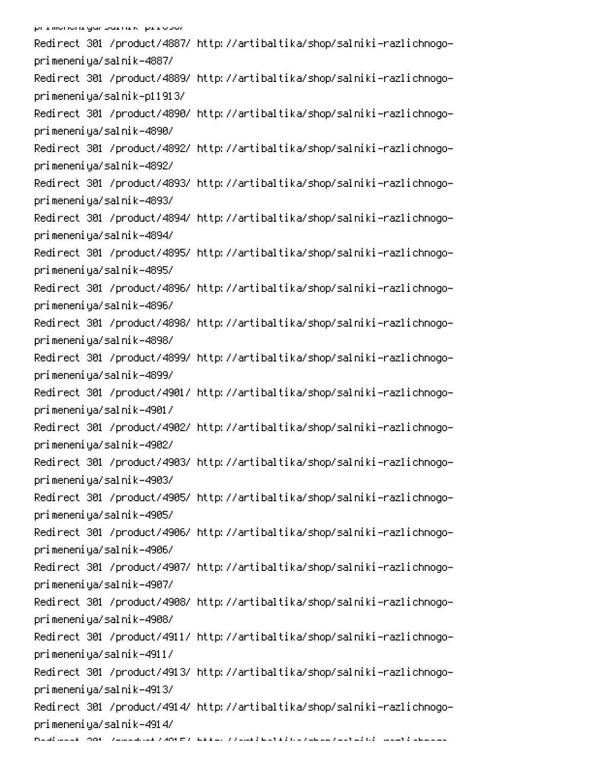Redirect 301 /product/4887/ http://artibaltika/shop/salniki-razlichnogoprimeneniya/salnik-4887/ Redirect 301 /product/4889/ http://artibaltika/shop/salniki-razlichnogoprimeneniya/salnik-p11913/ Redirect 301 /product/4890/ http://artibaltika/shop/salniki-razlichnogoprimeneniya/salnik-4890/ Redirect 301 /product/4892/ http://artibaltika/shop/salniki-razlichnogoprimeneniya/salnik-4892/ Redirect 301 /product/4893/ http://artibaltika/shop/salniki-razlichnogoprimeneniya/salnik-4893/ Redirect 301 /product/4894/ http://artibaltika/shop/salniki-razlichnogoprimeneniya/salnik-4894/ Redirect 301 /product/4895/ http://artibaltika/shop/salniki-razlichnogoprimeneniya/salnik-4895/ Redirect 301 /product/4896/ http://artibaltika/shop/salniki-razlichnogoprimeneniya/salnik-4896/ Redirect 301 /product/4898/ http://artibaltika/shop/salniki-razlichnogoprimeneniya/salnik-4898/ Redirect 301 /product/4899/ http://artibaltika/shop/salniki-razlichnogoprimeneniya/salnik-4899/ Redirect 301 /product/4901/ http://artibaltika/shop/salniki-razlichnogoprimeneniya/salnik-4901/ Redirect 301 /product/4902/ http://artibaltika/shop/salniki-razlichnogoprimeneniya/salnik-4902/ Redirect 301 /product/4903/ http://artibaltika/shop/salniki-razlichnogoprimeneniya/salnik-4903/ Redirect 301 /product/4905/ http://artibaltika/shop/salniki-razlichnogoprimeneniya/salnik-4905/ Redirect 301 /product/4906/ http://artibaltika/shop/salniki-razlichnogoprimeneniya/salnik-4906/ Redirect 301 /product/4907/ http://artibaltika/shop/salniki-razlichnogoprimeneniya/salnik-4907/ Redirect 301 /product/4908/ http://artibaltika/shop/salniki-razlichnogoprimeneniya/salnik-4908/ Redirect 301 /product/4911/ http://artibaltika/shop/salniki-razlichnogoprimeneniya/salnik-4911/ Redirect 301 /product/4913/ http://artibaltika/shop/salniki-razlichnogoprimeneniya/salnik-4913/ Redirect 301 /product/4914/ http://artibaltika/shop/salniki-razlichnogoprimeneniya/salnik-4914/ Daudi aansk (2006 - Zamandrosk Zubertz (1944 ar 22 mae it bref kij bre Zamana Zanet al bij "aanset indensmann"<br>.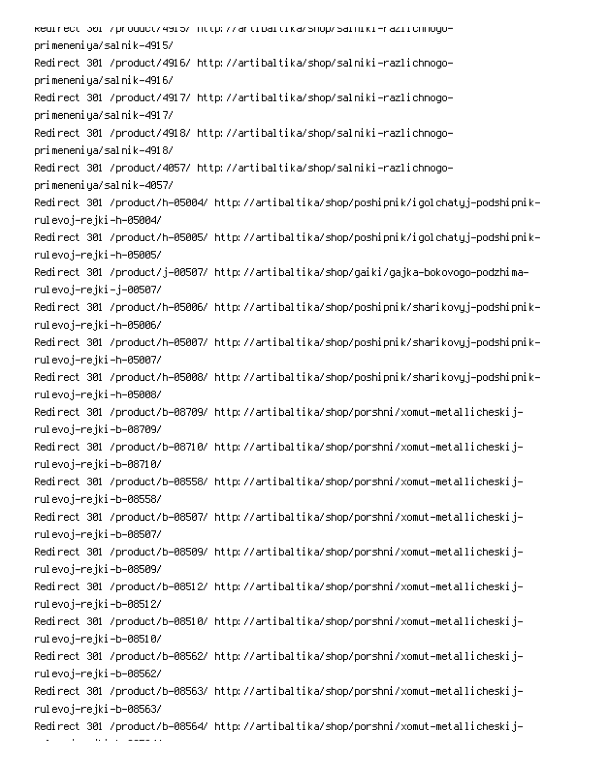kedirect 301 /product/4915/ http://artibaltika/shop/salniki-raziichnogoprimeneniya/salnik-4915/ Redirect 301 /product/4916/ http://artibaltika/shop/salniki-razlichnogoprimeneniya/salnik-4916/ Redirect 301 /product/4917/ http://artibaltika/shop/salniki-razlichnogoprimeneniya/salnik-4917/ Redirect 301 /product/4918/ http://artibaltika/shop/salniki-razlichnogoprimeneniya/salnik-4918/ Redirect 301 /product/4057/ http://artibaltika/shop/salniki-razlichnogoprimeneniya/salnik-4057/ -Redirect 301 /product/h-05004/ http://artibaltika/shop/poshipnik/igolchatyj-podshipnik rulevoj–rejki–h–05004/ -Redirect 301 /product/h-05005/ http://artibaltika/shop/poshipnik/igolchatyj-podshipnik rulevoj–rejki–h–05005/ Redirect 301 /product/j-00507/ http://artibaltika/shop/gaiki/gajka-bokovogo-podzhimarulevoj–rejki–j–00507/ -Redirect 301 /product/h-05006/ http://artibaltika/shop/poshipnik/sharikovyj-podshipnik rulevoj–rejki–h–05006/ -Redirect 301 /product/h-05007/ http://artibaltika/shop/poshipnik/sharikovyj-podshipnik rulevoj–rejki–h–05007/ -Redirect 301 /product/h-05008/ http://artibaltika/shop/poshipnik/sharikovyj-podshipnik rulevoj–rejki–h–05008/ Redirect 301 /product/b-08709/ http://artibaltika/shop/porshni/xomut-metallicheskijrulevoj–rejki–b–08709/ Redirect 301 /product/b-08710/ http://artibaltika/shop/porshni/xomut-metallicheskijrulevoj–rejki–b–08710/ Redirect 301 /product/b-08558/ http://artibaltika/shop/porshni/xomut-metallicheskijrulevoj–rejki–b–08558/ Redirect 301 /product/b-08507/ http://artibaltika/shop/porshni/xomut-metallicheskijrulevoj–rejki–b–08507/ Redirect 301 /product/b-08509/ http://artibaltika/shop/porshni/xomut-metallicheskijrulevoj–rejki–b–08509/ Redirect 301 /product/b-08512/ http://artibaltika/shop/porshni/xomut-metallicheskijrulevoj–rejki–b–08512/ Redirect 301 /product/b-08510/ http://artibaltika/shop/porshni/xomut-metallicheskijrulevoj–rejki–b–08510/ Redirect 301 /product/b-08562/ http://artibaltika/shop/porshni/xomut-metallicheskijrulevoj–rejki–b–08562/ Redirect 301 /product/b-08563/ http://artibaltika/shop/porshni/xomut-metallicheskijrulevoj–rejki–b–08563/ Redirect 301 /product/b-08564/ http://artibaltika/shop/porshni/xomut-metallicheskij-

Monte de la Cartella<br>Monte de la Cartella

00ADR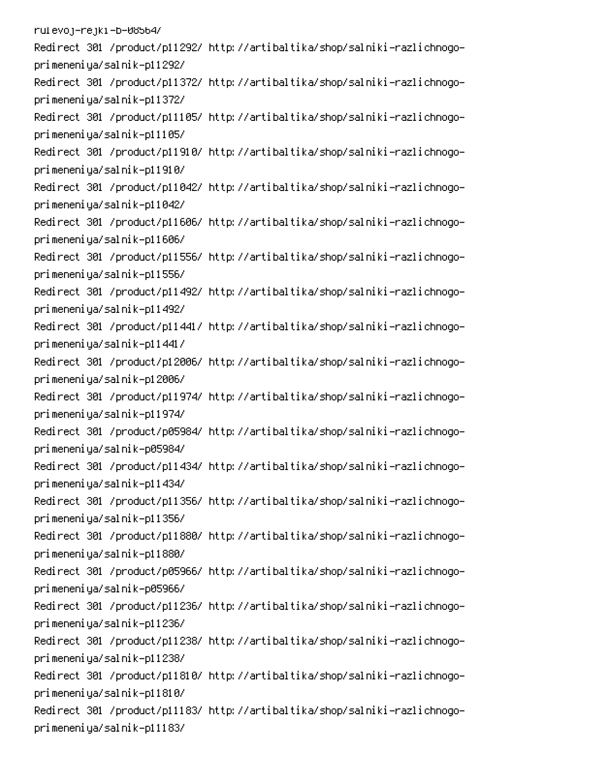rulevoj-rejki-b-08564/ Redirect 301 /product/p11292/ http://artibaltika/shop/salniki-razlichnogoprimeneniya/salnik-p11292/ Redirect 301 /product/p11372/ http://artibaltika/shop/salniki-razlichnogoprimeneniya/salnik-p11372/ Redirect 301 /product/p11105/ http://artibaltika/shop/salniki-razlichnogoprimeneniya/salnik-p11105/ Redirect 301 /product/p11910/ http://artibaltika/shop/salniki-razlichnogoprimeneniya/salnik-p11910/ Redirect 301 /product/p11042/ http://artibaltika/shop/salniki-razlichnogoprimeneniya/salnik-p11042/ Redirect 301 /product/p11606/ http://artibaltika/shop/salniki-razlichnogoprimeneniya/salnik-p11606/ Redirect 301 /product/p11556/ http://artibaltika/shop/salniki-razlichnogoprimeneniya/salnik-p11556/ Redirect 301 /product/p11492/ http://artibaltika/shop/salniki-razlichnogoprimeneniya/salnik-p11492/ Redirect 301 /product/p11441/ http://artibaltika/shop/salniki-razlichnogoprimeneniya/salnik-p11441/ Redirect 301 /product/p12006/ http://artibaltika/shop/salniki-razlichnogoprimeneniya/salnik-p12006/ Redirect 301 /product/p11974/ http://artibaltika/shop/salniki-razlichnogoprimeneniya/salnik-p11974/ Redirect 301 /product/p05984/ http://artibaltika/shop/salniki-razlichnogoprimeneniya/salnik-p05984/ Redirect 301 /product/p11434/ http://artibaltika/shop/salniki-razlichnogoprimeneniya/salnik-p11434/ Redirect 301 /product/p11356/ http://artibaltika/shop/salniki-razlichnogoprimeneniya/salnik-p11356/ Redirect 301 /product/p11880/ http://artibaltika/shop/salniki-razlichnogoprimeneniya/salnik-p11880/ Redirect 301 /product/p05966/ http://artibaltika/shop/salniki-razlichnogoprimeneniya/salnik-p05966/ Redirect 301 /product/p11236/ http://artibaltika/shop/salniki-razlichnogoprimeneniya/salnik-p11236/ Redirect 301 /product/p11238/ http://artibaltika/shop/salniki-razlichnogoprimeneniya/salnik-p11238/ Redirect 301 /product/p11810/ http://artibaltika/shop/salniki-razlichnogoprimeneniya/salnik-p11810/ Redirect 301 /product/p11183/ http://artibaltika/shop/salniki-razlichnogoprimeneniya/salnik-p11183/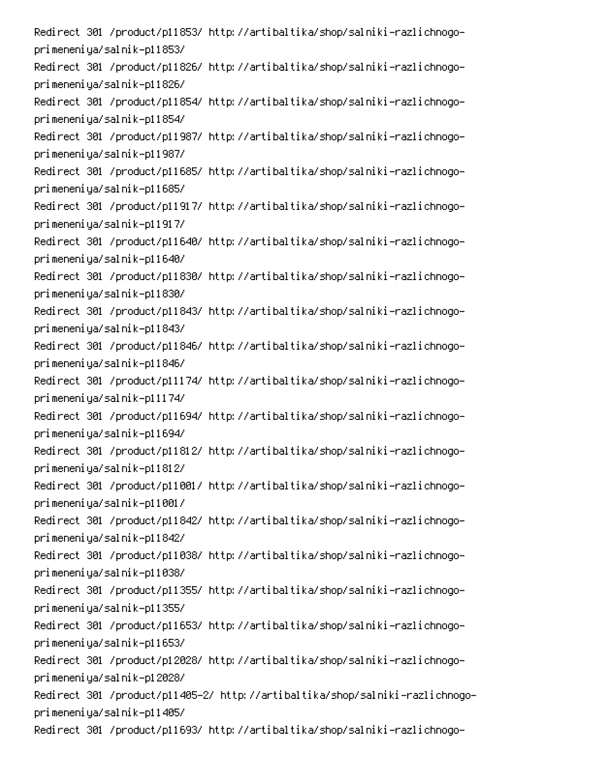Redirect 301 /product/p11853/ http://artibaltika/shop/salniki-razlichnogoprimeneniya/salnik-p11853/ Redirect 301 /product/p11826/ http://artibaltika/shop/salniki-razlichnogoprimeneniya/salnik-p11826/ Redirect 301 /product/p11854/ http://artibaltika/shop/salniki-razlichnogoprimeneniya/salnik-p11854/ Redirect 301 /product/p11987/ http://artibaltika/shop/salniki-razlichnogoprimeneniya/salnik-p11987/ Redirect 301 /product/p11685/ http://artibaltika/shop/salniki-razlichnogoprimeneniya/salnik-p11685/ Redirect 301 /product/p11917/ http://artibaltika/shop/salniki-razlichnogoprimeneniya/salnik-p11917/ Redirect 301 /product/p11640/ http://artibaltika/shop/salniki-razlichnogoprimeneniya/salnik-p11640/ Redirect 301 /product/p11830/ http://artibaltika/shop/salniki-razlichnogoprimeneniya/salnik-p11830/ Redirect 301 /product/p11843/ http://artibaltika/shop/salniki-razlichnogoprimeneniya/salnik-p11843/ Redirect 301 /product/p11846/ http://artibaltika/shop/salniki-razlichnogoprimeneniya/salnik-p11846/ Redirect 301 /product/p11174/ http://artibaltika/shop/salniki-razlichnogoprimeneniya/salnik-p11174/ Redirect 301 /product/p11694/ http://artibaltika/shop/salniki-razlichnogoprimeneniya/salnik-p11694/ Redirect 301 /product/p11812/ http://artibaltika/shop/salniki-razlichnogoprimeneniya/salnik-p11812/ Redirect 301 /product/p11001/ http://artibaltika/shop/salniki-razlichnogoprimeneniya/salnik-p11001/ Redirect 301 /product/p11842/ http://artibaltika/shop/salniki-razlichnogoprimeneniya/salnik-p11842/ Redirect 301 /product/p11038/ http://artibaltika/shop/salniki-razlichnogoprimeneniya/salnik-p11038/ Redirect 301 /product/p11355/ http://artibaltika/shop/salniki-razlichnogoprimeneniya/salnik-p11355/ Redirect 301 /product/p11653/ http://artibaltika/shop/salniki-razlichnogoprimeneniya/salnik-p11653/ Redirect 301 /product/p12028/ http://artibaltika/shop/salniki-razlichnogoprimeneniya/salnik-p12028/ Redirect 301 /product/p11405–2/ http://artibaltika/shop/salniki-razlichnogoprimeneniya/salnik-p11405/ Redirect 301 /product/p11693/ http://artibaltika/shop/salniki-razlichnogo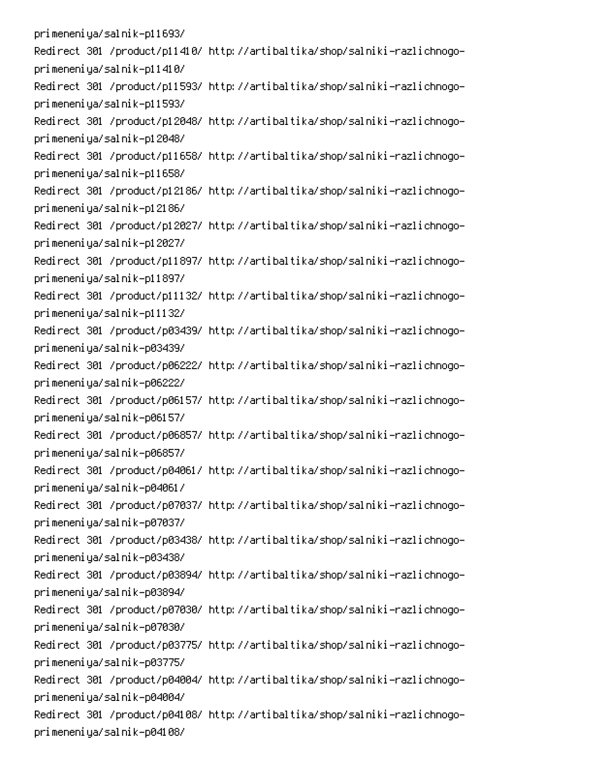primeneniya/salnik-p11693/ Redirect 301 /product/p11410/ http://artibaltika/shop/salniki-razlichnogoprimeneniya/salnik-p11410/ Redirect 301 /product/p11593/ http://artibaltika/shop/salniki-razlichnogoprimeneniya/salnik-p11593/ Redirect 301 /product/p12048/ http://artibaltika/shop/salniki-razlichnogoprimeneniya/salnik-p12048/ Redirect 301 /product/p11658/ http://artibaltika/shop/salniki-razlichnogoprimeneniya/salnik-p11658/ Redirect 301 /product/p12186/ http://artibaltika/shop/salniki-razlichnogoprimeneniya/salnik-p12186/ Redirect 301 /product/p12027/ http://artibaltika/shop/salniki-razlichnogoprimeneniya/salnik-p12027/ Redirect 301 /product/p11897/ http://artibaltika/shop/salniki-razlichnogoprimeneniya/salnik-p11897/ Redirect 301 /product/p11132/ http://artibaltika/shop/salniki-razlichnogoprimeneniya/salnik-p11132/ Redirect 301 /product/p03439/ http://artibaltika/shop/salniki-razlichnogoprimeneniya/salnik-p03439/ Redirect 301 /product/p06222/ http://artibaltika/shop/salniki-razlichnogoprimeneniya/salnik-p06222/ Redirect 301 /product/p06157/ http://artibaltika/shop/salniki-razlichnogoprimeneniya/salnik-p06157/ Redirect 301 /product/p06857/ http://artibaltika/shop/salniki-razlichnogoprimeneniya/salnik-p06857/ Redirect 301 /product/p04061/ http://artibaltika/shop/salniki-razlichnogoprimeneniya/salnik-p04061/ Redirect 301 /product/p07037/ http://artibaltika/shop/salniki-razlichnogoprimeneniya/salnik-p07037/ Redirect 301 /product/p03438/ http://artibaltika/shop/salniki-razlichnogoprimeneniya/salnik-p03438/ Redirect 301 /product/p03894/ http://artibaltika/shop/salniki-razlichnogoprimeneniya/salnik-p03894/ Redirect 301 /product/p07030/ http://artibaltika/shop/salniki-razlichnogoprimeneniya/salnik-p07030/ Redirect 301 /product/p03775/ http://artibaltika/shop/salniki-razlichnogoprimeneniya/salnik-p03775/ Redirect 301 /product/p04004/ http://artibaltika/shop/salniki-razlichnogoprimeneniya/salnik-p04004/ Redirect 301 /product/p04108/ http://artibaltika/shop/salniki-razlichnogoprimeneniya/salnik-p04108/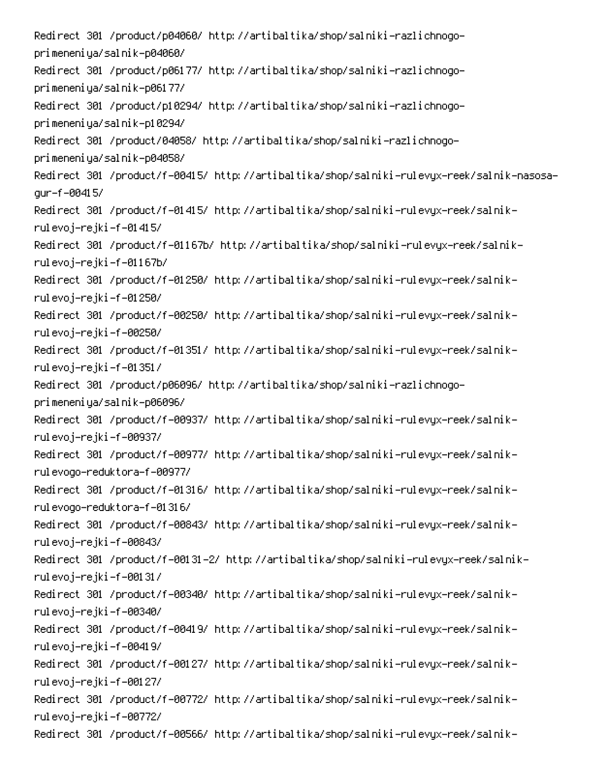Redirect 301 /product/p04060/ http://artibaltika/shop/salniki-razlichnogoprimeneniya/salnik-p04060/ Redirect 301 /product/p06177/ http://artibaltika/shop/salniki-razlichnogoprimeneniya/salnik-p06177/ Redirect 301 /product/p10294/ http://artibaltika/shop/salniki-razlichnogoprimeneniya/salnik-p10294/ Redirect 301 /product/04058/ http://artibaltika/shop/salniki-razlichnogoprimeneniya/salnik-p04058/ Redirect 301 /product/f-00415/ http://artibaltika/shop/salniki-rulevyx-reek/salnik-nasosaqur-f-00415/ -Redirect 301 /product/f-01415/ http://artibaltika/shop/salniki-rulevyx-reek/salnik rulevoj–rejki–f–01415/ -Redirect 301 /product/f-01167b/ http://artibaltika/shop/salniki-rulevyx-reek/salnik rulevoj–rejki–f–01167b/ -Redirect 301 /product/f-01250/ http://artibaltika/shop/salniki-rulevyx-reek/salnik rulevoj–rejki–f–01250/ -Redirect 301 /product/f-00250/ http://artibaltika/shop/salniki-rulevyx-reek/salnik rulevoj–rejki–f–00250/ -Redirect 301 /product/f-01351/ http://artibaltika/shop/salniki-rulevyx-reek/salnik rulevoj–rejki–f–01351/ Redirect 301 /product/p06096/ http://artibaltika/shop/salniki-razlichnogoprimeneniya/salnik-p06096/ -Redirect 301 /product/f-00937/ http://artibaltika/shop/salniki-rulevyx-reek/salnik rulevoj–rejki–f–00937/ -Redirect 301 /product/f-00977/ http://artibaltika/shop/salniki-rulevyx-reek/salnik rul evogo-reduktora-f-00977/ -Redirect 301 /product/f-01316/ http://artibaltika/shop/salniki-rulevyx-reek/salnik rul evogo-reduktora-f-01316/ -Redirect 301 /product/f-00843/ http://artibaltika/shop/salniki-rulevyx-reek/salnik rulevoj–rejki–f–00843/ -Redirect 301 /product/f-00131-2/ http://artibaltika/shop/salniki-rulevyx-reek/salnik rulevoj–rejki–f–00131/ -Redirect 301 /product/f-00340/ http://artibaltika/shop/salniki-rulevyx-reek/salnik rulevoj–rejki–f–00340/ -Redirect 301 /product/f-00419/ http://artibaltika/shop/salniki-rulevyx-reek/salnik rulevoj–rejki–f–00419/ -Redirect 301 /product/f-00127/ http://artibaltika/shop/salniki-rulevyx-reek/salnik rulevoj–rejki–f–00127/ -Redirect 301 /product/f-00772/ http://artibaltika/shop/salniki-rulevyx-reek/salnik rulevoj–rejki–f–00772/ -Redirect 301 /product/f-00566/ http://artibaltika/shop/salniki-rulevyx-reek/salnik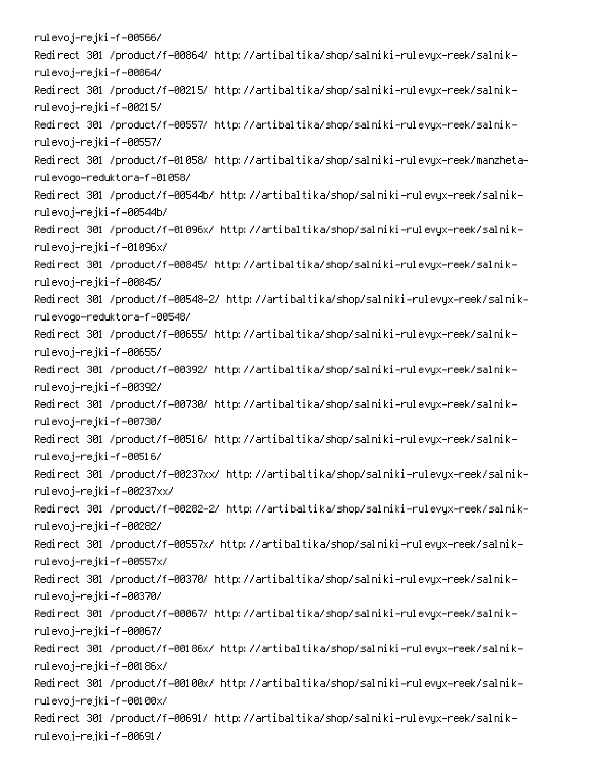rulevoj–rejki–f–00566/ -Redirect 301 /product/f-00864/ http://artibaltika/shop/salniki-rulevyx-reek/salnik rulevoj–rejki–f–00864/ -Redirect 301 /product/f-00215/ http://artibaltika/shop/salniki-rulevyx-reek/salnik rulevoj–rejki–f–00215/ -Redirect 301 /product/f-00557/ http://artibaltika/shop/salniki-rulevyx-reek/salnik rulevoj–rejki–f–00557/ Redirect 301 /product/f-01058/ http://artibaltika/shop/salniki-rulevyx-reek/manzhetarulevogo-reduktora-f-01058/ -Redirect 301 /product/f-00544b/ http://artibaltika/shop/salniki-rulevyx-reek/salnik rulevoj–rejki–f–00544b/ -Redirect 301 /product/f-01096x/ http://artibaltika/shop/salniki-rulevyx-reek/salnik rulevoj–rejki–f–01096x/ -Redirect 301 /product/f-00845/ http://artibaltika/shop/salniki-rulevyx-reek/salnik rulevoj–rejki–f–00845/ Redirect 301 /product/f-00548-2/ http://artibaltika/shop/salniki-rulevyx-reek/salnikrulevogo-reduktora-f-00548/ -Redirect 301 /product/f-00655/ http://artibaltika/shop/salniki-rulevyx-reek/salnik rulevoj–rejki–f–00655/ -Redirect 301 /product/f-00392/ http://artibaltika/shop/salniki-rulevyx-reek/salnik rulevoj–rejki–f–00392/ -Redirect 301 /product/f-00730/ http://artibaltika/shop/salniki-rulevyx-reek/salnik rulevoj–rejki–f–00730/ -Redirect 301 /product/f-00516/ http://artibaltika/shop/salniki-rulevyx-reek/salnik rulevoj–rejki–f–00516/ -Redirect 301 /product/f-00237xx/ http://artibaltika/shop/salniki-rulevyx-reek/salnik rulevoj–rejki–f–00237xx/ Redirect 301 /product/f-00282-2/ http://artibaltika/shop/salniki-rulevyx-reek/salnikrulevoj–rejki–f–00282/ -Redirect 301 /product/f-00557x/ http://artibaltika/shop/salniki-rulevyx-reek/salnik rulevoj–rejki–f–00557x/ -Redirect 301 /product/f-00370/ http://artibaltika/shop/salniki-rulevyx-reek/salnik rulevoj–rejki–f–00370/ -Redirect 301 /product/f-00067/ http://artibaltika/shop/salniki-rulevyx-reek/salnik rulevoj–rejki–f–00067/ -Redirect 301 /product/f-00186x/ http://artibaltika/shop/salniki-rulevyx-reek/salnik rulevoj–rejki–f–00186x/ -Redirect 301 /product/f-00100x/ http://artibaltika/shop/salniki-rulevyx-reek/salnik rulevoj–rejki–f–00100x/ -Redirect 301 /product/f-00691/ http://artibaltika/shop/salniki-rulevyx-reek/salnik rulevoj–rejki–f–00691/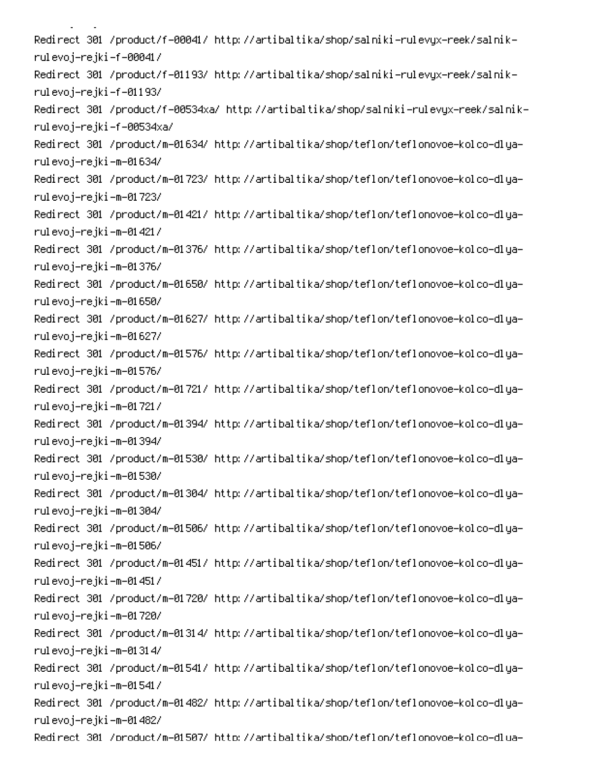M<sub>0</sub>M<sub>0</sub>M<sub>0</sub> -Redirect 301 /product/f-00041/ http://artibaltika/shop/salniki-rulevyx-reek/salnik rulevoj–rejki–f–00041/ -Redirect 301 /product/f-01193/ http://artibaltika/shop/salniki-rulevyx-reek/salnik rulevoj–rejki–f–01193/ -Redirect 301 /product/f-00534xa/ http://artibaltika/shop/salniki-rulevyx-reek/salnik rulevoj-rejki-f-00534xa/ Redirect 301 /product/m-01634/ http://artibaltika/shop/teflon/teflonovoe-kolco-dlyarulevoj–rejki–m–01634/ Redirect 301 /product/m-01723/ http://artibaltika/shop/teflon/teflonovoe-kolco-dlyarulevoj–rejki–m–01723/ Redirect 301 /product/m-01421/ http://artibaltika/shop/teflon/teflonovoe-kolco-dlyarulevoj–rejki–m–01421/ Redirect 301 /product/m-01376/ http://artibaltika/shop/teflon/teflonovoe-kolco-dlyarulevoj–rejki–m–01376/ Redirect 301 /product/m-01650/ http://artibaltika/shop/teflon/teflonovoe-kolco-dlyarulevoj–rejki–m–01650/ Redirect 301 /product/m-01627/ http://artibaltika/shop/teflon/teflonovoe-kolco-dlyarulevoj–rejki–m–01627/ Redirect 301 /product/m-01576/ http://artibaltika/shop/teflon/teflonovoe-kolco-dlyarulevoj–rejki–m–01576/ Redirect 301 /product/m-01721/ http://artibaltika/shop/teflon/teflonovoe-kolco-dlyarulevoj–rejki–m–01721/ Redirect 301 /product/m-01394/ http://artibaltika/shop/teflon/teflonovoe-kolco-dlyarulevoj–rejki–m–01394/ Redirect 301 /product/m-01530/ http://artibaltika/shop/teflon/teflonovoe-kolco-dlyarulevoj–rejki–m–01530/ -Redirect 301 /product/m-01304/ http://artibaltika/shop/teflon/teflonovoe-kolco-dlya rulevoj–rejki–m–01304/ Redirect 301 /product/m-01506/ http://artibaltika/shop/teflon/teflonovoe-kolco-dlyarulevoj–rejki–m–01506/ -Redirect 301 /product/m-01451/ http://artibaltika/shop/teflon/teflonovoe-kolco-dlya rulevoj–rejki–m–01451/ Redirect 301 /product/m-01720/ http://artibaltika/shop/teflon/teflonovoe-kolco-dlyarulevoj–rejki–m–01720/ -Redirect 301 /product/m-01314/ http://artibaltika/shop/teflon/teflonovoe-kolco-dlya rulevoj–rejki–m–01314/ Redirect 301 /product/m-01541/ http://artibaltika/shop/teflon/teflonovoe-kolco-dlyarulevoj–rejki–m–01541/ Redirect 301 /product/m-01482/ http://artibaltika/shop/teflon/teflonovoe-kolco-dlyarulevoj–rejki–m–01482/ -Redirect 301 /product/m-01507/ http://artibaltika/shop/teflon/teflonovoe-kolco-dlua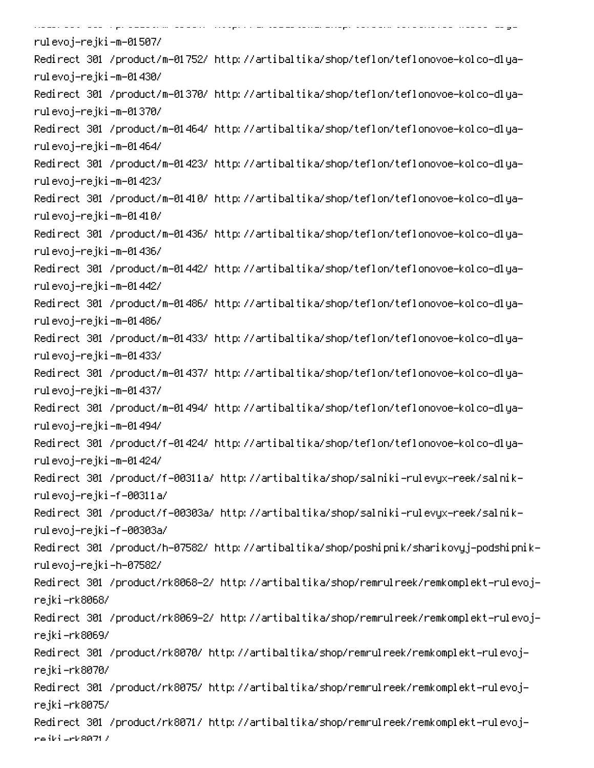.<br>State for the special continues of the special continues and the special continues and the special continues of rulevoj–rejki–m–01507/ -Redirect 301 /product/m-01752/ http://artibaltika/shop/teflon/teflonovoe-kolco-dlya rulevoj−rejki–m–01430/ -Redirect 301 /product/m-01370/ http://artibaltika/shop/teflon/teflonovoe-kolco-dlya rulevoj–rejki–m–01370/ -Redirect 301 /product/m-01464/ http://artibaltika/shop/teflon/teflonovoe-kolco-dlya rulevoj−rejki−m−01464/ -Redirect 301 /product/m-01423/ http://artibaltika/shop/teflon/teflonovoe-kolco-dlya rulevoj−rejki−m−01423/ -Redirect 301 /product/m-01410/ http://artibaltika/shop/teflon/teflonovoe-kolco-dlya rulevoj–rejki–m–01410/ -Redirect 301 /product/m-01436/ http://artibaltika/shop/teflon/teflonovoe-kolco-dlya rulevoj−rejki–m–01436/ -Redirect 301 /product/m-01442/ http://artibaltika/shop/teflon/teflonovoe-kolco-dlya rulevoj−rejki−m−01442/ -Redirect 301 /product/m-01486/ http://artibaltika/shop/teflon/teflonovoe-kolco-dlya rulevoj−rejki–m–01486/ -Redirect 301 /product/m-01433/ http://artibaltika/shop/teflon/teflonovoe-kolco-dlya rulevoj−rejki–m–01433/ -Redirect 301 /product/m-01437/ http://artibaltika/shop/teflon/teflonovoe-kolco-dlya rulevoj−rejki–m–01437/ -Redirect 301 /product/m-01494/ http://artibaltika/shop/teflon/teflonovoe-kolco-dlya rulevoj−rejki–m–01494/ -Redirect 301 /product/f-01424/ http://artibaltika/shop/teflon/teflonovoe-kolco-dlya rulevoj−rejki−m−01424/ -Redirect 301 /product/f-00311a/ http://artibaltika/shop/salniki-rulevyx-reek/salnik rulevoj-rejki-f-00311a/ -Redirect 301 /product/f-00303a/ http://artibaltika/shop/salniki-rulevyx-reek/salnik rulevoj-rejki-f-00303a/ -Redirect 301 /product/h-07582/ http://artibaltika/shop/poshipnik/sharikovyj-podshipnik rulevoj–rejki–h–07582/ Redirect 301 /product/rk8068–2/ http://artibaltika/shop/remrulreek/remkomplekt-rulevojrejki–rk8068/ Redirect 301 /product/rk8069–2/ http://artibaltika/shop/remrulreek/remkomplekt-rulevojrejki–rk8069/ Redirect 301 /product/rk8070/ http://artibaltika/shop/remrulreek/remkomplekt-rulevojrejki–rk8070/ Redirect 301 /product/rk8075/ http://artibaltika/shop/remrulreek/remkomplekt-rulevojrejki-rk8075/ Redirect 301 /product/rk8071/ http://artibaltika/shop/remrulreek/remkomplekt-rulevojrejki <mark>-rk</mark>80717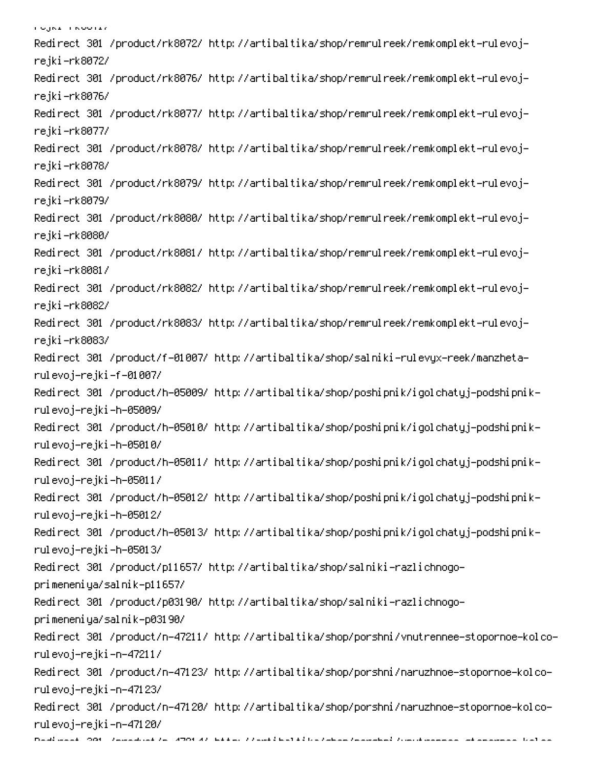ו סטאורי געט <mark>ווי</mark> Redirect 301 /product/rk8072/ http://artibaltika/shop/remrulreek/remkomplekt-rulevojrejki–rk8072/ Redirect 301 /product/rk8076/ http://artibaltika/shop/remrulreek/remkomplekt-rulevojrejki–rk8076/ Redirect 301 /product/rk8077/ http://artibaltika/shop/remrulreek/remkomplekt-rulevojrejki–rk8077/ Redirect 301 /product/rk8078/ http://artibaltika/shop/remrulreek/remkomplekt-rulevojrejki–rk8078/ Redirect 301 /product/rk8079/ http://artibaltika/shop/remrulreek/remkomplekt-rulevojrejki–rk8079/ Redirect 301 /product/rk8080/ http://artibaltika/shop/remrulreek/remkomplekt-rulevojrejki–rk8080/ Redirect 301 /product/rk8081/ http://artibaltika/shop/remrulreek/remkomplekt-rulevojrejki–rk8081/ Redirect 301 /product/rk8082/ http://artibaltika/shop/remrulreek/remkomplekt-rulevojrejki–rk8082/ Redirect 301 /product/rk8083/ http://artibaltika/shop/remrulreek/remkomplekt-rulevojrejki–rk8083/ Redirect 301 /product/f-01007/ http://artibaltika/shop/salniki-rulevyx-reek/manzhetarulevoj–rejki–f–01007/ -Redirect 301 /product/h-05009/ http://artibaltika/shop/poshipnik/igolchatyj-podshipnik rulevoj–rejki–h–05009/ -Redirect 301 /product/h-05010/ http://artibaltika/shop/poshipnik/igolchatyj-podshipnik rulevoj–rejki–h–05010/ -Redirect 301 /product/h-05011/ http://artibaltika/shop/poshipnik/igolchatyj-podshipnik rulevoj–rejki–h–05011/ -Redirect 301 /product/h-05012/ http://artibaltika/shop/poshipnik/igolchatyj-podshipnik rulevoj–rejki–h–05012/ -Redirect 301 /product/h-05013/ http://artibaltika/shop/poshipnik/igolchatyj-podshipnik rulevoj–rejki–h–05013/ Redirect 301 /product/p11657/ http://artibaltika/shop/salniki-razlichnogoprimeneniya/salnik-p11657/ Redirect 301 /product/p03190/ http://artibaltika/shop/salniki-razlichnogoprimeneniya/salnik-p03190/ Redirect 301 /product/n-47211/ http://artibaltika/shop/porshni/vnutrennee-stopornoe-kolcorulevoj–rejki–n–47211/ Redirect 301 /product/n-47123/ http://artibaltika/shop/porshni/naruzhnoe-stopornoe-kolcorulevoj–rejki –n–47123/ Redirect 301 /product/n-47120/ http://artibaltika/shop/porshni/naruzhnoe-stopornoe-kolcorulevoj–rejki–n–47120/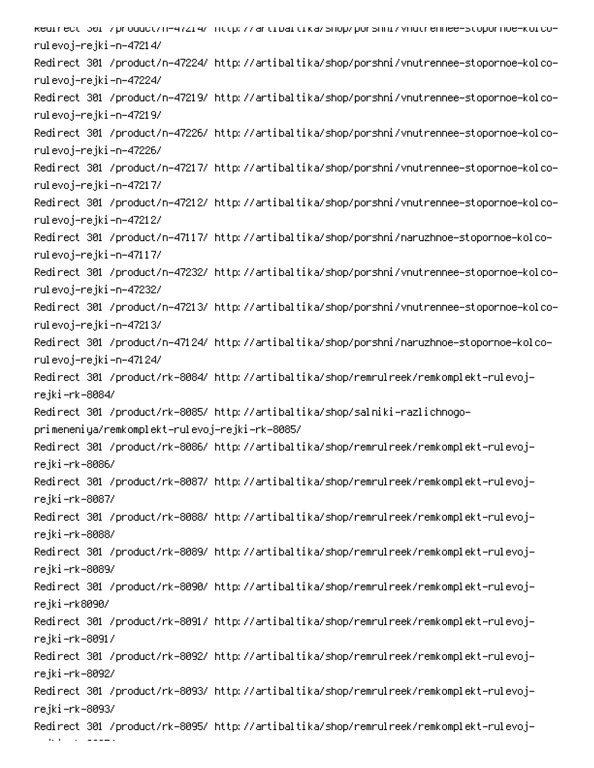kearrect 30r /product/n-472r4/ http://artroartika/shop/porshnr/vnutrennee-stopornoe-korcorulevoj–rejki –n–4721 4/ -Redirect 301 /product/n-47224/ http://artibaltika/shop/porshni/vnutrennee-stopornoe-kolco rulevoj–rejki–n–47224/ Redirect 301 /product/n-47219/ http://artibaltika/shop/porshni/vnutrennee-stopornoe-kolcorulevoj–rejki –n–47219/ Redirect 301 /product/n-47226/ http://artibaltika/shop/porshni/vnutrennee-stopornoe-kolcorulevoj–rejki–n–47226/ Redirect 301 /product/n-47217/ http://artibaltika/shop/porshni/vnutrennee-stopornoe-kolcorulevoj–rejki –n–47217/ Redirect 301 /product/n-47212/ http://artibaltika/shop/porshni/vnutrennee-stopornoe-kolcorulevoj–rejki–n–47212/ Redirect 301 /product/n-47117/ http://artibaltika/shop/porshni/naruzhnoe-stopornoe-kolcorulevoj–rejki–n–47117/ Redirect 301 /product/n-47232/ http://artibaltika/shop/porshni/vnutrennee-stopornoe-kolcorulevoj–rejki–n–47232/ Redirect 301 /product/n-47213/ http://artibaltika/shop/porshni/vnutrennee-stopornoe-kolcorulevoj–rejki –n–47213/ Redirect 301 /product/n-47124/ http://artibaltika/shop/porshni/naruzhnoe-stopornoe-kolcorulevoj–rejki–n–47124/ Redirect 301 /product/rk-8084/ http://artibaltika/shop/remrulreek/remkomplekt-rulevojrejki-rk-8084/ Redirect 301 /product/rk-8085/ http://artibaltika/shop/salniki-razlichnogoprimeneniya/remkomplekt-rulevoj-rejki-rk-8085/ Redirect 301 /product/rk-8086/ http://artibaltika/shop/remrulreek/remkomplekt-rulevojrejki-rk-8086/ Redirect 301 /product/rk-8087/ http://artibaltika/shop/remrulreek/remkomplekt-rulevojrejki-rk-8087/ Redirect 301 /product/rk-8088/ http://artibaltika/shop/remrulreek/remkomplekt-rulevojrejki-rk-8088/ Redirect 301 /product/rk-8089/ http://artibaltika/shop/remrulreek/remkomplekt-rulevojrejki-rk-8089/ Redirect 301 /product/rk-8090/ http://artibaltika/shop/remrulreek/remkomplekt-rulevojrejki–rk8090/ Redirect 301 /product/rk-8091/ http://artibaltika/shop/remrulreek/remkomplekt-rulevojrejki-rk-8091/ Redirect 301 /product/rk-8092/ http://artibaltika/shop/remrulreek/remkomplekt-rulevojrejki-rk-8092/ Redirect 301 /product/rk-8093/ http://artibaltika/shop/remrulreek/remkomplekt-rulevojrejki-rk-8093/ Redirect 301 /product/rk-8095/ http://artibaltika/shop/remrulreek/remkomplekt-rulevoj-M

 $\overline{\phantom{a}}$  0.450  $\overline{\phantom{a}}$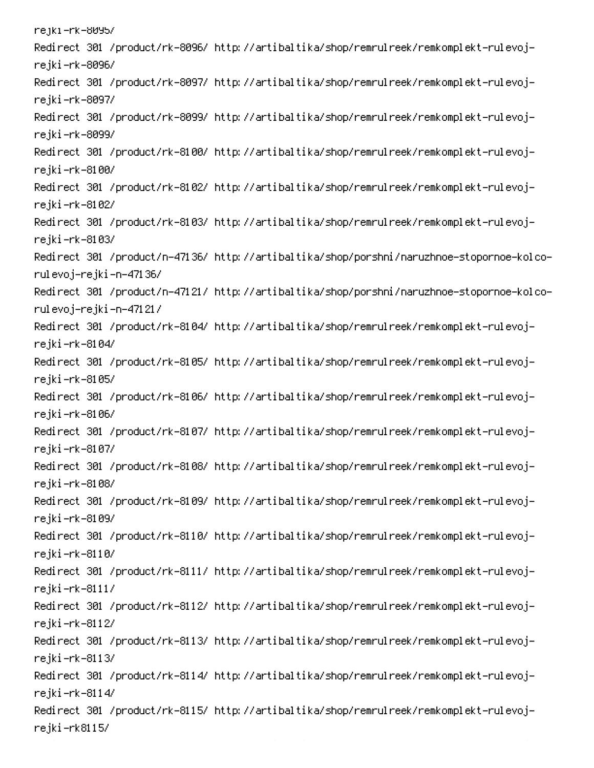rejki –rk–8095/ Redirect 301 /product/rk-8096/ http://artibaltika/shop/remrulreek/remkomplekt-rulevojrejki-rk-8096/ Redirect 301 /product/rk-8097/ http://artibaltika/shop/remrulreek/remkomplekt-rulevojrejki-rk-8097/ Redirect 301 /product/rk-8099/ http://artibaltika/shop/remrulreek/remkomplekt-rulevojrejki-rk-8099/ Redirect 301 /product/rk-8100/ http://artibaltika/shop/remrulreek/remkomplekt-rulevojrejki–rk–8100/ Redirect 301 /product/rk-8102/ http://artibaltika/shop/remrulreek/remkomplekt-rulevojrejki-rk-8102/ Redirect 301 /product/rk-8103/ http://artibaltika/shop/remrulreek/remkomplekt-rulevojrejki–rk–8103/ -Redirect 301 /product/n-47136/ http://artibaltika/shop/porshni/naruzhnoe-stopornoe-kolco rulevoj–rejki–n–47136/ -Redirect 301 /product/n-47121/ http://artibaltika/shop/porshni/naruzhnoe-stopornoe-kolco rulevoj–rejki–n–47121/ Redirect 301 /product/rk-8104/ http://artibaltika/shop/remrulreek/remkomplekt-rulevojrejki-rk-8104/ Redirect 301 /product/rk-8105/ http://artibaltika/shop/remrulreek/remkomplekt-rulevojrejki-rk-8105/ Redirect 301 /product/rk-8106/ http://artibaltika/shop/remrulreek/remkomplekt-rulevojrejki-rk-8106/ Redirect 301 /product/rk-8107/ http://artibaltika/shop/remrulreek/remkomplekt-rulevojrejki-rk-8107/ Redirect 301 /product/rk-8108/ http://artibaltika/shop/remrulreek/remkomplekt-rulevojrejki-rk-8108/ Redirect 301 /product/rk-8109/ http://artibaltika/shop/remrulreek/remkomplekt-rulevojrejki-rk-8109/ Redirect 301 /product/rk-8110/ http://artibaltika/shop/remrulreek/remkomplekt-rulevojrejki–rk–8110/ Redirect 301 /product/rk-8111/ http://artibaltika/shop/remrulreek/remkomplekt-rulevojrejki-rk-8111/ Redirect 301 /product/rk-8112/ http://artibaltika/shop/remrulreek/remkomplekt-rulevojrejki-rk-8112/ Redirect 301 /product/rk-8113/ http://artibaltika/shop/remrulreek/remkomplekt-rulevojrejki-rk-8113/ Redirect 301 /product/rk-8114/ http://artibaltika/shop/remrulreek/remkomplekt-rulevojrejki-rk-8114/ Redirect 301 /product/rk-8115/ http://artibaltika/shop/remrulreek/remkomplekt-rulevojrejki-rk8115/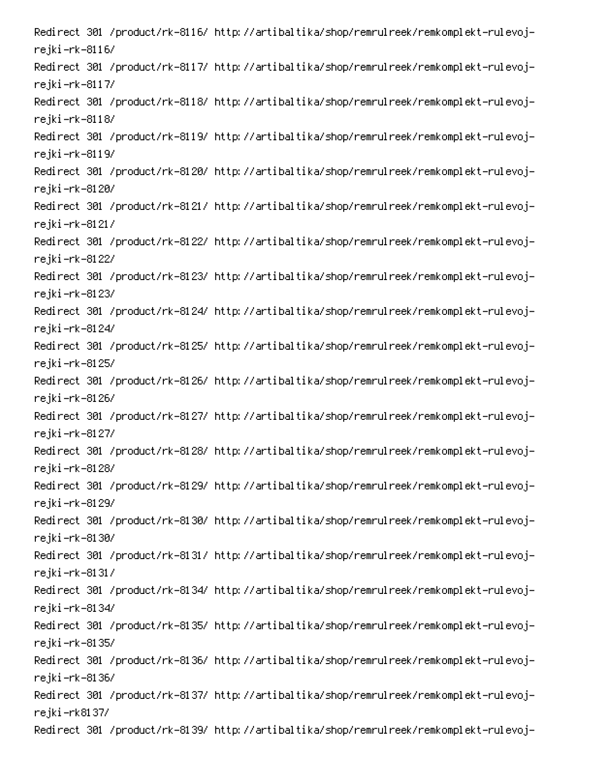Redirect 301 /product/rk-8116/ http://artibaltika/shop/remrulreek/remkomplekt-rulevojrejki-rk-8116/ Redirect 301 /product/rk-8117/ http://artibaltika/shop/remrulreek/remkomplekt-rulevojrejki-rk-8117/ Redirect 301 /product/rk-8118/ http://artibaltika/shop/remrulreek/remkomplekt-rulevojrejki-rk-8118/ Redirect 301 /product/rk-8119/ http://artibaltika/shop/remrulreek/remkomplekt-rulevojrejki-rk-8119/ Redirect 301 /product/rk-8120/ http://artibaltika/shop/remrulreek/remkomplekt-rulevojrejki-rk-8120/ Redirect 301 /product/rk-8121/ http://artibaltika/shop/remrulreek/remkomplekt-rulevojrejki-rk-8121/ Redirect 301 /product/rk-8122/ http://artibaltika/shop/remrulreek/remkomplekt-rulevojrejki-rk-8122/ Redirect 301 /product/rk-8123/ http://artibaltika/shop/remrulreek/remkomplekt-rulevojrejki –rk–8123/ Redirect 301 /product/rk-8124/ http://artibaltika/shop/remrulreek/remkomplekt-rulevojrejki –rk–8124/ Redirect 301 /product/rk-8125/ http://artibaltika/shop/remrulreek/remkomplekt-rulevojrejki –rk–8125/ Redirect 301 /product/rk-8126/ http://artibaltika/shop/remrulreek/remkomplekt-rulevojrejki –rk–8126/ Redirect 301 /product/rk-8127/ http://artibaltika/shop/remrulreek/remkomplekt-rulevojrejki –rk–8127/ Redirect 301 /product/rk-8128/ http://artibaltika/shop/remrulreek/remkomplekt-rulevojrejki –rk–8128/ Redirect 301 /product/rk-8129/ http://artibaltika/shop/remrulreek/remkomplekt-rulevojrejki –rk–8129/ Redirect 301 /product/rk-8130/ http://artibaltika/shop/remrulreek/remkomplekt-rulevojrejki-rk-8130/ Redirect 301 /product/rk-8131/ http://artibaltika/shop/remrulreek/remkomplekt-rulevojrejki-rk-8131/ Redirect 301 /product/rk-8134/ http://artibaltika/shop/remrulreek/remkomplekt-rulevojrejki –rk–8134/ Redirect 301 /product/rk-8135/ http://artibaltika/shop/remrulreek/remkomplekt-rulevojrejki –rk–8135/ Redirect 301 /product/rk-8136/ http://artibaltika/shop/remrulreek/remkomplekt-rulevojrejki-rk-8136/ Redirect 301 /product/rk-8137/ http://artibaltika/shop/remrulreek/remkomplekt-rulevojrejki –rk8137/ Redirect 301 /product/rk-8139/ http://artibaltika/shop/remrulreek/remkomplekt-rulevoj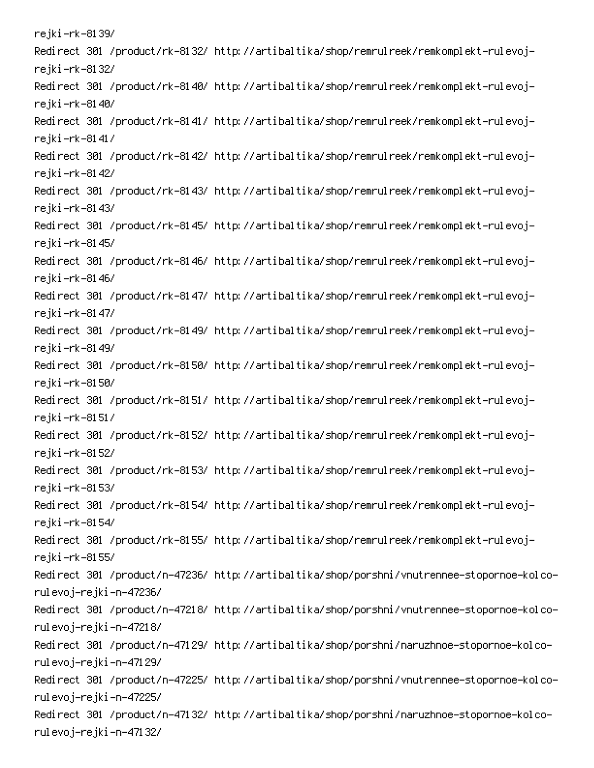rejki –rk–8139/ Redirect 301 /product/rk-8132/ http://artibaltika/shop/remrulreek/remkomplekt-rulevojrejki –rk–8132/ Redirect 301 /product/rk-8140/ http://artibaltika/shop/remrulreek/remkomplekt-rulevojrejki-rk-8140/ Redirect 301 /product/rk-8141/ http://artibaltika/shop/remrulreek/remkomplekt-rulevojrejki-rk-8141/ Redirect 301 /product/rk-8142/ http://artibaltika/shop/remrulreek/remkomplekt-rulevojrejki-rk-8142/ Redirect 301 /product/rk-8143/ http://artibaltika/shop/remrulreek/remkomplekt-rulevojrejki –rk–81 43/ Redirect 301 /product/rk-8145/ http://artibaltika/shop/remrulreek/remkomplekt-rulevojrejki –rk–81 45/ Redirect 301 /product/rk-8146/ http://artibaltika/shop/remrulreek/remkomplekt-rulevojrejki-rk-8146/ Redirect 301 /product/rk-8147/ http://artibaltika/shop/remrulreek/remkomplekt-rulevojrejki –rk–81 47/ Redirect 301 /product/rk-8149/ http://artibaltika/shop/remrulreek/remkomplekt-rulevojrejki –rk–81 49/ Redirect 301 /product/rk-8150/ http://artibaltika/shop/remrulreek/remkomplekt-rulevojrejki-rk-8150/ Redirect 301 /product/rk-8151/ http://artibaltika/shop/remrulreek/remkomplekt-rulevojrejki-rk-8151/ Redirect 301 /product/rk-8152/ http://artibaltika/shop/remrulreek/remkomplekt-rulevojrejki –rk–8152/ Redirect 301 /product/rk-8153/ http://artibaltika/shop/remrulreek/remkomplekt-rulevojrejki –rk–8153/ Redirect 301 /product/rk-8154/ http://artibaltika/shop/remrulreek/remkomplekt-rulevojrejki –rk–8154/ Redirect 301 /product/rk-8155/ http://artibaltika/shop/remrulreek/remkomplekt-rulevojrejki –rk–8155/ Redirect 301 /product/n-47236/ http://artibaltika/shop/porshni/vnutrennee-stopornoe-kolcorulevoj–rejki–n–47236/ Redirect 301 /product/n-47218/ http://artibaltika/shop/porshni/vnutrennee-stopornoe-kolcorulevoj–rejki–n–47218/ Redirect 301 /product/n-47129/ http://artibaltika/shop/porshni/naruzhnoe-stopornoe-kolcorulevoj–rejki –n–47129/ Redirect 301 /product/n-47225/ http://artibaltika/shop/porshni/vnutrennee-stopornoe-kolcorulevoj–rejki–n–47225/ Redirect 301 /product/n-47132/ http://artibaltika/shop/porshni/naruzhnoe-stopornoe-kolcorulevoj–rejki –n–47132/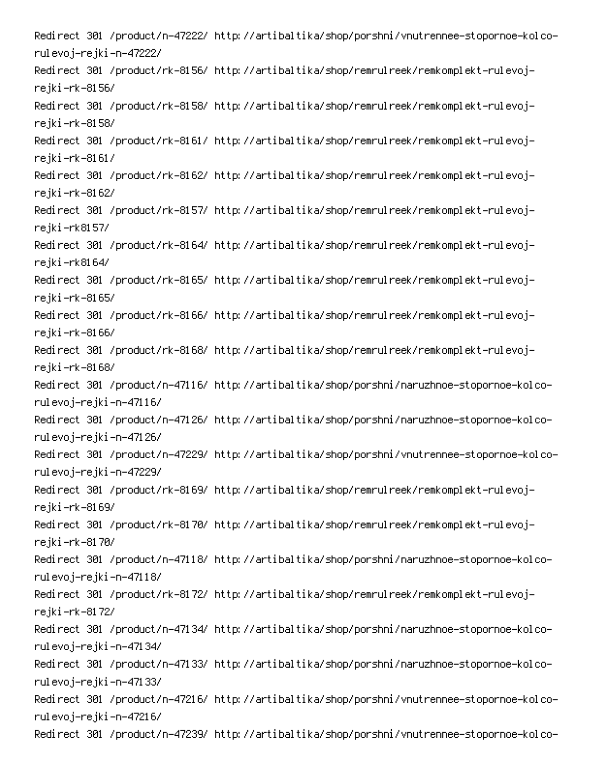-Redirect 301 /product/n-47222/ http://artibaltika/shop/porshni/vnutrennee-stopornoe-kolco rulevoj–rejki–n–47222/ Redirect 301 /product/rk-8156/ http://artibaltika/shop/remrulreek/remkomplekt-rulevojrejki-rk-8156/ Redirect 301 /product/rk-8158/ http://artibaltika/shop/remrulreek/remkomplekt-rulevojrejki-rk-8158/ Redirect 301 /product/rk-8161/ http://artibaltika/shop/remrulreek/remkomplekt-rulevojrejki-rk-8161/ Redirect 301 /product/rk-8162/ http://artibaltika/shop/remrulreek/remkomplekt-rulevojrejki-rk-8162/ Redirect 301 /product/rk-8157/ http://artibaltika/shop/remrulreek/remkomplekt-rulevojrejki –rk8157/ Redirect 301 /product/rk-8164/ http://artibaltika/shop/remrulreek/remkomplekt-rulevojrejki-rk8164/ Redirect 301 /product/rk-8165/ http://artibaltika/shop/remrulreek/remkomplekt-rulevojrejki-rk-8165/ Redirect 301 /product/rk-8166/ http://artibaltika/shop/remrulreek/remkomplekt-rulevojrejki-rk-8166/ Redirect 301 /product/rk-8168/ http://artibaltika/shop/remrulreek/remkomplekt-rulevojrejki-rk-8168/ -Redirect 301 /product/n-47116/ http://artibaltika/shop/porshni/naruzhnoe-stopornoe-kolco rulevoj–rejki–n–47116/ -Redirect 301 /product/n-47126/ http://artibaltika/shop/porshni/naruzhnoe-stopornoe-kolco rulevoj–rejki–n–47126/ -Redirect 301 /product/n-47229/ http://artibaltika/shop/porshni/vnutrennee-stopornoe-kolco rulevoj–rejki–n–47229/ Redirect 301 /product/rk-8169/ http://artibaltika/shop/remrulreek/remkomplekt-rulevojrejki-rk-8169/ Redirect 301 /product/rk-8170/ http://artibaltika/shop/remrulreek/remkomplekt-rulevojrejki-rk-8170/ -Redirect 301 /product/n-47118/ http://artibaltika/shop/porshni/naruzhnoe-stopornoe-kolco rulevoj-rejki-n-47118/ Redirect 301 /product/rk-8172/ http://artibaltika/shop/remrulreek/remkomplekt-rulevojrejki –rk–81 72/ -Redirect 301 /product/n-47134/ http://artibaltika/shop/porshni/naruzhnoe-stopornoe-kolco rulevoj–rejki–n–47134/ -Redirect 301 /product/n-47133/ http://artibaltika/shop/porshni/naruzhnoe-stopornoe-kolco rulevoj–rejki –n–47133/ -Redirect 301 /product/n-47216/ http://artibaltika/shop/porshni/vnutrennee-stopornoe-kolco rulevoj–rejki–n–47216/ -Redirect 301 /product/n-47239/ http://artibaltika/shop/porshni/vnutrennee-stopornoe-kolco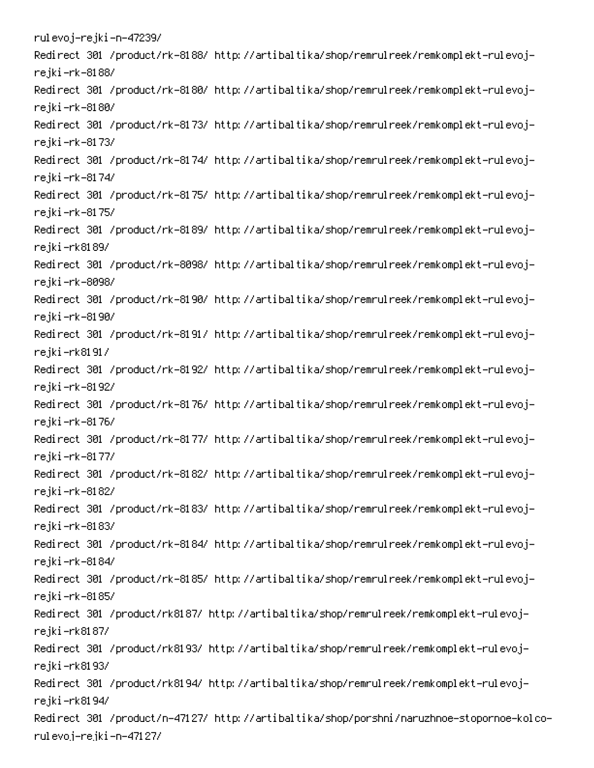rulevoj–rejki–n–47239/ Redirect 301 /product/rk-8188/ http://artibaltika/shop/remrulreek/remkomplekt-rulevojrejki-rk-8188/ Redirect 301 /product/rk-8180/ http://artibaltika/shop/remrulreek/remkomplekt-rulevojrejki-rk-8180/ Redirect 301 /product/rk-8173/ http://artibaltika/shop/remrulreek/remkomplekt-rulevojrejki –rk–81 73/ Redirect 301 /product/rk-8174/ http://artibaltika/shop/remrulreek/remkomplekt-rulevojrejki –rk–8174/ Redirect 301 /product/rk-8175/ http://artibaltika/shop/remrulreek/remkomplekt-rulevojrejki –rk–81 75/ Redirect 301 /product/rk-8189/ http://artibaltika/shop/remrulreek/remkomplekt-rulevojrejki–rk8189/ Redirect 301 /product/rk-8098/ http://artibaltika/shop/remrulreek/remkomplekt-rulevojrejki-rk-8098/ Redirect 301 /product/rk-8190/ http://artibaltika/shop/remrulreek/remkomplekt-rulevojrejki-rk-8190/ Redirect 301 /product/rk-8191/ http://artibaltika/shop/remrulreek/remkomplekt-rulevojrejki–rk8191/ Redirect 301 /product/rk-8192/ http://artibaltika/shop/remrulreek/remkomplekt-rulevojrejki-rk-8192/ Redirect 301 /product/rk-8176/ http://artibaltika/shop/remrulreek/remkomplekt-rulevojrejki –rk–81 76/ Redirect 301 /product/rk-8177/ http://artibaltika/shop/remrulreek/remkomplekt-rulevojrejki –rk–81 77/ Redirect 301 /product/rk-8182/ http://artibaltika/shop/remrulreek/remkomplekt-rulevojrejki-rk-8182/ Redirect 301 /product/rk-8183/ http://artibaltika/shop/remrulreek/remkomplekt-rulevojrejki –rk–8183/ Redirect 301 /product/rk-8184/ http://artibaltika/shop/remrulreek/remkomplekt-rulevojrejki-rk-8184/ Redirect 301 /product/rk-8185/ http://artibaltika/shop/remrulreek/remkomplekt-rulevojrejki –rk–8185/ Redirect 301 /product/rk8187/ http://artibaltika/shop/remrulreek/remkomplekt-rulevojrejki-rk8187/ Redirect 301 /product/rk8193/ http://artibaltika/shop/remrulreek/remkomplekt-rulevojrejki–rk8193/ Redirect 301 /product/rk8194/ http://artibaltika/shop/remrulreek/remkomplekt-rulevojrejki–rk8194/ Redirect 301 /product/n-47127/ http://artibaltika/shop/porshni/naruzhnoe-stopornoe-kolcorulevoj–rejki –n–47127/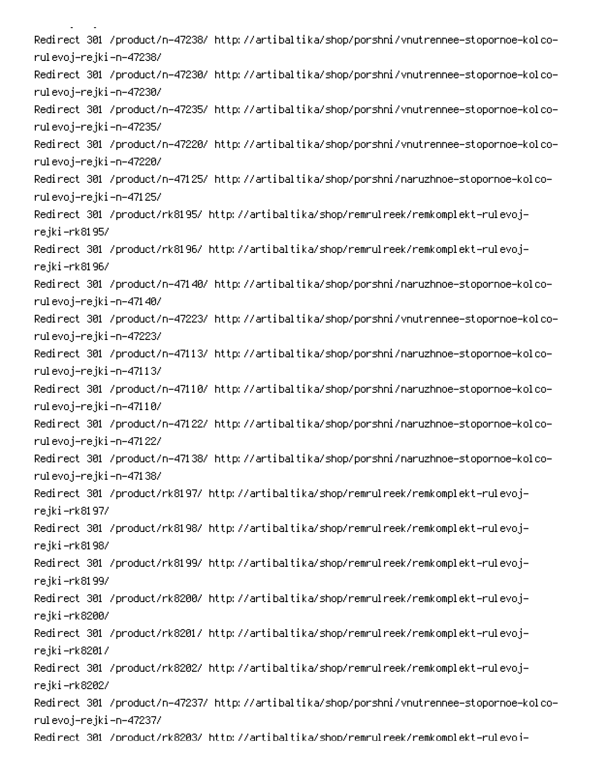Redirect 301 /product/n-47238/ http://artibaltika/shop/porshni/vnutrennee-stopornoe-kolcorulevoj–rejki–n–47238/ Redirect 301 /product/n-47230/ http://artibaltika/shop/porshni/vnutrennee-stopornoe-kolcorulevoj–rejki–n–47230/ Redirect 301 /product/n-47235/ http://artibaltika/shop/porshni/vnutrennee-stopornoe-kolcorulevoj–rejki –n–47235/ -Redirect 301 /product/n-47220/ http://artibaltika/shop/porshni/vnutrennee-stopornoe-kolco rulevoj–rejki–n–47220/ Redirect 301 /product/n-47125/ http://artibaltika/shop/porshni/naruzhnoe-stopornoe-kolcorulevoj–rejki –n–47125/ Redirect 301 /product/rk8195/ http://artibaltika/shop/remrulreek/remkomplekt-rulevojrejki –rk8195/ Redirect 301 /product/rk8196/ http://artibaltika/shop/remrulreek/remkomplekt-rulevojrejki–rk8196/ Redirect 301 /product/n-47140/ http://artibaltika/shop/porshni/naruzhnoe-stopornoe-kolcorulevoj–rejki–n–47140/ Redirect 301 /product/n-47223/ http://artibaltika/shop/porshni/vnutrennee-stopornoe-kolcorulevoj–rejki –n–47223/ Redirect 301 /product/n-47113/ http://artibaltika/shop/porshni/naruzhnoe-stopornoe-kolcorulevoj–rejki–n–47113/ Redirect 301 /product/n-47110/ http://artibaltika/shop/porshni/naruzhnoe-stopornoe-kolcorulevoj–rejki–n–47110/ Redirect 301 /product/n-47122/ http://artibaltika/shop/porshni/naruzhnoe-stopornoe-kolcorulevoj–rejki–n–47122/ Redirect 301 /product/n-47138/ http://artibaltika/shop/porshni/naruzhnoe-stopornoe-kolcorulevoj–rejki–n–47138/ Redirect 301 /product/rk8197/ http://artibaltika/shop/remrulreek/remkomplekt-rulevojrejki–rk8197/ Redirect 301 /product/rk8198/ http://artibaltika/shop/remrulreek/remkomplekt-rulevojrejki–rk8198/ Redirect 301 /product/rk8199/ http://artibaltika/shop/remrulreek/remkomplekt-rulevojrejki–rk8199/ Redirect 301 /product/rk8200/ http://artibaltika/shop/remrulreek/remkomplekt-rulevojrejki–rk8200/ Redirect 301 /product/rk8201/ http://artibaltika/shop/remrulreek/remkomplekt-rulevojrejki–rk8201/ Redirect 301 /product/rk8202/ http://artibaltika/shop/remrulreek/remkomplekt-rulevojrejki–rk8202/ Redirect 301 /product/n-47237/ http://artibaltika/shop/porshni/vnutrennee-stopornoe-kolcorulevoj–rejki –n–47237/ Redirect 301 /product/rk8203/ http://artibaltika/shop/remrulreek/remkomplekt-rulevoi-

Monte de la Caraca.<br>Monte de la Caraca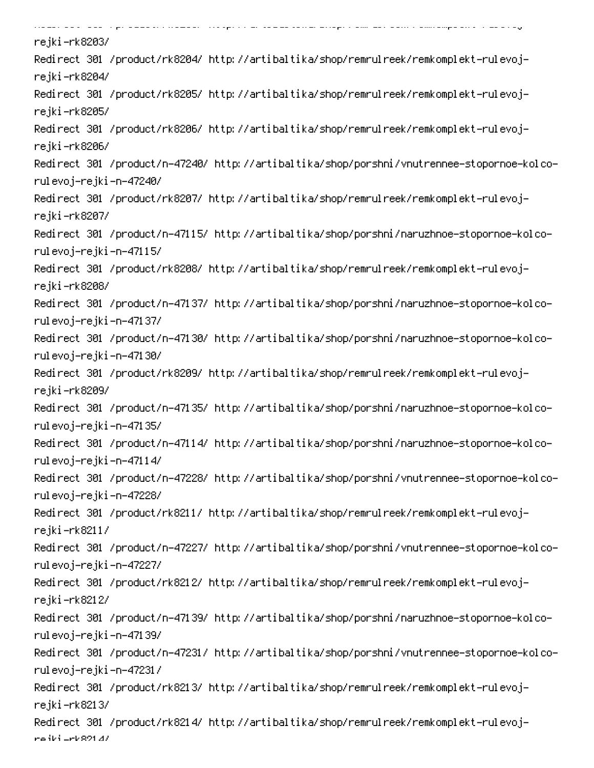dia and the special community of the second second second second second second second second second second second second second second second second second second second second second second second second second second sec .<br>Supra con un senso de construção do sem ser o securido no presenta a ser sauga. rejki–rk8203/ Redirect 301 /product/rk8204/ http://artibaltika/shop/remrulreek/remkomplekt-rulevojrejki–rk8204/ Redirect 301 /product/rk8205/ http://artibaltika/shop/remrulreek/remkomplekt-rulevojrejki-rk8205/ Redirect 301 /product/rk8206/ http://artibaltika/shop/remrulreek/remkomplekt-rulevojrejki-rk8206/ -Redirect 301 /product/n-47240/ http://artibaltika/shop/porshni/vnutrennee-stopornoe-kolco rulevoj–rejki–n–47240/ Redirect 301 /product/rk8207/ http://artibaltika/shop/remrulreek/remkomplekt-rulevojrejki-rk8207/ -Redirect 301 /product/n-47115/ http://artibaltika/shop/porshni/naruzhnoe-stopornoe-kolco rulevoj-rejki-n-47115/ Redirect 301 /product/rk8208/ http://artibaltika/shop/remrulreek/remkomplekt-rulevojrejki-rk8208/ -Redirect 301 /product/n-47137/ http://artibaltika/shop/porshni/naruzhnoe-stopornoe-kolco rulevoj–rejki –n–47137/ -Redirect 301 /product/n-47130/ http://artibaltika/shop/porshni/naruzhnoe-stopornoe-kolco rulevoj–rejki–n–47130/ Redirect 301 /product/rk8209/ http://artibaltika/shop/remrulreek/remkomplekt-rulevojrejki–rk8209/ -Redirect 301 /product/n-47135/ http://artibaltika/shop/porshni/naruzhnoe-stopornoe-kolco rulevoj-rejki-n-47135/ -Redirect 301 /product/n-47114/ http://artibaltika/shop/porshni/naruzhnoe-stopornoe-kolco rulevoj–rejki–n–47114/ -Redirect 301 /product/n-47228/ http://artibaltika/shop/porshni/vnutrennee-stopornoe-kolco rulevoj–rejki–n–47228/ Redirect 301 /product/rk8211/ http://artibaltika/shop/remrulreek/remkomplekt-rulevojrejki-rk8211/ -Redirect 301 /product/n-47227/ http://artibaltika/shop/porshni/vnutrennee-stopornoe-kolco rulevoj–rejki –n–47227/ Redirect 301 /product/rk8212/ http://artibaltika/shop/remrulreek/remkomplekt-rulevojrejki-rk8212/ -Redirect 301 /product/n-47139/ http://artibaltika/shop/porshni/naruzhnoe-stopornoe-kolco rulevoj–rejki –n–47139/ -Redirect 301 /product/n-47231/ http://artibaltika/shop/porshni/vnutrennee-stopornoe-kolco rulevoj–rejki–n–47231/ Redirect 301 /product/rk8213/ http://artibaltika/shop/remrulreek/remkomplekt-rulevojrejki-rk8213/ Redirect 301 /product/rk8214/ http://artibaltika/shop/remrulreek/remkomplekt-rulevojre iki <mark>-rk</mark>891 47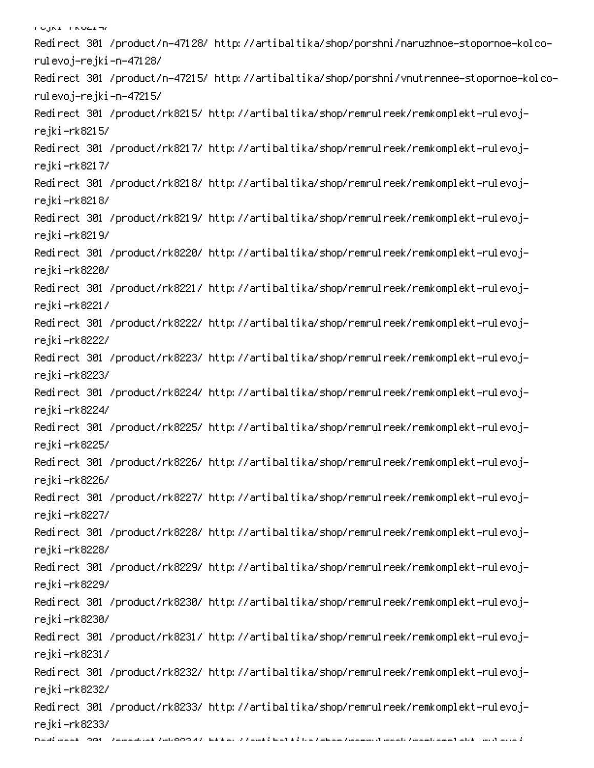אי בשטח ודי געבר.<br>אי Redirect 301 /product/n-47128/ http://artibaltika/shop/porshni/naruzhnoe-stopornoe-kolcorulevoj–rejki –n–47128/ Redirect 301 /product/n-47215/ http://artibaltika/shop/porshni/vnutrennee-stopornoe-kolcorulevoj–rejki –n–47215/ Redirect 301 /product/rk8215/ http://artibaltika/shop/remrulreek/remkomplekt-rulevojrejki-rk8215/ Redirect 301 /product/rk8217/ http://artibaltika/shop/remrulreek/remkomplekt-rulevojrejki-rk8217/ Redirect 301 /product/rk8218/ http://artibaltika/shop/remrulreek/remkomplekt-rulevojrejki-rk8218/ Redirect 301 /product/rk8219/ http://artibaltika/shop/remrulreek/remkomplekt-rulevojrejki–rk8219/ Redirect 301 /product/rk8220/ http://artibaltika/shop/remrulreek/remkomplekt-rulevojrejki–rk8220/ Redirect 301 /product/rk8221/ http://artibaltika/shop/remrulreek/remkomplekt-rulevojrejki-rk8221/ Redirect 301 /product/rk8222/ http://artibaltika/shop/remrulreek/remkomplekt-rulevojrejki–rk8222/ Redirect 301 /product/rk8223/ http://artibaltika/shop/remrulreek/remkomplekt-rulevojrejki–rk8223/ Redirect 301 /product/rk8224/ http://artibaltika/shop/remrulreek/remkomplekt-rulevojrejki–rk8224/ Redirect 301 /product/rk8225/ http://artibaltika/shop/remrulreek/remkomplekt-rulevojrejki-rk8225/ Redirect 301 /product/rk8226/ http://artibaltika/shop/remrulreek/remkomplekt-rulevojrejki–rk8226/ Redirect 301 /product/rk8227/ http://artibaltika/shop/remrulreek/remkomplekt-rulevojrejki-rk8227/ Redirect 301 /product/rk8228/ http://artibaltika/shop/remrulreek/remkomplekt-rulevojrejki-rk8228/ Redirect 301 /product/rk8229/ http://artibaltika/shop/remrulreek/remkomplekt-rulevojrejki–rk8229/ Redirect 301 /product/rk8230/ http://artibaltika/shop/remrulreek/remkomplekt-rulevojrejki–rk8230/ Redirect 301 /product/rk8231/ http://artibaltika/shop/remrulreek/remkomplekt-rulevojrejki-rk8231/ Redirect 301 /product/rk8232/ http://artibaltika/shop/remrulreek/remkomplekt-rulevojrejki–rk8232/ Redirect 301 /product/rk8233/ http://artibaltika/shop/remrulreek/remkomplekt-rulevojrejki–rk8233/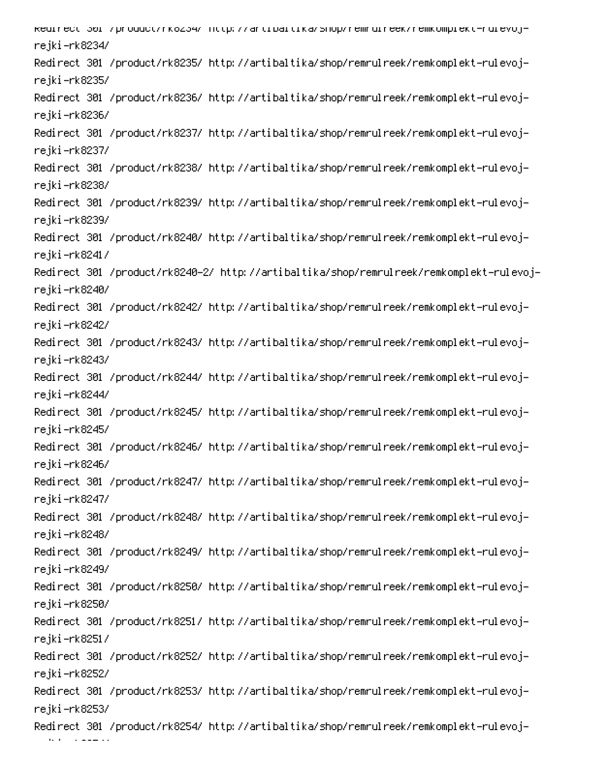kedirect 301 /product/rköz34/ nttp://artibaltika/shop/remruireek/remkomplekt-ruievojrejki–rk8234/ Redirect 301 /product/rk8235/ http://artibaltika/shop/remrulreek/remkomplekt-rulevojrejki-rk8235/ Redirect 301 /product/rk8236/ http://artibaltika/shop/remrulreek/remkomplekt-rulevojrejki–rk8236/ Redirect 301 /product/rk8237/ http://artibaltika/shop/remrulreek/remkomplekt-rulevojrejki-rk8237/ Redirect 301 /product/rk8238/ http://artibaltika/shop/remrulreek/remkomplekt-rulevojrejki–rk8238/ Redirect 301 /product/rk8239/ http://artibaltika/shop/remrulreek/remkomplekt-rulevojrejki–rk8239/ Redirect 301 /product/rk8240/ http://artibaltika/shop/remrulreek/remkomplekt-rulevojrejki–rk8241/ Redirect 301 /product/rk8240–2/ http://artibaltika/shop/remrulreek/remkomplekt-rulevojrejki–rk8240/ Redirect 301 /product/rk8242/ http://artibaltika/shop/remrulreek/remkomplekt-rulevojrejki–rk8242/ Redirect 301 /product/rk8243/ http://artibaltika/shop/remrulreek/remkomplekt-rulevojrejki–rk8243/ Redirect 301 /product/rk8244/ http://artibaltika/shop/remrulreek/remkomplekt-rulevojrejki–rk8244/ Redirect 301 /product/rk8245/ http://artibaltika/shop/remrulreek/remkomplekt-rulevojrejki-rk8245/ Redirect 301 /product/rk8246/ http://artibaltika/shop/remrulreek/remkomplekt-rulevojrejki–rk8246/ Redirect 301 /product/rk8247/ http://artibaltika/shop/remrulreek/remkomplekt-rulevojrejki-rk8247/ Redirect 301 /product/rk8248/ http://artibaltika/shop/remrulreek/remkomplekt-rulevojrejki–rk8248/ Redirect 301 /product/rk8249/ http://artibaltika/shop/remrulreek/remkomplekt-rulevojrejki–rk8249/ Redirect 301 /product/rk8250/ http://artibaltika/shop/remrulreek/remkomplekt-rulevojrejki–rk8250/ Redirect 301 /product/rk8251/ http://artibaltika/shop/remrulreek/remkomplekt-rulevojrejki-rk8251/ Redirect 301 /product/rk8252/ http://artibaltika/shop/remrulreek/remkomplekt-rulevojrejki-rk8252/ Redirect 301 /product/rk8253/ http://artibaltika/shop/remrulreek/remkomplekt-rulevojrejki-rk8253/ Redirect 301 /product/rk8254/ http://artibaltika/shop/remrulreek/remkomplekt-rulevoj-

M  $\overline{\phantom{a}}$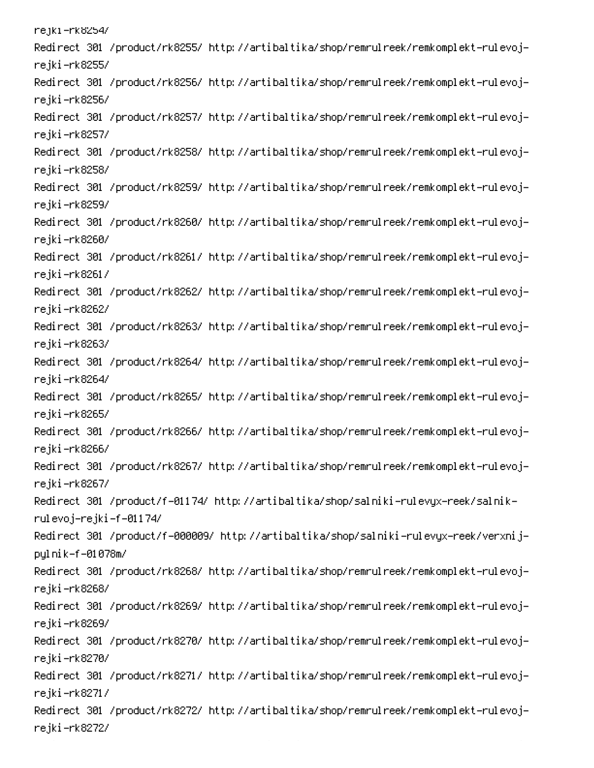rejki –rk8254/ Redirect 301 /product/rk8255/ http://artibaltika/shop/remrulreek/remkomplekt-rulevojrejki-rk8255/ Redirect 301 /product/rk8256/ http://artibaltika/shop/remrulreek/remkomplekt-rulevojrejki-rk8256/ Redirect 301 /product/rk8257/ http://artibaltika/shop/remrulreek/remkomplekt-rulevojrejki-rk8257/ Redirect 301 /product/rk8258/ http://artibaltika/shop/remrulreek/remkomplekt-rulevojrejki-rk8258/ Redirect 301 /product/rk8259/ http://artibaltika/shop/remrulreek/remkomplekt-rulevojrejki-rk8259/ Redirect 301 /product/rk8260/ http://artibaltika/shop/remrulreek/remkomplekt-rulevojrejki-rk8260/ Redirect 301 /product/rk8261/ http://artibaltika/shop/remrulreek/remkomplekt-rulevojrejki-rk8261/ Redirect 301 /product/rk8262/ http://artibaltika/shop/remrulreek/remkomplekt-rulevojrejki-rk8262/ Redirect 301 /product/rk8263/ http://artibaltika/shop/remrulreek/remkomplekt-rulevojrejki-rk8263/ Redirect 301 /product/rk8264/ http://artibaltika/shop/remrulreek/remkomplekt-rulevojrejki-rk8264/ Redirect 301 /product/rk8265/ http://artibaltika/shop/remrulreek/remkomplekt-rulevojrejki-rk8265/ Redirect 301 /product/rk8266/ http://artibaltika/shop/remrulreek/remkomplekt-rulevojrejki-rk8266/ Redirect 301 /product/rk8267/ http://artibaltika/shop/remrulreek/remkomplekt-rulevojrejki-rk8267/ -Redirect 301 /product/f-01174/ http://artibaltika/shop/salniki-rulevyx-reek/salnik rulevoj–rejki–f–01174/ Redirect 301 /product/f-000009/ http://artibaltika/shop/salniki-rulevyx-reek/verxnijpylnik-f-01078m/ Redirect 301 /product/rk8268/ http://artibaltika/shop/remrulreek/remkomplekt-rulevojrejki-rk8268/ Redirect 301 /product/rk8269/ http://artibaltika/shop/remrulreek/remkomplekt-rulevojrejki-rk8269/ Redirect 301 /product/rk8270/ http://artibaltika/shop/remrulreek/remkomplekt-rulevojrejki-rk8270/ Redirect 301 /product/rk8271/ http://artibaltika/shop/remrulreek/remkomplekt-rulevojrejki –rk8271/ Redirect 301 /product/rk8272/ http://artibaltika/shop/remrulreek/remkomplekt-rulevojrejki –rk8272/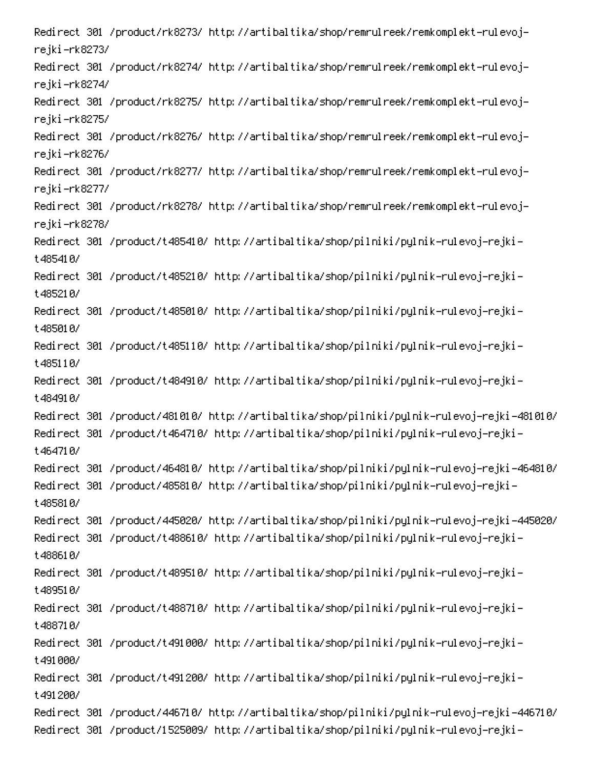Redirect 301 /product/rk8273/ http://artibaltika/shop/remrulreek/remkomplekt-rulevojrejki–rk8273/ Redirect 301 /product/rk8274/ http://artibaltika/shop/remrulreek/remkomplekt-rulevojrejki–rk8274/ Redirect 301 /product/rk8275/ http://artibaltika/shop/remrulreek/remkomplekt-rulevojrejki-rk8275/ Redirect 301 /product/rk8276/ http://artibaltika/shop/remrulreek/remkomplekt-rulevojrejki-rk8276/ Redirect 301 /product/rk8277/ http://artibaltika/shop/remrulreek/remkomplekt-rulevojrejki –rk8277/ Redirect 301 /product/rk8278/ http://artibaltika/shop/remrulreek/remkomplekt-rulevojrejki-rk8278/ Redirect 301 /product/t485410/ http://artibaltika/shop/pilniki/pylnik-rulevoj-rejki-**+48541 R/** Redirect 301 /product/t485210/ http://artibaltika/shop/pilniki/pylnik-rulevoj-rejkit485210/ Redirect 301 /product/t485010/ http://artibaltika/shop/pilniki/pylnik-rulevoj-rejki-**+485010/** Redirect 301 /product/t485110/ http://artibaltika/shop/pilniki/pylnik-rulevoj-rejkit485110/ Redirect 301 /product/t484910/ http://artibaltika/shop/pilniki/pylnik-rulevoj-rejkit484910/ /Redirect 301 /product/481010/ http://artibaltika/shop/pilniki/pylnik-rulevoj-rejki-481010 Redirect 301 /product/t464710/ http://artibaltika/shop/pilniki/pylnik-rulevoj-rejki**f 46471 R/** /Redirect 301 /product/464810/ http://artibaltika/shop/pilniki/pylnik-rulevoj-rejki-464810 Redirect 301 /product/485810/ http://artibaltika/shop/pilniki/pylnik-rulevoj-rejki- $A$ assa $D$ /Redirect 301 /product/445020/ http://artibaltika/shop/pilniki/pylnik-rulevoj-rejki-445020 Redirect 301 /product/t488610/ http://artibaltika/shop/pilniki/pylnik-rulevoj-rejkit488610/ Redirect 301 /product/t489510/ http://artibaltika/shop/pilniki/pylnik-rulevoj-rejkit489510/ Redirect 301 /product/t488710/ http://artibaltika/shop/pilniki/pylnik-rulevoj-rejki-**+4887187** Redirect 301 /product/t491000/ http://artibaltika/shop/pilniki/pylnik-rulevoj-rejkit491000/ Redirect 301 /product/t491200/ http://artibaltika/shop/pilniki/pylnik-rulevoj-rejkit 491 2007 /Redirect 301 /product/446710/ http://artibaltika/shop/pilniki/pylnik-rulevoj-rejki-446710 Redirect 301 /product/1525009/ http://artibaltika/shop/pilniki/pylnik-rulevoj-rejki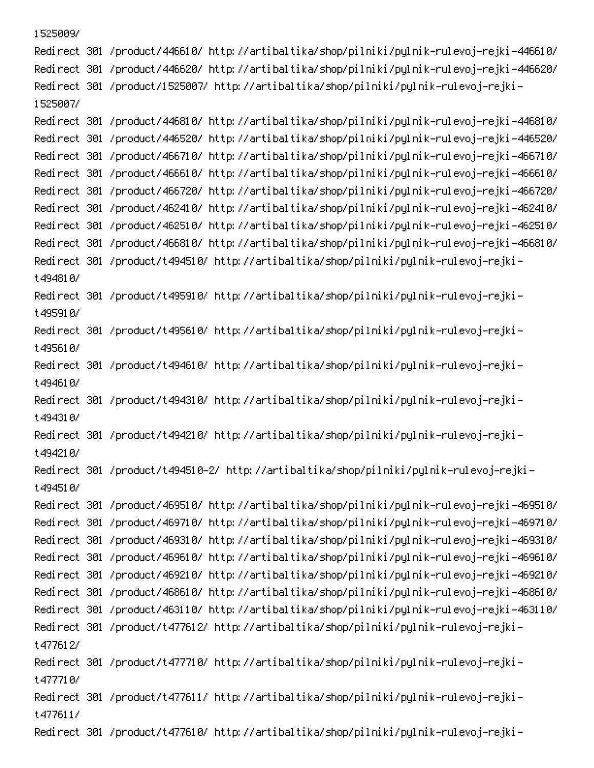1525009/ /Redirect 301 /product/446610/ http://artibaltika/shop/pilniki/pylnik-rulevoj-rejki-446610 /Redirect 301 /product/446620/ http://artibaltika/shop/pilniki/pylnik-rulevoj-rejki-446620 Redirect 301 /product/1525007/ http://artibaltika/shop/pilniki/pylnik-rulevoj-rejki-1525007/ /Redirect 301 /product/446810/ http://artibaltika/shop/pilniki/pylnik-rulevoj-rejki-446810 /Redirect 301 /product/446520/ http://artibaltika/shop/pilniki/pylnik-rulevoj-rejki-446520 /Redirect 301 /product/466710/ http://artibaltika/shop/pilniki/pylnik-rulevoj-rejki-466710 /Redirect 301 /product/466610/ http://artibaltika/shop/pilniki/pylnik-rulevoj-rejki-466610 /Redirect 301 /product/466720/ http://artibaltika/shop/pilniki/pylnik-rulevoj-rejki-466720 /Redirect 301 /product/462410/ http://artibaltika/shop/pilniki/pylnik-rulevoj-rejki-462410 /Redirect 301 /product/462510/ http://artibaltika/shop/pilniki/pylnik-rulevoj-rejki-462510 /Redirect 301 /product/466810/ http://artibaltika/shop/pilniki/pylnik-rulevoj-rejki-466810 Redirect 301 /product/t494510/ http://artibaltika/shop/pilniki/pylnik-rulevoj-rejkit494810/ Redirect 301 /product/t495910/ http://artibaltika/shop/pilniki/pylnik-rulevoj-rejkit495910/ Redirect 301 /product/t495610/ http://artibaltika/shop/pilniki/pylnik-rulevoj-rejkit495610/ Redirect 301 /product/t494610/ http://artibaltika/shop/pilniki/pylnik-rulevoj-rejkit494610/ Redirect 301 /product/t494310/ http://artibaltika/shop/pilniki/pylnik-rulevoj-rejkit494310/ Redirect 301 /product/t494210/ http://artibaltika/shop/pilniki/pylnik-rulevoj-rejkit494210/ -Redirect 301 /product/t494510-2/ http://artibaltika/shop/pilniki/pylnik-rulevoj-rejki t494510/ /Redirect 301 /product/469510/ http://artibaltika/shop/pilniki/pylnik-rulevoj-rejki-469510 /Redirect 301 /product/469710/ http://artibaltika/shop/pilniki/pylnik-rulevoj-rejki-469710 /Redirect 301 /product/469310/ http://artibaltika/shop/pilniki/pylnik-rulevoj-rejki-469310 /Redirect 301 /product/469610/ http://artibaltika/shop/pilniki/pylnik-rulevoj-rejki-469610 /Redirect 301 /product/469210/ http://artibaltika/shop/pilniki/pylnik-rulevoj-rejki-469210 /Redirect 301 /product/468610/ http://artibaltika/shop/pilniki/pylnik-rulevoj-rejki-468610 /Redirect 301 /product/463110/ http://artibaltika/shop/pilniki/pylnik-rulevoj-rejki-463110 Redirect 301 /product/t477612/ http://artibaltika/shop/pilniki/pylnik-rulevoj-rejkit477612/ -Redirect 301 /product/t477710/ http://artibaltika/shop/pilniki/pylnik-rulevoj-rejki t477710/ Redirect 301 /product/t477611/ http://artibaltika/shop/pilniki/pylnik-rulevoj-rejkit477611/ Redirect 301 /product/t477610/ http://artibaltika/shop/pilniki/pylnik-rulevoj-rejki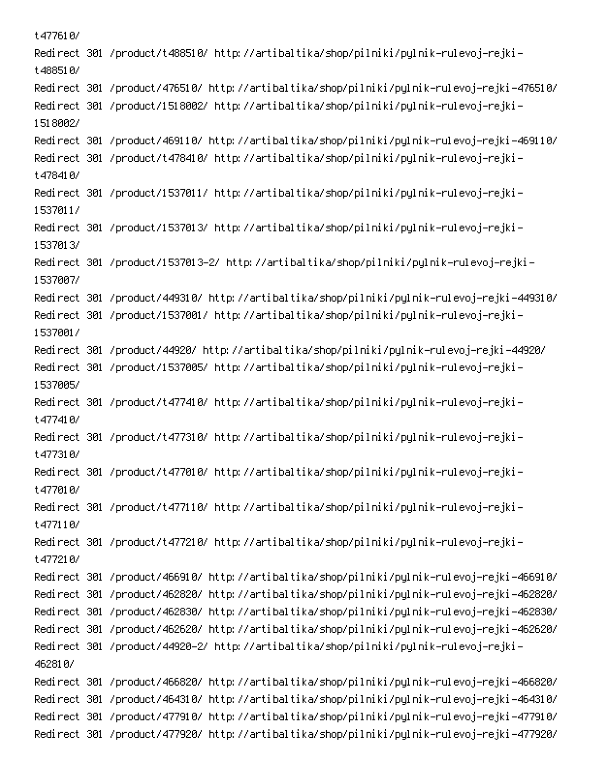t477610/ -Redirect 301 /product/t488510/ http://artibaltika/shop/pilniki/pylnik-rulevoj-rejki t488510/ /Redirect 301 /product/476510/ http://artibaltika/shop/pilniki/pylnik-rulevoj-rejki-476510 Redirect 301 /product/1518002/ http://artibaltika/shop/pilniki/pylnik-rulevoj-rejki-1518002/ /Redirect 301 /product/469110/ http://artibaltika/shop/pilniki/pylnik-rulevoj-rejki-469110 -Redirect 301 /product/t478410/ http://artibaltika/shop/pilniki/pylnik-rulevoj-rejki t478410/ Redirect 301 /product/1537011/ http://artibaltika/shop/pilniki/pylnik-rulevoj-rejki-15370117 Redirect 301 /product/1537013/ http://artibaltika/shop/pilniki/pylnik-rulevoj-rejki-1537013/ -Redirect 301 /product/1537013-2/ http://artibaltika/shop/pilniki/pylnik-rulevoj-rejki 1537007/ /Redirect 301 /product/449310/ http://artibaltika/shop/pilniki/pylnik-rulevoj-rejki-449310 -Redirect 301 /product/1537001/ http://artibaltika/shop/pilniki/pylnik-rulevoj-rejki 15370017 /Redirect 301 /product/44920/ http://artibaltika/shop/pilniki/pylnik-rulevoj-rejki-44920 -Redirect 301 /product/1537005/ http://artibaltika/shop/pilniki/pylnik-rulevoj-rejki 1537005/ -Redirect 301 /product/t477410/ http://artibaltika/shop/pilniki/pylnik-rulevoj-rejki t477410/ -Redirect 301 /product/t477310/ http://artibaltika/shop/pilniki/pylnik-rulevoj-rejki t477310/ -Redirect 301 /product/t477010/ http://artibaltika/shop/pilniki/pylnik-rulevoj-rejki t477010/ -Redirect 301 /product/t477110/ http://artibaltika/shop/pilniki/pylnik-rulevoj-rejki t477110/ -Redirect 301 /product/t477210/ http://artibaltika/shop/pilniki/pylnik-rulevoj-rejki t477210/ /Redirect 301 /product/466910/ http://artibaltika/shop/pilniki/pylnik-rulevoj-rejki-466910 /Redirect 301 /product/462820/ http://artibaltika/shop/pilniki/pylnik-rulevoj-rejki-462820 /Redirect 301 /product/462830/ http://artibaltika/shop/pilniki/pylnik-rulevoj-rejki-462830 /Redirect 301 /product/462620/ http://artibaltika/shop/pilniki/pylnik-rulevoj-rejki-462620 -Redirect 301 /product/44920-2/ http://artibaltika/shop/pilniki/pylnik-rulevoj-rejki 462810/ /Redirect 301 /product/466820/ http://artibaltika/shop/pilniki/pylnik-rulevoj-rejki-466820 /Redirect 301 /product/464310/ http://artibaltika/shop/pilniki/pylnik-rulevoj-rejki-464310 /Redirect 301 /product/477910/ http://artibaltika/shop/pilniki/pylnik-rulevoj-rejki-477910 /Redirect 301 /product/477920/ http://artibaltika/shop/pilniki/pylnik-rulevoj-rejki-477920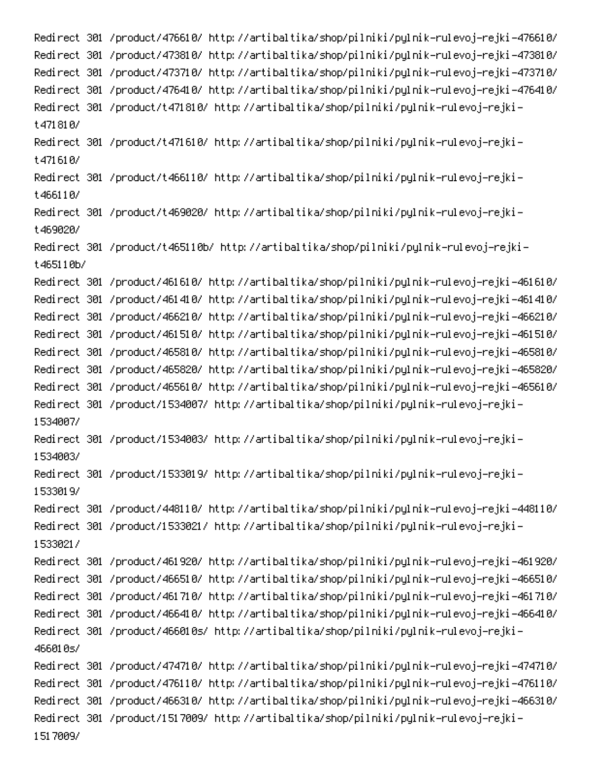/Redirect 301 /product/476610/ http://artibaltika/shop/pilniki/pylnik-rulevoj-rejki-476610 /Redirect 301 /product/473810/ http://artibaltika/shop/pilniki/pylnik-rulevoj-rejki-473810 /Redirect 301 /product/473710/ http://artibaltika/shop/pilniki/pylnik-rulevoj-rejki-473710 /Redirect 301 /product/476410/ http://artibaltika/shop/pilniki/pylnik-rulevoj-rejki-476410 -Redirect 301 /product/t471810/ http://artibaltika/shop/pilniki/pylnik-rulevoj-rejki t471810/ -Redirect 301 /product/t471610/ http://artibaltika/shop/pilniki/pylnik-rulevoj-rejki t471610/ Redirect 301 /product/t466110/ http://artibaltika/shop/pilniki/pylnik-rulevoj-rejki-**REGION** Redirect 301 /product/t469020/ http://artibaltika/shop/pilniki/pylnik-rulevoj-rejkit469020/ Redirect 301 /product/t465110b/ http://artibaltika/shop/pilniki/pylnik-rulevoj-rejkit465110b/ /Redirect 301 /product/461610/ http://artibaltika/shop/pilniki/pylnik-rulevoj-rejki-461610 /Redirect 301 /product/461410/ http://artibaltika/shop/pilniki/pylnik-rulevoj-rejki-461410 /Redirect 301 /product/466210/ http://artibaltika/shop/pilniki/pylnik-rulevoj-rejki-466210 /Redirect 301 /product/461510/ http://artibaltika/shop/pilniki/pylnik-rulevoj-rejki-461510 /Redirect 301 /product/465810/ http://artibaltika/shop/pilniki/pylnik-rulevoj-rejki-465810 /Redirect 301 /product/465820/ http://artibaltika/shop/pilniki/pylnik-rulevoj-rejki-465820 /Redirect 301 /product/465610/ http://artibaltika/shop/pilniki/pylnik-rulevoj-rejki-465610 Redirect 301 /product/1534007/ http://artibaltika/shop/pilniki/pylnik-rulevoj-rejki-1534007/ Redirect 301 /product/1534003/ http://artibaltika/shop/pilniki/pylnik-rulevoj-rejki-1534003/ Redirect 301 /product/1533019/ http://artibaltika/shop/pilniki/pylnik-rulevoj-rejki-15330197 /Redirect 301 /product/448110/ http://artibaltika/shop/pilniki/pylnik-rulevoj-rejki-448110 Redirect 301 /product/1533021/ http://artibaltika/shop/pilniki/pylnik-rulevoj-rejki-15330217 /Redirect 301 /product/461920/ http://artibaltika/shop/pilniki/pylnik-rulevoj-rejki-461920 /Redirect 301 /product/466510/ http://artibaltika/shop/pilniki/pylnik-rulevoj-rejki-466510 /Redirect 301 /product/461710/ http://artibaltika/shop/pilniki/pylnik-rulevoj-rejki-461710 /Redirect 301 /product/466410/ http://artibaltika/shop/pilniki/pylnik-rulevoj-rejki-466410 Redirect 301 /product/466010s/ http://artibaltika/shop/pilniki/pylnik-rulevoj-rejki-466010s/ /Redirect 301 /product/474710/ http://artibaltika/shop/pilniki/pylnik-rulevoj-rejki-474710 /Redirect 301 /product/476110/ http://artibaltika/shop/pilniki/pylnik-rulevoj-rejki-476110 /Redirect 301 /product/466310/ http://artibaltika/shop/pilniki/pylnik-rulevoj-rejki-466310 Redirect 301 /product/1517009/ http://artibaltika/shop/pilniki/pylnik-rulevoj-rejki-1517009/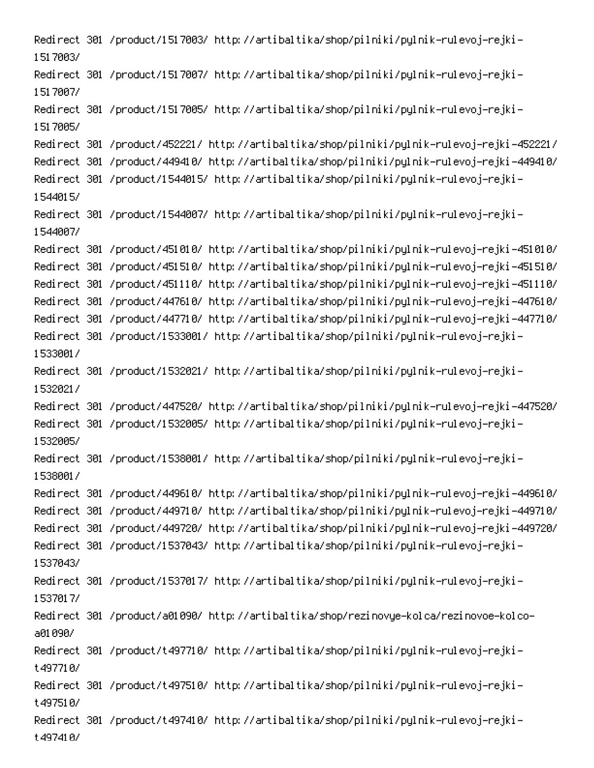Redirect 301 /product/1517003/ http://artibaltika/shop/pilniki/pylnik-rulevoj-rejki-1517003/ Redirect 301 /product/1517007/ http://artibaltika/shop/pilniki/pylnik-rulevoj-rejki-1517007/ Redirect 301 /product/1517005/ http://artibaltika/shop/pilniki/pylnik-rulevoj-rejki-1517005/ /Redirect 301 /product/452221/ http://artibaltika/shop/pilniki/pylnik-rulevoj-rejki-452221 /Redirect 301 /product/449410/ http://artibaltika/shop/pilniki/pylnik-rulevoj-rejki-449410 Redirect 301 /product/1544015/ http://artibaltika/shop/pilniki/pylnik-rulevoj-rejki-1544015/ Redirect 301 /product/1544007/ http://artibaltika/shop/pilniki/pylnik-rulevoj-rejki-1544007/ /Redirect 301 /product/451010/ http://artibaltika/shop/pilniki/pylnik-rulevoj-rejki-451010 /Redirect 301 /product/451510/ http://artibaltika/shop/pilniki/pylnik-rulevoj-rejki-451510 /Redirect 301 /product/451110/ http://artibaltika/shop/pilniki/pylnik-rulevoj-rejki-451110 /Redirect 301 /product/447610/ http://artibaltika/shop/pilniki/pylnik-rulevoj-rejki-447610 /Redirect 301 /product/447710/ http://artibaltika/shop/pilniki/pylnik-rulevoj-rejki-447710 Redirect 301 /product/1533001/ http://artibaltika/shop/pilniki/pylnik-rulevoj-rejki-15330017 Redirect 301 /product/1532021/ http://artibaltika/shop/pilniki/pylnik-rulevoj-rejki-15320217 /Redirect 301 /product/447520/ http://artibaltika/shop/pilniki/pylnik-rulevoj-rejki-447520 Redirect 301 /product/1532005/ http://artibaltika/shop/pilniki/pylnik-rulevoj-rejki-1532005/ -Redirect 301 /product/1538001/ http://artibaltika/shop/pilniki/pylnik-rulevoj-rejki 15380017 /Redirect 301 /product/449610/ http://artibaltika/shop/pilniki/pylnik-rulevoj-rejki-449610 /Redirect 301 /product/449710/ http://artibaltika/shop/pilniki/pylnik-rulevoj-rejki-449710 /Redirect 301 /product/449720/ http://artibaltika/shop/pilniki/pylnik-rulevoj-rejki-449720 Redirect 301 /product/1537043/ http://artibaltika/shop/pilniki/pylnik-rulevoj-rejki-15370437 Redirect 301 /product/1537017/ http://artibaltika/shop/pilniki/pylnik-rulevoj-rejki-1537017/ Redirect 301 /product/a01090/ http://artibaltika/shop/rezinovye-kolca/rezinovoe-kolcoa01090/ Redirect 301 /product/t497710/ http://artibaltika/shop/pilniki/pylnik-rulevoj-rejkit497710/ Redirect 301 /product/t497510/ http://artibaltika/shop/pilniki/pylnik-rulevoj-rejkit497510/ Redirect 301 /product/t497410/ http://artibaltika/shop/pilniki/pylnik-rulevoj-rejkit497410/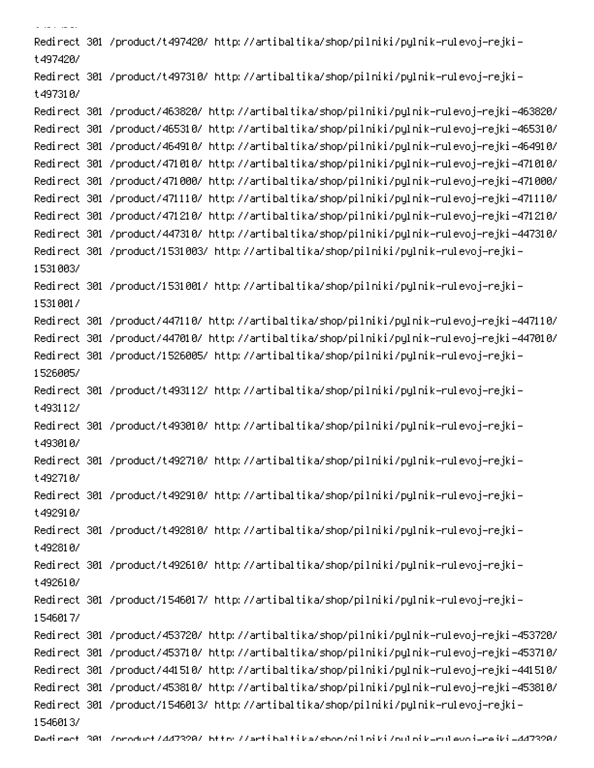S! Can be completed -Redirect 301 /product/t497420/ http://artibaltika/shop/pilniki/pylnik-rulevoj-rejki t497420/ -Redirect 301 /product/t497310/ http://artibaltika/shop/pilniki/pylnik-rulevoj-rejki t497310/ /Redirect 301 /product/463820/ http://artibaltika/shop/pilniki/pylnik-rulevoj-rejki-463820 /Redirect 301 /product/465310/ http://artibaltika/shop/pilniki/pylnik-rulevoj-rejki-465310 /Redirect 301 /product/464910/ http://artibaltika/shop/pilniki/pylnik-rulevoj-rejki-464910 /Redirect 301 /product/471010/ http://artibaltika/shop/pilniki/pylnik-rulevoj-rejki-471010 /Redirect 301 /product/471000/ http://artibaltika/shop/pilniki/pylnik-rulevoj-rejki-471000 /Redirect 301 /product/471110/ http://artibaltika/shop/pilniki/pylnik-rulevoj-rejki-471110 /Redirect 301 /product/471210/ http://artibaltika/shop/pilniki/pylnik-rulevoj-rejki-471210 /Redirect 301 /product/447310/ http://artibaltika/shop/pilniki/pylnik-rulevoj-rejki-447310 -Redirect 301 /product/1531003/ http://artibaltika/shop/pilniki/pylnik-rulevoj-rejki 1531003/ -Redirect 301 /product/1531001/ http://artibaltika/shop/pilniki/pylnik-rulevoj-rejki 15310017 /Redirect 301 /product/447110/ http://artibaltika/shop/pilniki/pylnik-rulevoj-rejki-447110 /Redirect 301 /product/447010/ http://artibaltika/shop/pilniki/pylnik-rulevoj-rejki-447010 Redirect 301 /product/1526005/ http://artibaltika/shop/pilniki/pylnik-rulevoj-rejki-1526005/ -Redirect 301 /product/t493112/ http://artibaltika/shop/pilniki/pylnik-rulevoj-rejki t493112/ -Redirect 301 /product/t493010/ http://artibaltika/shop/pilniki/pylnik-rulevoj-rejki t493010/ -Redirect 301 /product/t492710/ http://artibaltika/shop/pilniki/pylnik-rulevoj-rejki t492710/ -Redirect 301 /product/t492910/ http://artibaltika/shop/pilniki/pylnik-rulevoj-rejki t492910/ -Redirect 301 /product/t492810/ http://artibaltika/shop/pilniki/pylnik-rulevoj-rejki  $t$ 492810/ Redirect 301 /product/t492610/ http://artibaltika/shop/pilniki/pylnik-rulevoj-rejkit492610/ -Redirect 301 /product/1546017/ http://artibaltika/shop/pilniki/pylnik-rulevoj-rejki 1546017/ /Redirect 301 /product/453720/ http://artibaltika/shop/pilniki/pylnik-rulevoj-rejki-453720 /Redirect 301 /product/453710/ http://artibaltika/shop/pilniki/pylnik-rulevoj-rejki-453710 /Redirect 301 /product/441510/ http://artibaltika/shop/pilniki/pylnik-rulevoj-rejki-441510 /Redirect 301 /product/453810/ http://artibaltika/shop/pilniki/pylnik-rulevoj-rejki-453810 Redirect 301 /product/1546013/ http://artibaltika/shop/pilniki/pylnik-rulevoj-rejki-1546013/ Dedirect 301 /oroduct/447320/ bttp://artibaltika/sboo/oiloiki/ouloik-rulevoi-reiki-447320/<br>-